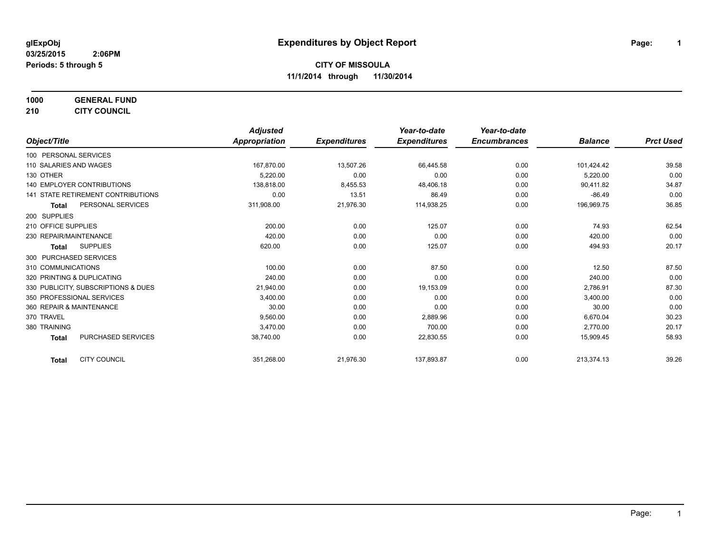**1000 GENERAL FUND**

**210 CITY COUNCIL**

|                                           | <b>Adjusted</b> |                     | Year-to-date        | Year-to-date        |                |                  |
|-------------------------------------------|-----------------|---------------------|---------------------|---------------------|----------------|------------------|
| Object/Title                              | Appropriation   | <b>Expenditures</b> | <b>Expenditures</b> | <b>Encumbrances</b> | <b>Balance</b> | <b>Prct Used</b> |
| 100 PERSONAL SERVICES                     |                 |                     |                     |                     |                |                  |
| 110 SALARIES AND WAGES                    | 167.870.00      | 13,507.26           | 66,445.58           | 0.00                | 101,424.42     | 39.58            |
| 130 OTHER                                 | 5,220.00        | 0.00                | 0.00                | 0.00                | 5,220.00       | 0.00             |
| 140 EMPLOYER CONTRIBUTIONS                | 138,818.00      | 8,455.53            | 48,406.18           | 0.00                | 90,411.82      | 34.87            |
| 141 STATE RETIREMENT CONTRIBUTIONS        | 0.00            | 13.51               | 86.49               | 0.00                | $-86.49$       | 0.00             |
| PERSONAL SERVICES<br>Total                | 311,908.00      | 21,976.30           | 114,938.25          | 0.00                | 196,969.75     | 36.85            |
| 200 SUPPLIES                              |                 |                     |                     |                     |                |                  |
| 210 OFFICE SUPPLIES                       | 200.00          | 0.00                | 125.07              | 0.00                | 74.93          | 62.54            |
| 230 REPAIR/MAINTENANCE                    | 420.00          | 0.00                | 0.00                | 0.00                | 420.00         | 0.00             |
| <b>SUPPLIES</b><br>Total                  | 620.00          | 0.00                | 125.07              | 0.00                | 494.93         | 20.17            |
| 300 PURCHASED SERVICES                    |                 |                     |                     |                     |                |                  |
| 310 COMMUNICATIONS                        | 100.00          | 0.00                | 87.50               | 0.00                | 12.50          | 87.50            |
| 320 PRINTING & DUPLICATING                | 240.00          | 0.00                | 0.00                | 0.00                | 240.00         | 0.00             |
| 330 PUBLICITY, SUBSCRIPTIONS & DUES       | 21,940.00       | 0.00                | 19,153.09           | 0.00                | 2,786.91       | 87.30            |
| 350 PROFESSIONAL SERVICES                 | 3,400.00        | 0.00                | 0.00                | 0.00                | 3,400.00       | 0.00             |
| 360 REPAIR & MAINTENANCE                  | 30.00           | 0.00                | 0.00                | 0.00                | 30.00          | 0.00             |
| 370 TRAVEL                                | 9,560.00        | 0.00                | 2,889.96            | 0.00                | 6,670.04       | 30.23            |
| 380 TRAINING                              | 3,470.00        | 0.00                | 700.00              | 0.00                | 2,770.00       | 20.17            |
| <b>PURCHASED SERVICES</b><br><b>Total</b> | 38,740.00       | 0.00                | 22,830.55           | 0.00                | 15,909.45      | 58.93            |
| <b>CITY COUNCIL</b><br><b>Total</b>       | 351,268.00      | 21,976.30           | 137,893.87          | 0.00                | 213,374.13     | 39.26            |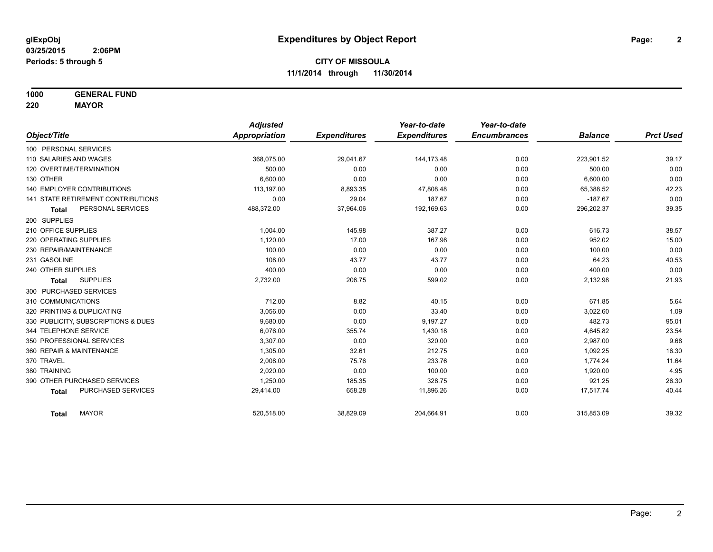**1000 GENERAL FUND**

**220 MAYOR**

|                                     | <b>Adjusted</b> |                     | Year-to-date        | Year-to-date        |                |                  |
|-------------------------------------|-----------------|---------------------|---------------------|---------------------|----------------|------------------|
| Object/Title                        | Appropriation   | <b>Expenditures</b> | <b>Expenditures</b> | <b>Encumbrances</b> | <b>Balance</b> | <b>Prct Used</b> |
| 100 PERSONAL SERVICES               |                 |                     |                     |                     |                |                  |
| 110 SALARIES AND WAGES              | 368,075.00      | 29,041.67           | 144,173.48          | 0.00                | 223,901.52     | 39.17            |
| 120 OVERTIME/TERMINATION            | 500.00          | 0.00                | 0.00                | 0.00                | 500.00         | 0.00             |
| 130 OTHER                           | 6.600.00        | 0.00                | 0.00                | 0.00                | 6,600.00       | 0.00             |
| <b>140 EMPLOYER CONTRIBUTIONS</b>   | 113,197.00      | 8,893.35            | 47,808.48           | 0.00                | 65,388.52      | 42.23            |
| 141 STATE RETIREMENT CONTRIBUTIONS  | 0.00            | 29.04               | 187.67              | 0.00                | $-187.67$      | 0.00             |
| PERSONAL SERVICES<br><b>Total</b>   | 488,372.00      | 37,964.06           | 192,169.63          | 0.00                | 296,202.37     | 39.35            |
| 200 SUPPLIES                        |                 |                     |                     |                     |                |                  |
| 210 OFFICE SUPPLIES                 | 1.004.00        | 145.98              | 387.27              | 0.00                | 616.73         | 38.57            |
| 220 OPERATING SUPPLIES              | 1,120.00        | 17.00               | 167.98              | 0.00                | 952.02         | 15.00            |
| 230 REPAIR/MAINTENANCE              | 100.00          | 0.00                | 0.00                | 0.00                | 100.00         | 0.00             |
| 231 GASOLINE                        | 108.00          | 43.77               | 43.77               | 0.00                | 64.23          | 40.53            |
| 240 OTHER SUPPLIES                  | 400.00          | 0.00                | 0.00                | 0.00                | 400.00         | 0.00             |
| <b>SUPPLIES</b><br><b>Total</b>     | 2,732.00        | 206.75              | 599.02              | 0.00                | 2,132.98       | 21.93            |
| 300 PURCHASED SERVICES              |                 |                     |                     |                     |                |                  |
| 310 COMMUNICATIONS                  | 712.00          | 8.82                | 40.15               | 0.00                | 671.85         | 5.64             |
| 320 PRINTING & DUPLICATING          | 3,056.00        | 0.00                | 33.40               | 0.00                | 3,022.60       | 1.09             |
| 330 PUBLICITY, SUBSCRIPTIONS & DUES | 9,680.00        | 0.00                | 9,197.27            | 0.00                | 482.73         | 95.01            |
| 344 TELEPHONE SERVICE               | 6.076.00        | 355.74              | 1,430.18            | 0.00                | 4,645.82       | 23.54            |
| 350 PROFESSIONAL SERVICES           | 3,307.00        | 0.00                | 320.00              | 0.00                | 2,987.00       | 9.68             |
| 360 REPAIR & MAINTENANCE            | 1,305.00        | 32.61               | 212.75              | 0.00                | 1,092.25       | 16.30            |
| 370 TRAVEL                          | 2,008.00        | 75.76               | 233.76              | 0.00                | 1,774.24       | 11.64            |
| 380 TRAINING                        | 2,020.00        | 0.00                | 100.00              | 0.00                | 1,920.00       | 4.95             |
| 390 OTHER PURCHASED SERVICES        | 1,250.00        | 185.35              | 328.75              | 0.00                | 921.25         | 26.30            |
| PURCHASED SERVICES<br><b>Total</b>  | 29,414.00       | 658.28              | 11,896.26           | 0.00                | 17,517.74      | 40.44            |
| <b>MAYOR</b><br><b>Total</b>        | 520,518.00      | 38,829.09           | 204,664.91          | 0.00                | 315,853.09     | 39.32            |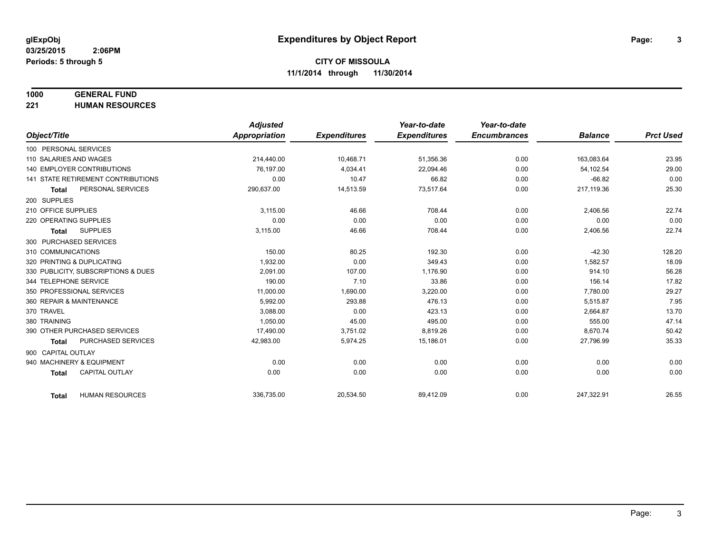# **1000 GENERAL FUND**

**221 HUMAN RESOURCES**

|                                           | <b>Adjusted</b>      |                     | Year-to-date        | Year-to-date        |                |                  |
|-------------------------------------------|----------------------|---------------------|---------------------|---------------------|----------------|------------------|
| Object/Title                              | <b>Appropriation</b> | <b>Expenditures</b> | <b>Expenditures</b> | <b>Encumbrances</b> | <b>Balance</b> | <b>Prct Used</b> |
| 100 PERSONAL SERVICES                     |                      |                     |                     |                     |                |                  |
| 110 SALARIES AND WAGES                    | 214,440.00           | 10,468.71           | 51,356.36           | 0.00                | 163,083.64     | 23.95            |
| 140 EMPLOYER CONTRIBUTIONS                | 76.197.00            | 4,034.41            | 22,094.46           | 0.00                | 54,102.54      | 29.00            |
| 141 STATE RETIREMENT CONTRIBUTIONS        | 0.00                 | 10.47               | 66.82               | 0.00                | $-66.82$       | 0.00             |
| PERSONAL SERVICES<br><b>Total</b>         | 290,637.00           | 14,513.59           | 73,517.64           | 0.00                | 217,119.36     | 25.30            |
| 200 SUPPLIES                              |                      |                     |                     |                     |                |                  |
| 210 OFFICE SUPPLIES                       | 3,115.00             | 46.66               | 708.44              | 0.00                | 2,406.56       | 22.74            |
| 220 OPERATING SUPPLIES                    | 0.00                 | 0.00                | 0.00                | 0.00                | 0.00           | 0.00             |
| <b>SUPPLIES</b><br><b>Total</b>           | 3,115.00             | 46.66               | 708.44              | 0.00                | 2,406.56       | 22.74            |
| 300 PURCHASED SERVICES                    |                      |                     |                     |                     |                |                  |
| 310 COMMUNICATIONS                        | 150.00               | 80.25               | 192.30              | 0.00                | $-42.30$       | 128.20           |
| 320 PRINTING & DUPLICATING                | 1,932.00             | 0.00                | 349.43              | 0.00                | 1,582.57       | 18.09            |
| 330 PUBLICITY, SUBSCRIPTIONS & DUES       | 2,091.00             | 107.00              | 1,176.90            | 0.00                | 914.10         | 56.28            |
| 344 TELEPHONE SERVICE                     | 190.00               | 7.10                | 33.86               | 0.00                | 156.14         | 17.82            |
| 350 PROFESSIONAL SERVICES                 | 11,000.00            | 1,690.00            | 3,220.00            | 0.00                | 7,780.00       | 29.27            |
| 360 REPAIR & MAINTENANCE                  | 5.992.00             | 293.88              | 476.13              | 0.00                | 5,515.87       | 7.95             |
| 370 TRAVEL                                | 3,088.00             | 0.00                | 423.13              | 0.00                | 2,664.87       | 13.70            |
| 380 TRAINING                              | 1,050.00             | 45.00               | 495.00              | 0.00                | 555.00         | 47.14            |
| 390 OTHER PURCHASED SERVICES              | 17,490.00            | 3,751.02            | 8,819.26            | 0.00                | 8,670.74       | 50.42            |
| <b>PURCHASED SERVICES</b><br><b>Total</b> | 42,983.00            | 5,974.25            | 15,186.01           | 0.00                | 27,796.99      | 35.33            |
| 900 CAPITAL OUTLAY                        |                      |                     |                     |                     |                |                  |
| 940 MACHINERY & EQUIPMENT                 | 0.00                 | 0.00                | 0.00                | 0.00                | 0.00           | 0.00             |
| <b>CAPITAL OUTLAY</b><br><b>Total</b>     | 0.00                 | 0.00                | 0.00                | 0.00                | 0.00           | 0.00             |
|                                           |                      |                     |                     |                     |                |                  |
| <b>HUMAN RESOURCES</b><br><b>Total</b>    | 336,735.00           | 20,534.50           | 89,412.09           | 0.00                | 247,322.91     | 26.55            |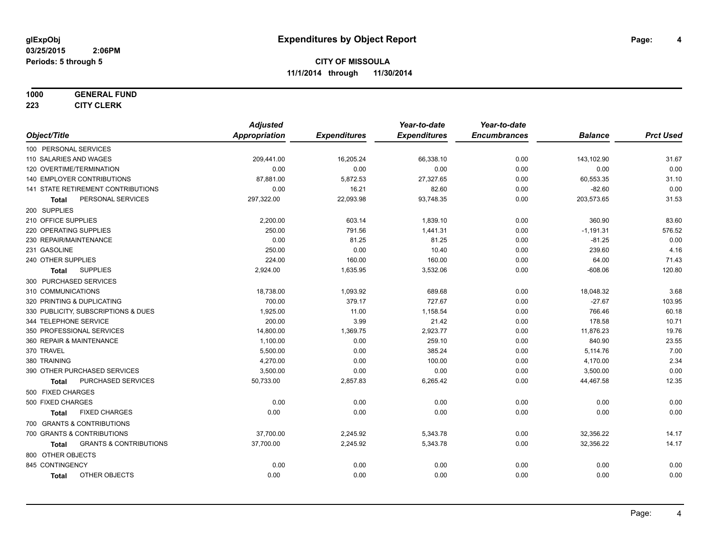#### **1000 GENERAL FUND**

**223 CITY CLERK**

|                                                   | <b>Adjusted</b>      |                     | Year-to-date        | Year-to-date        |                |                  |
|---------------------------------------------------|----------------------|---------------------|---------------------|---------------------|----------------|------------------|
| Object/Title                                      | <b>Appropriation</b> | <b>Expenditures</b> | <b>Expenditures</b> | <b>Encumbrances</b> | <b>Balance</b> | <b>Prct Used</b> |
| 100 PERSONAL SERVICES                             |                      |                     |                     |                     |                |                  |
| 110 SALARIES AND WAGES                            | 209,441.00           | 16,205.24           | 66,338.10           | 0.00                | 143,102.90     | 31.67            |
| 120 OVERTIME/TERMINATION                          | 0.00                 | 0.00                | 0.00                | 0.00                | 0.00           | 0.00             |
| 140 EMPLOYER CONTRIBUTIONS                        | 87,881.00            | 5,872.53            | 27,327.65           | 0.00                | 60,553.35      | 31.10            |
| 141 STATE RETIREMENT CONTRIBUTIONS                | 0.00                 | 16.21               | 82.60               | 0.00                | $-82.60$       | 0.00             |
| PERSONAL SERVICES<br><b>Total</b>                 | 297,322.00           | 22,093.98           | 93,748.35           | 0.00                | 203,573.65     | 31.53            |
| 200 SUPPLIES                                      |                      |                     |                     |                     |                |                  |
| 210 OFFICE SUPPLIES                               | 2,200.00             | 603.14              | 1,839.10            | 0.00                | 360.90         | 83.60            |
| 220 OPERATING SUPPLIES                            | 250.00               | 791.56              | 1,441.31            | 0.00                | $-1,191.31$    | 576.52           |
| 230 REPAIR/MAINTENANCE                            | 0.00                 | 81.25               | 81.25               | 0.00                | $-81.25$       | 0.00             |
| 231 GASOLINE                                      | 250.00               | 0.00                | 10.40               | 0.00                | 239.60         | 4.16             |
| 240 OTHER SUPPLIES                                | 224.00               | 160.00              | 160.00              | 0.00                | 64.00          | 71.43            |
| <b>SUPPLIES</b><br><b>Total</b>                   | 2,924.00             | 1,635.95            | 3,532.06            | 0.00                | $-608.06$      | 120.80           |
| 300 PURCHASED SERVICES                            |                      |                     |                     |                     |                |                  |
| 310 COMMUNICATIONS                                | 18,738.00            | 1,093.92            | 689.68              | 0.00                | 18,048.32      | 3.68             |
| 320 PRINTING & DUPLICATING                        | 700.00               | 379.17              | 727.67              | 0.00                | $-27.67$       | 103.95           |
| 330 PUBLICITY, SUBSCRIPTIONS & DUES               | 1,925.00             | 11.00               | 1,158.54            | 0.00                | 766.46         | 60.18            |
| 344 TELEPHONE SERVICE                             | 200.00               | 3.99                | 21.42               | 0.00                | 178.58         | 10.71            |
| 350 PROFESSIONAL SERVICES                         | 14,800.00            | 1,369.75            | 2,923.77            | 0.00                | 11,876.23      | 19.76            |
| 360 REPAIR & MAINTENANCE                          | 1,100.00             | 0.00                | 259.10              | 0.00                | 840.90         | 23.55            |
| 370 TRAVEL                                        | 5,500.00             | 0.00                | 385.24              | 0.00                | 5,114.76       | 7.00             |
| 380 TRAINING                                      | 4,270.00             | 0.00                | 100.00              | 0.00                | 4,170.00       | 2.34             |
| 390 OTHER PURCHASED SERVICES                      | 3,500.00             | 0.00                | 0.00                | 0.00                | 3,500.00       | 0.00             |
| <b>PURCHASED SERVICES</b><br><b>Total</b>         | 50,733.00            | 2,857.83            | 6,265.42            | 0.00                | 44,467.58      | 12.35            |
| 500 FIXED CHARGES                                 |                      |                     |                     |                     |                |                  |
| 500 FIXED CHARGES                                 | 0.00                 | 0.00                | 0.00                | 0.00                | 0.00           | 0.00             |
| <b>FIXED CHARGES</b><br><b>Total</b>              | 0.00                 | 0.00                | 0.00                | 0.00                | 0.00           | 0.00             |
| 700 GRANTS & CONTRIBUTIONS                        |                      |                     |                     |                     |                |                  |
| 700 GRANTS & CONTRIBUTIONS                        | 37,700.00            | 2,245.92            | 5,343.78            | 0.00                | 32,356.22      | 14.17            |
| <b>GRANTS &amp; CONTRIBUTIONS</b><br><b>Total</b> | 37,700.00            | 2,245.92            | 5,343.78            | 0.00                | 32,356.22      | 14.17            |
| 800 OTHER OBJECTS                                 |                      |                     |                     |                     |                |                  |
| 845 CONTINGENCY                                   | 0.00                 | 0.00                | 0.00                | 0.00                | 0.00           | 0.00             |
| OTHER OBJECTS<br><b>Total</b>                     | 0.00                 | 0.00                | 0.00                | 0.00                | 0.00           | 0.00             |
|                                                   |                      |                     |                     |                     |                |                  |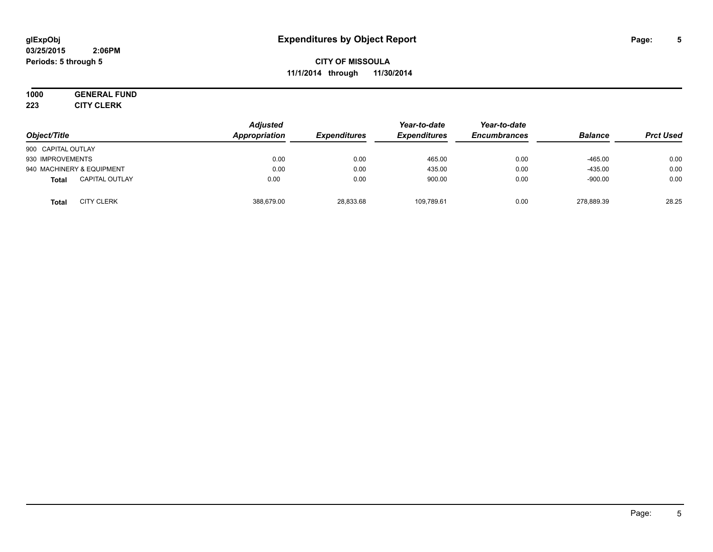#### **03/25/2015 2:06PM Periods: 5 through 5**

**CITY OF MISSOULA 11/1/2014 through 11/30/2014**

#### **1000 GENERAL FUND 223 CITY CLERK**

| Object/Title                          | <b>Adjusted</b><br>Appropriation | <b>Expenditures</b> | Year-to-date<br><b>Expenditures</b> | Year-to-date<br><b>Encumbrances</b> | <b>Balance</b> | <b>Prct Used</b> |
|---------------------------------------|----------------------------------|---------------------|-------------------------------------|-------------------------------------|----------------|------------------|
| 900 CAPITAL OUTLAY                    |                                  |                     |                                     |                                     |                |                  |
| 930 IMPROVEMENTS                      | 0.00                             | 0.00                | 465.00                              | 0.00                                | $-465.00$      | 0.00             |
| 940 MACHINERY & EQUIPMENT             | 0.00                             | 0.00                | 435.00                              | 0.00                                | $-435.00$      | 0.00             |
| <b>CAPITAL OUTLAY</b><br><b>Total</b> | 0.00                             | 0.00                | 900.00                              | 0.00                                | $-900.00$      | 0.00             |
| <b>CITY CLERK</b><br><b>Total</b>     | 388.679.00                       | 28,833.68           | 109,789.61                          | 0.00                                | 278.889.39     | 28.25            |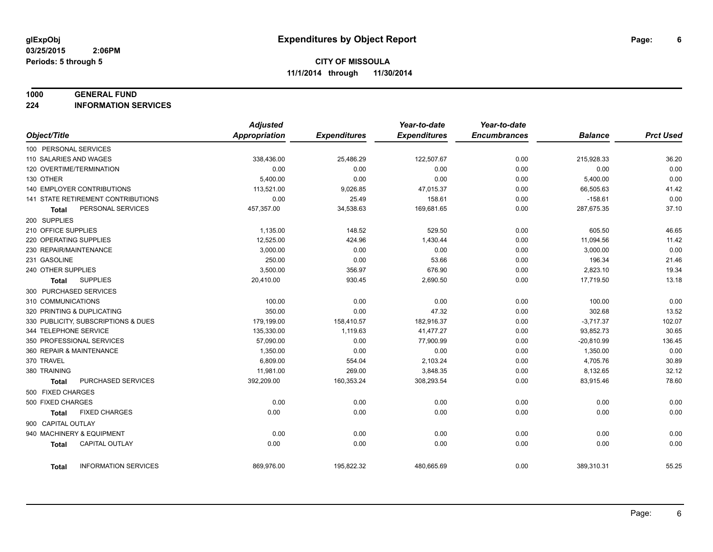#### **1000 GENERAL FUND**

**224 INFORMATION SERVICES**

|                            |                                     | <b>Adjusted</b> |                     | Year-to-date        | Year-to-date        |                |                  |
|----------------------------|-------------------------------------|-----------------|---------------------|---------------------|---------------------|----------------|------------------|
| Object/Title               |                                     | Appropriation   | <b>Expenditures</b> | <b>Expenditures</b> | <b>Encumbrances</b> | <b>Balance</b> | <b>Prct Used</b> |
| 100 PERSONAL SERVICES      |                                     |                 |                     |                     |                     |                |                  |
| 110 SALARIES AND WAGES     |                                     | 338,436.00      | 25,486.29           | 122,507.67          | 0.00                | 215,928.33     | 36.20            |
| 120 OVERTIME/TERMINATION   |                                     | 0.00            | 0.00                | 0.00                | 0.00                | 0.00           | 0.00             |
| 130 OTHER                  |                                     | 5,400.00        | 0.00                | 0.00                | 0.00                | 5,400.00       | 0.00             |
|                            | 140 EMPLOYER CONTRIBUTIONS          | 113,521.00      | 9,026.85            | 47,015.37           | 0.00                | 66,505.63      | 41.42            |
|                            | 141 STATE RETIREMENT CONTRIBUTIONS  | 0.00            | 25.49               | 158.61              | 0.00                | $-158.61$      | 0.00             |
| Total                      | PERSONAL SERVICES                   | 457,357.00      | 34,538.63           | 169,681.65          | 0.00                | 287,675.35     | 37.10            |
| 200 SUPPLIES               |                                     |                 |                     |                     |                     |                |                  |
| 210 OFFICE SUPPLIES        |                                     | 1,135.00        | 148.52              | 529.50              | 0.00                | 605.50         | 46.65            |
| 220 OPERATING SUPPLIES     |                                     | 12,525.00       | 424.96              | 1,430.44            | 0.00                | 11,094.56      | 11.42            |
| 230 REPAIR/MAINTENANCE     |                                     | 3,000.00        | 0.00                | 0.00                | 0.00                | 3,000.00       | 0.00             |
| 231 GASOLINE               |                                     | 250.00          | 0.00                | 53.66               | 0.00                | 196.34         | 21.46            |
| 240 OTHER SUPPLIES         |                                     | 3,500.00        | 356.97              | 676.90              | 0.00                | 2,823.10       | 19.34            |
| Total                      | <b>SUPPLIES</b>                     | 20,410.00       | 930.45              | 2,690.50            | 0.00                | 17,719.50      | 13.18            |
| 300 PURCHASED SERVICES     |                                     |                 |                     |                     |                     |                |                  |
| 310 COMMUNICATIONS         |                                     | 100.00          | 0.00                | 0.00                | 0.00                | 100.00         | 0.00             |
| 320 PRINTING & DUPLICATING |                                     | 350.00          | 0.00                | 47.32               | 0.00                | 302.68         | 13.52            |
|                            | 330 PUBLICITY, SUBSCRIPTIONS & DUES | 179,199.00      | 158,410.57          | 182,916.37          | 0.00                | $-3,717.37$    | 102.07           |
| 344 TELEPHONE SERVICE      |                                     | 135,330.00      | 1,119.63            | 41,477.27           | 0.00                | 93,852.73      | 30.65            |
|                            | 350 PROFESSIONAL SERVICES           | 57,090.00       | 0.00                | 77,900.99           | 0.00                | $-20,810.99$   | 136.45           |
| 360 REPAIR & MAINTENANCE   |                                     | 1,350.00        | 0.00                | 0.00                | 0.00                | 1,350.00       | 0.00             |
| 370 TRAVEL                 |                                     | 6,809.00        | 554.04              | 2,103.24            | 0.00                | 4,705.76       | 30.89            |
| 380 TRAINING               |                                     | 11,981.00       | 269.00              | 3,848.35            | 0.00                | 8,132.65       | 32.12            |
| <b>Total</b>               | PURCHASED SERVICES                  | 392,209.00      | 160,353.24          | 308,293.54          | 0.00                | 83,915.46      | 78.60            |
| 500 FIXED CHARGES          |                                     |                 |                     |                     |                     |                |                  |
| 500 FIXED CHARGES          |                                     | 0.00            | 0.00                | 0.00                | 0.00                | 0.00           | 0.00             |
| Total                      | <b>FIXED CHARGES</b>                | 0.00            | 0.00                | 0.00                | 0.00                | 0.00           | 0.00             |
| 900 CAPITAL OUTLAY         |                                     |                 |                     |                     |                     |                |                  |
|                            | 940 MACHINERY & EQUIPMENT           | 0.00            | 0.00                | 0.00                | 0.00                | 0.00           | 0.00             |
| <b>Total</b>               | <b>CAPITAL OUTLAY</b>               | 0.00            | 0.00                | 0.00                | 0.00                | 0.00           | 0.00             |
|                            |                                     |                 |                     |                     |                     |                |                  |
| Total                      | <b>INFORMATION SERVICES</b>         | 869,976.00      | 195,822.32          | 480,665.69          | 0.00                | 389,310.31     | 55.25            |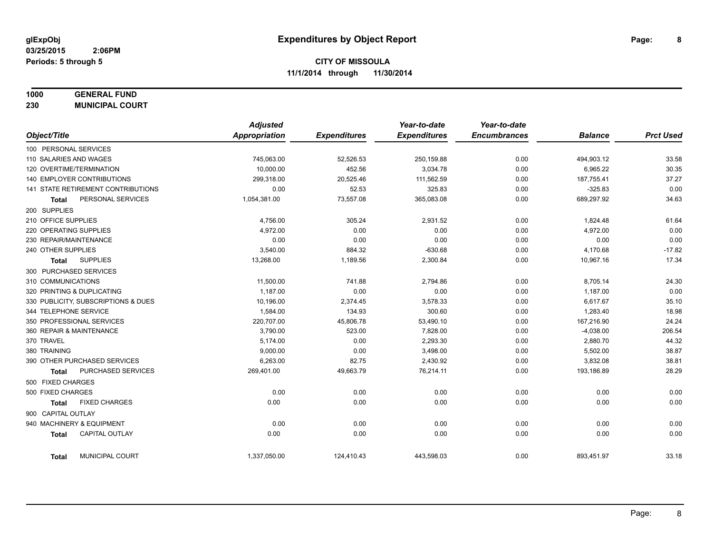# **1000 GENERAL FUND**

**230 MUNICIPAL COURT**

|                                       | <b>Adjusted</b> |                     | Year-to-date        | Year-to-date        |                |                  |
|---------------------------------------|-----------------|---------------------|---------------------|---------------------|----------------|------------------|
| Object/Title                          | Appropriation   | <b>Expenditures</b> | <b>Expenditures</b> | <b>Encumbrances</b> | <b>Balance</b> | <b>Prct Used</b> |
| 100 PERSONAL SERVICES                 |                 |                     |                     |                     |                |                  |
| 110 SALARIES AND WAGES                | 745,063.00      | 52,526.53           | 250,159.88          | 0.00                | 494,903.12     | 33.58            |
| 120 OVERTIME/TERMINATION              | 10.000.00       | 452.56              | 3,034.78            | 0.00                | 6,965.22       | 30.35            |
| 140 EMPLOYER CONTRIBUTIONS            | 299,318.00      | 20,525.46           | 111,562.59          | 0.00                | 187,755.41     | 37.27            |
| 141 STATE RETIREMENT CONTRIBUTIONS    | 0.00            | 52.53               | 325.83              | 0.00                | $-325.83$      | 0.00             |
| PERSONAL SERVICES<br><b>Total</b>     | 1,054,381.00    | 73,557.08           | 365,083.08          | 0.00                | 689,297.92     | 34.63            |
| 200 SUPPLIES                          |                 |                     |                     |                     |                |                  |
| 210 OFFICE SUPPLIES                   | 4,756.00        | 305.24              | 2,931.52            | 0.00                | 1,824.48       | 61.64            |
| 220 OPERATING SUPPLIES                | 4,972.00        | 0.00                | 0.00                | 0.00                | 4,972.00       | 0.00             |
| 230 REPAIR/MAINTENANCE                | 0.00            | 0.00                | 0.00                | 0.00                | 0.00           | 0.00             |
| 240 OTHER SUPPLIES                    | 3,540.00        | 884.32              | $-630.68$           | 0.00                | 4,170.68       | $-17.82$         |
| <b>SUPPLIES</b><br>Total              | 13,268.00       | 1,189.56            | 2,300.84            | 0.00                | 10,967.16      | 17.34            |
| 300 PURCHASED SERVICES                |                 |                     |                     |                     |                |                  |
| 310 COMMUNICATIONS                    | 11,500.00       | 741.88              | 2,794.86            | 0.00                | 8,705.14       | 24.30            |
| 320 PRINTING & DUPLICATING            | 1,187.00        | 0.00                | 0.00                | 0.00                | 1,187.00       | 0.00             |
| 330 PUBLICITY, SUBSCRIPTIONS & DUES   | 10,196.00       | 2,374.45            | 3,578.33            | 0.00                | 6,617.67       | 35.10            |
| 344 TELEPHONE SERVICE                 | 1.584.00        | 134.93              | 300.60              | 0.00                | 1,283.40       | 18.98            |
| 350 PROFESSIONAL SERVICES             | 220,707.00      | 45,806.78           | 53,490.10           | 0.00                | 167,216.90     | 24.24            |
| 360 REPAIR & MAINTENANCE              | 3,790.00        | 523.00              | 7,828.00            | 0.00                | $-4,038.00$    | 206.54           |
| 370 TRAVEL                            | 5,174.00        | 0.00                | 2,293.30            | 0.00                | 2,880.70       | 44.32            |
| 380 TRAINING                          | 9,000.00        | 0.00                | 3,498.00            | 0.00                | 5,502.00       | 38.87            |
| 390 OTHER PURCHASED SERVICES          | 6,263.00        | 82.75               | 2,430.92            | 0.00                | 3,832.08       | 38.81            |
| PURCHASED SERVICES<br><b>Total</b>    | 269,401.00      | 49,663.79           | 76,214.11           | 0.00                | 193,186.89     | 28.29            |
| 500 FIXED CHARGES                     |                 |                     |                     |                     |                |                  |
| 500 FIXED CHARGES                     | 0.00            | 0.00                | 0.00                | 0.00                | 0.00           | 0.00             |
| <b>FIXED CHARGES</b><br><b>Total</b>  | 0.00            | 0.00                | 0.00                | 0.00                | 0.00           | 0.00             |
| 900 CAPITAL OUTLAY                    |                 |                     |                     |                     |                |                  |
| 940 MACHINERY & EQUIPMENT             | 0.00            | 0.00                | 0.00                | 0.00                | 0.00           | 0.00             |
| <b>CAPITAL OUTLAY</b><br><b>Total</b> | 0.00            | 0.00                | 0.00                | 0.00                | 0.00           | 0.00             |
| MUNICIPAL COURT<br><b>Total</b>       | 1,337,050.00    | 124,410.43          | 443,598.03          | 0.00                | 893,451.97     | 33.18            |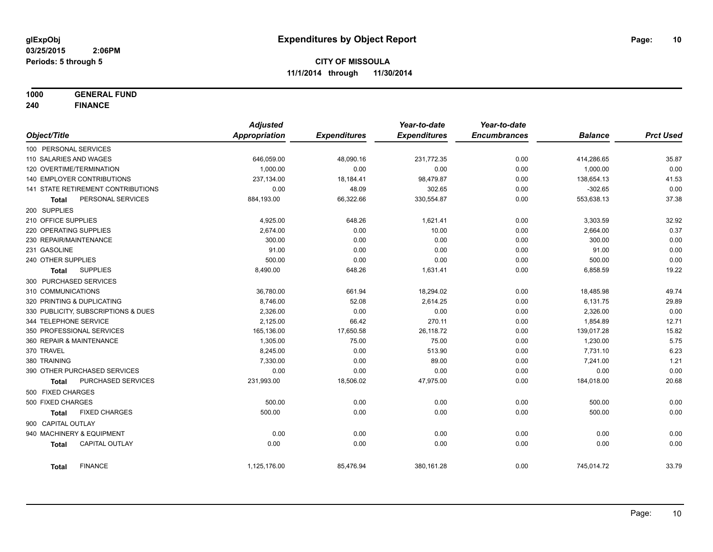**1000 GENERAL FUND**

**240 FINANCE**

|                            |                                     | <b>Adjusted</b>      |                     | Year-to-date        | Year-to-date        |                |                  |
|----------------------------|-------------------------------------|----------------------|---------------------|---------------------|---------------------|----------------|------------------|
| Object/Title               |                                     | <b>Appropriation</b> | <b>Expenditures</b> | <b>Expenditures</b> | <b>Encumbrances</b> | <b>Balance</b> | <b>Prct Used</b> |
| 100 PERSONAL SERVICES      |                                     |                      |                     |                     |                     |                |                  |
| 110 SALARIES AND WAGES     |                                     | 646,059.00           | 48,090.16           | 231,772.35          | 0.00                | 414,286.65     | 35.87            |
| 120 OVERTIME/TERMINATION   |                                     | 1,000.00             | 0.00                | 0.00                | 0.00                | 1,000.00       | 0.00             |
|                            | 140 EMPLOYER CONTRIBUTIONS          | 237,134.00           | 18,184.41           | 98,479.87           | 0.00                | 138,654.13     | 41.53            |
|                            | 141 STATE RETIREMENT CONTRIBUTIONS  | 0.00                 | 48.09               | 302.65              | 0.00                | $-302.65$      | 0.00             |
| <b>Total</b>               | PERSONAL SERVICES                   | 884,193.00           | 66,322.66           | 330,554.87          | 0.00                | 553,638.13     | 37.38            |
| 200 SUPPLIES               |                                     |                      |                     |                     |                     |                |                  |
| 210 OFFICE SUPPLIES        |                                     | 4,925.00             | 648.26              | 1,621.41            | 0.00                | 3,303.59       | 32.92            |
| 220 OPERATING SUPPLIES     |                                     | 2,674.00             | 0.00                | 10.00               | 0.00                | 2,664.00       | 0.37             |
| 230 REPAIR/MAINTENANCE     |                                     | 300.00               | 0.00                | 0.00                | 0.00                | 300.00         | 0.00             |
| 231 GASOLINE               |                                     | 91.00                | 0.00                | 0.00                | 0.00                | 91.00          | 0.00             |
| 240 OTHER SUPPLIES         |                                     | 500.00               | 0.00                | 0.00                | 0.00                | 500.00         | 0.00             |
| Total                      | <b>SUPPLIES</b>                     | 8,490.00             | 648.26              | 1,631.41            | 0.00                | 6,858.59       | 19.22            |
| 300 PURCHASED SERVICES     |                                     |                      |                     |                     |                     |                |                  |
| 310 COMMUNICATIONS         |                                     | 36,780.00            | 661.94              | 18,294.02           | 0.00                | 18,485.98      | 49.74            |
| 320 PRINTING & DUPLICATING |                                     | 8.746.00             | 52.08               | 2,614.25            | 0.00                | 6,131.75       | 29.89            |
|                            | 330 PUBLICITY, SUBSCRIPTIONS & DUES | 2,326.00             | 0.00                | 0.00                | 0.00                | 2,326.00       | 0.00             |
| 344 TELEPHONE SERVICE      |                                     | 2,125.00             | 66.42               | 270.11              | 0.00                | 1,854.89       | 12.71            |
| 350 PROFESSIONAL SERVICES  |                                     | 165,136.00           | 17,650.58           | 26,118.72           | 0.00                | 139,017.28     | 15.82            |
| 360 REPAIR & MAINTENANCE   |                                     | 1,305.00             | 75.00               | 75.00               | 0.00                | 1,230.00       | 5.75             |
| 370 TRAVEL                 |                                     | 8,245.00             | 0.00                | 513.90              | 0.00                | 7,731.10       | 6.23             |
| 380 TRAINING               |                                     | 7,330.00             | 0.00                | 89.00               | 0.00                | 7,241.00       | 1.21             |
|                            | 390 OTHER PURCHASED SERVICES        | 0.00                 | 0.00                | 0.00                | 0.00                | 0.00           | 0.00             |
| <b>Total</b>               | PURCHASED SERVICES                  | 231,993.00           | 18,506.02           | 47,975.00           | 0.00                | 184,018.00     | 20.68            |
| 500 FIXED CHARGES          |                                     |                      |                     |                     |                     |                |                  |
| 500 FIXED CHARGES          |                                     | 500.00               | 0.00                | 0.00                | 0.00                | 500.00         | 0.00             |
| <b>Total</b>               | <b>FIXED CHARGES</b>                | 500.00               | 0.00                | 0.00                | 0.00                | 500.00         | 0.00             |
| 900 CAPITAL OUTLAY         |                                     |                      |                     |                     |                     |                |                  |
| 940 MACHINERY & EQUIPMENT  |                                     | 0.00                 | 0.00                | 0.00                | 0.00                | 0.00           | 0.00             |
| <b>Total</b>               | <b>CAPITAL OUTLAY</b>               | 0.00                 | 0.00                | 0.00                | 0.00                | 0.00           | 0.00             |
| <b>Total</b>               | <b>FINANCE</b>                      | 1,125,176.00         | 85,476.94           | 380,161.28          | 0.00                | 745,014.72     | 33.79            |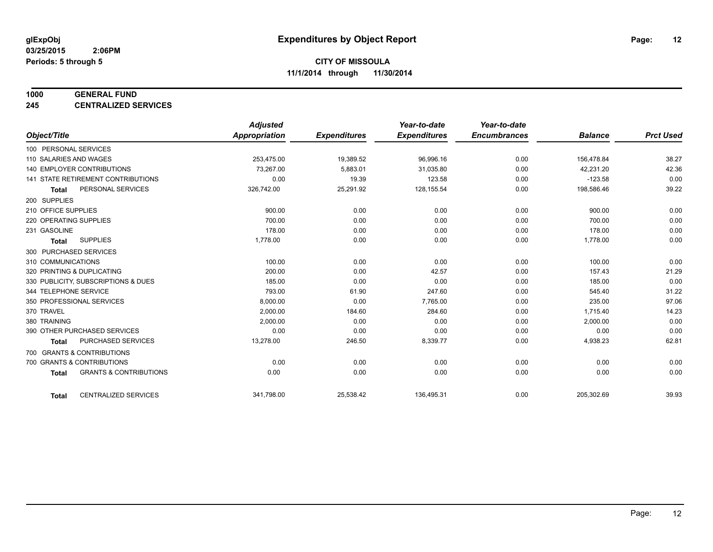#### **1000 GENERAL FUND**

**245 CENTRALIZED SERVICES**

|                                           |                                   | <b>Adjusted</b>      |                     | Year-to-date        | Year-to-date        |                |                  |
|-------------------------------------------|-----------------------------------|----------------------|---------------------|---------------------|---------------------|----------------|------------------|
| Object/Title                              |                                   | <b>Appropriation</b> | <b>Expenditures</b> | <b>Expenditures</b> | <b>Encumbrances</b> | <b>Balance</b> | <b>Prct Used</b> |
| 100 PERSONAL SERVICES                     |                                   |                      |                     |                     |                     |                |                  |
| 110 SALARIES AND WAGES                    |                                   | 253,475.00           | 19,389.52           | 96,996.16           | 0.00                | 156,478.84     | 38.27            |
| <b>140 EMPLOYER CONTRIBUTIONS</b>         |                                   | 73,267.00            | 5,883.01            | 31,035.80           | 0.00                | 42,231.20      | 42.36            |
| <b>141 STATE RETIREMENT CONTRIBUTIONS</b> |                                   | 0.00                 | 19.39               | 123.58              | 0.00                | $-123.58$      | 0.00             |
| <b>Total</b>                              | PERSONAL SERVICES                 | 326,742.00           | 25,291.92           | 128,155.54          | 0.00                | 198,586.46     | 39.22            |
| 200 SUPPLIES                              |                                   |                      |                     |                     |                     |                |                  |
| 210 OFFICE SUPPLIES                       |                                   | 900.00               | 0.00                | 0.00                | 0.00                | 900.00         | 0.00             |
| 220 OPERATING SUPPLIES                    |                                   | 700.00               | 0.00                | 0.00                | 0.00                | 700.00         | 0.00             |
| 231 GASOLINE                              |                                   | 178.00               | 0.00                | 0.00                | 0.00                | 178.00         | 0.00             |
| <b>SUPPLIES</b><br><b>Total</b>           |                                   | 1,778.00             | 0.00                | 0.00                | 0.00                | 1,778.00       | 0.00             |
| 300 PURCHASED SERVICES                    |                                   |                      |                     |                     |                     |                |                  |
| 310 COMMUNICATIONS                        |                                   | 100.00               | 0.00                | 0.00                | 0.00                | 100.00         | 0.00             |
| 320 PRINTING & DUPLICATING                |                                   | 200.00               | 0.00                | 42.57               | 0.00                | 157.43         | 21.29            |
| 330 PUBLICITY, SUBSCRIPTIONS & DUES       |                                   | 185.00               | 0.00                | 0.00                | 0.00                | 185.00         | 0.00             |
| 344 TELEPHONE SERVICE                     |                                   | 793.00               | 61.90               | 247.60              | 0.00                | 545.40         | 31.22            |
| 350 PROFESSIONAL SERVICES                 |                                   | 8,000.00             | 0.00                | 7,765.00            | 0.00                | 235.00         | 97.06            |
| 370 TRAVEL                                |                                   | 2,000.00             | 184.60              | 284.60              | 0.00                | 1,715.40       | 14.23            |
| 380 TRAINING                              |                                   | 2,000.00             | 0.00                | 0.00                | 0.00                | 2,000.00       | 0.00             |
| 390 OTHER PURCHASED SERVICES              |                                   | 0.00                 | 0.00                | 0.00                | 0.00                | 0.00           | 0.00             |
| <b>Total</b>                              | <b>PURCHASED SERVICES</b>         | 13,278.00            | 246.50              | 8,339.77            | 0.00                | 4,938.23       | 62.81            |
| 700 GRANTS & CONTRIBUTIONS                |                                   |                      |                     |                     |                     |                |                  |
| 700 GRANTS & CONTRIBUTIONS                |                                   | 0.00                 | 0.00                | 0.00                | 0.00                | 0.00           | 0.00             |
| <b>Total</b>                              | <b>GRANTS &amp; CONTRIBUTIONS</b> | 0.00                 | 0.00                | 0.00                | 0.00                | 0.00           | 0.00             |
| <b>Total</b>                              | <b>CENTRALIZED SERVICES</b>       | 341,798.00           | 25,538.42           | 136,495.31          | 0.00                | 205,302.69     | 39.93            |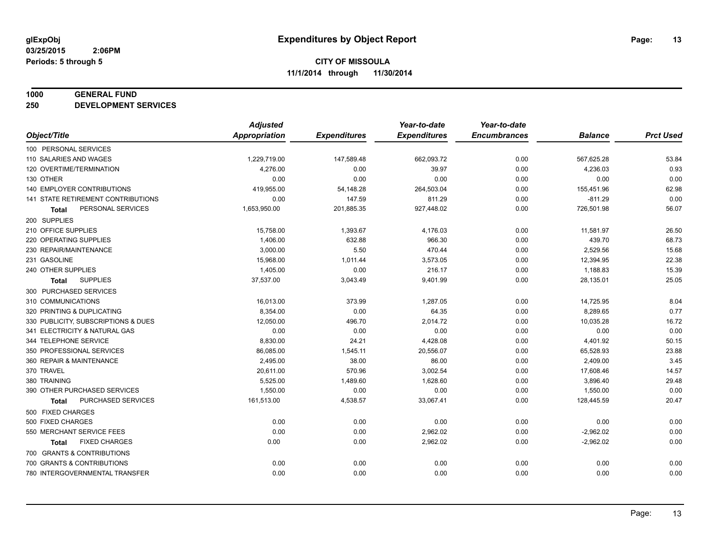#### **1000 GENERAL FUND**

**250 DEVELOPMENT SERVICES**

|                                     | <b>Adjusted</b>      |                     | Year-to-date        | Year-to-date        |                |                  |
|-------------------------------------|----------------------|---------------------|---------------------|---------------------|----------------|------------------|
| Object/Title                        | <b>Appropriation</b> | <b>Expenditures</b> | <b>Expenditures</b> | <b>Encumbrances</b> | <b>Balance</b> | <b>Prct Used</b> |
| 100 PERSONAL SERVICES               |                      |                     |                     |                     |                |                  |
| 110 SALARIES AND WAGES              | 1,229,719.00         | 147,589.48          | 662,093.72          | 0.00                | 567,625.28     | 53.84            |
| 120 OVERTIME/TERMINATION            | 4,276.00             | 0.00                | 39.97               | 0.00                | 4,236.03       | 0.93             |
| 130 OTHER                           | 0.00                 | 0.00                | 0.00                | 0.00                | 0.00           | 0.00             |
| <b>140 EMPLOYER CONTRIBUTIONS</b>   | 419,955.00           | 54,148.28           | 264,503.04          | 0.00                | 155,451.96     | 62.98            |
| 141 STATE RETIREMENT CONTRIBUTIONS  | 0.00                 | 147.59              | 811.29              | 0.00                | $-811.29$      | 0.00             |
| PERSONAL SERVICES<br>Total          | 1,653,950.00         | 201,885.35          | 927,448.02          | 0.00                | 726,501.98     | 56.07            |
| 200 SUPPLIES                        |                      |                     |                     |                     |                |                  |
| 210 OFFICE SUPPLIES                 | 15,758.00            | 1,393.67            | 4,176.03            | 0.00                | 11,581.97      | 26.50            |
| 220 OPERATING SUPPLIES              | 1,406.00             | 632.88              | 966.30              | 0.00                | 439.70         | 68.73            |
| 230 REPAIR/MAINTENANCE              | 3,000.00             | 5.50                | 470.44              | 0.00                | 2,529.56       | 15.68            |
| 231 GASOLINE                        | 15,968.00            | 1,011.44            | 3,573.05            | 0.00                | 12,394.95      | 22.38            |
| 240 OTHER SUPPLIES                  | 1,405.00             | 0.00                | 216.17              | 0.00                | 1,188.83       | 15.39            |
| <b>SUPPLIES</b><br>Total            | 37,537.00            | 3,043.49            | 9,401.99            | 0.00                | 28,135.01      | 25.05            |
| 300 PURCHASED SERVICES              |                      |                     |                     |                     |                |                  |
| 310 COMMUNICATIONS                  | 16,013.00            | 373.99              | 1,287.05            | 0.00                | 14,725.95      | 8.04             |
| 320 PRINTING & DUPLICATING          | 8,354.00             | 0.00                | 64.35               | 0.00                | 8,289.65       | 0.77             |
| 330 PUBLICITY, SUBSCRIPTIONS & DUES | 12,050.00            | 496.70              | 2,014.72            | 0.00                | 10,035.28      | 16.72            |
| 341 ELECTRICITY & NATURAL GAS       | 0.00                 | 0.00                | 0.00                | 0.00                | 0.00           | 0.00             |
| 344 TELEPHONE SERVICE               | 8,830.00             | 24.21               | 4,428.08            | 0.00                | 4,401.92       | 50.15            |
| 350 PROFESSIONAL SERVICES           | 86,085.00            | 1,545.11            | 20,556.07           | 0.00                | 65,528.93      | 23.88            |
| 360 REPAIR & MAINTENANCE            | 2,495.00             | 38.00               | 86.00               | 0.00                | 2,409.00       | 3.45             |
| 370 TRAVEL                          | 20,611.00            | 570.96              | 3,002.54            | 0.00                | 17,608.46      | 14.57            |
| 380 TRAINING                        | 5,525.00             | 1,489.60            | 1,628.60            | 0.00                | 3,896.40       | 29.48            |
| 390 OTHER PURCHASED SERVICES        | 1,550.00             | 0.00                | 0.00                | 0.00                | 1,550.00       | 0.00             |
| PURCHASED SERVICES<br><b>Total</b>  | 161,513.00           | 4,538.57            | 33,067.41           | 0.00                | 128,445.59     | 20.47            |
| 500 FIXED CHARGES                   |                      |                     |                     |                     |                |                  |
| 500 FIXED CHARGES                   | 0.00                 | 0.00                | 0.00                | 0.00                | 0.00           | 0.00             |
| 550 MERCHANT SERVICE FEES           | 0.00                 | 0.00                | 2,962.02            | 0.00                | $-2,962.02$    | 0.00             |
| <b>FIXED CHARGES</b><br>Total       | 0.00                 | 0.00                | 2,962.02            | 0.00                | $-2,962.02$    | 0.00             |
| 700 GRANTS & CONTRIBUTIONS          |                      |                     |                     |                     |                |                  |
| 700 GRANTS & CONTRIBUTIONS          | 0.00                 | 0.00                | 0.00                | 0.00                | 0.00           | 0.00             |
| 780 INTERGOVERNMENTAL TRANSFER      | 0.00                 | 0.00                | 0.00                | 0.00                | 0.00           | 0.00             |
|                                     |                      |                     |                     |                     |                |                  |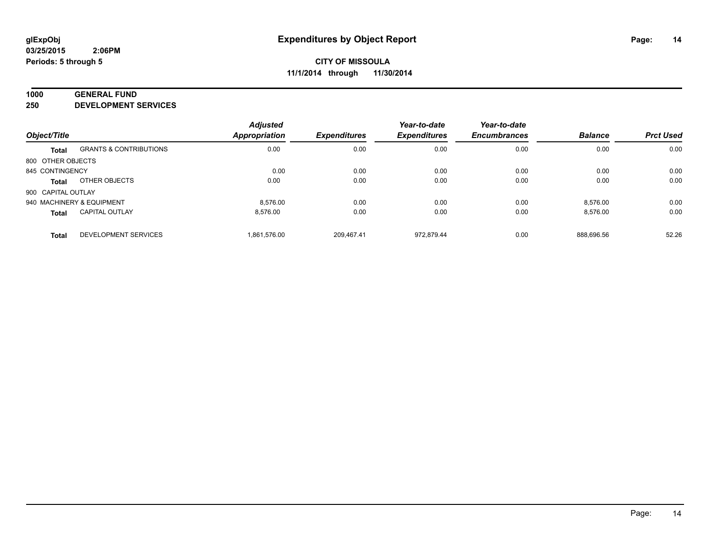#### **1000 GENERAL FUND**

**250 DEVELOPMENT SERVICES**

|                           |                                   | <b>Adjusted</b> |                     | Year-to-date        | Year-to-date        |                |                  |
|---------------------------|-----------------------------------|-----------------|---------------------|---------------------|---------------------|----------------|------------------|
| Object/Title              |                                   | Appropriation   | <b>Expenditures</b> | <b>Expenditures</b> | <b>Encumbrances</b> | <b>Balance</b> | <b>Prct Used</b> |
| <b>Total</b>              | <b>GRANTS &amp; CONTRIBUTIONS</b> | 0.00            | 0.00                | 0.00                | 0.00                | 0.00           | 0.00             |
| 800 OTHER OBJECTS         |                                   |                 |                     |                     |                     |                |                  |
| 845 CONTINGENCY           |                                   | 0.00            | 0.00                | 0.00                | 0.00                | 0.00           | 0.00             |
| Total                     | OTHER OBJECTS                     | 0.00            | 0.00                | 0.00                | 0.00                | 0.00           | 0.00             |
| 900 CAPITAL OUTLAY        |                                   |                 |                     |                     |                     |                |                  |
| 940 MACHINERY & EQUIPMENT |                                   | 8.576.00        | 0.00                | 0.00                | 0.00                | 8,576.00       | 0.00             |
| <b>Total</b>              | <b>CAPITAL OUTLAY</b>             | 8.576.00        | 0.00                | 0.00                | 0.00                | 8.576.00       | 0.00             |
| <b>Total</b>              | <b>DEVELOPMENT SERVICES</b>       | 1.861.576.00    | 209.467.41          | 972.879.44          | 0.00                | 888.696.56     | 52.26            |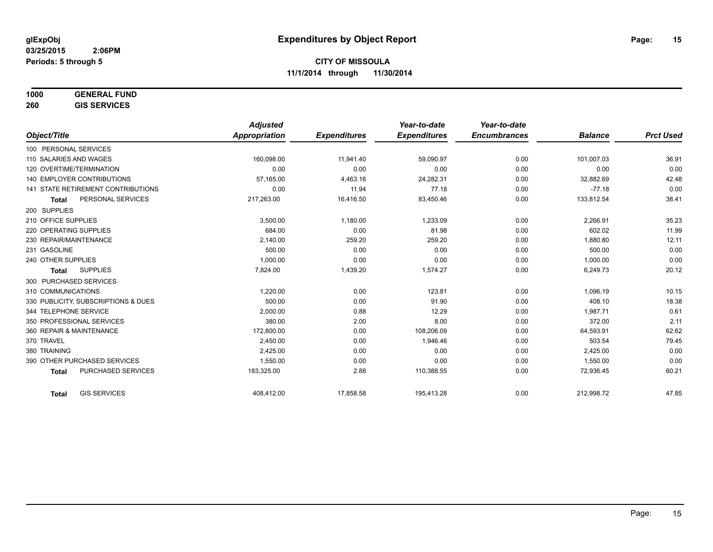| 1000 | <b>GENERAL FUND</b> |
|------|---------------------|
|      |                     |

**260 GIS SERVICES**

|                                           | <b>Adjusted</b> |                     | Year-to-date        | Year-to-date        |                |                  |
|-------------------------------------------|-----------------|---------------------|---------------------|---------------------|----------------|------------------|
| Object/Title                              | Appropriation   | <b>Expenditures</b> | <b>Expenditures</b> | <b>Encumbrances</b> | <b>Balance</b> | <b>Prct Used</b> |
| 100 PERSONAL SERVICES                     |                 |                     |                     |                     |                |                  |
| 110 SALARIES AND WAGES                    | 160,098.00      | 11,941.40           | 59,090.97           | 0.00                | 101,007.03     | 36.91            |
| 120 OVERTIME/TERMINATION                  | 0.00            | 0.00                | 0.00                | 0.00                | 0.00           | 0.00             |
| <b>140 EMPLOYER CONTRIBUTIONS</b>         | 57,165.00       | 4,463.16            | 24,282.31           | 0.00                | 32,882.69      | 42.48            |
| <b>141 STATE RETIREMENT CONTRIBUTIONS</b> | 0.00            | 11.94               | 77.18               | 0.00                | $-77.18$       | 0.00             |
| PERSONAL SERVICES<br><b>Total</b>         | 217,263.00      | 16,416.50           | 83,450.46           | 0.00                | 133,812.54     | 38.41            |
| 200 SUPPLIES                              |                 |                     |                     |                     |                |                  |
| 210 OFFICE SUPPLIES                       | 3,500.00        | 1,180.00            | 1,233.09            | 0.00                | 2,266.91       | 35.23            |
| 220 OPERATING SUPPLIES                    | 684.00          | 0.00                | 81.98               | 0.00                | 602.02         | 11.99            |
| 230 REPAIR/MAINTENANCE                    | 2.140.00        | 259.20              | 259.20              | 0.00                | 1,880.80       | 12.11            |
| 231 GASOLINE                              | 500.00          | 0.00                | 0.00                | 0.00                | 500.00         | 0.00             |
| 240 OTHER SUPPLIES                        | 1,000.00        | 0.00                | 0.00                | 0.00                | 1,000.00       | 0.00             |
| <b>SUPPLIES</b><br>Total                  | 7,824.00        | 1,439.20            | 1,574.27            | 0.00                | 6,249.73       | 20.12            |
| 300 PURCHASED SERVICES                    |                 |                     |                     |                     |                |                  |
| 310 COMMUNICATIONS                        | 1,220.00        | 0.00                | 123.81              | 0.00                | 1,096.19       | 10.15            |
| 330 PUBLICITY, SUBSCRIPTIONS & DUES       | 500.00          | 0.00                | 91.90               | 0.00                | 408.10         | 18.38            |
| 344 TELEPHONE SERVICE                     | 2,000.00        | 0.88                | 12.29               | 0.00                | 1.987.71       | 0.61             |
| 350 PROFESSIONAL SERVICES                 | 380.00          | 2.00                | 8.00                | 0.00                | 372.00         | 2.11             |
| 360 REPAIR & MAINTENANCE                  | 172.800.00      | 0.00                | 108,206.09          | 0.00                | 64,593.91      | 62.62            |
| 370 TRAVEL                                | 2,450.00        | 0.00                | 1,946.46            | 0.00                | 503.54         | 79.45            |
| 380 TRAINING                              | 2,425.00        | 0.00                | 0.00                | 0.00                | 2,425.00       | 0.00             |
| 390 OTHER PURCHASED SERVICES              | 1,550.00        | 0.00                | 0.00                | 0.00                | 1,550.00       | 0.00             |
| <b>PURCHASED SERVICES</b><br><b>Total</b> | 183,325.00      | 2.88                | 110,388.55          | 0.00                | 72,936.45      | 60.21            |
| <b>GIS SERVICES</b><br><b>Total</b>       | 408,412.00      | 17,858.58           | 195,413.28          | 0.00                | 212,998.72     | 47.85            |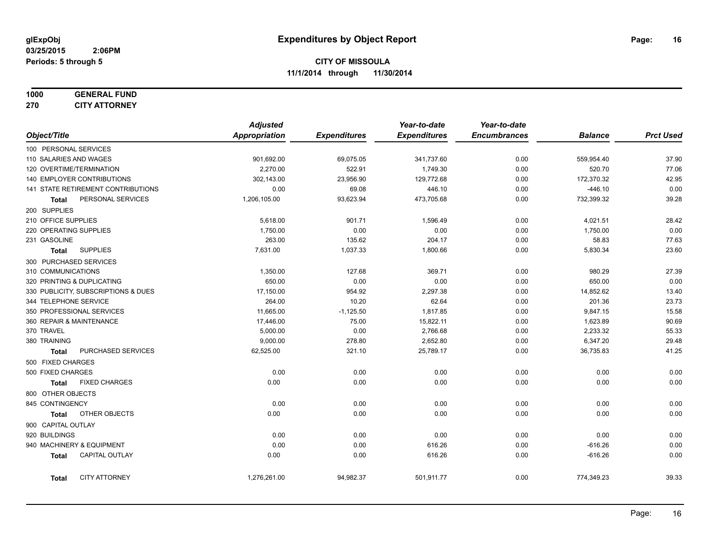#### **1000 GENERAL FUND 270 CITY ATTORNEY**

|                        |                                     | <b>Adjusted</b> |                     | Year-to-date        | Year-to-date        |                |                  |
|------------------------|-------------------------------------|-----------------|---------------------|---------------------|---------------------|----------------|------------------|
| Object/Title           |                                     | Appropriation   | <b>Expenditures</b> | <b>Expenditures</b> | <b>Encumbrances</b> | <b>Balance</b> | <b>Prct Used</b> |
| 100 PERSONAL SERVICES  |                                     |                 |                     |                     |                     |                |                  |
| 110 SALARIES AND WAGES |                                     | 901,692.00      | 69,075.05           | 341,737.60          | 0.00                | 559,954.40     | 37.90            |
|                        | 120 OVERTIME/TERMINATION            | 2,270.00        | 522.91              | 1,749.30            | 0.00                | 520.70         | 77.06            |
|                        | 140 EMPLOYER CONTRIBUTIONS          | 302,143.00      | 23,956.90           | 129,772.68          | 0.00                | 172,370.32     | 42.95            |
|                        | 141 STATE RETIREMENT CONTRIBUTIONS  | 0.00            | 69.08               | 446.10              | 0.00                | $-446.10$      | 0.00             |
| Total                  | PERSONAL SERVICES                   | 1,206,105.00    | 93,623.94           | 473,705.68          | 0.00                | 732,399.32     | 39.28            |
| 200 SUPPLIES           |                                     |                 |                     |                     |                     |                |                  |
| 210 OFFICE SUPPLIES    |                                     | 5,618.00        | 901.71              | 1,596.49            | 0.00                | 4,021.51       | 28.42            |
| 220 OPERATING SUPPLIES |                                     | 1,750.00        | 0.00                | 0.00                | 0.00                | 1,750.00       | 0.00             |
| 231 GASOLINE           |                                     | 263.00          | 135.62              | 204.17              | 0.00                | 58.83          | 77.63            |
| <b>Total</b>           | <b>SUPPLIES</b>                     | 7,631.00        | 1,037.33            | 1,800.66            | 0.00                | 5,830.34       | 23.60            |
| 300 PURCHASED SERVICES |                                     |                 |                     |                     |                     |                |                  |
| 310 COMMUNICATIONS     |                                     | 1,350.00        | 127.68              | 369.71              | 0.00                | 980.29         | 27.39            |
|                        | 320 PRINTING & DUPLICATING          | 650.00          | 0.00                | 0.00                | 0.00                | 650.00         | 0.00             |
|                        | 330 PUBLICITY, SUBSCRIPTIONS & DUES | 17,150.00       | 954.92              | 2,297.38            | 0.00                | 14,852.62      | 13.40            |
| 344 TELEPHONE SERVICE  |                                     | 264.00          | 10.20               | 62.64               | 0.00                | 201.36         | 23.73            |
|                        | 350 PROFESSIONAL SERVICES           | 11,665.00       | $-1,125.50$         | 1,817.85            | 0.00                | 9,847.15       | 15.58            |
|                        | 360 REPAIR & MAINTENANCE            | 17,446.00       | 75.00               | 15,822.11           | 0.00                | 1,623.89       | 90.69            |
| 370 TRAVEL             |                                     | 5,000.00        | 0.00                | 2,766.68            | 0.00                | 2,233.32       | 55.33            |
| 380 TRAINING           |                                     | 9,000.00        | 278.80              | 2,652.80            | 0.00                | 6,347.20       | 29.48            |
| <b>Total</b>           | PURCHASED SERVICES                  | 62,525.00       | 321.10              | 25,789.17           | 0.00                | 36,735.83      | 41.25            |
| 500 FIXED CHARGES      |                                     |                 |                     |                     |                     |                |                  |
| 500 FIXED CHARGES      |                                     | 0.00            | 0.00                | 0.00                | 0.00                | 0.00           | 0.00             |
| <b>Total</b>           | <b>FIXED CHARGES</b>                | 0.00            | 0.00                | 0.00                | 0.00                | 0.00           | 0.00             |
| 800 OTHER OBJECTS      |                                     |                 |                     |                     |                     |                |                  |
| 845 CONTINGENCY        |                                     | 0.00            | 0.00                | 0.00                | 0.00                | 0.00           | 0.00             |
| <b>Total</b>           | OTHER OBJECTS                       | 0.00            | 0.00                | 0.00                | 0.00                | 0.00           | 0.00             |
| 900 CAPITAL OUTLAY     |                                     |                 |                     |                     |                     |                |                  |
| 920 BUILDINGS          |                                     | 0.00            | 0.00                | 0.00                | 0.00                | 0.00           | 0.00             |
|                        | 940 MACHINERY & EQUIPMENT           | 0.00            | 0.00                | 616.26              | 0.00                | $-616.26$      | 0.00             |
| <b>Total</b>           | <b>CAPITAL OUTLAY</b>               | 0.00            | 0.00                | 616.26              | 0.00                | $-616.26$      | 0.00             |
| <b>Total</b>           | <b>CITY ATTORNEY</b>                | 1,276,261.00    | 94,982.37           | 501,911.77          | 0.00                | 774,349.23     | 39.33            |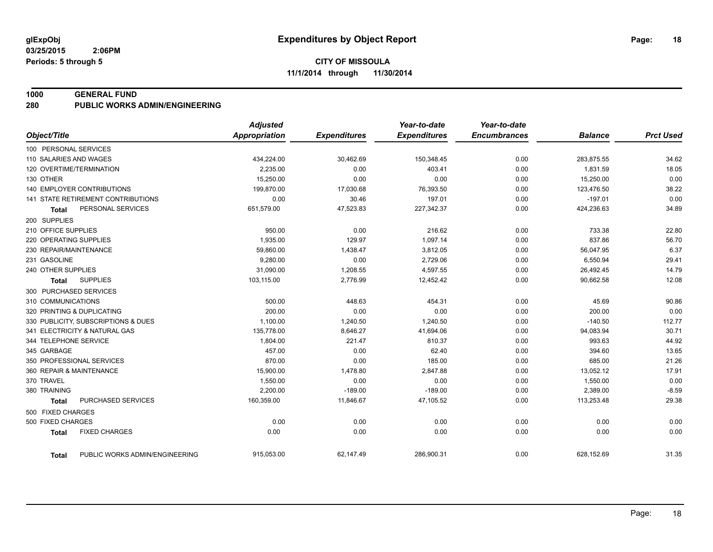#### **1000 GENERAL FUND**

#### **280 PUBLIC WORKS ADMIN/ENGINEERING**

|                                                | <b>Adjusted</b>      |                     | Year-to-date        | Year-to-date        |                |                  |
|------------------------------------------------|----------------------|---------------------|---------------------|---------------------|----------------|------------------|
| Object/Title                                   | <b>Appropriation</b> | <b>Expenditures</b> | <b>Expenditures</b> | <b>Encumbrances</b> | <b>Balance</b> | <b>Prct Used</b> |
| 100 PERSONAL SERVICES                          |                      |                     |                     |                     |                |                  |
| 110 SALARIES AND WAGES                         | 434,224.00           | 30,462.69           | 150,348.45          | 0.00                | 283,875.55     | 34.62            |
| 120 OVERTIME/TERMINATION                       | 2,235.00             | 0.00                | 403.41              | 0.00                | 1,831.59       | 18.05            |
| 130 OTHER                                      | 15,250.00            | 0.00                | 0.00                | 0.00                | 15,250.00      | 0.00             |
| <b>140 EMPLOYER CONTRIBUTIONS</b>              | 199,870.00           | 17,030.68           | 76,393.50           | 0.00                | 123,476.50     | 38.22            |
| 141 STATE RETIREMENT CONTRIBUTIONS             | 0.00                 | 30.46               | 197.01              | 0.00                | $-197.01$      | 0.00             |
| PERSONAL SERVICES<br><b>Total</b>              | 651,579.00           | 47,523.83           | 227,342.37          | 0.00                | 424,236.63     | 34.89            |
| 200 SUPPLIES                                   |                      |                     |                     |                     |                |                  |
| 210 OFFICE SUPPLIES                            | 950.00               | 0.00                | 216.62              | 0.00                | 733.38         | 22.80            |
| 220 OPERATING SUPPLIES                         | 1,935.00             | 129.97              | 1,097.14            | 0.00                | 837.86         | 56.70            |
| 230 REPAIR/MAINTENANCE                         | 59,860.00            | 1,438.47            | 3,812.05            | 0.00                | 56,047.95      | 6.37             |
| 231 GASOLINE                                   | 9,280.00             | 0.00                | 2,729.06            | 0.00                | 6,550.94       | 29.41            |
| 240 OTHER SUPPLIES                             | 31,090.00            | 1,208.55            | 4,597.55            | 0.00                | 26,492.45      | 14.79            |
| <b>SUPPLIES</b><br><b>Total</b>                | 103,115.00           | 2,776.99            | 12,452.42           | 0.00                | 90,662.58      | 12.08            |
| 300 PURCHASED SERVICES                         |                      |                     |                     |                     |                |                  |
| 310 COMMUNICATIONS                             | 500.00               | 448.63              | 454.31              | 0.00                | 45.69          | 90.86            |
| 320 PRINTING & DUPLICATING                     | 200.00               | 0.00                | 0.00                | 0.00                | 200.00         | 0.00             |
| 330 PUBLICITY, SUBSCRIPTIONS & DUES            | 1,100.00             | 1,240.50            | 1,240.50            | 0.00                | $-140.50$      | 112.77           |
| 341 ELECTRICITY & NATURAL GAS                  | 135,778.00           | 8,646.27            | 41,694.06           | 0.00                | 94,083.94      | 30.71            |
| 344 TELEPHONE SERVICE                          | 1,804.00             | 221.47              | 810.37              | 0.00                | 993.63         | 44.92            |
| 345 GARBAGE                                    | 457.00               | 0.00                | 62.40               | 0.00                | 394.60         | 13.65            |
| 350 PROFESSIONAL SERVICES                      | 870.00               | 0.00                | 185.00              | 0.00                | 685.00         | 21.26            |
| 360 REPAIR & MAINTENANCE                       | 15,900.00            | 1,478.80            | 2,847.88            | 0.00                | 13,052.12      | 17.91            |
| 370 TRAVEL                                     | 1,550.00             | 0.00                | 0.00                | 0.00                | 1,550.00       | 0.00             |
| 380 TRAINING                                   | 2,200.00             | $-189.00$           | $-189.00$           | 0.00                | 2,389.00       | $-8.59$          |
| PURCHASED SERVICES<br><b>Total</b>             | 160,359.00           | 11,846.67           | 47,105.52           | 0.00                | 113,253.48     | 29.38            |
| 500 FIXED CHARGES                              |                      |                     |                     |                     |                |                  |
| 500 FIXED CHARGES                              | 0.00                 | 0.00                | 0.00                | 0.00                | 0.00           | 0.00             |
| <b>FIXED CHARGES</b><br><b>Total</b>           | 0.00                 | 0.00                | 0.00                | 0.00                | 0.00           | 0.00             |
| PUBLIC WORKS ADMIN/ENGINEERING<br><b>Total</b> | 915,053.00           | 62,147.49           | 286,900.31          | 0.00                | 628,152.69     | 31.35            |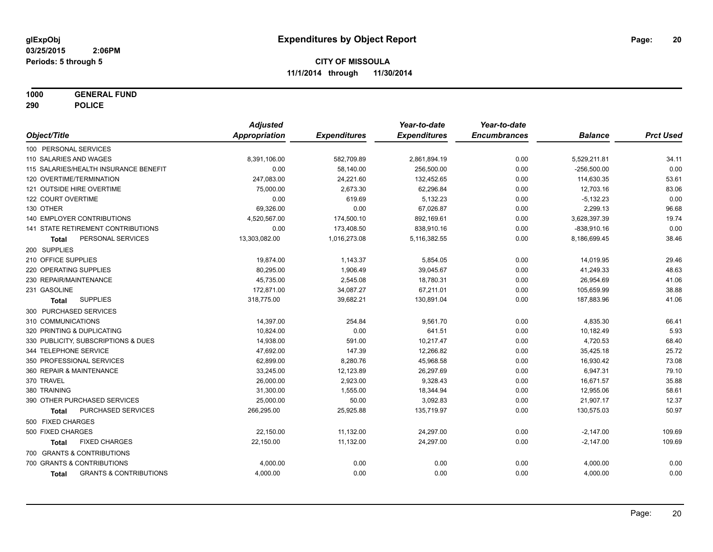**1000 GENERAL FUND**

**290 POLICE**

|                                                   | <b>Adjusted</b>      |                     | Year-to-date        | Year-to-date        |                |                  |
|---------------------------------------------------|----------------------|---------------------|---------------------|---------------------|----------------|------------------|
| Object/Title                                      | <b>Appropriation</b> | <b>Expenditures</b> | <b>Expenditures</b> | <b>Encumbrances</b> | <b>Balance</b> | <b>Prct Used</b> |
| 100 PERSONAL SERVICES                             |                      |                     |                     |                     |                |                  |
| 110 SALARIES AND WAGES                            | 8,391,106.00         | 582,709.89          | 2,861,894.19        | 0.00                | 5,529,211.81   | 34.11            |
| 115 SALARIES/HEALTH INSURANCE BENEFIT             | 0.00                 | 58,140.00           | 256,500.00          | 0.00                | $-256,500.00$  | 0.00             |
| 120 OVERTIME/TERMINATION                          | 247,083.00           | 24,221.60           | 132,452.65          | 0.00                | 114,630.35     | 53.61            |
| 121 OUTSIDE HIRE OVERTIME                         | 75,000.00            | 2,673.30            | 62,296.84           | 0.00                | 12,703.16      | 83.06            |
| 122 COURT OVERTIME                                | 0.00                 | 619.69              | 5,132.23            | 0.00                | $-5,132.23$    | 0.00             |
| 130 OTHER                                         | 69,326.00            | 0.00                | 67,026.87           | 0.00                | 2,299.13       | 96.68            |
| <b>140 EMPLOYER CONTRIBUTIONS</b>                 | 4,520,567.00         | 174,500.10          | 892,169.61          | 0.00                | 3,628,397.39   | 19.74            |
| 141 STATE RETIREMENT CONTRIBUTIONS                | 0.00                 | 173,408.50          | 838,910.16          | 0.00                | $-838,910.16$  | 0.00             |
| PERSONAL SERVICES<br>Total                        | 13,303,082.00        | 1,016,273.08        | 5,116,382.55        | 0.00                | 8,186,699.45   | 38.46            |
| 200 SUPPLIES                                      |                      |                     |                     |                     |                |                  |
| 210 OFFICE SUPPLIES                               | 19,874.00            | 1,143.37            | 5,854.05            | 0.00                | 14,019.95      | 29.46            |
| 220 OPERATING SUPPLIES                            | 80,295.00            | 1,906.49            | 39,045.67           | 0.00                | 41,249.33      | 48.63            |
| 230 REPAIR/MAINTENANCE                            | 45,735.00            | 2,545.08            | 18,780.31           | 0.00                | 26,954.69      | 41.06            |
| 231 GASOLINE                                      | 172,871.00           | 34,087.27           | 67,211.01           | 0.00                | 105,659.99     | 38.88            |
| <b>SUPPLIES</b><br>Total                          | 318,775.00           | 39,682.21           | 130,891.04          | 0.00                | 187,883.96     | 41.06            |
| 300 PURCHASED SERVICES                            |                      |                     |                     |                     |                |                  |
| 310 COMMUNICATIONS                                | 14,397.00            | 254.84              | 9,561.70            | 0.00                | 4,835.30       | 66.41            |
| 320 PRINTING & DUPLICATING                        | 10,824.00            | 0.00                | 641.51              | 0.00                | 10,182.49      | 5.93             |
| 330 PUBLICITY, SUBSCRIPTIONS & DUES               | 14,938.00            | 591.00              | 10,217.47           | 0.00                | 4,720.53       | 68.40            |
| 344 TELEPHONE SERVICE                             | 47,692.00            | 147.39              | 12,266.82           | 0.00                | 35,425.18      | 25.72            |
| 350 PROFESSIONAL SERVICES                         | 62,899.00            | 8,280.76            | 45,968.58           | 0.00                | 16,930.42      | 73.08            |
| 360 REPAIR & MAINTENANCE                          | 33,245.00            | 12,123.89           | 26,297.69           | 0.00                | 6,947.31       | 79.10            |
| 370 TRAVEL                                        | 26,000.00            | 2,923.00            | 9,328.43            | 0.00                | 16,671.57      | 35.88            |
| 380 TRAINING                                      | 31,300.00            | 1,555.00            | 18,344.94           | 0.00                | 12,955.06      | 58.61            |
| 390 OTHER PURCHASED SERVICES                      | 25,000.00            | 50.00               | 3,092.83            | 0.00                | 21,907.17      | 12.37            |
| PURCHASED SERVICES<br><b>Total</b>                | 266,295.00           | 25,925.88           | 135,719.97          | 0.00                | 130,575.03     | 50.97            |
| 500 FIXED CHARGES                                 |                      |                     |                     |                     |                |                  |
| 500 FIXED CHARGES                                 | 22,150.00            | 11,132.00           | 24,297.00           | 0.00                | $-2,147.00$    | 109.69           |
| <b>FIXED CHARGES</b><br><b>Total</b>              | 22,150.00            | 11,132.00           | 24,297.00           | 0.00                | $-2,147.00$    | 109.69           |
| 700 GRANTS & CONTRIBUTIONS                        |                      |                     |                     |                     |                |                  |
| 700 GRANTS & CONTRIBUTIONS                        | 4,000.00             | 0.00                | 0.00                | 0.00                | 4,000.00       | 0.00             |
| <b>GRANTS &amp; CONTRIBUTIONS</b><br><b>Total</b> | 4,000.00             | 0.00                | 0.00                | 0.00                | 4,000.00       | 0.00             |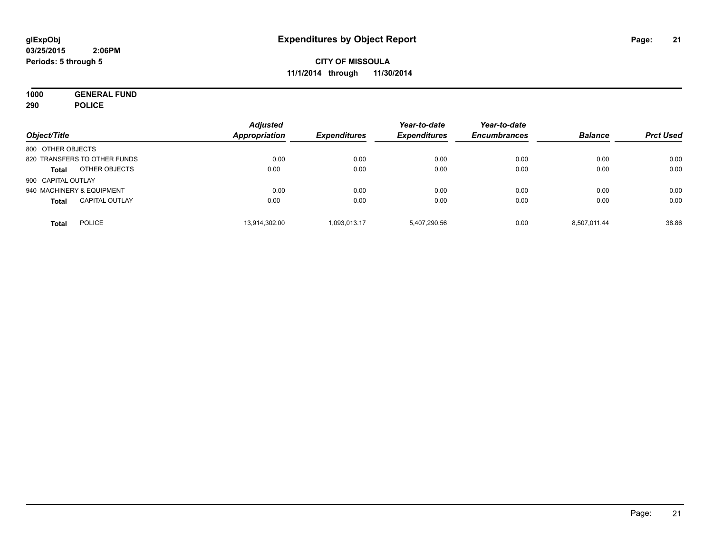**1000 GENERAL FUND 290 POLICE**

| Object/Title                          | <b>Adjusted</b><br>Appropriation | <b>Expenditures</b> | Year-to-date<br><b>Expenditures</b> | Year-to-date<br><b>Encumbrances</b> | <b>Balance</b> | <b>Prct Used</b> |
|---------------------------------------|----------------------------------|---------------------|-------------------------------------|-------------------------------------|----------------|------------------|
| 800 OTHER OBJECTS                     |                                  |                     |                                     |                                     |                |                  |
| 820 TRANSFERS TO OTHER FUNDS          | 0.00                             | 0.00                | 0.00                                | 0.00                                | 0.00           | 0.00             |
| OTHER OBJECTS<br><b>Total</b>         | 0.00                             | 0.00                | 0.00                                | 0.00                                | 0.00           | 0.00             |
| 900 CAPITAL OUTLAY                    |                                  |                     |                                     |                                     |                |                  |
| 940 MACHINERY & EQUIPMENT             | 0.00                             | 0.00                | 0.00                                | 0.00                                | 0.00           | 0.00             |
| <b>CAPITAL OUTLAY</b><br><b>Total</b> | 0.00                             | 0.00                | 0.00                                | 0.00                                | 0.00           | 0.00             |
| <b>POLICE</b><br><b>Total</b>         | 13,914,302.00                    | 1.093.013.17        | 5,407,290.56                        | 0.00                                | 8.507.011.44   | 38.86            |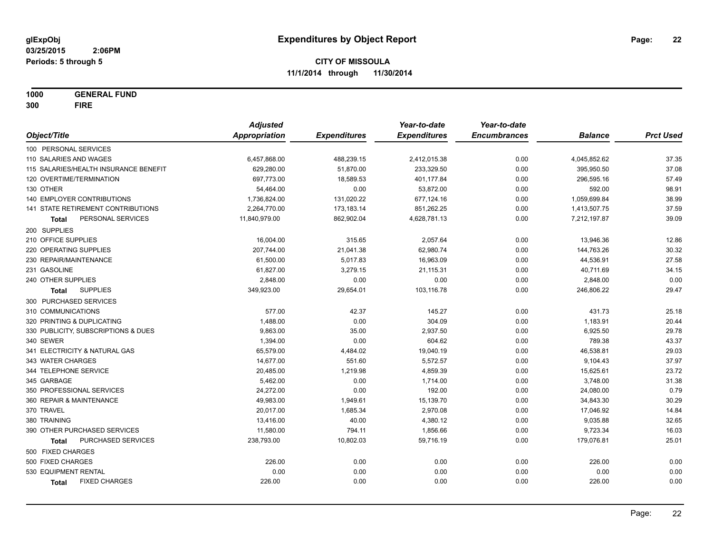**1000 GENERAL FUND 300 FIRE**

|                                       | <b>Adjusted</b>      |                     | Year-to-date        | Year-to-date        |                |                  |
|---------------------------------------|----------------------|---------------------|---------------------|---------------------|----------------|------------------|
| Object/Title                          | <b>Appropriation</b> | <b>Expenditures</b> | <b>Expenditures</b> | <b>Encumbrances</b> | <b>Balance</b> | <b>Prct Used</b> |
| 100 PERSONAL SERVICES                 |                      |                     |                     |                     |                |                  |
| 110 SALARIES AND WAGES                | 6,457,868.00         | 488,239.15          | 2,412,015.38        | 0.00                | 4,045,852.62   | 37.35            |
| 115 SALARIES/HEALTH INSURANCE BENEFIT | 629,280.00           | 51,870.00           | 233,329.50          | 0.00                | 395,950.50     | 37.08            |
| 120 OVERTIME/TERMINATION              | 697,773.00           | 18,589.53           | 401,177.84          | 0.00                | 296,595.16     | 57.49            |
| 130 OTHER                             | 54,464.00            | 0.00                | 53,872.00           | 0.00                | 592.00         | 98.91            |
| 140 EMPLOYER CONTRIBUTIONS            | 1,736,824.00         | 131,020.22          | 677,124.16          | 0.00                | 1,059,699.84   | 38.99            |
| 141 STATE RETIREMENT CONTRIBUTIONS    | 2,264,770.00         | 173,183.14          | 851,262.25          | 0.00                | 1,413,507.75   | 37.59            |
| PERSONAL SERVICES<br>Total            | 11,840,979.00        | 862,902.04          | 4,628,781.13        | 0.00                | 7,212,197.87   | 39.09            |
| 200 SUPPLIES                          |                      |                     |                     |                     |                |                  |
| 210 OFFICE SUPPLIES                   | 16,004.00            | 315.65              | 2,057.64            | 0.00                | 13,946.36      | 12.86            |
| 220 OPERATING SUPPLIES                | 207,744.00           | 21,041.38           | 62,980.74           | 0.00                | 144,763.26     | 30.32            |
| 230 REPAIR/MAINTENANCE                | 61,500.00            | 5,017.83            | 16,963.09           | 0.00                | 44,536.91      | 27.58            |
| 231 GASOLINE                          | 61,827.00            | 3,279.15            | 21,115.31           | 0.00                | 40,711.69      | 34.15            |
| 240 OTHER SUPPLIES                    | 2,848.00             | 0.00                | 0.00                | 0.00                | 2,848.00       | 0.00             |
| <b>SUPPLIES</b><br>Total              | 349,923.00           | 29,654.01           | 103,116.78          | 0.00                | 246,806.22     | 29.47            |
| 300 PURCHASED SERVICES                |                      |                     |                     |                     |                |                  |
| 310 COMMUNICATIONS                    | 577.00               | 42.37               | 145.27              | 0.00                | 431.73         | 25.18            |
| 320 PRINTING & DUPLICATING            | 1,488.00             | 0.00                | 304.09              | 0.00                | 1,183.91       | 20.44            |
| 330 PUBLICITY, SUBSCRIPTIONS & DUES   | 9,863.00             | 35.00               | 2,937.50            | 0.00                | 6,925.50       | 29.78            |
| 340 SEWER                             | 1,394.00             | 0.00                | 604.62              | 0.00                | 789.38         | 43.37            |
| 341 ELECTRICITY & NATURAL GAS         | 65,579.00            | 4,484.02            | 19,040.19           | 0.00                | 46,538.81      | 29.03            |
| 343 WATER CHARGES                     | 14,677.00            | 551.60              | 5,572.57            | 0.00                | 9,104.43       | 37.97            |
| 344 TELEPHONE SERVICE                 | 20,485.00            | 1,219.98            | 4,859.39            | 0.00                | 15,625.61      | 23.72            |
| 345 GARBAGE                           | 5,462.00             | 0.00                | 1,714.00            | 0.00                | 3,748.00       | 31.38            |
| 350 PROFESSIONAL SERVICES             | 24,272.00            | 0.00                | 192.00              | 0.00                | 24,080.00      | 0.79             |
| 360 REPAIR & MAINTENANCE              | 49,983.00            | 1,949.61            | 15,139.70           | 0.00                | 34,843.30      | 30.29            |
| 370 TRAVEL                            | 20,017.00            | 1,685.34            | 2,970.08            | 0.00                | 17,046.92      | 14.84            |
| 380 TRAINING                          | 13,416.00            | 40.00               | 4,380.12            | 0.00                | 9,035.88       | 32.65            |
| 390 OTHER PURCHASED SERVICES          | 11,580.00            | 794.11              | 1,856.66            | 0.00                | 9,723.34       | 16.03            |
| PURCHASED SERVICES<br><b>Total</b>    | 238,793.00           | 10,802.03           | 59,716.19           | 0.00                | 179,076.81     | 25.01            |
| 500 FIXED CHARGES                     |                      |                     |                     |                     |                |                  |
| 500 FIXED CHARGES                     | 226.00               | 0.00                | 0.00                | 0.00                | 226.00         | 0.00             |
| 530 EQUIPMENT RENTAL                  | 0.00                 | 0.00                | 0.00                | 0.00                | 0.00           | 0.00             |
| <b>FIXED CHARGES</b><br>Total         | 226.00               | 0.00                | 0.00                | 0.00                | 226.00         | 0.00             |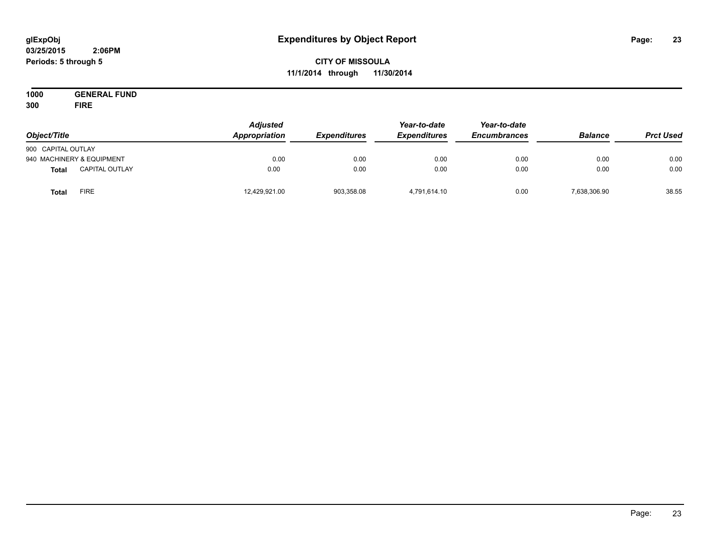#### **03/25/2015 2:06PM Periods: 5 through 5**

# **CITY OF MISSOULA 11/1/2014 through 11/30/2014**

**1000 GENERAL FUND 300 FIRE**

| Object/Title       |                           | <b>Adjusted</b><br>Appropriation | <b>Expenditures</b> | Year-to-date<br><b>Expenditures</b> | Year-to-date<br><b>Encumbrances</b> | <b>Balance</b> | <b>Prct Used</b> |
|--------------------|---------------------------|----------------------------------|---------------------|-------------------------------------|-------------------------------------|----------------|------------------|
| 900 CAPITAL OUTLAY |                           |                                  |                     |                                     |                                     |                |                  |
|                    | 940 MACHINERY & EQUIPMENT | 0.00                             | 0.00                | 0.00                                | 0.00                                | 0.00           | 0.00             |
| <b>Total</b>       | <b>CAPITAL OUTLAY</b>     | 0.00                             | 0.00                | 0.00                                | 0.00                                | 0.00           | 0.00             |
| <b>Total</b>       | FIRE                      | 12,429,921.00                    | 903,358.08          | 4,791,614.10                        | 0.00                                | 7,638,306.90   | 38.55            |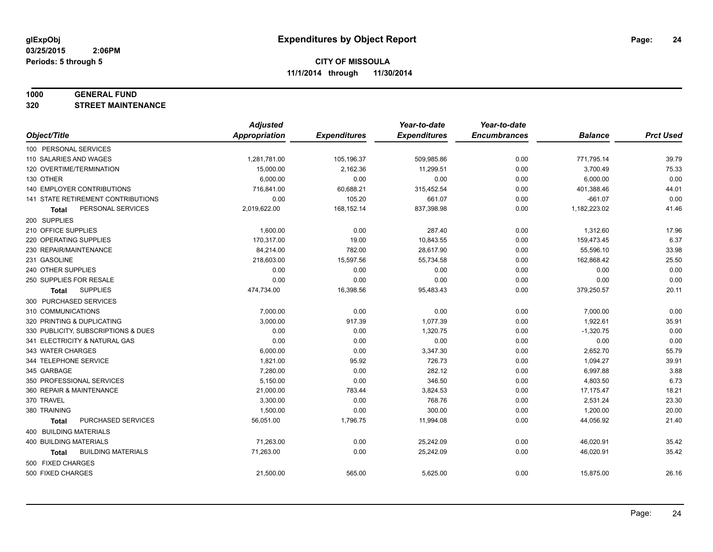#### **1000 GENERAL FUND**

**320 STREET MAINTENANCE**

|                                     | <b>Adjusted</b>      |                     | Year-to-date        | Year-to-date        |                |                  |
|-------------------------------------|----------------------|---------------------|---------------------|---------------------|----------------|------------------|
| Object/Title                        | <b>Appropriation</b> | <b>Expenditures</b> | <b>Expenditures</b> | <b>Encumbrances</b> | <b>Balance</b> | <b>Prct Used</b> |
| 100 PERSONAL SERVICES               |                      |                     |                     |                     |                |                  |
| 110 SALARIES AND WAGES              | 1,281,781.00         | 105,196.37          | 509,985.86          | 0.00                | 771,795.14     | 39.79            |
| 120 OVERTIME/TERMINATION            | 15,000.00            | 2,162.36            | 11,299.51           | 0.00                | 3,700.49       | 75.33            |
| 130 OTHER                           | 6,000.00             | 0.00                | 0.00                | 0.00                | 6,000.00       | 0.00             |
| <b>140 EMPLOYER CONTRIBUTIONS</b>   | 716,841.00           | 60,688.21           | 315,452.54          | 0.00                | 401,388.46     | 44.01            |
| 141 STATE RETIREMENT CONTRIBUTIONS  | 0.00                 | 105.20              | 661.07              | 0.00                | $-661.07$      | 0.00             |
| PERSONAL SERVICES<br>Total          | 2,019,622.00         | 168,152.14          | 837,398.98          | 0.00                | 1,182,223.02   | 41.46            |
| 200 SUPPLIES                        |                      |                     |                     |                     |                |                  |
| 210 OFFICE SUPPLIES                 | 1,600.00             | 0.00                | 287.40              | 0.00                | 1,312.60       | 17.96            |
| 220 OPERATING SUPPLIES              | 170,317.00           | 19.00               | 10,843.55           | 0.00                | 159,473.45     | 6.37             |
| 230 REPAIR/MAINTENANCE              | 84,214.00            | 782.00              | 28,617.90           | 0.00                | 55,596.10      | 33.98            |
| 231 GASOLINE                        | 218,603.00           | 15,597.56           | 55,734.58           | 0.00                | 162,868.42     | 25.50            |
| 240 OTHER SUPPLIES                  | 0.00                 | 0.00                | 0.00                | 0.00                | 0.00           | 0.00             |
| 250 SUPPLIES FOR RESALE             | 0.00                 | 0.00                | 0.00                | 0.00                | 0.00           | 0.00             |
| <b>SUPPLIES</b><br>Total            | 474,734.00           | 16,398.56           | 95,483.43           | 0.00                | 379,250.57     | 20.11            |
| 300 PURCHASED SERVICES              |                      |                     |                     |                     |                |                  |
| 310 COMMUNICATIONS                  | 7,000.00             | 0.00                | 0.00                | 0.00                | 7,000.00       | 0.00             |
| 320 PRINTING & DUPLICATING          | 3,000.00             | 917.39              | 1.077.39            | 0.00                | 1,922.61       | 35.91            |
| 330 PUBLICITY, SUBSCRIPTIONS & DUES | 0.00                 | 0.00                | 1,320.75            | 0.00                | $-1,320.75$    | 0.00             |
| 341 ELECTRICITY & NATURAL GAS       | 0.00                 | 0.00                | 0.00                | 0.00                | 0.00           | 0.00             |
| 343 WATER CHARGES                   | 6,000.00             | 0.00                | 3,347.30            | 0.00                | 2,652.70       | 55.79            |
| 344 TELEPHONE SERVICE               | 1,821.00             | 95.92               | 726.73              | 0.00                | 1,094.27       | 39.91            |
| 345 GARBAGE                         | 7,280.00             | 0.00                | 282.12              | 0.00                | 6,997.88       | 3.88             |
| 350 PROFESSIONAL SERVICES           | 5,150.00             | 0.00                | 346.50              | 0.00                | 4,803.50       | 6.73             |
| 360 REPAIR & MAINTENANCE            | 21,000.00            | 783.44              | 3,824.53            | 0.00                | 17,175.47      | 18.21            |
| 370 TRAVEL                          | 3,300.00             | 0.00                | 768.76              | 0.00                | 2,531.24       | 23.30            |
| 380 TRAINING                        | 1,500.00             | 0.00                | 300.00              | 0.00                | 1,200.00       | 20.00            |
| PURCHASED SERVICES<br><b>Total</b>  | 56,051.00            | 1,796.75            | 11,994.08           | 0.00                | 44,056.92      | 21.40            |
| 400 BUILDING MATERIALS              |                      |                     |                     |                     |                |                  |
| 400 BUILDING MATERIALS              | 71,263.00            | 0.00                | 25,242.09           | 0.00                | 46,020.91      | 35.42            |
| <b>BUILDING MATERIALS</b><br>Total  | 71,263.00            | 0.00                | 25,242.09           | 0.00                | 46,020.91      | 35.42            |
| 500 FIXED CHARGES                   |                      |                     |                     |                     |                |                  |
| 500 FIXED CHARGES                   | 21,500.00            | 565.00              | 5,625.00            | 0.00                | 15,875.00      | 26.16            |
|                                     |                      |                     |                     |                     |                |                  |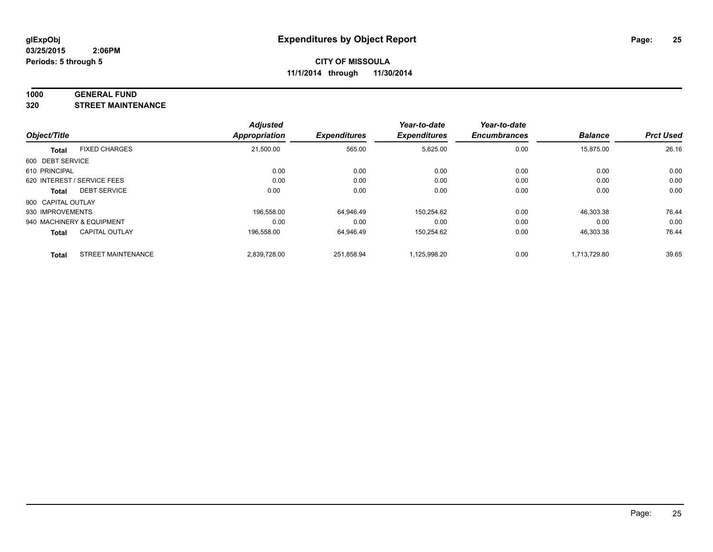#### **1000 GENERAL FUND**

**320 STREET MAINTENANCE**

|                    |                             | <b>Adjusted</b> |                     | Year-to-date        | Year-to-date        |                |                  |
|--------------------|-----------------------------|-----------------|---------------------|---------------------|---------------------|----------------|------------------|
| Object/Title       |                             | Appropriation   | <b>Expenditures</b> | <b>Expenditures</b> | <b>Encumbrances</b> | <b>Balance</b> | <b>Prct Used</b> |
| <b>Total</b>       | <b>FIXED CHARGES</b>        | 21,500.00       | 565.00              | 5,625.00            | 0.00                | 15,875.00      | 26.16            |
| 600 DEBT SERVICE   |                             |                 |                     |                     |                     |                |                  |
| 610 PRINCIPAL      |                             | 0.00            | 0.00                | 0.00                | 0.00                | 0.00           | 0.00             |
|                    | 620 INTEREST / SERVICE FEES | 0.00            | 0.00                | 0.00                | 0.00                | 0.00           | 0.00             |
| Total              | <b>DEBT SERVICE</b>         | 0.00            | 0.00                | 0.00                | 0.00                | 0.00           | 0.00             |
| 900 CAPITAL OUTLAY |                             |                 |                     |                     |                     |                |                  |
| 930 IMPROVEMENTS   |                             | 196.558.00      | 64.946.49           | 150.254.62          | 0.00                | 46,303.38      | 76.44            |
|                    | 940 MACHINERY & EQUIPMENT   | 0.00            | 0.00                | 0.00                | 0.00                | 0.00           | 0.00             |
| <b>Total</b>       | <b>CAPITAL OUTLAY</b>       | 196.558.00      | 64.946.49           | 150,254.62          | 0.00                | 46,303.38      | 76.44            |
| <b>Total</b>       | <b>STREET MAINTENANCE</b>   | 2,839,728.00    | 251.858.94          | 1,125,998.20        | 0.00                | 1,713,729.80   | 39.65            |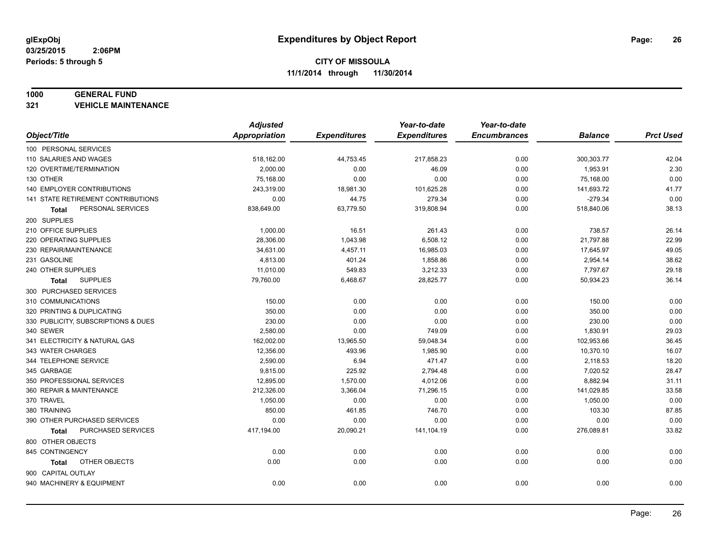#### **1000 GENERAL FUND**

**321 VEHICLE MAINTENANCE**

|                                           | <b>Adjusted</b> |                     | Year-to-date        | Year-to-date        |                |                  |
|-------------------------------------------|-----------------|---------------------|---------------------|---------------------|----------------|------------------|
| Object/Title                              | Appropriation   | <b>Expenditures</b> | <b>Expenditures</b> | <b>Encumbrances</b> | <b>Balance</b> | <b>Prct Used</b> |
| 100 PERSONAL SERVICES                     |                 |                     |                     |                     |                |                  |
| 110 SALARIES AND WAGES                    | 518,162.00      | 44,753.45           | 217,858.23          | 0.00                | 300,303.77     | 42.04            |
| 120 OVERTIME/TERMINATION                  | 2,000.00        | 0.00                | 46.09               | 0.00                | 1,953.91       | 2.30             |
| 130 OTHER                                 | 75,168.00       | 0.00                | 0.00                | 0.00                | 75,168.00      | 0.00             |
| 140 EMPLOYER CONTRIBUTIONS                | 243,319.00      | 18,981.30           | 101,625.28          | 0.00                | 141,693.72     | 41.77            |
| <b>141 STATE RETIREMENT CONTRIBUTIONS</b> | 0.00            | 44.75               | 279.34              | 0.00                | $-279.34$      | 0.00             |
| PERSONAL SERVICES<br>Total                | 838,649.00      | 63,779.50           | 319,808.94          | 0.00                | 518,840.06     | 38.13            |
| 200 SUPPLIES                              |                 |                     |                     |                     |                |                  |
| 210 OFFICE SUPPLIES                       | 1,000.00        | 16.51               | 261.43              | 0.00                | 738.57         | 26.14            |
| 220 OPERATING SUPPLIES                    | 28,306.00       | 1,043.98            | 6,508.12            | 0.00                | 21,797.88      | 22.99            |
| 230 REPAIR/MAINTENANCE                    | 34,631.00       | 4,457.11            | 16,985.03           | 0.00                | 17,645.97      | 49.05            |
| 231 GASOLINE                              | 4,813.00        | 401.24              | 1,858.86            | 0.00                | 2,954.14       | 38.62            |
| 240 OTHER SUPPLIES                        | 11,010.00       | 549.83              | 3,212.33            | 0.00                | 7,797.67       | 29.18            |
| <b>SUPPLIES</b><br>Total                  | 79,760.00       | 6,468.67            | 28,825.77           | 0.00                | 50,934.23      | 36.14            |
| 300 PURCHASED SERVICES                    |                 |                     |                     |                     |                |                  |
| 310 COMMUNICATIONS                        | 150.00          | 0.00                | 0.00                | 0.00                | 150.00         | 0.00             |
| 320 PRINTING & DUPLICATING                | 350.00          | 0.00                | 0.00                | 0.00                | 350.00         | 0.00             |
| 330 PUBLICITY, SUBSCRIPTIONS & DUES       | 230.00          | 0.00                | 0.00                | 0.00                | 230.00         | 0.00             |
| 340 SEWER                                 | 2,580.00        | 0.00                | 749.09              | 0.00                | 1,830.91       | 29.03            |
| 341 ELECTRICITY & NATURAL GAS             | 162,002.00      | 13,965.50           | 59,048.34           | 0.00                | 102,953.66     | 36.45            |
| 343 WATER CHARGES                         | 12,356.00       | 493.96              | 1,985.90            | 0.00                | 10,370.10      | 16.07            |
| 344 TELEPHONE SERVICE                     | 2,590.00        | 6.94                | 471.47              | 0.00                | 2,118.53       | 18.20            |
| 345 GARBAGE                               | 9,815.00        | 225.92              | 2,794.48            | 0.00                | 7,020.52       | 28.47            |
| 350 PROFESSIONAL SERVICES                 | 12,895.00       | 1,570.00            | 4,012.06            | 0.00                | 8,882.94       | 31.11            |
| 360 REPAIR & MAINTENANCE                  | 212,326.00      | 3,366.04            | 71,296.15           | 0.00                | 141,029.85     | 33.58            |
| 370 TRAVEL                                | 1,050.00        | 0.00                | 0.00                | 0.00                | 1,050.00       | 0.00             |
| 380 TRAINING                              | 850.00          | 461.85              | 746.70              | 0.00                | 103.30         | 87.85            |
| 390 OTHER PURCHASED SERVICES              | 0.00            | 0.00                | 0.00                | 0.00                | 0.00           | 0.00             |
| PURCHASED SERVICES<br>Total               | 417,194.00      | 20,090.21           | 141,104.19          | 0.00                | 276,089.81     | 33.82            |
| 800 OTHER OBJECTS                         |                 |                     |                     |                     |                |                  |
| 845 CONTINGENCY                           | 0.00            | 0.00                | 0.00                | 0.00                | 0.00           | 0.00             |
| OTHER OBJECTS<br>Total                    | 0.00            | 0.00                | 0.00                | 0.00                | 0.00           | 0.00             |
| 900 CAPITAL OUTLAY                        |                 |                     |                     |                     |                |                  |
| 940 MACHINERY & EQUIPMENT                 | 0.00            | 0.00                | 0.00                | 0.00                | 0.00           | 0.00             |
|                                           |                 |                     |                     |                     |                |                  |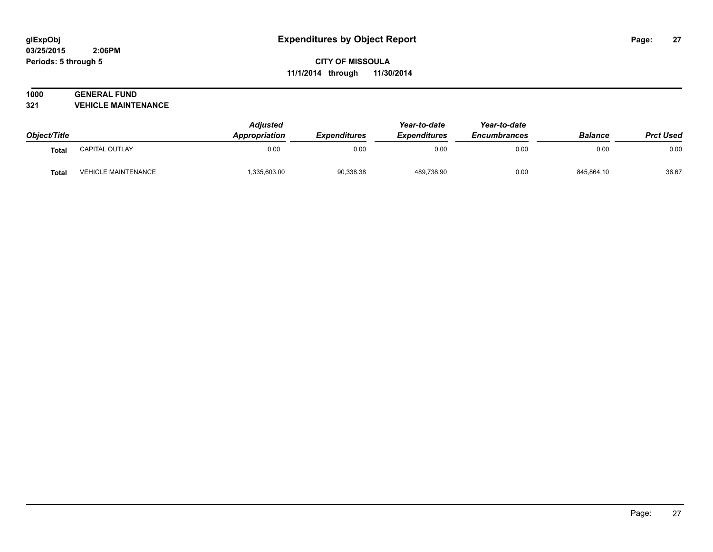# **1000 GENERAL FUND**

**321 VEHICLE MAINTENANCE**

| Object/Title |                            | <b>Adjusted</b><br>Appropriation<br><i><b>Expenditures</b></i> | Year-to-date | Year-to-date        |                     |                |                  |
|--------------|----------------------------|----------------------------------------------------------------|--------------|---------------------|---------------------|----------------|------------------|
|              |                            |                                                                |              | <b>Expenditures</b> | <b>Encumbrances</b> | <b>Balance</b> | <b>Prct Used</b> |
| <b>Total</b> | CAPITAL OUTLAY             | 0.00                                                           | 0.00         | 0.00                | 0.00                | 0.00           | 0.00             |
| Total        | <b>VEHICLE MAINTENANCE</b> | 335,603.00                                                     | 90,338.38    | 489.738.90          | 0.00                | 845.864.10     | 36.67            |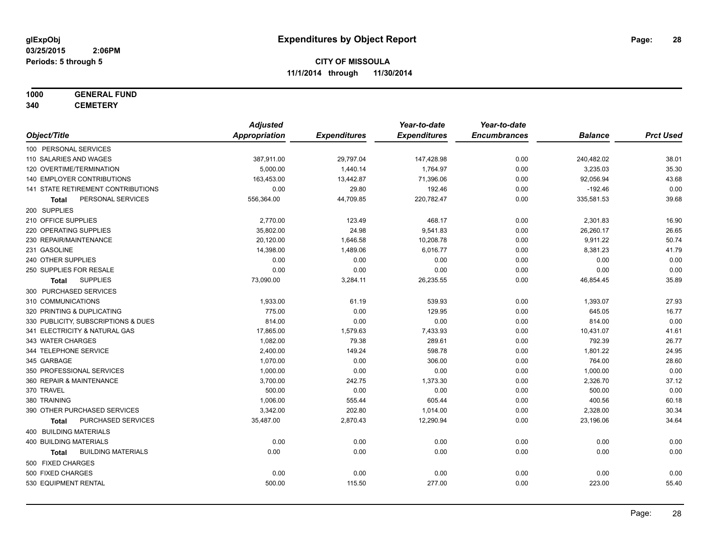# **1000 GENERAL FUND**

**340 CEMETERY**

|                                           | <b>Adjusted</b>      |                     | Year-to-date        | Year-to-date        |                |                  |
|-------------------------------------------|----------------------|---------------------|---------------------|---------------------|----------------|------------------|
| Object/Title                              | <b>Appropriation</b> | <b>Expenditures</b> | <b>Expenditures</b> | <b>Encumbrances</b> | <b>Balance</b> | <b>Prct Used</b> |
| 100 PERSONAL SERVICES                     |                      |                     |                     |                     |                |                  |
| 110 SALARIES AND WAGES                    | 387,911.00           | 29,797.04           | 147,428.98          | 0.00                | 240,482.02     | 38.01            |
| 120 OVERTIME/TERMINATION                  | 5,000.00             | 1,440.14            | 1,764.97            | 0.00                | 3,235.03       | 35.30            |
| 140 EMPLOYER CONTRIBUTIONS                | 163,453.00           | 13,442.87           | 71,396.06           | 0.00                | 92,056.94      | 43.68            |
| 141 STATE RETIREMENT CONTRIBUTIONS        | 0.00                 | 29.80               | 192.46              | 0.00                | $-192.46$      | 0.00             |
| PERSONAL SERVICES<br>Total                | 556,364.00           | 44,709.85           | 220,782.47          | 0.00                | 335,581.53     | 39.68            |
| 200 SUPPLIES                              |                      |                     |                     |                     |                |                  |
| 210 OFFICE SUPPLIES                       | 2,770.00             | 123.49              | 468.17              | 0.00                | 2,301.83       | 16.90            |
| 220 OPERATING SUPPLIES                    | 35,802.00            | 24.98               | 9,541.83            | 0.00                | 26,260.17      | 26.65            |
| 230 REPAIR/MAINTENANCE                    | 20,120.00            | 1,646.58            | 10,208.78           | 0.00                | 9,911.22       | 50.74            |
| 231 GASOLINE                              | 14,398.00            | 1,489.06            | 6,016.77            | 0.00                | 8,381.23       | 41.79            |
| 240 OTHER SUPPLIES                        | 0.00                 | 0.00                | 0.00                | 0.00                | 0.00           | 0.00             |
| 250 SUPPLIES FOR RESALE                   | 0.00                 | 0.00                | 0.00                | 0.00                | 0.00           | 0.00             |
| <b>SUPPLIES</b><br>Total                  | 73,090.00            | 3,284.11            | 26,235.55           | 0.00                | 46,854.45      | 35.89            |
| 300 PURCHASED SERVICES                    |                      |                     |                     |                     |                |                  |
| 310 COMMUNICATIONS                        | 1,933.00             | 61.19               | 539.93              | 0.00                | 1,393.07       | 27.93            |
| 320 PRINTING & DUPLICATING                | 775.00               | 0.00                | 129.95              | 0.00                | 645.05         | 16.77            |
| 330 PUBLICITY, SUBSCRIPTIONS & DUES       | 814.00               | 0.00                | 0.00                | 0.00                | 814.00         | 0.00             |
| 341 ELECTRICITY & NATURAL GAS             | 17,865.00            | 1,579.63            | 7,433.93            | 0.00                | 10,431.07      | 41.61            |
| 343 WATER CHARGES                         | 1,082.00             | 79.38               | 289.61              | 0.00                | 792.39         | 26.77            |
| 344 TELEPHONE SERVICE                     | 2,400.00             | 149.24              | 598.78              | 0.00                | 1,801.22       | 24.95            |
| 345 GARBAGE                               | 1,070.00             | 0.00                | 306.00              | 0.00                | 764.00         | 28.60            |
| 350 PROFESSIONAL SERVICES                 | 1,000.00             | 0.00                | 0.00                | 0.00                | 1,000.00       | 0.00             |
| 360 REPAIR & MAINTENANCE                  | 3,700.00             | 242.75              | 1,373.30            | 0.00                | 2,326.70       | 37.12            |
| 370 TRAVEL                                | 500.00               | 0.00                | 0.00                | 0.00                | 500.00         | 0.00             |
| 380 TRAINING                              | 1,006.00             | 555.44              | 605.44              | 0.00                | 400.56         | 60.18            |
| 390 OTHER PURCHASED SERVICES              | 3,342.00             | 202.80              | 1,014.00            | 0.00                | 2,328.00       | 30.34            |
| PURCHASED SERVICES<br><b>Total</b>        | 35,487.00            | 2,870.43            | 12,290.94           | 0.00                | 23,196.06      | 34.64            |
| 400 BUILDING MATERIALS                    |                      |                     |                     |                     |                |                  |
| 400 BUILDING MATERIALS                    | 0.00                 | 0.00                | 0.00                | 0.00                | 0.00           | 0.00             |
| <b>BUILDING MATERIALS</b><br><b>Total</b> | 0.00                 | 0.00                | 0.00                | 0.00                | 0.00           | 0.00             |
| 500 FIXED CHARGES                         |                      |                     |                     |                     |                |                  |
| 500 FIXED CHARGES                         | 0.00                 | 0.00                | 0.00                | 0.00                | 0.00           | 0.00             |
| 530 EQUIPMENT RENTAL                      | 500.00               | 115.50              | 277.00              | 0.00                | 223.00         | 55.40            |
|                                           |                      |                     |                     |                     |                |                  |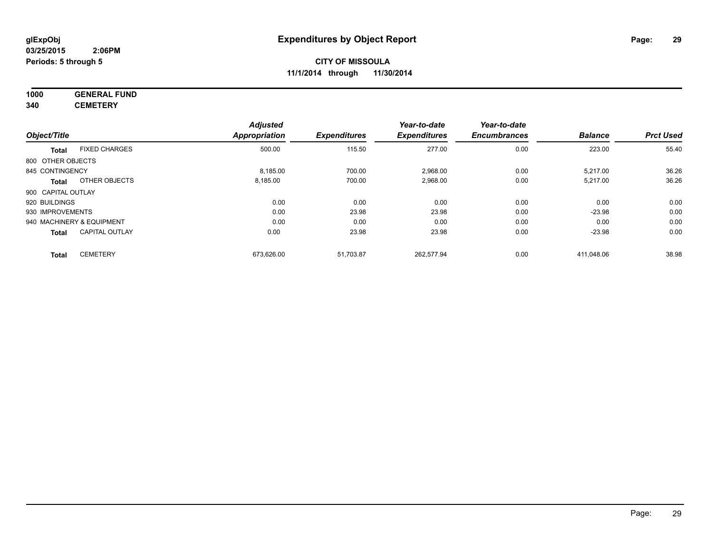# **1000 GENERAL FUND**

**340 CEMETERY**

|                    |                           | <b>Adjusted</b>      |                     | Year-to-date        | Year-to-date        |                |                  |
|--------------------|---------------------------|----------------------|---------------------|---------------------|---------------------|----------------|------------------|
| Object/Title       |                           | <b>Appropriation</b> | <b>Expenditures</b> | <b>Expenditures</b> | <b>Encumbrances</b> | <b>Balance</b> | <b>Prct Used</b> |
| <b>Total</b>       | <b>FIXED CHARGES</b>      | 500.00               | 115.50              | 277.00              | 0.00                | 223.00         | 55.40            |
| 800 OTHER OBJECTS  |                           |                      |                     |                     |                     |                |                  |
| 845 CONTINGENCY    |                           | 8,185.00             | 700.00              | 2,968.00            | 0.00                | 5,217.00       | 36.26            |
| <b>Total</b>       | OTHER OBJECTS             | 8,185.00             | 700.00              | 2,968.00            | 0.00                | 5,217.00       | 36.26            |
| 900 CAPITAL OUTLAY |                           |                      |                     |                     |                     |                |                  |
| 920 BUILDINGS      |                           | 0.00                 | 0.00                | 0.00                | 0.00                | 0.00           | 0.00             |
| 930 IMPROVEMENTS   |                           | 0.00                 | 23.98               | 23.98               | 0.00                | $-23.98$       | 0.00             |
|                    | 940 MACHINERY & EQUIPMENT | 0.00                 | 0.00                | 0.00                | 0.00                | 0.00           | 0.00             |
| <b>Total</b>       | <b>CAPITAL OUTLAY</b>     | 0.00                 | 23.98               | 23.98               | 0.00                | $-23.98$       | 0.00             |
| <b>Total</b>       | <b>CEMETERY</b>           | 673,626.00           | 51,703.87           | 262,577.94          | 0.00                | 411.048.06     | 38.98            |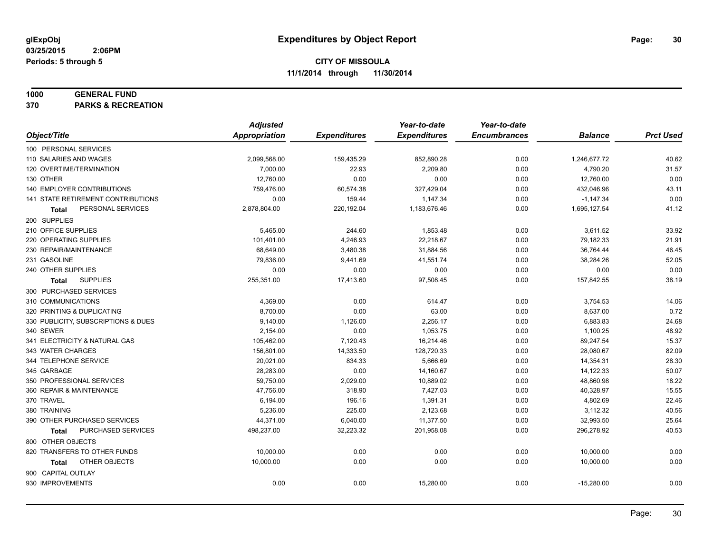#### **1000 GENERAL FUND**

**370 PARKS & RECREATION**

|                                           | <b>Adjusted</b> |                     | Year-to-date        | Year-to-date        |                |                  |
|-------------------------------------------|-----------------|---------------------|---------------------|---------------------|----------------|------------------|
| Object/Title                              | Appropriation   | <b>Expenditures</b> | <b>Expenditures</b> | <b>Encumbrances</b> | <b>Balance</b> | <b>Prct Used</b> |
| 100 PERSONAL SERVICES                     |                 |                     |                     |                     |                |                  |
| 110 SALARIES AND WAGES                    | 2,099,568.00    | 159,435.29          | 852,890.28          | 0.00                | 1,246,677.72   | 40.62            |
| 120 OVERTIME/TERMINATION                  | 7,000.00        | 22.93               | 2,209.80            | 0.00                | 4,790.20       | 31.57            |
| 130 OTHER                                 | 12,760.00       | 0.00                | 0.00                | 0.00                | 12,760.00      | 0.00             |
| 140 EMPLOYER CONTRIBUTIONS                | 759,476.00      | 60,574.38           | 327,429.04          | 0.00                | 432,046.96     | 43.11            |
| <b>141 STATE RETIREMENT CONTRIBUTIONS</b> | 0.00            | 159.44              | 1,147.34            | 0.00                | $-1,147.34$    | 0.00             |
| PERSONAL SERVICES<br>Total                | 2,878,804.00    | 220,192.04          | 1,183,676.46        | 0.00                | 1,695,127.54   | 41.12            |
| 200 SUPPLIES                              |                 |                     |                     |                     |                |                  |
| 210 OFFICE SUPPLIES                       | 5,465.00        | 244.60              | 1,853.48            | 0.00                | 3,611.52       | 33.92            |
| 220 OPERATING SUPPLIES                    | 101,401.00      | 4,246.93            | 22,218.67           | 0.00                | 79,182.33      | 21.91            |
| 230 REPAIR/MAINTENANCE                    | 68,649.00       | 3,480.38            | 31,884.56           | 0.00                | 36,764.44      | 46.45            |
| 231 GASOLINE                              | 79,836.00       | 9,441.69            | 41,551.74           | 0.00                | 38,284.26      | 52.05            |
| 240 OTHER SUPPLIES                        | 0.00            | 0.00                | 0.00                | 0.00                | 0.00           | 0.00             |
| <b>SUPPLIES</b><br>Total                  | 255,351.00      | 17,413.60           | 97,508.45           | 0.00                | 157,842.55     | 38.19            |
| 300 PURCHASED SERVICES                    |                 |                     |                     |                     |                |                  |
| 310 COMMUNICATIONS                        | 4,369.00        | 0.00                | 614.47              | 0.00                | 3,754.53       | 14.06            |
| 320 PRINTING & DUPLICATING                | 8,700.00        | 0.00                | 63.00               | 0.00                | 8,637.00       | 0.72             |
| 330 PUBLICITY, SUBSCRIPTIONS & DUES       | 9,140.00        | 1,126.00            | 2,256.17            | 0.00                | 6,883.83       | 24.68            |
| 340 SEWER                                 | 2,154.00        | 0.00                | 1,053.75            | 0.00                | 1,100.25       | 48.92            |
| 341 ELECTRICITY & NATURAL GAS             | 105,462.00      | 7,120.43            | 16,214.46           | 0.00                | 89,247.54      | 15.37            |
| 343 WATER CHARGES                         | 156,801.00      | 14,333.50           | 128,720.33          | 0.00                | 28,080.67      | 82.09            |
| 344 TELEPHONE SERVICE                     | 20,021.00       | 834.33              | 5,666.69            | 0.00                | 14,354.31      | 28.30            |
| 345 GARBAGE                               | 28,283.00       | 0.00                | 14,160.67           | 0.00                | 14,122.33      | 50.07            |
| 350 PROFESSIONAL SERVICES                 | 59,750.00       | 2,029.00            | 10,889.02           | 0.00                | 48,860.98      | 18.22            |
| 360 REPAIR & MAINTENANCE                  | 47,756.00       | 318.90              | 7,427.03            | 0.00                | 40,328.97      | 15.55            |
| 370 TRAVEL                                | 6,194.00        | 196.16              | 1,391.31            | 0.00                | 4,802.69       | 22.46            |
| 380 TRAINING                              | 5,236.00        | 225.00              | 2,123.68            | 0.00                | 3,112.32       | 40.56            |
| 390 OTHER PURCHASED SERVICES              | 44,371.00       | 6,040.00            | 11,377.50           | 0.00                | 32,993.50      | 25.64            |
| PURCHASED SERVICES<br><b>Total</b>        | 498,237.00      | 32,223.32           | 201,958.08          | 0.00                | 296,278.92     | 40.53            |
| 800 OTHER OBJECTS                         |                 |                     |                     |                     |                |                  |
| 820 TRANSFERS TO OTHER FUNDS              | 10,000.00       | 0.00                | 0.00                | 0.00                | 10,000.00      | 0.00             |
| OTHER OBJECTS<br>Total                    | 10,000.00       | 0.00                | 0.00                | 0.00                | 10,000.00      | 0.00             |
| 900 CAPITAL OUTLAY                        |                 |                     |                     |                     |                |                  |
| 930 IMPROVEMENTS                          | 0.00            | 0.00                | 15,280.00           | 0.00                | $-15,280.00$   | 0.00             |
|                                           |                 |                     |                     |                     |                |                  |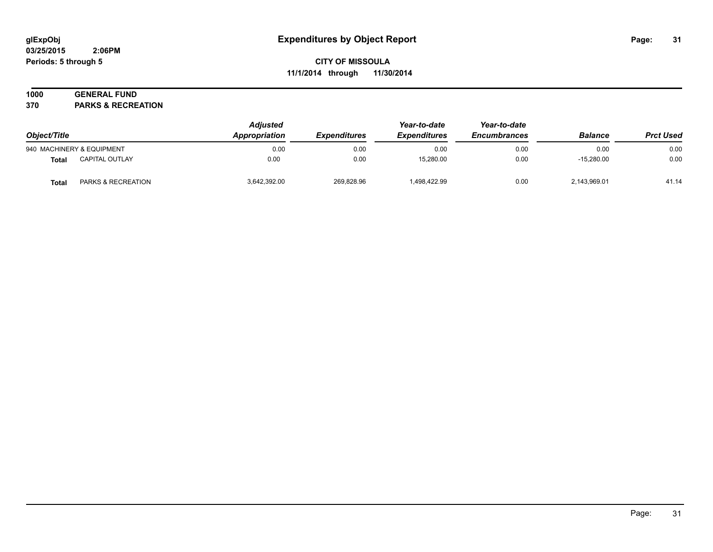#### **03/25/2015 2:06PM Periods: 5 through 5**

# **CITY OF MISSOULA 11/1/2014 through 11/30/2014**

# **1000 GENERAL FUND**

**370 PARKS & RECREATION**

| Object/Title |                           | <b>Adjusted</b><br>Appropriation | <i><b>Expenditures</b></i> | Year-to-date<br><b>Expenditures</b> | Year-to-date<br><b>Encumbrances</b> | <b>Balance</b> | <b>Prct Used</b> |
|--------------|---------------------------|----------------------------------|----------------------------|-------------------------------------|-------------------------------------|----------------|------------------|
|              | 940 MACHINERY & EQUIPMENT | 0.00                             | 0.00                       | 0.00                                | 0.00                                | 0.00           | 0.00             |
| <b>Total</b> | CAPITAL OUTLAY            | 0.00                             | 0.00                       | 15,280.00                           | 0.00                                | $-15.280.00$   | 0.00             |
| Total        | PARKS & RECREATION        | 3,642,392.00                     | 269,828.96                 | 498,422.99                          | 0.00                                | 2,143,969.01   | 41.14            |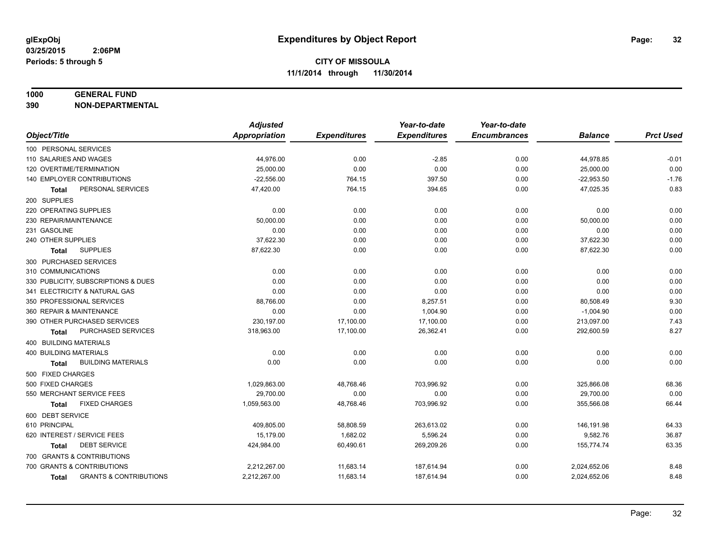#### **1000 GENERAL FUND**

**390 NON-DEPARTMENTAL**

|                                                   | <b>Adjusted</b> |                     | Year-to-date        | Year-to-date        |                |                  |
|---------------------------------------------------|-----------------|---------------------|---------------------|---------------------|----------------|------------------|
| Object/Title                                      | Appropriation   | <b>Expenditures</b> | <b>Expenditures</b> | <b>Encumbrances</b> | <b>Balance</b> | <b>Prct Used</b> |
| 100 PERSONAL SERVICES                             |                 |                     |                     |                     |                |                  |
| 110 SALARIES AND WAGES                            | 44,976.00       | 0.00                | $-2.85$             | 0.00                | 44,978.85      | $-0.01$          |
| 120 OVERTIME/TERMINATION                          | 25,000.00       | 0.00                | 0.00                | 0.00                | 25,000.00      | 0.00             |
| 140 EMPLOYER CONTRIBUTIONS                        | $-22,556.00$    | 764.15              | 397.50              | 0.00                | $-22,953.50$   | $-1.76$          |
| PERSONAL SERVICES<br>Total                        | 47,420.00       | 764.15              | 394.65              | 0.00                | 47,025.35      | 0.83             |
| 200 SUPPLIES                                      |                 |                     |                     |                     |                |                  |
| 220 OPERATING SUPPLIES                            | 0.00            | 0.00                | 0.00                | 0.00                | 0.00           | 0.00             |
| 230 REPAIR/MAINTENANCE                            | 50.000.00       | 0.00                | 0.00                | 0.00                | 50,000.00      | 0.00             |
| 231 GASOLINE                                      | 0.00            | 0.00                | 0.00                | 0.00                | 0.00           | 0.00             |
| 240 OTHER SUPPLIES                                | 37,622.30       | 0.00                | 0.00                | 0.00                | 37,622.30      | 0.00             |
| <b>SUPPLIES</b><br><b>Total</b>                   | 87,622.30       | 0.00                | 0.00                | 0.00                | 87,622.30      | 0.00             |
| 300 PURCHASED SERVICES                            |                 |                     |                     |                     |                |                  |
| 310 COMMUNICATIONS                                | 0.00            | 0.00                | 0.00                | 0.00                | 0.00           | 0.00             |
| 330 PUBLICITY, SUBSCRIPTIONS & DUES               | 0.00            | 0.00                | 0.00                | 0.00                | 0.00           | 0.00             |
| 341 ELECTRICITY & NATURAL GAS                     | 0.00            | 0.00                | 0.00                | 0.00                | 0.00           | 0.00             |
| 350 PROFESSIONAL SERVICES                         | 88,766.00       | 0.00                | 8,257.51            | 0.00                | 80,508.49      | 9.30             |
| 360 REPAIR & MAINTENANCE                          | 0.00            | 0.00                | 1,004.90            | 0.00                | $-1,004.90$    | 0.00             |
| 390 OTHER PURCHASED SERVICES                      | 230,197.00      | 17,100.00           | 17,100.00           | 0.00                | 213,097.00     | 7.43             |
| PURCHASED SERVICES<br>Total                       | 318,963.00      | 17,100.00           | 26,362.41           | 0.00                | 292,600.59     | 8.27             |
| 400 BUILDING MATERIALS                            |                 |                     |                     |                     |                |                  |
| <b>400 BUILDING MATERIALS</b>                     | 0.00            | 0.00                | 0.00                | 0.00                | 0.00           | 0.00             |
| <b>BUILDING MATERIALS</b><br><b>Total</b>         | 0.00            | 0.00                | 0.00                | 0.00                | 0.00           | 0.00             |
| 500 FIXED CHARGES                                 |                 |                     |                     |                     |                |                  |
| 500 FIXED CHARGES                                 | 1,029,863.00    | 48,768.46           | 703,996.92          | 0.00                | 325,866.08     | 68.36            |
| 550 MERCHANT SERVICE FEES                         | 29,700.00       | 0.00                | 0.00                | 0.00                | 29,700.00      | 0.00             |
| <b>FIXED CHARGES</b><br><b>Total</b>              | 1,059,563.00    | 48,768.46           | 703,996.92          | 0.00                | 355,566.08     | 66.44            |
| 600 DEBT SERVICE                                  |                 |                     |                     |                     |                |                  |
| 610 PRINCIPAL                                     | 409,805.00      | 58,808.59           | 263,613.02          | 0.00                | 146,191.98     | 64.33            |
| 620 INTEREST / SERVICE FEES                       | 15,179.00       | 1,682.02            | 5,596.24            | 0.00                | 9,582.76       | 36.87            |
| <b>DEBT SERVICE</b><br><b>Total</b>               | 424,984.00      | 60,490.61           | 269,209.26          | 0.00                | 155,774.74     | 63.35            |
| 700 GRANTS & CONTRIBUTIONS                        |                 |                     |                     |                     |                |                  |
| 700 GRANTS & CONTRIBUTIONS                        | 2,212,267.00    | 11,683.14           | 187,614.94          | 0.00                | 2,024,652.06   | 8.48             |
| <b>GRANTS &amp; CONTRIBUTIONS</b><br><b>Total</b> | 2,212,267.00    | 11,683.14           | 187,614.94          | 0.00                | 2,024,652.06   | 8.48             |
|                                                   |                 |                     |                     |                     |                |                  |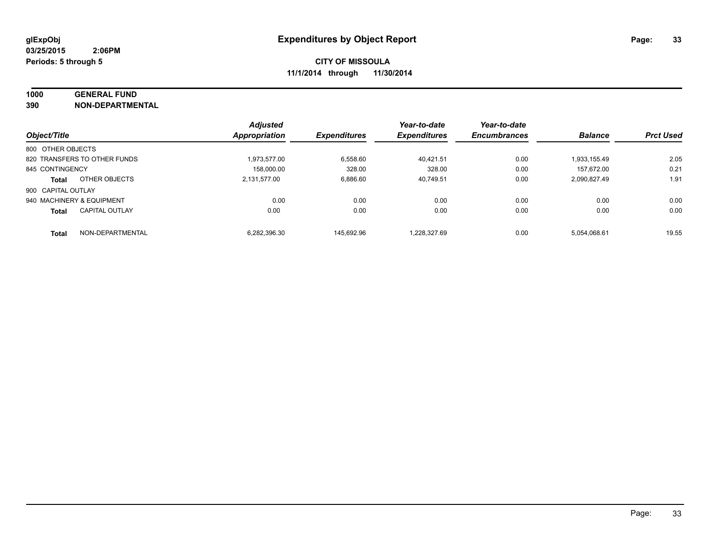# **1000 GENERAL FUND**

**390 NON-DEPARTMENTAL**

|                           |                              | <b>Adjusted</b>      |                     | Year-to-date        | Year-to-date        |                |                  |
|---------------------------|------------------------------|----------------------|---------------------|---------------------|---------------------|----------------|------------------|
| Object/Title              |                              | <b>Appropriation</b> | <b>Expenditures</b> | <b>Expenditures</b> | <b>Encumbrances</b> | <b>Balance</b> | <b>Prct Used</b> |
| 800 OTHER OBJECTS         |                              |                      |                     |                     |                     |                |                  |
|                           | 820 TRANSFERS TO OTHER FUNDS | 1.973.577.00         | 6.558.60            | 40.421.51           | 0.00                | 1.933.155.49   | 2.05             |
| 845 CONTINGENCY           |                              | 158.000.00           | 328.00              | 328.00              | 0.00                | 157.672.00     | 0.21             |
| <b>Total</b>              | OTHER OBJECTS                | 2.131.577.00         | 6,886.60            | 40.749.51           | 0.00                | 2.090.827.49   | 1.91             |
| 900 CAPITAL OUTLAY        |                              |                      |                     |                     |                     |                |                  |
| 940 MACHINERY & EQUIPMENT |                              | 0.00                 | 0.00                | 0.00                | 0.00                | 0.00           | 0.00             |
| <b>Total</b>              | <b>CAPITAL OUTLAY</b>        | 0.00                 | 0.00                | 0.00                | 0.00                | 0.00           | 0.00             |
| <b>Total</b>              | NON-DEPARTMENTAL             | 6.282.396.30         | 145.692.96          | 1.228.327.69        | 0.00                | 5.054.068.61   | 19.55            |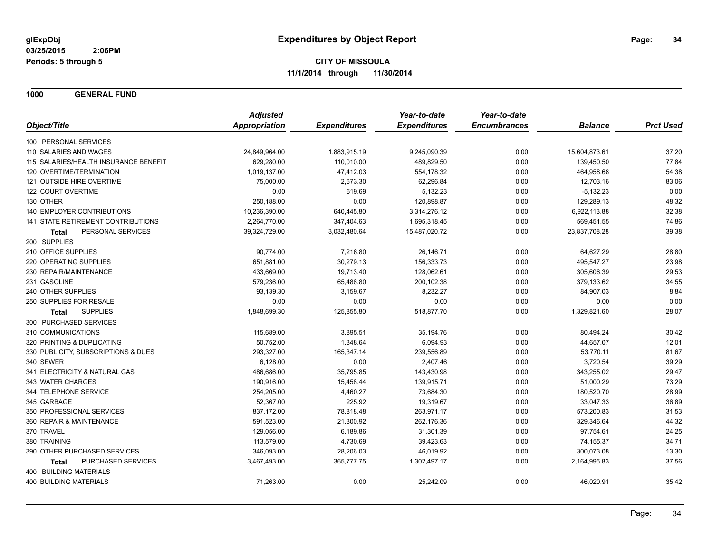**1000 GENERAL FUND**

|                                       | <b>Adjusted</b> |                     | Year-to-date        | Year-to-date        |                |                  |
|---------------------------------------|-----------------|---------------------|---------------------|---------------------|----------------|------------------|
| Object/Title                          | Appropriation   | <b>Expenditures</b> | <b>Expenditures</b> | <b>Encumbrances</b> | <b>Balance</b> | <b>Prct Used</b> |
| 100 PERSONAL SERVICES                 |                 |                     |                     |                     |                |                  |
| 110 SALARIES AND WAGES                | 24,849,964.00   | 1,883,915.19        | 9,245,090.39        | 0.00                | 15,604,873.61  | 37.20            |
| 115 SALARIES/HEALTH INSURANCE BENEFIT | 629,280.00      | 110,010.00          | 489,829.50          | 0.00                | 139,450.50     | 77.84            |
| 120 OVERTIME/TERMINATION              | 1,019,137.00    | 47,412.03           | 554,178.32          | 0.00                | 464,958.68     | 54.38            |
| 121 OUTSIDE HIRE OVERTIME             | 75,000.00       | 2,673.30            | 62,296.84           | 0.00                | 12,703.16      | 83.06            |
| 122 COURT OVERTIME                    | 0.00            | 619.69              | 5,132.23            | 0.00                | $-5,132.23$    | 0.00             |
| 130 OTHER                             | 250,188.00      | 0.00                | 120,898.87          | 0.00                | 129,289.13     | 48.32            |
| <b>140 EMPLOYER CONTRIBUTIONS</b>     | 10,236,390.00   | 640,445.80          | 3,314,276.12        | 0.00                | 6,922,113.88   | 32.38            |
| 141 STATE RETIREMENT CONTRIBUTIONS    | 2,264,770.00    | 347,404.63          | 1,695,318.45        | 0.00                | 569,451.55     | 74.86            |
| PERSONAL SERVICES<br>Total            | 39,324,729.00   | 3,032,480.64        | 15,487,020.72       | 0.00                | 23,837,708.28  | 39.38            |
| 200 SUPPLIES                          |                 |                     |                     |                     |                |                  |
| 210 OFFICE SUPPLIES                   | 90,774.00       | 7,216.80            | 26,146.71           | 0.00                | 64,627.29      | 28.80            |
| 220 OPERATING SUPPLIES                | 651,881.00      | 30,279.13           | 156,333.73          | 0.00                | 495,547.27     | 23.98            |
| 230 REPAIR/MAINTENANCE                | 433,669.00      | 19,713.40           | 128,062.61          | 0.00                | 305,606.39     | 29.53            |
| 231 GASOLINE                          | 579.236.00      | 65,486.80           | 200,102.38          | 0.00                | 379,133.62     | 34.55            |
| 240 OTHER SUPPLIES                    | 93,139.30       | 3,159.67            | 8,232.27            | 0.00                | 84,907.03      | 8.84             |
| 250 SUPPLIES FOR RESALE               | 0.00            | 0.00                | 0.00                | 0.00                | 0.00           | 0.00             |
| <b>SUPPLIES</b><br>Total              | 1,848,699.30    | 125,855.80          | 518,877.70          | 0.00                | 1,329,821.60   | 28.07            |
| 300 PURCHASED SERVICES                |                 |                     |                     |                     |                |                  |
| 310 COMMUNICATIONS                    | 115,689.00      | 3,895.51            | 35,194.76           | 0.00                | 80,494.24      | 30.42            |
| 320 PRINTING & DUPLICATING            | 50.752.00       | 1,348.64            | 6,094.93            | 0.00                | 44,657.07      | 12.01            |
| 330 PUBLICITY, SUBSCRIPTIONS & DUES   | 293,327.00      | 165,347.14          | 239,556.89          | 0.00                | 53,770.11      | 81.67            |
| 340 SEWER                             | 6,128.00        | 0.00                | 2,407.46            | 0.00                | 3,720.54       | 39.29            |
| 341 ELECTRICITY & NATURAL GAS         | 486,686.00      | 35,795.85           | 143,430.98          | 0.00                | 343,255.02     | 29.47            |
| 343 WATER CHARGES                     | 190,916.00      | 15,458.44           | 139,915.71          | 0.00                | 51,000.29      | 73.29            |
| 344 TELEPHONE SERVICE                 | 254,205.00      | 4,460.27            | 73,684.30           | 0.00                | 180,520.70     | 28.99            |
| 345 GARBAGE                           | 52,367.00       | 225.92              | 19,319.67           | 0.00                | 33,047.33      | 36.89            |
| 350 PROFESSIONAL SERVICES             | 837,172.00      | 78,818.48           | 263,971.17          | 0.00                | 573,200.83     | 31.53            |
| 360 REPAIR & MAINTENANCE              | 591,523.00      | 21,300.92           | 262,176.36          | 0.00                | 329,346.64     | 44.32            |
| 370 TRAVEL                            | 129,056.00      | 6,189.86            | 31,301.39           | 0.00                | 97,754.61      | 24.25            |
| 380 TRAINING                          | 113,579.00      | 4,730.69            | 39,423.63           | 0.00                | 74,155.37      | 34.71            |
| 390 OTHER PURCHASED SERVICES          | 346,093.00      | 28,206.03           | 46,019.92           | 0.00                | 300,073.08     | 13.30            |
| PURCHASED SERVICES<br><b>Total</b>    | 3,467,493.00    | 365,777.75          | 1,302,497.17        | 0.00                | 2,164,995.83   | 37.56            |
| 400 BUILDING MATERIALS                |                 |                     |                     |                     |                |                  |
| <b>400 BUILDING MATERIALS</b>         | 71,263.00       | 0.00                | 25,242.09           | 0.00                | 46,020.91      | 35.42            |
|                                       |                 |                     |                     |                     |                |                  |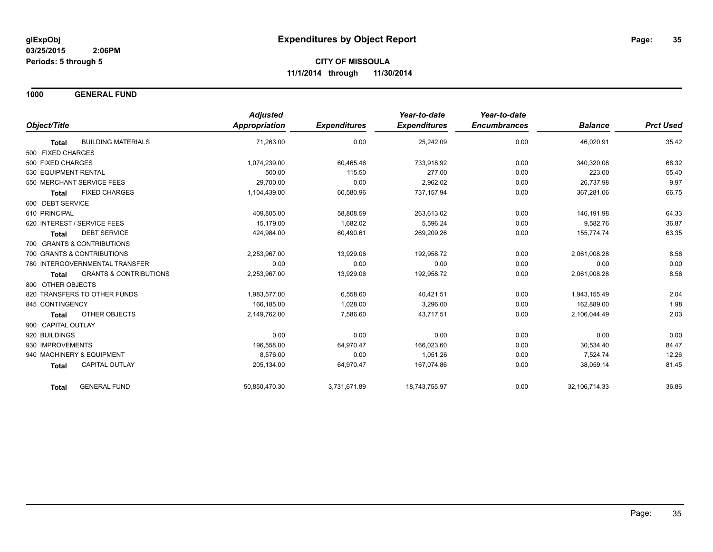**1000 GENERAL FUND**

|                                                   | <b>Adjusted</b>      |                     | Year-to-date        | Year-to-date        |                  |                  |
|---------------------------------------------------|----------------------|---------------------|---------------------|---------------------|------------------|------------------|
| Object/Title                                      | <b>Appropriation</b> | <b>Expenditures</b> | <b>Expenditures</b> | <b>Encumbrances</b> | <b>Balance</b>   | <b>Prct Used</b> |
| <b>BUILDING MATERIALS</b><br><b>Total</b>         | 71,263.00            | 0.00                | 25,242.09           | 0.00                | 46,020.91        | 35.42            |
| 500 FIXED CHARGES                                 |                      |                     |                     |                     |                  |                  |
| 500 FIXED CHARGES                                 | 1,074,239.00         | 60,465.46           | 733,918.92          | 0.00                | 340,320.08       | 68.32            |
| 530 EQUIPMENT RENTAL                              | 500.00               | 115.50              | 277.00              | 0.00                | 223.00           | 55.40            |
| 550 MERCHANT SERVICE FEES                         | 29.700.00            | 0.00                | 2.962.02            | 0.00                | 26.737.98        | 9.97             |
| <b>FIXED CHARGES</b><br><b>Total</b>              | 1,104,439.00         | 60,580.96           | 737,157.94          | 0.00                | 367,281.06       | 66.75            |
| 600 DEBT SERVICE                                  |                      |                     |                     |                     |                  |                  |
| 610 PRINCIPAL                                     | 409,805.00           | 58,808.59           | 263.613.02          | 0.00                | 146,191.98       | 64.33            |
| 620 INTEREST / SERVICE FEES                       | 15.179.00            | 1,682.02            | 5,596.24            | 0.00                | 9,582.76         | 36.87            |
| <b>DEBT SERVICE</b><br><b>Total</b>               | 424.984.00           | 60,490.61           | 269,209.26          | 0.00                | 155.774.74       | 63.35            |
| 700 GRANTS & CONTRIBUTIONS                        |                      |                     |                     |                     |                  |                  |
| 700 GRANTS & CONTRIBUTIONS                        | 2,253,967.00         | 13,929.06           | 192,958.72          | 0.00                | 2,061,008.28     | 8.56             |
| 780 INTERGOVERNMENTAL TRANSFER                    | 0.00                 | 0.00                | 0.00                | 0.00                | 0.00             | 0.00             |
| <b>GRANTS &amp; CONTRIBUTIONS</b><br><b>Total</b> | 2,253,967.00         | 13,929.06           | 192,958.72          | 0.00                | 2,061,008.28     | 8.56             |
| 800 OTHER OBJECTS                                 |                      |                     |                     |                     |                  |                  |
| 820 TRANSFERS TO OTHER FUNDS                      | 1,983,577.00         | 6,558.60            | 40,421.51           | 0.00                | 1,943,155.49     | 2.04             |
| 845 CONTINGENCY                                   | 166,185.00           | 1,028.00            | 3,296.00            | 0.00                | 162.889.00       | 1.98             |
| <b>OTHER OBJECTS</b><br><b>Total</b>              | 2,149,762.00         | 7,586.60            | 43.717.51           | 0.00                | 2,106,044.49     | 2.03             |
| 900 CAPITAL OUTLAY                                |                      |                     |                     |                     |                  |                  |
| 920 BUILDINGS                                     | 0.00                 | 0.00                | 0.00                | 0.00                | 0.00             | 0.00             |
| 930 IMPROVEMENTS                                  | 196,558.00           | 64,970.47           | 166,023.60          | 0.00                | 30,534.40        | 84.47            |
| 940 MACHINERY & EQUIPMENT                         | 8.576.00             | 0.00                | 1.051.26            | 0.00                | 7,524.74         | 12.26            |
| <b>CAPITAL OUTLAY</b><br><b>Total</b>             | 205,134.00           | 64,970.47           | 167,074.86          | 0.00                | 38,059.14        | 81.45            |
| <b>GENERAL FUND</b><br><b>Total</b>               | 50,850,470.30        | 3,731,671.89        | 18,743,755.97       | 0.00                | 32, 106, 714. 33 | 36.86            |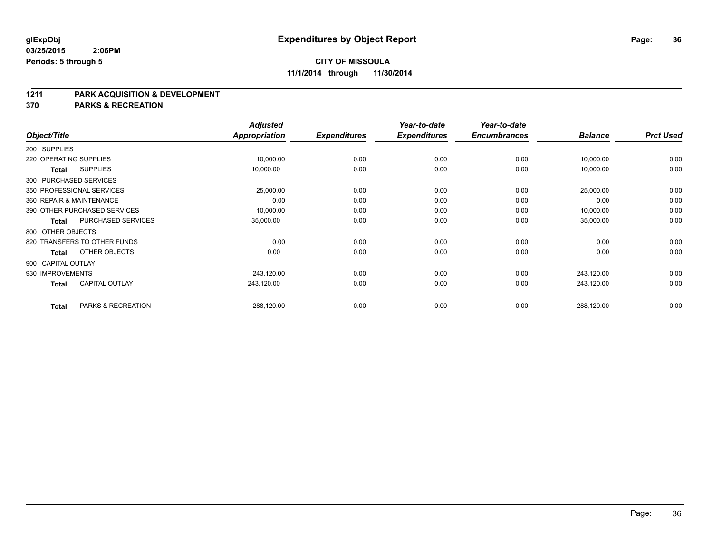#### **1211 PARK ACQUISITION & DEVELOPMENT**

**370 PARKS & RECREATION**

|                        |                              | <b>Adjusted</b> |                     | Year-to-date        | Year-to-date        |                |                  |
|------------------------|------------------------------|-----------------|---------------------|---------------------|---------------------|----------------|------------------|
| Object/Title           |                              | Appropriation   | <b>Expenditures</b> | <b>Expenditures</b> | <b>Encumbrances</b> | <b>Balance</b> | <b>Prct Used</b> |
| 200 SUPPLIES           |                              |                 |                     |                     |                     |                |                  |
| 220 OPERATING SUPPLIES |                              | 10,000.00       | 0.00                | 0.00                | 0.00                | 10,000.00      | 0.00             |
| Total                  | <b>SUPPLIES</b>              | 10,000.00       | 0.00                | 0.00                | 0.00                | 10,000.00      | 0.00             |
|                        | 300 PURCHASED SERVICES       |                 |                     |                     |                     |                |                  |
|                        | 350 PROFESSIONAL SERVICES    | 25,000.00       | 0.00                | 0.00                | 0.00                | 25,000.00      | 0.00             |
|                        | 360 REPAIR & MAINTENANCE     | 0.00            | 0.00                | 0.00                | 0.00                | 0.00           | 0.00             |
|                        | 390 OTHER PURCHASED SERVICES | 10,000.00       | 0.00                | 0.00                | 0.00                | 10,000.00      | 0.00             |
| Total                  | PURCHASED SERVICES           | 35,000.00       | 0.00                | 0.00                | 0.00                | 35,000.00      | 0.00             |
| 800 OTHER OBJECTS      |                              |                 |                     |                     |                     |                |                  |
|                        | 820 TRANSFERS TO OTHER FUNDS | 0.00            | 0.00                | 0.00                | 0.00                | 0.00           | 0.00             |
| Total                  | OTHER OBJECTS                | 0.00            | 0.00                | 0.00                | 0.00                | 0.00           | 0.00             |
| 900 CAPITAL OUTLAY     |                              |                 |                     |                     |                     |                |                  |
| 930 IMPROVEMENTS       |                              | 243,120.00      | 0.00                | 0.00                | 0.00                | 243,120.00     | 0.00             |
| <b>Total</b>           | <b>CAPITAL OUTLAY</b>        | 243,120.00      | 0.00                | 0.00                | 0.00                | 243,120.00     | 0.00             |
| <b>Total</b>           | PARKS & RECREATION           | 288,120.00      | 0.00                | 0.00                | 0.00                | 288,120.00     | 0.00             |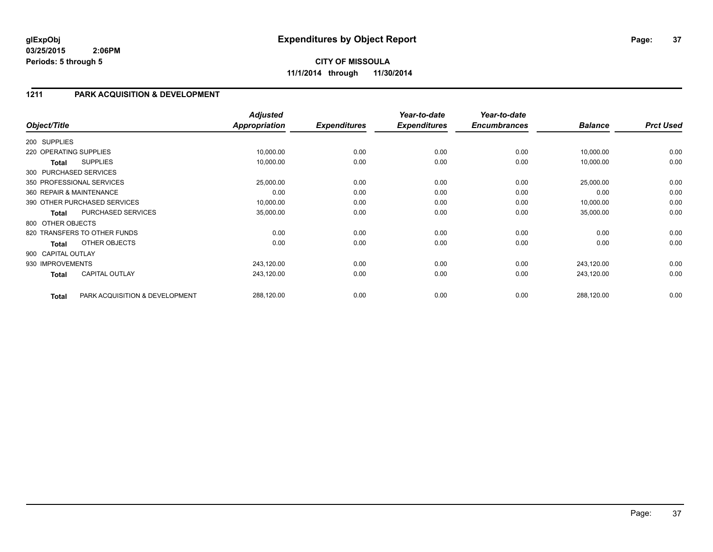## **1211 PARK ACQUISITION & DEVELOPMENT**

| Object/Title           |                                | <b>Adjusted</b><br><b>Appropriation</b> | <b>Expenditures</b> | Year-to-date<br><b>Expenditures</b> | Year-to-date<br><b>Encumbrances</b> | <b>Balance</b> | <b>Prct Used</b> |
|------------------------|--------------------------------|-----------------------------------------|---------------------|-------------------------------------|-------------------------------------|----------------|------------------|
|                        |                                |                                         |                     |                                     |                                     |                |                  |
| 200 SUPPLIES           |                                |                                         |                     |                                     |                                     |                |                  |
| 220 OPERATING SUPPLIES |                                | 10,000.00                               | 0.00                | 0.00                                | 0.00                                | 10,000.00      | 0.00             |
| Total                  | <b>SUPPLIES</b>                | 10,000.00                               | 0.00                | 0.00                                | 0.00                                | 10,000.00      | 0.00             |
|                        | 300 PURCHASED SERVICES         |                                         |                     |                                     |                                     |                |                  |
|                        | 350 PROFESSIONAL SERVICES      | 25,000.00                               | 0.00                | 0.00                                | 0.00                                | 25,000.00      | 0.00             |
|                        | 360 REPAIR & MAINTENANCE       | 0.00                                    | 0.00                | 0.00                                | 0.00                                | 0.00           | 0.00             |
|                        | 390 OTHER PURCHASED SERVICES   | 10,000.00                               | 0.00                | 0.00                                | 0.00                                | 10,000.00      | 0.00             |
| <b>Total</b>           | PURCHASED SERVICES             | 35,000.00                               | 0.00                | 0.00                                | 0.00                                | 35,000.00      | 0.00             |
| 800 OTHER OBJECTS      |                                |                                         |                     |                                     |                                     |                |                  |
|                        | 820 TRANSFERS TO OTHER FUNDS   | 0.00                                    | 0.00                | 0.00                                | 0.00                                | 0.00           | 0.00             |
| <b>Total</b>           | OTHER OBJECTS                  | 0.00                                    | 0.00                | 0.00                                | 0.00                                | 0.00           | 0.00             |
| 900 CAPITAL OUTLAY     |                                |                                         |                     |                                     |                                     |                |                  |
| 930 IMPROVEMENTS       |                                | 243,120.00                              | 0.00                | 0.00                                | 0.00                                | 243,120.00     | 0.00             |
| <b>Total</b>           | <b>CAPITAL OUTLAY</b>          | 243,120.00                              | 0.00                | 0.00                                | 0.00                                | 243,120.00     | 0.00             |
|                        |                                |                                         |                     |                                     |                                     |                |                  |
| <b>Total</b>           | PARK ACQUISITION & DEVELOPMENT | 288,120.00                              | 0.00                | 0.00                                | 0.00                                | 288,120.00     | 0.00             |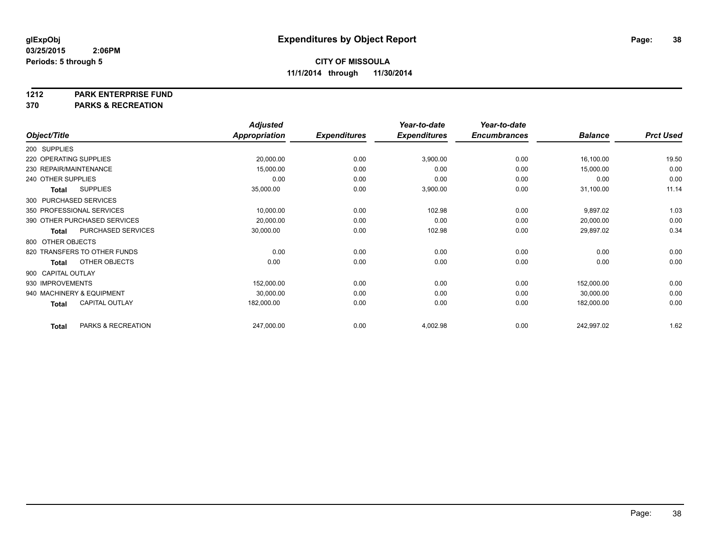#### **1212 PARK ENTERPRISE FUND**

**370 PARKS & RECREATION**

|                        |                              | <b>Adjusted</b> |                     | Year-to-date        | Year-to-date        |                |                  |
|------------------------|------------------------------|-----------------|---------------------|---------------------|---------------------|----------------|------------------|
| Object/Title           |                              | Appropriation   | <b>Expenditures</b> | <b>Expenditures</b> | <b>Encumbrances</b> | <b>Balance</b> | <b>Prct Used</b> |
| 200 SUPPLIES           |                              |                 |                     |                     |                     |                |                  |
| 220 OPERATING SUPPLIES |                              | 20,000.00       | 0.00                | 3,900.00            | 0.00                | 16,100.00      | 19.50            |
| 230 REPAIR/MAINTENANCE |                              | 15,000.00       | 0.00                | 0.00                | 0.00                | 15,000.00      | 0.00             |
| 240 OTHER SUPPLIES     |                              | 0.00            | 0.00                | 0.00                | 0.00                | 0.00           | 0.00             |
| <b>Total</b>           | <b>SUPPLIES</b>              | 35,000.00       | 0.00                | 3,900.00            | 0.00                | 31,100.00      | 11.14            |
|                        | 300 PURCHASED SERVICES       |                 |                     |                     |                     |                |                  |
|                        | 350 PROFESSIONAL SERVICES    | 10,000.00       | 0.00                | 102.98              | 0.00                | 9,897.02       | 1.03             |
|                        | 390 OTHER PURCHASED SERVICES | 20,000.00       | 0.00                | 0.00                | 0.00                | 20,000.00      | 0.00             |
| <b>Total</b>           | PURCHASED SERVICES           | 30,000.00       | 0.00                | 102.98              | 0.00                | 29,897.02      | 0.34             |
| 800 OTHER OBJECTS      |                              |                 |                     |                     |                     |                |                  |
|                        | 820 TRANSFERS TO OTHER FUNDS | 0.00            | 0.00                | 0.00                | 0.00                | 0.00           | 0.00             |
| Total                  | OTHER OBJECTS                | 0.00            | 0.00                | 0.00                | 0.00                | 0.00           | 0.00             |
| 900 CAPITAL OUTLAY     |                              |                 |                     |                     |                     |                |                  |
| 930 IMPROVEMENTS       |                              | 152,000.00      | 0.00                | 0.00                | 0.00                | 152,000.00     | 0.00             |
|                        | 940 MACHINERY & EQUIPMENT    | 30,000.00       | 0.00                | 0.00                | 0.00                | 30,000.00      | 0.00             |
| <b>Total</b>           | <b>CAPITAL OUTLAY</b>        | 182,000.00      | 0.00                | 0.00                | 0.00                | 182,000.00     | 0.00             |
| <b>Total</b>           | PARKS & RECREATION           | 247,000.00      | 0.00                | 4,002.98            | 0.00                | 242,997.02     | 1.62             |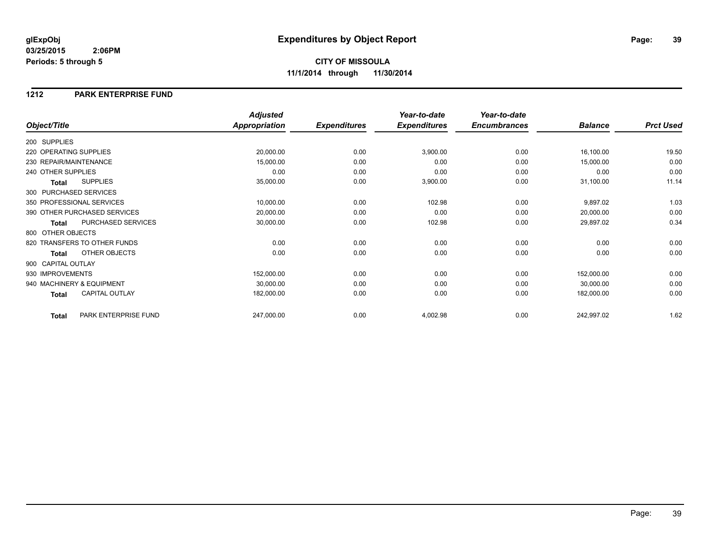## **CITY OF MISSOULA 11/1/2014 through 11/30/2014**

### **1212 PARK ENTERPRISE FUND**

|                                       | <b>Adjusted</b>      |                     | Year-to-date        | Year-to-date        |                |                  |
|---------------------------------------|----------------------|---------------------|---------------------|---------------------|----------------|------------------|
| Object/Title                          | <b>Appropriation</b> | <b>Expenditures</b> | <b>Expenditures</b> | <b>Encumbrances</b> | <b>Balance</b> | <b>Prct Used</b> |
| 200 SUPPLIES                          |                      |                     |                     |                     |                |                  |
| 220 OPERATING SUPPLIES                | 20,000.00            | 0.00                | 3,900.00            | 0.00                | 16,100.00      | 19.50            |
| 230 REPAIR/MAINTENANCE                | 15,000.00            | 0.00                | 0.00                | 0.00                | 15,000.00      | 0.00             |
| 240 OTHER SUPPLIES                    | 0.00                 | 0.00                | 0.00                | 0.00                | 0.00           | 0.00             |
| <b>SUPPLIES</b><br><b>Total</b>       | 35,000.00            | 0.00                | 3,900.00            | 0.00                | 31,100.00      | 11.14            |
| 300 PURCHASED SERVICES                |                      |                     |                     |                     |                |                  |
| 350 PROFESSIONAL SERVICES             | 10,000.00            | 0.00                | 102.98              | 0.00                | 9,897.02       | 1.03             |
| 390 OTHER PURCHASED SERVICES          | 20,000.00            | 0.00                | 0.00                | 0.00                | 20,000.00      | 0.00             |
| PURCHASED SERVICES<br><b>Total</b>    | 30,000.00            | 0.00                | 102.98              | 0.00                | 29,897.02      | 0.34             |
| 800 OTHER OBJECTS                     |                      |                     |                     |                     |                |                  |
| 820 TRANSFERS TO OTHER FUNDS          | 0.00                 | 0.00                | 0.00                | 0.00                | 0.00           | 0.00             |
| OTHER OBJECTS<br><b>Total</b>         | 0.00                 | 0.00                | 0.00                | 0.00                | 0.00           | 0.00             |
| 900 CAPITAL OUTLAY                    |                      |                     |                     |                     |                |                  |
| 930 IMPROVEMENTS                      | 152,000.00           | 0.00                | 0.00                | 0.00                | 152,000.00     | 0.00             |
| 940 MACHINERY & EQUIPMENT             | 30,000.00            | 0.00                | 0.00                | 0.00                | 30,000.00      | 0.00             |
| <b>CAPITAL OUTLAY</b><br><b>Total</b> | 182,000.00           | 0.00                | 0.00                | 0.00                | 182,000.00     | 0.00             |
| PARK ENTERPRISE FUND<br><b>Total</b>  | 247,000.00           | 0.00                | 4,002.98            | 0.00                | 242,997.02     | 1.62             |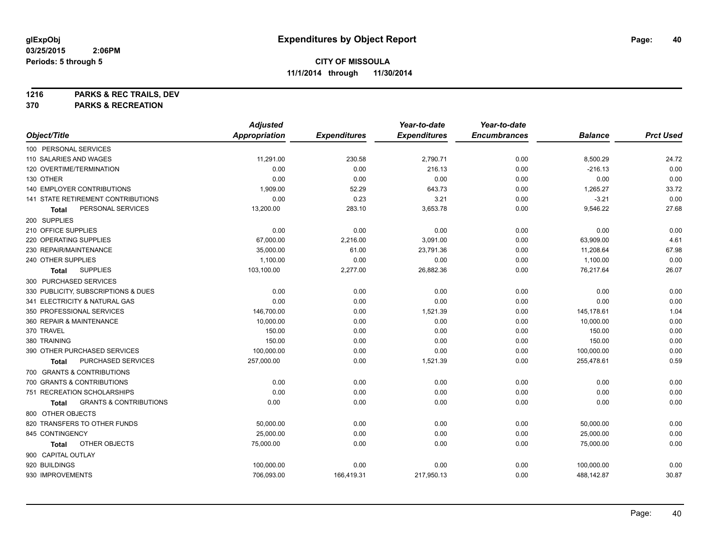**1216 PARKS & REC TRAILS, DEV**

**370 PARKS & RECREATION**

|                                            | <b>Adjusted</b>      |                     | Year-to-date        | Year-to-date        |                |                  |
|--------------------------------------------|----------------------|---------------------|---------------------|---------------------|----------------|------------------|
| Object/Title                               | <b>Appropriation</b> | <b>Expenditures</b> | <b>Expenditures</b> | <b>Encumbrances</b> | <b>Balance</b> | <b>Prct Used</b> |
| 100 PERSONAL SERVICES                      |                      |                     |                     |                     |                |                  |
| 110 SALARIES AND WAGES                     | 11,291.00            | 230.58              | 2,790.71            | 0.00                | 8,500.29       | 24.72            |
| 120 OVERTIME/TERMINATION                   | 0.00                 | 0.00                | 216.13              | 0.00                | $-216.13$      | 0.00             |
| 130 OTHER                                  | 0.00                 | 0.00                | 0.00                | 0.00                | 0.00           | 0.00             |
| 140 EMPLOYER CONTRIBUTIONS                 | 1,909.00             | 52.29               | 643.73              | 0.00                | 1,265.27       | 33.72            |
| <b>141 STATE RETIREMENT CONTRIBUTIONS</b>  | 0.00                 | 0.23                | 3.21                | 0.00                | $-3.21$        | 0.00             |
| PERSONAL SERVICES<br>Total                 | 13,200.00            | 283.10              | 3,653.78            | 0.00                | 9,546.22       | 27.68            |
| 200 SUPPLIES                               |                      |                     |                     |                     |                |                  |
| 210 OFFICE SUPPLIES                        | 0.00                 | 0.00                | 0.00                | 0.00                | 0.00           | 0.00             |
| 220 OPERATING SUPPLIES                     | 67,000.00            | 2,216.00            | 3,091.00            | 0.00                | 63,909.00      | 4.61             |
| 230 REPAIR/MAINTENANCE                     | 35,000.00            | 61.00               | 23,791.36           | 0.00                | 11,208.64      | 67.98            |
| 240 OTHER SUPPLIES                         | 1,100.00             | 0.00                | 0.00                | 0.00                | 1,100.00       | 0.00             |
| <b>SUPPLIES</b><br><b>Total</b>            | 103,100.00           | 2,277.00            | 26,882.36           | 0.00                | 76,217.64      | 26.07            |
| 300 PURCHASED SERVICES                     |                      |                     |                     |                     |                |                  |
| 330 PUBLICITY, SUBSCRIPTIONS & DUES        | 0.00                 | 0.00                | 0.00                | 0.00                | 0.00           | 0.00             |
| 341 ELECTRICITY & NATURAL GAS              | 0.00                 | 0.00                | 0.00                | 0.00                | 0.00           | 0.00             |
| 350 PROFESSIONAL SERVICES                  | 146,700.00           | 0.00                | 1,521.39            | 0.00                | 145,178.61     | 1.04             |
| 360 REPAIR & MAINTENANCE                   | 10,000.00            | 0.00                | 0.00                | 0.00                | 10,000.00      | 0.00             |
| 370 TRAVEL                                 | 150.00               | 0.00                | 0.00                | 0.00                | 150.00         | 0.00             |
| 380 TRAINING                               | 150.00               | 0.00                | 0.00                | 0.00                | 150.00         | 0.00             |
| 390 OTHER PURCHASED SERVICES               | 100,000.00           | 0.00                | 0.00                | 0.00                | 100,000.00     | 0.00             |
| PURCHASED SERVICES<br>Total                | 257,000.00           | 0.00                | 1,521.39            | 0.00                | 255,478.61     | 0.59             |
| 700 GRANTS & CONTRIBUTIONS                 |                      |                     |                     |                     |                |                  |
| 700 GRANTS & CONTRIBUTIONS                 | 0.00                 | 0.00                | 0.00                | 0.00                | 0.00           | 0.00             |
| 751 RECREATION SCHOLARSHIPS                | 0.00                 | 0.00                | 0.00                | 0.00                | 0.00           | 0.00             |
| <b>GRANTS &amp; CONTRIBUTIONS</b><br>Total | 0.00                 | 0.00                | 0.00                | 0.00                | 0.00           | 0.00             |
| 800 OTHER OBJECTS                          |                      |                     |                     |                     |                |                  |
| 820 TRANSFERS TO OTHER FUNDS               | 50,000.00            | 0.00                | 0.00                | 0.00                | 50,000.00      | 0.00             |
| 845 CONTINGENCY                            | 25,000.00            | 0.00                | 0.00                | 0.00                | 25,000.00      | 0.00             |
| OTHER OBJECTS<br>Total                     | 75,000.00            | 0.00                | 0.00                | 0.00                | 75,000.00      | 0.00             |
| 900 CAPITAL OUTLAY                         |                      |                     |                     |                     |                |                  |
| 920 BUILDINGS                              | 100,000.00           | 0.00                | 0.00                | 0.00                | 100,000.00     | 0.00             |
| 930 IMPROVEMENTS                           | 706,093.00           | 166,419.31          | 217,950.13          | 0.00                | 488,142.87     | 30.87            |
|                                            |                      |                     |                     |                     |                |                  |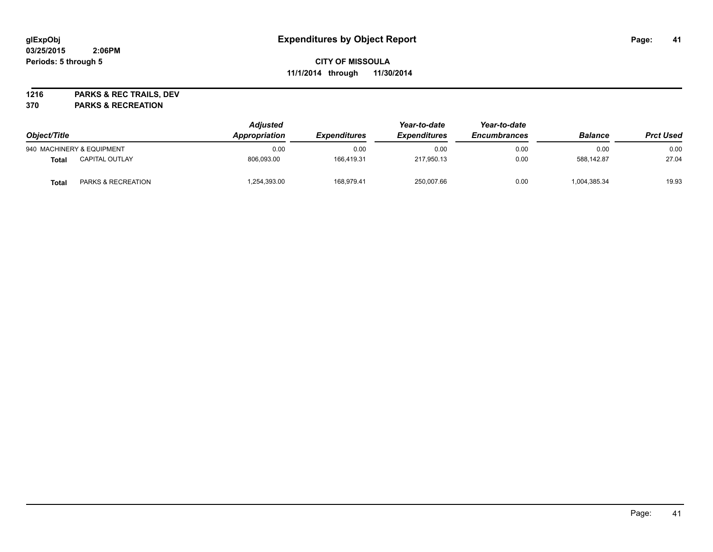**1216 PARKS & REC TRAILS, DEV**

**370 PARKS & RECREATION**

| Object/Title |                           | <b>Adjusted</b><br>Appropriation | <i><b>Expenditures</b></i> | Year-to-date<br><b>Expenditures</b> | Year-to-date<br><b>Encumbrances</b> | <b>Balance</b> | <b>Prct Used</b> |
|--------------|---------------------------|----------------------------------|----------------------------|-------------------------------------|-------------------------------------|----------------|------------------|
|              | 940 MACHINERY & EQUIPMENT | 0.00                             | 0.00                       | 0.00                                | 0.00                                | 0.00           | 0.00             |
| Total        | <b>CAPITAL OUTLAY</b>     | 806.093.00                       | 166.419.31                 | 217,950.13                          | 0.00                                | 588.142.87     | 27.04            |
| Total        | PARKS & RECREATION        | 1,254,393.00                     | 168.979.41                 | 250,007.66                          | 0.00                                | 1,004,385.34   | 19.93            |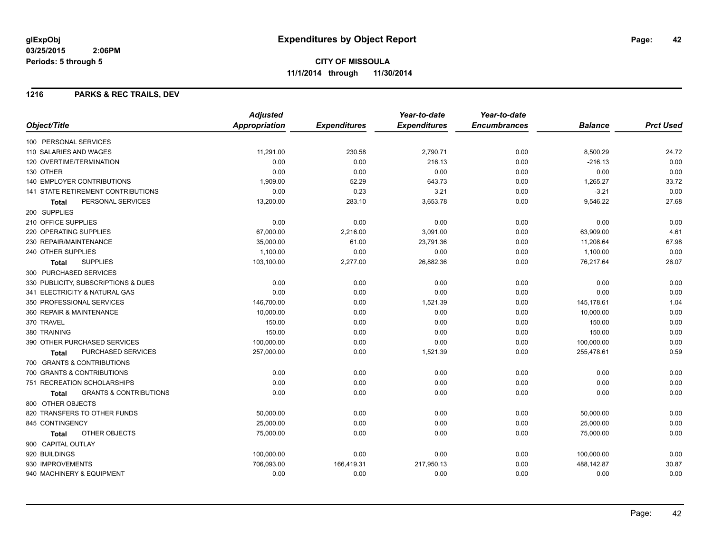#### **1216 PARKS & REC TRAILS, DEV**

|                                                   | <b>Adjusted</b>      |                     | Year-to-date        | Year-to-date        |                |                  |
|---------------------------------------------------|----------------------|---------------------|---------------------|---------------------|----------------|------------------|
| Object/Title                                      | <b>Appropriation</b> | <b>Expenditures</b> | <b>Expenditures</b> | <b>Encumbrances</b> | <b>Balance</b> | <b>Prct Used</b> |
| 100 PERSONAL SERVICES                             |                      |                     |                     |                     |                |                  |
| 110 SALARIES AND WAGES                            | 11.291.00            | 230.58              | 2,790.71            | 0.00                | 8,500.29       | 24.72            |
| 120 OVERTIME/TERMINATION                          | 0.00                 | 0.00                | 216.13              | 0.00                | $-216.13$      | 0.00             |
| 130 OTHER                                         | 0.00                 | 0.00                | 0.00                | 0.00                | 0.00           | 0.00             |
| <b>140 EMPLOYER CONTRIBUTIONS</b>                 | 1,909.00             | 52.29               | 643.73              | 0.00                | 1,265.27       | 33.72            |
| <b>141 STATE RETIREMENT CONTRIBUTIONS</b>         | 0.00                 | 0.23                | 3.21                | 0.00                | $-3.21$        | 0.00             |
| PERSONAL SERVICES<br>Total                        | 13,200.00            | 283.10              | 3,653.78            | 0.00                | 9,546.22       | 27.68            |
| 200 SUPPLIES                                      |                      |                     |                     |                     |                |                  |
| 210 OFFICE SUPPLIES                               | 0.00                 | 0.00                | 0.00                | 0.00                | 0.00           | 0.00             |
| 220 OPERATING SUPPLIES                            | 67,000.00            | 2,216.00            | 3,091.00            | 0.00                | 63,909.00      | 4.61             |
| 230 REPAIR/MAINTENANCE                            | 35,000.00            | 61.00               | 23,791.36           | 0.00                | 11,208.64      | 67.98            |
| 240 OTHER SUPPLIES                                | 1,100.00             | 0.00                | 0.00                | 0.00                | 1,100.00       | 0.00             |
| <b>SUPPLIES</b><br><b>Total</b>                   | 103,100.00           | 2,277.00            | 26,882.36           | 0.00                | 76,217.64      | 26.07            |
| 300 PURCHASED SERVICES                            |                      |                     |                     |                     |                |                  |
| 330 PUBLICITY, SUBSCRIPTIONS & DUES               | 0.00                 | 0.00                | 0.00                | 0.00                | 0.00           | 0.00             |
| 341 ELECTRICITY & NATURAL GAS                     | 0.00                 | 0.00                | 0.00                | 0.00                | 0.00           | 0.00             |
| 350 PROFESSIONAL SERVICES                         | 146,700.00           | 0.00                | 1,521.39            | 0.00                | 145,178.61     | 1.04             |
| 360 REPAIR & MAINTENANCE                          | 10,000.00            | 0.00                | 0.00                | 0.00                | 10,000.00      | 0.00             |
| 370 TRAVEL                                        | 150.00               | 0.00                | 0.00                | 0.00                | 150.00         | 0.00             |
| 380 TRAINING                                      | 150.00               | 0.00                | 0.00                | 0.00                | 150.00         | 0.00             |
| 390 OTHER PURCHASED SERVICES                      | 100,000.00           | 0.00                | 0.00                | 0.00                | 100,000.00     | 0.00             |
| PURCHASED SERVICES<br><b>Total</b>                | 257,000.00           | 0.00                | 1,521.39            | 0.00                | 255,478.61     | 0.59             |
| 700 GRANTS & CONTRIBUTIONS                        |                      |                     |                     |                     |                |                  |
| 700 GRANTS & CONTRIBUTIONS                        | 0.00                 | 0.00                | 0.00                | 0.00                | 0.00           | 0.00             |
| 751 RECREATION SCHOLARSHIPS                       | 0.00                 | 0.00                | 0.00                | 0.00                | 0.00           | 0.00             |
| <b>GRANTS &amp; CONTRIBUTIONS</b><br><b>Total</b> | 0.00                 | 0.00                | 0.00                | 0.00                | 0.00           | 0.00             |
| 800 OTHER OBJECTS                                 |                      |                     |                     |                     |                |                  |
| 820 TRANSFERS TO OTHER FUNDS                      | 50,000.00            | 0.00                | 0.00                | 0.00                | 50,000.00      | 0.00             |
| 845 CONTINGENCY                                   | 25,000.00            | 0.00                | 0.00                | 0.00                | 25,000.00      | 0.00             |
| OTHER OBJECTS<br>Total                            | 75,000.00            | 0.00                | 0.00                | 0.00                | 75,000.00      | 0.00             |
| 900 CAPITAL OUTLAY                                |                      |                     |                     |                     |                |                  |
| 920 BUILDINGS                                     | 100,000.00           | 0.00                | 0.00                | 0.00                | 100,000.00     | 0.00             |
| 930 IMPROVEMENTS                                  | 706,093.00           | 166,419.31          | 217,950.13          | 0.00                | 488,142.87     | 30.87            |
| 940 MACHINERY & EQUIPMENT                         | 0.00                 | 0.00                | 0.00                | 0.00                | 0.00           | 0.00             |
|                                                   |                      |                     |                     |                     |                |                  |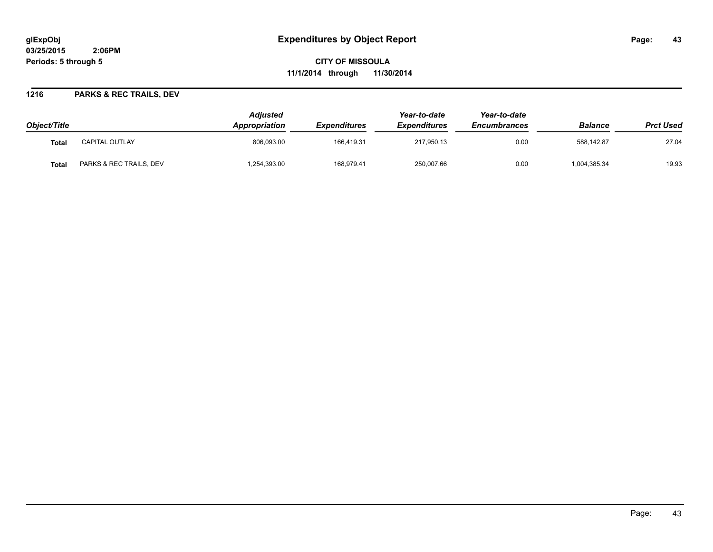# **glExpObj Expenditures by Object Report Page: 43**

**03/25/2015 2:06PM Periods: 5 through 5**

**CITY OF MISSOULA 11/1/2014 through 11/30/2014**

### **1216 PARKS & REC TRAILS, DEV**

| Object/Title |                         | Adjusted<br>Appropriation | <i><b>Expenditures</b></i> | Year-to-date<br><b>Expenditures</b> | Year-to-date<br><b>Encumbrances</b> | <b>Balance</b> | <b>Prct Used</b> |
|--------------|-------------------------|---------------------------|----------------------------|-------------------------------------|-------------------------------------|----------------|------------------|
| Total        | <b>CAPITAL OUTLAY</b>   | 806,093.00                | 166.419.31                 | 217,950.13                          | 0.00                                | 588.142.87     | 27.04            |
| <b>Total</b> | PARKS & REC TRAILS, DEV | .254,393.00               | 168,979.41                 | 250,007.66                          | 0.00                                | 1,004,385.34   | 19.93            |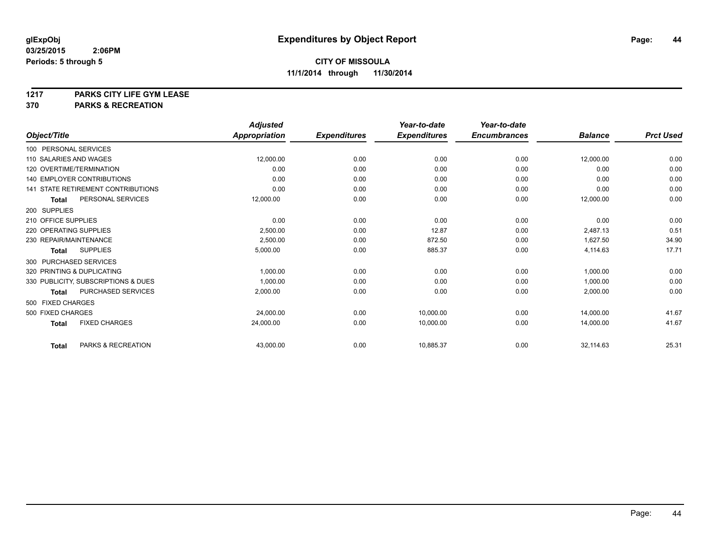**1217 PARKS CITY LIFE GYM LEASE**

**370 PARKS & RECREATION**

|                            |                                           | <b>Adjusted</b>      |                     | Year-to-date        | Year-to-date        |                |                  |
|----------------------------|-------------------------------------------|----------------------|---------------------|---------------------|---------------------|----------------|------------------|
| Object/Title               |                                           | <b>Appropriation</b> | <b>Expenditures</b> | <b>Expenditures</b> | <b>Encumbrances</b> | <b>Balance</b> | <b>Prct Used</b> |
| 100 PERSONAL SERVICES      |                                           |                      |                     |                     |                     |                |                  |
| 110 SALARIES AND WAGES     |                                           | 12,000.00            | 0.00                | 0.00                | 0.00                | 12,000.00      | 0.00             |
| 120 OVERTIME/TERMINATION   |                                           | 0.00                 | 0.00                | 0.00                | 0.00                | 0.00           | 0.00             |
|                            | <b>140 EMPLOYER CONTRIBUTIONS</b>         | 0.00                 | 0.00                | 0.00                | 0.00                | 0.00           | 0.00             |
|                            | <b>141 STATE RETIREMENT CONTRIBUTIONS</b> | 0.00                 | 0.00                | 0.00                | 0.00                | 0.00           | 0.00             |
| Total                      | PERSONAL SERVICES                         | 12,000.00            | 0.00                | 0.00                | 0.00                | 12,000.00      | 0.00             |
| 200 SUPPLIES               |                                           |                      |                     |                     |                     |                |                  |
| 210 OFFICE SUPPLIES        |                                           | 0.00                 | 0.00                | 0.00                | 0.00                | 0.00           | 0.00             |
| 220 OPERATING SUPPLIES     |                                           | 2,500.00             | 0.00                | 12.87               | 0.00                | 2,487.13       | 0.51             |
| 230 REPAIR/MAINTENANCE     |                                           | 2,500.00             | 0.00                | 872.50              | 0.00                | 1,627.50       | 34.90            |
| <b>Total</b>               | <b>SUPPLIES</b>                           | 5,000.00             | 0.00                | 885.37              | 0.00                | 4,114.63       | 17.71            |
| 300 PURCHASED SERVICES     |                                           |                      |                     |                     |                     |                |                  |
| 320 PRINTING & DUPLICATING |                                           | 1,000.00             | 0.00                | 0.00                | 0.00                | 1,000.00       | 0.00             |
|                            | 330 PUBLICITY, SUBSCRIPTIONS & DUES       | 1,000.00             | 0.00                | 0.00                | 0.00                | 1,000.00       | 0.00             |
| <b>Total</b>               | PURCHASED SERVICES                        | 2,000.00             | 0.00                | 0.00                | 0.00                | 2,000.00       | 0.00             |
| 500 FIXED CHARGES          |                                           |                      |                     |                     |                     |                |                  |
| 500 FIXED CHARGES          |                                           | 24,000.00            | 0.00                | 10,000.00           | 0.00                | 14,000.00      | 41.67            |
| <b>Total</b>               | <b>FIXED CHARGES</b>                      | 24,000.00            | 0.00                | 10,000.00           | 0.00                | 14,000.00      | 41.67            |
| <b>Total</b>               | PARKS & RECREATION                        | 43,000.00            | 0.00                | 10,885.37           | 0.00                | 32,114.63      | 25.31            |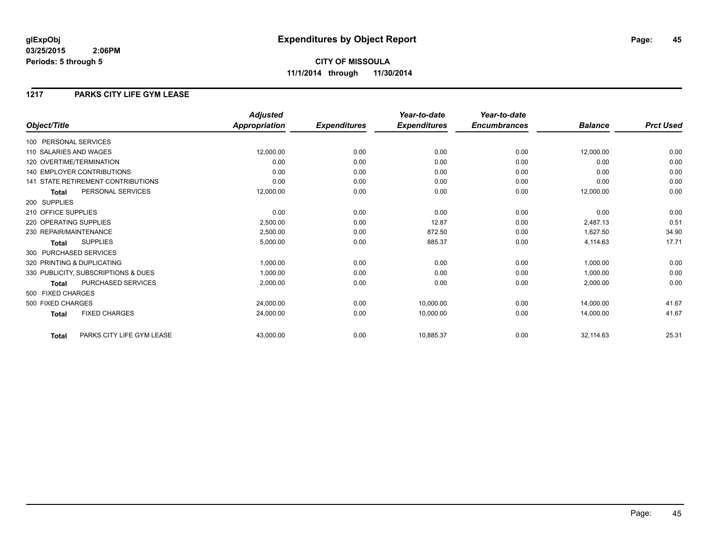## **1217 PARKS CITY LIFE GYM LEASE**

|                                           | <b>Adjusted</b>      |                     | Year-to-date        | Year-to-date        |                |                  |
|-------------------------------------------|----------------------|---------------------|---------------------|---------------------|----------------|------------------|
| Object/Title                              | <b>Appropriation</b> | <b>Expenditures</b> | <b>Expenditures</b> | <b>Encumbrances</b> | <b>Balance</b> | <b>Prct Used</b> |
| 100 PERSONAL SERVICES                     |                      |                     |                     |                     |                |                  |
| 110 SALARIES AND WAGES                    | 12,000.00            | 0.00                | 0.00                | 0.00                | 12,000.00      | 0.00             |
| 120 OVERTIME/TERMINATION                  | 0.00                 | 0.00                | 0.00                | 0.00                | 0.00           | 0.00             |
| 140 EMPLOYER CONTRIBUTIONS                | 0.00                 | 0.00                | 0.00                | 0.00                | 0.00           | 0.00             |
| 141 STATE RETIREMENT CONTRIBUTIONS        | 0.00                 | 0.00                | 0.00                | 0.00                | 0.00           | 0.00             |
| PERSONAL SERVICES<br><b>Total</b>         | 12,000.00            | 0.00                | 0.00                | 0.00                | 12,000.00      | 0.00             |
| 200 SUPPLIES                              |                      |                     |                     |                     |                |                  |
| 210 OFFICE SUPPLIES                       | 0.00                 | 0.00                | 0.00                | 0.00                | 0.00           | 0.00             |
| 220 OPERATING SUPPLIES                    | 2,500.00             | 0.00                | 12.87               | 0.00                | 2,487.13       | 0.51             |
| 230 REPAIR/MAINTENANCE                    | 2,500.00             | 0.00                | 872.50              | 0.00                | 1,627.50       | 34.90            |
| <b>SUPPLIES</b><br><b>Total</b>           | 5,000.00             | 0.00                | 885.37              | 0.00                | 4,114.63       | 17.71            |
| 300 PURCHASED SERVICES                    |                      |                     |                     |                     |                |                  |
| 320 PRINTING & DUPLICATING                | 1,000.00             | 0.00                | 0.00                | 0.00                | 1,000.00       | 0.00             |
| 330 PUBLICITY, SUBSCRIPTIONS & DUES       | 1,000.00             | 0.00                | 0.00                | 0.00                | 1,000.00       | 0.00             |
| <b>PURCHASED SERVICES</b><br><b>Total</b> | 2,000.00             | 0.00                | 0.00                | 0.00                | 2,000.00       | 0.00             |
| 500 FIXED CHARGES                         |                      |                     |                     |                     |                |                  |
| 500 FIXED CHARGES                         | 24,000.00            | 0.00                | 10,000.00           | 0.00                | 14.000.00      | 41.67            |
| <b>FIXED CHARGES</b><br><b>Total</b>      | 24,000.00            | 0.00                | 10,000.00           | 0.00                | 14,000.00      | 41.67            |
| PARKS CITY LIFE GYM LEASE<br><b>Total</b> | 43,000.00            | 0.00                | 10,885.37           | 0.00                | 32,114.63      | 25.31            |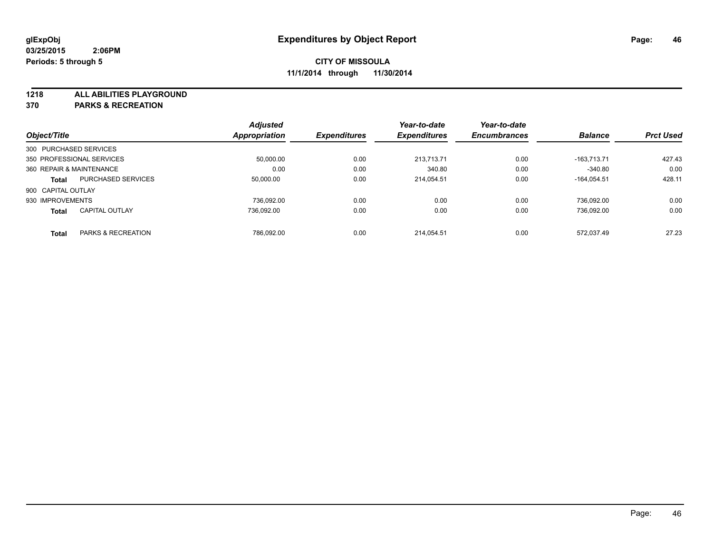**1218 ALL ABILITIES PLAYGROUND**

**370 PARKS & RECREATION**

|                           |                           | <b>Adjusted</b>      |                     | Year-to-date        | Year-to-date        |                |                  |
|---------------------------|---------------------------|----------------------|---------------------|---------------------|---------------------|----------------|------------------|
| Object/Title              |                           | <b>Appropriation</b> | <b>Expenditures</b> | <b>Expenditures</b> | <b>Encumbrances</b> | <b>Balance</b> | <b>Prct Used</b> |
| 300 PURCHASED SERVICES    |                           |                      |                     |                     |                     |                |                  |
| 350 PROFESSIONAL SERVICES |                           | 50.000.00            | 0.00                | 213.713.71          | 0.00                | $-163.713.71$  | 427.43           |
| 360 REPAIR & MAINTENANCE  |                           | 0.00                 | 0.00                | 340.80              | 0.00                | $-340.80$      | 0.00             |
| <b>Total</b>              | <b>PURCHASED SERVICES</b> | 50,000.00            | 0.00                | 214.054.51          | 0.00                | $-164.054.51$  | 428.11           |
| 900 CAPITAL OUTLAY        |                           |                      |                     |                     |                     |                |                  |
| 930 IMPROVEMENTS          |                           | 736.092.00           | 0.00                | 0.00                | 0.00                | 736.092.00     | 0.00             |
| <b>Total</b>              | <b>CAPITAL OUTLAY</b>     | 736.092.00           | 0.00                | 0.00                | 0.00                | 736.092.00     | 0.00             |
| <b>Total</b>              | PARKS & RECREATION        | 786.092.00           | 0.00                | 214.054.51          | 0.00                | 572.037.49     | 27.23            |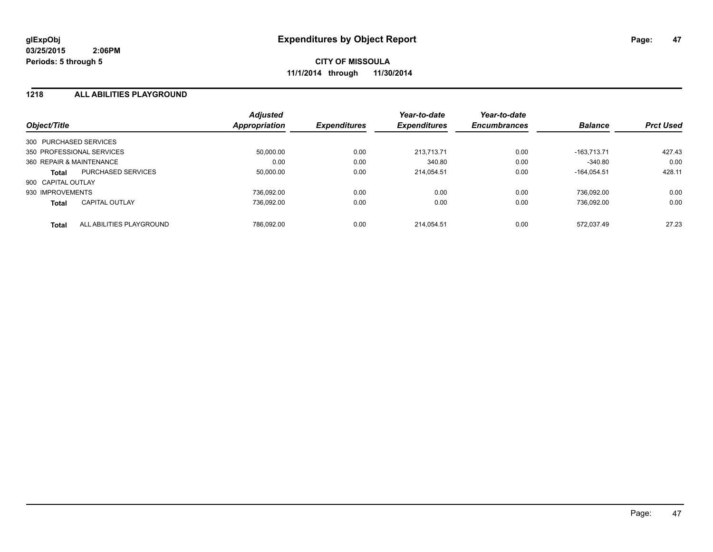#### **1218 ALL ABILITIES PLAYGROUND**

| Object/Title           |                           | <b>Adjusted</b><br>Appropriation | <b>Expenditures</b> | Year-to-date<br><b>Expenditures</b> | Year-to-date<br><b>Encumbrances</b> | <b>Balance</b> | <b>Prct Used</b> |
|------------------------|---------------------------|----------------------------------|---------------------|-------------------------------------|-------------------------------------|----------------|------------------|
| 300 PURCHASED SERVICES |                           |                                  |                     |                                     |                                     |                |                  |
|                        | 350 PROFESSIONAL SERVICES | 50.000.00                        | 0.00                | 213.713.71                          | 0.00                                | $-163.713.71$  | 427.43           |
|                        | 360 REPAIR & MAINTENANCE  | 0.00                             | 0.00                | 340.80                              | 0.00                                | $-340.80$      | 0.00             |
| <b>Total</b>           | <b>PURCHASED SERVICES</b> | 50,000.00                        | 0.00                | 214.054.51                          | 0.00                                | $-164.054.51$  | 428.11           |
| 900 CAPITAL OUTLAY     |                           |                                  |                     |                                     |                                     |                |                  |
| 930 IMPROVEMENTS       |                           | 736.092.00                       | 0.00                | 0.00                                | 0.00                                | 736.092.00     | 0.00             |
| <b>Total</b>           | <b>CAPITAL OUTLAY</b>     | 736.092.00                       | 0.00                | 0.00                                | 0.00                                | 736.092.00     | 0.00             |
| <b>Total</b>           | ALL ABILITIES PLAYGROUND  | 786.092.00                       | 0.00                | 214.054.51                          | 0.00                                | 572.037.49     | 27.23            |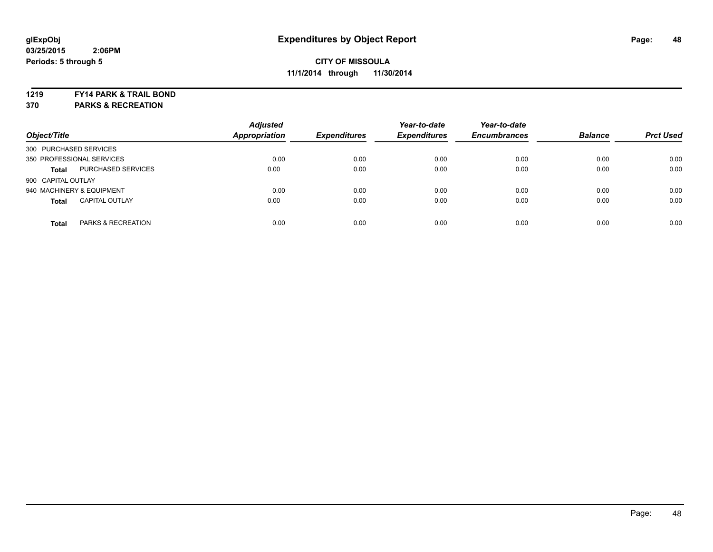#### **1219 FY14 PARK & TRAIL BOND**

**370 PARKS & RECREATION**

| Object/Title           |                           | <b>Adjusted</b><br><b>Appropriation</b> | <b>Expenditures</b> | Year-to-date<br><b>Expenditures</b> | Year-to-date<br><b>Encumbrances</b> | <b>Balance</b> | <b>Prct Used</b> |
|------------------------|---------------------------|-----------------------------------------|---------------------|-------------------------------------|-------------------------------------|----------------|------------------|
| 300 PURCHASED SERVICES |                           |                                         |                     |                                     |                                     |                |                  |
|                        | 350 PROFESSIONAL SERVICES | 0.00                                    | 0.00                | 0.00                                | 0.00                                | 0.00           | 0.00             |
| <b>Total</b>           | PURCHASED SERVICES        | 0.00                                    | 0.00                | 0.00                                | 0.00                                | 0.00           | 0.00             |
| 900 CAPITAL OUTLAY     |                           |                                         |                     |                                     |                                     |                |                  |
|                        | 940 MACHINERY & EQUIPMENT | 0.00                                    | 0.00                | 0.00                                | 0.00                                | 0.00           | 0.00             |
| <b>Total</b>           | <b>CAPITAL OUTLAY</b>     | 0.00                                    | 0.00                | 0.00                                | 0.00                                | 0.00           | 0.00             |
| <b>Total</b>           | PARKS & RECREATION        | 0.00                                    | 0.00                | 0.00                                | 0.00                                | 0.00           | 0.00             |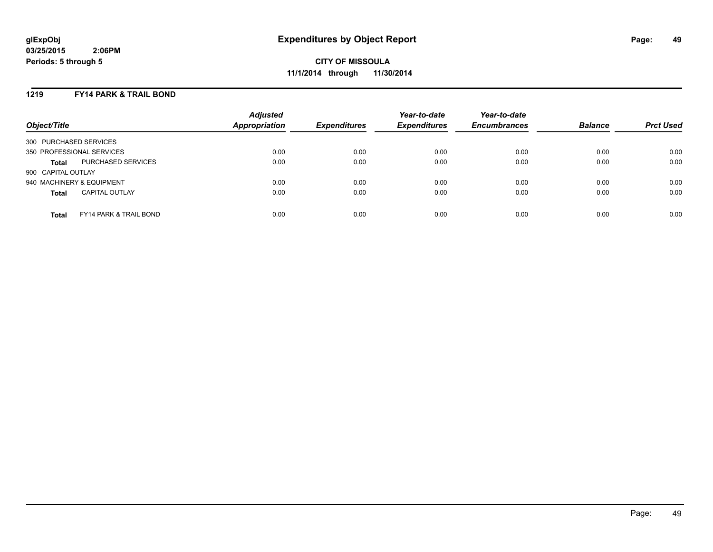#### **1219 FY14 PARK & TRAIL BOND**

| Object/Title              |                                   | <b>Adjusted</b><br><b>Appropriation</b> | <b>Expenditures</b> | Year-to-date<br><b>Expenditures</b> | Year-to-date<br><b>Encumbrances</b> | <b>Balance</b> | <b>Prct Used</b> |
|---------------------------|-----------------------------------|-----------------------------------------|---------------------|-------------------------------------|-------------------------------------|----------------|------------------|
| 300 PURCHASED SERVICES    |                                   |                                         |                     |                                     |                                     |                |                  |
| 350 PROFESSIONAL SERVICES |                                   | 0.00                                    | 0.00                | 0.00                                | 0.00                                | 0.00           | 0.00             |
| <b>Total</b>              | PURCHASED SERVICES                | 0.00                                    | 0.00                | 0.00                                | 0.00                                | 0.00           | 0.00             |
| 900 CAPITAL OUTLAY        |                                   |                                         |                     |                                     |                                     |                |                  |
| 940 MACHINERY & EQUIPMENT |                                   | 0.00                                    | 0.00                | 0.00                                | 0.00                                | 0.00           | 0.00             |
| <b>Total</b>              | <b>CAPITAL OUTLAY</b>             | 0.00                                    | 0.00                | 0.00                                | 0.00                                | 0.00           | 0.00             |
| <b>Total</b>              | <b>FY14 PARK &amp; TRAIL BOND</b> | 0.00                                    | 0.00                | 0.00                                | 0.00                                | 0.00           | 0.00             |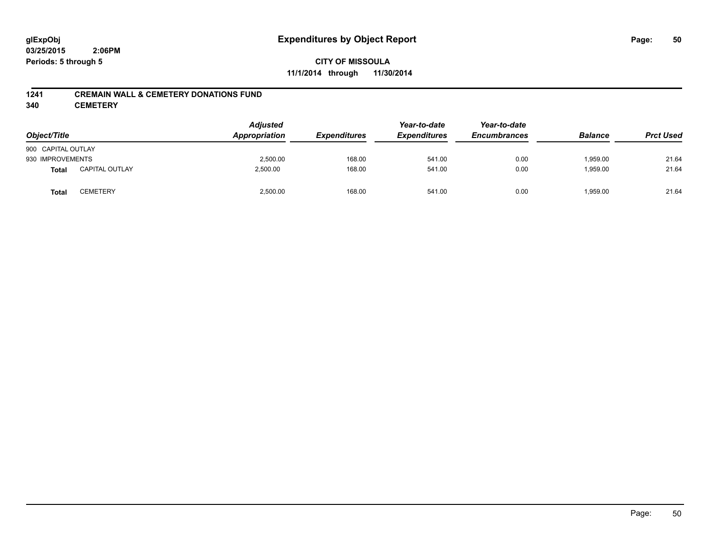### **CITY OF MISSOULA 11/1/2014 through 11/30/2014**

#### **1241 CREMAIN WALL & CEMETERY DONATIONS FUND**

**340 CEMETERY**

| Object/Title       |                       | <b>Adjusted</b><br>Appropriation<br><b>Expenditures</b> | Year-to-date<br><b>Expenditures</b> | Year-to-date<br><b>Encumbrances</b> | <b>Balance</b> | <b>Prct Used</b> |       |
|--------------------|-----------------------|---------------------------------------------------------|-------------------------------------|-------------------------------------|----------------|------------------|-------|
| 900 CAPITAL OUTLAY |                       |                                                         |                                     |                                     |                |                  |       |
| 930 IMPROVEMENTS   |                       | 2,500.00                                                | 168.00                              | 541.00                              | 0.00           | 1,959.00         | 21.64 |
| <b>Total</b>       | <b>CAPITAL OUTLAY</b> | 2,500.00                                                | 168.00                              | 541.00                              | 0.00           | 1,959.00         | 21.64 |
| <b>Total</b>       | CEMETERY              | 2,500.00                                                | 168.00                              | 541.00                              | 0.00           | 1,959.00         | 21.64 |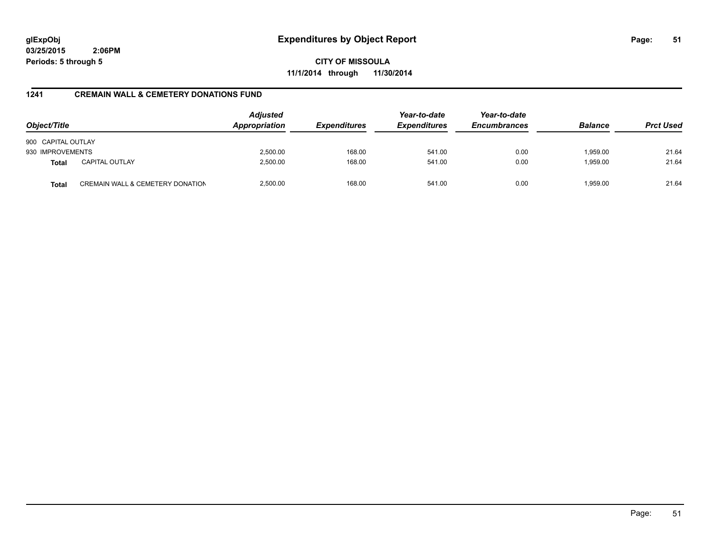**CITY OF MISSOULA 11/1/2014 through 11/30/2014**

## **1241 CREMAIN WALL & CEMETERY DONATIONS FUND**

| Object/Title       |                                  | <b>Adjusted</b><br>Appropriation | <b>Expenditures</b> | Year-to-date<br><b>Expenditures</b> | Year-to-date<br><b>Encumbrances</b> | <b>Balance</b> | <b>Prct Used</b> |
|--------------------|----------------------------------|----------------------------------|---------------------|-------------------------------------|-------------------------------------|----------------|------------------|
| 900 CAPITAL OUTLAY |                                  |                                  |                     |                                     |                                     |                |                  |
| 930 IMPROVEMENTS   |                                  | 2,500.00                         | 168.00              | 541.00                              | 0.00                                | 1,959.00       | 21.64            |
| <b>Total</b>       | <b>CAPITAL OUTLAY</b>            | 2,500.00                         | 168.00              | 541.00                              | 0.00                                | 1,959.00       | 21.64            |
| <b>Total</b>       | CREMAIN WALL & CEMETERY DONATION | 2,500.00                         | 168.00              | 541.00                              | 0.00                                | 1.959.00       | 21.64            |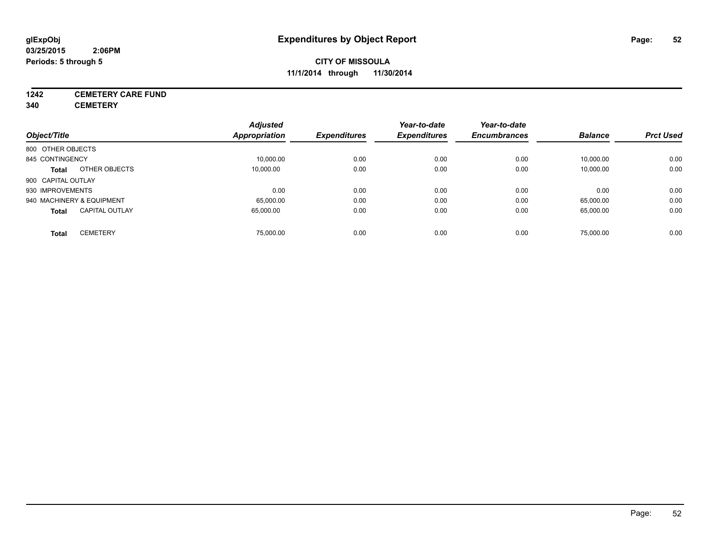# **1242 CEMETERY CARE FUND**

**340 CEMETERY**

|                                       | <b>Adjusted</b> |                     | Year-to-date        | Year-to-date        |                |                  |
|---------------------------------------|-----------------|---------------------|---------------------|---------------------|----------------|------------------|
| Object/Title                          | Appropriation   | <b>Expenditures</b> | <b>Expenditures</b> | <b>Encumbrances</b> | <b>Balance</b> | <b>Prct Used</b> |
| 800 OTHER OBJECTS                     |                 |                     |                     |                     |                |                  |
| 845 CONTINGENCY                       | 10,000.00       | 0.00                | 0.00                | 0.00                | 10,000.00      | 0.00             |
| OTHER OBJECTS<br><b>Total</b>         | 10.000.00       | 0.00                | 0.00                | 0.00                | 10,000.00      | 0.00             |
| 900 CAPITAL OUTLAY                    |                 |                     |                     |                     |                |                  |
| 930 IMPROVEMENTS                      | 0.00            | 0.00                | 0.00                | 0.00                | 0.00           | 0.00             |
| 940 MACHINERY & EQUIPMENT             | 65,000.00       | 0.00                | 0.00                | 0.00                | 65,000.00      | 0.00             |
| <b>CAPITAL OUTLAY</b><br><b>Total</b> | 65.000.00       | 0.00                | 0.00                | 0.00                | 65,000.00      | 0.00             |
| <b>CEMETERY</b><br>Total              | 75.000.00       | 0.00                | 0.00                | 0.00                | 75,000.00      | 0.00             |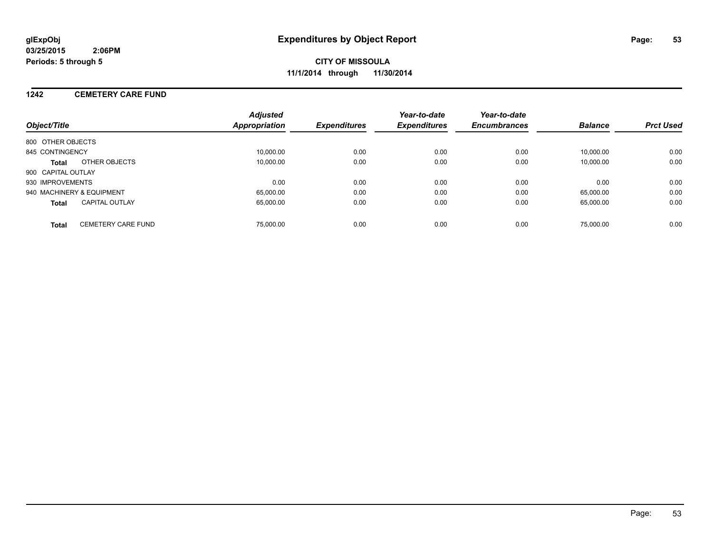**CITY OF MISSOULA 11/1/2014 through 11/30/2014**

#### **1242 CEMETERY CARE FUND**

| Object/Title                              | <b>Adjusted</b><br>Appropriation | <b>Expenditures</b> | Year-to-date<br><b>Expenditures</b> | Year-to-date<br><b>Encumbrances</b> | <b>Balance</b> | <b>Prct Used</b> |
|-------------------------------------------|----------------------------------|---------------------|-------------------------------------|-------------------------------------|----------------|------------------|
| 800 OTHER OBJECTS                         |                                  |                     |                                     |                                     |                |                  |
| 845 CONTINGENCY                           | 10.000.00                        | 0.00                | 0.00                                | 0.00                                | 10.000.00      | 0.00             |
| OTHER OBJECTS<br>Total                    | 10.000.00                        | 0.00                | 0.00                                | 0.00                                | 10.000.00      | 0.00             |
| 900 CAPITAL OUTLAY                        |                                  |                     |                                     |                                     |                |                  |
| 930 IMPROVEMENTS                          | 0.00                             | 0.00                | 0.00                                | 0.00                                | 0.00           | 0.00             |
| 940 MACHINERY & EQUIPMENT                 | 65.000.00                        | 0.00                | 0.00                                | 0.00                                | 65.000.00      | 0.00             |
| <b>CAPITAL OUTLAY</b><br><b>Total</b>     | 65.000.00                        | 0.00                | 0.00                                | 0.00                                | 65.000.00      | 0.00             |
| <b>CEMETERY CARE FUND</b><br><b>Total</b> | 75,000.00                        | 0.00                | 0.00                                | 0.00                                | 75,000.00      | 0.00             |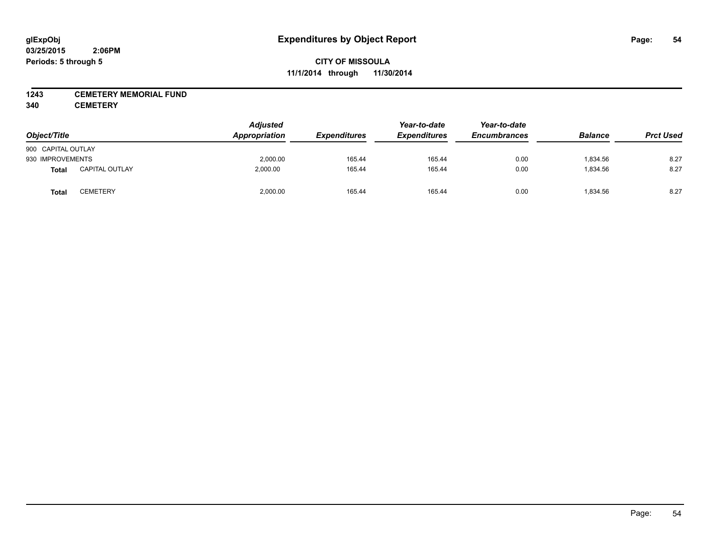#### **1243 CEMETERY MEMORIAL FUND**

**340 CEMETERY**

| Object/Title       |                       | <b>Adjusted</b><br>Appropriation | Year-to-date<br><b>Expenditures</b><br><b>Expenditures</b> |        | Year-to-date<br><b>Encumbrances</b> | <b>Balance</b> | <b>Prct Used</b> |
|--------------------|-----------------------|----------------------------------|------------------------------------------------------------|--------|-------------------------------------|----------------|------------------|
| 900 CAPITAL OUTLAY |                       |                                  |                                                            |        |                                     |                |                  |
| 930 IMPROVEMENTS   |                       | 2,000.00                         | 165.44                                                     | 165.44 | 0.00                                | 1,834.56       | 8.27             |
| <b>Total</b>       | <b>CAPITAL OUTLAY</b> | 2,000.00                         | 165.44                                                     | 165.44 | 0.00                                | 1,834.56       | 8.27             |
| Tota <sub>l</sub>  | <b>CEMETERY</b>       | 2,000.00                         | 165.44                                                     | 165.44 | 0.00                                | 1,834.56       | 8.27             |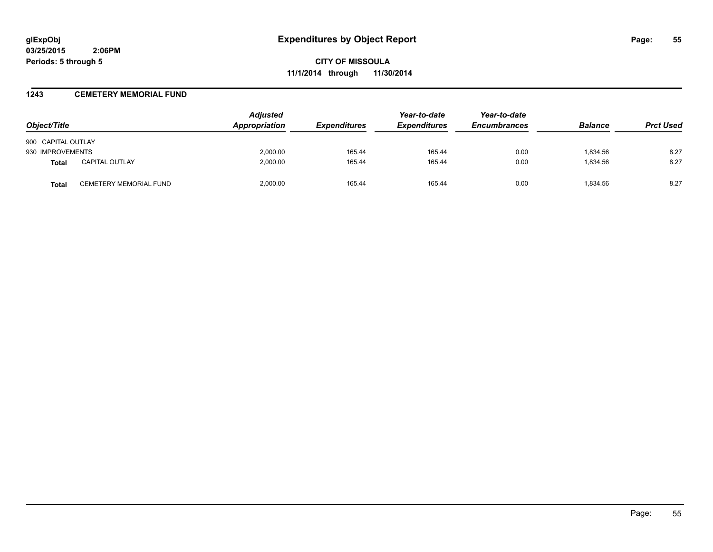**CITY OF MISSOULA 11/1/2014 through 11/30/2014**

#### **1243 CEMETERY MEMORIAL FUND**

| Object/Title       |                        | <b>Adjusted</b><br>Appropriation | <b>Expenditures</b> | Year-to-date<br><b>Expenditures</b> | Year-to-date<br><b>Encumbrances</b> | <b>Balance</b> | <b>Prct Used</b> |
|--------------------|------------------------|----------------------------------|---------------------|-------------------------------------|-------------------------------------|----------------|------------------|
| 900 CAPITAL OUTLAY |                        |                                  |                     |                                     |                                     |                |                  |
| 930 IMPROVEMENTS   |                        | 2,000.00                         | 165.44              | 165.44                              | 0.00                                | 1,834.56       | 8.27             |
| <b>Total</b>       | <b>CAPITAL OUTLAY</b>  | 2,000.00                         | 165.44              | 165.44                              | 0.00                                | 1,834.56       | 8.27             |
| Total              | CEMETERY MEMORIAL FUND | 2.000.00                         | 165.44              | 165.44                              | 0.00                                | 1.834.56       | 8.27             |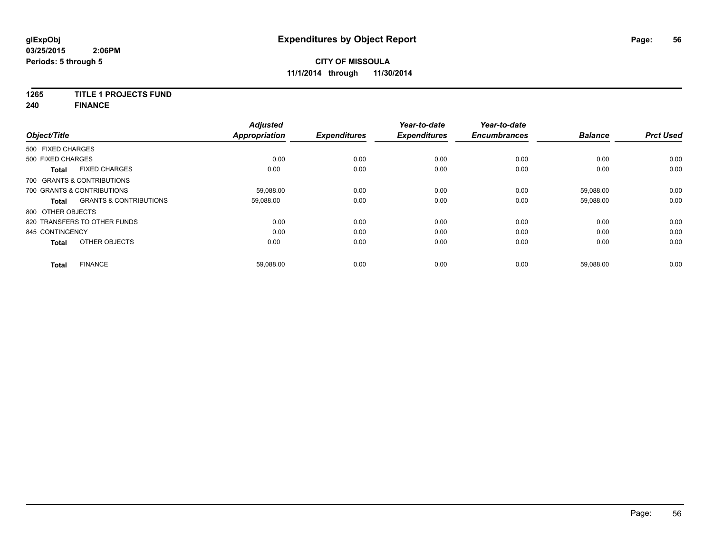## **1265 TITLE 1 PROJECTS FUND**

**240 FINANCE**

| Object/Title      |                                   | <b>Adjusted</b><br><b>Appropriation</b> | <b>Expenditures</b> | Year-to-date<br><b>Expenditures</b> | Year-to-date<br><b>Encumbrances</b> | <b>Balance</b> | <b>Prct Used</b> |
|-------------------|-----------------------------------|-----------------------------------------|---------------------|-------------------------------------|-------------------------------------|----------------|------------------|
| 500 FIXED CHARGES |                                   |                                         |                     |                                     |                                     |                |                  |
| 500 FIXED CHARGES |                                   | 0.00                                    | 0.00                | 0.00                                | 0.00                                | 0.00           | 0.00             |
| <b>Total</b>      | <b>FIXED CHARGES</b>              | 0.00                                    | 0.00                | 0.00                                | 0.00                                | 0.00           | 0.00             |
|                   | 700 GRANTS & CONTRIBUTIONS        |                                         |                     |                                     |                                     |                |                  |
|                   | 700 GRANTS & CONTRIBUTIONS        | 59,088.00                               | 0.00                | 0.00                                | 0.00                                | 59,088.00      | 0.00             |
| <b>Total</b>      | <b>GRANTS &amp; CONTRIBUTIONS</b> | 59,088.00                               | 0.00                | 0.00                                | 0.00                                | 59,088.00      | 0.00             |
| 800 OTHER OBJECTS |                                   |                                         |                     |                                     |                                     |                |                  |
|                   | 820 TRANSFERS TO OTHER FUNDS      | 0.00                                    | 0.00                | 0.00                                | 0.00                                | 0.00           | 0.00             |
| 845 CONTINGENCY   |                                   | 0.00                                    | 0.00                | 0.00                                | 0.00                                | 0.00           | 0.00             |
| <b>Total</b>      | OTHER OBJECTS                     | 0.00                                    | 0.00                | 0.00                                | 0.00                                | 0.00           | 0.00             |
| Total             | <b>FINANCE</b>                    | 59,088.00                               | 0.00                | 0.00                                | 0.00                                | 59,088.00      | 0.00             |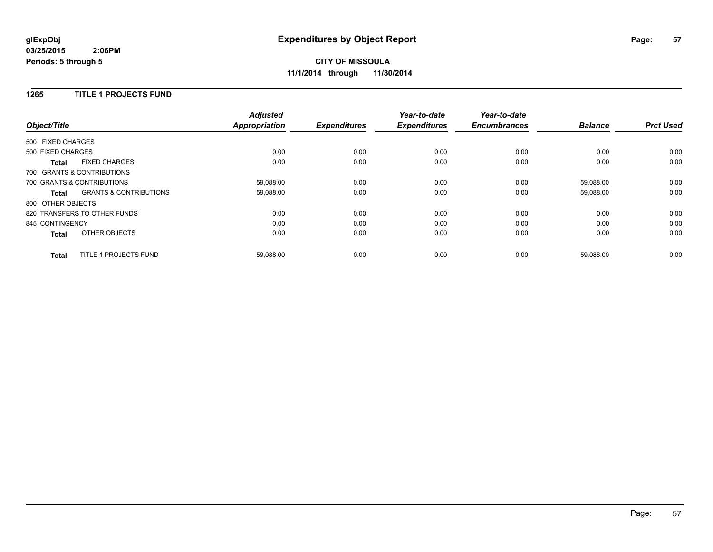## **CITY OF MISSOULA 11/1/2014 through 11/30/2014**

#### **1265 TITLE 1 PROJECTS FUND**

| Object/Title      |                                   | <b>Adjusted</b><br><b>Appropriation</b> | <b>Expenditures</b> | Year-to-date<br><b>Expenditures</b> | Year-to-date<br><b>Encumbrances</b> | <b>Balance</b> | <b>Prct Used</b> |
|-------------------|-----------------------------------|-----------------------------------------|---------------------|-------------------------------------|-------------------------------------|----------------|------------------|
| 500 FIXED CHARGES |                                   |                                         |                     |                                     |                                     |                |                  |
| 500 FIXED CHARGES |                                   | 0.00                                    | 0.00                | 0.00                                | 0.00                                | 0.00           | 0.00             |
| <b>Total</b>      | <b>FIXED CHARGES</b>              | 0.00                                    | 0.00                | 0.00                                | 0.00                                | 0.00           | 0.00             |
|                   | 700 GRANTS & CONTRIBUTIONS        |                                         |                     |                                     |                                     |                |                  |
|                   | 700 GRANTS & CONTRIBUTIONS        | 59,088.00                               | 0.00                | 0.00                                | 0.00                                | 59,088.00      | 0.00             |
| Total             | <b>GRANTS &amp; CONTRIBUTIONS</b> | 59,088.00                               | 0.00                | 0.00                                | 0.00                                | 59,088.00      | 0.00             |
| 800 OTHER OBJECTS |                                   |                                         |                     |                                     |                                     |                |                  |
|                   | 820 TRANSFERS TO OTHER FUNDS      | 0.00                                    | 0.00                | 0.00                                | 0.00                                | 0.00           | 0.00             |
| 845 CONTINGENCY   |                                   | 0.00                                    | 0.00                | 0.00                                | 0.00                                | 0.00           | 0.00             |
| <b>Total</b>      | OTHER OBJECTS                     | 0.00                                    | 0.00                | 0.00                                | 0.00                                | 0.00           | 0.00             |
| <b>Total</b>      | TITLE 1 PROJECTS FUND             | 59,088.00                               | 0.00                | 0.00                                | 0.00                                | 59,088.00      | 0.00             |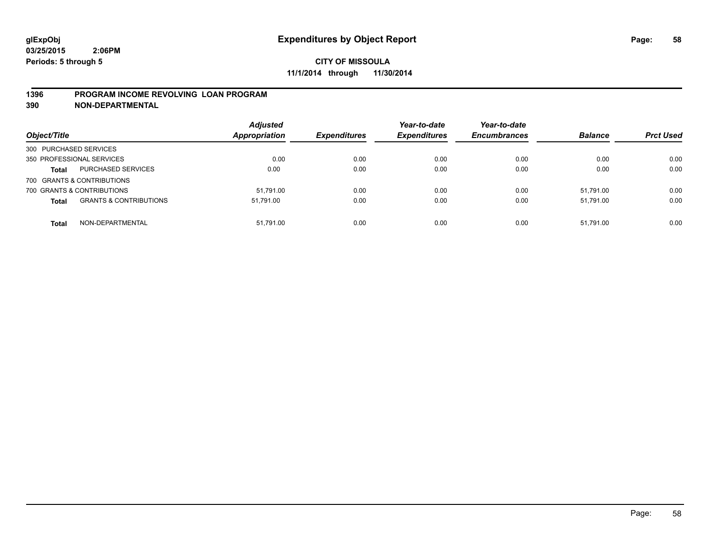#### **1396 PROGRAM INCOME REVOLVING LOAN PROGRAM**

**390 NON-DEPARTMENTAL**

| Object/Title               |                                   | <b>Adjusted</b><br>Appropriation | <b>Expenditures</b> | Year-to-date<br><b>Expenditures</b> | Year-to-date<br><b>Encumbrances</b> | <b>Balance</b> | <b>Prct Used</b> |
|----------------------------|-----------------------------------|----------------------------------|---------------------|-------------------------------------|-------------------------------------|----------------|------------------|
| 300 PURCHASED SERVICES     |                                   |                                  |                     |                                     |                                     |                |                  |
| 350 PROFESSIONAL SERVICES  |                                   | 0.00                             | 0.00                | 0.00                                | 0.00                                | 0.00           | 0.00             |
| <b>Total</b>               | PURCHASED SERVICES                | 0.00                             | 0.00                | 0.00                                | 0.00                                | 0.00           | 0.00             |
| 700 GRANTS & CONTRIBUTIONS |                                   |                                  |                     |                                     |                                     |                |                  |
| 700 GRANTS & CONTRIBUTIONS |                                   | 51.791.00                        | 0.00                | 0.00                                | 0.00                                | 51.791.00      | 0.00             |
| <b>Total</b>               | <b>GRANTS &amp; CONTRIBUTIONS</b> | 51,791.00                        | 0.00                | 0.00                                | 0.00                                | 51.791.00      | 0.00             |
| <b>Total</b>               | NON-DEPARTMENTAL                  | 51.791.00                        | 0.00                | 0.00                                | 0.00                                | 51.791.00      | 0.00             |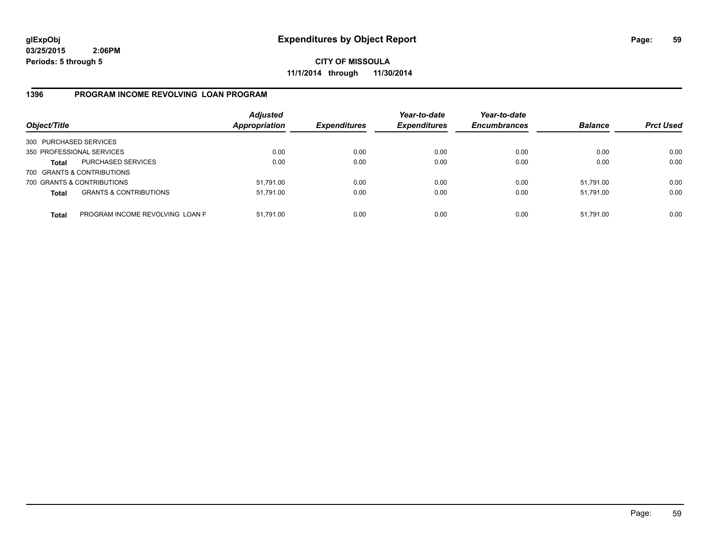**CITY OF MISSOULA 11/1/2014 through 11/30/2014**

## **1396 PROGRAM INCOME REVOLVING LOAN PROGRAM**

| Object/Title           |                                   | <b>Adjusted</b><br><b>Appropriation</b> | <b>Expenditures</b> | Year-to-date<br><b>Expenditures</b> | Year-to-date<br><b>Encumbrances</b> | <b>Balance</b> | <b>Prct Used</b> |
|------------------------|-----------------------------------|-----------------------------------------|---------------------|-------------------------------------|-------------------------------------|----------------|------------------|
| 300 PURCHASED SERVICES |                                   |                                         |                     |                                     |                                     |                |                  |
|                        | 350 PROFESSIONAL SERVICES         | 0.00                                    | 0.00                | 0.00                                | 0.00                                | 0.00           | 0.00             |
| Total                  | <b>PURCHASED SERVICES</b>         | 0.00                                    | 0.00                | 0.00                                | 0.00                                | 0.00           | 0.00             |
|                        | 700 GRANTS & CONTRIBUTIONS        |                                         |                     |                                     |                                     |                |                  |
|                        | 700 GRANTS & CONTRIBUTIONS        | 51,791.00                               | 0.00                | 0.00                                | 0.00                                | 51.791.00      | 0.00             |
| <b>Total</b>           | <b>GRANTS &amp; CONTRIBUTIONS</b> | 51,791.00                               | 0.00                | 0.00                                | 0.00                                | 51.791.00      | 0.00             |
| <b>Total</b>           | PROGRAM INCOME REVOLVING LOAN P   | 51,791.00                               | 0.00                | 0.00                                | 0.00                                | 51,791.00      | 0.00             |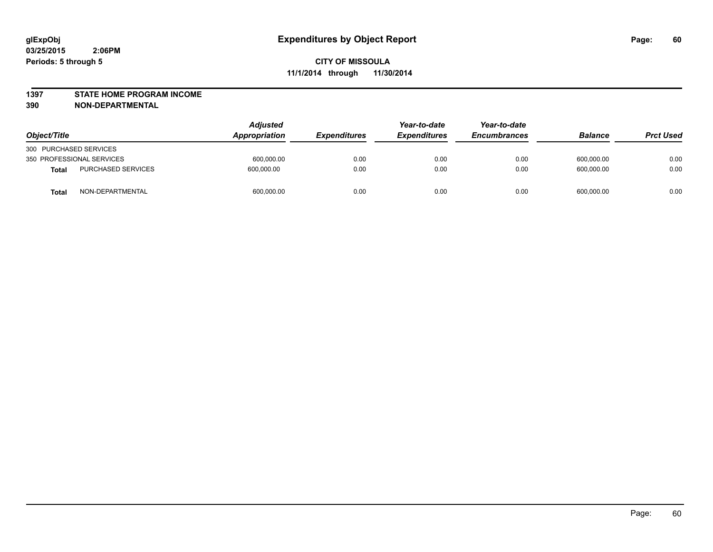#### **1397 STATE HOME PROGRAM INCOME**

**390 NON-DEPARTMENTAL**

| Object/Title                       |  | <b>Adjusted</b><br><b>Appropriation</b> | <i><b>Expenditures</b></i> | Year-to-date<br><b>Expenditures</b> | Year-to-date<br><b>Encumbrances</b> | <b>Balance</b> | <b>Prct Used</b> |
|------------------------------------|--|-----------------------------------------|----------------------------|-------------------------------------|-------------------------------------|----------------|------------------|
| 300 PURCHASED SERVICES             |  |                                         |                            |                                     |                                     |                |                  |
| 350 PROFESSIONAL SERVICES          |  | 600,000.00                              | 0.00                       | 0.00                                | 0.00                                | 600,000.00     | 0.00             |
| PURCHASED SERVICES<br><b>Total</b> |  | 600.000.00                              | 0.00                       | 0.00                                | 0.00                                | 600.000.00     | 0.00             |
| NON-DEPARTMENTAL<br><b>Total</b>   |  | 600,000.00                              | 0.00                       | 0.00                                | 0.00                                | 600,000.00     | 0.00             |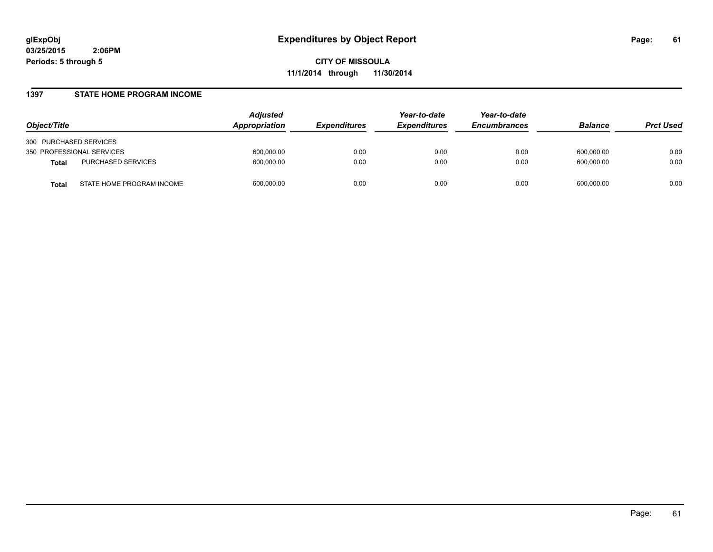**CITY OF MISSOULA 11/1/2014 through 11/30/2014**

#### **1397 STATE HOME PROGRAM INCOME**

| Object/Title                              | <b>Adjusted</b><br><b>Appropriation</b> | <b>Expenditures</b> | Year-to-date<br><b>Expenditures</b> | Year-to-date<br><b>Encumbrances</b> | <b>Balance</b> | <b>Prct Used</b> |
|-------------------------------------------|-----------------------------------------|---------------------|-------------------------------------|-------------------------------------|----------------|------------------|
| 300 PURCHASED SERVICES                    |                                         |                     |                                     |                                     |                |                  |
| 350 PROFESSIONAL SERVICES                 | 600,000.00                              | 0.00                | 0.00                                | 0.00                                | 600.000.00     | 0.00             |
| PURCHASED SERVICES<br><b>Total</b>        | 600,000.00                              | 0.00                | 0.00                                | 0.00                                | 600.000.00     | 0.00             |
| STATE HOME PROGRAM INCOME<br><b>Total</b> | 600,000.00                              | 0.00                | 0.00                                | 0.00                                | 600.000.00     | 0.00             |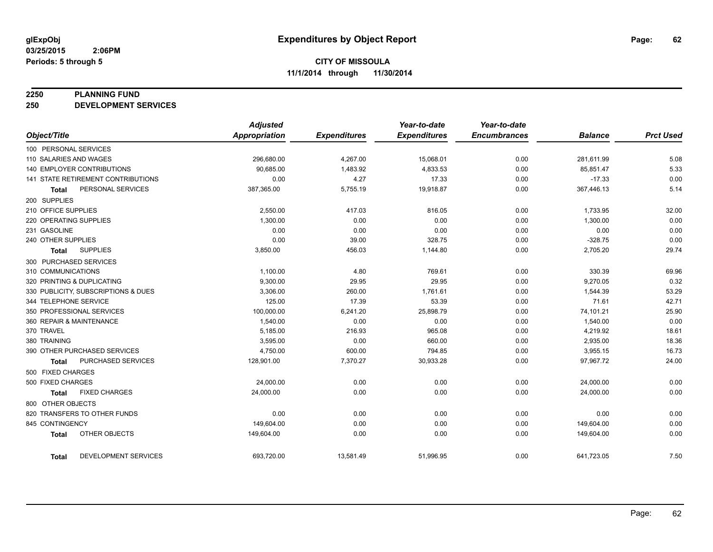#### **2250 PLANNING FUND**

**250 DEVELOPMENT SERVICES**

|                                             | <b>Adjusted</b>      |                     | Year-to-date        | Year-to-date        |                |                  |
|---------------------------------------------|----------------------|---------------------|---------------------|---------------------|----------------|------------------|
| Object/Title                                | <b>Appropriation</b> | <b>Expenditures</b> | <b>Expenditures</b> | <b>Encumbrances</b> | <b>Balance</b> | <b>Prct Used</b> |
| 100 PERSONAL SERVICES                       |                      |                     |                     |                     |                |                  |
| 110 SALARIES AND WAGES                      | 296,680.00           | 4,267.00            | 15,068.01           | 0.00                | 281.611.99     | 5.08             |
| 140 EMPLOYER CONTRIBUTIONS                  | 90,685.00            | 1,483.92            | 4,833.53            | 0.00                | 85,851.47      | 5.33             |
| 141 STATE RETIREMENT CONTRIBUTIONS          | 0.00                 | 4.27                | 17.33               | 0.00                | $-17.33$       | 0.00             |
| PERSONAL SERVICES<br><b>Total</b>           | 387,365.00           | 5,755.19            | 19,918.87           | 0.00                | 367,446.13     | 5.14             |
| 200 SUPPLIES                                |                      |                     |                     |                     |                |                  |
| 210 OFFICE SUPPLIES                         | 2,550.00             | 417.03              | 816.05              | 0.00                | 1,733.95       | 32.00            |
| 220 OPERATING SUPPLIES                      | 1,300.00             | 0.00                | 0.00                | 0.00                | 1,300.00       | 0.00             |
| 231 GASOLINE                                | 0.00                 | 0.00                | 0.00                | 0.00                | 0.00           | 0.00             |
| 240 OTHER SUPPLIES                          | 0.00                 | 39.00               | 328.75              | 0.00                | $-328.75$      | 0.00             |
| <b>SUPPLIES</b><br>Total                    | 3,850.00             | 456.03              | 1,144.80            | 0.00                | 2,705.20       | 29.74            |
| 300 PURCHASED SERVICES                      |                      |                     |                     |                     |                |                  |
| 310 COMMUNICATIONS                          | 1,100.00             | 4.80                | 769.61              | 0.00                | 330.39         | 69.96            |
| 320 PRINTING & DUPLICATING                  | 9,300.00             | 29.95               | 29.95               | 0.00                | 9,270.05       | 0.32             |
| 330 PUBLICITY, SUBSCRIPTIONS & DUES         | 3,306.00             | 260.00              | 1,761.61            | 0.00                | 1,544.39       | 53.29            |
| 344 TELEPHONE SERVICE                       | 125.00               | 17.39               | 53.39               | 0.00                | 71.61          | 42.71            |
| 350 PROFESSIONAL SERVICES                   | 100,000.00           | 6,241.20            | 25,898.79           | 0.00                | 74,101.21      | 25.90            |
| 360 REPAIR & MAINTENANCE                    | 1,540.00             | 0.00                | 0.00                | 0.00                | 1,540.00       | 0.00             |
| 370 TRAVEL                                  | 5,185.00             | 216.93              | 965.08              | 0.00                | 4,219.92       | 18.61            |
| 380 TRAINING                                | 3,595.00             | 0.00                | 660.00              | 0.00                | 2,935.00       | 18.36            |
| 390 OTHER PURCHASED SERVICES                | 4,750.00             | 600.00              | 794.85              | 0.00                | 3,955.15       | 16.73            |
| PURCHASED SERVICES<br><b>Total</b>          | 128,901.00           | 7,370.27            | 30,933.28           | 0.00                | 97,967.72      | 24.00            |
| 500 FIXED CHARGES                           |                      |                     |                     |                     |                |                  |
| 500 FIXED CHARGES                           | 24,000.00            | 0.00                | 0.00                | 0.00                | 24,000.00      | 0.00             |
| <b>FIXED CHARGES</b><br><b>Total</b>        | 24,000.00            | 0.00                | 0.00                | 0.00                | 24,000.00      | 0.00             |
| 800 OTHER OBJECTS                           |                      |                     |                     |                     |                |                  |
| 820 TRANSFERS TO OTHER FUNDS                | 0.00                 | 0.00                | 0.00                | 0.00                | 0.00           | 0.00             |
| 845 CONTINGENCY                             | 149,604.00           | 0.00                | 0.00                | 0.00                | 149,604.00     | 0.00             |
| OTHER OBJECTS<br><b>Total</b>               | 149,604.00           | 0.00                | 0.00                | 0.00                | 149,604.00     | 0.00             |
| <b>DEVELOPMENT SERVICES</b><br><b>Total</b> | 693,720.00           | 13,581.49           | 51,996.95           | 0.00                | 641,723.05     | 7.50             |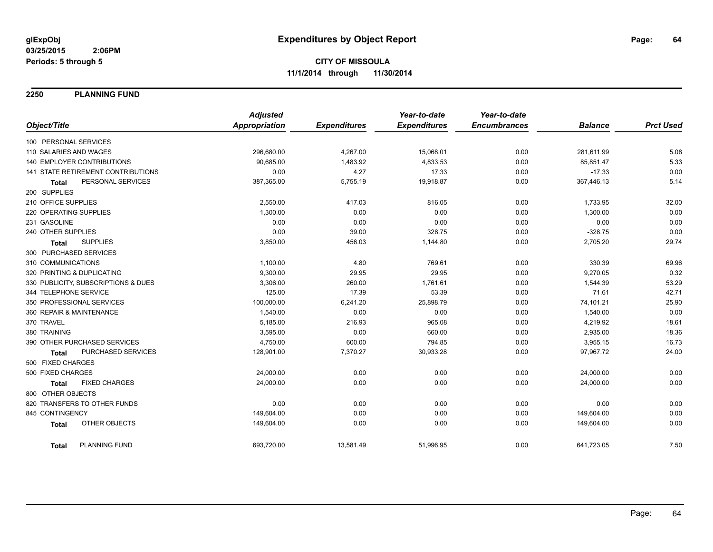**2250 PLANNING FUND**

|                                      | <b>Adjusted</b>      |                     | Year-to-date        | Year-to-date        |                |                  |
|--------------------------------------|----------------------|---------------------|---------------------|---------------------|----------------|------------------|
| Object/Title                         | <b>Appropriation</b> | <b>Expenditures</b> | <b>Expenditures</b> | <b>Encumbrances</b> | <b>Balance</b> | <b>Prct Used</b> |
| 100 PERSONAL SERVICES                |                      |                     |                     |                     |                |                  |
| 110 SALARIES AND WAGES               | 296,680.00           | 4,267.00            | 15,068.01           | 0.00                | 281,611.99     | 5.08             |
| <b>140 EMPLOYER CONTRIBUTIONS</b>    | 90,685.00            | 1,483.92            | 4,833.53            | 0.00                | 85,851.47      | 5.33             |
| 141 STATE RETIREMENT CONTRIBUTIONS   | 0.00                 | 4.27                | 17.33               | 0.00                | $-17.33$       | 0.00             |
| PERSONAL SERVICES<br><b>Total</b>    | 387,365.00           | 5,755.19            | 19,918.87           | 0.00                | 367,446.13     | 5.14             |
| 200 SUPPLIES                         |                      |                     |                     |                     |                |                  |
| 210 OFFICE SUPPLIES                  | 2,550.00             | 417.03              | 816.05              | 0.00                | 1,733.95       | 32.00            |
| 220 OPERATING SUPPLIES               | 1,300.00             | 0.00                | 0.00                | 0.00                | 1,300.00       | 0.00             |
| 231 GASOLINE                         | 0.00                 | 0.00                | 0.00                | 0.00                | 0.00           | 0.00             |
| 240 OTHER SUPPLIES                   | 0.00                 | 39.00               | 328.75              | 0.00                | $-328.75$      | 0.00             |
| <b>SUPPLIES</b><br><b>Total</b>      | 3,850.00             | 456.03              | 1,144.80            | 0.00                | 2,705.20       | 29.74            |
| 300 PURCHASED SERVICES               |                      |                     |                     |                     |                |                  |
| 310 COMMUNICATIONS                   | 1,100.00             | 4.80                | 769.61              | 0.00                | 330.39         | 69.96            |
| 320 PRINTING & DUPLICATING           | 9,300.00             | 29.95               | 29.95               | 0.00                | 9,270.05       | 0.32             |
| 330 PUBLICITY, SUBSCRIPTIONS & DUES  | 3,306.00             | 260.00              | 1,761.61            | 0.00                | 1,544.39       | 53.29            |
| 344 TELEPHONE SERVICE                | 125.00               | 17.39               | 53.39               | 0.00                | 71.61          | 42.71            |
| 350 PROFESSIONAL SERVICES            | 100,000.00           | 6,241.20            | 25,898.79           | 0.00                | 74,101.21      | 25.90            |
| 360 REPAIR & MAINTENANCE             | 1,540.00             | 0.00                | 0.00                | 0.00                | 1,540.00       | 0.00             |
| 370 TRAVEL                           | 5,185.00             | 216.93              | 965.08              | 0.00                | 4,219.92       | 18.61            |
| 380 TRAINING                         | 3,595.00             | 0.00                | 660.00              | 0.00                | 2,935.00       | 18.36            |
| 390 OTHER PURCHASED SERVICES         | 4,750.00             | 600.00              | 794.85              | 0.00                | 3,955.15       | 16.73            |
| PURCHASED SERVICES<br><b>Total</b>   | 128,901.00           | 7,370.27            | 30,933.28           | 0.00                | 97,967.72      | 24.00            |
| 500 FIXED CHARGES                    |                      |                     |                     |                     |                |                  |
| 500 FIXED CHARGES                    | 24,000.00            | 0.00                | 0.00                | 0.00                | 24,000.00      | 0.00             |
| <b>FIXED CHARGES</b><br><b>Total</b> | 24,000.00            | 0.00                | 0.00                | 0.00                | 24,000.00      | 0.00             |
| 800 OTHER OBJECTS                    |                      |                     |                     |                     |                |                  |
| 820 TRANSFERS TO OTHER FUNDS         | 0.00                 | 0.00                | 0.00                | 0.00                | 0.00           | 0.00             |
| 845 CONTINGENCY                      | 149,604.00           | 0.00                | 0.00                | 0.00                | 149,604.00     | 0.00             |
| OTHER OBJECTS<br><b>Total</b>        | 149,604.00           | 0.00                | 0.00                | 0.00                | 149,604.00     | 0.00             |
| <b>PLANNING FUND</b><br><b>Total</b> | 693,720.00           | 13,581.49           | 51,996.95           | 0.00                | 641,723.05     | 7.50             |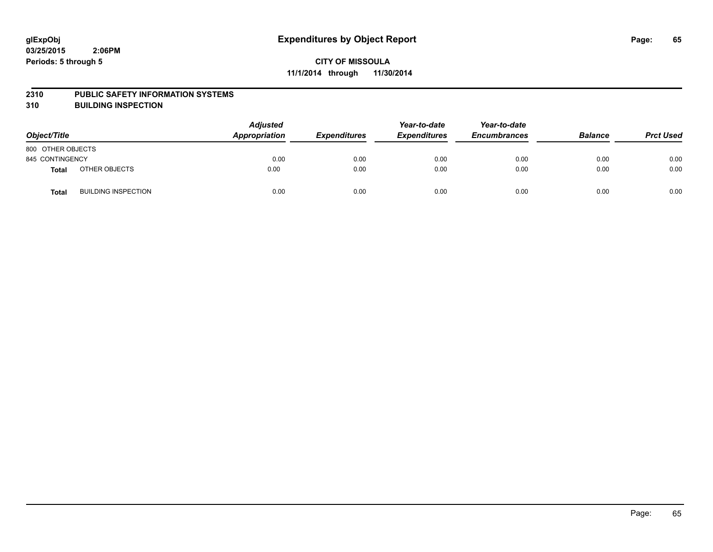#### **2310 PUBLIC SAFETY INFORMATION SYSTEMS**

**310 BUILDING INSPECTION**

| Object/Title      |                            | <b>Adjusted</b><br>Appropriation | <b>Expenditures</b> | Year-to-date<br><b>Expenditures</b> | Year-to-date<br><b>Encumbrances</b> | <b>Balance</b> | <b>Prct Used</b> |
|-------------------|----------------------------|----------------------------------|---------------------|-------------------------------------|-------------------------------------|----------------|------------------|
| 800 OTHER OBJECTS |                            |                                  |                     |                                     |                                     |                |                  |
| 845 CONTINGENCY   |                            | 0.00                             | 0.00                | 0.00                                | 0.00                                | 0.00           | 0.00             |
| <b>Total</b>      | OTHER OBJECTS              | 0.00                             | 0.00                | 0.00                                | 0.00                                | 0.00           | 0.00             |
| <b>Total</b>      | <b>BUILDING INSPECTION</b> | 0.00                             | 0.00                | 0.00                                | 0.00                                | 0.00           | 0.00             |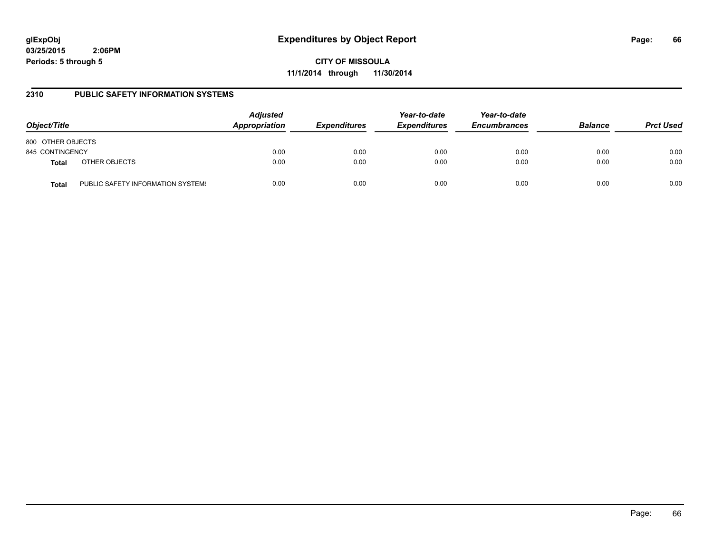# **glExpObj Expenditures by Object Report Page: 66**

**03/25/2015 2:06PM Periods: 5 through 5**

**CITY OF MISSOULA 11/1/2014 through 11/30/2014**

### **2310 PUBLIC SAFETY INFORMATION SYSTEMS**

| Object/Title      |                                   | <b>Adjusted</b><br><b>Appropriation</b> | <b>Expenditures</b> | Year-to-date<br><b>Expenditures</b> | Year-to-date<br><b>Encumbrances</b> | <b>Balance</b> | <b>Prct Used</b> |
|-------------------|-----------------------------------|-----------------------------------------|---------------------|-------------------------------------|-------------------------------------|----------------|------------------|
| 800 OTHER OBJECTS |                                   |                                         |                     |                                     |                                     |                |                  |
| 845 CONTINGENCY   |                                   | 0.00                                    | 0.00                | 0.00                                | 0.00                                | 0.00           | 0.00             |
| <b>Total</b>      | OTHER OBJECTS                     | 0.00                                    | 0.00                | 0.00                                | 0.00                                | 0.00           | 0.00             |
| <b>Total</b>      | PUBLIC SAFETY INFORMATION SYSTEM! | 0.00                                    | 0.00                | 0.00                                | 0.00                                | 0.00           | 0.00             |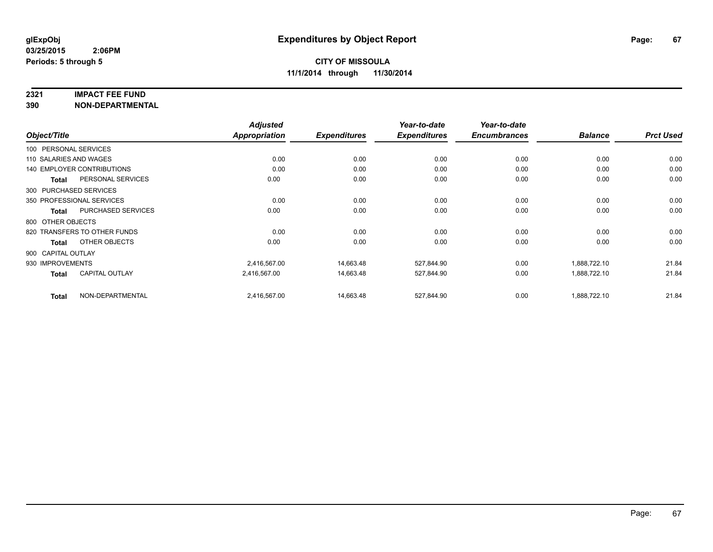#### **2321 IMPACT FEE FUND**

**390 NON-DEPARTMENTAL**

|                        |                                   | <b>Adjusted</b> |                     | Year-to-date        | Year-to-date        |                |                  |
|------------------------|-----------------------------------|-----------------|---------------------|---------------------|---------------------|----------------|------------------|
| Object/Title           |                                   | Appropriation   | <b>Expenditures</b> | <b>Expenditures</b> | <b>Encumbrances</b> | <b>Balance</b> | <b>Prct Used</b> |
| 100 PERSONAL SERVICES  |                                   |                 |                     |                     |                     |                |                  |
| 110 SALARIES AND WAGES |                                   | 0.00            | 0.00                | 0.00                | 0.00                | 0.00           | 0.00             |
|                        | <b>140 EMPLOYER CONTRIBUTIONS</b> | 0.00            | 0.00                | 0.00                | 0.00                | 0.00           | 0.00             |
| <b>Total</b>           | PERSONAL SERVICES                 | 0.00            | 0.00                | 0.00                | 0.00                | 0.00           | 0.00             |
|                        | 300 PURCHASED SERVICES            |                 |                     |                     |                     |                |                  |
|                        | 350 PROFESSIONAL SERVICES         | 0.00            | 0.00                | 0.00                | 0.00                | 0.00           | 0.00             |
| Total                  | <b>PURCHASED SERVICES</b>         | 0.00            | 0.00                | 0.00                | 0.00                | 0.00           | 0.00             |
| 800 OTHER OBJECTS      |                                   |                 |                     |                     |                     |                |                  |
|                        | 820 TRANSFERS TO OTHER FUNDS      | 0.00            | 0.00                | 0.00                | 0.00                | 0.00           | 0.00             |
| Total                  | OTHER OBJECTS                     | 0.00            | 0.00                | 0.00                | 0.00                | 0.00           | 0.00             |
| 900 CAPITAL OUTLAY     |                                   |                 |                     |                     |                     |                |                  |
| 930 IMPROVEMENTS       |                                   | 2,416,567.00    | 14,663.48           | 527,844.90          | 0.00                | 1,888,722.10   | 21.84            |
| Total                  | <b>CAPITAL OUTLAY</b>             | 2,416,567.00    | 14,663.48           | 527,844.90          | 0.00                | 1,888,722.10   | 21.84            |
| <b>Total</b>           | NON-DEPARTMENTAL                  | 2,416,567.00    | 14,663.48           | 527,844.90          | 0.00                | 1,888,722.10   | 21.84            |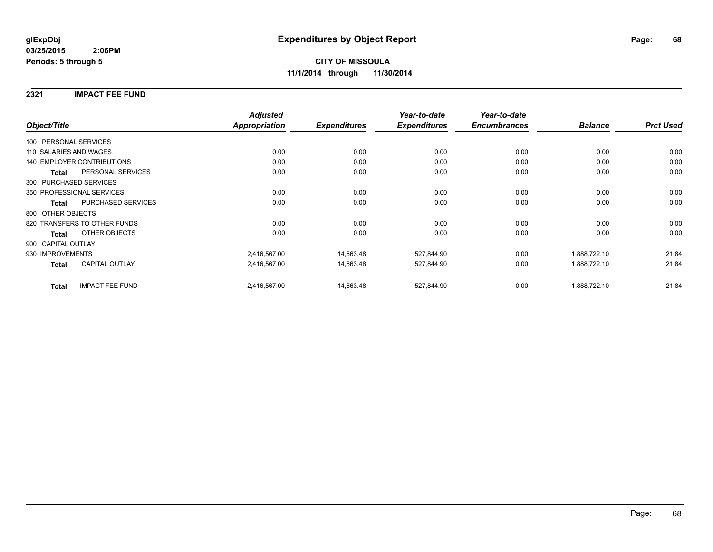#### **2321 IMPACT FEE FUND**

|                        |                                   | <b>Adjusted</b>      |                     | Year-to-date        | Year-to-date        |                |                  |
|------------------------|-----------------------------------|----------------------|---------------------|---------------------|---------------------|----------------|------------------|
| Object/Title           |                                   | <b>Appropriation</b> | <b>Expenditures</b> | <b>Expenditures</b> | <b>Encumbrances</b> | <b>Balance</b> | <b>Prct Used</b> |
| 100 PERSONAL SERVICES  |                                   |                      |                     |                     |                     |                |                  |
| 110 SALARIES AND WAGES |                                   | 0.00                 | 0.00                | 0.00                | 0.00                | 0.00           | 0.00             |
|                        | <b>140 EMPLOYER CONTRIBUTIONS</b> | 0.00                 | 0.00                | 0.00                | 0.00                | 0.00           | 0.00             |
| <b>Total</b>           | PERSONAL SERVICES                 | 0.00                 | 0.00                | 0.00                | 0.00                | 0.00           | 0.00             |
|                        | 300 PURCHASED SERVICES            |                      |                     |                     |                     |                |                  |
|                        | 350 PROFESSIONAL SERVICES         | 0.00                 | 0.00                | 0.00                | 0.00                | 0.00           | 0.00             |
| <b>Total</b>           | PURCHASED SERVICES                | 0.00                 | 0.00                | 0.00                | 0.00                | 0.00           | 0.00             |
| 800 OTHER OBJECTS      |                                   |                      |                     |                     |                     |                |                  |
|                        | 820 TRANSFERS TO OTHER FUNDS      | 0.00                 | 0.00                | 0.00                | 0.00                | 0.00           | 0.00             |
| <b>Total</b>           | OTHER OBJECTS                     | 0.00                 | 0.00                | 0.00                | 0.00                | 0.00           | 0.00             |
| 900 CAPITAL OUTLAY     |                                   |                      |                     |                     |                     |                |                  |
| 930 IMPROVEMENTS       |                                   | 2,416,567.00         | 14,663.48           | 527,844.90          | 0.00                | 1,888,722.10   | 21.84            |
| Total                  | <b>CAPITAL OUTLAY</b>             | 2,416,567.00         | 14,663.48           | 527,844.90          | 0.00                | 1,888,722.10   | 21.84            |
| <b>Total</b>           | <b>IMPACT FEE FUND</b>            | 2,416,567.00         | 14,663.48           | 527,844.90          | 0.00                | 1,888,722.10   | 21.84            |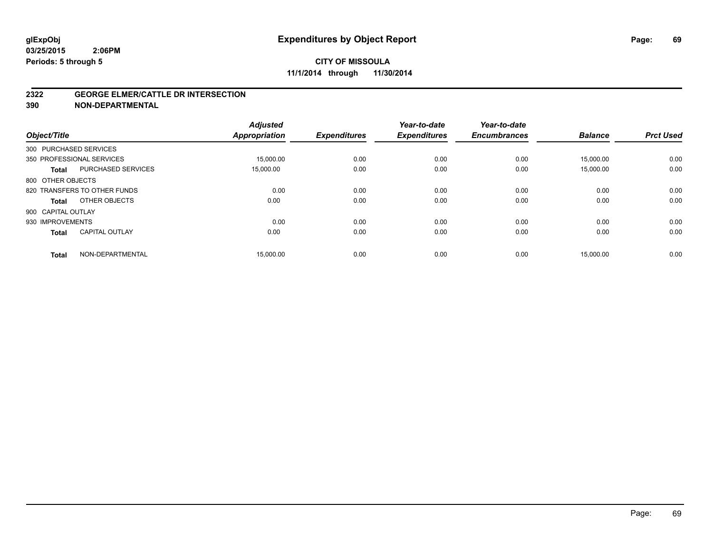#### **2322 GEORGE ELMER/CATTLE DR INTERSECTION**

**390 NON-DEPARTMENTAL**

| Object/Title           |                              | <b>Adjusted</b><br><b>Appropriation</b> | <b>Expenditures</b> | Year-to-date<br><b>Expenditures</b> | Year-to-date<br><b>Encumbrances</b> | <b>Balance</b> | <b>Prct Used</b> |
|------------------------|------------------------------|-----------------------------------------|---------------------|-------------------------------------|-------------------------------------|----------------|------------------|
| 300 PURCHASED SERVICES |                              |                                         |                     |                                     |                                     |                |                  |
|                        | 350 PROFESSIONAL SERVICES    | 15,000.00                               | 0.00                | 0.00                                | 0.00                                | 15,000.00      | 0.00             |
| <b>Total</b>           | <b>PURCHASED SERVICES</b>    | 15,000.00                               | 0.00                | 0.00                                | 0.00                                | 15,000.00      | 0.00             |
| 800 OTHER OBJECTS      |                              |                                         |                     |                                     |                                     |                |                  |
|                        | 820 TRANSFERS TO OTHER FUNDS | 0.00                                    | 0.00                | 0.00                                | 0.00                                | 0.00           | 0.00             |
| <b>Total</b>           | OTHER OBJECTS                | 0.00                                    | 0.00                | 0.00                                | 0.00                                | 0.00           | 0.00             |
| 900 CAPITAL OUTLAY     |                              |                                         |                     |                                     |                                     |                |                  |
| 930 IMPROVEMENTS       |                              | 0.00                                    | 0.00                | 0.00                                | 0.00                                | 0.00           | 0.00             |
| <b>Total</b>           | <b>CAPITAL OUTLAY</b>        | 0.00                                    | 0.00                | 0.00                                | 0.00                                | 0.00           | 0.00             |
| <b>Total</b>           | NON-DEPARTMENTAL             | 15,000.00                               | 0.00                | 0.00                                | 0.00                                | 15,000.00      | 0.00             |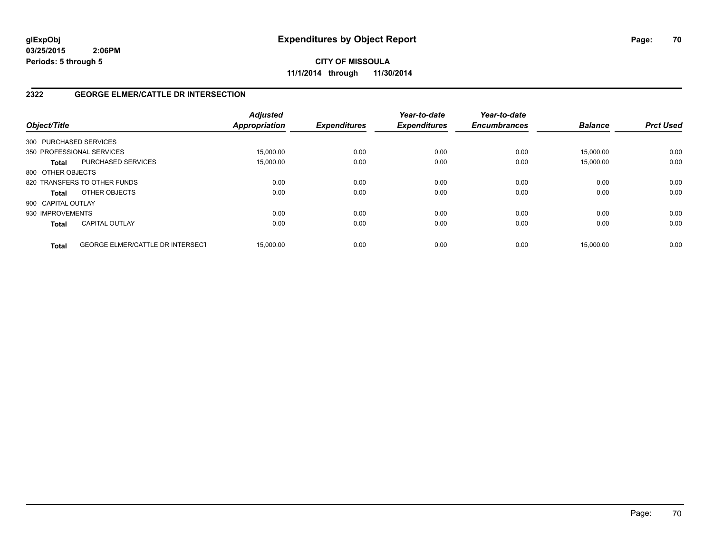**CITY OF MISSOULA 11/1/2014 through 11/30/2014**

## **2322 GEORGE ELMER/CATTLE DR INTERSECTION**

| Object/Title       |                                         | <b>Adjusted</b><br>Appropriation | <b>Expenditures</b> | Year-to-date<br><b>Expenditures</b> | Year-to-date<br><b>Encumbrances</b> | <b>Balance</b> | <b>Prct Used</b> |
|--------------------|-----------------------------------------|----------------------------------|---------------------|-------------------------------------|-------------------------------------|----------------|------------------|
|                    | 300 PURCHASED SERVICES                  |                                  |                     |                                     |                                     |                |                  |
|                    | 350 PROFESSIONAL SERVICES               | 15.000.00                        | 0.00                | 0.00                                | 0.00                                | 15.000.00      | 0.00             |
| <b>Total</b>       | <b>PURCHASED SERVICES</b>               | 15,000.00                        | 0.00                | 0.00                                | 0.00                                | 15.000.00      | 0.00             |
| 800 OTHER OBJECTS  |                                         |                                  |                     |                                     |                                     |                |                  |
|                    | 820 TRANSFERS TO OTHER FUNDS            | 0.00                             | 0.00                | 0.00                                | 0.00                                | 0.00           | 0.00             |
| <b>Total</b>       | OTHER OBJECTS                           | 0.00                             | 0.00                | 0.00                                | 0.00                                | 0.00           | 0.00             |
| 900 CAPITAL OUTLAY |                                         |                                  |                     |                                     |                                     |                |                  |
| 930 IMPROVEMENTS   |                                         | 0.00                             | 0.00                | 0.00                                | 0.00                                | 0.00           | 0.00             |
| <b>Total</b>       | <b>CAPITAL OUTLAY</b>                   | 0.00                             | 0.00                | 0.00                                | 0.00                                | 0.00           | 0.00             |
| <b>Total</b>       | <b>GEORGE ELMER/CATTLE DR INTERSECT</b> | 15.000.00                        | 0.00                | 0.00                                | 0.00                                | 15.000.00      | 0.00             |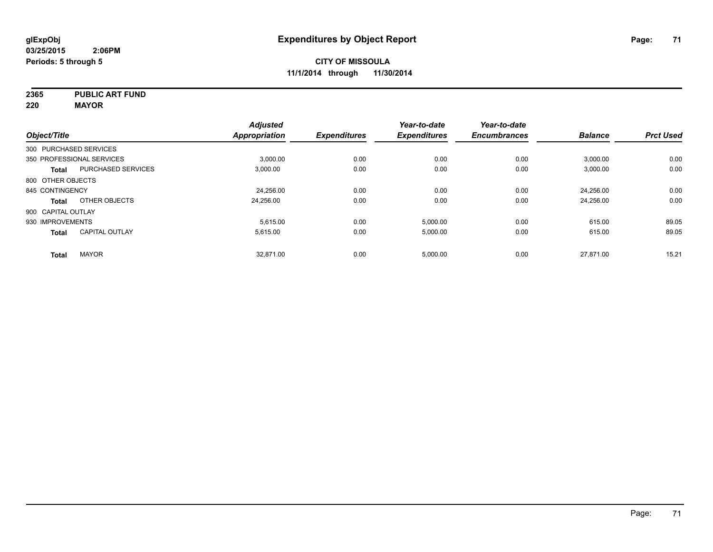**2365 PUBLIC ART FUND**

**220 MAYOR**

|                        |                           | <b>Adjusted</b> |                     | Year-to-date        | Year-to-date        |                |                  |
|------------------------|---------------------------|-----------------|---------------------|---------------------|---------------------|----------------|------------------|
| Object/Title           |                           | Appropriation   | <b>Expenditures</b> | <b>Expenditures</b> | <b>Encumbrances</b> | <b>Balance</b> | <b>Prct Used</b> |
| 300 PURCHASED SERVICES |                           |                 |                     |                     |                     |                |                  |
|                        | 350 PROFESSIONAL SERVICES | 3,000.00        | 0.00                | 0.00                | 0.00                | 3,000.00       | 0.00             |
| <b>Total</b>           | <b>PURCHASED SERVICES</b> | 3,000.00        | 0.00                | 0.00                | 0.00                | 3,000.00       | 0.00             |
| 800 OTHER OBJECTS      |                           |                 |                     |                     |                     |                |                  |
| 845 CONTINGENCY        |                           | 24,256.00       | 0.00                | 0.00                | 0.00                | 24.256.00      | 0.00             |
| Total                  | OTHER OBJECTS             | 24,256.00       | 0.00                | 0.00                | 0.00                | 24,256.00      | 0.00             |
| 900 CAPITAL OUTLAY     |                           |                 |                     |                     |                     |                |                  |
| 930 IMPROVEMENTS       |                           | 5.615.00        | 0.00                | 5,000.00            | 0.00                | 615.00         | 89.05            |
| <b>Total</b>           | <b>CAPITAL OUTLAY</b>     | 5.615.00        | 0.00                | 5,000.00            | 0.00                | 615.00         | 89.05            |
| <b>Total</b>           | <b>MAYOR</b>              | 32,871.00       | 0.00                | 5,000.00            | 0.00                | 27.871.00      | 15.21            |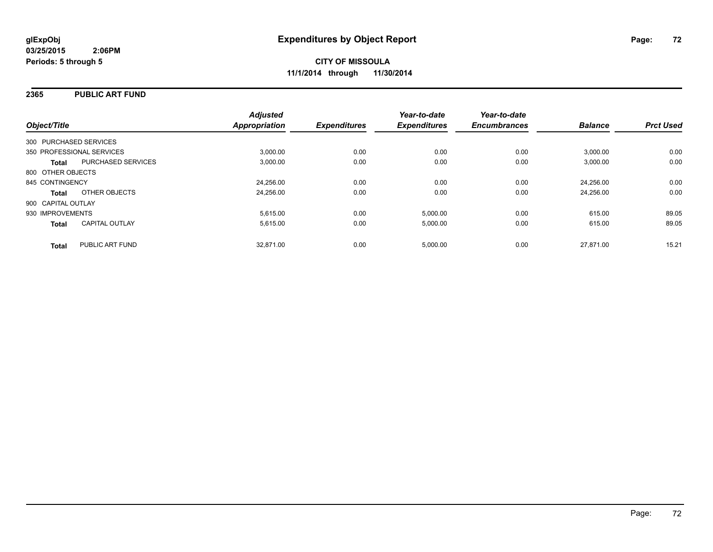#### **2365 PUBLIC ART FUND**

| Object/Title                              | <b>Adjusted</b><br><b>Appropriation</b> | <b>Expenditures</b> | Year-to-date<br><b>Expenditures</b> | Year-to-date<br><b>Encumbrances</b> | <b>Balance</b> | <b>Prct Used</b> |
|-------------------------------------------|-----------------------------------------|---------------------|-------------------------------------|-------------------------------------|----------------|------------------|
| 300 PURCHASED SERVICES                    |                                         |                     |                                     |                                     |                |                  |
| 350 PROFESSIONAL SERVICES                 | 3.000.00                                | 0.00                | 0.00                                | 0.00                                | 3,000.00       | 0.00             |
| <b>PURCHASED SERVICES</b><br><b>Total</b> | 3.000.00                                | 0.00                | 0.00                                | 0.00                                | 3,000.00       | 0.00             |
| 800 OTHER OBJECTS                         |                                         |                     |                                     |                                     |                |                  |
| 845 CONTINGENCY                           | 24,256.00                               | 0.00                | 0.00                                | 0.00                                | 24.256.00      | 0.00             |
| OTHER OBJECTS<br><b>Total</b>             | 24,256.00                               | 0.00                | 0.00                                | 0.00                                | 24.256.00      | 0.00             |
| 900 CAPITAL OUTLAY                        |                                         |                     |                                     |                                     |                |                  |
| 930 IMPROVEMENTS                          | 5,615.00                                | 0.00                | 5,000.00                            | 0.00                                | 615.00         | 89.05            |
| <b>CAPITAL OUTLAY</b><br><b>Total</b>     | 5,615.00                                | 0.00                | 5,000.00                            | 0.00                                | 615.00         | 89.05            |
| PUBLIC ART FUND<br><b>Total</b>           | 32.871.00                               | 0.00                | 5,000.00                            | 0.00                                | 27.871.00      | 15.21            |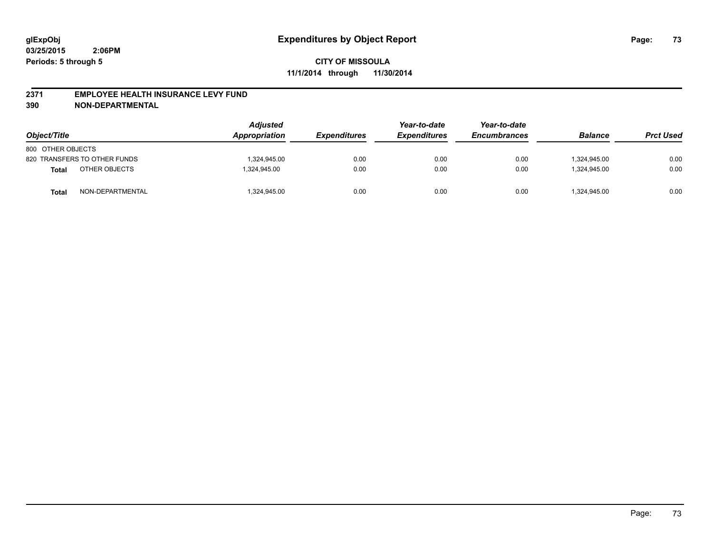#### **2371 EMPLOYEE HEALTH INSURANCE LEVY FUND**

**390 NON-DEPARTMENTAL**

| Object/Title      |                              | <b>Adjusted</b><br>Appropriation | <b>Expenditures</b> | Year-to-date<br><b>Expenditures</b> | Year-to-date<br><b>Encumbrances</b> | <b>Balance</b> | <b>Prct Used</b> |
|-------------------|------------------------------|----------------------------------|---------------------|-------------------------------------|-------------------------------------|----------------|------------------|
| 800 OTHER OBJECTS |                              |                                  |                     |                                     |                                     |                |                  |
|                   | 820 TRANSFERS TO OTHER FUNDS | 1.324.945.00                     | 0.00                | 0.00                                | 0.00                                | 1.324.945.00   | 0.00             |
| Total             | OTHER OBJECTS                | 1.324.945.00                     | 0.00                | 0.00                                | 0.00                                | 1.324.945.00   | 0.00             |
| Total             | NON-DEPARTMENTAL             | 1,324,945.00                     | 0.00                | 0.00                                | 0.00                                | 1,324,945.00   | 0.00             |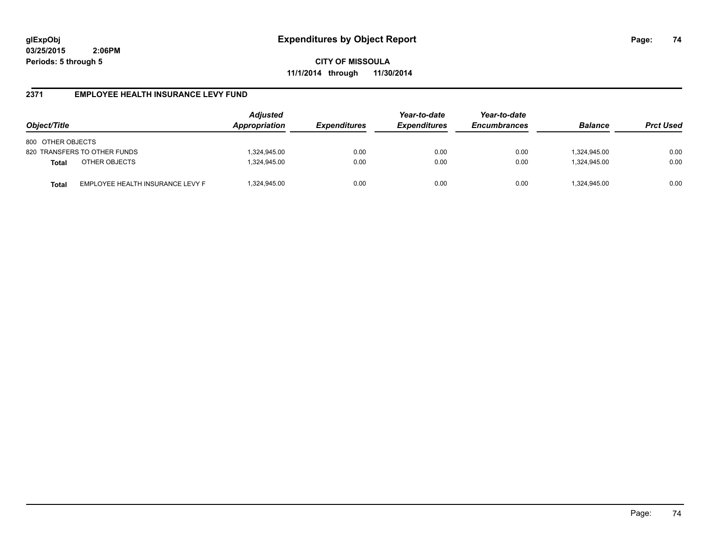**CITY OF MISSOULA 11/1/2014 through 11/30/2014**

## **2371 EMPLOYEE HEALTH INSURANCE LEVY FUND**

| Object/Title                                     | <b>Adjusted</b><br>Appropriation | <i><b>Expenditures</b></i> | Year-to-date<br><b>Expenditures</b> | Year-to-date<br><b>Encumbrances</b> | <b>Balance</b> | <b>Prct Used</b> |
|--------------------------------------------------|----------------------------------|----------------------------|-------------------------------------|-------------------------------------|----------------|------------------|
| 800 OTHER OBJECTS                                |                                  |                            |                                     |                                     |                |                  |
| 820 TRANSFERS TO OTHER FUNDS                     | 1,324,945.00                     | 0.00                       | 0.00                                | 0.00                                | 324,945.00     | 0.00             |
| OTHER OBJECTS<br><b>Total</b>                    | 1,324,945.00                     | 0.00                       | 0.00                                | 0.00                                | 1.324.945.00   | 0.00             |
| EMPLOYEE HEALTH INSURANCE LEVY F<br><b>Total</b> | 1,324,945.00                     | 0.00                       | 0.00                                | 0.00                                | 324,945.00     | 0.00             |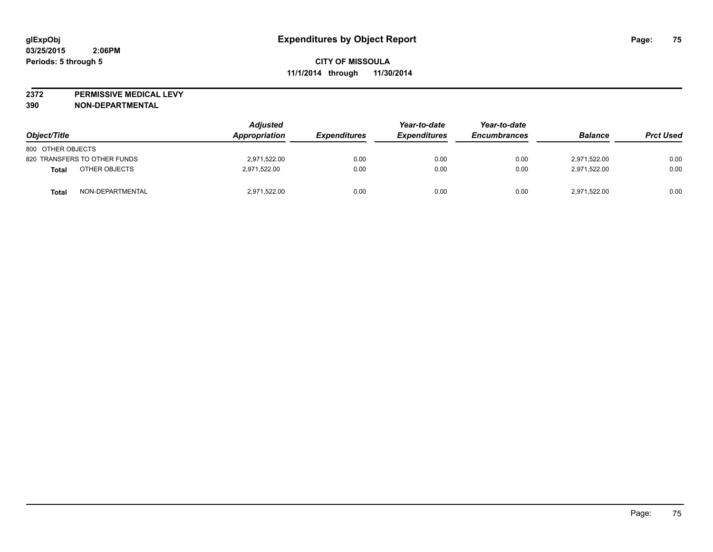**2372 PERMISSIVE MEDICAL LEVY**

**390 NON-DEPARTMENTAL**

| Object/Title                 | <b>Adjusted</b><br>Appropriation | <b>Expenditures</b> | Year-to-date<br><b>Expenditures</b> | Year-to-date<br><b>Encumbrances</b> | <b>Balance</b> | <b>Prct Used</b> |
|------------------------------|----------------------------------|---------------------|-------------------------------------|-------------------------------------|----------------|------------------|
| 800 OTHER OBJECTS            |                                  |                     |                                     |                                     |                |                  |
| 820 TRANSFERS TO OTHER FUNDS | 2,971,522.00                     | 0.00                | 0.00                                | 0.00                                | 2.971.522.00   | 0.00             |
| OTHER OBJECTS<br>Total       | 2,971,522.00                     | 0.00                | 0.00                                | 0.00                                | 2,971,522.00   | 0.00             |
| NON-DEPARTMENTAL<br>Total    | 2,971,522.00                     | 0.00                | 0.00                                | 0.00                                | 2,971,522.00   | 0.00             |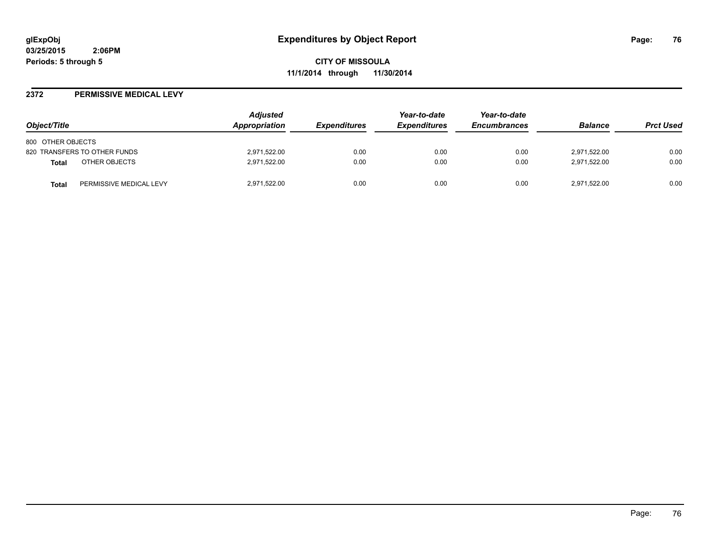#### **2372 PERMISSIVE MEDICAL LEVY**

| Object/Title                            | <b>Adjusted</b><br>Appropriation | <b>Expenditures</b> | Year-to-date<br><b>Expenditures</b> | Year-to-date<br><b>Encumbrances</b> | <b>Balance</b> | <b>Prct Used</b> |
|-----------------------------------------|----------------------------------|---------------------|-------------------------------------|-------------------------------------|----------------|------------------|
| 800 OTHER OBJECTS                       |                                  |                     |                                     |                                     |                |                  |
| 820 TRANSFERS TO OTHER FUNDS            | 2,971,522.00                     | 0.00                | 0.00                                | 0.00                                | 2,971,522.00   | 0.00             |
| OTHER OBJECTS<br><b>Total</b>           | 2,971,522.00                     | 0.00                | 0.00                                | 0.00                                | 2,971,522.00   | 0.00             |
| PERMISSIVE MEDICAL LEVY<br><b>Total</b> | 2,971,522.00                     | 0.00                | 0.00                                | 0.00                                | 2,971,522.00   | 0.00             |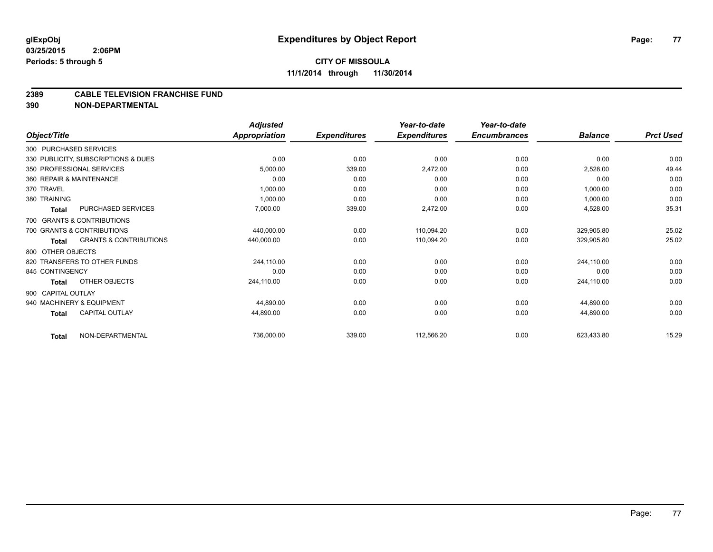#### **CITY OF MISSOULA 11/1/2014 through 11/30/2014**

#### **2389 CABLE TELEVISION FRANCHISE FUND**

**390 NON-DEPARTMENTAL**

|                        |                                     | <b>Adjusted</b>      |                     | Year-to-date        | Year-to-date        |                |                  |
|------------------------|-------------------------------------|----------------------|---------------------|---------------------|---------------------|----------------|------------------|
| Object/Title           |                                     | <b>Appropriation</b> | <b>Expenditures</b> | <b>Expenditures</b> | <b>Encumbrances</b> | <b>Balance</b> | <b>Prct Used</b> |
| 300 PURCHASED SERVICES |                                     |                      |                     |                     |                     |                |                  |
|                        | 330 PUBLICITY, SUBSCRIPTIONS & DUES | 0.00                 | 0.00                | 0.00                | 0.00                | 0.00           | 0.00             |
|                        | 350 PROFESSIONAL SERVICES           | 5,000.00             | 339.00              | 2,472.00            | 0.00                | 2,528.00       | 49.44            |
|                        | 360 REPAIR & MAINTENANCE            | 0.00                 | 0.00                | 0.00                | 0.00                | 0.00           | 0.00             |
| 370 TRAVEL             |                                     | 1,000.00             | 0.00                | 0.00                | 0.00                | 1,000.00       | 0.00             |
| 380 TRAINING           |                                     | 1,000.00             | 0.00                | 0.00                | 0.00                | 1,000.00       | 0.00             |
| Total                  | PURCHASED SERVICES                  | 7,000.00             | 339.00              | 2,472.00            | 0.00                | 4,528.00       | 35.31            |
|                        | 700 GRANTS & CONTRIBUTIONS          |                      |                     |                     |                     |                |                  |
|                        | 700 GRANTS & CONTRIBUTIONS          | 440,000.00           | 0.00                | 110,094.20          | 0.00                | 329,905.80     | 25.02            |
| <b>Total</b>           | <b>GRANTS &amp; CONTRIBUTIONS</b>   | 440,000.00           | 0.00                | 110,094.20          | 0.00                | 329,905.80     | 25.02            |
| 800 OTHER OBJECTS      |                                     |                      |                     |                     |                     |                |                  |
|                        | 820 TRANSFERS TO OTHER FUNDS        | 244.110.00           | 0.00                | 0.00                | 0.00                | 244,110.00     | 0.00             |
| 845 CONTINGENCY        |                                     | 0.00                 | 0.00                | 0.00                | 0.00                | 0.00           | 0.00             |
| Total                  | OTHER OBJECTS                       | 244,110.00           | 0.00                | 0.00                | 0.00                | 244,110.00     | 0.00             |
| 900 CAPITAL OUTLAY     |                                     |                      |                     |                     |                     |                |                  |
|                        | 940 MACHINERY & EQUIPMENT           | 44,890.00            | 0.00                | 0.00                | 0.00                | 44,890.00      | 0.00             |
| Total                  | <b>CAPITAL OUTLAY</b>               | 44,890.00            | 0.00                | 0.00                | 0.00                | 44,890.00      | 0.00             |
| <b>Total</b>           | NON-DEPARTMENTAL                    | 736,000.00           | 339.00              | 112,566.20          | 0.00                | 623,433.80     | 15.29            |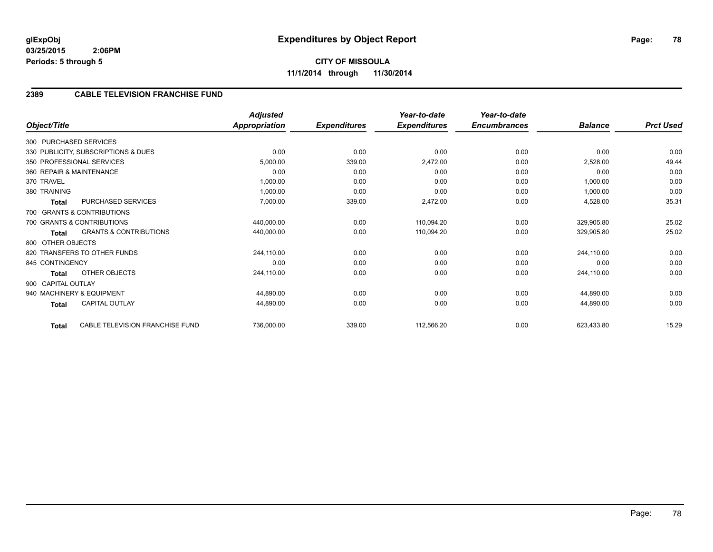**CITY OF MISSOULA 11/1/2014 through 11/30/2014**

## **2389 CABLE TELEVISION FRANCHISE FUND**

|                    |                                     | <b>Adjusted</b>      |                     | Year-to-date        | Year-to-date        |                |                  |
|--------------------|-------------------------------------|----------------------|---------------------|---------------------|---------------------|----------------|------------------|
| Object/Title       |                                     | <b>Appropriation</b> | <b>Expenditures</b> | <b>Expenditures</b> | <b>Encumbrances</b> | <b>Balance</b> | <b>Prct Used</b> |
|                    | 300 PURCHASED SERVICES              |                      |                     |                     |                     |                |                  |
|                    | 330 PUBLICITY, SUBSCRIPTIONS & DUES | 0.00                 | 0.00                | 0.00                | 0.00                | 0.00           | 0.00             |
|                    | 350 PROFESSIONAL SERVICES           | 5,000.00             | 339.00              | 2,472.00            | 0.00                | 2,528.00       | 49.44            |
|                    | 360 REPAIR & MAINTENANCE            | 0.00                 | 0.00                | 0.00                | 0.00                | 0.00           | 0.00             |
| 370 TRAVEL         |                                     | 1,000.00             | 0.00                | 0.00                | 0.00                | 1,000.00       | 0.00             |
| 380 TRAINING       |                                     | 1,000.00             | 0.00                | 0.00                | 0.00                | 1,000.00       | 0.00             |
| <b>Total</b>       | PURCHASED SERVICES                  | 7,000.00             | 339.00              | 2,472.00            | 0.00                | 4,528.00       | 35.31            |
|                    | 700 GRANTS & CONTRIBUTIONS          |                      |                     |                     |                     |                |                  |
|                    | 700 GRANTS & CONTRIBUTIONS          | 440,000.00           | 0.00                | 110,094.20          | 0.00                | 329,905.80     | 25.02            |
| Total              | <b>GRANTS &amp; CONTRIBUTIONS</b>   | 440,000.00           | 0.00                | 110,094.20          | 0.00                | 329,905.80     | 25.02            |
| 800 OTHER OBJECTS  |                                     |                      |                     |                     |                     |                |                  |
|                    | 820 TRANSFERS TO OTHER FUNDS        | 244,110.00           | 0.00                | 0.00                | 0.00                | 244,110.00     | 0.00             |
| 845 CONTINGENCY    |                                     | 0.00                 | 0.00                | 0.00                | 0.00                | 0.00           | 0.00             |
| Total              | OTHER OBJECTS                       | 244,110.00           | 0.00                | 0.00                | 0.00                | 244,110.00     | 0.00             |
| 900 CAPITAL OUTLAY |                                     |                      |                     |                     |                     |                |                  |
|                    | 940 MACHINERY & EQUIPMENT           | 44,890.00            | 0.00                | 0.00                | 0.00                | 44,890.00      | 0.00             |
| <b>Total</b>       | <b>CAPITAL OUTLAY</b>               | 44,890.00            | 0.00                | 0.00                | 0.00                | 44,890.00      | 0.00             |
| <b>Total</b>       | CABLE TELEVISION FRANCHISE FUND     | 736,000.00           | 339.00              | 112,566.20          | 0.00                | 623,433.80     | 15.29            |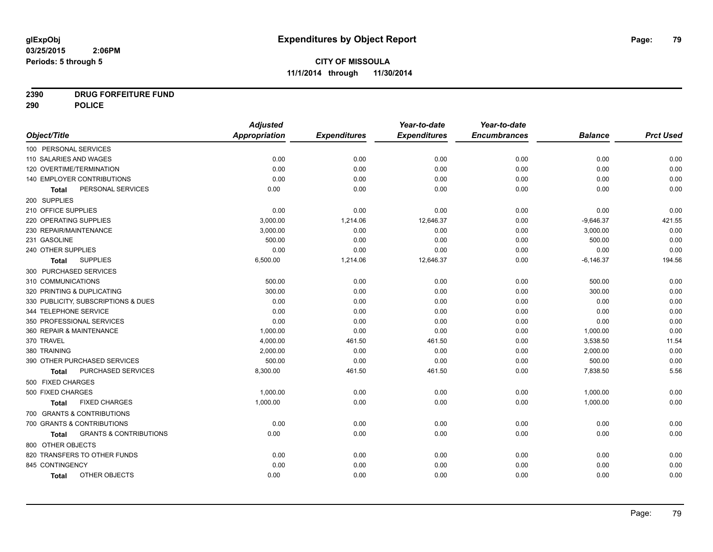## **2390 DRUG FORFEITURE FUND**

**290 POLICE**

|                                            | <b>Adjusted</b> |                     | Year-to-date        | Year-to-date        |                |                  |
|--------------------------------------------|-----------------|---------------------|---------------------|---------------------|----------------|------------------|
| Object/Title                               | Appropriation   | <b>Expenditures</b> | <b>Expenditures</b> | <b>Encumbrances</b> | <b>Balance</b> | <b>Prct Used</b> |
| 100 PERSONAL SERVICES                      |                 |                     |                     |                     |                |                  |
| 110 SALARIES AND WAGES                     | 0.00            | 0.00                | 0.00                | 0.00                | 0.00           | 0.00             |
| 120 OVERTIME/TERMINATION                   | 0.00            | 0.00                | 0.00                | 0.00                | 0.00           | 0.00             |
| 140 EMPLOYER CONTRIBUTIONS                 | 0.00            | 0.00                | 0.00                | 0.00                | 0.00           | 0.00             |
| PERSONAL SERVICES<br>Total                 | 0.00            | 0.00                | 0.00                | 0.00                | 0.00           | 0.00             |
| 200 SUPPLIES                               |                 |                     |                     |                     |                |                  |
| 210 OFFICE SUPPLIES                        | 0.00            | 0.00                | 0.00                | 0.00                | 0.00           | 0.00             |
| 220 OPERATING SUPPLIES                     | 3,000.00        | 1,214.06            | 12,646.37           | 0.00                | $-9,646.37$    | 421.55           |
| 230 REPAIR/MAINTENANCE                     | 3,000.00        | 0.00                | 0.00                | 0.00                | 3,000.00       | 0.00             |
| 231 GASOLINE                               | 500.00          | 0.00                | 0.00                | 0.00                | 500.00         | 0.00             |
| 240 OTHER SUPPLIES                         | 0.00            | 0.00                | 0.00                | 0.00                | 0.00           | 0.00             |
| <b>SUPPLIES</b><br><b>Total</b>            | 6,500.00        | 1,214.06            | 12,646.37           | 0.00                | $-6,146.37$    | 194.56           |
| 300 PURCHASED SERVICES                     |                 |                     |                     |                     |                |                  |
| 310 COMMUNICATIONS                         | 500.00          | 0.00                | 0.00                | 0.00                | 500.00         | 0.00             |
| 320 PRINTING & DUPLICATING                 | 300.00          | 0.00                | 0.00                | 0.00                | 300.00         | 0.00             |
| 330 PUBLICITY, SUBSCRIPTIONS & DUES        | 0.00            | 0.00                | 0.00                | 0.00                | 0.00           | 0.00             |
| 344 TELEPHONE SERVICE                      | 0.00            | 0.00                | 0.00                | 0.00                | 0.00           | 0.00             |
| 350 PROFESSIONAL SERVICES                  | 0.00            | 0.00                | 0.00                | 0.00                | 0.00           | 0.00             |
| 360 REPAIR & MAINTENANCE                   | 1,000.00        | 0.00                | 0.00                | 0.00                | 1,000.00       | 0.00             |
| 370 TRAVEL                                 | 4,000.00        | 461.50              | 461.50              | 0.00                | 3,538.50       | 11.54            |
| 380 TRAINING                               | 2,000.00        | 0.00                | 0.00                | 0.00                | 2,000.00       | 0.00             |
| 390 OTHER PURCHASED SERVICES               | 500.00          | 0.00                | 0.00                | 0.00                | 500.00         | 0.00             |
| <b>PURCHASED SERVICES</b><br>Total         | 8,300.00        | 461.50              | 461.50              | 0.00                | 7,838.50       | 5.56             |
| 500 FIXED CHARGES                          |                 |                     |                     |                     |                |                  |
| 500 FIXED CHARGES                          | 1,000.00        | 0.00                | 0.00                | 0.00                | 1,000.00       | 0.00             |
| <b>FIXED CHARGES</b><br>Total              | 1,000.00        | 0.00                | 0.00                | 0.00                | 1,000.00       | 0.00             |
| 700 GRANTS & CONTRIBUTIONS                 |                 |                     |                     |                     |                |                  |
| 700 GRANTS & CONTRIBUTIONS                 | 0.00            | 0.00                | 0.00                | 0.00                | 0.00           | 0.00             |
| <b>GRANTS &amp; CONTRIBUTIONS</b><br>Total | 0.00            | 0.00                | 0.00                | 0.00                | 0.00           | 0.00             |
| 800 OTHER OBJECTS                          |                 |                     |                     |                     |                |                  |
| 820 TRANSFERS TO OTHER FUNDS               | 0.00            | 0.00                | 0.00                | 0.00                | 0.00           | 0.00             |
| 845 CONTINGENCY                            | 0.00            | 0.00                | 0.00                | 0.00                | 0.00           | 0.00             |
| OTHER OBJECTS<br>Total                     | 0.00            | 0.00                | 0.00                | 0.00                | 0.00           | 0.00             |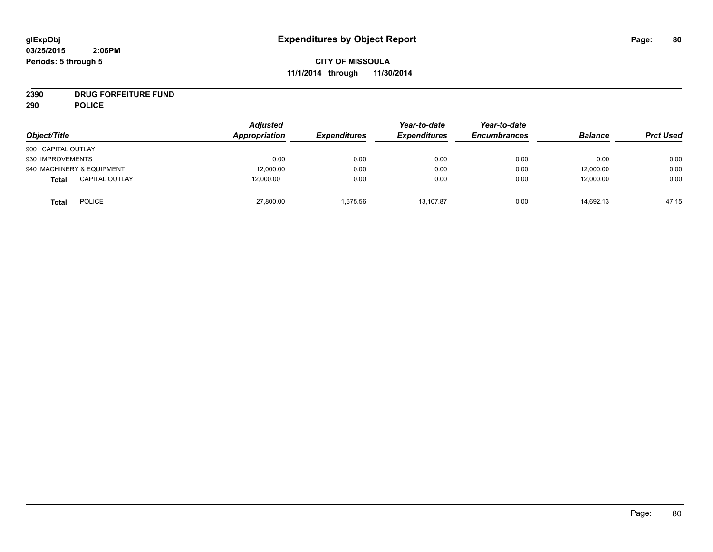# **2390 DRUG FORFEITURE FUND**

**290 POLICE**

| Object/Title                          | <b>Adjusted</b><br>Appropriation | <b>Expenditures</b> | Year-to-date<br><b>Expenditures</b> | Year-to-date<br><b>Encumbrances</b> | <b>Balance</b> | <b>Prct Used</b> |
|---------------------------------------|----------------------------------|---------------------|-------------------------------------|-------------------------------------|----------------|------------------|
| 900 CAPITAL OUTLAY                    |                                  |                     |                                     |                                     |                |                  |
| 930 IMPROVEMENTS                      | 0.00                             | 0.00                | 0.00                                | 0.00                                | 0.00           | 0.00             |
| 940 MACHINERY & EQUIPMENT             | 12,000.00                        | 0.00                | 0.00                                | 0.00                                | 12,000.00      | 0.00             |
| <b>CAPITAL OUTLAY</b><br><b>Total</b> | 12,000.00                        | 0.00                | 0.00                                | 0.00                                | 12,000.00      | 0.00             |
| <b>POLICE</b><br><b>Total</b>         | 27,800.00                        | 1.675.56            | 13.107.87                           | 0.00                                | 14,692.13      | 47.15            |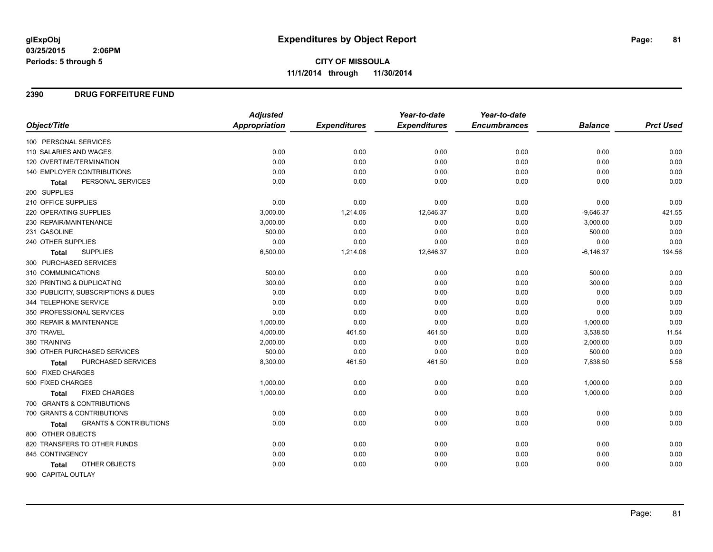#### **2390 DRUG FORFEITURE FUND**

|                                                   | <b>Adjusted</b>      |                     | Year-to-date        | Year-to-date        |                |                  |
|---------------------------------------------------|----------------------|---------------------|---------------------|---------------------|----------------|------------------|
| Object/Title                                      | <b>Appropriation</b> | <b>Expenditures</b> | <b>Expenditures</b> | <b>Encumbrances</b> | <b>Balance</b> | <b>Prct Used</b> |
| 100 PERSONAL SERVICES                             |                      |                     |                     |                     |                |                  |
| 110 SALARIES AND WAGES                            | 0.00                 | 0.00                | 0.00                | 0.00                | 0.00           | 0.00             |
| 120 OVERTIME/TERMINATION                          | 0.00                 | 0.00                | 0.00                | 0.00                | 0.00           | 0.00             |
| 140 EMPLOYER CONTRIBUTIONS                        | 0.00                 | 0.00                | 0.00                | 0.00                | 0.00           | 0.00             |
| PERSONAL SERVICES<br><b>Total</b>                 | 0.00                 | 0.00                | 0.00                | 0.00                | 0.00           | 0.00             |
| 200 SUPPLIES                                      |                      |                     |                     |                     |                |                  |
| 210 OFFICE SUPPLIES                               | 0.00                 | 0.00                | 0.00                | 0.00                | 0.00           | 0.00             |
| 220 OPERATING SUPPLIES                            | 3,000.00             | 1,214.06            | 12,646.37           | 0.00                | $-9,646.37$    | 421.55           |
| 230 REPAIR/MAINTENANCE                            | 3,000.00             | 0.00                | 0.00                | 0.00                | 3,000.00       | 0.00             |
| 231 GASOLINE                                      | 500.00               | 0.00                | 0.00                | 0.00                | 500.00         | 0.00             |
| 240 OTHER SUPPLIES                                | 0.00                 | 0.00                | 0.00                | 0.00                | 0.00           | 0.00             |
| <b>SUPPLIES</b><br>Total                          | 6,500.00             | 1,214.06            | 12,646.37           | 0.00                | $-6,146.37$    | 194.56           |
| 300 PURCHASED SERVICES                            |                      |                     |                     |                     |                |                  |
| 310 COMMUNICATIONS                                | 500.00               | 0.00                | 0.00                | 0.00                | 500.00         | 0.00             |
| 320 PRINTING & DUPLICATING                        | 300.00               | 0.00                | 0.00                | 0.00                | 300.00         | 0.00             |
| 330 PUBLICITY, SUBSCRIPTIONS & DUES               | 0.00                 | 0.00                | 0.00                | 0.00                | 0.00           | 0.00             |
| 344 TELEPHONE SERVICE                             | 0.00                 | 0.00                | 0.00                | 0.00                | 0.00           | 0.00             |
| 350 PROFESSIONAL SERVICES                         | 0.00                 | 0.00                | 0.00                | 0.00                | 0.00           | 0.00             |
| 360 REPAIR & MAINTENANCE                          | 1,000.00             | 0.00                | 0.00                | 0.00                | 1,000.00       | 0.00             |
| 370 TRAVEL                                        | 4,000.00             | 461.50              | 461.50              | 0.00                | 3,538.50       | 11.54            |
| 380 TRAINING                                      | 2,000.00             | 0.00                | 0.00                | 0.00                | 2,000.00       | 0.00             |
| 390 OTHER PURCHASED SERVICES                      | 500.00               | 0.00                | 0.00                | 0.00                | 500.00         | 0.00             |
| PURCHASED SERVICES<br><b>Total</b>                | 8,300.00             | 461.50              | 461.50              | 0.00                | 7,838.50       | 5.56             |
| 500 FIXED CHARGES                                 |                      |                     |                     |                     |                |                  |
| 500 FIXED CHARGES                                 | 1,000.00             | 0.00                | 0.00                | 0.00                | 1,000.00       | 0.00             |
| <b>FIXED CHARGES</b><br>Total                     | 1,000.00             | 0.00                | 0.00                | 0.00                | 1,000.00       | 0.00             |
| 700 GRANTS & CONTRIBUTIONS                        |                      |                     |                     |                     |                |                  |
| 700 GRANTS & CONTRIBUTIONS                        | 0.00                 | 0.00                | 0.00                | 0.00                | 0.00           | 0.00             |
| <b>GRANTS &amp; CONTRIBUTIONS</b><br><b>Total</b> | 0.00                 | 0.00                | 0.00                | 0.00                | 0.00           | 0.00             |
| 800 OTHER OBJECTS                                 |                      |                     |                     |                     |                |                  |
| 820 TRANSFERS TO OTHER FUNDS                      | 0.00                 | 0.00                | 0.00                | 0.00                | 0.00           | 0.00             |
| 845 CONTINGENCY                                   | 0.00                 | 0.00                | 0.00                | 0.00                | 0.00           | 0.00             |
| <b>OTHER OBJECTS</b><br>Total                     | 0.00                 | 0.00                | 0.00                | 0.00                | 0.00           | 0.00             |
| 900 CAPITAL OUTLAY                                |                      |                     |                     |                     |                |                  |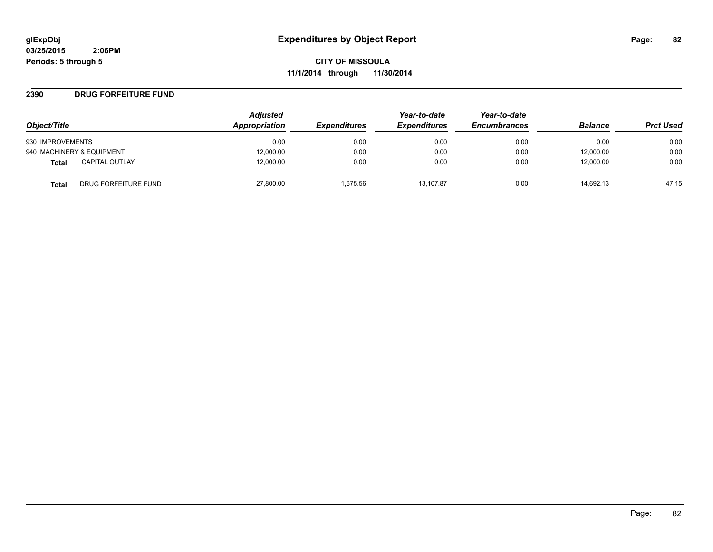**CITY OF MISSOULA 11/1/2014 through 11/30/2014**

#### **2390 DRUG FORFEITURE FUND**

|                                      | <b>Adjusted</b> |                     | Year-to-date        | Year-to-date        |                |                  |
|--------------------------------------|-----------------|---------------------|---------------------|---------------------|----------------|------------------|
| Object/Title                         | Appropriation   | <b>Expenditures</b> | <b>Expenditures</b> | <b>Encumbrances</b> | <b>Balance</b> | <b>Prct Used</b> |
| 930 IMPROVEMENTS                     | 0.00            | 0.00                | 0.00                | 0.00                | 0.00           | 0.00             |
| 940 MACHINERY & EQUIPMENT            | 12,000.00       | 0.00                | 0.00                | 0.00                | 12,000.00      | 0.00             |
| <b>CAPITAL OUTLAY</b><br>Total       | 12,000.00       | 0.00                | 0.00                | 0.00                | 12,000.00      | 0.00             |
| DRUG FORFEITURE FUND<br><b>Total</b> | 27,800.00       | 1.675.56            | 13.107.87           | 0.00                | 14.692.13      | 47.15            |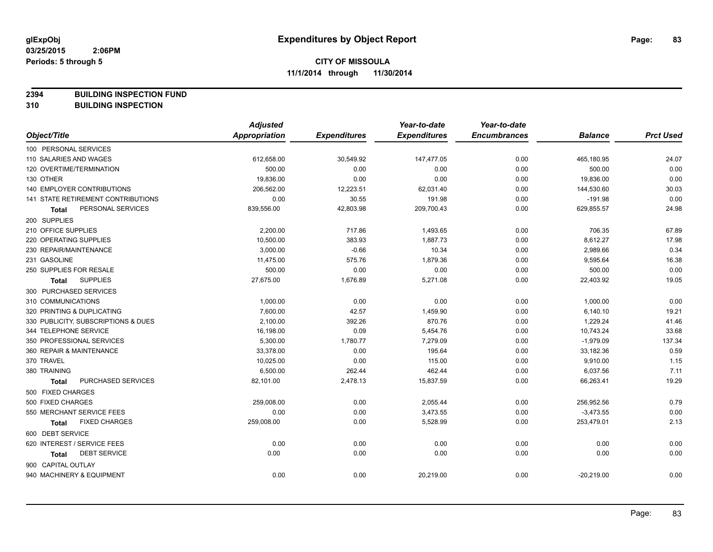**2394 BUILDING INSPECTION FUND**

**310 BUILDING INSPECTION**

|                                           | <b>Adjusted</b>      |                     | Year-to-date        | Year-to-date        |                |                  |
|-------------------------------------------|----------------------|---------------------|---------------------|---------------------|----------------|------------------|
| Object/Title                              | <b>Appropriation</b> | <b>Expenditures</b> | <b>Expenditures</b> | <b>Encumbrances</b> | <b>Balance</b> | <b>Prct Used</b> |
| 100 PERSONAL SERVICES                     |                      |                     |                     |                     |                |                  |
| 110 SALARIES AND WAGES                    | 612,658.00           | 30,549.92           | 147,477.05          | 0.00                | 465,180.95     | 24.07            |
| 120 OVERTIME/TERMINATION                  | 500.00               | 0.00                | 0.00                | 0.00                | 500.00         | 0.00             |
| 130 OTHER                                 | 19,836.00            | 0.00                | 0.00                | 0.00                | 19,836.00      | 0.00             |
| 140 EMPLOYER CONTRIBUTIONS                | 206,562.00           | 12,223.51           | 62,031.40           | 0.00                | 144,530.60     | 30.03            |
| <b>141 STATE RETIREMENT CONTRIBUTIONS</b> | 0.00                 | 30.55               | 191.98              | 0.00                | $-191.98$      | 0.00             |
| PERSONAL SERVICES<br><b>Total</b>         | 839,556.00           | 42,803.98           | 209,700.43          | 0.00                | 629,855.57     | 24.98            |
| 200 SUPPLIES                              |                      |                     |                     |                     |                |                  |
| 210 OFFICE SUPPLIES                       | 2,200.00             | 717.86              | 1,493.65            | 0.00                | 706.35         | 67.89            |
| 220 OPERATING SUPPLIES                    | 10,500.00            | 383.93              | 1,887.73            | 0.00                | 8,612.27       | 17.98            |
| 230 REPAIR/MAINTENANCE                    | 3,000.00             | $-0.66$             | 10.34               | 0.00                | 2,989.66       | 0.34             |
| 231 GASOLINE                              | 11,475.00            | 575.76              | 1,879.36            | 0.00                | 9,595.64       | 16.38            |
| 250 SUPPLIES FOR RESALE                   | 500.00               | 0.00                | 0.00                | 0.00                | 500.00         | 0.00             |
| <b>SUPPLIES</b><br><b>Total</b>           | 27,675.00            | 1,676.89            | 5,271.08            | 0.00                | 22,403.92      | 19.05            |
| 300 PURCHASED SERVICES                    |                      |                     |                     |                     |                |                  |
| 310 COMMUNICATIONS                        | 1,000.00             | 0.00                | 0.00                | 0.00                | 1,000.00       | 0.00             |
| 320 PRINTING & DUPLICATING                | 7,600.00             | 42.57               | 1,459.90            | 0.00                | 6,140.10       | 19.21            |
| 330 PUBLICITY, SUBSCRIPTIONS & DUES       | 2,100.00             | 392.26              | 870.76              | 0.00                | 1,229.24       | 41.46            |
| 344 TELEPHONE SERVICE                     | 16,198.00            | 0.09                | 5,454.76            | 0.00                | 10,743.24      | 33.68            |
| 350 PROFESSIONAL SERVICES                 | 5,300.00             | 1,780.77            | 7,279.09            | 0.00                | $-1,979.09$    | 137.34           |
| 360 REPAIR & MAINTENANCE                  | 33,378.00            | 0.00                | 195.64              | 0.00                | 33,182.36      | 0.59             |
| 370 TRAVEL                                | 10.025.00            | 0.00                | 115.00              | 0.00                | 9,910.00       | 1.15             |
| 380 TRAINING                              | 6,500.00             | 262.44              | 462.44              | 0.00                | 6,037.56       | 7.11             |
| PURCHASED SERVICES<br><b>Total</b>        | 82,101.00            | 2,478.13            | 15,837.59           | 0.00                | 66,263.41      | 19.29            |
| 500 FIXED CHARGES                         |                      |                     |                     |                     |                |                  |
| 500 FIXED CHARGES                         | 259,008.00           | 0.00                | 2,055.44            | 0.00                | 256,952.56     | 0.79             |
| 550 MERCHANT SERVICE FEES                 | 0.00                 | 0.00                | 3,473.55            | 0.00                | $-3,473.55$    | 0.00             |
| <b>FIXED CHARGES</b><br>Total             | 259,008.00           | 0.00                | 5,528.99            | 0.00                | 253,479.01     | 2.13             |
| 600 DEBT SERVICE                          |                      |                     |                     |                     |                |                  |
| 620 INTEREST / SERVICE FEES               | 0.00                 | 0.00                | 0.00                | 0.00                | 0.00           | 0.00             |
| <b>DEBT SERVICE</b><br><b>Total</b>       | 0.00                 | 0.00                | 0.00                | 0.00                | 0.00           | 0.00             |
| 900 CAPITAL OUTLAY                        |                      |                     |                     |                     |                |                  |
| 940 MACHINERY & EQUIPMENT                 | 0.00                 | 0.00                | 20,219.00           | 0.00                | $-20,219.00$   | 0.00             |
|                                           |                      |                     |                     |                     |                |                  |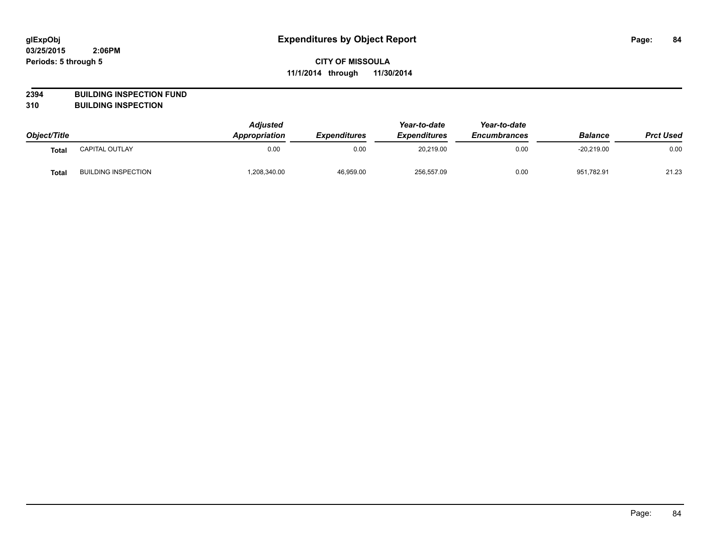## **2394 BUILDING INSPECTION FUND**

**310 BUILDING INSPECTION**

| Object/Title      |                            | <b>Adjusted</b><br>Appropriation | <i><b>Expenditures</b></i> | Year-to-date<br><b>Expenditures</b> | Year-to-date<br><b>Encumbrances</b> | <b>Balance</b> | <b>Prct Used</b> |
|-------------------|----------------------------|----------------------------------|----------------------------|-------------------------------------|-------------------------------------|----------------|------------------|
| Tota <sub>l</sub> | CAPITAL OUTLAY             | 0.00                             | 0.00                       | 20,219.00                           | 0.00                                | $-20,219.00$   | 0.00             |
| Tota <sub>l</sub> | <b>BUILDING INSPECTION</b> | .208,340.00                      | 46,959.00                  | 256,557.09                          | 0.00                                | 951.782.91     | 21.23            |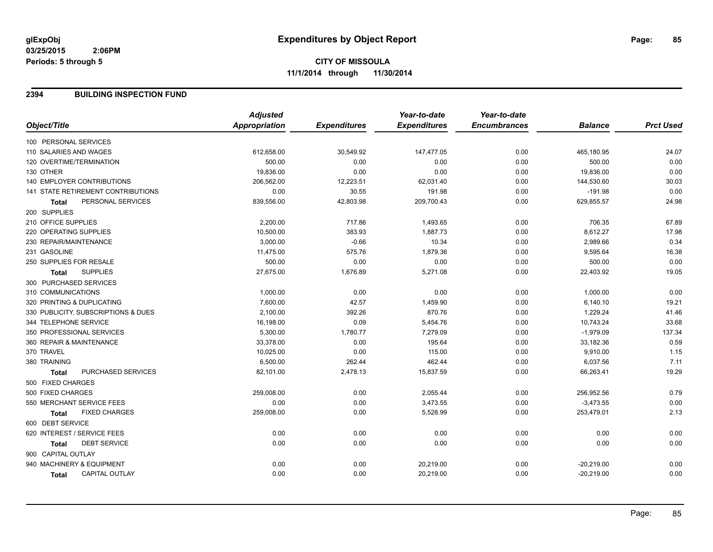## **CITY OF MISSOULA 11/1/2014 through 11/30/2014**

#### **2394 BUILDING INSPECTION FUND**

| Object/Title<br>Appropriation<br><b>Expenditures</b><br><b>Expenditures</b><br><b>Encumbrances</b><br><b>Prct Used</b><br><b>Balance</b><br>100 PERSONAL SERVICES<br>612,658.00<br>30,549.92<br>147,477.05<br>0.00<br>465,180.95<br>24.07<br>110 SALARIES AND WAGES<br>0.00<br>120 OVERTIME/TERMINATION<br>500.00<br>0.00<br>0.00<br>0.00<br>500.00<br>0.00<br>19,836.00<br>0.00<br>0.00<br>0.00<br>19,836.00<br>30.03<br><b>140 EMPLOYER CONTRIBUTIONS</b><br>206,562.00<br>12,223.51<br>62,031.40<br>0.00<br>144,530.60<br>0.00<br>30.55<br>141 STATE RETIREMENT CONTRIBUTIONS<br>0.00<br>191.98<br>0.00<br>$-191.98$<br>24.98<br>PERSONAL SERVICES<br>42,803.98<br>839,556.00<br>209,700.43<br>0.00<br>629,855.57<br><b>Total</b><br>200 SUPPLIES<br>717.86<br>706.35<br>2,200.00<br>1,493.65<br>0.00<br>67.89<br>10,500.00<br>17.98<br>220 OPERATING SUPPLIES<br>383.93<br>1,887.73<br>0.00<br>8,612.27<br>0.34<br>230 REPAIR/MAINTENANCE<br>3,000.00<br>$-0.66$<br>10.34<br>2,989.66<br>0.00<br>16.38<br>11,475.00<br>575.76<br>1,879.36<br>9,595.64<br>0.00<br>0.00<br>250 SUPPLIES FOR RESALE<br>500.00<br>0.00<br>0.00<br>500.00<br>0.00<br>19.05<br><b>SUPPLIES</b><br>27,675.00<br>1,676.89<br>0.00<br>5,271.08<br>22,403.92<br><b>Total</b><br>300 PURCHASED SERVICES<br>0.00<br>1,000.00<br>0.00<br>0.00<br>0.00<br>1,000.00<br>320 PRINTING & DUPLICATING<br>7,600.00<br>42.57<br>0.00<br>19.21<br>1,459.90<br>6,140.10<br>41.46<br>330 PUBLICITY, SUBSCRIPTIONS & DUES<br>2,100.00<br>392.26<br>870.76<br>0.00<br>1,229.24<br>344 TELEPHONE SERVICE<br>16,198.00<br>0.09<br>33.68<br>5,454.76<br>0.00<br>10,743.24<br>137.34<br>350 PROFESSIONAL SERVICES<br>5,300.00<br>1,780.77<br>7,279.09<br>0.00<br>$-1,979.09$<br>0.59<br>33,378.00<br>33,182.36<br>360 REPAIR & MAINTENANCE<br>0.00<br>195.64<br>0.00<br>370 TRAVEL<br>10,025.00<br>0.00<br>115.00<br>0.00<br>9,910.00<br>1.15<br>6,500.00<br>262.44<br>7.11<br>380 TRAINING<br>462.44<br>0.00<br>6,037.56<br>19.29<br>PURCHASED SERVICES<br>2,478.13<br>15,837.59<br>0.00<br>66,263.41<br>82,101.00<br><b>Total</b><br>500 FIXED CHARGES<br>500 FIXED CHARGES<br>0.79<br>259,008.00<br>0.00<br>2,055.44<br>0.00<br>256,952.56<br>0.00<br>550 MERCHANT SERVICE FEES<br>0.00<br>0.00<br>3,473.55<br>0.00<br>$-3,473.55$<br><b>FIXED CHARGES</b><br>0.00<br>2.13<br>259,008.00<br>5,528.99<br>0.00<br>253,479.01<br><b>Total</b><br>600 DEBT SERVICE<br>0.00<br>620 INTEREST / SERVICE FEES<br>0.00<br>0.00<br>0.00<br>0.00<br>0.00<br>0.00<br><b>DEBT SERVICE</b><br>0.00<br>0.00<br>0.00<br>0.00<br>0.00<br>Total<br>900 CAPITAL OUTLAY<br>0.00<br>940 MACHINERY & EQUIPMENT<br>0.00<br>0.00<br>20,219.00<br>0.00<br>$-20,219.00$<br>0.00<br>0.00<br><b>CAPITAL OUTLAY</b><br>0.00<br>20,219.00<br>0.00<br>$-20,219.00$<br>Total |                     | <b>Adjusted</b> | Year-to-date | Year-to-date |  |
|-------------------------------------------------------------------------------------------------------------------------------------------------------------------------------------------------------------------------------------------------------------------------------------------------------------------------------------------------------------------------------------------------------------------------------------------------------------------------------------------------------------------------------------------------------------------------------------------------------------------------------------------------------------------------------------------------------------------------------------------------------------------------------------------------------------------------------------------------------------------------------------------------------------------------------------------------------------------------------------------------------------------------------------------------------------------------------------------------------------------------------------------------------------------------------------------------------------------------------------------------------------------------------------------------------------------------------------------------------------------------------------------------------------------------------------------------------------------------------------------------------------------------------------------------------------------------------------------------------------------------------------------------------------------------------------------------------------------------------------------------------------------------------------------------------------------------------------------------------------------------------------------------------------------------------------------------------------------------------------------------------------------------------------------------------------------------------------------------------------------------------------------------------------------------------------------------------------------------------------------------------------------------------------------------------------------------------------------------------------------------------------------------------------------------------------------------------------------------------------------------------------------------------------------------------------------------------------------------------------------------------------------------------------------------------------------------------------------------------------------------------------------------------------------------------|---------------------|-----------------|--------------|--------------|--|
|                                                                                                                                                                                                                                                                                                                                                                                                                                                                                                                                                                                                                                                                                                                                                                                                                                                                                                                                                                                                                                                                                                                                                                                                                                                                                                                                                                                                                                                                                                                                                                                                                                                                                                                                                                                                                                                                                                                                                                                                                                                                                                                                                                                                                                                                                                                                                                                                                                                                                                                                                                                                                                                                                                                                                                                                       |                     |                 |              |              |  |
|                                                                                                                                                                                                                                                                                                                                                                                                                                                                                                                                                                                                                                                                                                                                                                                                                                                                                                                                                                                                                                                                                                                                                                                                                                                                                                                                                                                                                                                                                                                                                                                                                                                                                                                                                                                                                                                                                                                                                                                                                                                                                                                                                                                                                                                                                                                                                                                                                                                                                                                                                                                                                                                                                                                                                                                                       |                     |                 |              |              |  |
|                                                                                                                                                                                                                                                                                                                                                                                                                                                                                                                                                                                                                                                                                                                                                                                                                                                                                                                                                                                                                                                                                                                                                                                                                                                                                                                                                                                                                                                                                                                                                                                                                                                                                                                                                                                                                                                                                                                                                                                                                                                                                                                                                                                                                                                                                                                                                                                                                                                                                                                                                                                                                                                                                                                                                                                                       |                     |                 |              |              |  |
|                                                                                                                                                                                                                                                                                                                                                                                                                                                                                                                                                                                                                                                                                                                                                                                                                                                                                                                                                                                                                                                                                                                                                                                                                                                                                                                                                                                                                                                                                                                                                                                                                                                                                                                                                                                                                                                                                                                                                                                                                                                                                                                                                                                                                                                                                                                                                                                                                                                                                                                                                                                                                                                                                                                                                                                                       |                     |                 |              |              |  |
|                                                                                                                                                                                                                                                                                                                                                                                                                                                                                                                                                                                                                                                                                                                                                                                                                                                                                                                                                                                                                                                                                                                                                                                                                                                                                                                                                                                                                                                                                                                                                                                                                                                                                                                                                                                                                                                                                                                                                                                                                                                                                                                                                                                                                                                                                                                                                                                                                                                                                                                                                                                                                                                                                                                                                                                                       | 130 OTHER           |                 |              |              |  |
|                                                                                                                                                                                                                                                                                                                                                                                                                                                                                                                                                                                                                                                                                                                                                                                                                                                                                                                                                                                                                                                                                                                                                                                                                                                                                                                                                                                                                                                                                                                                                                                                                                                                                                                                                                                                                                                                                                                                                                                                                                                                                                                                                                                                                                                                                                                                                                                                                                                                                                                                                                                                                                                                                                                                                                                                       |                     |                 |              |              |  |
|                                                                                                                                                                                                                                                                                                                                                                                                                                                                                                                                                                                                                                                                                                                                                                                                                                                                                                                                                                                                                                                                                                                                                                                                                                                                                                                                                                                                                                                                                                                                                                                                                                                                                                                                                                                                                                                                                                                                                                                                                                                                                                                                                                                                                                                                                                                                                                                                                                                                                                                                                                                                                                                                                                                                                                                                       |                     |                 |              |              |  |
|                                                                                                                                                                                                                                                                                                                                                                                                                                                                                                                                                                                                                                                                                                                                                                                                                                                                                                                                                                                                                                                                                                                                                                                                                                                                                                                                                                                                                                                                                                                                                                                                                                                                                                                                                                                                                                                                                                                                                                                                                                                                                                                                                                                                                                                                                                                                                                                                                                                                                                                                                                                                                                                                                                                                                                                                       |                     |                 |              |              |  |
|                                                                                                                                                                                                                                                                                                                                                                                                                                                                                                                                                                                                                                                                                                                                                                                                                                                                                                                                                                                                                                                                                                                                                                                                                                                                                                                                                                                                                                                                                                                                                                                                                                                                                                                                                                                                                                                                                                                                                                                                                                                                                                                                                                                                                                                                                                                                                                                                                                                                                                                                                                                                                                                                                                                                                                                                       |                     |                 |              |              |  |
|                                                                                                                                                                                                                                                                                                                                                                                                                                                                                                                                                                                                                                                                                                                                                                                                                                                                                                                                                                                                                                                                                                                                                                                                                                                                                                                                                                                                                                                                                                                                                                                                                                                                                                                                                                                                                                                                                                                                                                                                                                                                                                                                                                                                                                                                                                                                                                                                                                                                                                                                                                                                                                                                                                                                                                                                       | 210 OFFICE SUPPLIES |                 |              |              |  |
|                                                                                                                                                                                                                                                                                                                                                                                                                                                                                                                                                                                                                                                                                                                                                                                                                                                                                                                                                                                                                                                                                                                                                                                                                                                                                                                                                                                                                                                                                                                                                                                                                                                                                                                                                                                                                                                                                                                                                                                                                                                                                                                                                                                                                                                                                                                                                                                                                                                                                                                                                                                                                                                                                                                                                                                                       |                     |                 |              |              |  |
|                                                                                                                                                                                                                                                                                                                                                                                                                                                                                                                                                                                                                                                                                                                                                                                                                                                                                                                                                                                                                                                                                                                                                                                                                                                                                                                                                                                                                                                                                                                                                                                                                                                                                                                                                                                                                                                                                                                                                                                                                                                                                                                                                                                                                                                                                                                                                                                                                                                                                                                                                                                                                                                                                                                                                                                                       |                     |                 |              |              |  |
|                                                                                                                                                                                                                                                                                                                                                                                                                                                                                                                                                                                                                                                                                                                                                                                                                                                                                                                                                                                                                                                                                                                                                                                                                                                                                                                                                                                                                                                                                                                                                                                                                                                                                                                                                                                                                                                                                                                                                                                                                                                                                                                                                                                                                                                                                                                                                                                                                                                                                                                                                                                                                                                                                                                                                                                                       | 231 GASOLINE        |                 |              |              |  |
|                                                                                                                                                                                                                                                                                                                                                                                                                                                                                                                                                                                                                                                                                                                                                                                                                                                                                                                                                                                                                                                                                                                                                                                                                                                                                                                                                                                                                                                                                                                                                                                                                                                                                                                                                                                                                                                                                                                                                                                                                                                                                                                                                                                                                                                                                                                                                                                                                                                                                                                                                                                                                                                                                                                                                                                                       |                     |                 |              |              |  |
|                                                                                                                                                                                                                                                                                                                                                                                                                                                                                                                                                                                                                                                                                                                                                                                                                                                                                                                                                                                                                                                                                                                                                                                                                                                                                                                                                                                                                                                                                                                                                                                                                                                                                                                                                                                                                                                                                                                                                                                                                                                                                                                                                                                                                                                                                                                                                                                                                                                                                                                                                                                                                                                                                                                                                                                                       |                     |                 |              |              |  |
|                                                                                                                                                                                                                                                                                                                                                                                                                                                                                                                                                                                                                                                                                                                                                                                                                                                                                                                                                                                                                                                                                                                                                                                                                                                                                                                                                                                                                                                                                                                                                                                                                                                                                                                                                                                                                                                                                                                                                                                                                                                                                                                                                                                                                                                                                                                                                                                                                                                                                                                                                                                                                                                                                                                                                                                                       |                     |                 |              |              |  |
|                                                                                                                                                                                                                                                                                                                                                                                                                                                                                                                                                                                                                                                                                                                                                                                                                                                                                                                                                                                                                                                                                                                                                                                                                                                                                                                                                                                                                                                                                                                                                                                                                                                                                                                                                                                                                                                                                                                                                                                                                                                                                                                                                                                                                                                                                                                                                                                                                                                                                                                                                                                                                                                                                                                                                                                                       | 310 COMMUNICATIONS  |                 |              |              |  |
|                                                                                                                                                                                                                                                                                                                                                                                                                                                                                                                                                                                                                                                                                                                                                                                                                                                                                                                                                                                                                                                                                                                                                                                                                                                                                                                                                                                                                                                                                                                                                                                                                                                                                                                                                                                                                                                                                                                                                                                                                                                                                                                                                                                                                                                                                                                                                                                                                                                                                                                                                                                                                                                                                                                                                                                                       |                     |                 |              |              |  |
|                                                                                                                                                                                                                                                                                                                                                                                                                                                                                                                                                                                                                                                                                                                                                                                                                                                                                                                                                                                                                                                                                                                                                                                                                                                                                                                                                                                                                                                                                                                                                                                                                                                                                                                                                                                                                                                                                                                                                                                                                                                                                                                                                                                                                                                                                                                                                                                                                                                                                                                                                                                                                                                                                                                                                                                                       |                     |                 |              |              |  |
|                                                                                                                                                                                                                                                                                                                                                                                                                                                                                                                                                                                                                                                                                                                                                                                                                                                                                                                                                                                                                                                                                                                                                                                                                                                                                                                                                                                                                                                                                                                                                                                                                                                                                                                                                                                                                                                                                                                                                                                                                                                                                                                                                                                                                                                                                                                                                                                                                                                                                                                                                                                                                                                                                                                                                                                                       |                     |                 |              |              |  |
|                                                                                                                                                                                                                                                                                                                                                                                                                                                                                                                                                                                                                                                                                                                                                                                                                                                                                                                                                                                                                                                                                                                                                                                                                                                                                                                                                                                                                                                                                                                                                                                                                                                                                                                                                                                                                                                                                                                                                                                                                                                                                                                                                                                                                                                                                                                                                                                                                                                                                                                                                                                                                                                                                                                                                                                                       |                     |                 |              |              |  |
|                                                                                                                                                                                                                                                                                                                                                                                                                                                                                                                                                                                                                                                                                                                                                                                                                                                                                                                                                                                                                                                                                                                                                                                                                                                                                                                                                                                                                                                                                                                                                                                                                                                                                                                                                                                                                                                                                                                                                                                                                                                                                                                                                                                                                                                                                                                                                                                                                                                                                                                                                                                                                                                                                                                                                                                                       |                     |                 |              |              |  |
|                                                                                                                                                                                                                                                                                                                                                                                                                                                                                                                                                                                                                                                                                                                                                                                                                                                                                                                                                                                                                                                                                                                                                                                                                                                                                                                                                                                                                                                                                                                                                                                                                                                                                                                                                                                                                                                                                                                                                                                                                                                                                                                                                                                                                                                                                                                                                                                                                                                                                                                                                                                                                                                                                                                                                                                                       |                     |                 |              |              |  |
|                                                                                                                                                                                                                                                                                                                                                                                                                                                                                                                                                                                                                                                                                                                                                                                                                                                                                                                                                                                                                                                                                                                                                                                                                                                                                                                                                                                                                                                                                                                                                                                                                                                                                                                                                                                                                                                                                                                                                                                                                                                                                                                                                                                                                                                                                                                                                                                                                                                                                                                                                                                                                                                                                                                                                                                                       |                     |                 |              |              |  |
|                                                                                                                                                                                                                                                                                                                                                                                                                                                                                                                                                                                                                                                                                                                                                                                                                                                                                                                                                                                                                                                                                                                                                                                                                                                                                                                                                                                                                                                                                                                                                                                                                                                                                                                                                                                                                                                                                                                                                                                                                                                                                                                                                                                                                                                                                                                                                                                                                                                                                                                                                                                                                                                                                                                                                                                                       |                     |                 |              |              |  |
|                                                                                                                                                                                                                                                                                                                                                                                                                                                                                                                                                                                                                                                                                                                                                                                                                                                                                                                                                                                                                                                                                                                                                                                                                                                                                                                                                                                                                                                                                                                                                                                                                                                                                                                                                                                                                                                                                                                                                                                                                                                                                                                                                                                                                                                                                                                                                                                                                                                                                                                                                                                                                                                                                                                                                                                                       |                     |                 |              |              |  |
|                                                                                                                                                                                                                                                                                                                                                                                                                                                                                                                                                                                                                                                                                                                                                                                                                                                                                                                                                                                                                                                                                                                                                                                                                                                                                                                                                                                                                                                                                                                                                                                                                                                                                                                                                                                                                                                                                                                                                                                                                                                                                                                                                                                                                                                                                                                                                                                                                                                                                                                                                                                                                                                                                                                                                                                                       |                     |                 |              |              |  |
|                                                                                                                                                                                                                                                                                                                                                                                                                                                                                                                                                                                                                                                                                                                                                                                                                                                                                                                                                                                                                                                                                                                                                                                                                                                                                                                                                                                                                                                                                                                                                                                                                                                                                                                                                                                                                                                                                                                                                                                                                                                                                                                                                                                                                                                                                                                                                                                                                                                                                                                                                                                                                                                                                                                                                                                                       |                     |                 |              |              |  |
|                                                                                                                                                                                                                                                                                                                                                                                                                                                                                                                                                                                                                                                                                                                                                                                                                                                                                                                                                                                                                                                                                                                                                                                                                                                                                                                                                                                                                                                                                                                                                                                                                                                                                                                                                                                                                                                                                                                                                                                                                                                                                                                                                                                                                                                                                                                                                                                                                                                                                                                                                                                                                                                                                                                                                                                                       |                     |                 |              |              |  |
|                                                                                                                                                                                                                                                                                                                                                                                                                                                                                                                                                                                                                                                                                                                                                                                                                                                                                                                                                                                                                                                                                                                                                                                                                                                                                                                                                                                                                                                                                                                                                                                                                                                                                                                                                                                                                                                                                                                                                                                                                                                                                                                                                                                                                                                                                                                                                                                                                                                                                                                                                                                                                                                                                                                                                                                                       |                     |                 |              |              |  |
|                                                                                                                                                                                                                                                                                                                                                                                                                                                                                                                                                                                                                                                                                                                                                                                                                                                                                                                                                                                                                                                                                                                                                                                                                                                                                                                                                                                                                                                                                                                                                                                                                                                                                                                                                                                                                                                                                                                                                                                                                                                                                                                                                                                                                                                                                                                                                                                                                                                                                                                                                                                                                                                                                                                                                                                                       |                     |                 |              |              |  |
|                                                                                                                                                                                                                                                                                                                                                                                                                                                                                                                                                                                                                                                                                                                                                                                                                                                                                                                                                                                                                                                                                                                                                                                                                                                                                                                                                                                                                                                                                                                                                                                                                                                                                                                                                                                                                                                                                                                                                                                                                                                                                                                                                                                                                                                                                                                                                                                                                                                                                                                                                                                                                                                                                                                                                                                                       |                     |                 |              |              |  |
|                                                                                                                                                                                                                                                                                                                                                                                                                                                                                                                                                                                                                                                                                                                                                                                                                                                                                                                                                                                                                                                                                                                                                                                                                                                                                                                                                                                                                                                                                                                                                                                                                                                                                                                                                                                                                                                                                                                                                                                                                                                                                                                                                                                                                                                                                                                                                                                                                                                                                                                                                                                                                                                                                                                                                                                                       |                     |                 |              |              |  |
|                                                                                                                                                                                                                                                                                                                                                                                                                                                                                                                                                                                                                                                                                                                                                                                                                                                                                                                                                                                                                                                                                                                                                                                                                                                                                                                                                                                                                                                                                                                                                                                                                                                                                                                                                                                                                                                                                                                                                                                                                                                                                                                                                                                                                                                                                                                                                                                                                                                                                                                                                                                                                                                                                                                                                                                                       |                     |                 |              |              |  |
|                                                                                                                                                                                                                                                                                                                                                                                                                                                                                                                                                                                                                                                                                                                                                                                                                                                                                                                                                                                                                                                                                                                                                                                                                                                                                                                                                                                                                                                                                                                                                                                                                                                                                                                                                                                                                                                                                                                                                                                                                                                                                                                                                                                                                                                                                                                                                                                                                                                                                                                                                                                                                                                                                                                                                                                                       |                     |                 |              |              |  |

Page: 85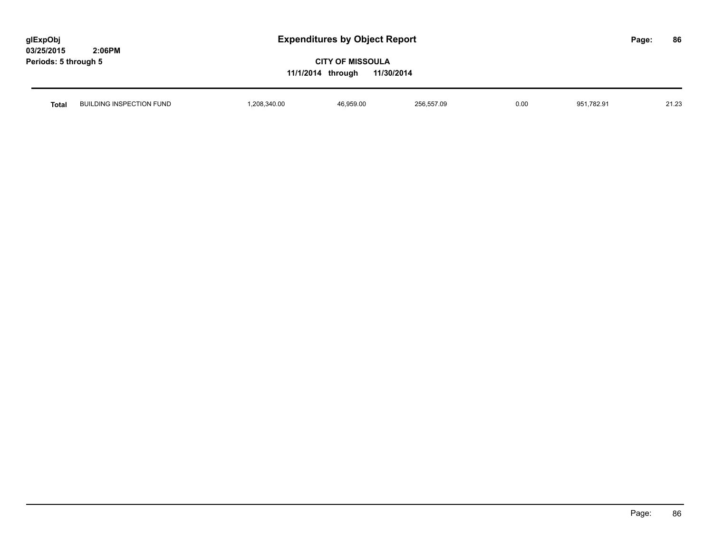| glExpObj             |        |
|----------------------|--------|
| 03/25/2015           | 2:06PM |
| Periods: 5 through 5 |        |

| <b>Total</b> | BUILDING INSPECTION FUND | ,208,340.00 | 6,959.00 | 256 557 09<br>200,007.00 | 0.00 | 151,782.91<br>ΩF | 04.02<br>ں ے . اے |
|--------------|--------------------------|-------------|----------|--------------------------|------|------------------|-------------------|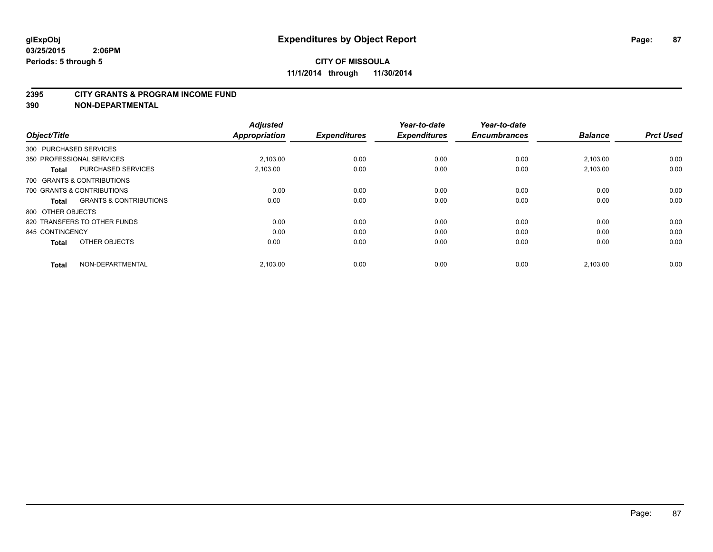#### **2395 CITY GRANTS & PROGRAM INCOME FUND**

**390 NON-DEPARTMENTAL**

| Object/Title           |                                   | <b>Adjusted</b><br><b>Appropriation</b> | <b>Expenditures</b> | Year-to-date<br><b>Expenditures</b> | Year-to-date<br><b>Encumbrances</b> | <b>Balance</b> | <b>Prct Used</b> |
|------------------------|-----------------------------------|-----------------------------------------|---------------------|-------------------------------------|-------------------------------------|----------------|------------------|
| 300 PURCHASED SERVICES |                                   |                                         |                     |                                     |                                     |                |                  |
|                        | 350 PROFESSIONAL SERVICES         | 2.103.00                                | 0.00                | 0.00                                | 0.00                                | 2,103.00       | 0.00             |
| <b>Total</b>           | <b>PURCHASED SERVICES</b>         | 2,103.00                                | 0.00                | 0.00                                | 0.00                                | 2,103.00       | 0.00             |
|                        | 700 GRANTS & CONTRIBUTIONS        |                                         |                     |                                     |                                     |                |                  |
|                        | 700 GRANTS & CONTRIBUTIONS        | 0.00                                    | 0.00                | 0.00                                | 0.00                                | 0.00           | 0.00             |
| <b>Total</b>           | <b>GRANTS &amp; CONTRIBUTIONS</b> | 0.00                                    | 0.00                | 0.00                                | 0.00                                | 0.00           | 0.00             |
| 800 OTHER OBJECTS      |                                   |                                         |                     |                                     |                                     |                |                  |
|                        | 820 TRANSFERS TO OTHER FUNDS      | 0.00                                    | 0.00                | 0.00                                | 0.00                                | 0.00           | 0.00             |
| 845 CONTINGENCY        |                                   | 0.00                                    | 0.00                | 0.00                                | 0.00                                | 0.00           | 0.00             |
| <b>Total</b>           | OTHER OBJECTS                     | 0.00                                    | 0.00                | 0.00                                | 0.00                                | 0.00           | 0.00             |
| <b>Total</b>           | NON-DEPARTMENTAL                  | 2,103.00                                | 0.00                | 0.00                                | 0.00                                | 2,103.00       | 0.00             |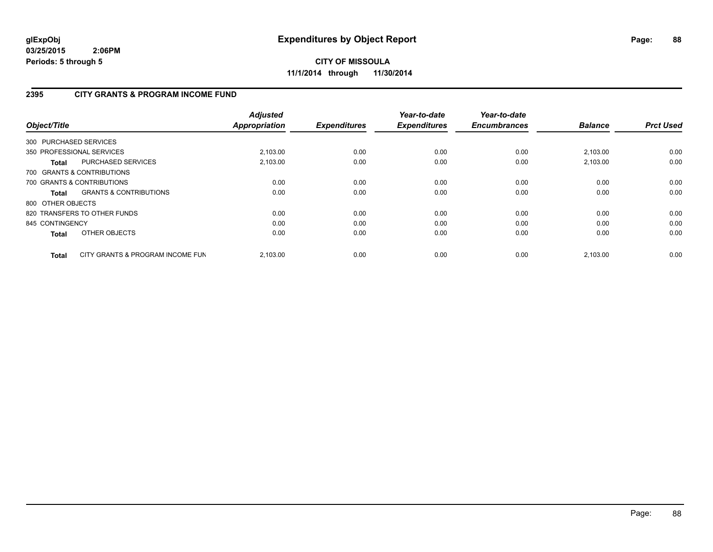**CITY OF MISSOULA 11/1/2014 through 11/30/2014**

#### **2395 CITY GRANTS & PROGRAM INCOME FUND**

| Object/Title      |                                   | <b>Adjusted</b><br><b>Appropriation</b> | <b>Expenditures</b> | Year-to-date<br><b>Expenditures</b> | Year-to-date<br><b>Encumbrances</b> | <b>Balance</b> | <b>Prct Used</b> |
|-------------------|-----------------------------------|-----------------------------------------|---------------------|-------------------------------------|-------------------------------------|----------------|------------------|
|                   | 300 PURCHASED SERVICES            |                                         |                     |                                     |                                     |                |                  |
|                   | 350 PROFESSIONAL SERVICES         | 2,103.00                                | 0.00                | 0.00                                | 0.00                                | 2,103.00       | 0.00             |
| Total             | PURCHASED SERVICES                | 2.103.00                                | 0.00                | 0.00                                | 0.00                                | 2.103.00       | 0.00             |
|                   | 700 GRANTS & CONTRIBUTIONS        |                                         |                     |                                     |                                     |                |                  |
|                   | 700 GRANTS & CONTRIBUTIONS        | 0.00                                    | 0.00                | 0.00                                | 0.00                                | 0.00           | 0.00             |
| Total             | <b>GRANTS &amp; CONTRIBUTIONS</b> | 0.00                                    | 0.00                | 0.00                                | 0.00                                | 0.00           | 0.00             |
| 800 OTHER OBJECTS |                                   |                                         |                     |                                     |                                     |                |                  |
|                   | 820 TRANSFERS TO OTHER FUNDS      | 0.00                                    | 0.00                | 0.00                                | 0.00                                | 0.00           | 0.00             |
| 845 CONTINGENCY   |                                   | 0.00                                    | 0.00                | 0.00                                | 0.00                                | 0.00           | 0.00             |
| <b>Total</b>      | OTHER OBJECTS                     | 0.00                                    | 0.00                | 0.00                                | 0.00                                | 0.00           | 0.00             |
| <b>Total</b>      | CITY GRANTS & PROGRAM INCOME FUN  | 2.103.00                                | 0.00                | 0.00                                | 0.00                                | 2.103.00       | 0.00             |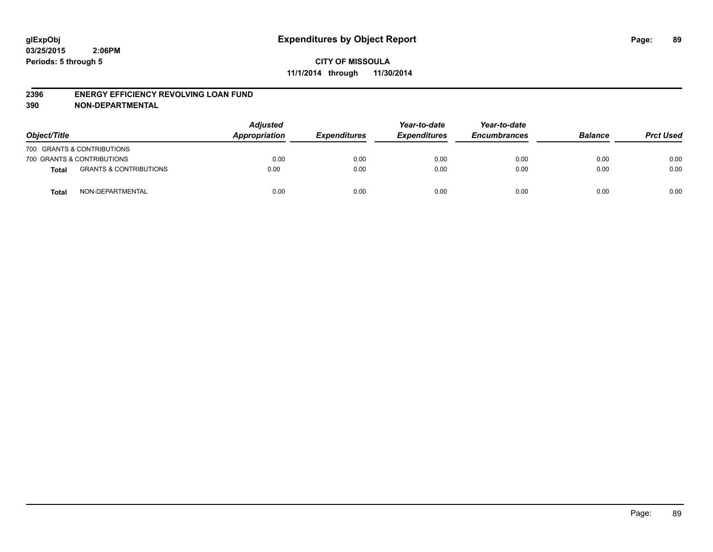#### **2396 ENERGY EFFICIENCY REVOLVING LOAN FUND**

**390 NON-DEPARTMENTAL**

| Object/Title |                                   | <b>Adjusted</b><br>Appropriation | <b>Expenditures</b> | Year-to-date<br><b>Expenditures</b> | Year-to-date<br><b>Encumbrances</b> | <b>Balance</b> | <b>Prct Used</b> |
|--------------|-----------------------------------|----------------------------------|---------------------|-------------------------------------|-------------------------------------|----------------|------------------|
|              | 700 GRANTS & CONTRIBUTIONS        |                                  |                     |                                     |                                     |                |                  |
|              | 700 GRANTS & CONTRIBUTIONS        | 0.00                             | 0.00                | 0.00                                | 0.00                                | 0.00           | 0.00             |
| <b>Total</b> | <b>GRANTS &amp; CONTRIBUTIONS</b> | 0.00                             | 0.00                | 0.00                                | 0.00                                | 0.00           | 0.00             |
| <b>Total</b> | NON-DEPARTMENTAL                  | 0.00                             | 0.00                | 0.00                                | 0.00                                | 0.00           | 0.00             |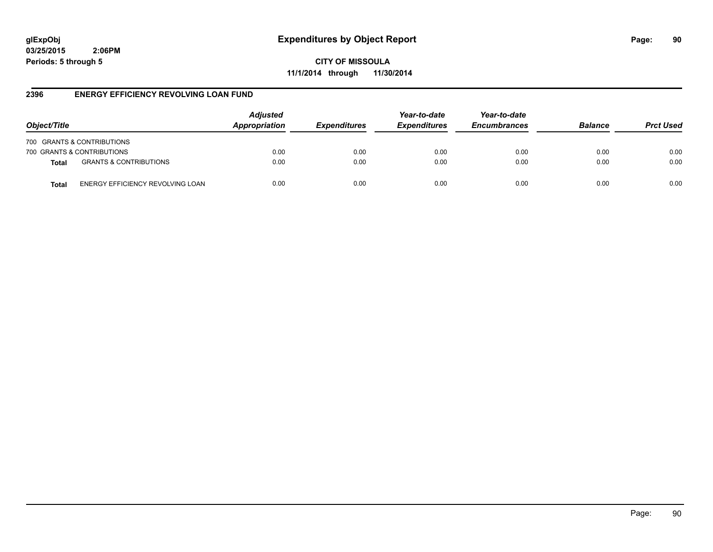**CITY OF MISSOULA 11/1/2014 through 11/30/2014**

#### **2396 ENERGY EFFICIENCY REVOLVING LOAN FUND**

| Object/Title |                                   | <b>Adjusted</b><br>Appropriation | <b>Expenditures</b> | Year-to-date<br><b>Expenditures</b> | Year-to-date<br><b>Encumbrances</b> | <b>Balance</b> | <b>Prct Used</b> |
|--------------|-----------------------------------|----------------------------------|---------------------|-------------------------------------|-------------------------------------|----------------|------------------|
|              | 700 GRANTS & CONTRIBUTIONS        |                                  |                     |                                     |                                     |                |                  |
|              | 700 GRANTS & CONTRIBUTIONS        | 0.00                             | 0.00                | 0.00                                | 0.00                                | 0.00           | 0.00             |
| <b>Total</b> | <b>GRANTS &amp; CONTRIBUTIONS</b> | 0.00                             | 0.00                | 0.00                                | 0.00                                | 0.00           | 0.00             |
| Total        | ENERGY EFFICIENCY REVOLVING LOAN  | 0.00                             | 0.00                | 0.00                                | 0.00                                | 0.00           | 0.00             |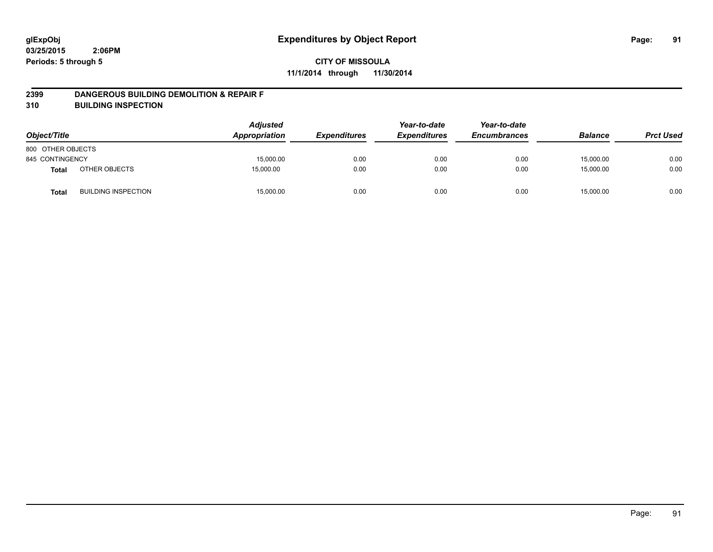#### **2399 DANGEROUS BUILDING DEMOLITION & REPAIR F**

**310 BUILDING INSPECTION**

| Object/Title      |                            | <b>Adjusted</b><br>Appropriation | <b>Expenditures</b> | Year-to-date<br><b>Expenditures</b> | Year-to-date<br><b>Encumbrances</b> | <b>Balance</b> | <b>Prct Used</b> |
|-------------------|----------------------------|----------------------------------|---------------------|-------------------------------------|-------------------------------------|----------------|------------------|
| 800 OTHER OBJECTS |                            |                                  |                     |                                     |                                     |                |                  |
| 845 CONTINGENCY   |                            | 15,000.00                        | 0.00                | 0.00                                | 0.00                                | 15,000.00      | 0.00             |
| <b>Total</b>      | OTHER OBJECTS              | 15,000.00                        | 0.00                | 0.00                                | 0.00                                | 15,000.00      | 0.00             |
| <b>Total</b>      | <b>BUILDING INSPECTION</b> | 15,000.00                        | 0.00                | 0.00                                | 0.00                                | 15,000.00      | 0.00             |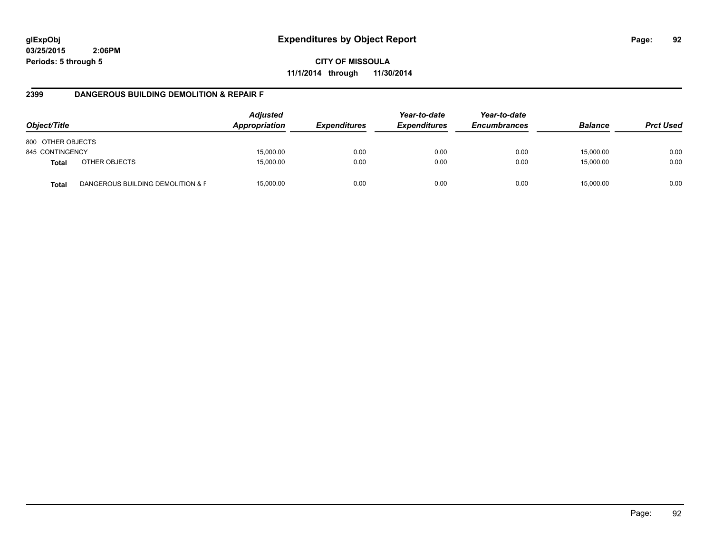**CITY OF MISSOULA 11/1/2014 through 11/30/2014**

#### **2399 DANGEROUS BUILDING DEMOLITION & REPAIR F**

| Object/Title      |                                   | <b>Adjusted</b><br>Appropriation | <i><b>Expenditures</b></i> | Year-to-date<br><b>Expenditures</b> | Year-to-date<br><b>Encumbrances</b> | <b>Balance</b> | <b>Prct Used</b> |
|-------------------|-----------------------------------|----------------------------------|----------------------------|-------------------------------------|-------------------------------------|----------------|------------------|
| 800 OTHER OBJECTS |                                   |                                  |                            |                                     |                                     |                |                  |
| 845 CONTINGENCY   |                                   | 15,000.00                        | 0.00                       | 0.00                                | 0.00                                | 15,000.00      | 0.00             |
| <b>Total</b>      | OTHER OBJECTS                     | 15,000.00                        | 0.00                       | 0.00                                | 0.00                                | 15,000.00      | 0.00             |
| <b>Total</b>      | DANGEROUS BUILDING DEMOLITION & F | 15,000.00                        | 0.00                       | 0.00                                | 0.00                                | 15.000.00      | 0.00             |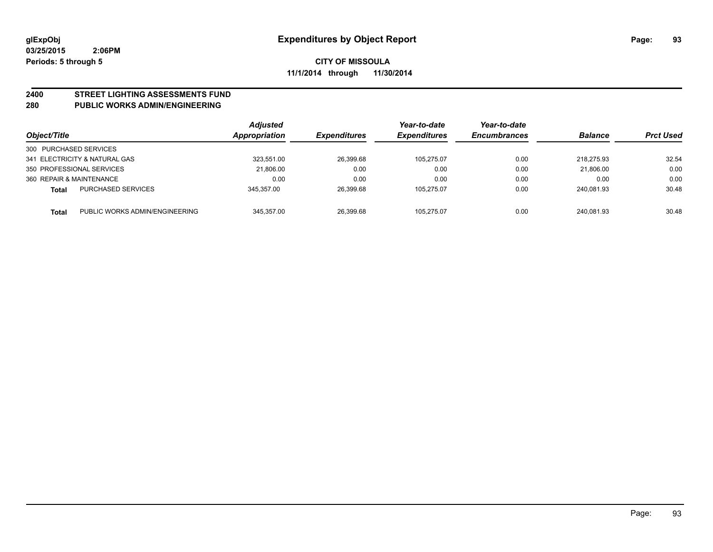# **2400 STREET LIGHTING ASSESSMENTS FUND**

#### **280 PUBLIC WORKS ADMIN/ENGINEERING**

| Object/Title             |                                | <b>Adjusted</b><br>Appropriation | <b>Expenditures</b> | Year-to-date<br><b>Expenditures</b> | Year-to-date<br><b>Encumbrances</b> | <b>Balance</b> | <b>Prct Used</b> |
|--------------------------|--------------------------------|----------------------------------|---------------------|-------------------------------------|-------------------------------------|----------------|------------------|
| 300 PURCHASED SERVICES   |                                |                                  |                     |                                     |                                     |                |                  |
|                          | 341 ELECTRICITY & NATURAL GAS  | 323.551.00                       | 26,399.68           | 105.275.07                          | 0.00                                | 218.275.93     | 32.54            |
|                          | 350 PROFESSIONAL SERVICES      | 21.806.00                        | 0.00                | 0.00                                | 0.00                                | 21.806.00      | 0.00             |
| 360 REPAIR & MAINTENANCE |                                | 0.00                             | 0.00                | 0.00                                | 0.00                                | 0.00           | 0.00             |
| Total                    | <b>PURCHASED SERVICES</b>      | 345.357.00                       | 26,399.68           | 105,275.07                          | 0.00                                | 240.081.93     | 30.48            |
| Total                    | PUBLIC WORKS ADMIN/ENGINEERING | 345.357.00                       | 26.399.68           | 105.275.07                          | 0.00                                | 240.081.93     | 30.48            |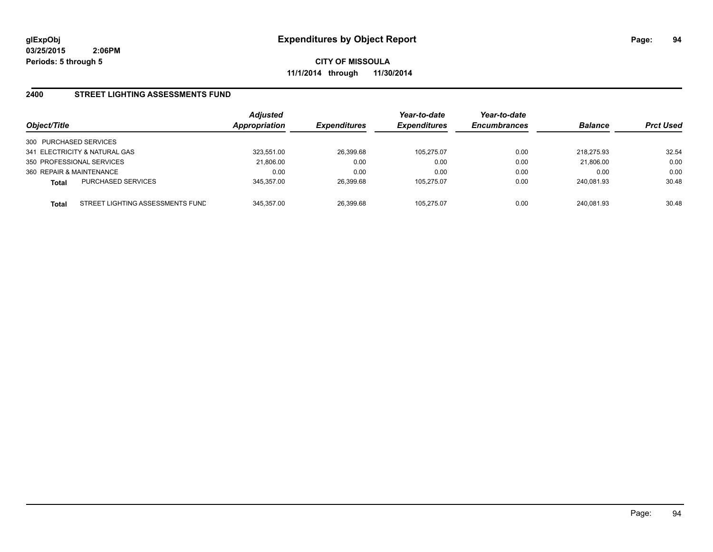**CITY OF MISSOULA 11/1/2014 through 11/30/2014**

#### **2400 STREET LIGHTING ASSESSMENTS FUND**

| Object/Title                                     | <b>Adjusted</b><br>Appropriation | <i><b>Expenditures</b></i> | Year-to-date<br><b>Expenditures</b> | Year-to-date<br><b>Encumbrances</b> | <b>Balance</b> | <b>Prct Used</b> |
|--------------------------------------------------|----------------------------------|----------------------------|-------------------------------------|-------------------------------------|----------------|------------------|
| 300 PURCHASED SERVICES                           |                                  |                            |                                     |                                     |                |                  |
| 341 ELECTRICITY & NATURAL GAS                    | 323.551.00                       | 26,399.68                  | 105.275.07                          | 0.00                                | 218.275.93     | 32.54            |
| 350 PROFESSIONAL SERVICES                        | 21,806.00                        | 0.00                       | 0.00                                | 0.00                                | 21,806.00      | 0.00             |
| 360 REPAIR & MAINTENANCE                         | 0.00                             | 0.00                       | 0.00                                | 0.00                                | 0.00           | 0.00             |
| <b>PURCHASED SERVICES</b><br><b>Total</b>        | 345.357.00                       | 26,399.68                  | 105.275.07                          | 0.00                                | 240.081.93     | 30.48            |
| STREET LIGHTING ASSESSMENTS FUND<br><b>Total</b> | 345.357.00                       | 26,399.68                  | 105.275.07                          | 0.00                                | 240.081.93     | 30.48            |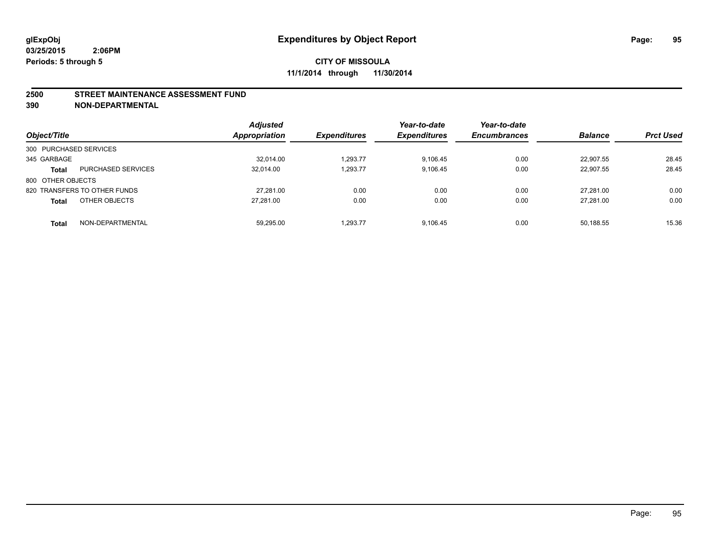#### **2500 STREET MAINTENANCE ASSESSMENT FUND**

**390 NON-DEPARTMENTAL**

| Object/Title           |                              | <b>Adjusted</b><br><b>Appropriation</b> | <b>Expenditures</b> | Year-to-date<br><b>Expenditures</b> | Year-to-date<br><b>Encumbrances</b> | <b>Balance</b> | <b>Prct Used</b> |
|------------------------|------------------------------|-----------------------------------------|---------------------|-------------------------------------|-------------------------------------|----------------|------------------|
| 300 PURCHASED SERVICES |                              |                                         |                     |                                     |                                     |                |                  |
| 345 GARBAGE            |                              | 32.014.00                               | 1.293.77            | 9.106.45                            | 0.00                                | 22.907.55      | 28.45            |
| <b>Total</b>           | <b>PURCHASED SERVICES</b>    | 32.014.00                               | 1,293.77            | 9.106.45                            | 0.00                                | 22.907.55      | 28.45            |
| 800 OTHER OBJECTS      |                              |                                         |                     |                                     |                                     |                |                  |
|                        | 820 TRANSFERS TO OTHER FUNDS | 27.281.00                               | 0.00                | 0.00                                | 0.00                                | 27.281.00      | 0.00             |
| <b>Total</b>           | OTHER OBJECTS                | 27.281.00                               | 0.00                | 0.00                                | 0.00                                | 27.281.00      | 0.00             |
| <b>Total</b>           | NON-DEPARTMENTAL             | 59,295.00                               | 1.293.77            | 9.106.45                            | 0.00                                | 50,188.55      | 15.36            |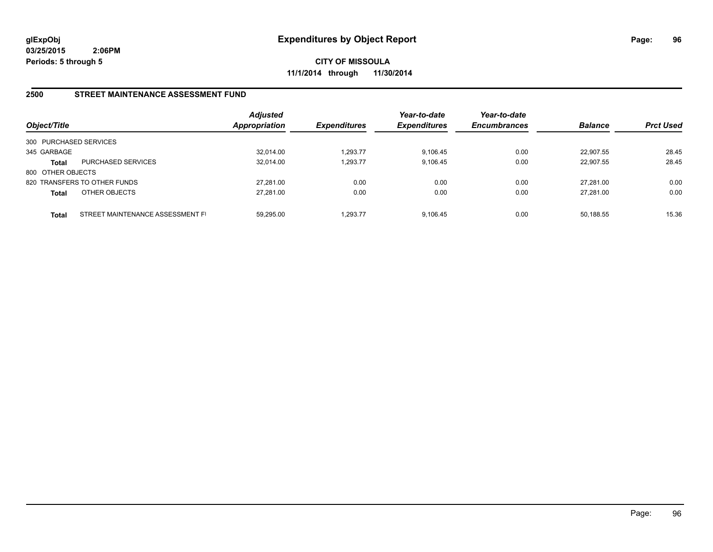**CITY OF MISSOULA 11/1/2014 through 11/30/2014**

#### **2500 STREET MAINTENANCE ASSESSMENT FUND**

| Object/Title           |                                  | <b>Adjusted</b><br><b>Appropriation</b> | <b>Expenditures</b> | Year-to-date<br><b>Expenditures</b> | Year-to-date<br><b>Encumbrances</b> | <b>Balance</b> | <b>Prct Used</b> |
|------------------------|----------------------------------|-----------------------------------------|---------------------|-------------------------------------|-------------------------------------|----------------|------------------|
| 300 PURCHASED SERVICES |                                  |                                         |                     |                                     |                                     |                |                  |
| 345 GARBAGE            |                                  | 32,014.00                               | 1,293.77            | 9.106.45                            | 0.00                                | 22.907.55      | 28.45            |
| Total                  | <b>PURCHASED SERVICES</b>        | 32.014.00                               | 1,293.77            | 9.106.45                            | 0.00                                | 22.907.55      | 28.45            |
| 800 OTHER OBJECTS      |                                  |                                         |                     |                                     |                                     |                |                  |
|                        | 820 TRANSFERS TO OTHER FUNDS     | 27.281.00                               | 0.00                | 0.00                                | 0.00                                | 27.281.00      | 0.00             |
| <b>Total</b>           | OTHER OBJECTS                    | 27,281.00                               | 0.00                | 0.00                                | 0.00                                | 27.281.00      | 0.00             |
| Total                  | STREET MAINTENANCE ASSESSMENT FI | 59.295.00                               | 1.293.77            | 9.106.45                            | 0.00                                | 50,188.55      | 15.36            |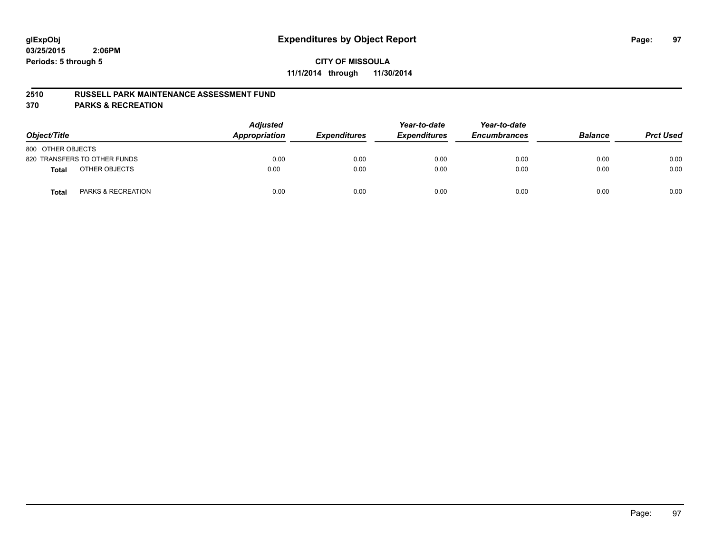#### **2510 RUSSELL PARK MAINTENANCE ASSESSMENT FUND**

**370 PARKS & RECREATION**

| Object/Title                           | <b>Adjusted</b><br>Appropriation | <b>Expenditures</b> | Year-to-date<br><b>Expenditures</b> | Year-to-date<br><b>Encumbrances</b> | <b>Balance</b> | <b>Prct Used</b> |
|----------------------------------------|----------------------------------|---------------------|-------------------------------------|-------------------------------------|----------------|------------------|
| 800 OTHER OBJECTS                      |                                  |                     |                                     |                                     |                |                  |
| 820 TRANSFERS TO OTHER FUNDS           | 0.00                             | 0.00                | 0.00                                | 0.00                                | 0.00           | 0.00             |
| OTHER OBJECTS<br>Total                 | 0.00                             | 0.00                | 0.00                                | 0.00                                | 0.00           | 0.00             |
| <b>PARKS &amp; RECREATION</b><br>Total | 0.00                             | 0.00                | 0.00                                | 0.00                                | 0.00           | 0.00             |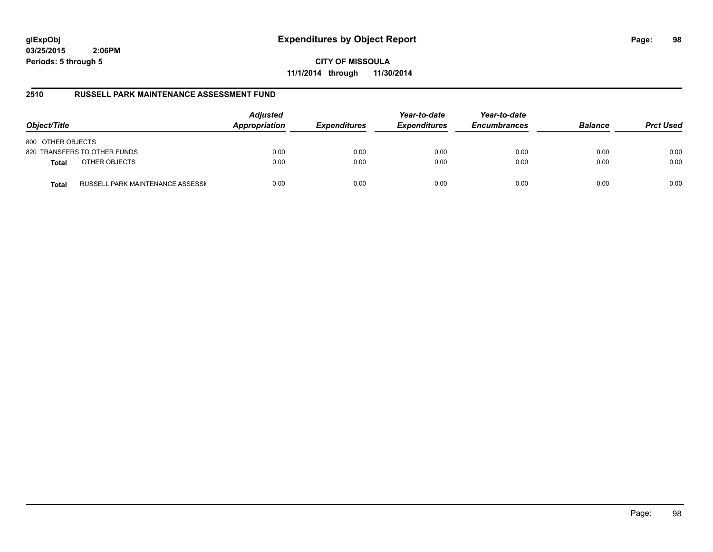## **glExpObj Expenditures by Object Report Page: 98**

**03/25/2015 2:06PM Periods: 5 through 5**

**CITY OF MISSOULA 11/1/2014 through 11/30/2014**

#### **2510 RUSSELL PARK MAINTENANCE ASSESSMENT FUND**

| Object/Title                                     | <b>Adjusted</b><br>Appropriation | <b>Expenditures</b> | Year-to-date<br><b>Expenditures</b> | Year-to-date<br><b>Encumbrances</b> | <b>Balance</b> | <b>Prct Used</b> |
|--------------------------------------------------|----------------------------------|---------------------|-------------------------------------|-------------------------------------|----------------|------------------|
| 800 OTHER OBJECTS                                |                                  |                     |                                     |                                     |                |                  |
| 820 TRANSFERS TO OTHER FUNDS                     | 0.00                             | 0.00                | 0.00                                | 0.00                                | 0.00           | 0.00             |
| OTHER OBJECTS<br><b>Total</b>                    | 0.00                             | 0.00                | 0.00                                | 0.00                                | 0.00           | 0.00             |
| RUSSELL PARK MAINTENANCE ASSESSN<br><b>Total</b> | 0.00                             | 0.00                | 0.00                                | 0.00                                | 0.00           | 0.00             |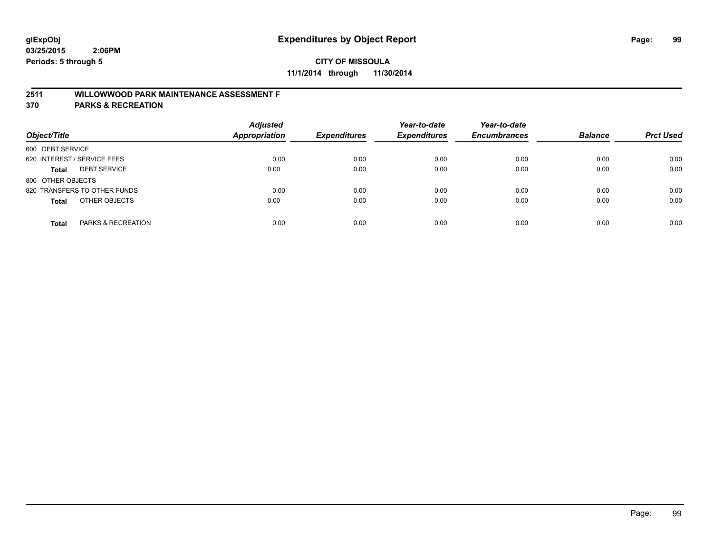## **2511 WILLOWWOOD PARK MAINTENANCE ASSESSMENT F**

**370 PARKS & RECREATION**

| Object/Title                        | <b>Adjusted</b><br>Appropriation | <b>Expenditures</b> | Year-to-date<br><b>Expenditures</b> | Year-to-date<br><b>Encumbrances</b> | <b>Balance</b> | <b>Prct Used</b> |
|-------------------------------------|----------------------------------|---------------------|-------------------------------------|-------------------------------------|----------------|------------------|
| 600 DEBT SERVICE                    |                                  |                     |                                     |                                     |                |                  |
| 620 INTEREST / SERVICE FEES         | 0.00                             | 0.00                | 0.00                                | 0.00                                | 0.00           | 0.00             |
| <b>DEBT SERVICE</b><br><b>Total</b> | 0.00                             | 0.00                | 0.00                                | 0.00                                | 0.00           | 0.00             |
| 800 OTHER OBJECTS                   |                                  |                     |                                     |                                     |                |                  |
| 820 TRANSFERS TO OTHER FUNDS        | 0.00                             | 0.00                | 0.00                                | 0.00                                | 0.00           | 0.00             |
| OTHER OBJECTS<br><b>Total</b>       | 0.00                             | 0.00                | 0.00                                | 0.00                                | 0.00           | 0.00             |
| PARKS & RECREATION<br><b>Total</b>  | 0.00                             | 0.00                | 0.00                                | 0.00                                | 0.00           | 0.00             |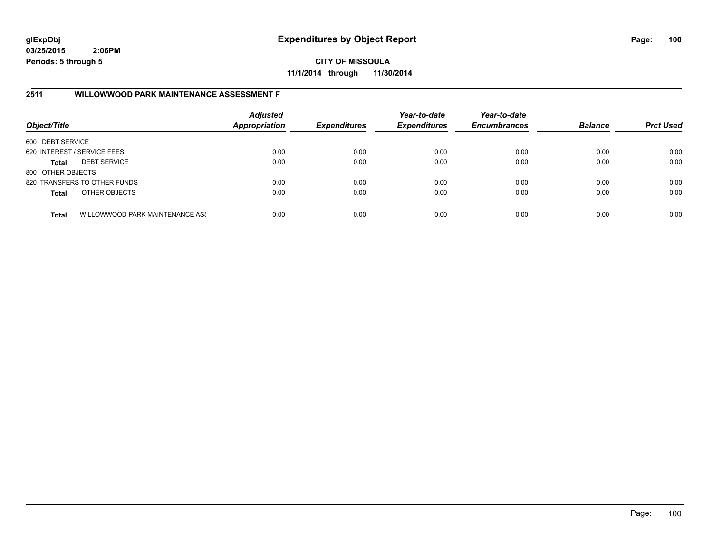**CITY OF MISSOULA 11/1/2014 through 11/30/2014**

## **2511 WILLOWWOOD PARK MAINTENANCE ASSESSMENT F**

| Object/Title                |                                 | <b>Adjusted</b><br><b>Appropriation</b> | <b>Expenditures</b> | Year-to-date<br><b>Expenditures</b> | Year-to-date<br><b>Encumbrances</b> | <b>Balance</b> | <b>Prct Used</b> |
|-----------------------------|---------------------------------|-----------------------------------------|---------------------|-------------------------------------|-------------------------------------|----------------|------------------|
| 600 DEBT SERVICE            |                                 |                                         |                     |                                     |                                     |                |                  |
| 620 INTEREST / SERVICE FEES |                                 | 0.00                                    | 0.00                | 0.00                                | 0.00                                | 0.00           | 0.00             |
| Total                       | <b>DEBT SERVICE</b>             | 0.00                                    | 0.00                | 0.00                                | 0.00                                | 0.00           | 0.00             |
| 800 OTHER OBJECTS           |                                 |                                         |                     |                                     |                                     |                |                  |
|                             | 820 TRANSFERS TO OTHER FUNDS    | 0.00                                    | 0.00                | 0.00                                | 0.00                                | 0.00           | 0.00             |
| <b>Total</b>                | OTHER OBJECTS                   | 0.00                                    | 0.00                | 0.00                                | 0.00                                | 0.00           | 0.00             |
| <b>Total</b>                | WILLOWWOOD PARK MAINTENANCE ASS | 0.00                                    | 0.00                | 0.00                                | 0.00                                | 0.00           | 0.00             |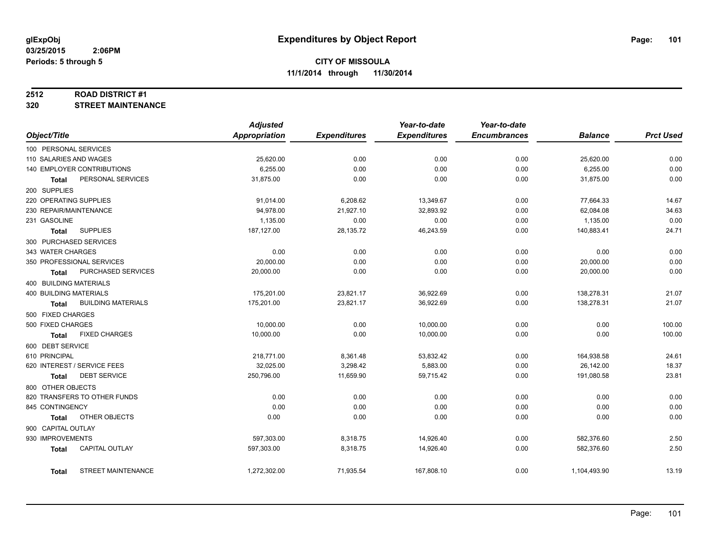#### **2512 ROAD DISTRICT #1**

**320 STREET MAINTENANCE**

|                               |                              | <b>Adjusted</b>      |                     | Year-to-date        | Year-to-date        |                |                  |
|-------------------------------|------------------------------|----------------------|---------------------|---------------------|---------------------|----------------|------------------|
| Object/Title                  |                              | <b>Appropriation</b> | <b>Expenditures</b> | <b>Expenditures</b> | <b>Encumbrances</b> | <b>Balance</b> | <b>Prct Used</b> |
| 100 PERSONAL SERVICES         |                              |                      |                     |                     |                     |                |                  |
| 110 SALARIES AND WAGES        |                              | 25,620.00            | 0.00                | 0.00                | 0.00                | 25,620.00      | 0.00             |
|                               | 140 EMPLOYER CONTRIBUTIONS   | 6,255.00             | 0.00                | 0.00                | 0.00                | 6,255.00       | 0.00             |
| Total                         | PERSONAL SERVICES            | 31,875.00            | 0.00                | 0.00                | 0.00                | 31,875.00      | 0.00             |
| 200 SUPPLIES                  |                              |                      |                     |                     |                     |                |                  |
| 220 OPERATING SUPPLIES        |                              | 91,014.00            | 6,208.62            | 13,349.67           | 0.00                | 77,664.33      | 14.67            |
| 230 REPAIR/MAINTENANCE        |                              | 94,978.00            | 21,927.10           | 32,893.92           | 0.00                | 62,084.08      | 34.63            |
| 231 GASOLINE                  |                              | 1,135.00             | 0.00                | 0.00                | 0.00                | 1,135.00       | 0.00             |
| <b>Total</b>                  | <b>SUPPLIES</b>              | 187,127.00           | 28,135.72           | 46,243.59           | 0.00                | 140,883.41     | 24.71            |
| 300 PURCHASED SERVICES        |                              |                      |                     |                     |                     |                |                  |
| 343 WATER CHARGES             |                              | 0.00                 | 0.00                | 0.00                | 0.00                | 0.00           | 0.00             |
|                               | 350 PROFESSIONAL SERVICES    | 20,000.00            | 0.00                | 0.00                | 0.00                | 20,000.00      | 0.00             |
| Total                         | PURCHASED SERVICES           | 20,000.00            | 0.00                | 0.00                | 0.00                | 20,000.00      | 0.00             |
| 400 BUILDING MATERIALS        |                              |                      |                     |                     |                     |                |                  |
| <b>400 BUILDING MATERIALS</b> |                              | 175,201.00           | 23,821.17           | 36,922.69           | 0.00                | 138,278.31     | 21.07            |
| <b>Total</b>                  | <b>BUILDING MATERIALS</b>    | 175,201.00           | 23,821.17           | 36,922.69           | 0.00                | 138,278.31     | 21.07            |
| 500 FIXED CHARGES             |                              |                      |                     |                     |                     |                |                  |
| 500 FIXED CHARGES             |                              | 10,000.00            | 0.00                | 10,000.00           | 0.00                | 0.00           | 100.00           |
| <b>Total</b>                  | <b>FIXED CHARGES</b>         | 10,000.00            | 0.00                | 10,000.00           | 0.00                | 0.00           | 100.00           |
| 600 DEBT SERVICE              |                              |                      |                     |                     |                     |                |                  |
| 610 PRINCIPAL                 |                              | 218,771.00           | 8,361.48            | 53,832.42           | 0.00                | 164,938.58     | 24.61            |
|                               | 620 INTEREST / SERVICE FEES  | 32,025.00            | 3,298.42            | 5,883.00            | 0.00                | 26,142.00      | 18.37            |
| Total                         | <b>DEBT SERVICE</b>          | 250,796.00           | 11,659.90           | 59,715.42           | 0.00                | 191,080.58     | 23.81            |
| 800 OTHER OBJECTS             |                              |                      |                     |                     |                     |                |                  |
|                               | 820 TRANSFERS TO OTHER FUNDS | 0.00                 | 0.00                | 0.00                | 0.00                | 0.00           | 0.00             |
| 845 CONTINGENCY               |                              | 0.00                 | 0.00                | 0.00                | 0.00                | 0.00           | 0.00             |
| <b>Total</b>                  | OTHER OBJECTS                | 0.00                 | 0.00                | 0.00                | 0.00                | 0.00           | 0.00             |
| 900 CAPITAL OUTLAY            |                              |                      |                     |                     |                     |                |                  |
| 930 IMPROVEMENTS              |                              | 597,303.00           | 8,318.75            | 14,926.40           | 0.00                | 582,376.60     | 2.50             |
| <b>Total</b>                  | <b>CAPITAL OUTLAY</b>        | 597,303.00           | 8,318.75            | 14,926.40           | 0.00                | 582,376.60     | 2.50             |
|                               |                              |                      |                     |                     |                     |                |                  |
| Total                         | STREET MAINTENANCE           | 1,272,302.00         | 71,935.54           | 167,808.10          | 0.00                | 1,104,493.90   | 13.19            |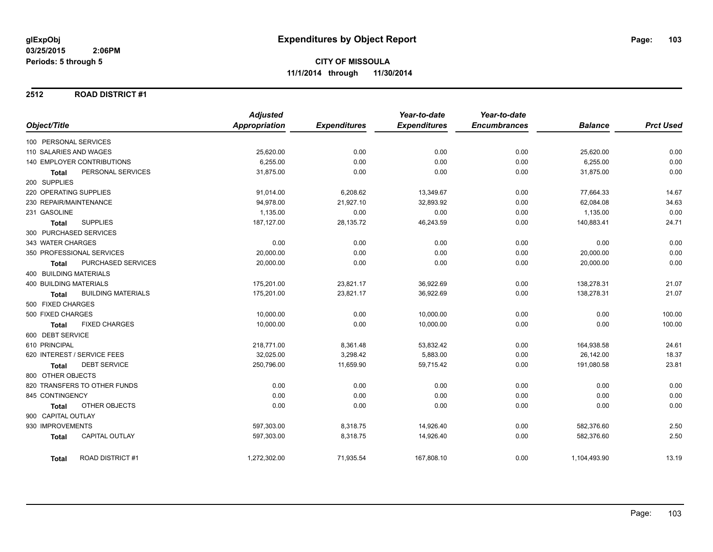#### **2512 ROAD DISTRICT #1**

|                                           | <b>Adjusted</b>      |                     | Year-to-date        | Year-to-date        |                |                  |
|-------------------------------------------|----------------------|---------------------|---------------------|---------------------|----------------|------------------|
| Object/Title                              | <b>Appropriation</b> | <b>Expenditures</b> | <b>Expenditures</b> | <b>Encumbrances</b> | <b>Balance</b> | <b>Prct Used</b> |
| 100 PERSONAL SERVICES                     |                      |                     |                     |                     |                |                  |
| 110 SALARIES AND WAGES                    | 25,620.00            | 0.00                | 0.00                | 0.00                | 25,620.00      | 0.00             |
| 140 EMPLOYER CONTRIBUTIONS                | 6,255.00             | 0.00                | 0.00                | 0.00                | 6,255.00       | 0.00             |
| PERSONAL SERVICES<br><b>Total</b>         | 31,875.00            | 0.00                | 0.00                | 0.00                | 31,875.00      | 0.00             |
| 200 SUPPLIES                              |                      |                     |                     |                     |                |                  |
| 220 OPERATING SUPPLIES                    | 91,014.00            | 6,208.62            | 13,349.67           | 0.00                | 77,664.33      | 14.67            |
| 230 REPAIR/MAINTENANCE                    | 94,978.00            | 21,927.10           | 32,893.92           | 0.00                | 62,084.08      | 34.63            |
| 231 GASOLINE                              | 1,135.00             | 0.00                | 0.00                | 0.00                | 1,135.00       | 0.00             |
| <b>SUPPLIES</b><br><b>Total</b>           | 187,127.00           | 28,135.72           | 46,243.59           | 0.00                | 140,883.41     | 24.71            |
| 300 PURCHASED SERVICES                    |                      |                     |                     |                     |                |                  |
| 343 WATER CHARGES                         | 0.00                 | 0.00                | 0.00                | 0.00                | 0.00           | 0.00             |
| 350 PROFESSIONAL SERVICES                 | 20,000.00            | 0.00                | 0.00                | 0.00                | 20,000.00      | 0.00             |
| PURCHASED SERVICES<br><b>Total</b>        | 20,000.00            | 0.00                | 0.00                | 0.00                | 20,000.00      | 0.00             |
| 400 BUILDING MATERIALS                    |                      |                     |                     |                     |                |                  |
| <b>400 BUILDING MATERIALS</b>             | 175,201.00           | 23,821.17           | 36,922.69           | 0.00                | 138,278.31     | 21.07            |
| <b>BUILDING MATERIALS</b><br><b>Total</b> | 175,201.00           | 23,821.17           | 36,922.69           | 0.00                | 138,278.31     | 21.07            |
| 500 FIXED CHARGES                         |                      |                     |                     |                     |                |                  |
| 500 FIXED CHARGES                         | 10,000.00            | 0.00                | 10,000.00           | 0.00                | 0.00           | 100.00           |
| <b>FIXED CHARGES</b><br><b>Total</b>      | 10,000.00            | 0.00                | 10,000.00           | 0.00                | 0.00           | 100.00           |
| 600 DEBT SERVICE                          |                      |                     |                     |                     |                |                  |
| 610 PRINCIPAL                             | 218,771.00           | 8,361.48            | 53,832.42           | 0.00                | 164,938.58     | 24.61            |
| 620 INTEREST / SERVICE FEES               | 32,025.00            | 3,298.42            | 5,883.00            | 0.00                | 26,142.00      | 18.37            |
| <b>DEBT SERVICE</b><br><b>Total</b>       | 250,796.00           | 11,659.90           | 59,715.42           | 0.00                | 191,080.58     | 23.81            |
| 800 OTHER OBJECTS                         |                      |                     |                     |                     |                |                  |
| 820 TRANSFERS TO OTHER FUNDS              | 0.00                 | 0.00                | 0.00                | 0.00                | 0.00           | 0.00             |
| 845 CONTINGENCY                           | 0.00                 | 0.00                | 0.00                | 0.00                | 0.00           | 0.00             |
| OTHER OBJECTS<br><b>Total</b>             | 0.00                 | 0.00                | 0.00                | 0.00                | 0.00           | 0.00             |
| 900 CAPITAL OUTLAY                        |                      |                     |                     |                     |                |                  |
| 930 IMPROVEMENTS                          | 597,303.00           | 8,318.75            | 14,926.40           | 0.00                | 582,376.60     | 2.50             |
| <b>CAPITAL OUTLAY</b><br><b>Total</b>     | 597,303.00           | 8,318.75            | 14,926.40           | 0.00                | 582,376.60     | 2.50             |
| <b>ROAD DISTRICT #1</b><br><b>Total</b>   | 1,272,302.00         | 71,935.54           | 167,808.10          | 0.00                | 1,104,493.90   | 13.19            |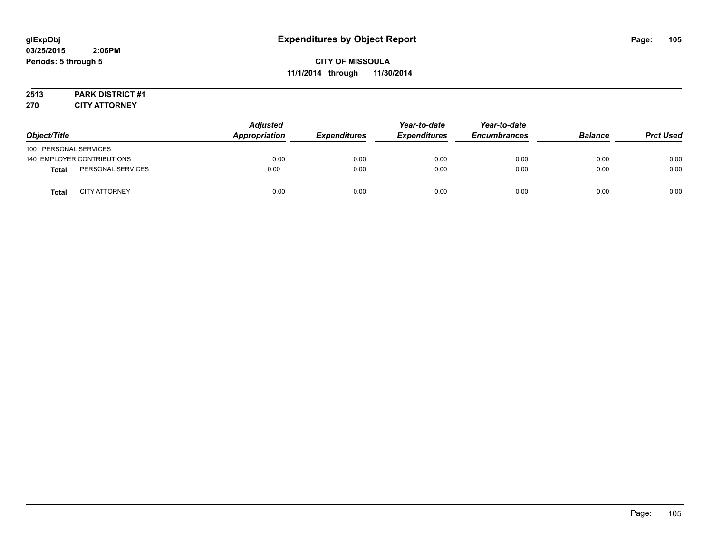# **2513 PARK DISTRICT #1**

**270 CITY ATTORNEY**

| Object/Title          |                            | <b>Adjusted</b><br>Appropriation | <b>Expenditures</b> | Year-to-date<br><b>Expenditures</b> | Year-to-date<br><b>Encumbrances</b> | <b>Balance</b> | <b>Prct Used</b> |
|-----------------------|----------------------------|----------------------------------|---------------------|-------------------------------------|-------------------------------------|----------------|------------------|
| 100 PERSONAL SERVICES |                            |                                  |                     |                                     |                                     |                |                  |
|                       | 140 EMPLOYER CONTRIBUTIONS | 0.00                             | 0.00                | 0.00                                | 0.00                                | 0.00           | 0.00             |
| <b>Total</b>          | PERSONAL SERVICES          | 0.00                             | 0.00                | 0.00                                | 0.00                                | 0.00           | 0.00             |
| <b>Total</b>          | <b>CITY ATTORNEY</b>       | 0.00                             | 0.00                | 0.00                                | 0.00                                | 0.00           | 0.00             |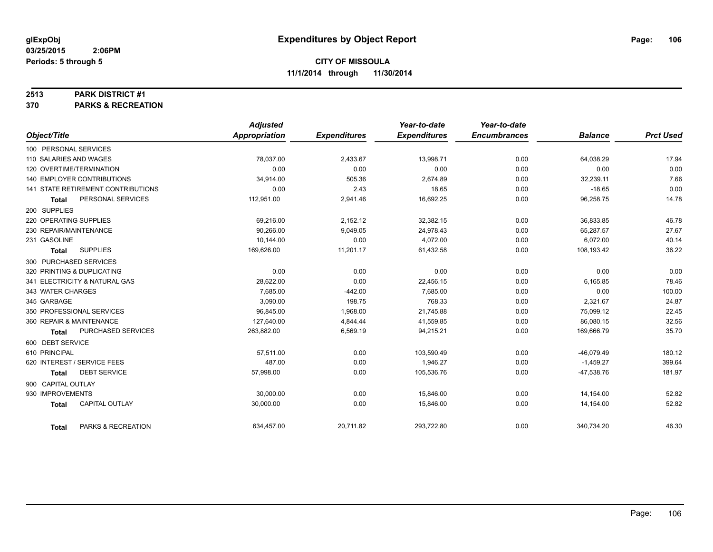#### **2513 PARK DISTRICT #1**

**370 PARKS & RECREATION**

|                                       | <b>Adjusted</b> |                     | Year-to-date        | Year-to-date        |                |                  |
|---------------------------------------|-----------------|---------------------|---------------------|---------------------|----------------|------------------|
| Object/Title                          | Appropriation   | <b>Expenditures</b> | <b>Expenditures</b> | <b>Encumbrances</b> | <b>Balance</b> | <b>Prct Used</b> |
| 100 PERSONAL SERVICES                 |                 |                     |                     |                     |                |                  |
| 110 SALARIES AND WAGES                | 78,037.00       | 2,433.67            | 13,998.71           | 0.00                | 64,038.29      | 17.94            |
| 120 OVERTIME/TERMINATION              | 0.00            | 0.00                | 0.00                | 0.00                | 0.00           | 0.00             |
| <b>140 EMPLOYER CONTRIBUTIONS</b>     | 34,914.00       | 505.36              | 2,674.89            | 0.00                | 32,239.11      | 7.66             |
| 141 STATE RETIREMENT CONTRIBUTIONS    | 0.00            | 2.43                | 18.65               | 0.00                | $-18.65$       | 0.00             |
| PERSONAL SERVICES<br><b>Total</b>     | 112,951.00      | 2,941.46            | 16,692.25           | 0.00                | 96,258.75      | 14.78            |
| 200 SUPPLIES                          |                 |                     |                     |                     |                |                  |
| 220 OPERATING SUPPLIES                | 69,216.00       | 2,152.12            | 32,382.15           | 0.00                | 36,833.85      | 46.78            |
| 230 REPAIR/MAINTENANCE                | 90.266.00       | 9,049.05            | 24,978.43           | 0.00                | 65,287.57      | 27.67            |
| 231 GASOLINE                          | 10,144.00       | 0.00                | 4,072.00            | 0.00                | 6,072.00       | 40.14            |
| <b>SUPPLIES</b><br><b>Total</b>       | 169,626.00      | 11,201.17           | 61,432.58           | 0.00                | 108,193.42     | 36.22            |
| 300 PURCHASED SERVICES                |                 |                     |                     |                     |                |                  |
| 320 PRINTING & DUPLICATING            | 0.00            | 0.00                | 0.00                | 0.00                | 0.00           | 0.00             |
| 341 ELECTRICITY & NATURAL GAS         | 28,622.00       | 0.00                | 22,456.15           | 0.00                | 6,165.85       | 78.46            |
| 343 WATER CHARGES                     | 7,685.00        | $-442.00$           | 7,685.00            | 0.00                | 0.00           | 100.00           |
| 345 GARBAGE                           | 3,090.00        | 198.75              | 768.33              | 0.00                | 2,321.67       | 24.87            |
| 350 PROFESSIONAL SERVICES             | 96,845.00       | 1,968.00            | 21,745.88           | 0.00                | 75,099.12      | 22.45            |
| 360 REPAIR & MAINTENANCE              | 127,640.00      | 4,844.44            | 41,559.85           | 0.00                | 86,080.15      | 32.56            |
| PURCHASED SERVICES<br>Total           | 263,882.00      | 6,569.19            | 94,215.21           | 0.00                | 169,666.79     | 35.70            |
| 600 DEBT SERVICE                      |                 |                     |                     |                     |                |                  |
| 610 PRINCIPAL                         | 57,511.00       | 0.00                | 103,590.49          | 0.00                | $-46,079.49$   | 180.12           |
| 620 INTEREST / SERVICE FEES           | 487.00          | 0.00                | 1,946.27            | 0.00                | $-1,459.27$    | 399.64           |
| <b>DEBT SERVICE</b><br><b>Total</b>   | 57,998.00       | 0.00                | 105,536.76          | 0.00                | $-47,538.76$   | 181.97           |
| 900 CAPITAL OUTLAY                    |                 |                     |                     |                     |                |                  |
| 930 IMPROVEMENTS                      | 30,000.00       | 0.00                | 15,846.00           | 0.00                | 14,154.00      | 52.82            |
| <b>CAPITAL OUTLAY</b><br><b>Total</b> | 30,000.00       | 0.00                | 15,846.00           | 0.00                | 14,154.00      | 52.82            |
| PARKS & RECREATION<br><b>Total</b>    | 634,457.00      | 20,711.82           | 293,722.80          | 0.00                | 340,734.20     | 46.30            |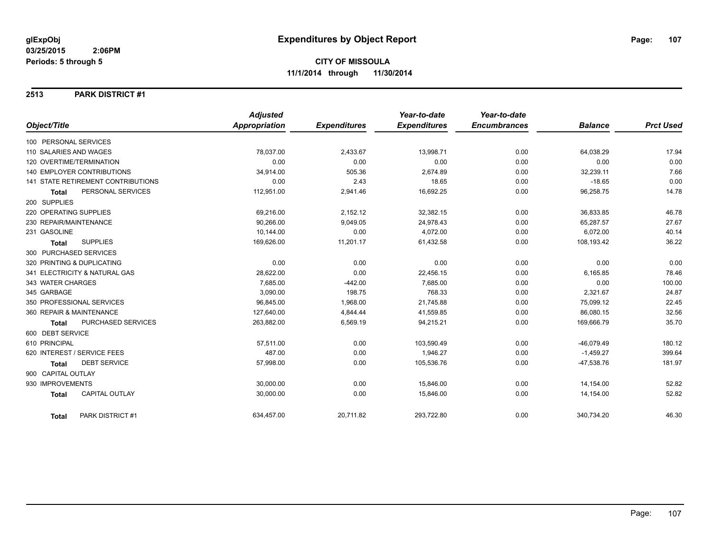#### **2513 PARK DISTRICT #1**

|                                           | <b>Adjusted</b>      |                     | Year-to-date        | Year-to-date        |                |                  |
|-------------------------------------------|----------------------|---------------------|---------------------|---------------------|----------------|------------------|
| Object/Title                              | <b>Appropriation</b> | <b>Expenditures</b> | <b>Expenditures</b> | <b>Encumbrances</b> | <b>Balance</b> | <b>Prct Used</b> |
| 100 PERSONAL SERVICES                     |                      |                     |                     |                     |                |                  |
| 110 SALARIES AND WAGES                    | 78,037.00            | 2,433.67            | 13,998.71           | 0.00                | 64,038.29      | 17.94            |
| 120 OVERTIME/TERMINATION                  | 0.00                 | 0.00                | 0.00                | 0.00                | 0.00           | 0.00             |
| <b>140 EMPLOYER CONTRIBUTIONS</b>         | 34,914.00            | 505.36              | 2,674.89            | 0.00                | 32,239.11      | 7.66             |
| <b>141 STATE RETIREMENT CONTRIBUTIONS</b> | 0.00                 | 2.43                | 18.65               | 0.00                | $-18.65$       | 0.00             |
| PERSONAL SERVICES<br><b>Total</b>         | 112,951.00           | 2,941.46            | 16,692.25           | 0.00                | 96,258.75      | 14.78            |
| 200 SUPPLIES                              |                      |                     |                     |                     |                |                  |
| 220 OPERATING SUPPLIES                    | 69,216.00            | 2,152.12            | 32,382.15           | 0.00                | 36,833.85      | 46.78            |
| 230 REPAIR/MAINTENANCE                    | 90,266.00            | 9,049.05            | 24,978.43           | 0.00                | 65,287.57      | 27.67            |
| 231 GASOLINE                              | 10,144.00            | 0.00                | 4,072.00            | 0.00                | 6,072.00       | 40.14            |
| <b>SUPPLIES</b><br><b>Total</b>           | 169,626.00           | 11,201.17           | 61,432.58           | 0.00                | 108,193.42     | 36.22            |
| 300 PURCHASED SERVICES                    |                      |                     |                     |                     |                |                  |
| 320 PRINTING & DUPLICATING                | 0.00                 | 0.00                | 0.00                | 0.00                | 0.00           | 0.00             |
| 341 ELECTRICITY & NATURAL GAS             | 28,622.00            | 0.00                | 22,456.15           | 0.00                | 6,165.85       | 78.46            |
| 343 WATER CHARGES                         | 7,685.00             | $-442.00$           | 7,685.00            | 0.00                | 0.00           | 100.00           |
| 345 GARBAGE                               | 3,090.00             | 198.75              | 768.33              | 0.00                | 2,321.67       | 24.87            |
| 350 PROFESSIONAL SERVICES                 | 96,845.00            | 1,968.00            | 21,745.88           | 0.00                | 75,099.12      | 22.45            |
| 360 REPAIR & MAINTENANCE                  | 127,640.00           | 4,844.44            | 41,559.85           | 0.00                | 86,080.15      | 32.56            |
| PURCHASED SERVICES<br><b>Total</b>        | 263,882.00           | 6,569.19            | 94,215.21           | 0.00                | 169,666.79     | 35.70            |
| 600 DEBT SERVICE                          |                      |                     |                     |                     |                |                  |
| 610 PRINCIPAL                             | 57,511.00            | 0.00                | 103,590.49          | 0.00                | $-46,079.49$   | 180.12           |
| 620 INTEREST / SERVICE FEES               | 487.00               | 0.00                | 1,946.27            | 0.00                | $-1,459.27$    | 399.64           |
| <b>DEBT SERVICE</b><br>Total              | 57,998.00            | 0.00                | 105,536.76          | 0.00                | $-47,538.76$   | 181.97           |
| 900 CAPITAL OUTLAY                        |                      |                     |                     |                     |                |                  |
| 930 IMPROVEMENTS                          | 30,000.00            | 0.00                | 15,846.00           | 0.00                | 14,154.00      | 52.82            |
| <b>CAPITAL OUTLAY</b><br><b>Total</b>     | 30,000.00            | 0.00                | 15,846.00           | 0.00                | 14,154.00      | 52.82            |
| PARK DISTRICT #1<br><b>Total</b>          | 634,457.00           | 20,711.82           | 293,722.80          | 0.00                | 340,734.20     | 46.30            |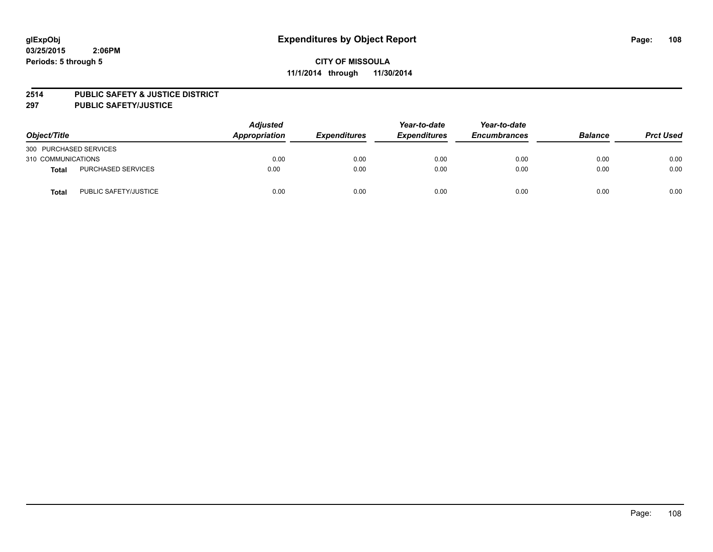#### **2514 PUBLIC SAFETY & JUSTICE DISTRICT**

**297 PUBLIC SAFETY/JUSTICE**

| Object/Title           |                           | <b>Adjusted</b><br>Appropriation | <b>Expenditures</b> | Year-to-date<br><b>Expenditures</b> | Year-to-date<br><b>Encumbrances</b> | <b>Balance</b> | <b>Prct Used</b> |
|------------------------|---------------------------|----------------------------------|---------------------|-------------------------------------|-------------------------------------|----------------|------------------|
| 300 PURCHASED SERVICES |                           |                                  |                     |                                     |                                     |                |                  |
| 310 COMMUNICATIONS     |                           | 0.00                             | 0.00                | 0.00                                | 0.00                                | 0.00           | 0.00             |
| Total                  | <b>PURCHASED SERVICES</b> | 0.00                             | 0.00                | 0.00                                | 0.00                                | 0.00           | 0.00             |
| Total                  | PUBLIC SAFETY/JUSTICE     | 0.00                             | 0.00                | 0.00                                | 0.00                                | 0.00           | 0.00             |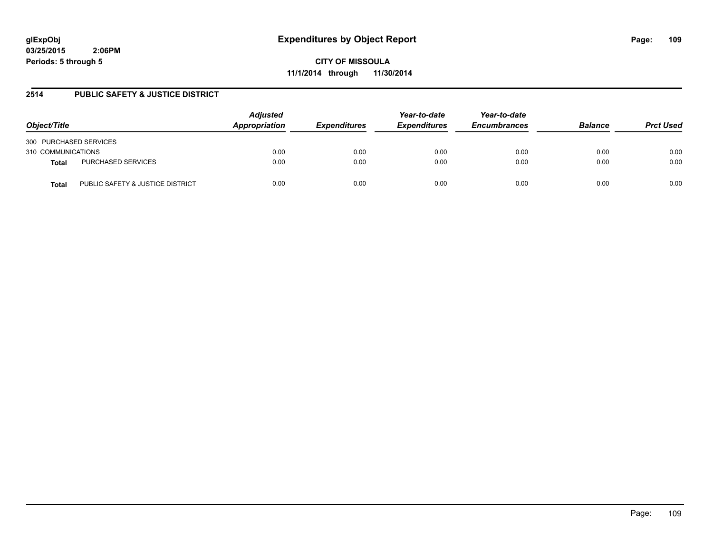**CITY OF MISSOULA 11/1/2014 through 11/30/2014**

### **2514 PUBLIC SAFETY & JUSTICE DISTRICT**

| Object/Title                              | <b>Adjusted</b><br>Appropriation | <b>Expenditures</b> | Year-to-date<br><b>Expenditures</b> | Year-to-date<br><b>Encumbrances</b> | <b>Balance</b> | <b>Prct Used</b> |
|-------------------------------------------|----------------------------------|---------------------|-------------------------------------|-------------------------------------|----------------|------------------|
| 300 PURCHASED SERVICES                    |                                  |                     |                                     |                                     |                |                  |
| 310 COMMUNICATIONS                        | 0.00                             | 0.00                | 0.00                                | 0.00                                | 0.00           | 0.00             |
| PURCHASED SERVICES<br>Total               | 0.00                             | 0.00                | 0.00                                | 0.00                                | 0.00           | 0.00             |
| PUBLIC SAFETY & JUSTICE DISTRICT<br>Total | 0.00                             | 0.00                | 0.00                                | 0.00                                | 0.00           | 0.00             |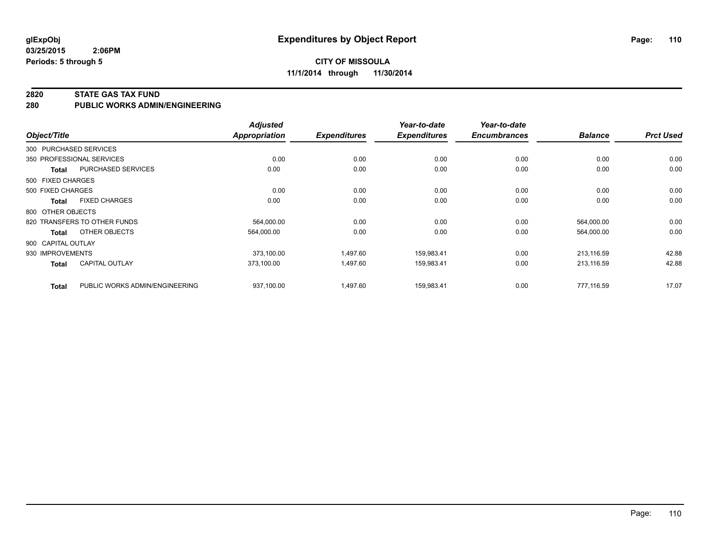#### **CITY OF MISSOULA 11/1/2014 through 11/30/2014**

#### **2820 STATE GAS TAX FUND**

**280 PUBLIC WORKS ADMIN/ENGINEERING**

| Object/Title       |                                | <b>Adjusted</b><br>Appropriation | <b>Expenditures</b> | Year-to-date<br><b>Expenditures</b> | Year-to-date<br><b>Encumbrances</b> | <b>Balance</b> | <b>Prct Used</b> |
|--------------------|--------------------------------|----------------------------------|---------------------|-------------------------------------|-------------------------------------|----------------|------------------|
|                    | 300 PURCHASED SERVICES         |                                  |                     |                                     |                                     |                |                  |
|                    | 350 PROFESSIONAL SERVICES      | 0.00                             | 0.00                | 0.00                                | 0.00                                | 0.00           | 0.00             |
| <b>Total</b>       | PURCHASED SERVICES             | 0.00                             | 0.00                | 0.00                                | 0.00                                | 0.00           | 0.00             |
| 500 FIXED CHARGES  |                                |                                  |                     |                                     |                                     |                |                  |
| 500 FIXED CHARGES  |                                | 0.00                             | 0.00                | 0.00                                | 0.00                                | 0.00           | 0.00             |
| <b>Total</b>       | <b>FIXED CHARGES</b>           | 0.00                             | 0.00                | 0.00                                | 0.00                                | 0.00           | 0.00             |
| 800 OTHER OBJECTS  |                                |                                  |                     |                                     |                                     |                |                  |
|                    | 820 TRANSFERS TO OTHER FUNDS   | 564,000.00                       | 0.00                | 0.00                                | 0.00                                | 564,000.00     | 0.00             |
| <b>Total</b>       | OTHER OBJECTS                  | 564,000.00                       | 0.00                | 0.00                                | 0.00                                | 564,000.00     | 0.00             |
| 900 CAPITAL OUTLAY |                                |                                  |                     |                                     |                                     |                |                  |
| 930 IMPROVEMENTS   |                                | 373,100.00                       | 1,497.60            | 159,983.41                          | 0.00                                | 213,116.59     | 42.88            |
| <b>Total</b>       | <b>CAPITAL OUTLAY</b>          | 373,100.00                       | 1,497.60            | 159,983.41                          | 0.00                                | 213,116.59     | 42.88            |
| <b>Total</b>       | PUBLIC WORKS ADMIN/ENGINEERING | 937.100.00                       | 1,497.60            | 159,983.41                          | 0.00                                | 777.116.59     | 17.07            |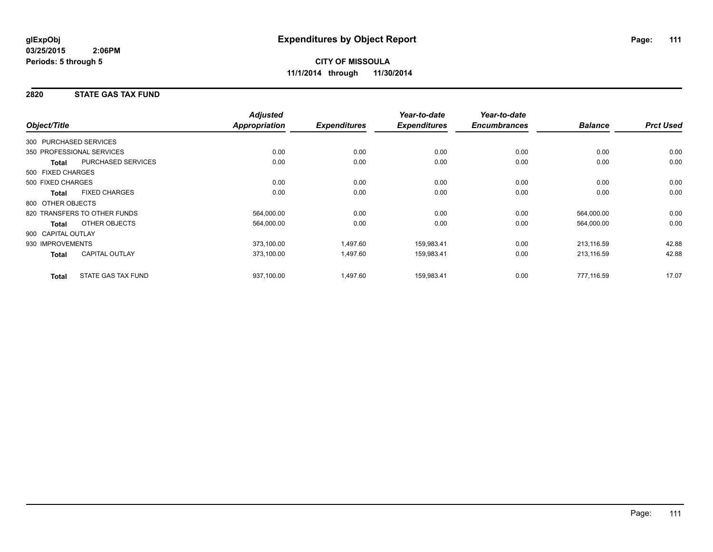**11/1/2014 through 11/30/2014**

# **2820 STATE GAS TAX FUND**

|                        |                              | <b>Adjusted</b> |                     | Year-to-date        | Year-to-date        |                |                  |
|------------------------|------------------------------|-----------------|---------------------|---------------------|---------------------|----------------|------------------|
| Object/Title           |                              | Appropriation   | <b>Expenditures</b> | <b>Expenditures</b> | <b>Encumbrances</b> | <b>Balance</b> | <b>Prct Used</b> |
| 300 PURCHASED SERVICES |                              |                 |                     |                     |                     |                |                  |
|                        | 350 PROFESSIONAL SERVICES    | 0.00            | 0.00                | 0.00                | 0.00                | 0.00           | 0.00             |
| <b>Total</b>           | <b>PURCHASED SERVICES</b>    | 0.00            | 0.00                | 0.00                | 0.00                | 0.00           | 0.00             |
| 500 FIXED CHARGES      |                              |                 |                     |                     |                     |                |                  |
| 500 FIXED CHARGES      |                              | 0.00            | 0.00                | 0.00                | 0.00                | 0.00           | 0.00             |
| <b>Total</b>           | <b>FIXED CHARGES</b>         | 0.00            | 0.00                | 0.00                | 0.00                | 0.00           | 0.00             |
| 800 OTHER OBJECTS      |                              |                 |                     |                     |                     |                |                  |
|                        | 820 TRANSFERS TO OTHER FUNDS | 564,000.00      | 0.00                | 0.00                | 0.00                | 564,000.00     | 0.00             |
| <b>Total</b>           | OTHER OBJECTS                | 564,000.00      | 0.00                | 0.00                | 0.00                | 564,000.00     | 0.00             |
| 900 CAPITAL OUTLAY     |                              |                 |                     |                     |                     |                |                  |
| 930 IMPROVEMENTS       |                              | 373,100.00      | 1,497.60            | 159,983.41          | 0.00                | 213,116.59     | 42.88            |
| <b>Total</b>           | <b>CAPITAL OUTLAY</b>        | 373,100.00      | 1,497.60            | 159,983.41          | 0.00                | 213,116.59     | 42.88            |
| <b>Total</b>           | STATE GAS TAX FUND           | 937,100.00      | 1,497.60            | 159,983.41          | 0.00                | 777,116.59     | 17.07            |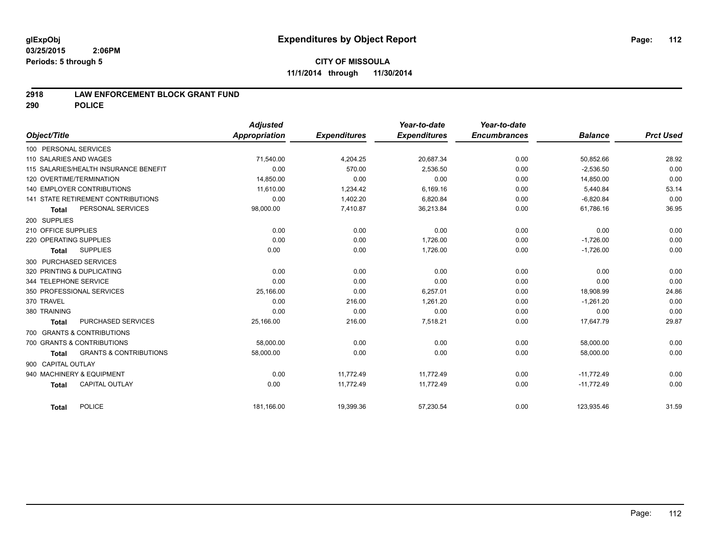### **CITY OF MISSOULA 11/1/2014 through 11/30/2014**

#### **2918 LAW ENFORCEMENT BLOCK GRANT FUND**

**290 POLICE**

|                                                   | <b>Adjusted</b> |                     | Year-to-date        | Year-to-date        |                |                  |
|---------------------------------------------------|-----------------|---------------------|---------------------|---------------------|----------------|------------------|
| Object/Title                                      | Appropriation   | <b>Expenditures</b> | <b>Expenditures</b> | <b>Encumbrances</b> | <b>Balance</b> | <b>Prct Used</b> |
| 100 PERSONAL SERVICES                             |                 |                     |                     |                     |                |                  |
| 110 SALARIES AND WAGES                            | 71,540.00       | 4,204.25            | 20,687.34           | 0.00                | 50,852.66      | 28.92            |
| 115 SALARIES/HEALTH INSURANCE BENEFIT             | 0.00            | 570.00              | 2,536.50            | 0.00                | $-2,536.50$    | 0.00             |
| 120 OVERTIME/TERMINATION                          | 14,850.00       | 0.00                | 0.00                | 0.00                | 14,850.00      | 0.00             |
| <b>140 EMPLOYER CONTRIBUTIONS</b>                 | 11,610.00       | 1,234.42            | 6,169.16            | 0.00                | 5,440.84       | 53.14            |
| 141 STATE RETIREMENT CONTRIBUTIONS                | 0.00            | 1,402.20            | 6,820.84            | 0.00                | $-6,820.84$    | 0.00             |
| PERSONAL SERVICES<br><b>Total</b>                 | 98,000.00       | 7,410.87            | 36,213.84           | 0.00                | 61,786.16      | 36.95            |
| 200 SUPPLIES                                      |                 |                     |                     |                     |                |                  |
| 210 OFFICE SUPPLIES                               | 0.00            | 0.00                | 0.00                | 0.00                | 0.00           | 0.00             |
| 220 OPERATING SUPPLIES                            | 0.00            | 0.00                | 1.726.00            | 0.00                | $-1,726.00$    | 0.00             |
| <b>SUPPLIES</b><br><b>Total</b>                   | 0.00            | 0.00                | 1,726.00            | 0.00                | $-1,726.00$    | 0.00             |
| 300 PURCHASED SERVICES                            |                 |                     |                     |                     |                |                  |
| 320 PRINTING & DUPLICATING                        | 0.00            | 0.00                | 0.00                | 0.00                | 0.00           | 0.00             |
| 344 TELEPHONE SERVICE                             | 0.00            | 0.00                | 0.00                | 0.00                | 0.00           | 0.00             |
| 350 PROFESSIONAL SERVICES                         | 25,166.00       | 0.00                | 6,257.01            | 0.00                | 18,908.99      | 24.86            |
| 370 TRAVEL                                        | 0.00            | 216.00              | 1,261.20            | 0.00                | $-1,261.20$    | 0.00             |
| 380 TRAINING                                      | 0.00            | 0.00                | 0.00                | 0.00                | 0.00           | 0.00             |
| PURCHASED SERVICES<br>Total                       | 25,166.00       | 216.00              | 7,518.21            | 0.00                | 17,647.79      | 29.87            |
| 700 GRANTS & CONTRIBUTIONS                        |                 |                     |                     |                     |                |                  |
| 700 GRANTS & CONTRIBUTIONS                        | 58,000.00       | 0.00                | 0.00                | 0.00                | 58,000.00      | 0.00             |
| <b>GRANTS &amp; CONTRIBUTIONS</b><br><b>Total</b> | 58,000.00       | 0.00                | 0.00                | 0.00                | 58,000.00      | 0.00             |
| 900 CAPITAL OUTLAY                                |                 |                     |                     |                     |                |                  |
| 940 MACHINERY & EQUIPMENT                         | 0.00            | 11,772.49           | 11,772.49           | 0.00                | $-11,772.49$   | 0.00             |
| CAPITAL OUTLAY<br><b>Total</b>                    | 0.00            | 11,772.49           | 11,772.49           | 0.00                | $-11,772.49$   | 0.00             |
| POLICE<br>Total                                   | 181,166.00      | 19,399.36           | 57,230.54           | 0.00                | 123,935.46     | 31.59            |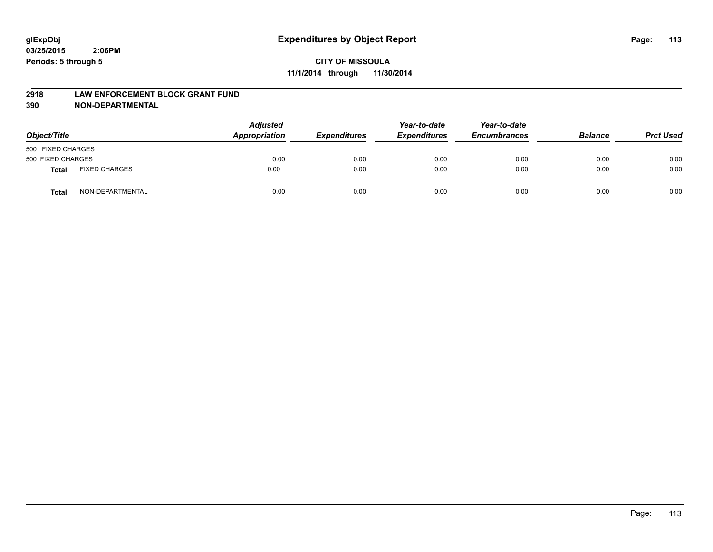#### **2918 LAW ENFORCEMENT BLOCK GRANT FUND**

**390 NON-DEPARTMENTAL**

| Object/Title      |                      | <b>Adjusted</b><br>Appropriation | <b>Expenditures</b> | Year-to-date<br><b>Expenditures</b> | Year-to-date<br><b>Encumbrances</b> | <b>Balance</b> | <b>Prct Used</b> |
|-------------------|----------------------|----------------------------------|---------------------|-------------------------------------|-------------------------------------|----------------|------------------|
| 500 FIXED CHARGES |                      |                                  |                     |                                     |                                     |                |                  |
| 500 FIXED CHARGES |                      | 0.00                             | 0.00                | 0.00                                | 0.00                                | 0.00           | 0.00             |
| <b>Total</b>      | <b>FIXED CHARGES</b> | 0.00                             | 0.00                | 0.00                                | 0.00                                | 0.00           | 0.00             |
| Total             | NON-DEPARTMENTAL     | 0.00                             | 0.00                | 0.00                                | 0.00                                | 0.00           | 0.00             |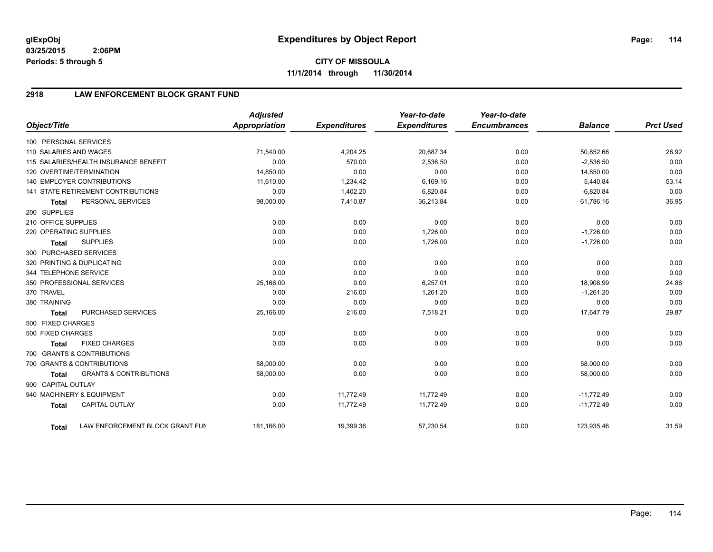**CITY OF MISSOULA 11/1/2014 through 11/30/2014**

# **2918 LAW ENFORCEMENT BLOCK GRANT FUND**

| Object/Title           |                                           | <b>Adjusted</b><br>Appropriation | <b>Expenditures</b> | Year-to-date<br><b>Expenditures</b> | Year-to-date<br><b>Encumbrances</b> | <b>Balance</b> | <b>Prct Used</b> |
|------------------------|-------------------------------------------|----------------------------------|---------------------|-------------------------------------|-------------------------------------|----------------|------------------|
|                        |                                           |                                  |                     |                                     |                                     |                |                  |
| 100 PERSONAL SERVICES  |                                           |                                  |                     |                                     |                                     |                |                  |
| 110 SALARIES AND WAGES |                                           | 71,540.00                        | 4,204.25            | 20,687.34                           | 0.00                                | 50,852.66      | 28.92            |
|                        | 115 SALARIES/HEALTH INSURANCE BENEFIT     | 0.00                             | 570.00              | 2,536.50                            | 0.00                                | $-2,536.50$    | 0.00             |
|                        | 120 OVERTIME/TERMINATION                  | 14,850.00                        | 0.00                | 0.00                                | 0.00                                | 14,850.00      | 0.00             |
|                        | <b>140 EMPLOYER CONTRIBUTIONS</b>         | 11.610.00                        | 1,234.42            | 6.169.16                            | 0.00                                | 5,440.84       | 53.14            |
|                        | <b>141 STATE RETIREMENT CONTRIBUTIONS</b> | 0.00                             | 1,402.20            | 6,820.84                            | 0.00                                | $-6,820.84$    | 0.00             |
| <b>Total</b>           | PERSONAL SERVICES                         | 98,000.00                        | 7,410.87            | 36,213.84                           | 0.00                                | 61,786.16      | 36.95            |
| 200 SUPPLIES           |                                           |                                  |                     |                                     |                                     |                |                  |
| 210 OFFICE SUPPLIES    |                                           | 0.00                             | 0.00                | 0.00                                | 0.00                                | 0.00           | 0.00             |
| 220 OPERATING SUPPLIES |                                           | 0.00                             | 0.00                | 1,726.00                            | 0.00                                | $-1,726.00$    | 0.00             |
| <b>Total</b>           | <b>SUPPLIES</b>                           | 0.00                             | 0.00                | 1,726.00                            | 0.00                                | $-1,726.00$    | 0.00             |
|                        | 300 PURCHASED SERVICES                    |                                  |                     |                                     |                                     |                |                  |
|                        | 320 PRINTING & DUPLICATING                | 0.00                             | 0.00                | 0.00                                | 0.00                                | 0.00           | 0.00             |
| 344 TELEPHONE SERVICE  |                                           | 0.00                             | 0.00                | 0.00                                | 0.00                                | 0.00           | 0.00             |
|                        | 350 PROFESSIONAL SERVICES                 | 25,166.00                        | 0.00                | 6,257.01                            | 0.00                                | 18,908.99      | 24.86            |
| 370 TRAVEL             |                                           | 0.00                             | 216.00              | 1,261.20                            | 0.00                                | $-1,261.20$    | 0.00             |
| 380 TRAINING           |                                           | 0.00                             | 0.00                | 0.00                                | 0.00                                | 0.00           | 0.00             |
| <b>Total</b>           | PURCHASED SERVICES                        | 25,166.00                        | 216.00              | 7,518.21                            | 0.00                                | 17,647.79      | 29.87            |
| 500 FIXED CHARGES      |                                           |                                  |                     |                                     |                                     |                |                  |
| 500 FIXED CHARGES      |                                           | 0.00                             | 0.00                | 0.00                                | 0.00                                | 0.00           | 0.00             |
| <b>Total</b>           | <b>FIXED CHARGES</b>                      | 0.00                             | 0.00                | 0.00                                | 0.00                                | 0.00           | 0.00             |
|                        | 700 GRANTS & CONTRIBUTIONS                |                                  |                     |                                     |                                     |                |                  |
|                        | 700 GRANTS & CONTRIBUTIONS                | 58,000.00                        | 0.00                | 0.00                                | 0.00                                | 58,000.00      | 0.00             |
| <b>Total</b>           | <b>GRANTS &amp; CONTRIBUTIONS</b>         | 58,000.00                        | 0.00                | 0.00                                | 0.00                                | 58,000.00      | 0.00             |
| 900 CAPITAL OUTLAY     |                                           |                                  |                     |                                     |                                     |                |                  |
|                        | 940 MACHINERY & EQUIPMENT                 | 0.00                             | 11,772.49           | 11,772.49                           | 0.00                                | $-11,772.49$   | 0.00             |
| <b>Total</b>           | <b>CAPITAL OUTLAY</b>                     | 0.00                             | 11,772.49           | 11,772.49                           | 0.00                                | $-11,772.49$   | 0.00             |
|                        |                                           |                                  |                     |                                     |                                     |                |                  |
| <b>Total</b>           | LAW ENFORCEMENT BLOCK GRANT FUN           | 181,166.00                       | 19,399.36           | 57,230.54                           | 0.00                                | 123,935.46     | 31.59            |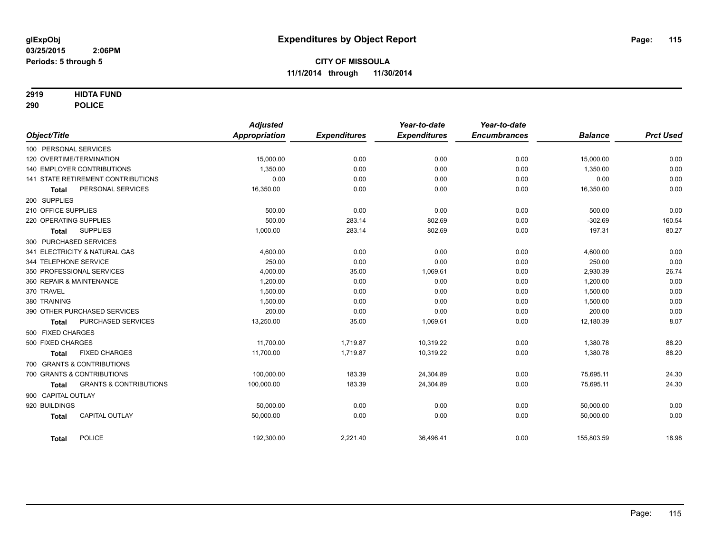#### **2919 HIDTA FUND**

**290 POLICE**

|                                                   | <b>Adjusted</b>      |                     | Year-to-date        | Year-to-date        |                |                  |
|---------------------------------------------------|----------------------|---------------------|---------------------|---------------------|----------------|------------------|
| Object/Title                                      | <b>Appropriation</b> | <b>Expenditures</b> | <b>Expenditures</b> | <b>Encumbrances</b> | <b>Balance</b> | <b>Prct Used</b> |
| 100 PERSONAL SERVICES                             |                      |                     |                     |                     |                |                  |
| 120 OVERTIME/TERMINATION                          | 15,000.00            | 0.00                | 0.00                | 0.00                | 15,000.00      | 0.00             |
| <b>140 EMPLOYER CONTRIBUTIONS</b>                 | 1.350.00             | 0.00                | 0.00                | 0.00                | 1.350.00       | 0.00             |
| <b>141 STATE RETIREMENT CONTRIBUTIONS</b>         | 0.00                 | 0.00                | 0.00                | 0.00                | 0.00           | 0.00             |
| PERSONAL SERVICES<br><b>Total</b>                 | 16,350.00            | 0.00                | 0.00                | 0.00                | 16,350.00      | 0.00             |
| 200 SUPPLIES                                      |                      |                     |                     |                     |                |                  |
| 210 OFFICE SUPPLIES                               | 500.00               | 0.00                | 0.00                | 0.00                | 500.00         | 0.00             |
| 220 OPERATING SUPPLIES                            | 500.00               | 283.14              | 802.69              | 0.00                | $-302.69$      | 160.54           |
| <b>SUPPLIES</b><br><b>Total</b>                   | 1,000.00             | 283.14              | 802.69              | 0.00                | 197.31         | 80.27            |
| 300 PURCHASED SERVICES                            |                      |                     |                     |                     |                |                  |
| 341 ELECTRICITY & NATURAL GAS                     | 4,600.00             | 0.00                | 0.00                | 0.00                | 4,600.00       | 0.00             |
| 344 TELEPHONE SERVICE                             | 250.00               | 0.00                | 0.00                | 0.00                | 250.00         | 0.00             |
| 350 PROFESSIONAL SERVICES                         | 4,000.00             | 35.00               | 1,069.61            | 0.00                | 2,930.39       | 26.74            |
| 360 REPAIR & MAINTENANCE                          | 1,200.00             | 0.00                | 0.00                | 0.00                | 1,200.00       | 0.00             |
| 370 TRAVEL                                        | 1,500.00             | 0.00                | 0.00                | 0.00                | 1,500.00       | 0.00             |
| 380 TRAINING                                      | 1,500.00             | 0.00                | 0.00                | 0.00                | 1,500.00       | 0.00             |
| 390 OTHER PURCHASED SERVICES                      | 200.00               | 0.00                | 0.00                | 0.00                | 200.00         | 0.00             |
| PURCHASED SERVICES<br><b>Total</b>                | 13,250.00            | 35.00               | 1,069.61            | 0.00                | 12,180.39      | 8.07             |
| 500 FIXED CHARGES                                 |                      |                     |                     |                     |                |                  |
| 500 FIXED CHARGES                                 | 11,700.00            | 1,719.87            | 10,319.22           | 0.00                | 1,380.78       | 88.20            |
| <b>FIXED CHARGES</b><br><b>Total</b>              | 11,700.00            | 1,719.87            | 10,319.22           | 0.00                | 1,380.78       | 88.20            |
| 700 GRANTS & CONTRIBUTIONS                        |                      |                     |                     |                     |                |                  |
| 700 GRANTS & CONTRIBUTIONS                        | 100,000.00           | 183.39              | 24,304.89           | 0.00                | 75,695.11      | 24.30            |
| <b>GRANTS &amp; CONTRIBUTIONS</b><br><b>Total</b> | 100,000.00           | 183.39              | 24,304.89           | 0.00                | 75,695.11      | 24.30            |
| 900 CAPITAL OUTLAY                                |                      |                     |                     |                     |                |                  |
| 920 BUILDINGS                                     | 50,000.00            | 0.00                | 0.00                | 0.00                | 50,000.00      | 0.00             |
| <b>CAPITAL OUTLAY</b><br><b>Total</b>             | 50,000.00            | 0.00                | 0.00                | 0.00                | 50,000.00      | 0.00             |
| <b>POLICE</b><br><b>Total</b>                     | 192,300.00           | 2,221.40            | 36,496.41           | 0.00                | 155,803.59     | 18.98            |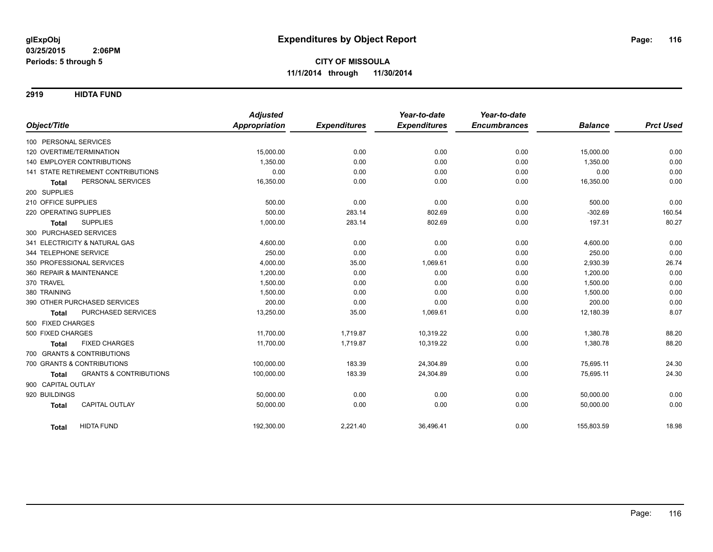**2919 HIDTA FUND**

|                                                   | <b>Adjusted</b>      |                     | Year-to-date        | Year-to-date        |                |                  |
|---------------------------------------------------|----------------------|---------------------|---------------------|---------------------|----------------|------------------|
| Object/Title                                      | <b>Appropriation</b> | <b>Expenditures</b> | <b>Expenditures</b> | <b>Encumbrances</b> | <b>Balance</b> | <b>Prct Used</b> |
| 100 PERSONAL SERVICES                             |                      |                     |                     |                     |                |                  |
| 120 OVERTIME/TERMINATION                          | 15,000.00            | 0.00                | 0.00                | 0.00                | 15,000.00      | 0.00             |
| <b>140 EMPLOYER CONTRIBUTIONS</b>                 | 1,350.00             | 0.00                | 0.00                | 0.00                | 1,350.00       | 0.00             |
| 141 STATE RETIREMENT CONTRIBUTIONS                | 0.00                 | 0.00                | 0.00                | 0.00                | 0.00           | 0.00             |
| PERSONAL SERVICES<br><b>Total</b>                 | 16,350.00            | 0.00                | 0.00                | 0.00                | 16,350.00      | 0.00             |
| 200 SUPPLIES                                      |                      |                     |                     |                     |                |                  |
| 210 OFFICE SUPPLIES                               | 500.00               | 0.00                | 0.00                | 0.00                | 500.00         | 0.00             |
| 220 OPERATING SUPPLIES                            | 500.00               | 283.14              | 802.69              | 0.00                | $-302.69$      | 160.54           |
| <b>SUPPLIES</b><br><b>Total</b>                   | 1,000.00             | 283.14              | 802.69              | 0.00                | 197.31         | 80.27            |
| 300 PURCHASED SERVICES                            |                      |                     |                     |                     |                |                  |
| 341 ELECTRICITY & NATURAL GAS                     | 4,600.00             | 0.00                | 0.00                | 0.00                | 4,600.00       | 0.00             |
| 344 TELEPHONE SERVICE                             | 250.00               | 0.00                | 0.00                | 0.00                | 250.00         | 0.00             |
| 350 PROFESSIONAL SERVICES                         | 4,000.00             | 35.00               | 1,069.61            | 0.00                | 2,930.39       | 26.74            |
| 360 REPAIR & MAINTENANCE                          | 1,200.00             | 0.00                | 0.00                | 0.00                | 1,200.00       | 0.00             |
| 370 TRAVEL                                        | 1,500.00             | 0.00                | 0.00                | 0.00                | 1,500.00       | 0.00             |
| 380 TRAINING                                      | 1,500.00             | 0.00                | 0.00                | 0.00                | 1,500.00       | 0.00             |
| 390 OTHER PURCHASED SERVICES                      | 200.00               | 0.00                | 0.00                | 0.00                | 200.00         | 0.00             |
| PURCHASED SERVICES<br><b>Total</b>                | 13,250.00            | 35.00               | 1,069.61            | 0.00                | 12,180.39      | 8.07             |
| 500 FIXED CHARGES                                 |                      |                     |                     |                     |                |                  |
| 500 FIXED CHARGES                                 | 11,700.00            | 1,719.87            | 10,319.22           | 0.00                | 1,380.78       | 88.20            |
| <b>FIXED CHARGES</b><br><b>Total</b>              | 11,700.00            | 1,719.87            | 10,319.22           | 0.00                | 1,380.78       | 88.20            |
| 700 GRANTS & CONTRIBUTIONS                        |                      |                     |                     |                     |                |                  |
| 700 GRANTS & CONTRIBUTIONS                        | 100,000.00           | 183.39              | 24,304.89           | 0.00                | 75,695.11      | 24.30            |
| <b>GRANTS &amp; CONTRIBUTIONS</b><br><b>Total</b> | 100,000.00           | 183.39              | 24,304.89           | 0.00                | 75,695.11      | 24.30            |
| 900 CAPITAL OUTLAY                                |                      |                     |                     |                     |                |                  |
| 920 BUILDINGS                                     | 50,000.00            | 0.00                | 0.00                | 0.00                | 50,000.00      | 0.00             |
| <b>CAPITAL OUTLAY</b><br><b>Total</b>             | 50,000.00            | 0.00                | 0.00                | 0.00                | 50,000.00      | 0.00             |
|                                                   |                      |                     |                     |                     |                |                  |
| <b>HIDTA FUND</b><br>Total                        | 192,300.00           | 2,221.40            | 36,496.41           | 0.00                | 155,803.59     | 18.98            |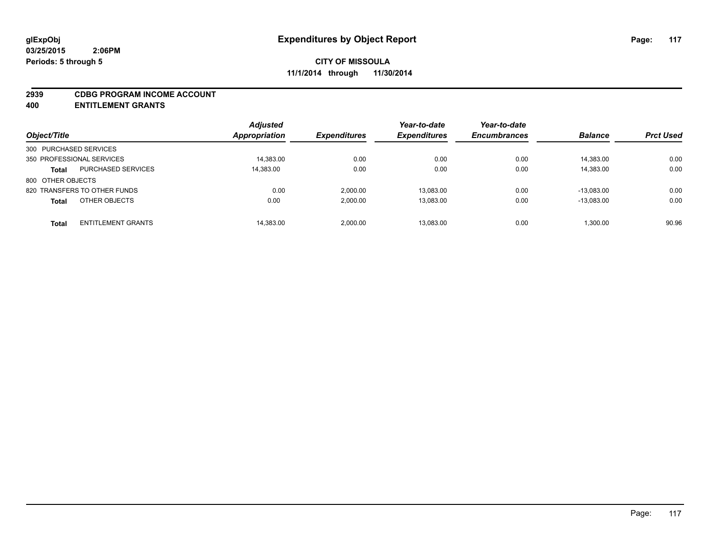#### **2939 CDBG PROGRAM INCOME ACCOUNT**

**400 ENTITLEMENT GRANTS**

| Object/Title                 |                           | <b>Adjusted</b><br>Appropriation | <b>Expenditures</b> | Year-to-date<br><b>Expenditures</b> | Year-to-date<br><b>Encumbrances</b> | <b>Balance</b> | <b>Prct Used</b> |
|------------------------------|---------------------------|----------------------------------|---------------------|-------------------------------------|-------------------------------------|----------------|------------------|
| 300 PURCHASED SERVICES       |                           |                                  |                     |                                     |                                     |                |                  |
| 350 PROFESSIONAL SERVICES    |                           | 14,383.00                        | 0.00                | 0.00                                | 0.00                                | 14,383.00      | 0.00             |
| <b>Total</b>                 | <b>PURCHASED SERVICES</b> | 14,383.00                        | 0.00                | 0.00                                | 0.00                                | 14,383.00      | 0.00             |
| 800 OTHER OBJECTS            |                           |                                  |                     |                                     |                                     |                |                  |
| 820 TRANSFERS TO OTHER FUNDS |                           | 0.00                             | 2.000.00            | 13.083.00                           | 0.00                                | $-13.083.00$   | 0.00             |
| <b>Total</b>                 | OTHER OBJECTS             | 0.00                             | 2.000.00            | 13.083.00                           | 0.00                                | $-13.083.00$   | 0.00             |
| <b>Total</b>                 | <b>ENTITLEMENT GRANTS</b> | 14,383.00                        | 2.000.00            | 13.083.00                           | 0.00                                | 1.300.00       | 90.96            |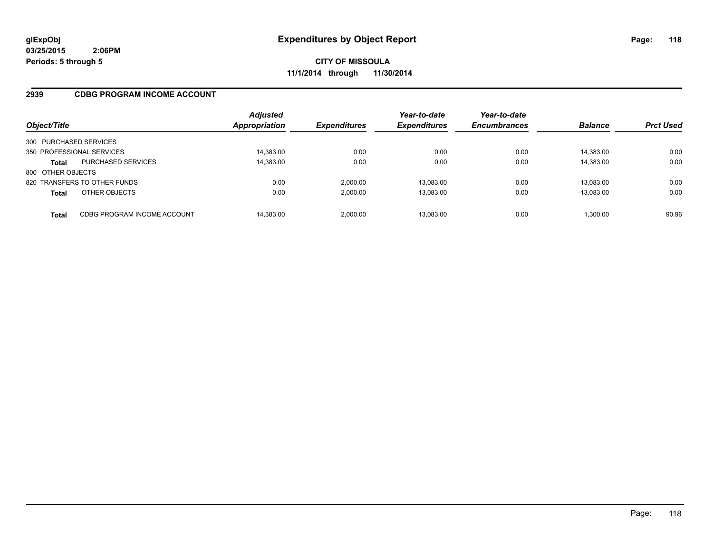#### **2939 CDBG PROGRAM INCOME ACCOUNT**

| Object/Title              |                              | <b>Adjusted</b><br>Appropriation | <b>Expenditures</b> | Year-to-date<br><b>Expenditures</b> | Year-to-date<br><b>Encumbrances</b> | <b>Balance</b> | <b>Prct Used</b> |
|---------------------------|------------------------------|----------------------------------|---------------------|-------------------------------------|-------------------------------------|----------------|------------------|
| 300 PURCHASED SERVICES    |                              |                                  |                     |                                     |                                     |                |                  |
| 350 PROFESSIONAL SERVICES |                              | 14,383.00                        | 0.00                | 0.00                                | 0.00                                | 14.383.00      | 0.00             |
| <b>Total</b>              | <b>PURCHASED SERVICES</b>    | 14,383.00                        | 0.00                | 0.00                                | 0.00                                | 14,383.00      | 0.00             |
| 800 OTHER OBJECTS         |                              |                                  |                     |                                     |                                     |                |                  |
|                           | 820 TRANSFERS TO OTHER FUNDS | 0.00                             | 2,000.00            | 13.083.00                           | 0.00                                | $-13.083.00$   | 0.00             |
| <b>Total</b>              | OTHER OBJECTS                | 0.00                             | 2.000.00            | 13,083.00                           | 0.00                                | $-13.083.00$   | 0.00             |
| <b>Total</b>              | CDBG PROGRAM INCOME ACCOUNT  | 14.383.00                        | 2.000.00            | 13.083.00                           | 0.00                                | 1.300.00       | 90.96            |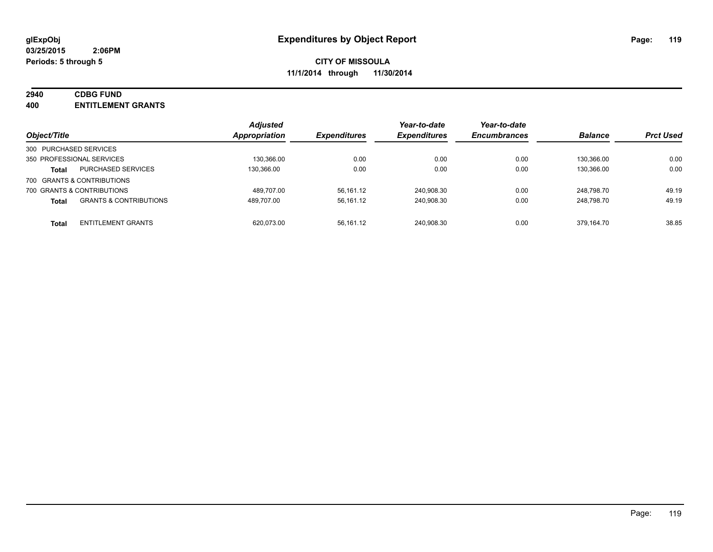# **2940 CDBG FUND**

**400 ENTITLEMENT GRANTS**

| Object/Title           |                                   | <b>Adjusted</b><br>Appropriation | <b>Expenditures</b> | Year-to-date<br><b>Expenditures</b> | Year-to-date<br><b>Encumbrances</b> | <b>Balance</b> | <b>Prct Used</b> |
|------------------------|-----------------------------------|----------------------------------|---------------------|-------------------------------------|-------------------------------------|----------------|------------------|
| 300 PURCHASED SERVICES |                                   |                                  |                     |                                     |                                     |                |                  |
|                        | 350 PROFESSIONAL SERVICES         | 130,366.00                       | 0.00                | 0.00                                | 0.00                                | 130.366.00     | 0.00             |
| Total                  | <b>PURCHASED SERVICES</b>         | 130.366.00                       | 0.00                | 0.00                                | 0.00                                | 130.366.00     | 0.00             |
|                        | 700 GRANTS & CONTRIBUTIONS        |                                  |                     |                                     |                                     |                |                  |
|                        | 700 GRANTS & CONTRIBUTIONS        | 489.707.00                       | 56,161.12           | 240,908.30                          | 0.00                                | 248.798.70     | 49.19            |
| <b>Total</b>           | <b>GRANTS &amp; CONTRIBUTIONS</b> | 489.707.00                       | 56,161.12           | 240,908.30                          | 0.00                                | 248.798.70     | 49.19            |
| <b>Total</b>           | <b>ENTITLEMENT GRANTS</b>         | 620.073.00                       | 56,161.12           | 240,908.30                          | 0.00                                | 379.164.70     | 38.85            |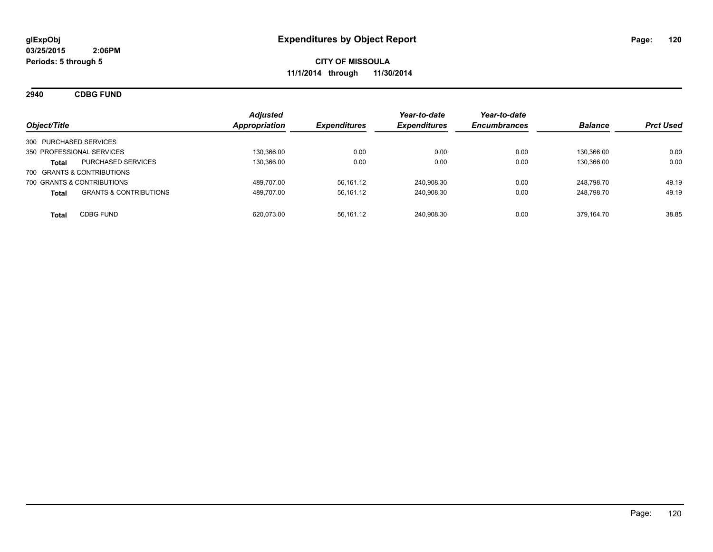**2940 CDBG FUND**

| Object/Title                                      | <b>Adjusted</b><br><b>Appropriation</b> | <b>Expenditures</b> | Year-to-date<br><b>Expenditures</b> | Year-to-date<br><b>Encumbrances</b> | <b>Balance</b> | <b>Prct Used</b> |
|---------------------------------------------------|-----------------------------------------|---------------------|-------------------------------------|-------------------------------------|----------------|------------------|
| 300 PURCHASED SERVICES                            |                                         |                     |                                     |                                     |                |                  |
| 350 PROFESSIONAL SERVICES                         | 130,366.00                              | 0.00                | 0.00                                | 0.00                                | 130.366.00     | 0.00             |
| <b>PURCHASED SERVICES</b><br><b>Total</b>         | 130.366.00                              | 0.00                | 0.00                                | 0.00                                | 130.366.00     | 0.00             |
| 700 GRANTS & CONTRIBUTIONS                        |                                         |                     |                                     |                                     |                |                  |
| 700 GRANTS & CONTRIBUTIONS                        | 489.707.00                              | 56.161.12           | 240.908.30                          | 0.00                                | 248.798.70     | 49.19            |
| <b>GRANTS &amp; CONTRIBUTIONS</b><br><b>Total</b> | 489.707.00                              | 56,161.12           | 240,908.30                          | 0.00                                | 248.798.70     | 49.19            |
| <b>CDBG FUND</b><br><b>Total</b>                  | 620.073.00                              | 56,161.12           | 240,908.30                          | 0.00                                | 379.164.70     | 38.85            |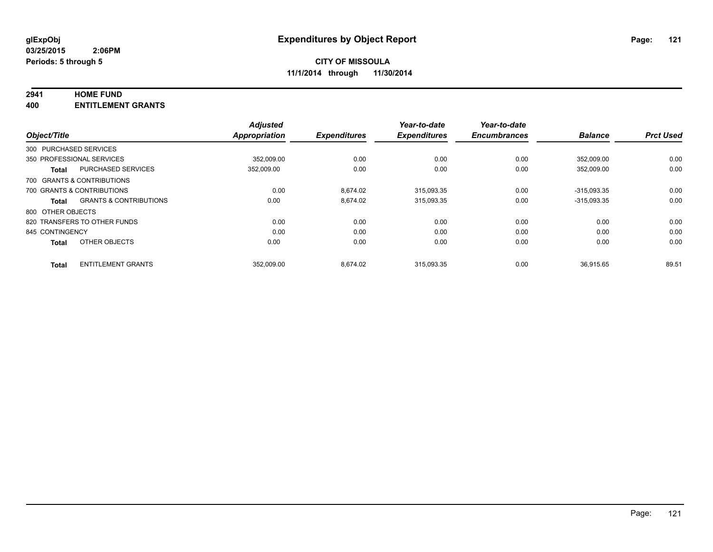# **2941 HOME FUND**

**400 ENTITLEMENT GRANTS**

|                   |                                   | <b>Adjusted</b> |                     | Year-to-date<br><b>Expenditures</b> | Year-to-date<br><b>Encumbrances</b> | <b>Balance</b> | <b>Prct Used</b> |
|-------------------|-----------------------------------|-----------------|---------------------|-------------------------------------|-------------------------------------|----------------|------------------|
| Object/Title      |                                   | Appropriation   | <b>Expenditures</b> |                                     |                                     |                |                  |
|                   | 300 PURCHASED SERVICES            |                 |                     |                                     |                                     |                |                  |
|                   | 350 PROFESSIONAL SERVICES         | 352.009.00      | 0.00                | 0.00                                | 0.00                                | 352.009.00     | 0.00             |
| <b>Total</b>      | <b>PURCHASED SERVICES</b>         | 352,009.00      | 0.00                | 0.00                                | 0.00                                | 352.009.00     | 0.00             |
|                   | 700 GRANTS & CONTRIBUTIONS        |                 |                     |                                     |                                     |                |                  |
|                   | 700 GRANTS & CONTRIBUTIONS        | 0.00            | 8.674.02            | 315,093.35                          | 0.00                                | $-315,093.35$  | 0.00             |
| <b>Total</b>      | <b>GRANTS &amp; CONTRIBUTIONS</b> | 0.00            | 8.674.02            | 315.093.35                          | 0.00                                | $-315.093.35$  | 0.00             |
| 800 OTHER OBJECTS |                                   |                 |                     |                                     |                                     |                |                  |
|                   | 820 TRANSFERS TO OTHER FUNDS      | 0.00            | 0.00                | 0.00                                | 0.00                                | 0.00           | 0.00             |
| 845 CONTINGENCY   |                                   | 0.00            | 0.00                | 0.00                                | 0.00                                | 0.00           | 0.00             |
| <b>Total</b>      | OTHER OBJECTS                     | 0.00            | 0.00                | 0.00                                | 0.00                                | 0.00           | 0.00             |
| <b>Total</b>      | <b>ENTITLEMENT GRANTS</b>         | 352.009.00      | 8.674.02            | 315.093.35                          | 0.00                                | 36.915.65      | 89.51            |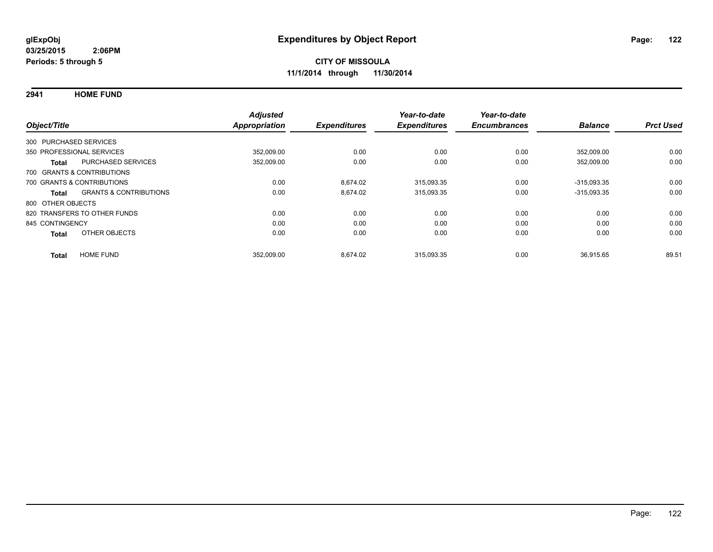**2941 HOME FUND**

| Object/Title           |                                   | <b>Adjusted</b><br>Appropriation | <b>Expenditures</b> | Year-to-date<br><b>Expenditures</b> | Year-to-date<br><b>Encumbrances</b> | <b>Balance</b> | <b>Prct Used</b> |
|------------------------|-----------------------------------|----------------------------------|---------------------|-------------------------------------|-------------------------------------|----------------|------------------|
| 300 PURCHASED SERVICES |                                   |                                  |                     |                                     |                                     |                |                  |
|                        | 350 PROFESSIONAL SERVICES         | 352,009.00                       | 0.00                | 0.00                                | 0.00                                | 352.009.00     | 0.00             |
| <b>Total</b>           | <b>PURCHASED SERVICES</b>         | 352,009.00                       | 0.00                | 0.00                                | 0.00                                | 352,009.00     | 0.00             |
|                        | 700 GRANTS & CONTRIBUTIONS        |                                  |                     |                                     |                                     |                |                  |
|                        | 700 GRANTS & CONTRIBUTIONS        | 0.00                             | 8.674.02            | 315,093.35                          | 0.00                                | $-315.093.35$  | 0.00             |
| Total                  | <b>GRANTS &amp; CONTRIBUTIONS</b> | 0.00                             | 8.674.02            | 315,093.35                          | 0.00                                | $-315,093.35$  | 0.00             |
| 800 OTHER OBJECTS      |                                   |                                  |                     |                                     |                                     |                |                  |
|                        | 820 TRANSFERS TO OTHER FUNDS      | 0.00                             | 0.00                | 0.00                                | 0.00                                | 0.00           | 0.00             |
| 845 CONTINGENCY        |                                   | 0.00                             | 0.00                | 0.00                                | 0.00                                | 0.00           | 0.00             |
| <b>Total</b>           | OTHER OBJECTS                     | 0.00                             | 0.00                | 0.00                                | 0.00                                | 0.00           | 0.00             |
| <b>Total</b>           | <b>HOME FUND</b>                  | 352,009.00                       | 8,674.02            | 315.093.35                          | 0.00                                | 36,915.65      | 89.51            |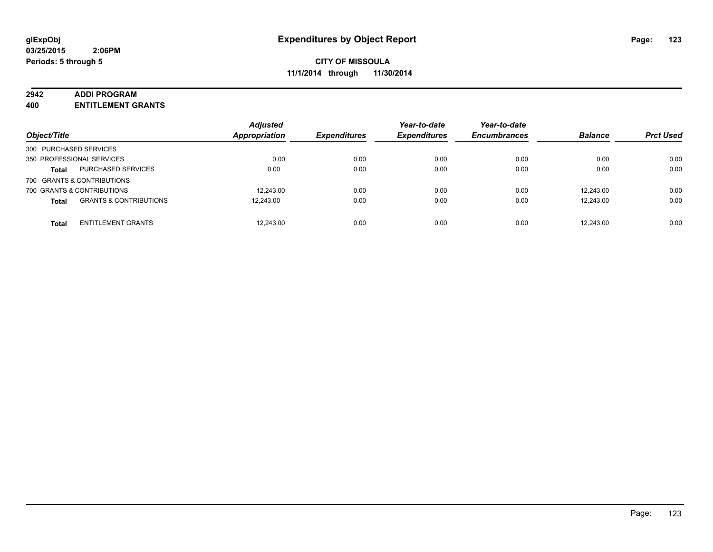#### **2942 ADDI PROGRAM**

**400 ENTITLEMENT GRANTS**

| Object/Title               |                                   | <b>Adjusted</b><br><b>Appropriation</b> | <b>Expenditures</b> | Year-to-date<br><b>Expenditures</b> | Year-to-date<br><b>Encumbrances</b> | <b>Balance</b> | <b>Prct Used</b> |
|----------------------------|-----------------------------------|-----------------------------------------|---------------------|-------------------------------------|-------------------------------------|----------------|------------------|
| 300 PURCHASED SERVICES     |                                   |                                         |                     |                                     |                                     |                |                  |
| 350 PROFESSIONAL SERVICES  |                                   | 0.00                                    | 0.00                | 0.00                                | 0.00                                | 0.00           | 0.00             |
| <b>Total</b>               | <b>PURCHASED SERVICES</b>         | 0.00                                    | 0.00                | 0.00                                | 0.00                                | 0.00           | 0.00             |
| 700 GRANTS & CONTRIBUTIONS |                                   |                                         |                     |                                     |                                     |                |                  |
| 700 GRANTS & CONTRIBUTIONS |                                   | 12.243.00                               | 0.00                | 0.00                                | 0.00                                | 12.243.00      | 0.00             |
| <b>Total</b>               | <b>GRANTS &amp; CONTRIBUTIONS</b> | 12.243.00                               | 0.00                | 0.00                                | 0.00                                | 12.243.00      | 0.00             |
| <b>Total</b>               | <b>ENTITLEMENT GRANTS</b>         | 12.243.00                               | 0.00                | 0.00                                | 0.00                                | 12.243.00      | 0.00             |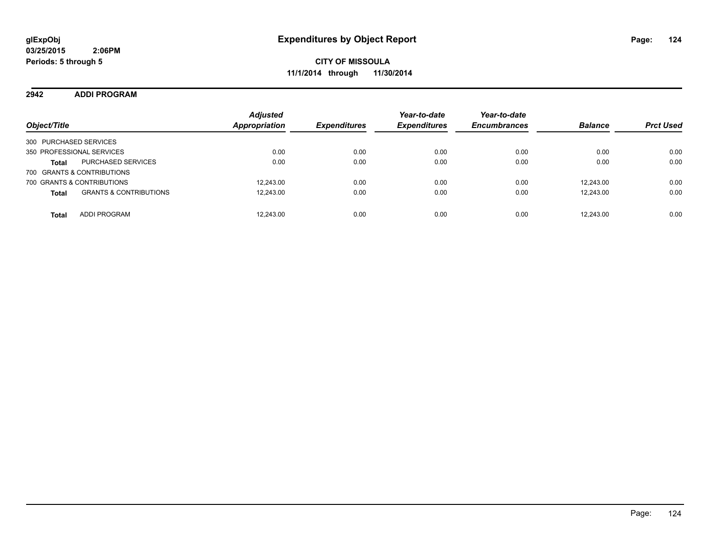**CITY OF MISSOULA 11/1/2014 through 11/30/2014**

**2942 ADDI PROGRAM**

| Object/Title                                      | <b>Adjusted</b><br><b>Appropriation</b> | <b>Expenditures</b> | Year-to-date<br><b>Expenditures</b> | Year-to-date<br><b>Encumbrances</b> | <b>Balance</b> | <b>Prct Used</b> |
|---------------------------------------------------|-----------------------------------------|---------------------|-------------------------------------|-------------------------------------|----------------|------------------|
| 300 PURCHASED SERVICES                            |                                         |                     |                                     |                                     |                |                  |
| 350 PROFESSIONAL SERVICES                         | 0.00                                    | 0.00                | 0.00                                | 0.00                                | 0.00           | 0.00             |
| <b>PURCHASED SERVICES</b><br><b>Total</b>         | 0.00                                    | 0.00                | 0.00                                | 0.00                                | 0.00           | 0.00             |
| 700 GRANTS & CONTRIBUTIONS                        |                                         |                     |                                     |                                     |                |                  |
| 700 GRANTS & CONTRIBUTIONS                        | 12.243.00                               | 0.00                | 0.00                                | 0.00                                | 12.243.00      | 0.00             |
| <b>GRANTS &amp; CONTRIBUTIONS</b><br><b>Total</b> | 12,243.00                               | 0.00                | 0.00                                | 0.00                                | 12.243.00      | 0.00             |
| <b>ADDI PROGRAM</b><br><b>Total</b>               | 12,243.00                               | 0.00                | 0.00                                | 0.00                                | 12.243.00      | 0.00             |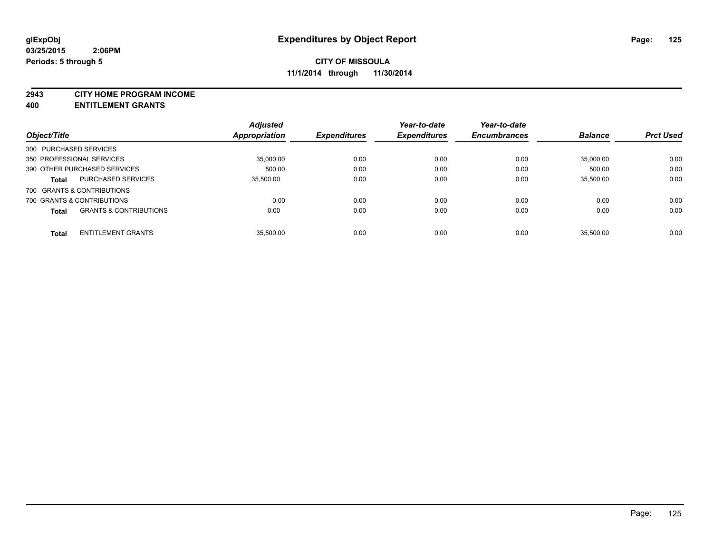#### **2943 CITY HOME PROGRAM INCOME**

**400 ENTITLEMENT GRANTS**

|                           |                                   | <b>Adjusted</b> |                     | Year-to-date        | Year-to-date        |                |                  |
|---------------------------|-----------------------------------|-----------------|---------------------|---------------------|---------------------|----------------|------------------|
| Object/Title              |                                   | Appropriation   | <b>Expenditures</b> | <b>Expenditures</b> | <b>Encumbrances</b> | <b>Balance</b> | <b>Prct Used</b> |
| 300 PURCHASED SERVICES    |                                   |                 |                     |                     |                     |                |                  |
| 350 PROFESSIONAL SERVICES |                                   | 35,000.00       | 0.00                | 0.00                | 0.00                | 35,000.00      | 0.00             |
|                           | 390 OTHER PURCHASED SERVICES      | 500.00          | 0.00                | 0.00                | 0.00                | 500.00         | 0.00             |
| <b>Total</b>              | <b>PURCHASED SERVICES</b>         | 35.500.00       | 0.00                | 0.00                | 0.00                | 35,500.00      | 0.00             |
|                           | 700 GRANTS & CONTRIBUTIONS        |                 |                     |                     |                     |                |                  |
|                           | 700 GRANTS & CONTRIBUTIONS        | 0.00            | 0.00                | 0.00                | 0.00                | 0.00           | 0.00             |
| <b>Total</b>              | <b>GRANTS &amp; CONTRIBUTIONS</b> | 0.00            | 0.00                | 0.00                | 0.00                | 0.00           | 0.00             |
| <b>Total</b>              | <b>ENTITLEMENT GRANTS</b>         | 35.500.00       | 0.00                | 0.00                | 0.00                | 35.500.00      | 0.00             |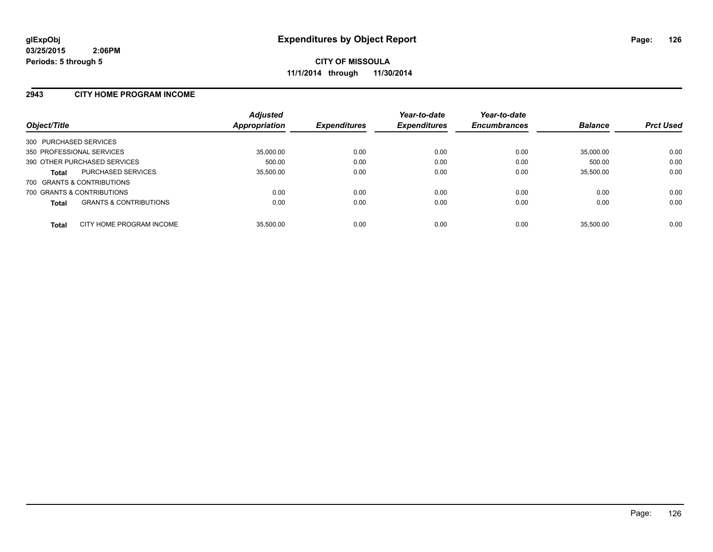#### **2943 CITY HOME PROGRAM INCOME**

| Object/Title                                      | <b>Adjusted</b><br>Appropriation | <b>Expenditures</b> | Year-to-date<br><b>Expenditures</b> | Year-to-date<br><b>Encumbrances</b> | <b>Balance</b> | <b>Prct Used</b> |
|---------------------------------------------------|----------------------------------|---------------------|-------------------------------------|-------------------------------------|----------------|------------------|
| 300 PURCHASED SERVICES                            |                                  |                     |                                     |                                     |                |                  |
| 350 PROFESSIONAL SERVICES                         | 35,000.00                        | 0.00                | 0.00                                | 0.00                                | 35.000.00      | 0.00             |
| 390 OTHER PURCHASED SERVICES                      | 500.00                           | 0.00                | 0.00                                | 0.00                                | 500.00         | 0.00             |
| <b>PURCHASED SERVICES</b><br><b>Total</b>         | 35,500.00                        | 0.00                | 0.00                                | 0.00                                | 35.500.00      | 0.00             |
| 700 GRANTS & CONTRIBUTIONS                        |                                  |                     |                                     |                                     |                |                  |
| 700 GRANTS & CONTRIBUTIONS                        | 0.00                             | 0.00                | 0.00                                | 0.00                                | 0.00           | 0.00             |
| <b>GRANTS &amp; CONTRIBUTIONS</b><br><b>Total</b> | 0.00                             | 0.00                | 0.00                                | 0.00                                | 0.00           | 0.00             |
| CITY HOME PROGRAM INCOME<br><b>Total</b>          | 35.500.00                        | 0.00                | 0.00                                | 0.00                                | 35.500.00      | 0.00             |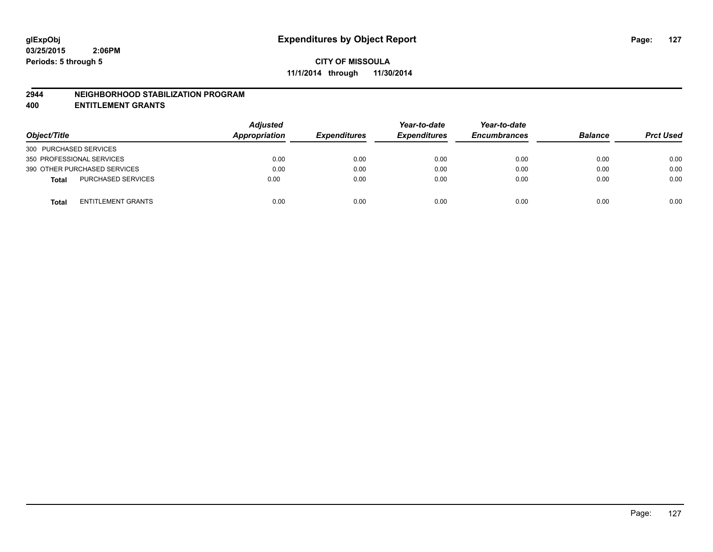#### **2944 NEIGHBORHOOD STABILIZATION PROGRAM**

**400 ENTITLEMENT GRANTS**

| Object/Title                              | <b>Adjusted</b><br>Appropriation | <b>Expenditures</b> | Year-to-date<br><b>Expenditures</b> | Year-to-date<br><b>Encumbrances</b> | <b>Balance</b> | <b>Prct Used</b> |
|-------------------------------------------|----------------------------------|---------------------|-------------------------------------|-------------------------------------|----------------|------------------|
| 300 PURCHASED SERVICES                    |                                  |                     |                                     |                                     |                |                  |
| 350 PROFESSIONAL SERVICES                 | 0.00                             | 0.00                | 0.00                                | 0.00                                | 0.00           | 0.00             |
| 390 OTHER PURCHASED SERVICES              | 0.00                             | 0.00                | 0.00                                | 0.00                                | 0.00           | 0.00             |
| <b>PURCHASED SERVICES</b><br><b>Total</b> | 0.00                             | 0.00                | 0.00                                | 0.00                                | 0.00           | 0.00             |
| ENTITLEMENT GRANTS<br><b>Total</b>        | 0.00                             | 0.00                | 0.00                                | 0.00                                | 0.00           | 0.00             |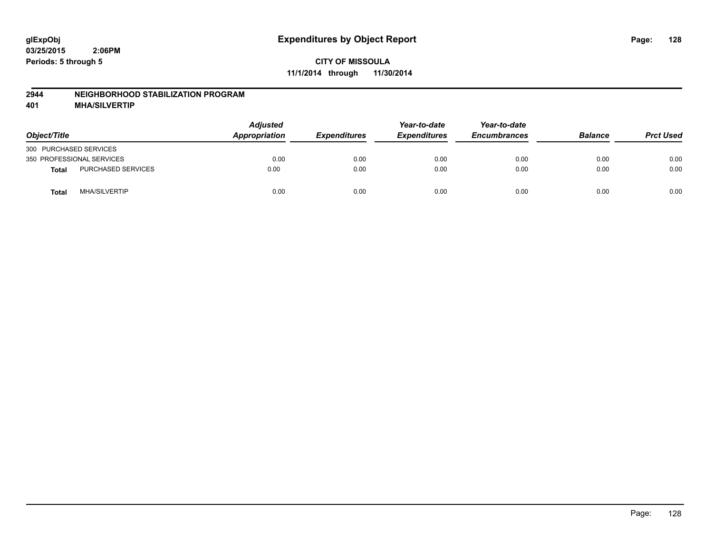#### **2944 NEIGHBORHOOD STABILIZATION PROGRAM**

**401 MHA/SILVERTIP**

| Object/Title                         | <b>Adjusted</b><br><b>Appropriation</b> | <b>Expenditures</b> | Year-to-date<br><b>Expenditures</b> | Year-to-date<br><b>Encumbrances</b> | <b>Balance</b> | <b>Prct Used</b> |
|--------------------------------------|-----------------------------------------|---------------------|-------------------------------------|-------------------------------------|----------------|------------------|
| 300 PURCHASED SERVICES               |                                         |                     |                                     |                                     |                |                  |
| 350 PROFESSIONAL SERVICES            | 0.00                                    | 0.00                | 0.00                                | 0.00                                | 0.00           | 0.00             |
| PURCHASED SERVICES<br>Total          | 0.00                                    | 0.00                | 0.00                                | 0.00                                | 0.00           | 0.00             |
| <b>MHA/SILVERTIP</b><br><b>Total</b> | 0.00                                    | 0.00                | 0.00                                | 0.00                                | 0.00           | 0.00             |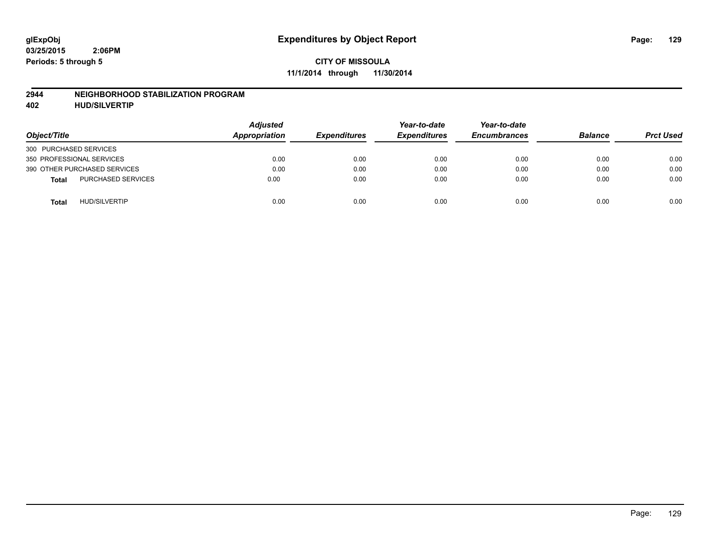#### **2944 NEIGHBORHOOD STABILIZATION PROGRAM**

**402 HUD/SILVERTIP**

| Object/Title                              | <b>Adjusted</b><br>Appropriation | <b>Expenditures</b> | Year-to-date<br><b>Expenditures</b> | Year-to-date<br><b>Encumbrances</b> | <b>Balance</b> | <b>Prct Used</b> |
|-------------------------------------------|----------------------------------|---------------------|-------------------------------------|-------------------------------------|----------------|------------------|
| 300 PURCHASED SERVICES                    |                                  |                     |                                     |                                     |                |                  |
| 350 PROFESSIONAL SERVICES                 | 0.00                             | 0.00                | 0.00                                | 0.00                                | 0.00           | 0.00             |
| 390 OTHER PURCHASED SERVICES              | 0.00                             | 0.00                | 0.00                                | 0.00                                | 0.00           | 0.00             |
| <b>PURCHASED SERVICES</b><br><b>Total</b> | 0.00                             | 0.00                | 0.00                                | 0.00                                | 0.00           | 0.00             |
| <b>HUD/SILVERTIP</b><br><b>Total</b>      | 0.00                             | 0.00                | 0.00                                | 0.00                                | 0.00           | 0.00             |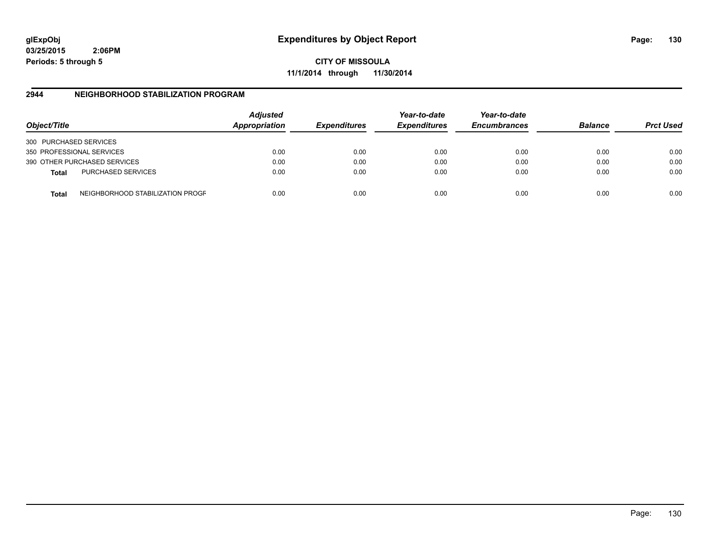**CITY OF MISSOULA 11/1/2014 through 11/30/2014**

### **2944 NEIGHBORHOOD STABILIZATION PROGRAM**

| Object/Title           |                                  | <b>Adjusted</b><br>Appropriation | <b>Expenditures</b> | Year-to-date<br><b>Expenditures</b> | Year-to-date<br><b>Encumbrances</b> | <b>Balance</b> | <b>Prct Used</b> |
|------------------------|----------------------------------|----------------------------------|---------------------|-------------------------------------|-------------------------------------|----------------|------------------|
| 300 PURCHASED SERVICES |                                  |                                  |                     |                                     |                                     |                |                  |
|                        | 350 PROFESSIONAL SERVICES        | 0.00                             | 0.00                | 0.00                                | 0.00                                | 0.00           | 0.00             |
|                        | 390 OTHER PURCHASED SERVICES     | 0.00                             | 0.00                | 0.00                                | 0.00                                | 0.00           | 0.00             |
| <b>Total</b>           | <b>PURCHASED SERVICES</b>        | 0.00                             | 0.00                | 0.00                                | 0.00                                | 0.00           | 0.00             |
| Total                  | NEIGHBORHOOD STABILIZATION PROGF | 0.00                             | 0.00                | 0.00                                | 0.00                                | 0.00           | 0.00             |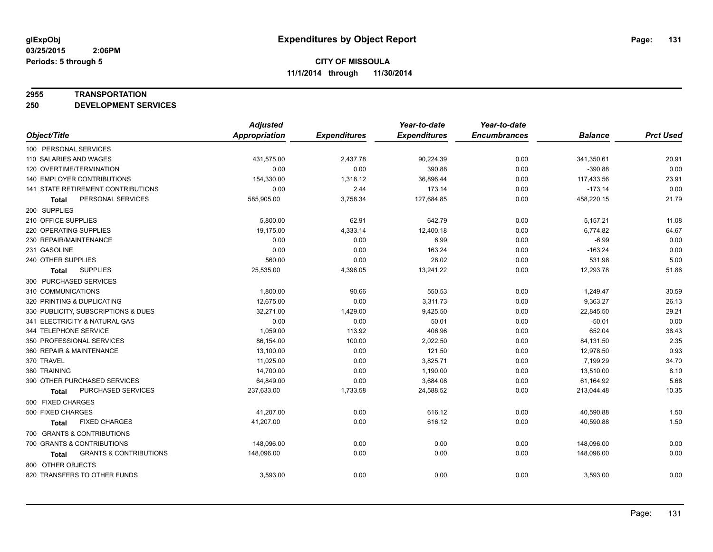#### **2955 TRANSPORTATION**

**250 DEVELOPMENT SERVICES**

|                                            | <b>Adjusted</b>      |                     | Year-to-date        | Year-to-date        |                |                  |
|--------------------------------------------|----------------------|---------------------|---------------------|---------------------|----------------|------------------|
| Object/Title                               | <b>Appropriation</b> | <b>Expenditures</b> | <b>Expenditures</b> | <b>Encumbrances</b> | <b>Balance</b> | <b>Prct Used</b> |
| 100 PERSONAL SERVICES                      |                      |                     |                     |                     |                |                  |
| 110 SALARIES AND WAGES                     | 431,575.00           | 2,437.78            | 90,224.39           | 0.00                | 341,350.61     | 20.91            |
| 120 OVERTIME/TERMINATION                   | 0.00                 | 0.00                | 390.88              | 0.00                | $-390.88$      | 0.00             |
| 140 EMPLOYER CONTRIBUTIONS                 | 154,330.00           | 1,318.12            | 36,896.44           | 0.00                | 117,433.56     | 23.91            |
| 141 STATE RETIREMENT CONTRIBUTIONS         | 0.00                 | 2.44                | 173.14              | 0.00                | $-173.14$      | 0.00             |
| PERSONAL SERVICES<br>Total                 | 585,905.00           | 3,758.34            | 127,684.85          | 0.00                | 458,220.15     | 21.79            |
| 200 SUPPLIES                               |                      |                     |                     |                     |                |                  |
| 210 OFFICE SUPPLIES                        | 5,800.00             | 62.91               | 642.79              | 0.00                | 5,157.21       | 11.08            |
| 220 OPERATING SUPPLIES                     | 19,175.00            | 4,333.14            | 12,400.18           | 0.00                | 6,774.82       | 64.67            |
| 230 REPAIR/MAINTENANCE                     | 0.00                 | 0.00                | 6.99                | 0.00                | $-6.99$        | 0.00             |
| 231 GASOLINE                               | 0.00                 | 0.00                | 163.24              | 0.00                | $-163.24$      | 0.00             |
| 240 OTHER SUPPLIES                         | 560.00               | 0.00                | 28.02               | 0.00                | 531.98         | 5.00             |
| <b>SUPPLIES</b><br><b>Total</b>            | 25,535.00            | 4,396.05            | 13,241.22           | 0.00                | 12,293.78      | 51.86            |
| 300 PURCHASED SERVICES                     |                      |                     |                     |                     |                |                  |
| 310 COMMUNICATIONS                         | 1,800.00             | 90.66               | 550.53              | 0.00                | 1,249.47       | 30.59            |
| 320 PRINTING & DUPLICATING                 | 12,675.00            | 0.00                | 3,311.73            | 0.00                | 9,363.27       | 26.13            |
| 330 PUBLICITY, SUBSCRIPTIONS & DUES        | 32,271.00            | 1,429.00            | 9,425.50            | 0.00                | 22,845.50      | 29.21            |
| 341 ELECTRICITY & NATURAL GAS              | 0.00                 | 0.00                | 50.01               | 0.00                | $-50.01$       | 0.00             |
| 344 TELEPHONE SERVICE                      | 1.059.00             | 113.92              | 406.96              | 0.00                | 652.04         | 38.43            |
| 350 PROFESSIONAL SERVICES                  | 86,154.00            | 100.00              | 2,022.50            | 0.00                | 84,131.50      | 2.35             |
| 360 REPAIR & MAINTENANCE                   | 13,100.00            | 0.00                | 121.50              | 0.00                | 12,978.50      | 0.93             |
| 370 TRAVEL                                 | 11,025.00            | 0.00                | 3,825.71            | 0.00                | 7,199.29       | 34.70            |
| 380 TRAINING                               | 14,700.00            | 0.00                | 1,190.00            | 0.00                | 13,510.00      | 8.10             |
| 390 OTHER PURCHASED SERVICES               | 64,849.00            | 0.00                | 3,684.08            | 0.00                | 61,164.92      | 5.68             |
| PURCHASED SERVICES<br>Total                | 237,633.00           | 1,733.58            | 24,588.52           | 0.00                | 213,044.48     | 10.35            |
| 500 FIXED CHARGES                          |                      |                     |                     |                     |                |                  |
| 500 FIXED CHARGES                          | 41,207.00            | 0.00                | 616.12              | 0.00                | 40,590.88      | 1.50             |
| <b>FIXED CHARGES</b><br><b>Total</b>       | 41,207.00            | 0.00                | 616.12              | 0.00                | 40,590.88      | 1.50             |
| 700 GRANTS & CONTRIBUTIONS                 |                      |                     |                     |                     |                |                  |
| 700 GRANTS & CONTRIBUTIONS                 | 148,096.00           | 0.00                | 0.00                | 0.00                | 148,096.00     | 0.00             |
| <b>GRANTS &amp; CONTRIBUTIONS</b><br>Total | 148,096.00           | 0.00                | 0.00                | 0.00                | 148,096.00     | 0.00             |
| 800 OTHER OBJECTS                          |                      |                     |                     |                     |                |                  |
| 820 TRANSFERS TO OTHER FUNDS               | 3,593.00             | 0.00                | 0.00                | 0.00                | 3,593.00       | 0.00             |
|                                            |                      |                     |                     |                     |                |                  |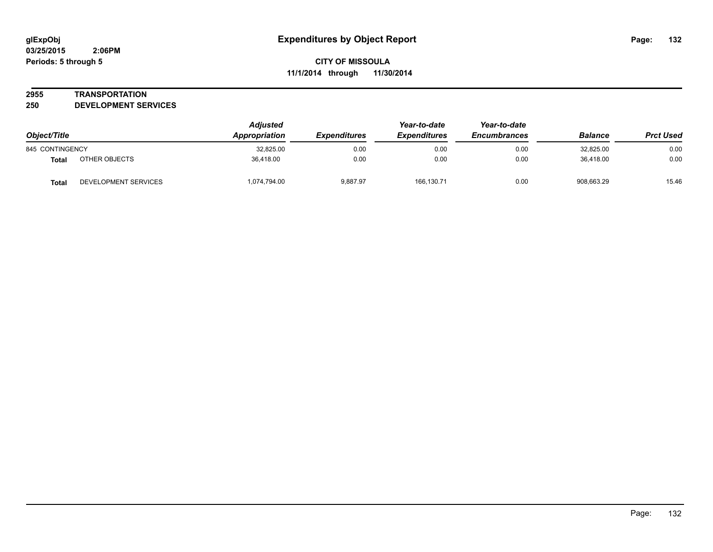#### **2955 TRANSPORTATION**

**250 DEVELOPMENT SERVICES**

| Object/Title    |                      | <b>Adjusted</b><br>Appropriation | <b>Expenditures</b> | Year-to-date<br><b>Expenditures</b> | Year-to-date<br><b>Encumbrances</b> | <b>Balance</b> | <b>Prct Used</b> |
|-----------------|----------------------|----------------------------------|---------------------|-------------------------------------|-------------------------------------|----------------|------------------|
| 845 CONTINGENCY |                      | 32,825.00                        | 0.00                | 0.00                                | 0.00                                | 32,825.00      | 0.00             |
| Total           | OTHER OBJECTS        | 36.418.00                        | 0.00                | 0.00                                | 0.00                                | 36.418.00      | 0.00             |
| <b>Total</b>    | DEVELOPMENT SERVICES | 1,074,794.00                     | 9,887.97            | 166,130.71                          | 0.00                                | 908.663.29     | 15.46            |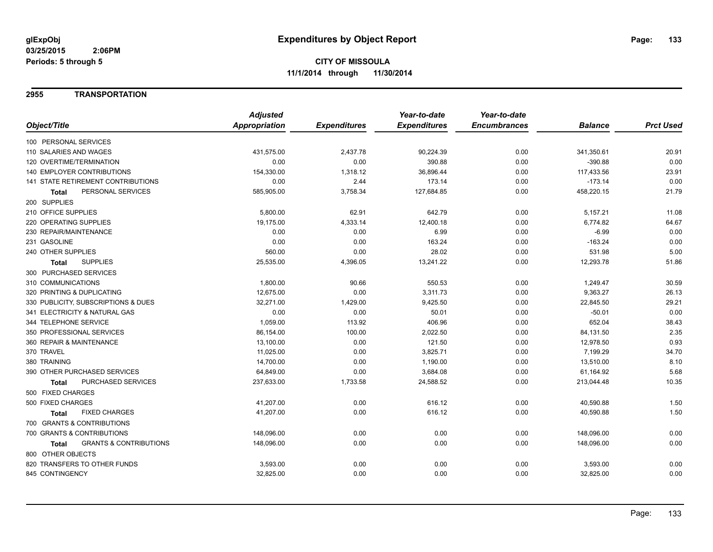#### **2955 TRANSPORTATION**

|                                                   | <b>Adjusted</b> |                     | Year-to-date        | Year-to-date        |                |                  |
|---------------------------------------------------|-----------------|---------------------|---------------------|---------------------|----------------|------------------|
| Object/Title                                      | Appropriation   | <b>Expenditures</b> | <b>Expenditures</b> | <b>Encumbrances</b> | <b>Balance</b> | <b>Prct Used</b> |
| 100 PERSONAL SERVICES                             |                 |                     |                     |                     |                |                  |
| 110 SALARIES AND WAGES                            | 431,575.00      | 2,437.78            | 90,224.39           | 0.00                | 341,350.61     | 20.91            |
| 120 OVERTIME/TERMINATION                          | 0.00            | 0.00                | 390.88              | 0.00                | $-390.88$      | 0.00             |
| <b>140 EMPLOYER CONTRIBUTIONS</b>                 | 154,330.00      | 1,318.12            | 36,896.44           | 0.00                | 117,433.56     | 23.91            |
| <b>141 STATE RETIREMENT CONTRIBUTIONS</b>         | 0.00            | 2.44                | 173.14              | 0.00                | $-173.14$      | 0.00             |
| PERSONAL SERVICES<br>Total                        | 585,905.00      | 3,758.34            | 127,684.85          | 0.00                | 458,220.15     | 21.79            |
| 200 SUPPLIES                                      |                 |                     |                     |                     |                |                  |
| 210 OFFICE SUPPLIES                               | 5,800.00        | 62.91               | 642.79              | 0.00                | 5,157.21       | 11.08            |
| 220 OPERATING SUPPLIES                            | 19.175.00       | 4,333.14            | 12,400.18           | 0.00                | 6,774.82       | 64.67            |
| 230 REPAIR/MAINTENANCE                            | 0.00            | 0.00                | 6.99                | 0.00                | $-6.99$        | 0.00             |
| 231 GASOLINE                                      | 0.00            | 0.00                | 163.24              | 0.00                | $-163.24$      | 0.00             |
| 240 OTHER SUPPLIES                                | 560.00          | 0.00                | 28.02               | 0.00                | 531.98         | 5.00             |
| <b>SUPPLIES</b><br>Total                          | 25,535.00       | 4,396.05            | 13,241.22           | 0.00                | 12,293.78      | 51.86            |
| 300 PURCHASED SERVICES                            |                 |                     |                     |                     |                |                  |
| 310 COMMUNICATIONS                                | 1,800.00        | 90.66               | 550.53              | 0.00                | 1,249.47       | 30.59            |
| 320 PRINTING & DUPLICATING                        | 12,675.00       | 0.00                | 3,311.73            | 0.00                | 9,363.27       | 26.13            |
| 330 PUBLICITY, SUBSCRIPTIONS & DUES               | 32,271.00       | 1,429.00            | 9,425.50            | 0.00                | 22,845.50      | 29.21            |
| 341 ELECTRICITY & NATURAL GAS                     | 0.00            | 0.00                | 50.01               | 0.00                | $-50.01$       | 0.00             |
| 344 TELEPHONE SERVICE                             | 1,059.00        | 113.92              | 406.96              | 0.00                | 652.04         | 38.43            |
| 350 PROFESSIONAL SERVICES                         | 86,154.00       | 100.00              | 2,022.50            | 0.00                | 84,131.50      | 2.35             |
| 360 REPAIR & MAINTENANCE                          | 13,100.00       | 0.00                | 121.50              | 0.00                | 12,978.50      | 0.93             |
| 370 TRAVEL                                        | 11,025.00       | 0.00                | 3,825.71            | 0.00                | 7,199.29       | 34.70            |
| 380 TRAINING                                      | 14,700.00       | 0.00                | 1,190.00            | 0.00                | 13,510.00      | 8.10             |
| 390 OTHER PURCHASED SERVICES                      | 64,849.00       | 0.00                | 3,684.08            | 0.00                | 61,164.92      | 5.68             |
| PURCHASED SERVICES<br><b>Total</b>                | 237,633.00      | 1,733.58            | 24,588.52           | 0.00                | 213,044.48     | 10.35            |
| 500 FIXED CHARGES                                 |                 |                     |                     |                     |                |                  |
| 500 FIXED CHARGES                                 | 41,207.00       | 0.00                | 616.12              | 0.00                | 40,590.88      | 1.50             |
| <b>FIXED CHARGES</b><br>Total                     | 41,207.00       | 0.00                | 616.12              | 0.00                | 40,590.88      | 1.50             |
| 700 GRANTS & CONTRIBUTIONS                        |                 |                     |                     |                     |                |                  |
| 700 GRANTS & CONTRIBUTIONS                        | 148,096.00      | 0.00                | 0.00                | 0.00                | 148,096.00     | 0.00             |
| <b>GRANTS &amp; CONTRIBUTIONS</b><br><b>Total</b> | 148,096.00      | 0.00                | 0.00                | 0.00                | 148,096.00     | 0.00             |
| 800 OTHER OBJECTS                                 |                 |                     |                     |                     |                |                  |
| 820 TRANSFERS TO OTHER FUNDS                      | 3,593.00        | 0.00                | 0.00                | 0.00                | 3,593.00       | 0.00             |
| 845 CONTINGENCY                                   | 32,825.00       | 0.00                | 0.00                | 0.00                | 32,825.00      | 0.00             |
|                                                   |                 |                     |                     |                     |                |                  |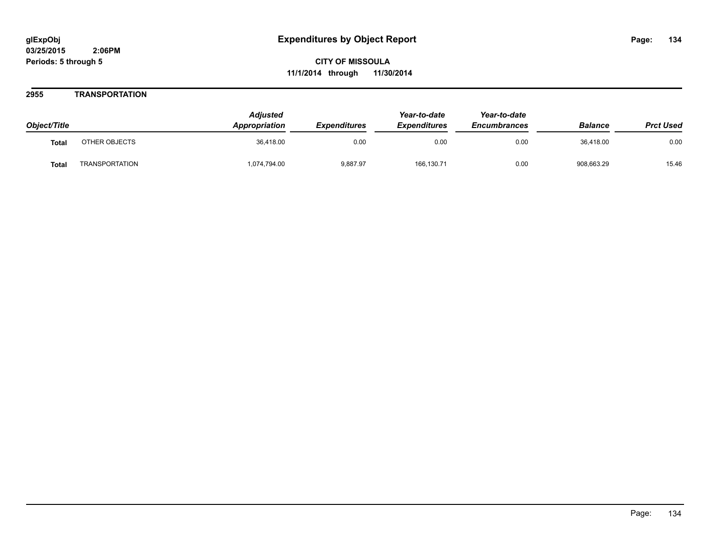#### **2955 TRANSPORTATION**

| Object/Title |                | <b>Adjusted</b><br><b>Appropriation</b> | <b>Expenditures</b> | Year-to-date<br><b>Expenditures</b> | Year-to-date<br><b>Encumbrances</b> | <b>Balance</b> | <b>Prct Used</b> |
|--------------|----------------|-----------------------------------------|---------------------|-------------------------------------|-------------------------------------|----------------|------------------|
| <b>Total</b> | OTHER OBJECTS  | 36.418.00                               | 0.00                | 0.00                                | 0.00                                | 36.418.00      | 0.00             |
| <b>Total</b> | TRANSPORTATION | 1,074,794.00                            | 9,887.97            | 166,130.71                          | 0.00                                | 908,663.29     | 15.46            |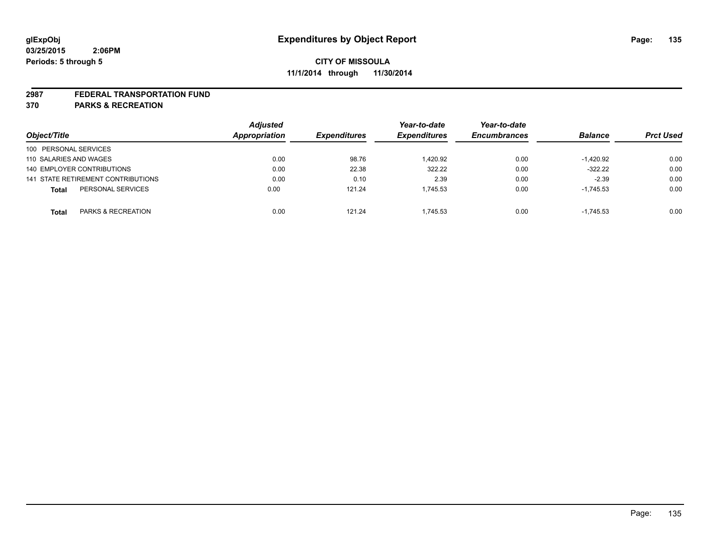#### **2987 FEDERAL TRANSPORTATION FUND**

**370 PARKS & RECREATION**

|                                    | <b>Adjusted</b> |                     | Year-to-date        | Year-to-date        |                |                  |
|------------------------------------|-----------------|---------------------|---------------------|---------------------|----------------|------------------|
| Object/Title                       | Appropriation   | <b>Expenditures</b> | <b>Expenditures</b> | <b>Encumbrances</b> | <b>Balance</b> | <b>Prct Used</b> |
| 100 PERSONAL SERVICES              |                 |                     |                     |                     |                |                  |
| 110 SALARIES AND WAGES             | 0.00            | 98.76               | 1.420.92            | 0.00                | $-1,420.92$    | 0.00             |
| 140 EMPLOYER CONTRIBUTIONS         | 0.00            | 22.38               | 322.22              | 0.00                | $-322.22$      | 0.00             |
| 141 STATE RETIREMENT CONTRIBUTIONS | 0.00            | 0.10                | 2.39                | 0.00                | $-2.39$        | 0.00             |
| PERSONAL SERVICES<br><b>Total</b>  | 0.00            | 121.24              | 1.745.53            | 0.00                | $-1,745.53$    | 0.00             |
| PARKS & RECREATION<br><b>Total</b> | 0.00            | 121.24              | 1.745.53            | 0.00                | $-1.745.53$    | 0.00             |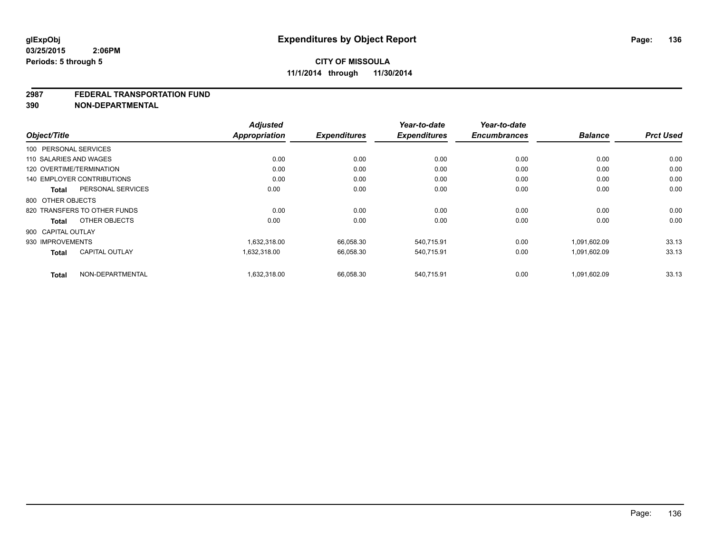#### **2987 FEDERAL TRANSPORTATION FUND**

**390 NON-DEPARTMENTAL**

| Object/Title                          | <b>Adjusted</b><br><b>Appropriation</b> | <b>Expenditures</b> | Year-to-date<br><b>Expenditures</b> | Year-to-date<br><b>Encumbrances</b> | <b>Balance</b> | <b>Prct Used</b> |
|---------------------------------------|-----------------------------------------|---------------------|-------------------------------------|-------------------------------------|----------------|------------------|
| 100 PERSONAL SERVICES                 |                                         |                     |                                     |                                     |                |                  |
| 110 SALARIES AND WAGES                | 0.00                                    | 0.00                | 0.00                                | 0.00                                | 0.00           | 0.00             |
| 120 OVERTIME/TERMINATION              | 0.00                                    | 0.00                | 0.00                                | 0.00                                | 0.00           | 0.00             |
| <b>140 EMPLOYER CONTRIBUTIONS</b>     | 0.00                                    | 0.00                | 0.00                                | 0.00                                | 0.00           | 0.00             |
| PERSONAL SERVICES<br><b>Total</b>     | 0.00                                    | 0.00                | 0.00                                | 0.00                                | 0.00           | 0.00             |
| 800 OTHER OBJECTS                     |                                         |                     |                                     |                                     |                |                  |
| 820 TRANSFERS TO OTHER FUNDS          | 0.00                                    | 0.00                | 0.00                                | 0.00                                | 0.00           | 0.00             |
| OTHER OBJECTS<br><b>Total</b>         | 0.00                                    | 0.00                | 0.00                                | 0.00                                | 0.00           | 0.00             |
| 900 CAPITAL OUTLAY                    |                                         |                     |                                     |                                     |                |                  |
| 930 IMPROVEMENTS                      | 1.632.318.00                            | 66,058.30           | 540,715.91                          | 0.00                                | 1,091,602.09   | 33.13            |
| <b>CAPITAL OUTLAY</b><br><b>Total</b> | 1,632,318.00                            | 66,058.30           | 540,715.91                          | 0.00                                | 1,091,602.09   | 33.13            |
| NON-DEPARTMENTAL<br><b>Total</b>      | 1,632,318.00                            | 66,058.30           | 540.715.91                          | 0.00                                | 1,091,602.09   | 33.13            |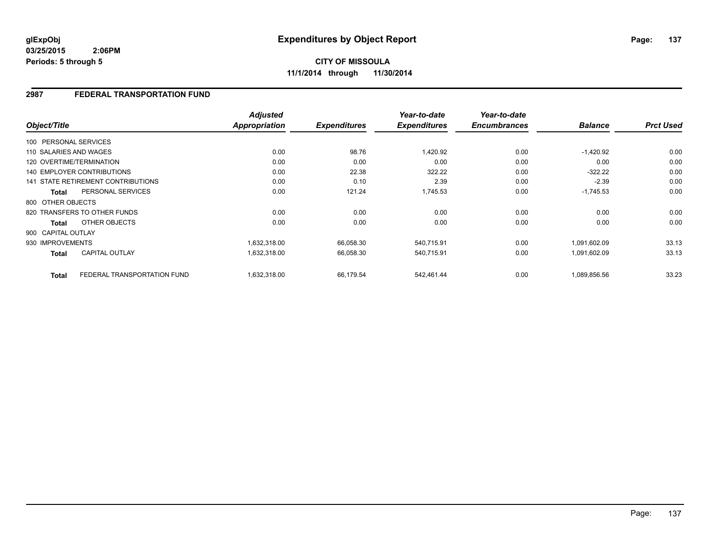**CITY OF MISSOULA 11/1/2014 through 11/30/2014**

### **2987 FEDERAL TRANSPORTATION FUND**

|                        |                                    | <b>Adjusted</b> |                     | Year-to-date        | Year-to-date        |                |                  |
|------------------------|------------------------------------|-----------------|---------------------|---------------------|---------------------|----------------|------------------|
| Object/Title           |                                    | Appropriation   | <b>Expenditures</b> | <b>Expenditures</b> | <b>Encumbrances</b> | <b>Balance</b> | <b>Prct Used</b> |
| 100 PERSONAL SERVICES  |                                    |                 |                     |                     |                     |                |                  |
| 110 SALARIES AND WAGES |                                    | 0.00            | 98.76               | 1,420.92            | 0.00                | $-1,420.92$    | 0.00             |
|                        | 120 OVERTIME/TERMINATION           | 0.00            | 0.00                | 0.00                | 0.00                | 0.00           | 0.00             |
|                        | <b>140 EMPLOYER CONTRIBUTIONS</b>  | 0.00            | 22.38               | 322.22              | 0.00                | $-322.22$      | 0.00             |
|                        | 141 STATE RETIREMENT CONTRIBUTIONS | 0.00            | 0.10                | 2.39                | 0.00                | $-2.39$        | 0.00             |
| <b>Total</b>           | PERSONAL SERVICES                  | 0.00            | 121.24              | 1,745.53            | 0.00                | $-1,745.53$    | 0.00             |
| 800 OTHER OBJECTS      |                                    |                 |                     |                     |                     |                |                  |
|                        | 820 TRANSFERS TO OTHER FUNDS       | 0.00            | 0.00                | 0.00                | 0.00                | 0.00           | 0.00             |
| Total                  | OTHER OBJECTS                      | 0.00            | 0.00                | 0.00                | 0.00                | 0.00           | 0.00             |
| 900 CAPITAL OUTLAY     |                                    |                 |                     |                     |                     |                |                  |
| 930 IMPROVEMENTS       |                                    | 1,632,318.00    | 66,058.30           | 540,715.91          | 0.00                | 1,091,602.09   | 33.13            |
| <b>Total</b>           | <b>CAPITAL OUTLAY</b>              | 1,632,318.00    | 66,058.30           | 540,715.91          | 0.00                | 1,091,602.09   | 33.13            |
| <b>Total</b>           | FEDERAL TRANSPORTATION FUND        | 1,632,318.00    | 66,179.54           | 542,461.44          | 0.00                | 1,089,856.56   | 33.23            |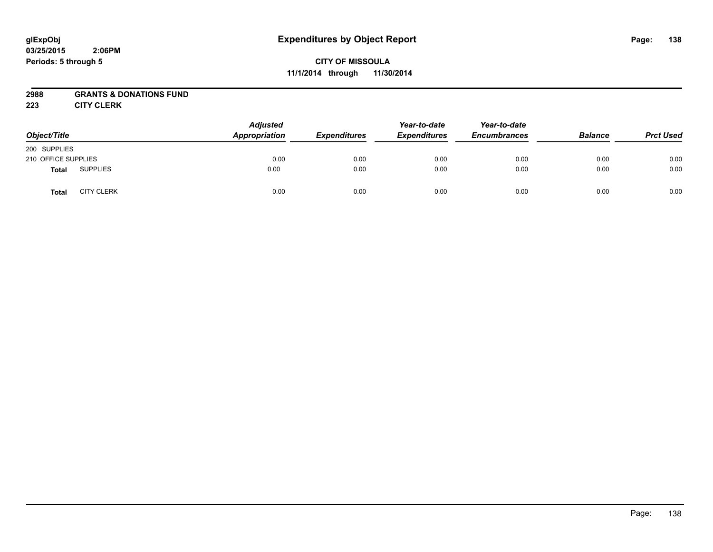# **CITY OF MISSOULA 11/1/2014 through 11/30/2014**

### **2988 GRANTS & DONATIONS FUND**

**223 CITY CLERK**

| Object/Title        |                   | <b>Adjusted</b><br>Appropriation | <b>Expenditures</b> | Year-to-date<br><b>Expenditures</b> | Year-to-date<br><b>Encumbrances</b> | <b>Balance</b> | <b>Prct Used</b> |
|---------------------|-------------------|----------------------------------|---------------------|-------------------------------------|-------------------------------------|----------------|------------------|
| 200 SUPPLIES        |                   |                                  |                     |                                     |                                     |                |                  |
| 210 OFFICE SUPPLIES |                   | 0.00                             | 0.00                | 0.00                                | 0.00                                | 0.00           | 0.00             |
| <b>Total</b>        | <b>SUPPLIES</b>   | 0.00                             | 0.00                | 0.00                                | 0.00                                | 0.00           | 0.00             |
| <b>Total</b>        | <b>CITY CLERK</b> | 0.00                             | 0.00                | 0.00                                | 0.00                                | 0.00           | 0.00             |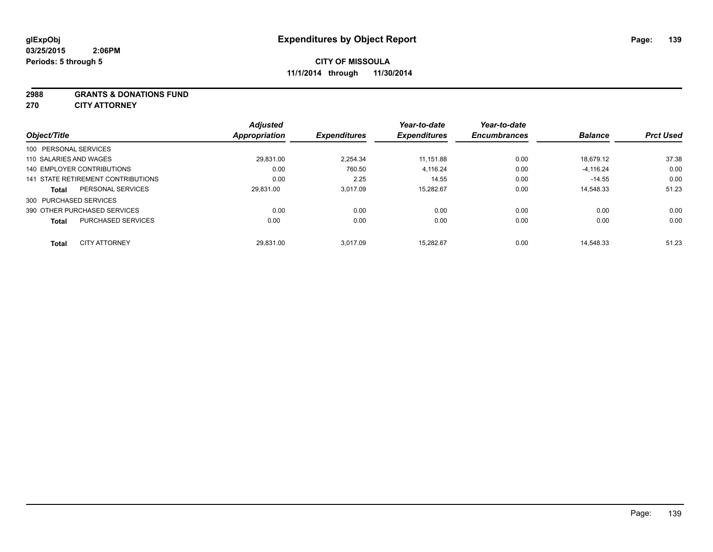#### **2988 GRANTS & DONATIONS FUND**

**270 CITY ATTORNEY**

| Object/Title |                                    | <b>Adjusted</b><br>Appropriation | <b>Expenditures</b> | Year-to-date<br><b>Expenditures</b> | Year-to-date<br><b>Encumbrances</b> | <b>Balance</b> | <b>Prct Used</b> |
|--------------|------------------------------------|----------------------------------|---------------------|-------------------------------------|-------------------------------------|----------------|------------------|
|              | 100 PERSONAL SERVICES              |                                  |                     |                                     |                                     |                |                  |
|              |                                    |                                  |                     |                                     |                                     |                |                  |
|              | 110 SALARIES AND WAGES             | 29.831.00                        | 2.254.34            | 11,151.88                           | 0.00                                | 18.679.12      | 37.38            |
|              | 140 EMPLOYER CONTRIBUTIONS         | 0.00                             | 760.50              | 4,116.24                            | 0.00                                | $-4,116.24$    | 0.00             |
|              | 141 STATE RETIREMENT CONTRIBUTIONS | 0.00                             | 2.25                | 14.55                               | 0.00                                | $-14.55$       | 0.00             |
| <b>Total</b> | PERSONAL SERVICES                  | 29.831.00                        | 3.017.09            | 15.282.67                           | 0.00                                | 14.548.33      | 51.23            |
|              | 300 PURCHASED SERVICES             |                                  |                     |                                     |                                     |                |                  |
|              | 390 OTHER PURCHASED SERVICES       | 0.00                             | 0.00                | 0.00                                | 0.00                                | 0.00           | 0.00             |
| <b>Total</b> | <b>PURCHASED SERVICES</b>          | 0.00                             | 0.00                | 0.00                                | 0.00                                | 0.00           | 0.00             |
| <b>Total</b> | <b>CITY ATTORNEY</b>               | 29.831.00                        | 3.017.09            | 15.282.67                           | 0.00                                | 14.548.33      | 51.23            |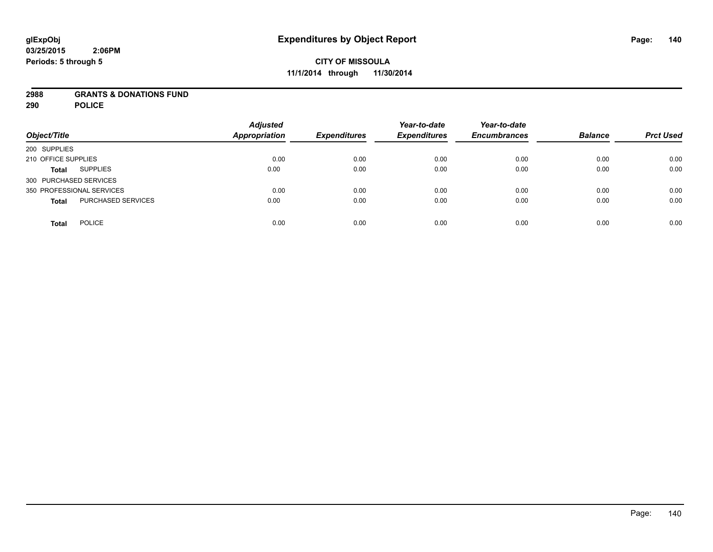#### **2988 GRANTS & DONATIONS FUND**

**290 POLICE**

| Object/Title                       | <b>Adjusted</b><br><b>Appropriation</b> | <b>Expenditures</b> | Year-to-date<br><b>Expenditures</b> | Year-to-date<br><b>Encumbrances</b> | <b>Balance</b> | <b>Prct Used</b> |
|------------------------------------|-----------------------------------------|---------------------|-------------------------------------|-------------------------------------|----------------|------------------|
| 200 SUPPLIES                       |                                         |                     |                                     |                                     |                |                  |
| 210 OFFICE SUPPLIES                | 0.00                                    | 0.00                | 0.00                                | 0.00                                | 0.00           | 0.00             |
| <b>SUPPLIES</b><br><b>Total</b>    | 0.00                                    | 0.00                | 0.00                                | 0.00                                | 0.00           | 0.00             |
| 300 PURCHASED SERVICES             |                                         |                     |                                     |                                     |                |                  |
| 350 PROFESSIONAL SERVICES          | 0.00                                    | 0.00                | 0.00                                | 0.00                                | 0.00           | 0.00             |
| PURCHASED SERVICES<br><b>Total</b> | 0.00                                    | 0.00                | 0.00                                | 0.00                                | 0.00           | 0.00             |
| <b>POLICE</b><br><b>Total</b>      | 0.00                                    | 0.00                | 0.00                                | 0.00                                | 0.00           | 0.00             |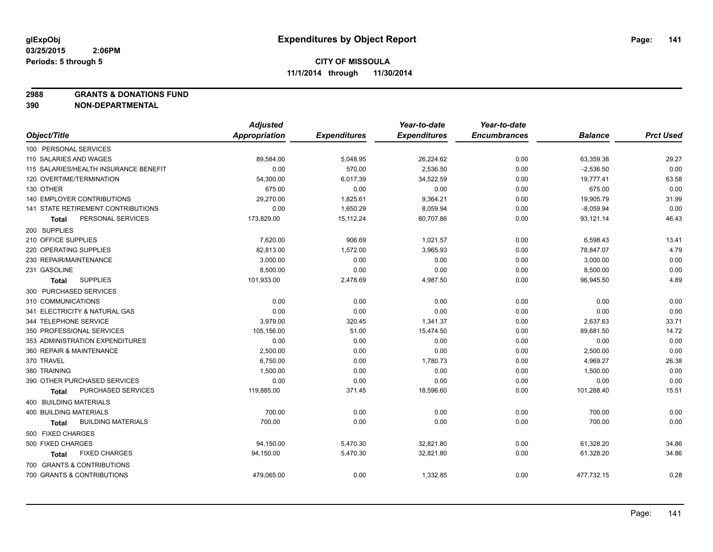**2988 GRANTS & DONATIONS FUND**

**390 NON-DEPARTMENTAL**

|                                           | <b>Adjusted</b>      |                     | Year-to-date        | Year-to-date        |                |                  |
|-------------------------------------------|----------------------|---------------------|---------------------|---------------------|----------------|------------------|
| Object/Title                              | <b>Appropriation</b> | <b>Expenditures</b> | <b>Expenditures</b> | <b>Encumbrances</b> | <b>Balance</b> | <b>Prct Used</b> |
| 100 PERSONAL SERVICES                     |                      |                     |                     |                     |                |                  |
| 110 SALARIES AND WAGES                    | 89,584.00            | 5,048.95            | 26,224.62           | 0.00                | 63,359.38      | 29.27            |
| 115 SALARIES/HEALTH INSURANCE BENEFIT     | 0.00                 | 570.00              | 2,536.50            | 0.00                | $-2,536.50$    | 0.00             |
| 120 OVERTIME/TERMINATION                  | 54,300.00            | 6,017.39            | 34,522.59           | 0.00                | 19,777.41      | 63.58            |
| 130 OTHER                                 | 675.00               | 0.00                | 0.00                | 0.00                | 675.00         | 0.00             |
| 140 EMPLOYER CONTRIBUTIONS                | 29,270.00            | 1,825.61            | 9,364.21            | 0.00                | 19,905.79      | 31.99            |
| 141 STATE RETIREMENT CONTRIBUTIONS        | 0.00                 | 1,650.29            | 8,059.94            | 0.00                | $-8,059.94$    | 0.00             |
| PERSONAL SERVICES<br>Total                | 173,829.00           | 15,112.24           | 80,707.86           | 0.00                | 93,121.14      | 46.43            |
| 200 SUPPLIES                              |                      |                     |                     |                     |                |                  |
| 210 OFFICE SUPPLIES                       | 7,620.00             | 906.69              | 1,021.57            | 0.00                | 6,598.43       | 13.41            |
| 220 OPERATING SUPPLIES                    | 82,813.00            | 1,572.00            | 3,965.93            | 0.00                | 78,847.07      | 4.79             |
| 230 REPAIR/MAINTENANCE                    | 3,000.00             | 0.00                | 0.00                | 0.00                | 3,000.00       | 0.00             |
| 231 GASOLINE                              | 8,500.00             | 0.00                | 0.00                | 0.00                | 8,500.00       | 0.00             |
| <b>SUPPLIES</b><br><b>Total</b>           | 101,933.00           | 2,478.69            | 4,987.50            | 0.00                | 96,945.50      | 4.89             |
| 300 PURCHASED SERVICES                    |                      |                     |                     |                     |                |                  |
| 310 COMMUNICATIONS                        | 0.00                 | 0.00                | 0.00                | 0.00                | 0.00           | 0.00             |
| 341 ELECTRICITY & NATURAL GAS             | 0.00                 | 0.00                | 0.00                | 0.00                | 0.00           | 0.00             |
| 344 TELEPHONE SERVICE                     | 3,979.00             | 320.45              | 1,341.37            | 0.00                | 2,637.63       | 33.71            |
| 350 PROFESSIONAL SERVICES                 | 105,156.00           | 51.00               | 15,474.50           | 0.00                | 89,681.50      | 14.72            |
| 353 ADMINISTRATION EXPENDITURES           | 0.00                 | 0.00                | 0.00                | 0.00                | 0.00           | 0.00             |
| 360 REPAIR & MAINTENANCE                  | 2,500.00             | 0.00                | 0.00                | 0.00                | 2,500.00       | 0.00             |
| 370 TRAVEL                                | 6,750.00             | 0.00                | 1,780.73            | 0.00                | 4,969.27       | 26.38            |
| 380 TRAINING                              | 1,500.00             | 0.00                | 0.00                | 0.00                | 1,500.00       | 0.00             |
| 390 OTHER PURCHASED SERVICES              | 0.00                 | 0.00                | 0.00                | 0.00                | 0.00           | 0.00             |
| PURCHASED SERVICES<br>Total               | 119,885.00           | 371.45              | 18,596.60           | 0.00                | 101,288.40     | 15.51            |
| 400 BUILDING MATERIALS                    |                      |                     |                     |                     |                |                  |
| 400 BUILDING MATERIALS                    | 700.00               | 0.00                | 0.00                | 0.00                | 700.00         | 0.00             |
| <b>BUILDING MATERIALS</b><br><b>Total</b> | 700.00               | 0.00                | 0.00                | 0.00                | 700.00         | 0.00             |
| 500 FIXED CHARGES                         |                      |                     |                     |                     |                |                  |
| 500 FIXED CHARGES                         | 94,150.00            | 5,470.30            | 32,821.80           | 0.00                | 61,328.20      | 34.86            |
| <b>FIXED CHARGES</b><br><b>Total</b>      | 94,150.00            | 5,470.30            | 32,821.80           | 0.00                | 61,328.20      | 34.86            |
| 700 GRANTS & CONTRIBUTIONS                |                      |                     |                     |                     |                |                  |
| 700 GRANTS & CONTRIBUTIONS                | 479,065.00           | 0.00                | 1,332.85            | 0.00                | 477,732.15     | 0.28             |
|                                           |                      |                     |                     |                     |                |                  |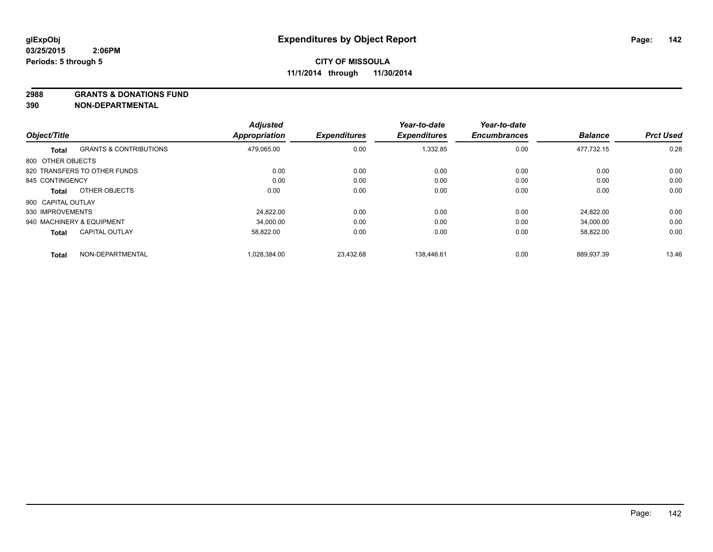#### **2988 GRANTS & DONATIONS FUND**

**390 NON-DEPARTMENTAL**

|                    |                                   | <b>Adjusted</b>      |                     | Year-to-date        | Year-to-date        |                |                  |
|--------------------|-----------------------------------|----------------------|---------------------|---------------------|---------------------|----------------|------------------|
| Object/Title       |                                   | <b>Appropriation</b> | <b>Expenditures</b> | <b>Expenditures</b> | <b>Encumbrances</b> | <b>Balance</b> | <b>Prct Used</b> |
| Total              | <b>GRANTS &amp; CONTRIBUTIONS</b> | 479.065.00           | 0.00                | 1,332.85            | 0.00                | 477.732.15     | 0.28             |
| 800 OTHER OBJECTS  |                                   |                      |                     |                     |                     |                |                  |
|                    | 820 TRANSFERS TO OTHER FUNDS      | 0.00                 | 0.00                | 0.00                | 0.00                | 0.00           | 0.00             |
| 845 CONTINGENCY    |                                   | 0.00                 | 0.00                | 0.00                | 0.00                | 0.00           | 0.00             |
| Total              | OTHER OBJECTS                     | 0.00                 | 0.00                | 0.00                | 0.00                | 0.00           | 0.00             |
| 900 CAPITAL OUTLAY |                                   |                      |                     |                     |                     |                |                  |
| 930 IMPROVEMENTS   |                                   | 24.822.00            | 0.00                | 0.00                | 0.00                | 24.822.00      | 0.00             |
|                    | 940 MACHINERY & EQUIPMENT         | 34.000.00            | 0.00                | 0.00                | 0.00                | 34,000.00      | 0.00             |
| <b>Total</b>       | <b>CAPITAL OUTLAY</b>             | 58,822.00            | 0.00                | 0.00                | 0.00                | 58,822.00      | 0.00             |
| <b>Total</b>       | NON-DEPARTMENTAL                  | 1,028,384.00         | 23,432.68           | 138.446.61          | 0.00                | 889,937.39     | 13.46            |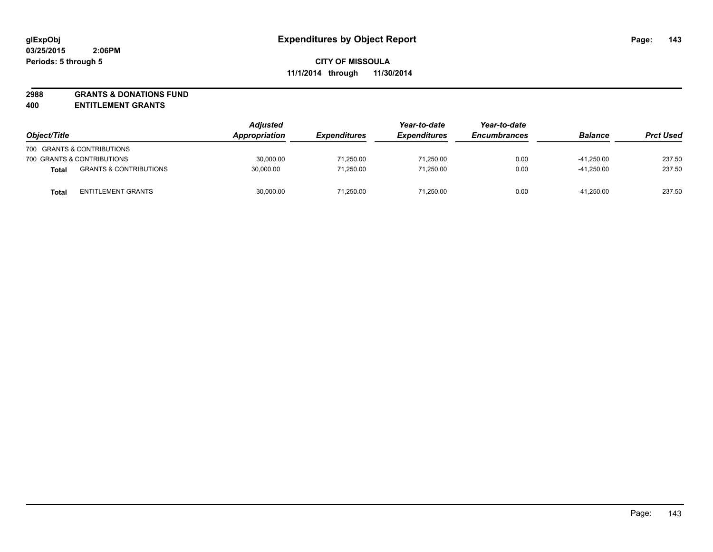**2988 GRANTS & DONATIONS FUND**

**400 ENTITLEMENT GRANTS**

| Object/Title |                                   | <b>Adjusted</b><br>Appropriation | <b>Expenditures</b> | Year-to-date<br><b>Expenditures</b> | Year-to-date<br><b>Encumbrances</b> | <b>Balance</b> | <b>Prct Used</b> |
|--------------|-----------------------------------|----------------------------------|---------------------|-------------------------------------|-------------------------------------|----------------|------------------|
|              | 700 GRANTS & CONTRIBUTIONS        |                                  |                     |                                     |                                     |                |                  |
|              | 700 GRANTS & CONTRIBUTIONS        | 30.000.00                        | 71.250.00           | 71.250.00                           | 0.00                                | $-41.250.00$   | 237.50           |
| <b>Total</b> | <b>GRANTS &amp; CONTRIBUTIONS</b> | 30,000.00                        | 71,250.00           | 71.250.00                           | 0.00                                | $-41.250.00$   | 237.50           |
| <b>Total</b> | <b>ENTITLEMENT GRANTS</b>         | 30.000.00                        | 71.250.00           | 71.250.00                           | 0.00                                | $-41.250.00$   | 237.50           |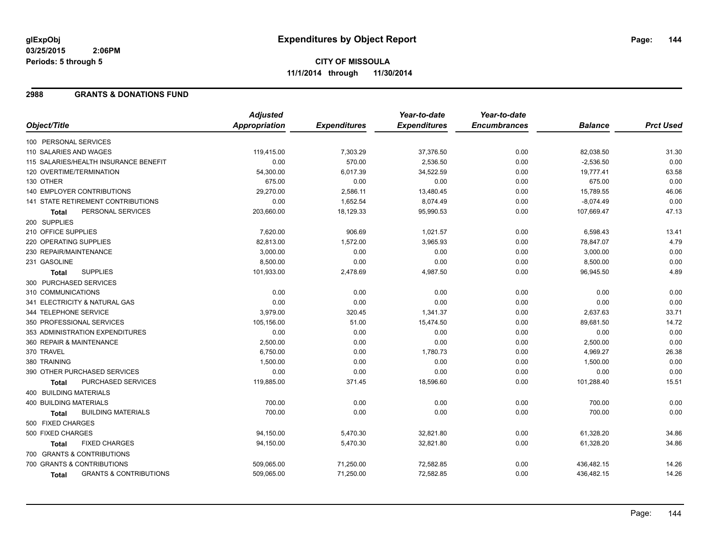#### **2988 GRANTS & DONATIONS FUND**

|                                                   | <b>Adjusted</b> |                     | Year-to-date        | Year-to-date        |                |                  |
|---------------------------------------------------|-----------------|---------------------|---------------------|---------------------|----------------|------------------|
| Object/Title                                      | Appropriation   | <b>Expenditures</b> | <b>Expenditures</b> | <b>Encumbrances</b> | <b>Balance</b> | <b>Prct Used</b> |
| 100 PERSONAL SERVICES                             |                 |                     |                     |                     |                |                  |
| 110 SALARIES AND WAGES                            | 119,415.00      | 7,303.29            | 37,376.50           | 0.00                | 82,038.50      | 31.30            |
| 115 SALARIES/HEALTH INSURANCE BENEFIT             | 0.00            | 570.00              | 2,536.50            | 0.00                | $-2,536.50$    | 0.00             |
| 120 OVERTIME/TERMINATION                          | 54,300.00       | 6,017.39            | 34,522.59           | 0.00                | 19,777.41      | 63.58            |
| 130 OTHER                                         | 675.00          | 0.00                | 0.00                | 0.00                | 675.00         | 0.00             |
| 140 EMPLOYER CONTRIBUTIONS                        | 29,270.00       | 2,586.11            | 13,480.45           | 0.00                | 15,789.55      | 46.06            |
| <b>141 STATE RETIREMENT CONTRIBUTIONS</b>         | 0.00            | 1,652.54            | 8,074.49            | 0.00                | $-8,074.49$    | 0.00             |
| PERSONAL SERVICES<br><b>Total</b>                 | 203,660.00      | 18,129.33           | 95,990.53           | 0.00                | 107,669.47     | 47.13            |
| 200 SUPPLIES                                      |                 |                     |                     |                     |                |                  |
| 210 OFFICE SUPPLIES                               | 7,620.00        | 906.69              | 1,021.57            | 0.00                | 6,598.43       | 13.41            |
| 220 OPERATING SUPPLIES                            | 82,813.00       | 1,572.00            | 3,965.93            | 0.00                | 78,847.07      | 4.79             |
| 230 REPAIR/MAINTENANCE                            | 3,000.00        | 0.00                | 0.00                | 0.00                | 3,000.00       | 0.00             |
| 231 GASOLINE                                      | 8,500.00        | 0.00                | 0.00                | 0.00                | 8,500.00       | 0.00             |
| <b>SUPPLIES</b><br><b>Total</b>                   | 101,933.00      | 2,478.69            | 4,987.50            | 0.00                | 96,945.50      | 4.89             |
| 300 PURCHASED SERVICES                            |                 |                     |                     |                     |                |                  |
| 310 COMMUNICATIONS                                | 0.00            | 0.00                | 0.00                | 0.00                | 0.00           | 0.00             |
| 341 ELECTRICITY & NATURAL GAS                     | 0.00            | 0.00                | 0.00                | 0.00                | 0.00           | 0.00             |
| 344 TELEPHONE SERVICE                             | 3,979.00        | 320.45              | 1,341.37            | 0.00                | 2,637.63       | 33.71            |
| 350 PROFESSIONAL SERVICES                         | 105,156.00      | 51.00               | 15,474.50           | 0.00                | 89,681.50      | 14.72            |
| 353 ADMINISTRATION EXPENDITURES                   | 0.00            | 0.00                | 0.00                | 0.00                | 0.00           | 0.00             |
| 360 REPAIR & MAINTENANCE                          | 2,500.00        | 0.00                | 0.00                | 0.00                | 2,500.00       | 0.00             |
| 370 TRAVEL                                        | 6,750.00        | 0.00                | 1,780.73            | 0.00                | 4,969.27       | 26.38            |
| 380 TRAINING                                      | 1,500.00        | 0.00                | 0.00                | 0.00                | 1,500.00       | 0.00             |
| 390 OTHER PURCHASED SERVICES                      | 0.00            | 0.00                | 0.00                | 0.00                | 0.00           | 0.00             |
| PURCHASED SERVICES<br>Total                       | 119,885.00      | 371.45              | 18,596.60           | 0.00                | 101,288.40     | 15.51            |
| 400 BUILDING MATERIALS                            |                 |                     |                     |                     |                |                  |
| <b>400 BUILDING MATERIALS</b>                     | 700.00          | 0.00                | 0.00                | 0.00                | 700.00         | 0.00             |
| <b>BUILDING MATERIALS</b><br><b>Total</b>         | 700.00          | 0.00                | 0.00                | 0.00                | 700.00         | 0.00             |
| 500 FIXED CHARGES                                 |                 |                     |                     |                     |                |                  |
| 500 FIXED CHARGES                                 | 94,150.00       | 5,470.30            | 32,821.80           | 0.00                | 61,328.20      | 34.86            |
| <b>FIXED CHARGES</b><br>Total                     | 94,150.00       | 5,470.30            | 32,821.80           | 0.00                | 61,328.20      | 34.86            |
| 700 GRANTS & CONTRIBUTIONS                        |                 |                     |                     |                     |                |                  |
| 700 GRANTS & CONTRIBUTIONS                        | 509,065.00      | 71,250.00           | 72,582.85           | 0.00                | 436,482.15     | 14.26            |
| <b>GRANTS &amp; CONTRIBUTIONS</b><br><b>Total</b> | 509,065.00      | 71,250.00           | 72,582.85           | 0.00                | 436,482.15     | 14.26            |
|                                                   |                 |                     |                     |                     |                |                  |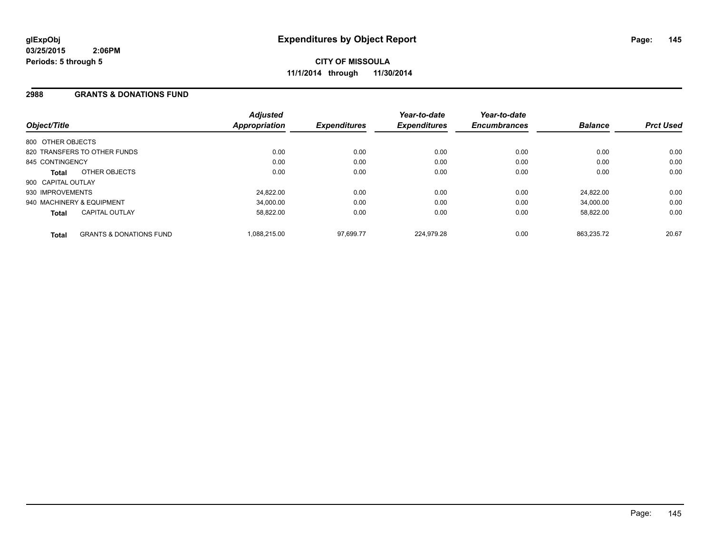#### **2988 GRANTS & DONATIONS FUND**

| Object/Title              |                                    | <b>Adjusted</b><br><b>Appropriation</b> | <b>Expenditures</b> | Year-to-date<br><b>Expenditures</b> | Year-to-date<br><b>Encumbrances</b> | <b>Balance</b> | <b>Prct Used</b> |
|---------------------------|------------------------------------|-----------------------------------------|---------------------|-------------------------------------|-------------------------------------|----------------|------------------|
| 800 OTHER OBJECTS         |                                    |                                         |                     |                                     |                                     |                |                  |
|                           | 820 TRANSFERS TO OTHER FUNDS       | 0.00                                    | 0.00                | 0.00                                | 0.00                                | 0.00           | 0.00             |
| 845 CONTINGENCY           |                                    | 0.00                                    | 0.00                | 0.00                                | 0.00                                | 0.00           | 0.00             |
| Total                     | OTHER OBJECTS                      | 0.00                                    | 0.00                | 0.00                                | 0.00                                | 0.00           | 0.00             |
| 900 CAPITAL OUTLAY        |                                    |                                         |                     |                                     |                                     |                |                  |
| 930 IMPROVEMENTS          |                                    | 24.822.00                               | 0.00                | 0.00                                | 0.00                                | 24.822.00      | 0.00             |
| 940 MACHINERY & EQUIPMENT |                                    | 34.000.00                               | 0.00                | 0.00                                | 0.00                                | 34.000.00      | 0.00             |
| Total                     | <b>CAPITAL OUTLAY</b>              | 58.822.00                               | 0.00                | 0.00                                | 0.00                                | 58.822.00      | 0.00             |
| <b>Total</b>              | <b>GRANTS &amp; DONATIONS FUND</b> | 1,088,215.00                            | 97.699.77           | 224.979.28                          | 0.00                                | 863.235.72     | 20.67            |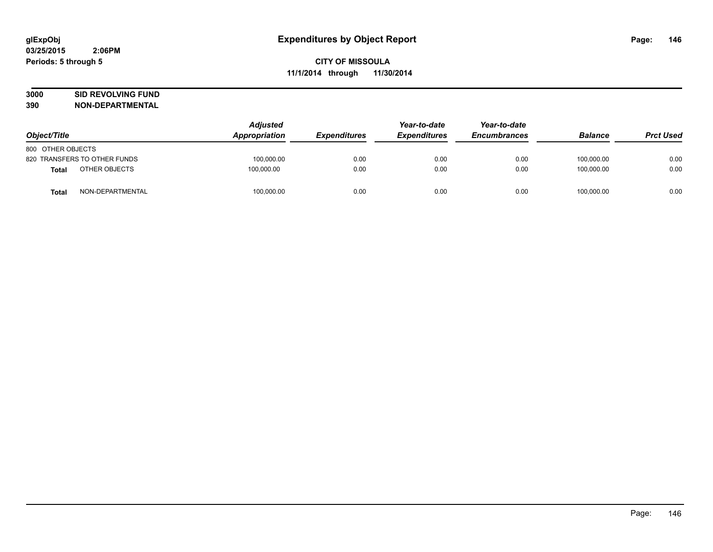# **3000 SID REVOLVING FUND**

| Object/Title      |                              | <b>Adjusted</b><br>Appropriation | <b>Expenditures</b> | Year-to-date<br><b>Expenditures</b> | Year-to-date<br><b>Encumbrances</b> | <b>Balance</b> | <b>Prct Used</b> |
|-------------------|------------------------------|----------------------------------|---------------------|-------------------------------------|-------------------------------------|----------------|------------------|
| 800 OTHER OBJECTS |                              |                                  |                     |                                     |                                     |                |                  |
|                   | 820 TRANSFERS TO OTHER FUNDS | 100,000.00                       | 0.00                | 0.00                                | 0.00                                | 100.000.00     | 0.00             |
| Total             | OTHER OBJECTS                | 100.000.00                       | 0.00                | 0.00                                | 0.00                                | 100.000.00     | 0.00             |
| <b>Total</b>      | NON-DEPARTMENTAL             | 100,000.00                       | 0.00                | 0.00                                | 0.00                                | 100,000.00     | 0.00             |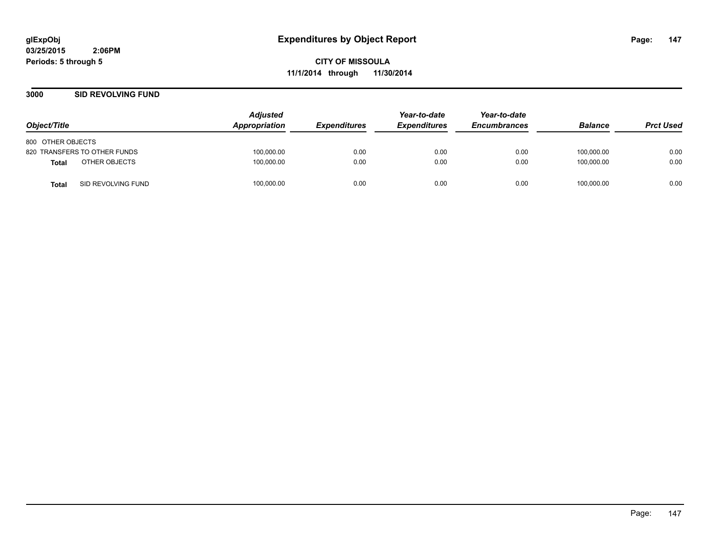**CITY OF MISSOULA 11/1/2014 through 11/30/2014**

#### **3000 SID REVOLVING FUND**

| Object/Title                       | <b>Adjusted</b><br><b>Appropriation</b> | <b>Expenditures</b> | Year-to-date<br><b>Expenditures</b> | Year-to-date<br><b>Encumbrances</b> | <b>Balance</b> | <b>Prct Used</b> |
|------------------------------------|-----------------------------------------|---------------------|-------------------------------------|-------------------------------------|----------------|------------------|
| 800 OTHER OBJECTS                  |                                         |                     |                                     |                                     |                |                  |
| 820 TRANSFERS TO OTHER FUNDS       | 100,000.00                              | 0.00                | 0.00                                | 0.00                                | 100,000.00     | 0.00             |
| OTHER OBJECTS<br><b>Total</b>      | 100,000.00                              | 0.00                | 0.00                                | 0.00                                | 100.000.00     | 0.00             |
| SID REVOLVING FUND<br><b>Total</b> | 100,000.00                              | 0.00                | 0.00                                | 0.00                                | 100,000.00     | 0.00             |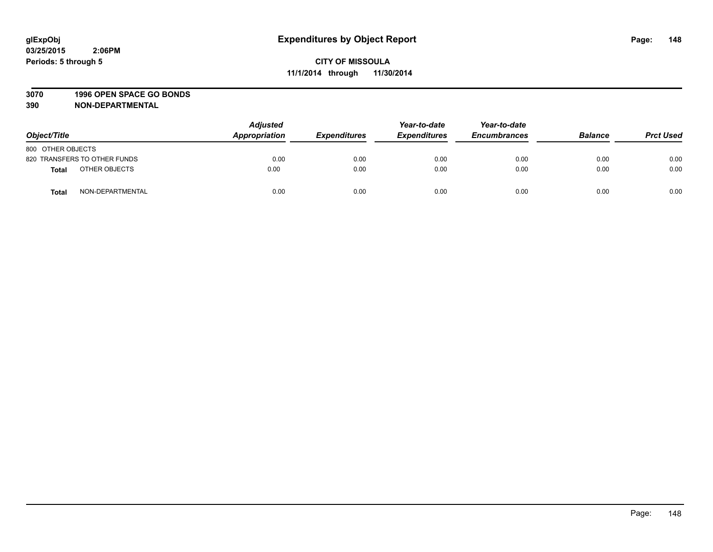#### **3070 1996 OPEN SPACE GO BONDS**

| Object/Title                 | <b>Adjusted</b><br>Appropriation | <b>Expenditures</b> | Year-to-date<br><b>Expenditures</b> | Year-to-date<br><b>Encumbrances</b> | <b>Balance</b> | <b>Prct Used</b> |
|------------------------------|----------------------------------|---------------------|-------------------------------------|-------------------------------------|----------------|------------------|
| 800 OTHER OBJECTS            |                                  |                     |                                     |                                     |                |                  |
| 820 TRANSFERS TO OTHER FUNDS | 0.00                             | 0.00                | 0.00                                | 0.00                                | 0.00           | 0.00             |
| OTHER OBJECTS<br>Total       | 0.00                             | 0.00                | 0.00                                | 0.00                                | 0.00           | 0.00             |
| NON-DEPARTMENTAL<br>Total    | 0.00                             | 0.00                | 0.00                                | 0.00                                | 0.00           | 0.00             |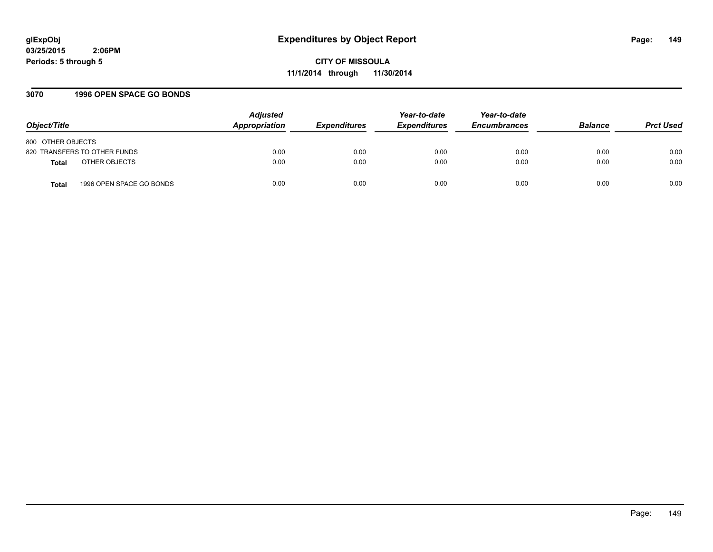**CITY OF MISSOULA 11/1/2014 through 11/30/2014**

#### **3070 1996 OPEN SPACE GO BONDS**

| Object/Title                             | <b>Adjusted</b><br>Appropriation | <b>Expenditures</b> | Year-to-date<br><b>Expenditures</b> | Year-to-date<br><b>Encumbrances</b> | <b>Balance</b> | <b>Prct Used</b> |
|------------------------------------------|----------------------------------|---------------------|-------------------------------------|-------------------------------------|----------------|------------------|
| 800 OTHER OBJECTS                        |                                  |                     |                                     |                                     |                |                  |
| 820 TRANSFERS TO OTHER FUNDS             | 0.00                             | 0.00                | 0.00                                | 0.00                                | 0.00           | 0.00             |
| OTHER OBJECTS<br><b>Total</b>            | 0.00                             | 0.00                | 0.00                                | 0.00                                | 0.00           | 0.00             |
| 1996 OPEN SPACE GO BONDS<br><b>Total</b> | 0.00                             | 0.00                | 0.00                                | 0.00                                | 0.00           | 0.00             |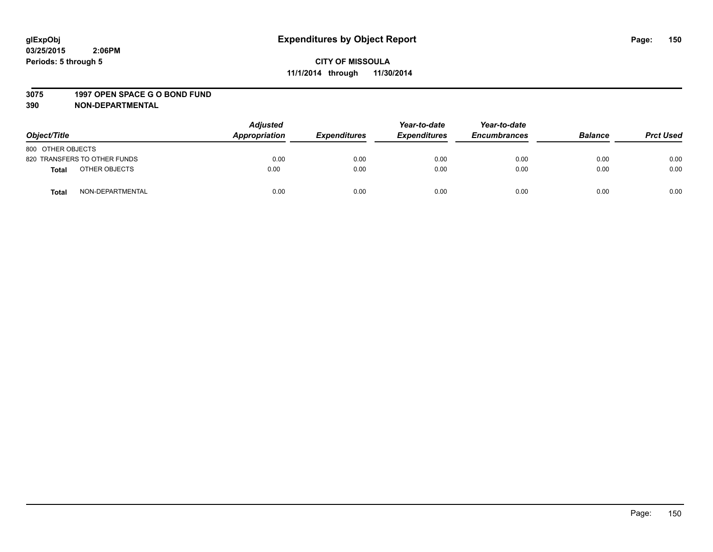#### **3075 1997 OPEN SPACE G O BOND FUND**

| Object/Title                     | <b>Adjusted</b><br>Appropriation | <b>Expenditures</b> | Year-to-date<br><b>Expenditures</b> | Year-to-date<br><b>Encumbrances</b> | <b>Balance</b> | <b>Prct Used</b> |
|----------------------------------|----------------------------------|---------------------|-------------------------------------|-------------------------------------|----------------|------------------|
| 800 OTHER OBJECTS                |                                  |                     |                                     |                                     |                |                  |
| 820 TRANSFERS TO OTHER FUNDS     | 0.00                             | 0.00                | 0.00                                | 0.00                                | 0.00           | 0.00             |
| OTHER OBJECTS<br><b>Total</b>    | 0.00                             | 0.00                | 0.00                                | 0.00                                | 0.00           | 0.00             |
| NON-DEPARTMENTAL<br><b>Total</b> | 0.00                             | 0.00                | 0.00                                | 0.00                                | 0.00           | 0.00             |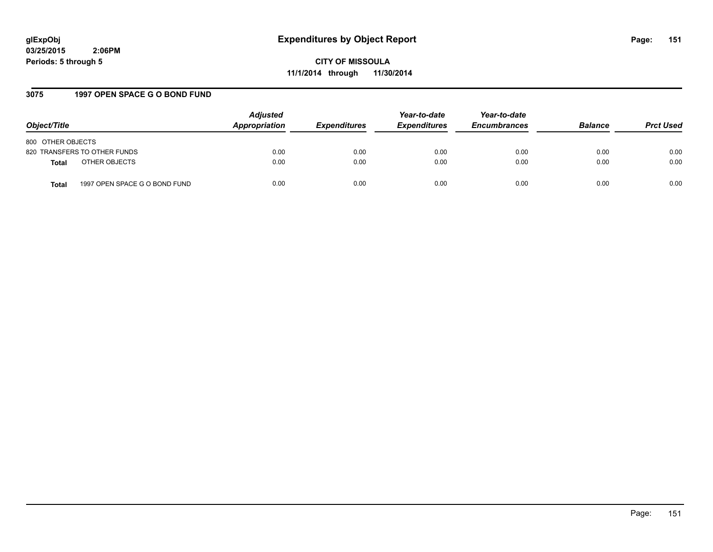**CITY OF MISSOULA 11/1/2014 through 11/30/2014**

## **3075 1997 OPEN SPACE G O BOND FUND**

| Object/Title                                  | <b>Adjusted</b><br>Appropriation | <b>Expenditures</b> | Year-to-date<br><b>Expenditures</b> | Year-to-date<br><b>Encumbrances</b> | <b>Balance</b> | <b>Prct Used</b> |
|-----------------------------------------------|----------------------------------|---------------------|-------------------------------------|-------------------------------------|----------------|------------------|
| 800 OTHER OBJECTS                             |                                  |                     |                                     |                                     |                |                  |
| 820 TRANSFERS TO OTHER FUNDS                  | 0.00                             | 0.00                | 0.00                                | 0.00                                | 0.00           | 0.00             |
| OTHER OBJECTS<br><b>Total</b>                 | 0.00                             | 0.00                | 0.00                                | 0.00                                | 0.00           | 0.00             |
| 1997 OPEN SPACE G O BOND FUND<br><b>Total</b> | 0.00                             | 0.00                | 0.00                                | 0.00                                | 0.00           | 0.00             |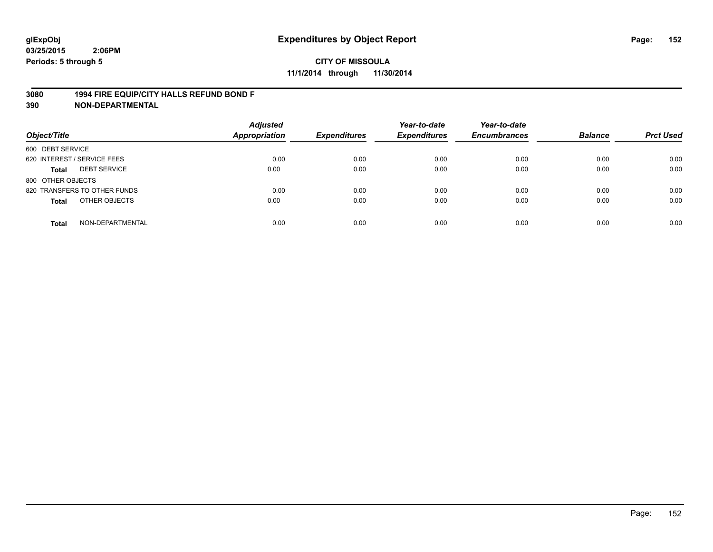#### **3080 1994 FIRE EQUIP/CITY HALLS REFUND BOND F**

| Object/Title                     | <b>Adjusted</b><br><b>Appropriation</b> | <b>Expenditures</b> | Year-to-date<br><b>Expenditures</b> | Year-to-date<br><b>Encumbrances</b> | <b>Balance</b> | <b>Prct Used</b> |
|----------------------------------|-----------------------------------------|---------------------|-------------------------------------|-------------------------------------|----------------|------------------|
| 600 DEBT SERVICE                 |                                         |                     |                                     |                                     |                |                  |
| 620 INTEREST / SERVICE FEES      | 0.00                                    | 0.00                | 0.00                                | 0.00                                | 0.00           | 0.00             |
| <b>DEBT SERVICE</b><br>Total     | 0.00                                    | 0.00                | 0.00                                | 0.00                                | 0.00           | 0.00             |
| 800 OTHER OBJECTS                |                                         |                     |                                     |                                     |                |                  |
| 820 TRANSFERS TO OTHER FUNDS     | 0.00                                    | 0.00                | 0.00                                | 0.00                                | 0.00           | 0.00             |
| OTHER OBJECTS<br><b>Total</b>    | 0.00                                    | 0.00                | 0.00                                | 0.00                                | 0.00           | 0.00             |
| NON-DEPARTMENTAL<br><b>Total</b> | 0.00                                    | 0.00                | 0.00                                | 0.00                                | 0.00           | 0.00             |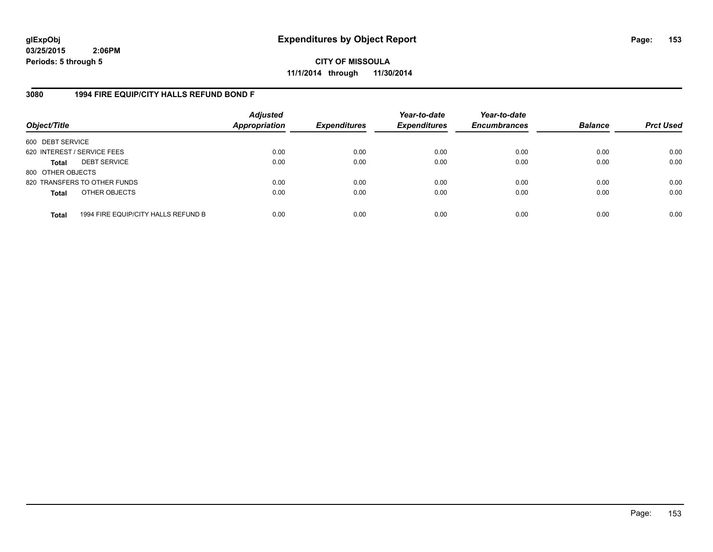**CITY OF MISSOULA 11/1/2014 through 11/30/2014**

#### **3080 1994 FIRE EQUIP/CITY HALLS REFUND BOND F**

| Object/Title                |                                     | <b>Adjusted</b><br><b>Appropriation</b> | <b>Expenditures</b> | Year-to-date<br><b>Expenditures</b> | Year-to-date<br><b>Encumbrances</b> | <b>Balance</b> | <b>Prct Used</b> |
|-----------------------------|-------------------------------------|-----------------------------------------|---------------------|-------------------------------------|-------------------------------------|----------------|------------------|
| 600 DEBT SERVICE            |                                     |                                         |                     |                                     |                                     |                |                  |
| 620 INTEREST / SERVICE FEES |                                     | 0.00                                    | 0.00                | 0.00                                | 0.00                                | 0.00           | 0.00             |
| <b>Total</b>                | <b>DEBT SERVICE</b>                 | 0.00                                    | 0.00                | 0.00                                | 0.00                                | 0.00           | 0.00             |
| 800 OTHER OBJECTS           |                                     |                                         |                     |                                     |                                     |                |                  |
|                             | 820 TRANSFERS TO OTHER FUNDS        | 0.00                                    | 0.00                | 0.00                                | 0.00                                | 0.00           | 0.00             |
| <b>Total</b>                | OTHER OBJECTS                       | 0.00                                    | 0.00                | 0.00                                | 0.00                                | 0.00           | 0.00             |
| <b>Total</b>                | 1994 FIRE EQUIP/CITY HALLS REFUND B | 0.00                                    | 0.00                | 0.00                                | 0.00                                | 0.00           | 0.00             |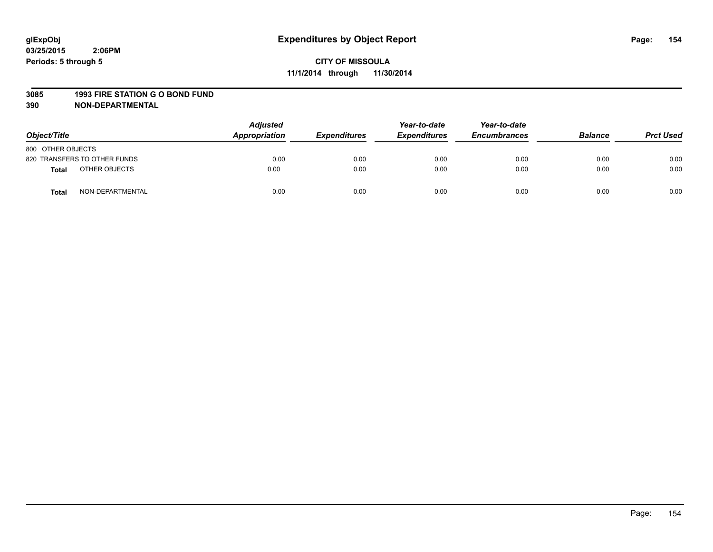#### **3085 1993 FIRE STATION G O BOND FUND**

| Object/Title      |                              | <b>Adjusted</b><br><b>Appropriation</b> | <b>Expenditures</b> | Year-to-date<br><b>Expenditures</b> | Year-to-date<br><b>Encumbrances</b> | <b>Balance</b> | <b>Prct Used</b> |
|-------------------|------------------------------|-----------------------------------------|---------------------|-------------------------------------|-------------------------------------|----------------|------------------|
| 800 OTHER OBJECTS |                              |                                         |                     |                                     |                                     |                |                  |
|                   | 820 TRANSFERS TO OTHER FUNDS | 0.00                                    | 0.00                | 0.00                                | 0.00                                | 0.00           | 0.00             |
| Total             | OTHER OBJECTS                | 0.00                                    | 0.00                | 0.00                                | 0.00                                | 0.00           | 0.00             |
| <b>Total</b>      | NON-DEPARTMENTAL             | 0.00                                    | 0.00                | 0.00                                | 0.00                                | 0.00           | 0.00             |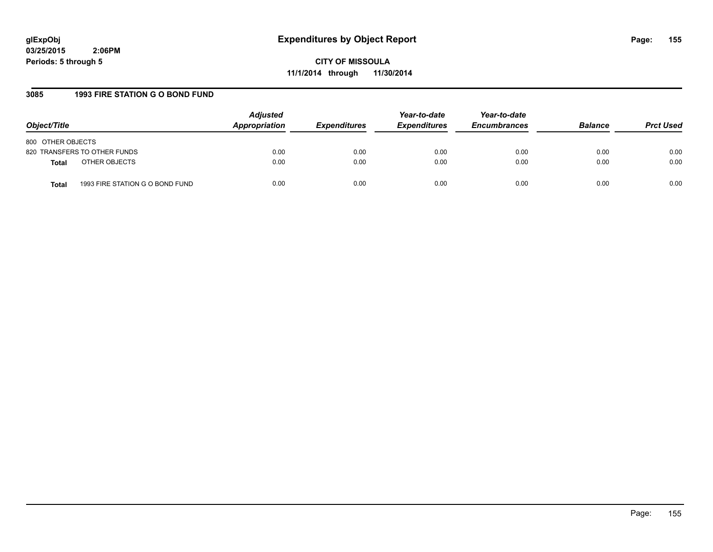**CITY OF MISSOULA 11/1/2014 through 11/30/2014**

## **3085 1993 FIRE STATION G O BOND FUND**

| Object/Title                                    | <b>Adjusted</b><br>Appropriation | <b>Expenditures</b> | Year-to-date<br><b>Expenditures</b> | Year-to-date<br><b>Encumbrances</b> | <b>Balance</b> | <b>Prct Used</b> |
|-------------------------------------------------|----------------------------------|---------------------|-------------------------------------|-------------------------------------|----------------|------------------|
| 800 OTHER OBJECTS                               |                                  |                     |                                     |                                     |                |                  |
| 820 TRANSFERS TO OTHER FUNDS                    | 0.00                             | 0.00                | 0.00                                | 0.00                                | 0.00           | 0.00             |
| OTHER OBJECTS<br><b>Total</b>                   | 0.00                             | 0.00                | 0.00                                | 0.00                                | 0.00           | 0.00             |
| 1993 FIRE STATION G O BOND FUND<br><b>Total</b> | 0.00                             | 0.00                | 0.00                                | 0.00                                | 0.00           | 0.00             |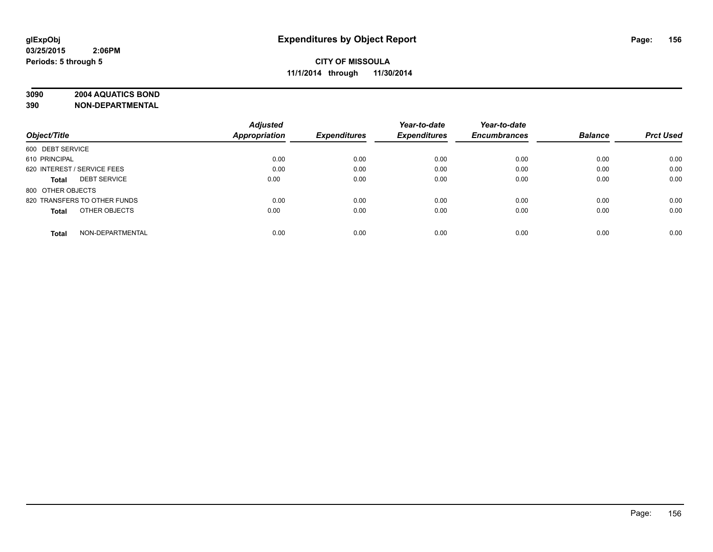# **3090 2004 AQUATICS BOND**

|                                     | <b>Adjusted</b> |                     | Year-to-date        | Year-to-date        |                |                  |
|-------------------------------------|-----------------|---------------------|---------------------|---------------------|----------------|------------------|
| Object/Title                        | Appropriation   | <b>Expenditures</b> | <b>Expenditures</b> | <b>Encumbrances</b> | <b>Balance</b> | <b>Prct Used</b> |
| 600 DEBT SERVICE                    |                 |                     |                     |                     |                |                  |
| 610 PRINCIPAL                       | 0.00            | 0.00                | 0.00                | 0.00                | 0.00           | 0.00             |
| 620 INTEREST / SERVICE FEES         | 0.00            | 0.00                | 0.00                | 0.00                | 0.00           | 0.00             |
| <b>DEBT SERVICE</b><br><b>Total</b> | 0.00            | 0.00                | 0.00                | 0.00                | 0.00           | 0.00             |
| 800 OTHER OBJECTS                   |                 |                     |                     |                     |                |                  |
| 820 TRANSFERS TO OTHER FUNDS        | 0.00            | 0.00                | 0.00                | 0.00                | 0.00           | 0.00             |
| OTHER OBJECTS<br><b>Total</b>       | 0.00            | 0.00                | 0.00                | 0.00                | 0.00           | 0.00             |
| NON-DEPARTMENTAL<br><b>Total</b>    | 0.00            | 0.00                | 0.00                | 0.00                | 0.00           | 0.00             |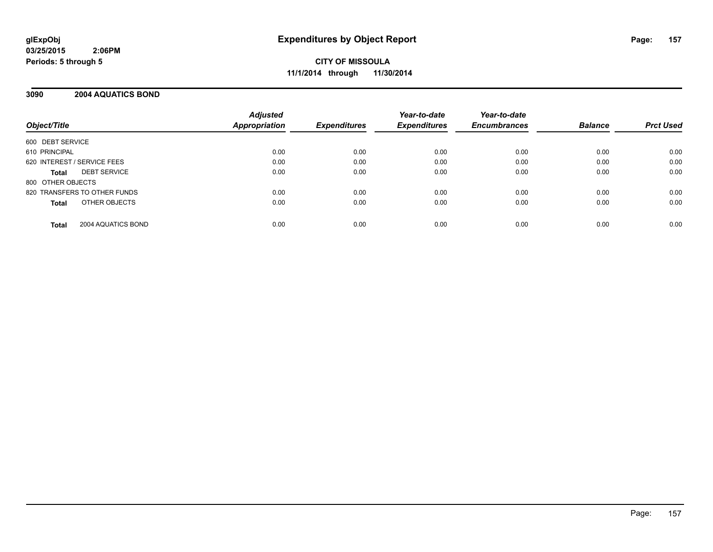#### **3090 2004 AQUATICS BOND**

| Object/Title                       | <b>Adjusted</b><br><b>Appropriation</b> | <b>Expenditures</b> | Year-to-date<br><b>Expenditures</b> | Year-to-date<br><b>Encumbrances</b> | <b>Balance</b> | <b>Prct Used</b> |
|------------------------------------|-----------------------------------------|---------------------|-------------------------------------|-------------------------------------|----------------|------------------|
| 600 DEBT SERVICE                   |                                         |                     |                                     |                                     |                |                  |
| 610 PRINCIPAL                      | 0.00                                    | 0.00                | 0.00                                | 0.00                                | 0.00           | 0.00             |
| 620 INTEREST / SERVICE FEES        | 0.00                                    | 0.00                | 0.00                                | 0.00                                | 0.00           | 0.00             |
| <b>DEBT SERVICE</b><br>Total       | 0.00                                    | 0.00                | 0.00                                | 0.00                                | 0.00           | 0.00             |
| 800 OTHER OBJECTS                  |                                         |                     |                                     |                                     |                |                  |
| 820 TRANSFERS TO OTHER FUNDS       | 0.00                                    | 0.00                | 0.00                                | 0.00                                | 0.00           | 0.00             |
| OTHER OBJECTS<br>Total             | 0.00                                    | 0.00                | 0.00                                | 0.00                                | 0.00           | 0.00             |
| 2004 AQUATICS BOND<br><b>Total</b> | 0.00                                    | 0.00                | 0.00                                | 0.00                                | 0.00           | 0.00             |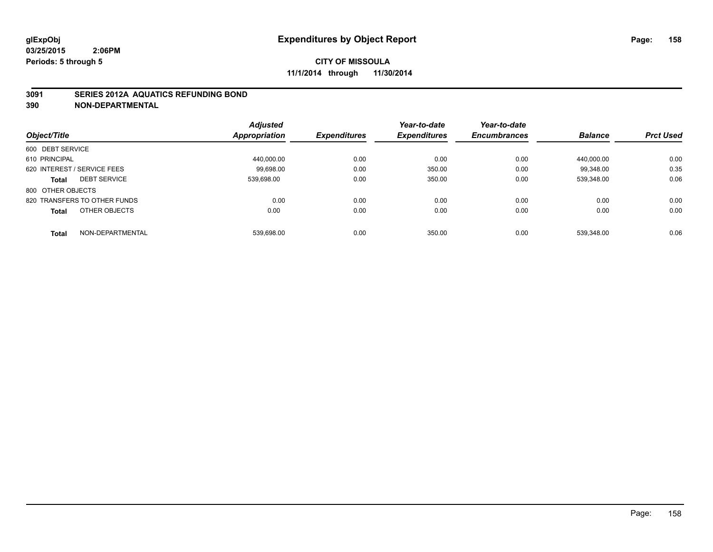#### **3091 SERIES 2012A AQUATICS REFUNDING BOND**

|                                  | <b>Adjusted</b>      |                     | Year-to-date        | Year-to-date        |                |                  |
|----------------------------------|----------------------|---------------------|---------------------|---------------------|----------------|------------------|
| Object/Title                     | <b>Appropriation</b> | <b>Expenditures</b> | <b>Expenditures</b> | <b>Encumbrances</b> | <b>Balance</b> | <b>Prct Used</b> |
| 600 DEBT SERVICE                 |                      |                     |                     |                     |                |                  |
| 610 PRINCIPAL                    | 440.000.00           | 0.00                | 0.00                | 0.00                | 440.000.00     | 0.00             |
| 620 INTEREST / SERVICE FEES      | 99.698.00            | 0.00                | 350.00              | 0.00                | 99.348.00      | 0.35             |
| <b>DEBT SERVICE</b><br>Total     | 539.698.00           | 0.00                | 350.00              | 0.00                | 539.348.00     | 0.06             |
| 800 OTHER OBJECTS                |                      |                     |                     |                     |                |                  |
| 820 TRANSFERS TO OTHER FUNDS     | 0.00                 | 0.00                | 0.00                | 0.00                | 0.00           | 0.00             |
| OTHER OBJECTS<br>Total           | 0.00                 | 0.00                | 0.00                | 0.00                | 0.00           | 0.00             |
| NON-DEPARTMENTAL<br><b>Total</b> | 539.698.00           | 0.00                | 350.00              | 0.00                | 539.348.00     | 0.06             |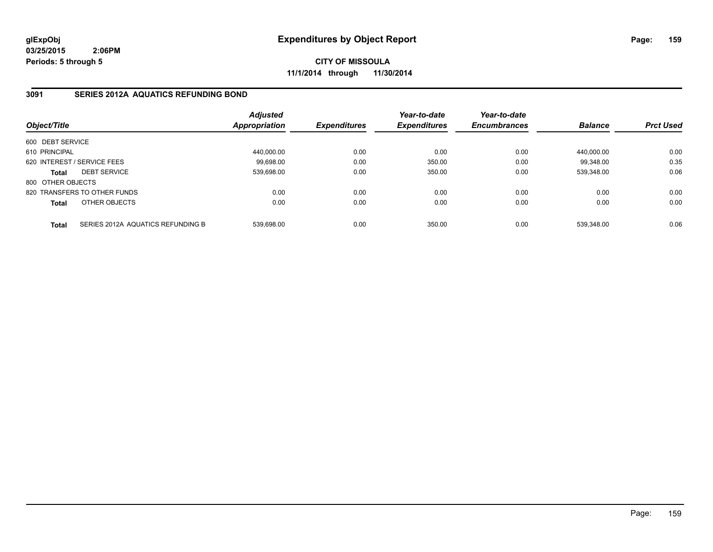**CITY OF MISSOULA 11/1/2014 through 11/30/2014**

## **3091 SERIES 2012A AQUATICS REFUNDING BOND**

| Object/Title      |                                   | <b>Adjusted</b><br>Appropriation | <b>Expenditures</b> | Year-to-date<br><b>Expenditures</b> | Year-to-date<br><b>Encumbrances</b> | <b>Balance</b> | <b>Prct Used</b> |
|-------------------|-----------------------------------|----------------------------------|---------------------|-------------------------------------|-------------------------------------|----------------|------------------|
| 600 DEBT SERVICE  |                                   |                                  |                     |                                     |                                     |                |                  |
| 610 PRINCIPAL     |                                   | 440,000.00                       | 0.00                | 0.00                                | 0.00                                | 440.000.00     | 0.00             |
|                   | 620 INTEREST / SERVICE FEES       | 99,698.00                        | 0.00                | 350.00                              | 0.00                                | 99.348.00      | 0.35             |
| <b>Total</b>      | <b>DEBT SERVICE</b>               | 539.698.00                       | 0.00                | 350.00                              | 0.00                                | 539.348.00     | 0.06             |
| 800 OTHER OBJECTS |                                   |                                  |                     |                                     |                                     |                |                  |
|                   | 820 TRANSFERS TO OTHER FUNDS      | 0.00                             | 0.00                | 0.00                                | 0.00                                | 0.00           | 0.00             |
| <b>Total</b>      | OTHER OBJECTS                     | 0.00                             | 0.00                | 0.00                                | 0.00                                | 0.00           | 0.00             |
| <b>Total</b>      | SERIES 2012A AQUATICS REFUNDING B | 539.698.00                       | 0.00                | 350.00                              | 0.00                                | 539.348.00     | 0.06             |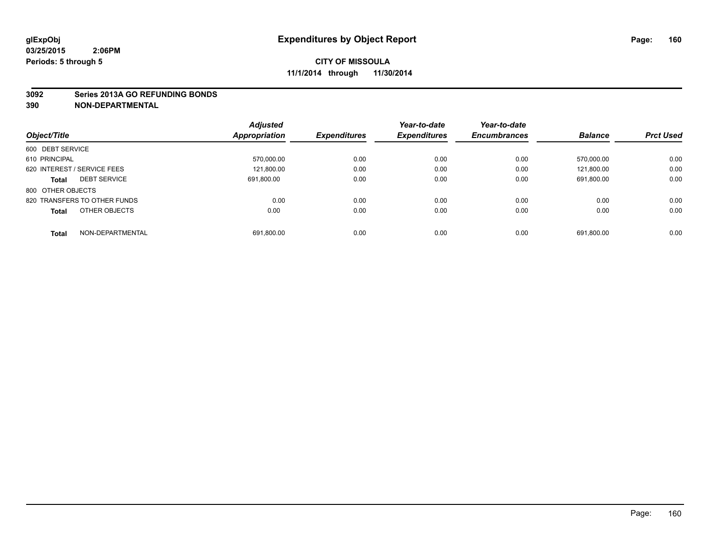#### **3092 Series 2013A GO REFUNDING BONDS**

|                                  | <b>Adjusted</b> |                     | Year-to-date        | Year-to-date        |                |                  |
|----------------------------------|-----------------|---------------------|---------------------|---------------------|----------------|------------------|
| Object/Title                     | Appropriation   | <b>Expenditures</b> | <b>Expenditures</b> | <b>Encumbrances</b> | <b>Balance</b> | <b>Prct Used</b> |
| 600 DEBT SERVICE                 |                 |                     |                     |                     |                |                  |
| 610 PRINCIPAL                    | 570,000.00      | 0.00                | 0.00                | 0.00                | 570.000.00     | 0.00             |
| 620 INTEREST / SERVICE FEES      | 121,800.00      | 0.00                | 0.00                | 0.00                | 121.800.00     | 0.00             |
| <b>DEBT SERVICE</b><br>Total     | 691.800.00      | 0.00                | 0.00                | 0.00                | 691,800.00     | 0.00             |
| 800 OTHER OBJECTS                |                 |                     |                     |                     |                |                  |
| 820 TRANSFERS TO OTHER FUNDS     | 0.00            | 0.00                | 0.00                | 0.00                | 0.00           | 0.00             |
| OTHER OBJECTS<br><b>Total</b>    | 0.00            | 0.00                | 0.00                | 0.00                | 0.00           | 0.00             |
| NON-DEPARTMENTAL<br><b>Total</b> | 691,800.00      | 0.00                | 0.00                | 0.00                | 691.800.00     | 0.00             |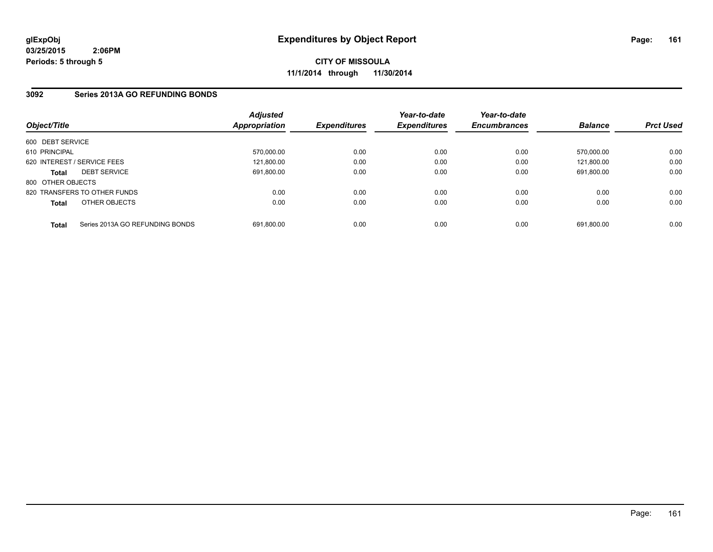**CITY OF MISSOULA 11/1/2014 through 11/30/2014**

# **3092 Series 2013A GO REFUNDING BONDS**

| Object/Title      |                                 | <b>Adjusted</b><br><b>Appropriation</b> | <b>Expenditures</b> | Year-to-date<br><b>Expenditures</b> | Year-to-date<br><b>Encumbrances</b> | <b>Balance</b> | <b>Prct Used</b> |
|-------------------|---------------------------------|-----------------------------------------|---------------------|-------------------------------------|-------------------------------------|----------------|------------------|
| 600 DEBT SERVICE  |                                 |                                         |                     |                                     |                                     |                |                  |
| 610 PRINCIPAL     |                                 | 570.000.00                              | 0.00                | 0.00                                | 0.00                                | 570.000.00     | 0.00             |
|                   | 620 INTEREST / SERVICE FEES     | 121,800.00                              | 0.00                | 0.00                                | 0.00                                | 121.800.00     | 0.00             |
| <b>Total</b>      | <b>DEBT SERVICE</b>             | 691.800.00                              | 0.00                | 0.00                                | 0.00                                | 691.800.00     | 0.00             |
| 800 OTHER OBJECTS |                                 |                                         |                     |                                     |                                     |                |                  |
|                   | 820 TRANSFERS TO OTHER FUNDS    | 0.00                                    | 0.00                | 0.00                                | 0.00                                | 0.00           | 0.00             |
| <b>Total</b>      | OTHER OBJECTS                   | 0.00                                    | 0.00                | 0.00                                | 0.00                                | 0.00           | 0.00             |
| <b>Total</b>      | Series 2013A GO REFUNDING BONDS | 691.800.00                              | 0.00                | 0.00                                | 0.00                                | 691.800.00     | 0.00             |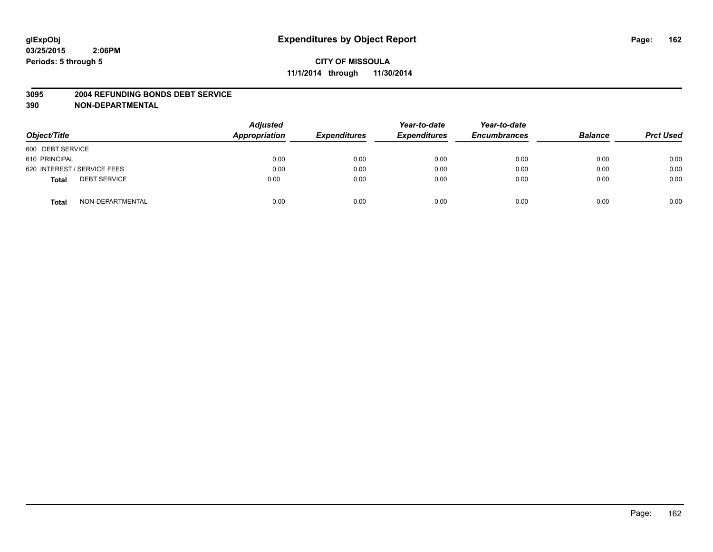#### **3095 2004 REFUNDING BONDS DEBT SERVICE**

| Object/Title                        | <b>Adjusted</b><br>Appropriation | <b>Expenditures</b> | Year-to-date<br><b>Expenditures</b> | Year-to-date<br><b>Encumbrances</b> | <b>Balance</b> | <b>Prct Used</b> |
|-------------------------------------|----------------------------------|---------------------|-------------------------------------|-------------------------------------|----------------|------------------|
| 600 DEBT SERVICE                    |                                  |                     |                                     |                                     |                |                  |
| 610 PRINCIPAL                       | 0.00                             | 0.00                | 0.00                                | 0.00                                | 0.00           | 0.00             |
| 620 INTEREST / SERVICE FEES         | 0.00                             | 0.00                | 0.00                                | 0.00                                | 0.00           | 0.00             |
| <b>DEBT SERVICE</b><br><b>Total</b> | 0.00                             | 0.00                | 0.00                                | 0.00                                | 0.00           | 0.00             |
| NON-DEPARTMENTAL<br><b>Total</b>    | 0.00                             | 0.00                | 0.00                                | 0.00                                | 0.00           | 0.00             |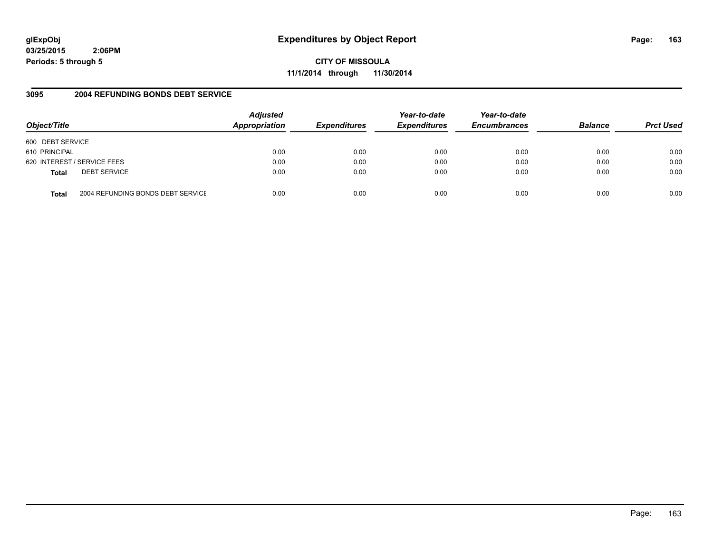# **glExpObj Expenditures by Object Report Page: 163**

**03/25/2015 2:06PM Periods: 5 through 5**

**CITY OF MISSOULA 11/1/2014 through 11/30/2014**

## **3095 2004 REFUNDING BONDS DEBT SERVICE**

| Object/Title     |                                   | <b>Adjusted</b><br>Appropriation | <b>Expenditures</b> | Year-to-date<br><b>Expenditures</b> | Year-to-date<br><b>Encumbrances</b> | <b>Balance</b> | <b>Prct Used</b> |
|------------------|-----------------------------------|----------------------------------|---------------------|-------------------------------------|-------------------------------------|----------------|------------------|
| 600 DEBT SERVICE |                                   |                                  |                     |                                     |                                     |                |                  |
| 610 PRINCIPAL    |                                   | 0.00                             | 0.00                | 0.00                                | 0.00                                | 0.00           | 0.00             |
|                  | 620 INTEREST / SERVICE FEES       | 0.00                             | 0.00                | 0.00                                | 0.00                                | 0.00           | 0.00             |
| <b>Total</b>     | <b>DEBT SERVICE</b>               | 0.00                             | 0.00                | 0.00                                | 0.00                                | 0.00           | 0.00             |
| Total            | 2004 REFUNDING BONDS DEBT SERVICE | 0.00                             | 0.00                | 0.00                                | 0.00                                | 0.00           | 0.00             |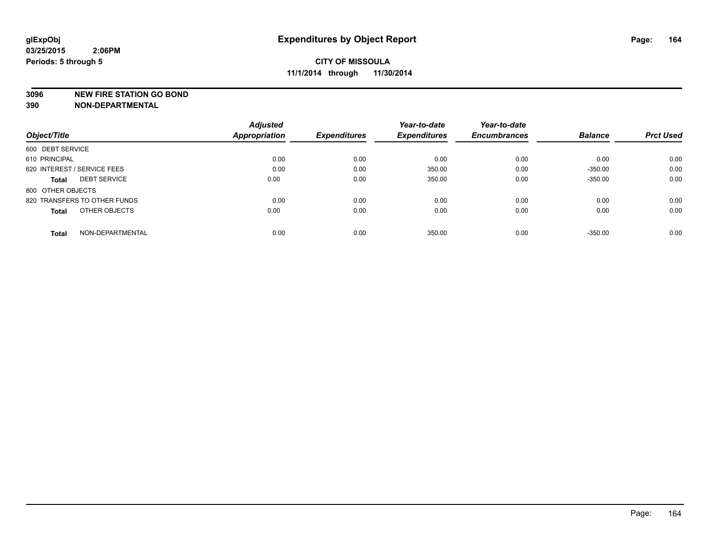#### **3096 NEW FIRE STATION GO BOND**

|                                  | <b>Adjusted</b>      |                     | Year-to-date        | Year-to-date        |                |                  |
|----------------------------------|----------------------|---------------------|---------------------|---------------------|----------------|------------------|
| Object/Title                     | <b>Appropriation</b> | <b>Expenditures</b> | <b>Expenditures</b> | <b>Encumbrances</b> | <b>Balance</b> | <b>Prct Used</b> |
| 600 DEBT SERVICE                 |                      |                     |                     |                     |                |                  |
| 610 PRINCIPAL                    | 0.00                 | 0.00                | 0.00                | 0.00                | 0.00           | 0.00             |
| 620 INTEREST / SERVICE FEES      | 0.00                 | 0.00                | 350.00              | 0.00                | $-350.00$      | 0.00             |
| <b>DEBT SERVICE</b><br>Total     | 0.00                 | 0.00                | 350.00              | 0.00                | $-350.00$      | 0.00             |
| 800 OTHER OBJECTS                |                      |                     |                     |                     |                |                  |
| 820 TRANSFERS TO OTHER FUNDS     | 0.00                 | 0.00                | 0.00                | 0.00                | 0.00           | 0.00             |
| OTHER OBJECTS<br>Total           | 0.00                 | 0.00                | 0.00                | 0.00                | 0.00           | 0.00             |
| NON-DEPARTMENTAL<br><b>Total</b> | 0.00                 | 0.00                | 350.00              | 0.00                | $-350.00$      | 0.00             |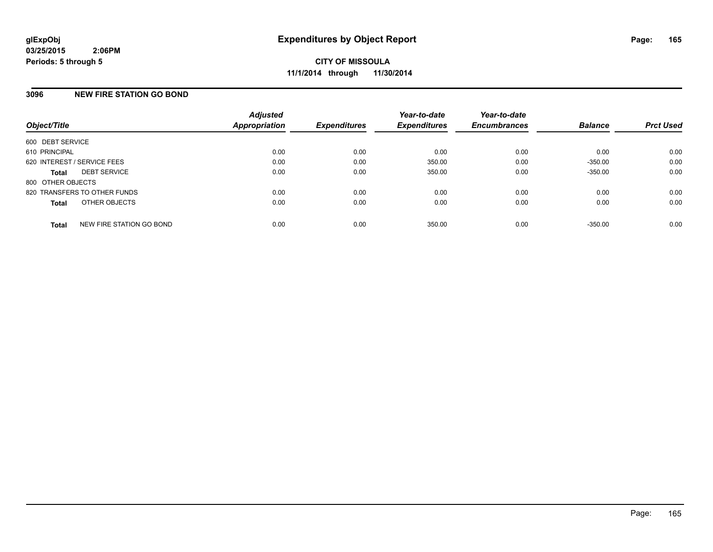#### **3096 NEW FIRE STATION GO BOND**

| Object/Title                             | <b>Adjusted</b><br>Appropriation | <b>Expenditures</b> | Year-to-date<br><b>Expenditures</b> | Year-to-date<br><b>Encumbrances</b> | <b>Balance</b> | <b>Prct Used</b> |
|------------------------------------------|----------------------------------|---------------------|-------------------------------------|-------------------------------------|----------------|------------------|
| 600 DEBT SERVICE                         |                                  |                     |                                     |                                     |                |                  |
| 610 PRINCIPAL                            | 0.00                             | 0.00                | 0.00                                | 0.00                                | 0.00           | 0.00             |
| 620 INTEREST / SERVICE FEES              | 0.00                             | 0.00                | 350.00                              | 0.00                                | $-350.00$      | 0.00             |
| <b>DEBT SERVICE</b><br><b>Total</b>      | 0.00                             | 0.00                | 350.00                              | 0.00                                | $-350.00$      | 0.00             |
| 800 OTHER OBJECTS                        |                                  |                     |                                     |                                     |                |                  |
| 820 TRANSFERS TO OTHER FUNDS             | 0.00                             | 0.00                | 0.00                                | 0.00                                | 0.00           | 0.00             |
| OTHER OBJECTS<br><b>Total</b>            | 0.00                             | 0.00                | 0.00                                | 0.00                                | 0.00           | 0.00             |
| NEW FIRE STATION GO BOND<br><b>Total</b> | 0.00                             | 0.00                | 350.00                              | 0.00                                | $-350.00$      | 0.00             |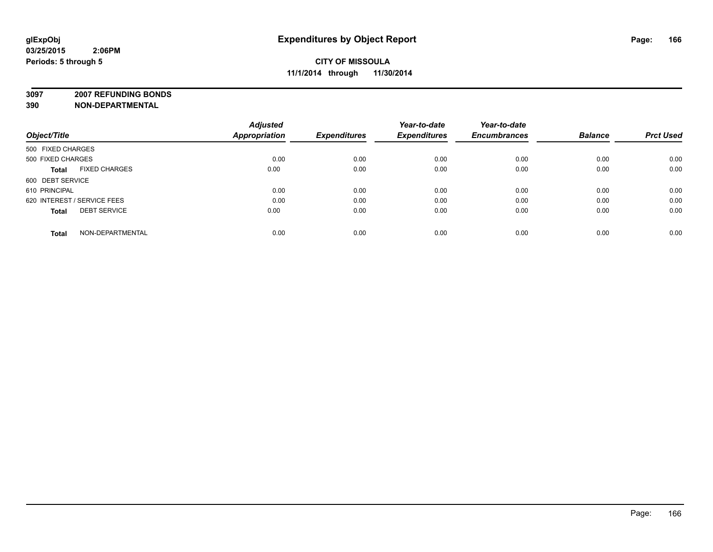**3097 2007 REFUNDING BONDS**

| Object/Title                         | <b>Adjusted</b><br>Appropriation | <b>Expenditures</b> | Year-to-date<br><b>Expenditures</b> | Year-to-date<br><b>Encumbrances</b> | <b>Balance</b> | <b>Prct Used</b> |
|--------------------------------------|----------------------------------|---------------------|-------------------------------------|-------------------------------------|----------------|------------------|
| 500 FIXED CHARGES                    |                                  |                     |                                     |                                     |                |                  |
| 500 FIXED CHARGES                    | 0.00                             | 0.00                | 0.00                                | 0.00                                | 0.00           | 0.00             |
| <b>FIXED CHARGES</b><br><b>Total</b> | 0.00                             | 0.00                | 0.00                                | 0.00                                | 0.00           | 0.00             |
| 600 DEBT SERVICE                     |                                  |                     |                                     |                                     |                |                  |
| 610 PRINCIPAL                        | 0.00                             | 0.00                | 0.00                                | 0.00                                | 0.00           | 0.00             |
| 620 INTEREST / SERVICE FEES          | 0.00                             | 0.00                | 0.00                                | 0.00                                | 0.00           | 0.00             |
| <b>DEBT SERVICE</b><br><b>Total</b>  | 0.00                             | 0.00                | 0.00                                | 0.00                                | 0.00           | 0.00             |
| NON-DEPARTMENTAL<br><b>Total</b>     | 0.00                             | 0.00                | 0.00                                | 0.00                                | 0.00           | 0.00             |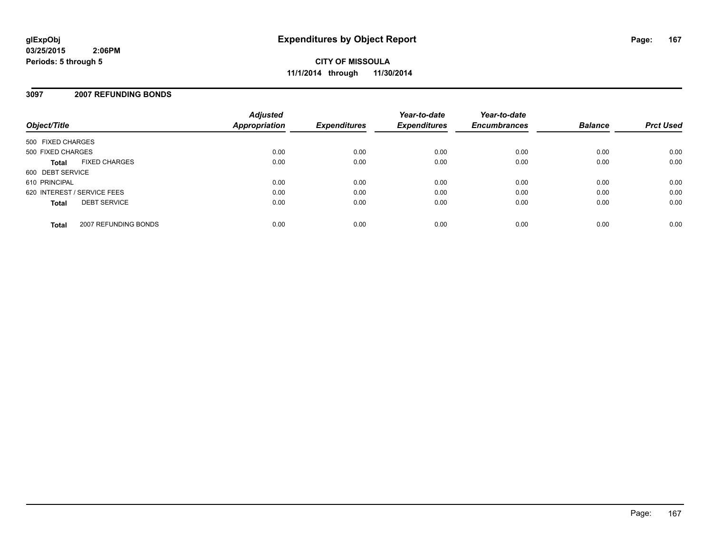**CITY OF MISSOULA 11/1/2014 through 11/30/2014**

#### **3097 2007 REFUNDING BONDS**

| Object/Title                         | <b>Adjusted</b><br>Appropriation | <b>Expenditures</b> | Year-to-date<br><b>Expenditures</b> | Year-to-date<br><b>Encumbrances</b> | <b>Balance</b> | <b>Prct Used</b> |
|--------------------------------------|----------------------------------|---------------------|-------------------------------------|-------------------------------------|----------------|------------------|
| 500 FIXED CHARGES                    |                                  |                     |                                     |                                     |                |                  |
| 500 FIXED CHARGES                    | 0.00                             | 0.00                | 0.00                                | 0.00                                | 0.00           | 0.00             |
| <b>FIXED CHARGES</b><br><b>Total</b> | 0.00                             | 0.00                | 0.00                                | 0.00                                | 0.00           | 0.00             |
| 600 DEBT SERVICE                     |                                  |                     |                                     |                                     |                |                  |
| 610 PRINCIPAL                        | 0.00                             | 0.00                | 0.00                                | 0.00                                | 0.00           | 0.00             |
| 620 INTEREST / SERVICE FEES          | 0.00                             | 0.00                | 0.00                                | 0.00                                | 0.00           | 0.00             |
| <b>DEBT SERVICE</b><br><b>Total</b>  | 0.00                             | 0.00                | 0.00                                | 0.00                                | 0.00           | 0.00             |
| 2007 REFUNDING BONDS<br><b>Total</b> | 0.00                             | 0.00                | 0.00                                | 0.00                                | 0.00           | 0.00             |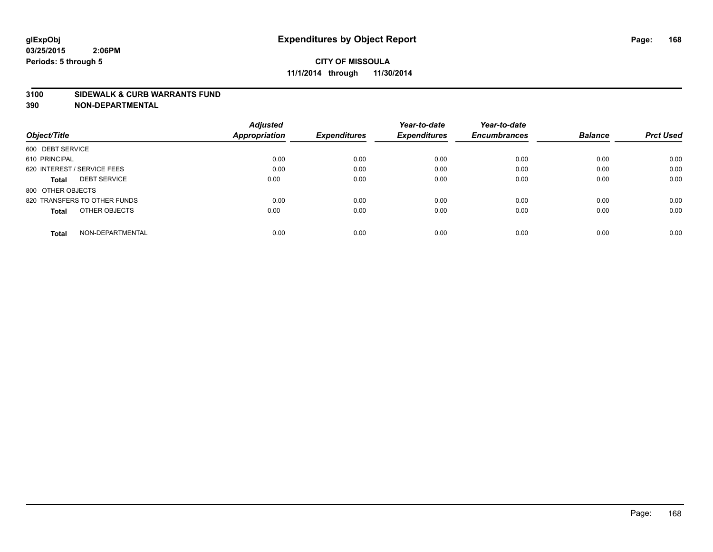#### **3100 SIDEWALK & CURB WARRANTS FUND**

| Object/Title                     | <b>Adjusted</b><br><b>Appropriation</b> | <b>Expenditures</b> | Year-to-date<br><b>Expenditures</b> | Year-to-date<br><b>Encumbrances</b> | <b>Balance</b> | <b>Prct Used</b> |
|----------------------------------|-----------------------------------------|---------------------|-------------------------------------|-------------------------------------|----------------|------------------|
|                                  |                                         |                     |                                     |                                     |                |                  |
| 600 DEBT SERVICE                 |                                         |                     |                                     |                                     |                |                  |
| 610 PRINCIPAL                    | 0.00                                    | 0.00                | 0.00                                | 0.00                                | 0.00           | 0.00             |
| 620 INTEREST / SERVICE FEES      | 0.00                                    | 0.00                | 0.00                                | 0.00                                | 0.00           | 0.00             |
| <b>DEBT SERVICE</b><br>Total     | 0.00                                    | 0.00                | 0.00                                | 0.00                                | 0.00           | 0.00             |
| 800 OTHER OBJECTS                |                                         |                     |                                     |                                     |                |                  |
| 820 TRANSFERS TO OTHER FUNDS     | 0.00                                    | 0.00                | 0.00                                | 0.00                                | 0.00           | 0.00             |
| OTHER OBJECTS<br>Total           | 0.00                                    | 0.00                | 0.00                                | 0.00                                | 0.00           | 0.00             |
| NON-DEPARTMENTAL<br><b>Total</b> | 0.00                                    | 0.00                | 0.00                                | 0.00                                | 0.00           | 0.00             |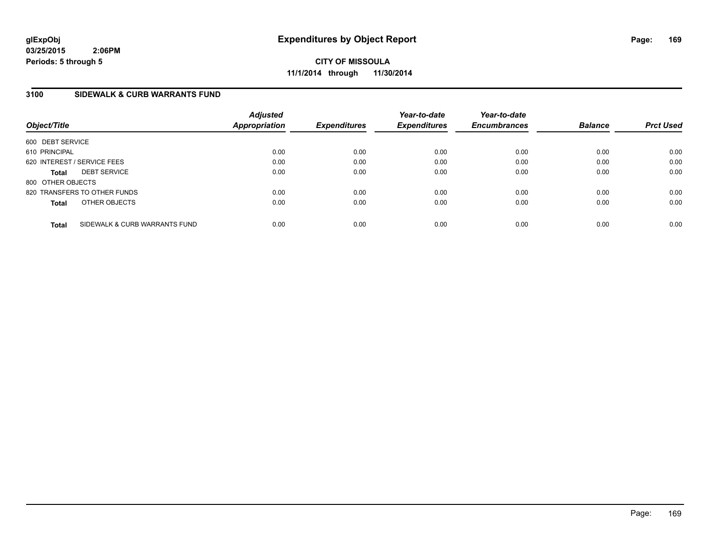**CITY OF MISSOULA 11/1/2014 through 11/30/2014**

## **3100 SIDEWALK & CURB WARRANTS FUND**

| Object/Title      |                               | <b>Adjusted</b><br>Appropriation | <b>Expenditures</b> | Year-to-date<br><b>Expenditures</b> | Year-to-date<br><b>Encumbrances</b> | <b>Balance</b> | <b>Prct Used</b> |
|-------------------|-------------------------------|----------------------------------|---------------------|-------------------------------------|-------------------------------------|----------------|------------------|
| 600 DEBT SERVICE  |                               |                                  |                     |                                     |                                     |                |                  |
| 610 PRINCIPAL     |                               | 0.00                             | 0.00                | 0.00                                | 0.00                                | 0.00           | 0.00             |
|                   | 620 INTEREST / SERVICE FEES   | 0.00                             | 0.00                | 0.00                                | 0.00                                | 0.00           | 0.00             |
| <b>Total</b>      | <b>DEBT SERVICE</b>           | 0.00                             | 0.00                | 0.00                                | 0.00                                | 0.00           | 0.00             |
| 800 OTHER OBJECTS |                               |                                  |                     |                                     |                                     |                |                  |
|                   | 820 TRANSFERS TO OTHER FUNDS  | 0.00                             | 0.00                | 0.00                                | 0.00                                | 0.00           | 0.00             |
| <b>Total</b>      | OTHER OBJECTS                 | 0.00                             | 0.00                | 0.00                                | 0.00                                | 0.00           | 0.00             |
| <b>Total</b>      | SIDEWALK & CURB WARRANTS FUND | 0.00                             | 0.00                | 0.00                                | 0.00                                | 0.00           | 0.00             |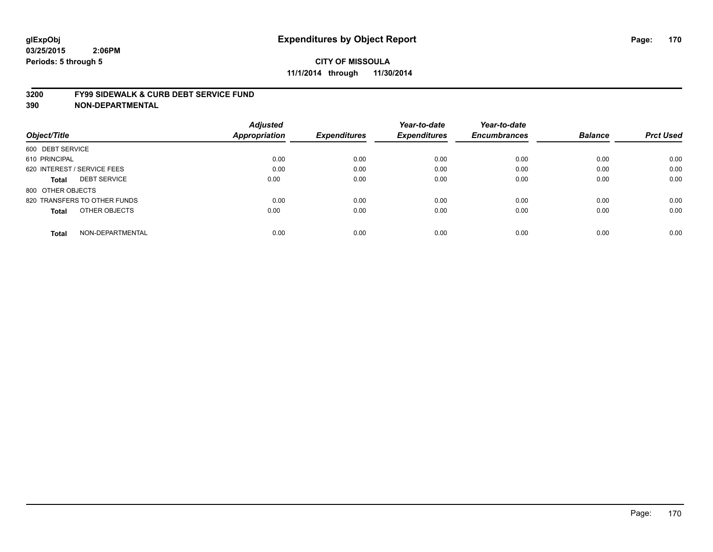#### **3200 FY99 SIDEWALK & CURB DEBT SERVICE FUND**

| Object/Title                     | <b>Adjusted</b><br><b>Appropriation</b> | <b>Expenditures</b> | Year-to-date<br><b>Expenditures</b> | Year-to-date<br><b>Encumbrances</b> | <b>Balance</b> | <b>Prct Used</b> |
|----------------------------------|-----------------------------------------|---------------------|-------------------------------------|-------------------------------------|----------------|------------------|
| 600 DEBT SERVICE                 |                                         |                     |                                     |                                     |                |                  |
| 610 PRINCIPAL                    | 0.00                                    | 0.00                | 0.00                                | 0.00                                | 0.00           | 0.00             |
| 620 INTEREST / SERVICE FEES      | 0.00                                    | 0.00                | 0.00                                | 0.00                                | 0.00           | 0.00             |
| <b>DEBT SERVICE</b><br>Total     | 0.00                                    | 0.00                | 0.00                                | 0.00                                | 0.00           | 0.00             |
| 800 OTHER OBJECTS                |                                         |                     |                                     |                                     |                |                  |
| 820 TRANSFERS TO OTHER FUNDS     | 0.00                                    | 0.00                | 0.00                                | 0.00                                | 0.00           | 0.00             |
| OTHER OBJECTS<br><b>Total</b>    | 0.00                                    | 0.00                | 0.00                                | 0.00                                | 0.00           | 0.00             |
| NON-DEPARTMENTAL<br><b>Total</b> | 0.00                                    | 0.00                | 0.00                                | 0.00                                | 0.00           | 0.00             |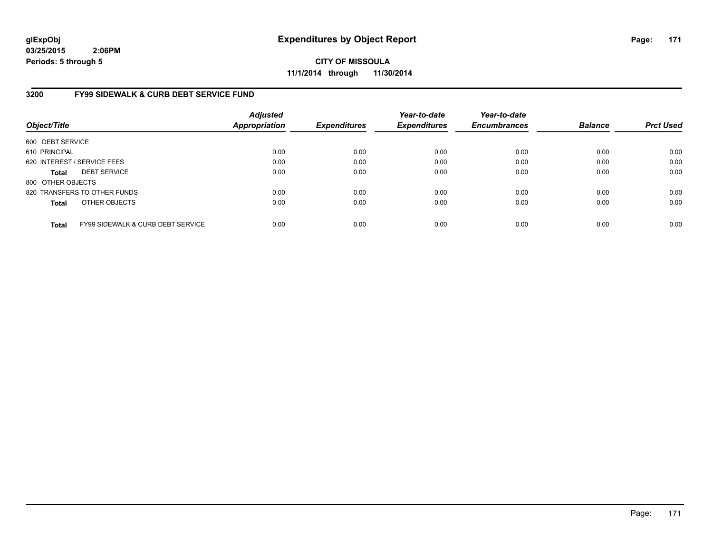**CITY OF MISSOULA 11/1/2014 through 11/30/2014**

## **3200 FY99 SIDEWALK & CURB DEBT SERVICE FUND**

| Object/Title      |                                              | <b>Adjusted</b><br><b>Appropriation</b> | <b>Expenditures</b> | Year-to-date<br><b>Expenditures</b> | Year-to-date<br><b>Encumbrances</b> | <b>Balance</b> | <b>Prct Used</b> |
|-------------------|----------------------------------------------|-----------------------------------------|---------------------|-------------------------------------|-------------------------------------|----------------|------------------|
| 600 DEBT SERVICE  |                                              |                                         |                     |                                     |                                     |                |                  |
| 610 PRINCIPAL     |                                              | 0.00                                    | 0.00                | 0.00                                | 0.00                                | 0.00           | 0.00             |
|                   | 620 INTEREST / SERVICE FEES                  | 0.00                                    | 0.00                | 0.00                                | 0.00                                | 0.00           | 0.00             |
| <b>Total</b>      | <b>DEBT SERVICE</b>                          | 0.00                                    | 0.00                | 0.00                                | 0.00                                | 0.00           | 0.00             |
| 800 OTHER OBJECTS |                                              |                                         |                     |                                     |                                     |                |                  |
|                   | 820 TRANSFERS TO OTHER FUNDS                 | 0.00                                    | 0.00                | 0.00                                | 0.00                                | 0.00           | 0.00             |
| <b>Total</b>      | OTHER OBJECTS                                | 0.00                                    | 0.00                | 0.00                                | 0.00                                | 0.00           | 0.00             |
| <b>Total</b>      | <b>FY99 SIDEWALK &amp; CURB DEBT SERVICE</b> | 0.00                                    | 0.00                | 0.00                                | 0.00                                | 0.00           | 0.00             |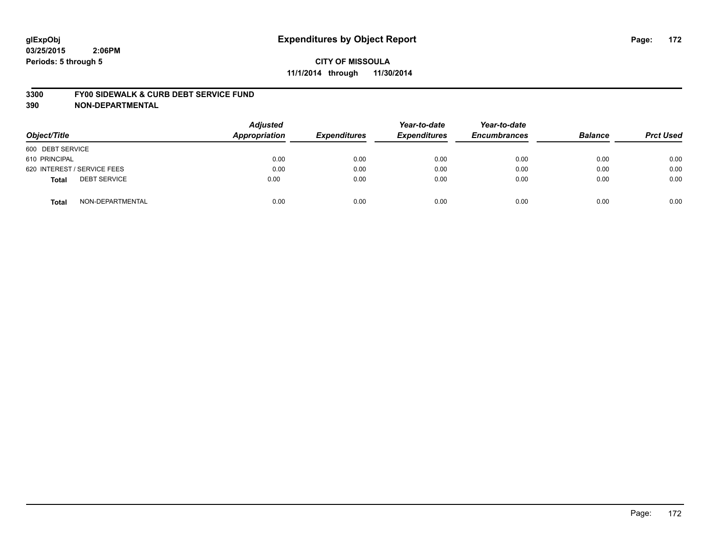# **CITY OF MISSOULA 11/1/2014 through 11/30/2014**

#### **3300 FY00 SIDEWALK & CURB DEBT SERVICE FUND**

| Object/Title                        | <b>Adjusted</b><br>Appropriation | <b>Expenditures</b> | Year-to-date<br><b>Expenditures</b> | Year-to-date<br><b>Encumbrances</b> | <b>Balance</b> | <b>Prct Used</b> |
|-------------------------------------|----------------------------------|---------------------|-------------------------------------|-------------------------------------|----------------|------------------|
| 600 DEBT SERVICE                    |                                  |                     |                                     |                                     |                |                  |
| 610 PRINCIPAL                       | 0.00                             | 0.00                | 0.00                                | 0.00                                | 0.00           | 0.00             |
| 620 INTEREST / SERVICE FEES         | 0.00                             | 0.00                | 0.00                                | 0.00                                | 0.00           | 0.00             |
| <b>DEBT SERVICE</b><br><b>Total</b> | 0.00                             | 0.00                | 0.00                                | 0.00                                | 0.00           | 0.00             |
| NON-DEPARTMENTAL<br><b>Total</b>    | 0.00                             | 0.00                | 0.00                                | 0.00                                | 0.00           | 0.00             |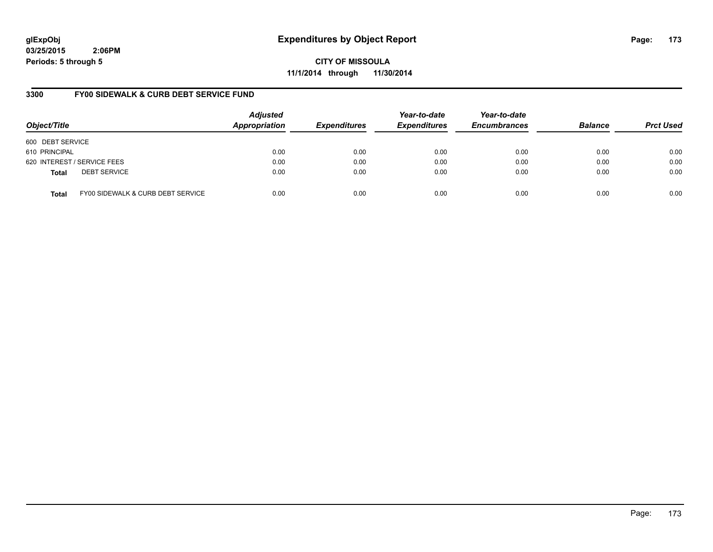**CITY OF MISSOULA 11/1/2014 through 11/30/2014**

## **3300 FY00 SIDEWALK & CURB DEBT SERVICE FUND**

| Object/Title     |                                   | <b>Adjusted</b><br>Appropriation | <b>Expenditures</b> | Year-to-date<br><b>Expenditures</b> | Year-to-date<br><b>Encumbrances</b> | <b>Balance</b> | <b>Prct Used</b> |
|------------------|-----------------------------------|----------------------------------|---------------------|-------------------------------------|-------------------------------------|----------------|------------------|
| 600 DEBT SERVICE |                                   |                                  |                     |                                     |                                     |                |                  |
| 610 PRINCIPAL    |                                   | 0.00                             | 0.00                | 0.00                                | 0.00                                | 0.00           | 0.00             |
|                  | 620 INTEREST / SERVICE FEES       | 0.00                             | 0.00                | 0.00                                | 0.00                                | 0.00           | 0.00             |
| <b>Total</b>     | <b>DEBT SERVICE</b>               | 0.00                             | 0.00                | 0.00                                | 0.00                                | 0.00           | 0.00             |
| <b>Total</b>     | FY00 SIDEWALK & CURB DEBT SERVICE | 0.00                             | 0.00                | 0.00                                | 0.00                                | 0.00           | 0.00             |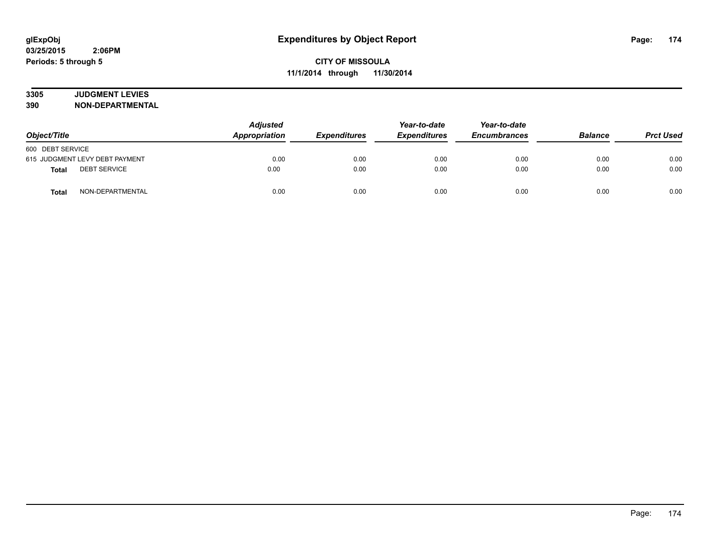# **3305 JUDGMENT LEVIES**

| Object/Title                        | <b>Adjusted</b><br>Appropriation<br><b>Expenditures</b> |      | Year-to-date<br><b>Expenditures</b> | Year-to-date<br><b>Encumbrances</b> | <b>Balance</b> | <b>Prct Used</b> |
|-------------------------------------|---------------------------------------------------------|------|-------------------------------------|-------------------------------------|----------------|------------------|
| 600 DEBT SERVICE                    |                                                         |      |                                     |                                     |                |                  |
| 615 JUDGMENT LEVY DEBT PAYMENT      | 0.00                                                    | 0.00 | 0.00                                | 0.00                                | 0.00           | 0.00             |
| <b>DEBT SERVICE</b><br><b>Total</b> | 0.00                                                    | 0.00 | 0.00                                | 0.00                                | 0.00           | 0.00             |
| NON-DEPARTMENTAL<br><b>Total</b>    | 0.00                                                    | 0.00 | 0.00                                | 0.00                                | 0.00           | 0.00             |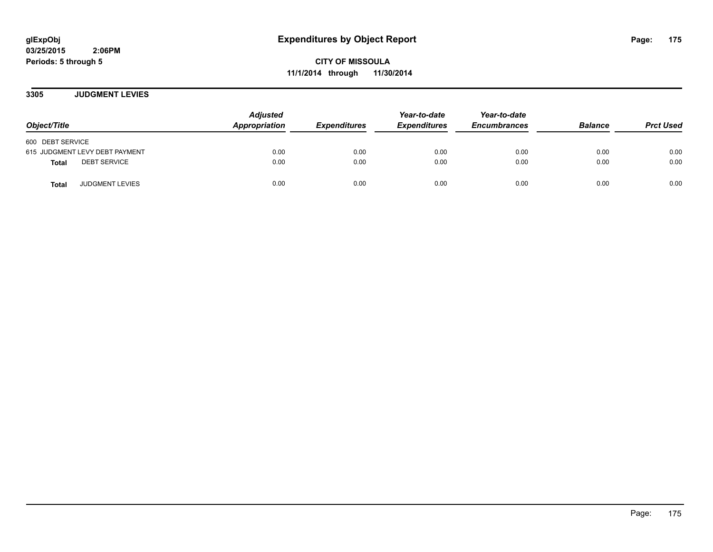**CITY OF MISSOULA 11/1/2014 through 11/30/2014**

**3305 JUDGMENT LEVIES**

| Object/Title                           | <b>Adjusted</b><br>Appropriation | <b>Expenditures</b> | Year-to-date<br><b>Expenditures</b> | Year-to-date<br><b>Encumbrances</b> | <b>Balance</b> | <b>Prct Used</b> |
|----------------------------------------|----------------------------------|---------------------|-------------------------------------|-------------------------------------|----------------|------------------|
| 600 DEBT SERVICE                       |                                  |                     |                                     |                                     |                |                  |
| 615 JUDGMENT LEVY DEBT PAYMENT         | 0.00                             | 0.00                | 0.00                                | 0.00                                | 0.00           | 0.00             |
| <b>DEBT SERVICE</b><br><b>Total</b>    | 0.00                             | 0.00                | 0.00                                | 0.00                                | 0.00           | 0.00             |
| <b>JUDGMENT LEVIES</b><br><b>Total</b> | 0.00                             | 0.00                | 0.00                                | 0.00                                | 0.00           | 0.00             |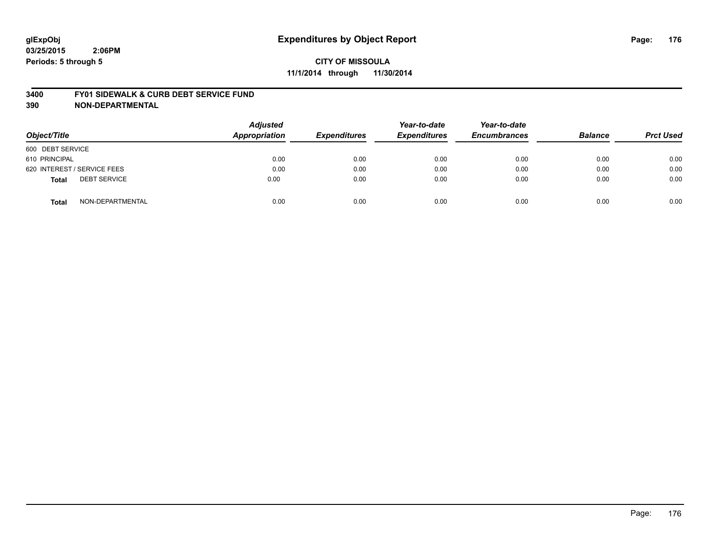# **CITY OF MISSOULA 11/1/2014 through 11/30/2014**

#### **3400 FY01 SIDEWALK & CURB DEBT SERVICE FUND**

| Object/Title                        | <b>Adjusted</b><br><b>Appropriation</b> | <b>Expenditures</b> | Year-to-date<br><b>Expenditures</b> | Year-to-date<br><b>Encumbrances</b> | <b>Balance</b> | <b>Prct Used</b> |
|-------------------------------------|-----------------------------------------|---------------------|-------------------------------------|-------------------------------------|----------------|------------------|
| 600 DEBT SERVICE                    |                                         |                     |                                     |                                     |                |                  |
| 610 PRINCIPAL                       | 0.00                                    | 0.00                | 0.00                                | 0.00                                | 0.00           | 0.00             |
| 620 INTEREST / SERVICE FEES         | 0.00                                    | 0.00                | 0.00                                | 0.00                                | 0.00           | 0.00             |
| <b>DEBT SERVICE</b><br><b>Total</b> | 0.00                                    | 0.00                | 0.00                                | 0.00                                | 0.00           | 0.00             |
| NON-DEPARTMENTAL<br><b>Total</b>    | 0.00                                    | 0.00                | 0.00                                | 0.00                                | 0.00           | 0.00             |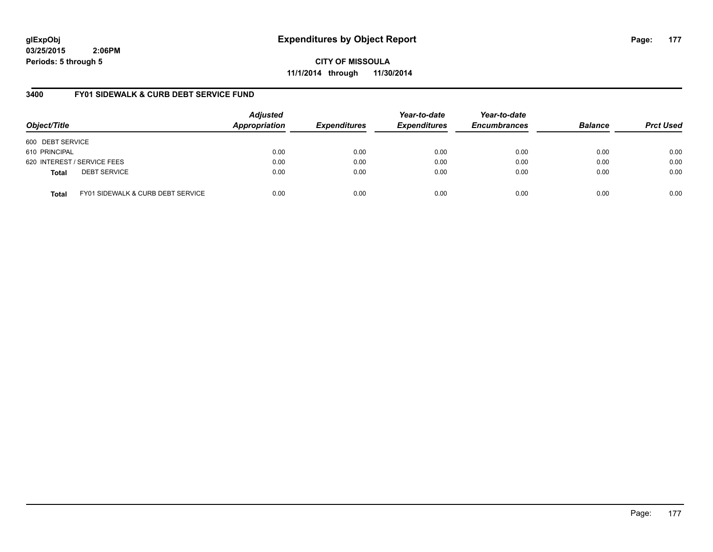**CITY OF MISSOULA 11/1/2014 through 11/30/2014**

## **3400 FY01 SIDEWALK & CURB DEBT SERVICE FUND**

| Object/Title     |                                   | <b>Adjusted</b><br>Appropriation | <b>Expenditures</b> | Year-to-date<br><b>Expenditures</b> | Year-to-date<br><b>Encumbrances</b> | <b>Balance</b> | <b>Prct Used</b> |
|------------------|-----------------------------------|----------------------------------|---------------------|-------------------------------------|-------------------------------------|----------------|------------------|
| 600 DEBT SERVICE |                                   |                                  |                     |                                     |                                     |                |                  |
| 610 PRINCIPAL    |                                   | 0.00                             | 0.00                | 0.00                                | 0.00                                | 0.00           | 0.00             |
|                  | 620 INTEREST / SERVICE FEES       | 0.00                             | 0.00                | 0.00                                | 0.00                                | 0.00           | 0.00             |
| <b>Total</b>     | <b>DEBT SERVICE</b>               | 0.00                             | 0.00                | 0.00                                | 0.00                                | 0.00           | 0.00             |
| <b>Total</b>     | FY01 SIDEWALK & CURB DEBT SERVICE | 0.00                             | 0.00                | 0.00                                | 0.00                                | 0.00           | 0.00             |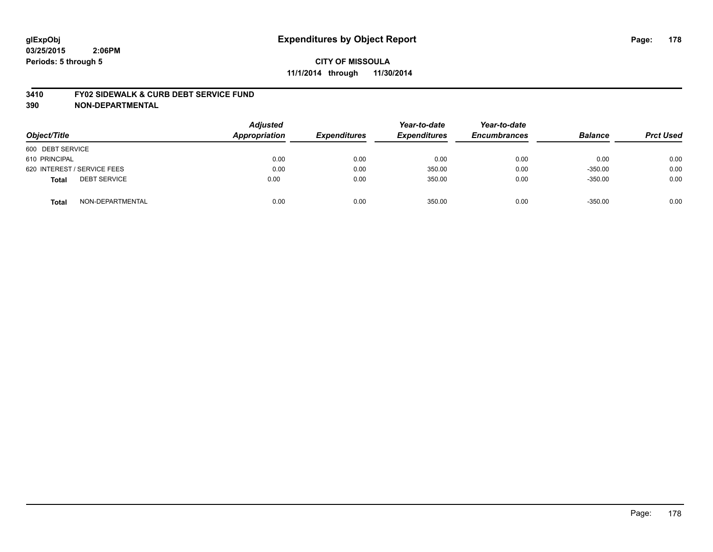# **CITY OF MISSOULA 11/1/2014 through 11/30/2014**

#### **3410 FY02 SIDEWALK & CURB DEBT SERVICE FUND**

| Object/Title                        | <b>Adjusted</b><br>Appropriation | <b>Expenditures</b> | Year-to-date<br><b>Expenditures</b> | Year-to-date<br><b>Encumbrances</b> | <b>Balance</b> | <b>Prct Used</b> |
|-------------------------------------|----------------------------------|---------------------|-------------------------------------|-------------------------------------|----------------|------------------|
| 600 DEBT SERVICE                    |                                  |                     |                                     |                                     |                |                  |
| 610 PRINCIPAL                       | 0.00                             | 0.00                | 0.00                                | 0.00                                | 0.00           | 0.00             |
| 620 INTEREST / SERVICE FEES         | 0.00                             | 0.00                | 350.00                              | 0.00                                | $-350.00$      | 0.00             |
| <b>DEBT SERVICE</b><br><b>Total</b> | 0.00                             | 0.00                | 350.00                              | 0.00                                | $-350.00$      | 0.00             |
| NON-DEPARTMENTAL<br><b>Total</b>    | 0.00                             | 0.00                | 350.00                              | 0.00                                | $-350.00$      | 0.00             |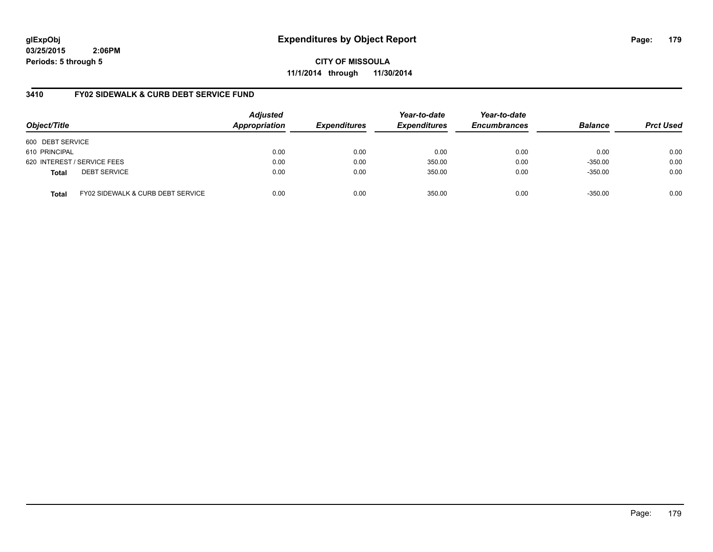**CITY OF MISSOULA 11/1/2014 through 11/30/2014**

## **3410 FY02 SIDEWALK & CURB DEBT SERVICE FUND**

| Object/Title     |                                   | <b>Adjusted</b><br>Appropriation | <b>Expenditures</b> | Year-to-date<br><b>Expenditures</b> | Year-to-date<br><b>Encumbrances</b> | <b>Balance</b> | <b>Prct Used</b> |
|------------------|-----------------------------------|----------------------------------|---------------------|-------------------------------------|-------------------------------------|----------------|------------------|
| 600 DEBT SERVICE |                                   |                                  |                     |                                     |                                     |                |                  |
| 610 PRINCIPAL    |                                   | 0.00                             | 0.00                | 0.00                                | 0.00                                | 0.00           | 0.00             |
|                  | 620 INTEREST / SERVICE FEES       | 0.00                             | 0.00                | 350.00                              | 0.00                                | $-350.00$      | 0.00             |
| <b>Total</b>     | <b>DEBT SERVICE</b>               | 0.00                             | 0.00                | 350.00                              | 0.00                                | $-350.00$      | 0.00             |
| <b>Total</b>     | FY02 SIDEWALK & CURB DEBT SERVICE | 0.00                             | 0.00                | 350.00                              | 0.00                                | $-350.00$      | 0.00             |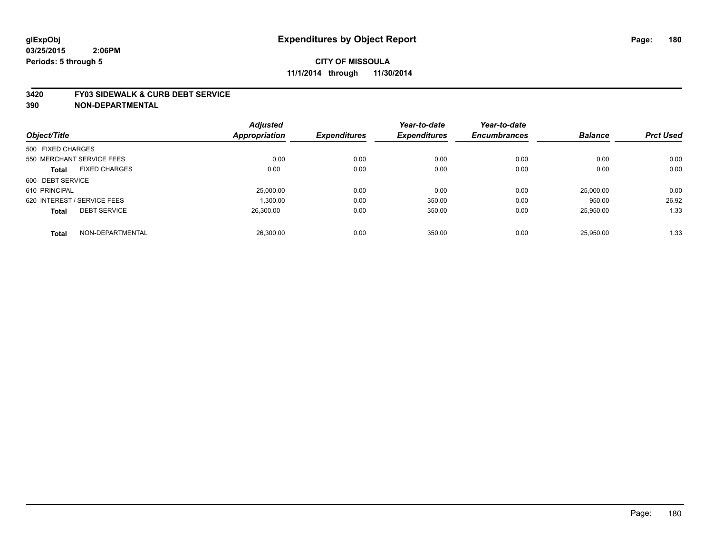#### **3420 FY03 SIDEWALK & CURB DEBT SERVICE**

|                             |                           | <b>Adjusted</b> |                     | Year-to-date        | Year-to-date        |                |                  |
|-----------------------------|---------------------------|-----------------|---------------------|---------------------|---------------------|----------------|------------------|
| Object/Title                |                           | Appropriation   | <b>Expenditures</b> | <b>Expenditures</b> | <b>Encumbrances</b> | <b>Balance</b> | <b>Prct Used</b> |
| 500 FIXED CHARGES           |                           |                 |                     |                     |                     |                |                  |
|                             | 550 MERCHANT SERVICE FEES | 0.00            | 0.00                | 0.00                | 0.00                | 0.00           | 0.00             |
| <b>Total</b>                | <b>FIXED CHARGES</b>      | 0.00            | 0.00                | 0.00                | 0.00                | 0.00           | 0.00             |
| 600 DEBT SERVICE            |                           |                 |                     |                     |                     |                |                  |
| 610 PRINCIPAL               |                           | 25,000.00       | 0.00                | 0.00                | 0.00                | 25,000.00      | 0.00             |
| 620 INTEREST / SERVICE FEES |                           | 1,300.00        | 0.00                | 350.00              | 0.00                | 950.00         | 26.92            |
| <b>Total</b>                | <b>DEBT SERVICE</b>       | 26.300.00       | 0.00                | 350.00              | 0.00                | 25,950.00      | 1.33             |
| <b>Total</b>                | NON-DEPARTMENTAL          | 26,300.00       | 0.00                | 350.00              | 0.00                | 25.950.00      | 1.33             |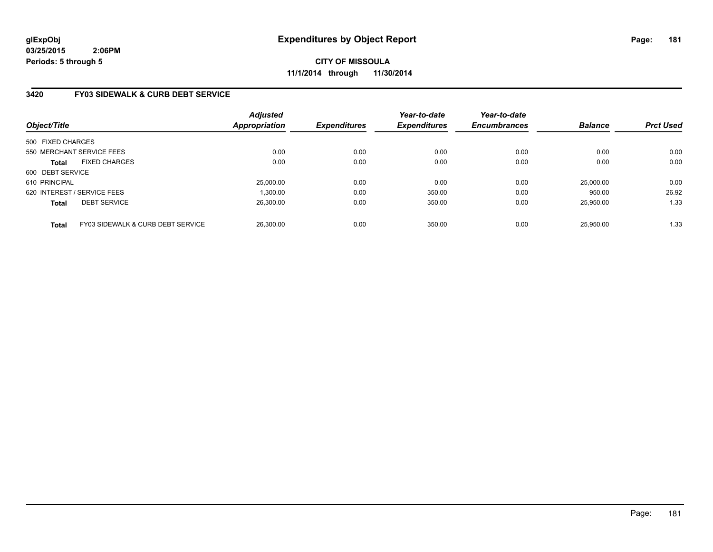# **CITY OF MISSOULA 11/1/2014 through 11/30/2014**

## **3420 FY03 SIDEWALK & CURB DEBT SERVICE**

| Object/Title      |                                   | Adjusted<br><b>Appropriation</b> | <b>Expenditures</b> | Year-to-date<br><b>Expenditures</b> | Year-to-date<br><b>Encumbrances</b> | <b>Balance</b> | <b>Prct Used</b> |
|-------------------|-----------------------------------|----------------------------------|---------------------|-------------------------------------|-------------------------------------|----------------|------------------|
| 500 FIXED CHARGES |                                   |                                  |                     |                                     |                                     |                |                  |
|                   | 550 MERCHANT SERVICE FEES         | 0.00                             | 0.00                | 0.00                                | 0.00                                | 0.00           | 0.00             |
| <b>Total</b>      | <b>FIXED CHARGES</b>              | 0.00                             | 0.00                | 0.00                                | 0.00                                | 0.00           | 0.00             |
| 600 DEBT SERVICE  |                                   |                                  |                     |                                     |                                     |                |                  |
| 610 PRINCIPAL     |                                   | 25.000.00                        | 0.00                | 0.00                                | 0.00                                | 25,000.00      | 0.00             |
|                   | 620 INTEREST / SERVICE FEES       | 1.300.00                         | 0.00                | 350.00                              | 0.00                                | 950.00         | 26.92            |
| <b>Total</b>      | <b>DEBT SERVICE</b>               | 26.300.00                        | 0.00                | 350.00                              | 0.00                                | 25.950.00      | 1.33             |
| <b>Total</b>      | FY03 SIDEWALK & CURB DEBT SERVICE | 26,300.00                        | 0.00                | 350.00                              | 0.00                                | 25.950.00      | 1.33             |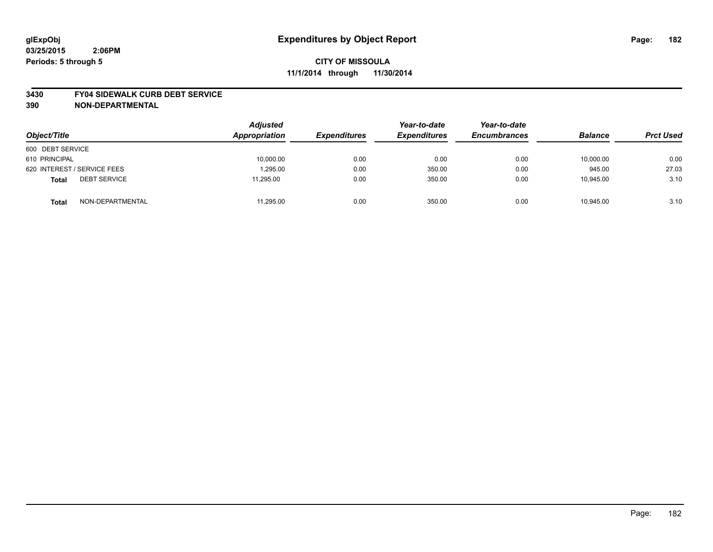#### **3430 FY04 SIDEWALK CURB DEBT SERVICE**

| Object/Title                        | <b>Adjusted</b><br><b>Appropriation</b> | <b>Expenditures</b> | Year-to-date<br><b>Expenditures</b> | Year-to-date<br><b>Encumbrances</b> | <b>Balance</b> | <b>Prct Used</b> |
|-------------------------------------|-----------------------------------------|---------------------|-------------------------------------|-------------------------------------|----------------|------------------|
| 600 DEBT SERVICE                    |                                         |                     |                                     |                                     |                |                  |
| 610 PRINCIPAL                       | 10,000.00                               | 0.00                | 0.00                                | 0.00                                | 10,000.00      | 0.00             |
| 620 INTEREST / SERVICE FEES         | 1.295.00                                | 0.00                | 350.00                              | 0.00                                | 945.00         | 27.03            |
| <b>DEBT SERVICE</b><br><b>Total</b> | 11,295.00                               | 0.00                | 350.00                              | 0.00                                | 10,945.00      | 3.10             |
| NON-DEPARTMENTAL<br><b>Total</b>    | 11.295.00                               | 0.00                | 350.00                              | 0.00                                | 10.945.00      | 3.10             |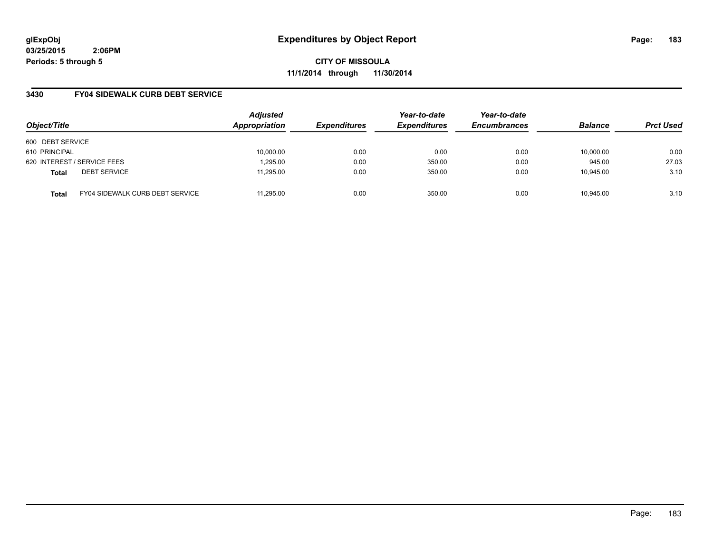**CITY OF MISSOULA 11/1/2014 through 11/30/2014**

## **3430 FY04 SIDEWALK CURB DEBT SERVICE**

| Object/Title                        |                                        | <b>Adjusted</b><br>Appropriation | <b>Expenditures</b> | Year-to-date<br><b>Expenditures</b> | Year-to-date<br><b>Encumbrances</b> | <b>Balance</b> | <b>Prct Used</b> |
|-------------------------------------|----------------------------------------|----------------------------------|---------------------|-------------------------------------|-------------------------------------|----------------|------------------|
| 600 DEBT SERVICE                    |                                        |                                  |                     |                                     |                                     |                |                  |
| 610 PRINCIPAL                       |                                        | 10,000.00                        | 0.00                | 0.00                                | 0.00                                | 10,000.00      | 0.00             |
| 620 INTEREST / SERVICE FEES         |                                        | 1,295.00                         | 0.00                | 350.00                              | 0.00                                | 945.00         | 27.03            |
| <b>DEBT SERVICE</b><br><b>Total</b> |                                        | 11.295.00                        | 0.00                | 350.00                              | 0.00                                | 10.945.00      | 3.10             |
| <b>Total</b>                        | <b>FY04 SIDEWALK CURB DEBT SERVICE</b> | 11.295.00                        | 0.00                | 350.00                              | 0.00                                | 10.945.00      | 3.10             |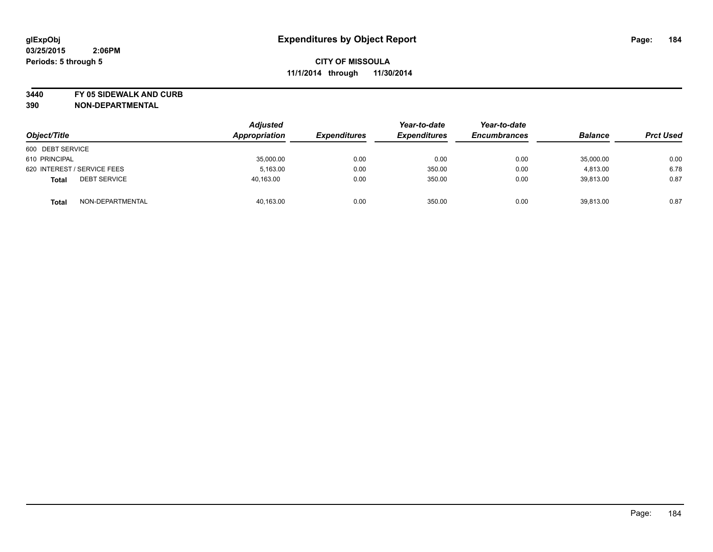**3440 FY 05 SIDEWALK AND CURB**

| Object/Title                        | <b>Adjusted</b><br>Appropriation | <b>Expenditures</b> | Year-to-date<br><b>Expenditures</b> | Year-to-date<br><b>Encumbrances</b> | <b>Balance</b> | <b>Prct Used</b> |
|-------------------------------------|----------------------------------|---------------------|-------------------------------------|-------------------------------------|----------------|------------------|
| 600 DEBT SERVICE                    |                                  |                     |                                     |                                     |                |                  |
| 610 PRINCIPAL                       | 35,000.00                        | 0.00                | 0.00                                | 0.00                                | 35,000.00      | 0.00             |
| 620 INTEREST / SERVICE FEES         | 5.163.00                         | 0.00                | 350.00                              | 0.00                                | 4,813.00       | 6.78             |
| <b>DEBT SERVICE</b><br><b>Total</b> | 40,163.00                        | 0.00                | 350.00                              | 0.00                                | 39,813.00      | 0.87             |
| NON-DEPARTMENTAL<br><b>Total</b>    | 40,163.00                        | 0.00                | 350.00                              | 0.00                                | 39,813.00      | 0.87             |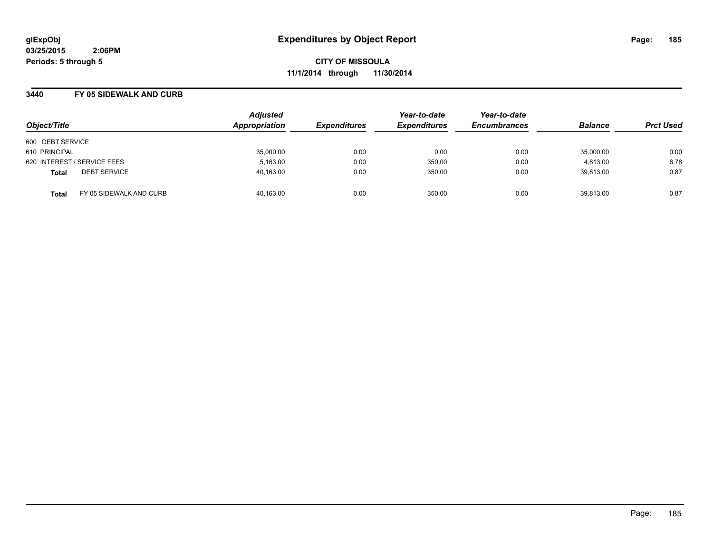**CITY OF MISSOULA 11/1/2014 through 11/30/2014**

### **3440 FY 05 SIDEWALK AND CURB**

| Object/Title                            | <b>Adjusted</b><br>Appropriation | <b>Expenditures</b> | Year-to-date<br><b>Expenditures</b> | Year-to-date<br><b>Encumbrances</b> | <b>Balance</b> | <b>Prct Used</b> |
|-----------------------------------------|----------------------------------|---------------------|-------------------------------------|-------------------------------------|----------------|------------------|
| 600 DEBT SERVICE                        |                                  |                     |                                     |                                     |                |                  |
| 610 PRINCIPAL                           | 35,000.00                        | 0.00                | 0.00                                | 0.00                                | 35,000.00      | 0.00             |
| 620 INTEREST / SERVICE FEES             | 5,163.00                         | 0.00                | 350.00                              | 0.00                                | 4.813.00       | 6.78             |
| <b>DEBT SERVICE</b><br><b>Total</b>     | 40,163.00                        | 0.00                | 350.00                              | 0.00                                | 39.813.00      | 0.87             |
| FY 05 SIDEWALK AND CURB<br><b>Total</b> | 40.163.00                        | 0.00                | 350.00                              | 0.00                                | 39.813.00      | 0.87             |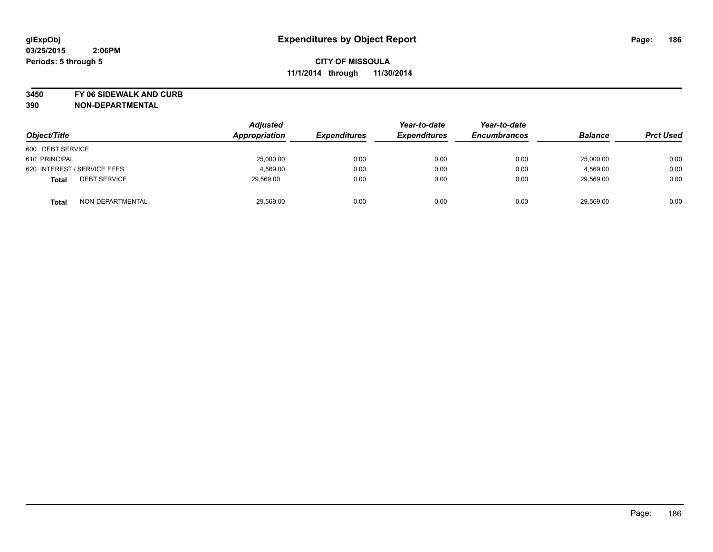**3450 FY 06 SIDEWALK AND CURB**

| Object/Title                        | <b>Adjusted</b><br>Appropriation | <b>Expenditures</b> | Year-to-date<br><b>Expenditures</b> | Year-to-date<br><b>Encumbrances</b> | <b>Balance</b> | <b>Prct Used</b> |
|-------------------------------------|----------------------------------|---------------------|-------------------------------------|-------------------------------------|----------------|------------------|
| 600 DEBT SERVICE                    |                                  |                     |                                     |                                     |                |                  |
| 610 PRINCIPAL                       | 25,000.00                        | 0.00                | 0.00                                | 0.00                                | 25,000.00      | 0.00             |
| 620 INTEREST / SERVICE FEES         | 4,569.00                         | 0.00                | 0.00                                | 0.00                                | 4,569.00       | 0.00             |
| <b>DEBT SERVICE</b><br><b>Total</b> | 29,569.00                        | 0.00                | 0.00                                | 0.00                                | 29,569.00      | 0.00             |
| NON-DEPARTMENTAL<br><b>Total</b>    | 29,569.00                        | 0.00                | 0.00                                | 0.00                                | 29,569.00      | 0.00             |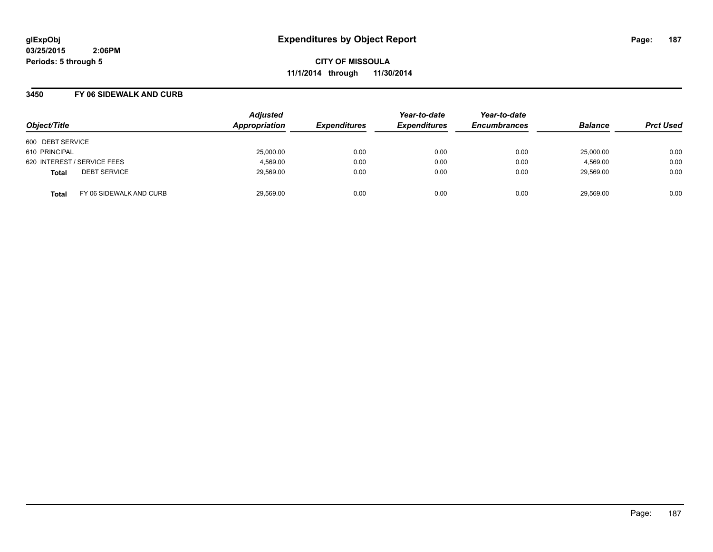**CITY OF MISSOULA 11/1/2014 through 11/30/2014**

### **3450 FY 06 SIDEWALK AND CURB**

| Object/Title                            | <b>Adjusted</b><br>Appropriation | <b>Expenditures</b> | Year-to-date<br><b>Expenditures</b> | Year-to-date<br><b>Encumbrances</b> | <b>Balance</b> | <b>Prct Used</b> |
|-----------------------------------------|----------------------------------|---------------------|-------------------------------------|-------------------------------------|----------------|------------------|
| 600 DEBT SERVICE                        |                                  |                     |                                     |                                     |                |                  |
| 610 PRINCIPAL                           | 25,000.00                        | 0.00                | 0.00                                | 0.00                                | 25,000.00      | 0.00             |
| 620 INTEREST / SERVICE FEES             | 4.569.00                         | 0.00                | 0.00                                | 0.00                                | 4.569.00       | 0.00             |
| <b>DEBT SERVICE</b><br><b>Total</b>     | 29,569.00                        | 0.00                | 0.00                                | 0.00                                | 29,569.00      | 0.00             |
| FY 06 SIDEWALK AND CURB<br><b>Total</b> | 29,569.00                        | 0.00                | 0.00                                | 0.00                                | 29.569.00      | 0.00             |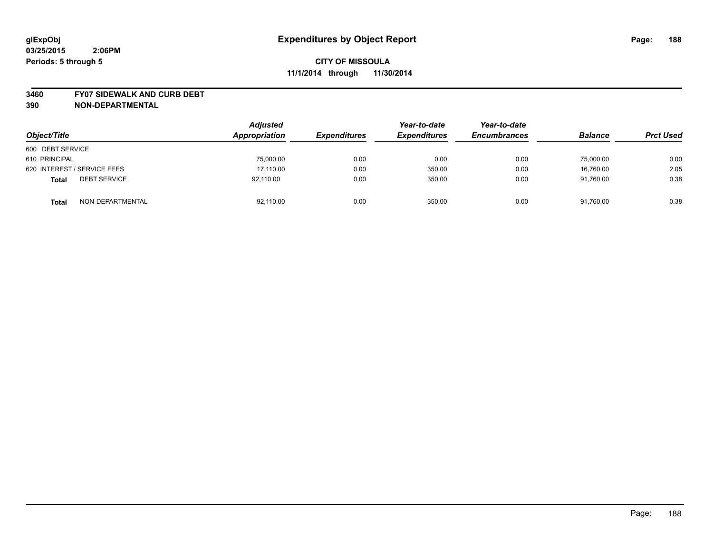#### **3460 FY07 SIDEWALK AND CURB DEBT**

| Object/Title                        | <b>Adjusted</b><br>Appropriation | <b>Expenditures</b> | Year-to-date<br><b>Expenditures</b> | Year-to-date<br><b>Encumbrances</b> | <b>Balance</b> | <b>Prct Used</b> |
|-------------------------------------|----------------------------------|---------------------|-------------------------------------|-------------------------------------|----------------|------------------|
| 600 DEBT SERVICE                    |                                  |                     |                                     |                                     |                |                  |
| 610 PRINCIPAL                       | 75,000.00                        | 0.00                | 0.00                                | 0.00                                | 75,000.00      | 0.00             |
| 620 INTEREST / SERVICE FEES         | 17.110.00                        | 0.00                | 350.00                              | 0.00                                | 16.760.00      | 2.05             |
| <b>DEBT SERVICE</b><br><b>Total</b> | 92,110.00                        | 0.00                | 350.00                              | 0.00                                | 91.760.00      | 0.38             |
| NON-DEPARTMENTAL<br><b>Total</b>    | 92,110.00                        | 0.00                | 350.00                              | 0.00                                | 91,760.00      | 0.38             |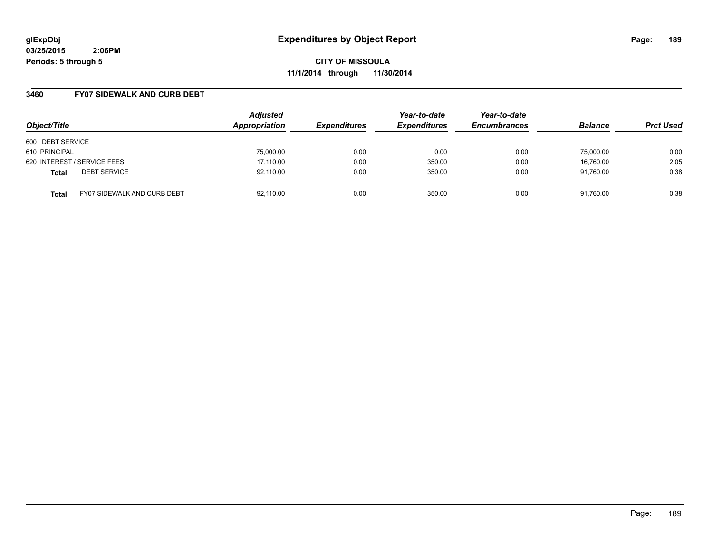**CITY OF MISSOULA 11/1/2014 through 11/30/2014**

### **3460 FY07 SIDEWALK AND CURB DEBT**

| Object/Title                                       | <b>Adjusted</b><br>Appropriation | <b>Expenditures</b> | Year-to-date<br><b>Expenditures</b> | Year-to-date<br><b>Encumbrances</b> | <b>Balance</b> | <b>Prct Used</b> |
|----------------------------------------------------|----------------------------------|---------------------|-------------------------------------|-------------------------------------|----------------|------------------|
| 600 DEBT SERVICE                                   |                                  |                     |                                     |                                     |                |                  |
| 610 PRINCIPAL                                      | 75,000.00                        | 0.00                | 0.00                                | 0.00                                | 75,000.00      | 0.00             |
| 620 INTEREST / SERVICE FEES                        | 17,110.00                        | 0.00                | 350.00                              | 0.00                                | 16,760.00      | 2.05             |
| <b>DEBT SERVICE</b><br><b>Total</b>                | 92,110.00                        | 0.00                | 350.00                              | 0.00                                | 91.760.00      | 0.38             |
| <b>FY07 SIDEWALK AND CURB DEBT</b><br><b>Total</b> | 92.110.00                        | 0.00                | 350.00                              | 0.00                                | 91.760.00      | 0.38             |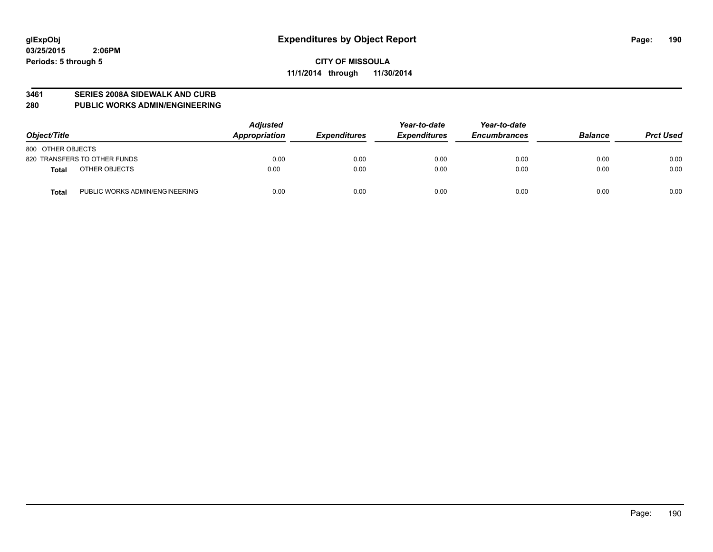#### **3461 SERIES 2008A SIDEWALK AND CURB**

#### **280 PUBLIC WORKS ADMIN/ENGINEERING**

| Object/Title                                   | <b>Adjusted</b><br><b>Appropriation</b> | <b>Expenditures</b> | Year-to-date<br><b>Expenditures</b> | Year-to-date<br><b>Encumbrances</b> | <b>Balance</b> | <b>Prct Used</b> |
|------------------------------------------------|-----------------------------------------|---------------------|-------------------------------------|-------------------------------------|----------------|------------------|
| 800 OTHER OBJECTS                              |                                         |                     |                                     |                                     |                |                  |
| 820 TRANSFERS TO OTHER FUNDS                   | 0.00                                    | 0.00                | 0.00                                | 0.00                                | 0.00           | 0.00             |
| OTHER OBJECTS<br><b>Total</b>                  | 0.00                                    | 0.00                | 0.00                                | 0.00                                | 0.00           | 0.00             |
| PUBLIC WORKS ADMIN/ENGINEERING<br><b>Total</b> | 0.00                                    | 0.00                | 0.00                                | 0.00                                | 0.00           | 0.00             |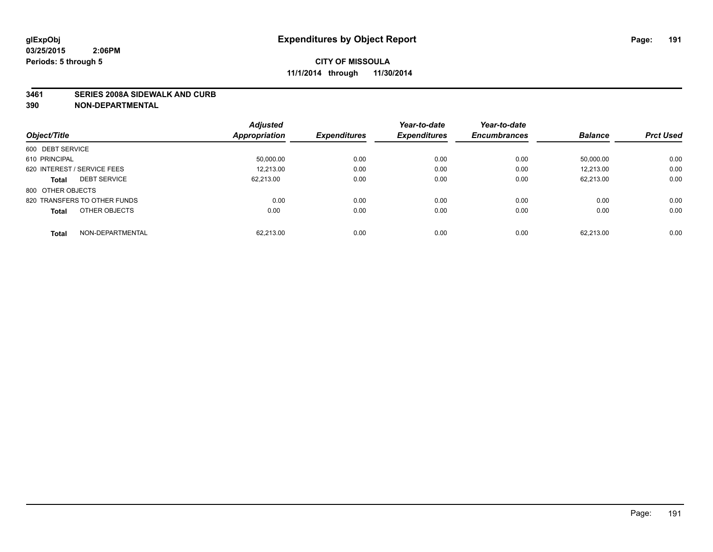#### **3461 SERIES 2008A SIDEWALK AND CURB**

|                                     | <b>Adjusted</b>      |                     | Year-to-date        | Year-to-date        |                |                  |
|-------------------------------------|----------------------|---------------------|---------------------|---------------------|----------------|------------------|
| Object/Title                        | <b>Appropriation</b> | <b>Expenditures</b> | <b>Expenditures</b> | <b>Encumbrances</b> | <b>Balance</b> | <b>Prct Used</b> |
| 600 DEBT SERVICE                    |                      |                     |                     |                     |                |                  |
| 610 PRINCIPAL                       | 50.000.00            | 0.00                | 0.00                | 0.00                | 50.000.00      | 0.00             |
| 620 INTEREST / SERVICE FEES         | 12,213.00            | 0.00                | 0.00                | 0.00                | 12.213.00      | 0.00             |
| <b>DEBT SERVICE</b><br><b>Total</b> | 62.213.00            | 0.00                | 0.00                | 0.00                | 62.213.00      | 0.00             |
| 800 OTHER OBJECTS                   |                      |                     |                     |                     |                |                  |
| 820 TRANSFERS TO OTHER FUNDS        | 0.00                 | 0.00                | 0.00                | 0.00                | 0.00           | 0.00             |
| OTHER OBJECTS<br><b>Total</b>       | 0.00                 | 0.00                | 0.00                | 0.00                | 0.00           | 0.00             |
| NON-DEPARTMENTAL<br><b>Total</b>    | 62.213.00            | 0.00                | 0.00                | 0.00                | 62.213.00      | 0.00             |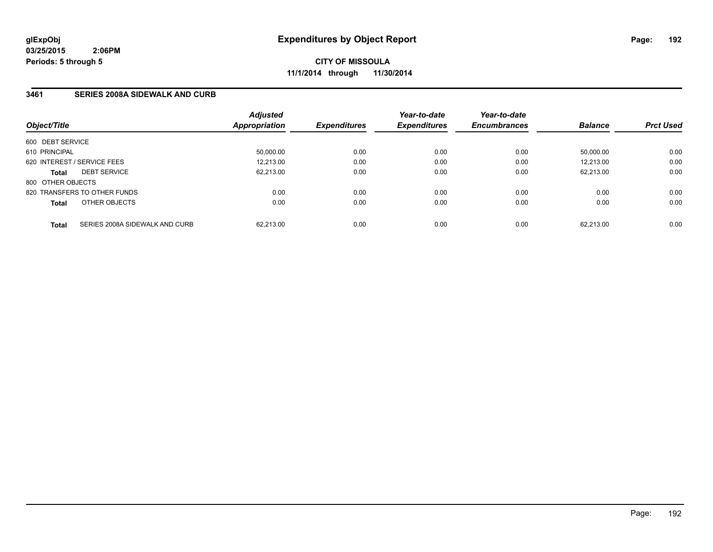**CITY OF MISSOULA 11/1/2014 through 11/30/2014**

## **3461 SERIES 2008A SIDEWALK AND CURB**

|                   |                                | <b>Adjusted</b>      |                            | Year-to-date        | Year-to-date<br><b>Encumbrances</b> | <b>Balance</b> | <b>Prct Used</b> |
|-------------------|--------------------------------|----------------------|----------------------------|---------------------|-------------------------------------|----------------|------------------|
| Object/Title      |                                | <b>Appropriation</b> | <i><b>Expenditures</b></i> | <b>Expenditures</b> |                                     |                |                  |
| 600 DEBT SERVICE  |                                |                      |                            |                     |                                     |                |                  |
| 610 PRINCIPAL     |                                | 50,000.00            | 0.00                       | 0.00                | 0.00                                | 50.000.00      | 0.00             |
|                   | 620 INTEREST / SERVICE FEES    | 12.213.00            | 0.00                       | 0.00                | 0.00                                | 12.213.00      | 0.00             |
| <b>Total</b>      | <b>DEBT SERVICE</b>            | 62,213.00            | 0.00                       | 0.00                | 0.00                                | 62.213.00      | 0.00             |
| 800 OTHER OBJECTS |                                |                      |                            |                     |                                     |                |                  |
|                   | 820 TRANSFERS TO OTHER FUNDS   | 0.00                 | 0.00                       | 0.00                | 0.00                                | 0.00           | 0.00             |
| <b>Total</b>      | OTHER OBJECTS                  | 0.00                 | 0.00                       | 0.00                | 0.00                                | 0.00           | 0.00             |
| <b>Total</b>      | SERIES 2008A SIDEWALK AND CURB | 62.213.00            | 0.00                       | 0.00                | 0.00                                | 62.213.00      | 0.00             |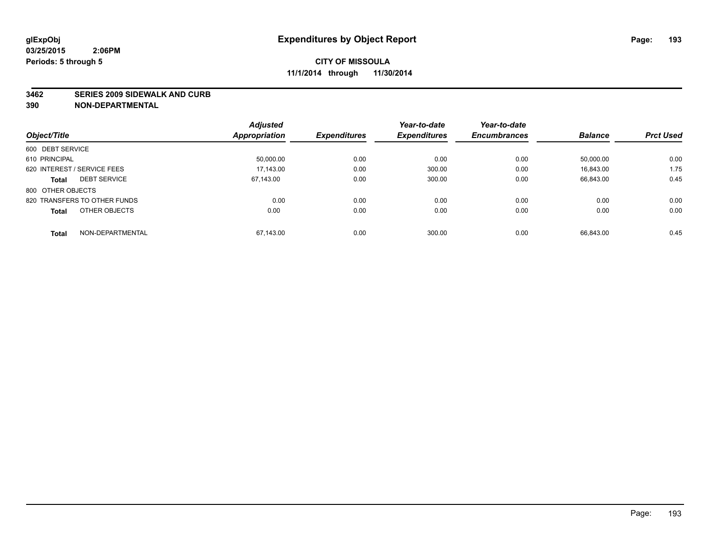#### **3462 SERIES 2009 SIDEWALK AND CURB**

|                                     | <b>Adjusted</b>      |                     | Year-to-date        | Year-to-date        |                |                  |
|-------------------------------------|----------------------|---------------------|---------------------|---------------------|----------------|------------------|
| Object/Title                        | <b>Appropriation</b> | <b>Expenditures</b> | <b>Expenditures</b> | <b>Encumbrances</b> | <b>Balance</b> | <b>Prct Used</b> |
| 600 DEBT SERVICE                    |                      |                     |                     |                     |                |                  |
| 610 PRINCIPAL                       | 50.000.00            | 0.00                | 0.00                | 0.00                | 50.000.00      | 0.00             |
| 620 INTEREST / SERVICE FEES         | 17.143.00            | 0.00                | 300.00              | 0.00                | 16.843.00      | 1.75             |
| <b>DEBT SERVICE</b><br><b>Total</b> | 67.143.00            | 0.00                | 300.00              | 0.00                | 66.843.00      | 0.45             |
| 800 OTHER OBJECTS                   |                      |                     |                     |                     |                |                  |
| 820 TRANSFERS TO OTHER FUNDS        | 0.00                 | 0.00                | 0.00                | 0.00                | 0.00           | 0.00             |
| OTHER OBJECTS<br><b>Total</b>       | 0.00                 | 0.00                | 0.00                | 0.00                | 0.00           | 0.00             |
| NON-DEPARTMENTAL<br><b>Total</b>    | 67.143.00            | 0.00                | 300.00              | 0.00                | 66.843.00      | 0.45             |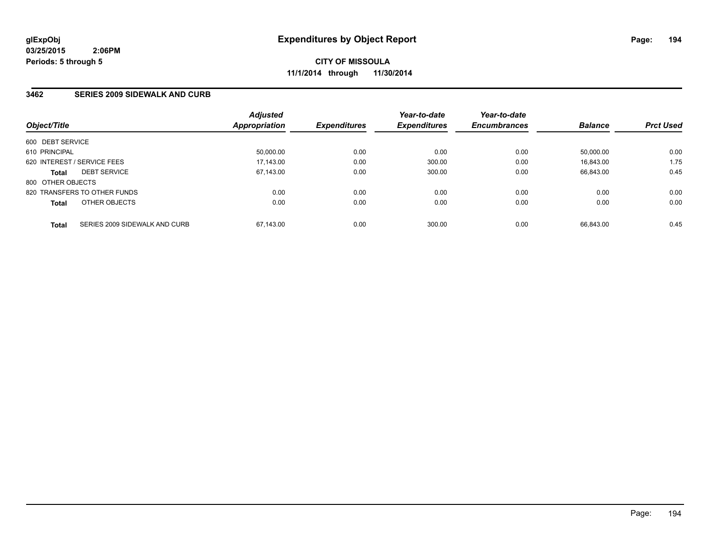## **3462 SERIES 2009 SIDEWALK AND CURB**

| Object/Title      |                               | <b>Adjusted</b><br>Appropriation | <b>Expenditures</b> | Year-to-date<br><b>Expenditures</b> | Year-to-date<br><b>Encumbrances</b> | <b>Balance</b> | <b>Prct Used</b> |
|-------------------|-------------------------------|----------------------------------|---------------------|-------------------------------------|-------------------------------------|----------------|------------------|
| 600 DEBT SERVICE  |                               |                                  |                     |                                     |                                     |                |                  |
| 610 PRINCIPAL     |                               | 50.000.00                        | 0.00                | 0.00                                | 0.00                                | 50.000.00      | 0.00             |
|                   | 620 INTEREST / SERVICE FEES   | 17,143.00                        | 0.00                | 300.00                              | 0.00                                | 16.843.00      | 1.75             |
| <b>Total</b>      | <b>DEBT SERVICE</b>           | 67.143.00                        | 0.00                | 300.00                              | 0.00                                | 66.843.00      | 0.45             |
| 800 OTHER OBJECTS |                               |                                  |                     |                                     |                                     |                |                  |
|                   | 820 TRANSFERS TO OTHER FUNDS  | 0.00                             | 0.00                | 0.00                                | 0.00                                | 0.00           | 0.00             |
| <b>Total</b>      | OTHER OBJECTS                 | 0.00                             | 0.00                | 0.00                                | 0.00                                | 0.00           | 0.00             |
| <b>Total</b>      | SERIES 2009 SIDEWALK AND CURB | 67.143.00                        | 0.00                | 300.00                              | 0.00                                | 66.843.00      | 0.45             |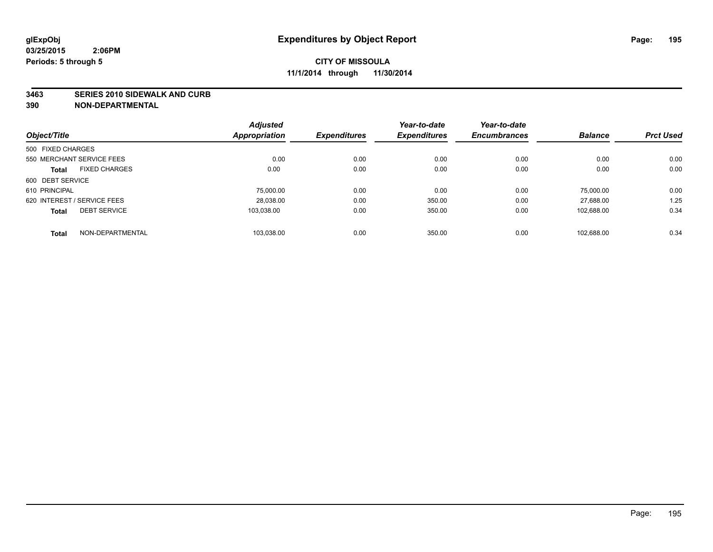#### **3463 SERIES 2010 SIDEWALK AND CURB**

|                                      | <b>Adjusted</b>      |                     | Year-to-date        | Year-to-date        |                |                  |
|--------------------------------------|----------------------|---------------------|---------------------|---------------------|----------------|------------------|
| Object/Title                         | <b>Appropriation</b> | <b>Expenditures</b> | <b>Expenditures</b> | <b>Encumbrances</b> | <b>Balance</b> | <b>Prct Used</b> |
| 500 FIXED CHARGES                    |                      |                     |                     |                     |                |                  |
| 550 MERCHANT SERVICE FEES            | 0.00                 | 0.00                | 0.00                | 0.00                | 0.00           | 0.00             |
| <b>FIXED CHARGES</b><br><b>Total</b> | 0.00                 | 0.00                | 0.00                | 0.00                | 0.00           | 0.00             |
| 600 DEBT SERVICE                     |                      |                     |                     |                     |                |                  |
| 610 PRINCIPAL                        | 75,000.00            | 0.00                | 0.00                | 0.00                | 75.000.00      | 0.00             |
| 620 INTEREST / SERVICE FEES          | 28,038.00            | 0.00                | 350.00              | 0.00                | 27.688.00      | 1.25             |
| <b>DEBT SERVICE</b><br><b>Total</b>  | 103.038.00           | 0.00                | 350.00              | 0.00                | 102.688.00     | 0.34             |
| NON-DEPARTMENTAL<br><b>Total</b>     | 103,038.00           | 0.00                | 350.00              | 0.00                | 102.688.00     | 0.34             |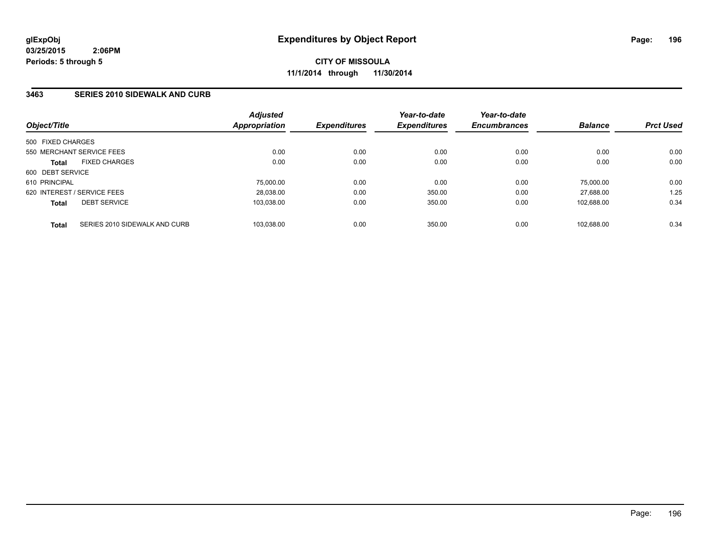## **3463 SERIES 2010 SIDEWALK AND CURB**

| Object/Title                                  | <b>Adjusted</b><br><b>Appropriation</b> | <b>Expenditures</b> | Year-to-date<br><b>Expenditures</b> | Year-to-date<br><b>Encumbrances</b> | <b>Balance</b> | <b>Prct Used</b> |
|-----------------------------------------------|-----------------------------------------|---------------------|-------------------------------------|-------------------------------------|----------------|------------------|
| 500 FIXED CHARGES                             |                                         |                     |                                     |                                     |                |                  |
| 550 MERCHANT SERVICE FEES                     | 0.00                                    | 0.00                | 0.00                                | 0.00                                | 0.00           | 0.00             |
| <b>FIXED CHARGES</b><br><b>Total</b>          | 0.00                                    | 0.00                | 0.00                                | 0.00                                | 0.00           | 0.00             |
| 600 DEBT SERVICE                              |                                         |                     |                                     |                                     |                |                  |
| 610 PRINCIPAL                                 | 75.000.00                               | 0.00                | 0.00                                | 0.00                                | 75.000.00      | 0.00             |
| 620 INTEREST / SERVICE FEES                   | 28,038.00                               | 0.00                | 350.00                              | 0.00                                | 27.688.00      | 1.25             |
| <b>DEBT SERVICE</b><br><b>Total</b>           | 103.038.00                              | 0.00                | 350.00                              | 0.00                                | 102.688.00     | 0.34             |
|                                               |                                         |                     |                                     |                                     |                |                  |
| SERIES 2010 SIDEWALK AND CURB<br><b>Total</b> | 103.038.00                              | 0.00                | 350.00                              | 0.00                                | 102.688.00     | 0.34             |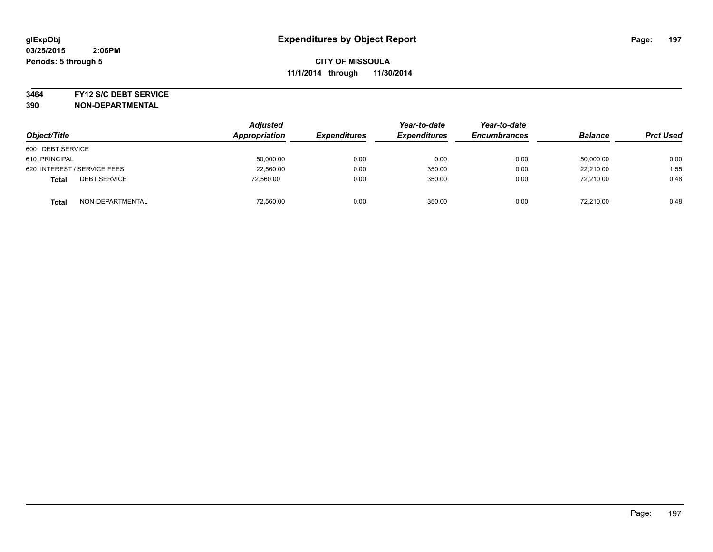#### **3464 FY12 S/C DEBT SERVICE**

| Object/Title                        | <b>Adjusted</b><br>Appropriation | <b>Expenditures</b> | Year-to-date<br><b>Expenditures</b> | Year-to-date<br><b>Encumbrances</b> | <b>Balance</b> | <b>Prct Used</b> |
|-------------------------------------|----------------------------------|---------------------|-------------------------------------|-------------------------------------|----------------|------------------|
| 600 DEBT SERVICE                    |                                  |                     |                                     |                                     |                |                  |
| 610 PRINCIPAL                       | 50,000.00                        | 0.00                | 0.00                                | 0.00                                | 50,000.00      | 0.00             |
| 620 INTEREST / SERVICE FEES         | 22,560.00                        | 0.00                | 350.00                              | 0.00                                | 22.210.00      | 1.55             |
| <b>DEBT SERVICE</b><br><b>Total</b> | 72.560.00                        | 0.00                | 350.00                              | 0.00                                | 72.210.00      | 0.48             |
| NON-DEPARTMENTAL<br><b>Total</b>    | 72,560.00                        | 0.00                | 350.00                              | 0.00                                | 72.210.00      | 0.48             |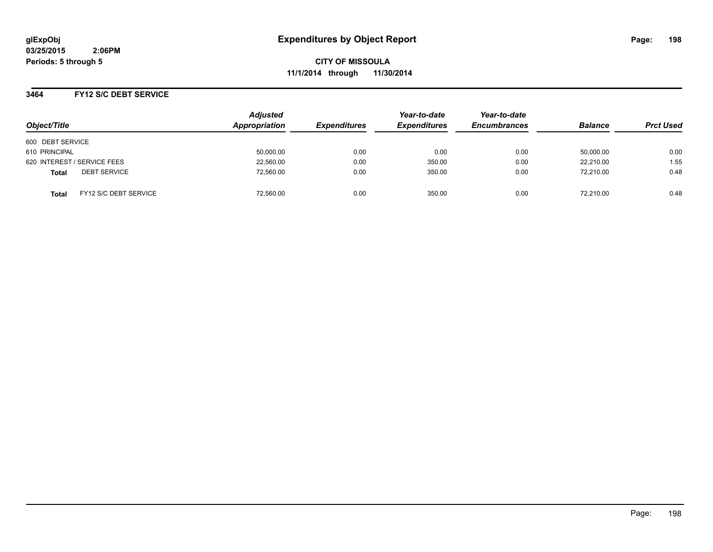**CITY OF MISSOULA 11/1/2014 through 11/30/2014**

## **3464 FY12 S/C DEBT SERVICE**

| Object/Title                                 | <b>Adjusted</b><br>Appropriation | <b>Expenditures</b> | Year-to-date<br><b>Expenditures</b> | Year-to-date<br><b>Encumbrances</b> | <b>Balance</b> | <b>Prct Used</b> |
|----------------------------------------------|----------------------------------|---------------------|-------------------------------------|-------------------------------------|----------------|------------------|
|                                              |                                  |                     |                                     |                                     |                |                  |
| 600 DEBT SERVICE                             |                                  |                     |                                     |                                     |                |                  |
| 610 PRINCIPAL                                | 50,000.00                        | 0.00                | 0.00                                | 0.00                                | 50,000.00      | 0.00             |
| 620 INTEREST / SERVICE FEES                  | 22,560.00                        | 0.00                | 350.00                              | 0.00                                | 22.210.00      | 1.55             |
| <b>DEBT SERVICE</b><br><b>Total</b>          | 72.560.00                        | 0.00                | 350.00                              | 0.00                                | 72.210.00      | 0.48             |
| <b>FY12 S/C DEBT SERVICE</b><br><b>Total</b> | 72.560.00                        | 0.00                | 350.00                              | 0.00                                | 72.210.00      | 0.48             |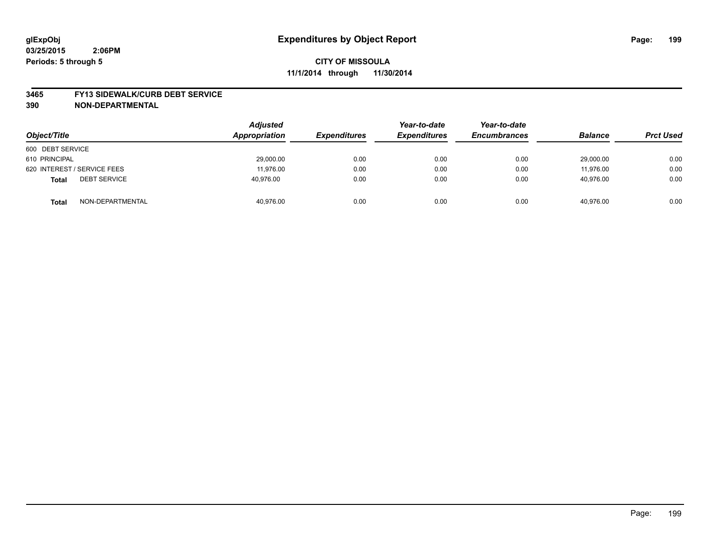#### **3465 FY13 SIDEWALK/CURB DEBT SERVICE**

| Object/Title                        | <b>Adjusted</b><br>Appropriation | <b>Expenditures</b> | Year-to-date<br><b>Expenditures</b> | Year-to-date<br><b>Encumbrances</b> | <b>Balance</b> | <b>Prct Used</b> |
|-------------------------------------|----------------------------------|---------------------|-------------------------------------|-------------------------------------|----------------|------------------|
| 600 DEBT SERVICE                    |                                  |                     |                                     |                                     |                |                  |
| 610 PRINCIPAL                       | 29,000.00                        | 0.00                | 0.00                                | 0.00                                | 29,000.00      | 0.00             |
| 620 INTEREST / SERVICE FEES         | 11.976.00                        | 0.00                | 0.00                                | 0.00                                | 11.976.00      | 0.00             |
| <b>DEBT SERVICE</b><br><b>Total</b> | 40,976.00                        | 0.00                | 0.00                                | 0.00                                | 40,976.00      | 0.00             |
| NON-DEPARTMENTAL<br><b>Total</b>    | 40,976.00                        | 0.00                | 0.00                                | 0.00                                | 40.976.00      | 0.00             |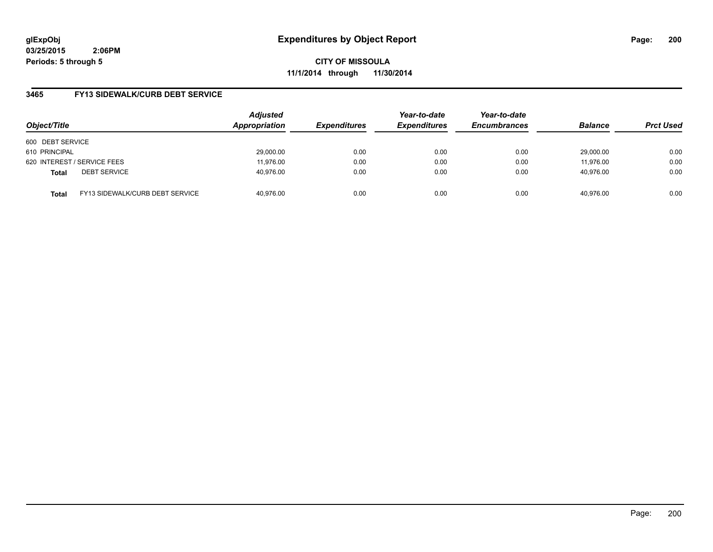**CITY OF MISSOULA 11/1/2014 through 11/30/2014**

## **3465 FY13 SIDEWALK/CURB DEBT SERVICE**

| Object/Title     |                                 | <b>Adjusted</b><br>Appropriation | <b>Expenditures</b> | Year-to-date<br><b>Expenditures</b> | Year-to-date<br><b>Encumbrances</b> | <b>Balance</b> | <b>Prct Used</b> |
|------------------|---------------------------------|----------------------------------|---------------------|-------------------------------------|-------------------------------------|----------------|------------------|
| 600 DEBT SERVICE |                                 |                                  |                     |                                     |                                     |                |                  |
| 610 PRINCIPAL    |                                 | 29,000.00                        | 0.00                | 0.00                                | 0.00                                | 29.000.00      | 0.00             |
|                  | 620 INTEREST / SERVICE FEES     | 11.976.00                        | 0.00                | 0.00                                | 0.00                                | 11,976.00      | 0.00             |
| <b>Total</b>     | <b>DEBT SERVICE</b>             | 40,976.00                        | 0.00                | 0.00                                | 0.00                                | 40.976.00      | 0.00             |
| <b>Total</b>     | FY13 SIDEWALK/CURB DEBT SERVICE | 40.976.00                        | 0.00                | 0.00                                | 0.00                                | 40.976.00      | 0.00             |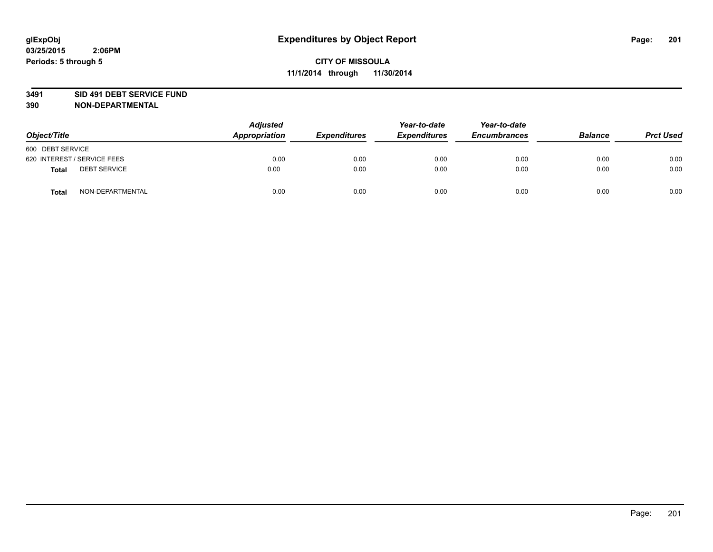### **3491 SID 491 DEBT SERVICE FUND**

| Object/Title                 | <b>Adjusted</b><br>Appropriation | <b>Expenditures</b> | Year-to-date<br><b>Expenditures</b> | Year-to-date<br><b>Encumbrances</b> | <b>Balance</b> | <b>Prct Used</b> |
|------------------------------|----------------------------------|---------------------|-------------------------------------|-------------------------------------|----------------|------------------|
| 600 DEBT SERVICE             |                                  |                     |                                     |                                     |                |                  |
| 620 INTEREST / SERVICE FEES  | 0.00                             | 0.00                | 0.00                                | 0.00                                | 0.00           | 0.00             |
| <b>DEBT SERVICE</b><br>Total | 0.00                             | 0.00                | 0.00                                | 0.00                                | 0.00           | 0.00             |
| NON-DEPARTMENTAL<br>Total    | 0.00                             | 0.00                | 0.00                                | 0.00                                | 0.00           | 0.00             |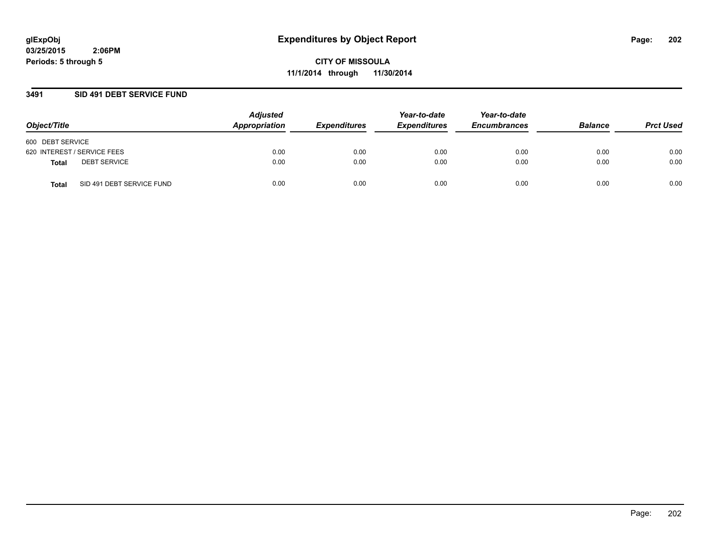**CITY OF MISSOULA 11/1/2014 through 11/30/2014**

## **3491 SID 491 DEBT SERVICE FUND**

| Object/Title                       | <b>Adjusted</b><br>Appropriation | <b>Expenditures</b> | Year-to-date<br><b>Expenditures</b> | Year-to-date<br><b>Encumbrances</b> | <b>Balance</b> | <b>Prct Used</b> |
|------------------------------------|----------------------------------|---------------------|-------------------------------------|-------------------------------------|----------------|------------------|
| 600 DEBT SERVICE                   |                                  |                     |                                     |                                     |                |                  |
| 620 INTEREST / SERVICE FEES        | 0.00                             | 0.00                | 0.00                                | 0.00                                | 0.00           | 0.00             |
| <b>DEBT SERVICE</b><br>Total       | 0.00                             | 0.00                | 0.00                                | 0.00                                | 0.00           | 0.00             |
| SID 491 DEBT SERVICE FUND<br>Total | 0.00                             | 0.00                | 0.00                                | 0.00                                | 0.00           | 0.00             |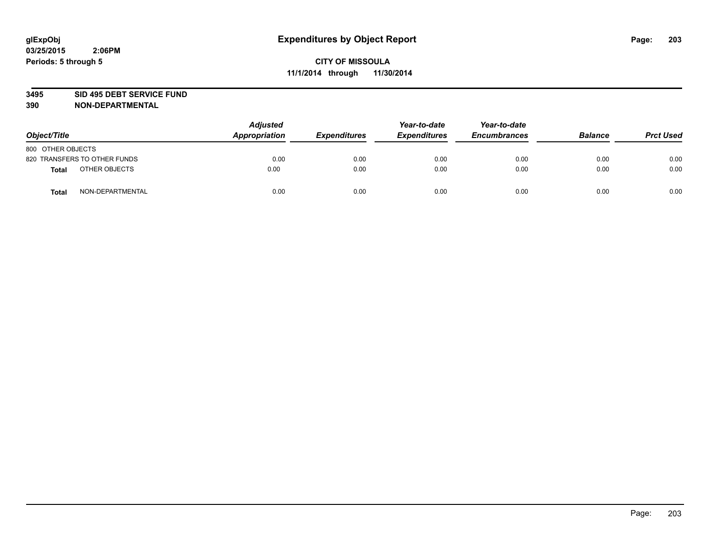### **3495 SID 495 DEBT SERVICE FUND**

| Object/Title                     | <b>Adjusted</b><br><b>Appropriation</b> | <b>Expenditures</b> | Year-to-date<br><b>Expenditures</b> | Year-to-date<br><b>Encumbrances</b> | <b>Balance</b> | <b>Prct Used</b> |
|----------------------------------|-----------------------------------------|---------------------|-------------------------------------|-------------------------------------|----------------|------------------|
| 800 OTHER OBJECTS                |                                         |                     |                                     |                                     |                |                  |
| 820 TRANSFERS TO OTHER FUNDS     | 0.00                                    | 0.00                | 0.00                                | 0.00                                | 0.00           | 0.00             |
| OTHER OBJECTS<br><b>Total</b>    | 0.00                                    | 0.00                | 0.00                                | 0.00                                | 0.00           | 0.00             |
| NON-DEPARTMENTAL<br><b>Total</b> | 0.00                                    | 0.00                | 0.00                                | 0.00                                | 0.00           | 0.00             |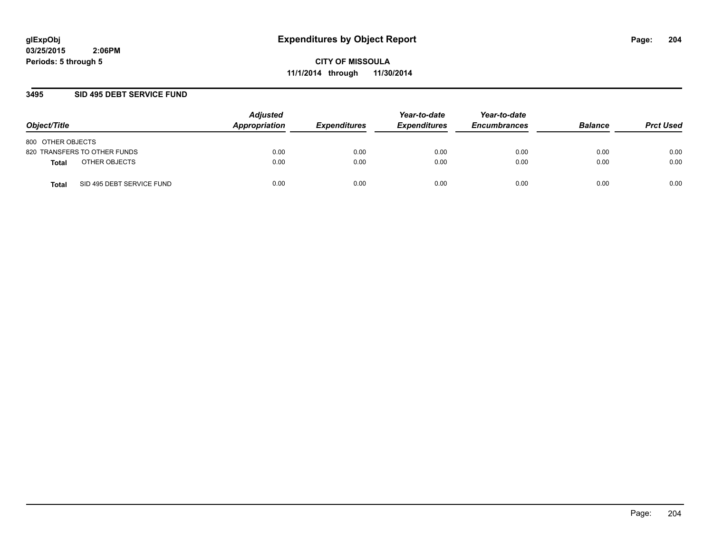**CITY OF MISSOULA 11/1/2014 through 11/30/2014**

## **3495 SID 495 DEBT SERVICE FUND**

| Object/Title                       | <b>Adjusted</b><br>Appropriation | <b>Expenditures</b> | Year-to-date<br><b>Expenditures</b> | Year-to-date<br><b>Encumbrances</b> | <b>Balance</b> | <b>Prct Used</b> |
|------------------------------------|----------------------------------|---------------------|-------------------------------------|-------------------------------------|----------------|------------------|
| 800 OTHER OBJECTS                  |                                  |                     |                                     |                                     |                |                  |
| 820 TRANSFERS TO OTHER FUNDS       | 0.00                             | 0.00                | 0.00                                | 0.00                                | 0.00           | 0.00             |
| OTHER OBJECTS<br>Total             | 0.00                             | 0.00                | 0.00                                | 0.00                                | 0.00           | 0.00             |
| SID 495 DEBT SERVICE FUND<br>Total | 0.00                             | 0.00                | 0.00                                | 0.00                                | 0.00           | 0.00             |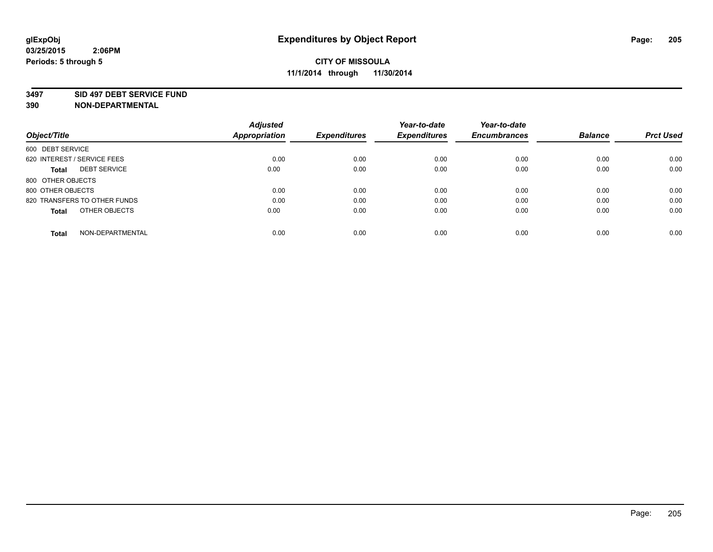#### **3497 SID 497 DEBT SERVICE FUND**

|                                     | <b>Adjusted</b>      |                     | Year-to-date        | Year-to-date        |                |                  |
|-------------------------------------|----------------------|---------------------|---------------------|---------------------|----------------|------------------|
| Object/Title                        | <b>Appropriation</b> | <b>Expenditures</b> | <b>Expenditures</b> | <b>Encumbrances</b> | <b>Balance</b> | <b>Prct Used</b> |
| 600 DEBT SERVICE                    |                      |                     |                     |                     |                |                  |
| 620 INTEREST / SERVICE FEES         | 0.00                 | 0.00                | 0.00                | 0.00                | 0.00           | 0.00             |
| <b>DEBT SERVICE</b><br><b>Total</b> | 0.00                 | 0.00                | 0.00                | 0.00                | 0.00           | 0.00             |
| 800 OTHER OBJECTS                   |                      |                     |                     |                     |                |                  |
| 800 OTHER OBJECTS                   | 0.00                 | 0.00                | 0.00                | 0.00                | 0.00           | 0.00             |
| 820 TRANSFERS TO OTHER FUNDS        | 0.00                 | 0.00                | 0.00                | 0.00                | 0.00           | 0.00             |
| OTHER OBJECTS<br><b>Total</b>       | 0.00                 | 0.00                | 0.00                | 0.00                | 0.00           | 0.00             |
| NON-DEPARTMENTAL<br>Total           | 0.00                 | 0.00                | 0.00                | 0.00                | 0.00           | 0.00             |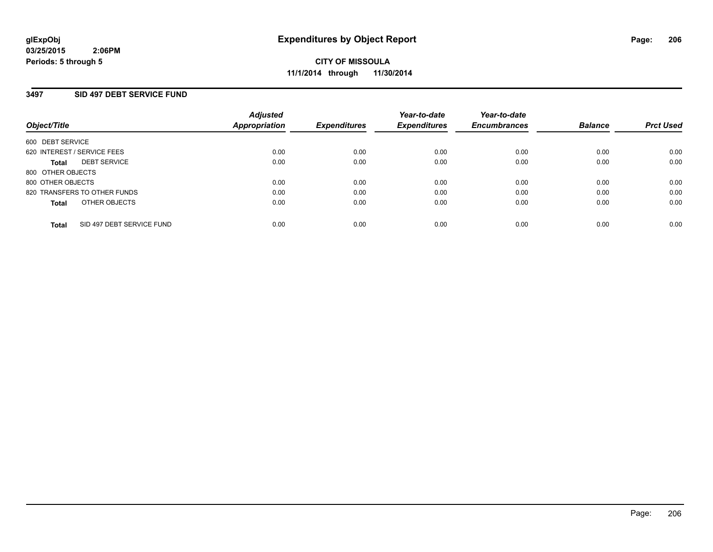## **3497 SID 497 DEBT SERVICE FUND**

| Object/Title                              | <b>Adjusted</b><br><b>Appropriation</b> | <b>Expenditures</b> | Year-to-date<br><b>Expenditures</b> | Year-to-date<br><b>Encumbrances</b> | <b>Balance</b> | <b>Prct Used</b> |
|-------------------------------------------|-----------------------------------------|---------------------|-------------------------------------|-------------------------------------|----------------|------------------|
| 600 DEBT SERVICE                          |                                         |                     |                                     |                                     |                |                  |
| 620 INTEREST / SERVICE FEES               | 0.00                                    | 0.00                | 0.00                                | 0.00                                | 0.00           | 0.00             |
| <b>DEBT SERVICE</b><br>Total              | 0.00                                    | 0.00                | 0.00                                | 0.00                                | 0.00           | 0.00             |
| 800 OTHER OBJECTS                         |                                         |                     |                                     |                                     |                |                  |
| 800 OTHER OBJECTS                         | 0.00                                    | 0.00                | 0.00                                | 0.00                                | 0.00           | 0.00             |
| 820 TRANSFERS TO OTHER FUNDS              | 0.00                                    | 0.00                | 0.00                                | 0.00                                | 0.00           | 0.00             |
| OTHER OBJECTS<br><b>Total</b>             | 0.00                                    | 0.00                | 0.00                                | 0.00                                | 0.00           | 0.00             |
| SID 497 DEBT SERVICE FUND<br><b>Total</b> | 0.00                                    | 0.00                | 0.00                                | 0.00                                | 0.00           | 0.00             |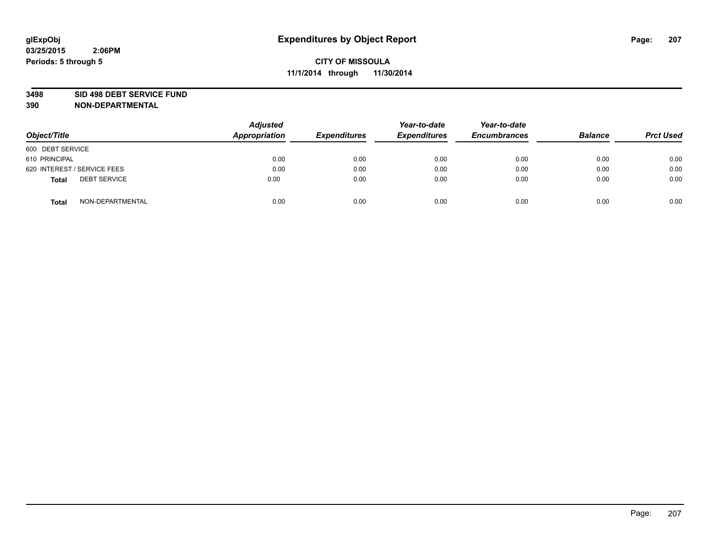#### **3498 SID 498 DEBT SERVICE FUND**

| Object/Title                        | <b>Adjusted</b><br>Appropriation | <b>Expenditures</b> | Year-to-date<br><b>Expenditures</b> | Year-to-date<br><b>Encumbrances</b> | <b>Balance</b> | <b>Prct Used</b> |
|-------------------------------------|----------------------------------|---------------------|-------------------------------------|-------------------------------------|----------------|------------------|
| 600 DEBT SERVICE                    |                                  |                     |                                     |                                     |                |                  |
| 610 PRINCIPAL                       | 0.00                             | 0.00                | 0.00                                | 0.00                                | 0.00           | 0.00             |
| 620 INTEREST / SERVICE FEES         | 0.00                             | 0.00                | 0.00                                | 0.00                                | 0.00           | 0.00             |
| <b>DEBT SERVICE</b><br><b>Total</b> | 0.00                             | 0.00                | 0.00                                | 0.00                                | 0.00           | 0.00             |
| NON-DEPARTMENTAL<br><b>Total</b>    | 0.00                             | 0.00                | 0.00                                | 0.00                                | 0.00           | 0.00             |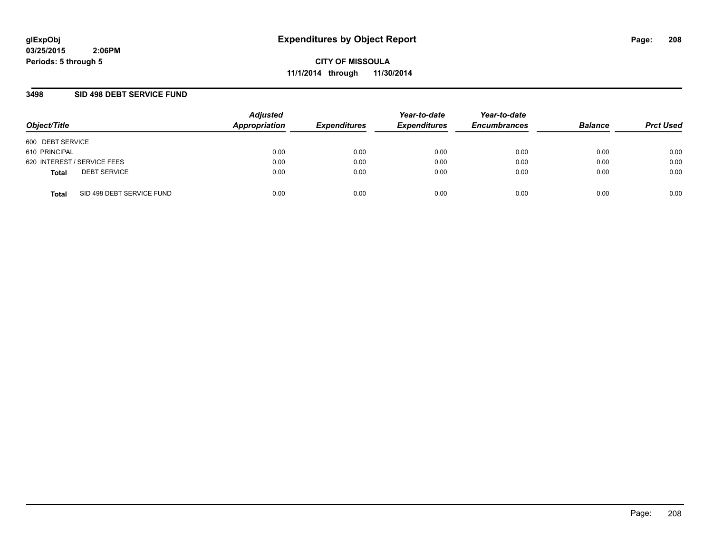**CITY OF MISSOULA 11/1/2014 through 11/30/2014**

## **3498 SID 498 DEBT SERVICE FUND**

| Object/Title                              | <b>Adjusted</b><br>Appropriation | <b>Expenditures</b> | Year-to-date<br><b>Expenditures</b> | Year-to-date<br><b>Encumbrances</b> | <b>Balance</b> | <b>Prct Used</b> |
|-------------------------------------------|----------------------------------|---------------------|-------------------------------------|-------------------------------------|----------------|------------------|
| 600 DEBT SERVICE                          |                                  |                     |                                     |                                     |                |                  |
| 610 PRINCIPAL                             | 0.00                             | 0.00                | 0.00                                | 0.00                                | 0.00           | 0.00             |
| 620 INTEREST / SERVICE FEES               | 0.00                             | 0.00                | 0.00                                | 0.00                                | 0.00           | 0.00             |
| <b>DEBT SERVICE</b><br><b>Total</b>       | 0.00                             | 0.00                | 0.00                                | 0.00                                | 0.00           | 0.00             |
| SID 498 DEBT SERVICE FUND<br><b>Total</b> | 0.00                             | 0.00                | 0.00                                | 0.00                                | 0.00           | 0.00             |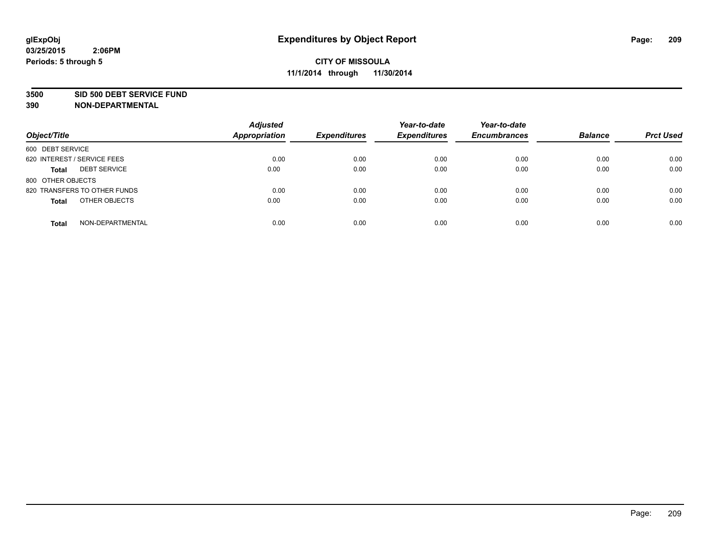#### **3500 SID 500 DEBT SERVICE FUND**

| Object/Title                        | <b>Adjusted</b><br><b>Appropriation</b> | <b>Expenditures</b> | Year-to-date<br><b>Expenditures</b> | Year-to-date<br><b>Encumbrances</b> | <b>Balance</b> | <b>Prct Used</b> |
|-------------------------------------|-----------------------------------------|---------------------|-------------------------------------|-------------------------------------|----------------|------------------|
| 600 DEBT SERVICE                    |                                         |                     |                                     |                                     |                |                  |
| 620 INTEREST / SERVICE FEES         | 0.00                                    | 0.00                | 0.00                                | 0.00                                | 0.00           | 0.00             |
| <b>DEBT SERVICE</b><br><b>Total</b> | 0.00                                    | 0.00                | 0.00                                | 0.00                                | 0.00           | 0.00             |
| 800 OTHER OBJECTS                   |                                         |                     |                                     |                                     |                |                  |
| 820 TRANSFERS TO OTHER FUNDS        | 0.00                                    | 0.00                | 0.00                                | 0.00                                | 0.00           | 0.00             |
| OTHER OBJECTS<br><b>Total</b>       | 0.00                                    | 0.00                | 0.00                                | 0.00                                | 0.00           | 0.00             |
| NON-DEPARTMENTAL<br><b>Total</b>    | 0.00                                    | 0.00                | 0.00                                | 0.00                                | 0.00           | 0.00             |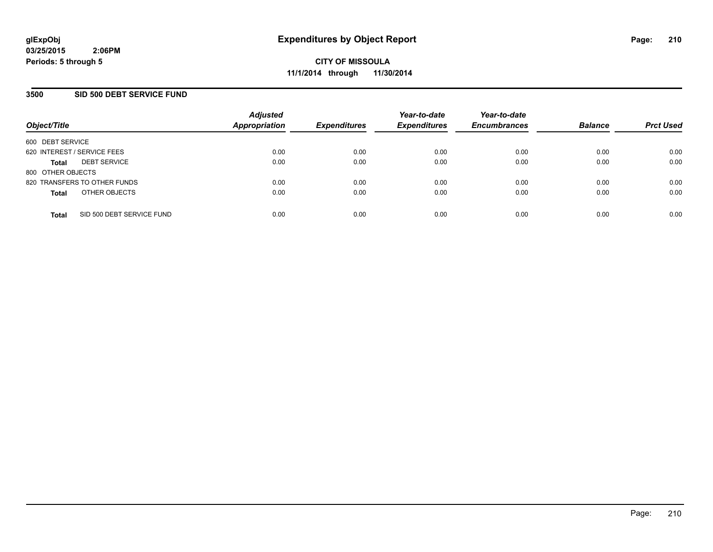## **3500 SID 500 DEBT SERVICE FUND**

| Object/Title                              | <b>Adjusted</b><br><b>Appropriation</b> | <b>Expenditures</b> | Year-to-date<br><b>Expenditures</b> | Year-to-date<br><b>Encumbrances</b> | <b>Balance</b> | <b>Prct Used</b> |
|-------------------------------------------|-----------------------------------------|---------------------|-------------------------------------|-------------------------------------|----------------|------------------|
| 600 DEBT SERVICE                          |                                         |                     |                                     |                                     |                |                  |
| 620 INTEREST / SERVICE FEES               | 0.00                                    | 0.00                | 0.00                                | 0.00                                | 0.00           | 0.00             |
| <b>DEBT SERVICE</b><br><b>Total</b>       | 0.00                                    | 0.00                | 0.00                                | 0.00                                | 0.00           | 0.00             |
| 800 OTHER OBJECTS                         |                                         |                     |                                     |                                     |                |                  |
| 820 TRANSFERS TO OTHER FUNDS              | 0.00                                    | 0.00                | 0.00                                | 0.00                                | 0.00           | 0.00             |
| OTHER OBJECTS<br><b>Total</b>             | 0.00                                    | 0.00                | 0.00                                | 0.00                                | 0.00           | 0.00             |
| SID 500 DEBT SERVICE FUND<br><b>Total</b> | 0.00                                    | 0.00                | 0.00                                | 0.00                                | 0.00           | 0.00             |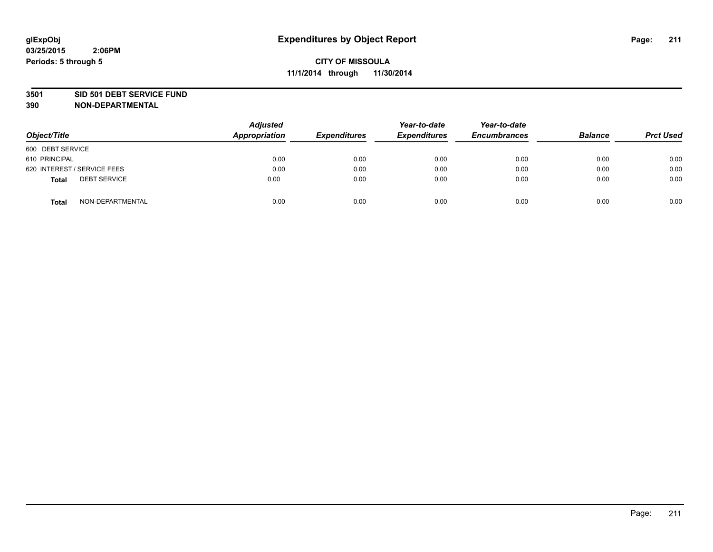### **3501 SID 501 DEBT SERVICE FUND**

| Object/Title                 | <b>Adjusted</b><br><b>Appropriation</b> | <b>Expenditures</b> | Year-to-date<br><b>Expenditures</b> | Year-to-date<br><b>Encumbrances</b> | <b>Balance</b> | <b>Prct Used</b> |
|------------------------------|-----------------------------------------|---------------------|-------------------------------------|-------------------------------------|----------------|------------------|
| 600 DEBT SERVICE             |                                         |                     |                                     |                                     |                |                  |
| 610 PRINCIPAL                | 0.00                                    | 0.00                | 0.00                                | 0.00                                | 0.00           | 0.00             |
| 620 INTEREST / SERVICE FEES  | 0.00                                    | 0.00                | 0.00                                | 0.00                                | 0.00           | 0.00             |
| <b>DEBT SERVICE</b><br>Total | 0.00                                    | 0.00                | 0.00                                | 0.00                                | 0.00           | 0.00             |
| NON-DEPARTMENTAL<br>Total    | 0.00                                    | 0.00                | 0.00                                | 0.00                                | 0.00           | 0.00             |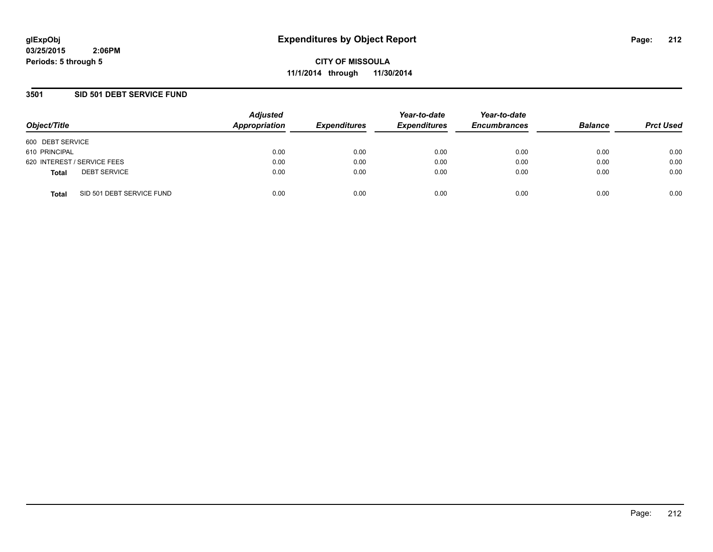**CITY OF MISSOULA 11/1/2014 through 11/30/2014**

## **3501 SID 501 DEBT SERVICE FUND**

| Object/Title                              | <b>Adjusted</b><br>Appropriation | <b>Expenditures</b> | Year-to-date<br><b>Expenditures</b> | Year-to-date<br><b>Encumbrances</b> | <b>Balance</b> | <b>Prct Used</b> |
|-------------------------------------------|----------------------------------|---------------------|-------------------------------------|-------------------------------------|----------------|------------------|
| 600 DEBT SERVICE                          |                                  |                     |                                     |                                     |                |                  |
| 610 PRINCIPAL                             | 0.00                             | 0.00                | 0.00                                | 0.00                                | 0.00           | 0.00             |
| 620 INTEREST / SERVICE FEES               | 0.00                             | 0.00                | 0.00                                | 0.00                                | 0.00           | 0.00             |
| <b>DEBT SERVICE</b><br><b>Total</b>       | 0.00                             | 0.00                | 0.00                                | 0.00                                | 0.00           | 0.00             |
| SID 501 DEBT SERVICE FUND<br><b>Total</b> | 0.00                             | 0.00                | 0.00                                | 0.00                                | 0.00           | 0.00             |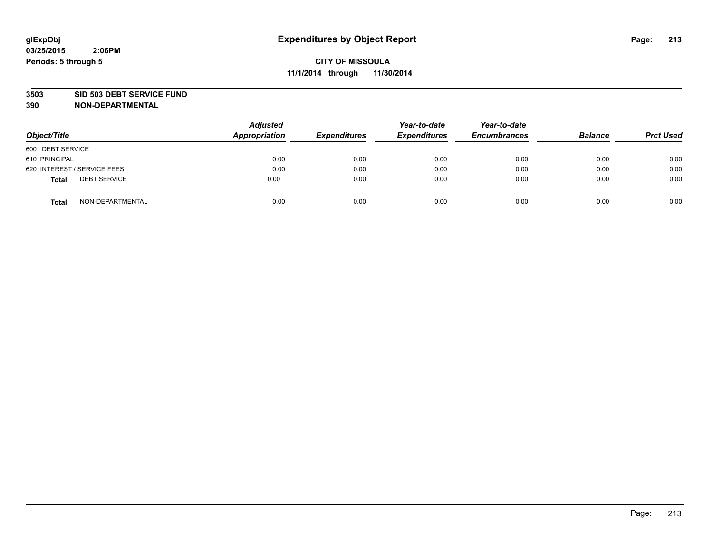#### **3503 SID 503 DEBT SERVICE FUND**

| Object/Title                        | <b>Adjusted</b><br>Appropriation | <b>Expenditures</b> | Year-to-date<br><b>Expenditures</b> | Year-to-date<br><b>Encumbrances</b> | <b>Balance</b> | <b>Prct Used</b> |
|-------------------------------------|----------------------------------|---------------------|-------------------------------------|-------------------------------------|----------------|------------------|
| 600 DEBT SERVICE                    |                                  |                     |                                     |                                     |                |                  |
| 610 PRINCIPAL                       | 0.00                             | 0.00                | 0.00                                | 0.00                                | 0.00           | 0.00             |
| 620 INTEREST / SERVICE FEES         | 0.00                             | 0.00                | 0.00                                | 0.00                                | 0.00           | 0.00             |
| <b>DEBT SERVICE</b><br><b>Total</b> | 0.00                             | 0.00                | 0.00                                | 0.00                                | 0.00           | 0.00             |
| NON-DEPARTMENTAL<br><b>Total</b>    | 0.00                             | 0.00                | 0.00                                | 0.00                                | 0.00           | 0.00             |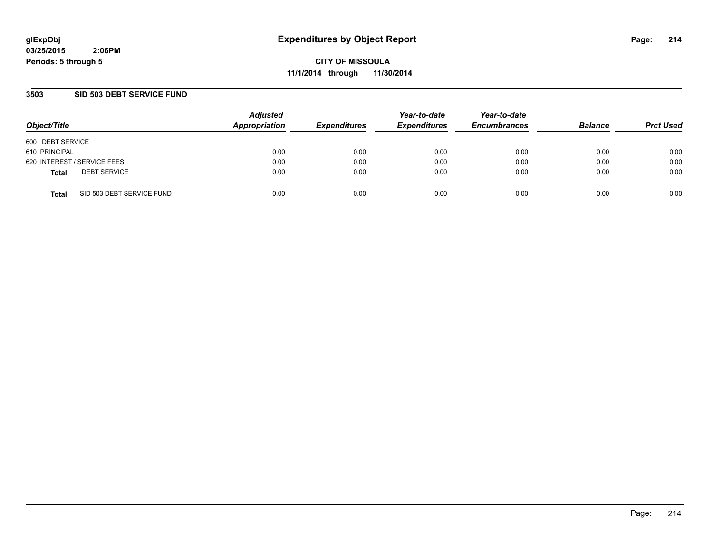**CITY OF MISSOULA 11/1/2014 through 11/30/2014**

## **3503 SID 503 DEBT SERVICE FUND**

| Object/Title                              | <b>Adjusted</b><br>Appropriation | <b>Expenditures</b> | Year-to-date<br><b>Expenditures</b> | Year-to-date<br><b>Encumbrances</b> | <b>Balance</b> | <b>Prct Used</b> |
|-------------------------------------------|----------------------------------|---------------------|-------------------------------------|-------------------------------------|----------------|------------------|
| 600 DEBT SERVICE                          |                                  |                     |                                     |                                     |                |                  |
| 610 PRINCIPAL                             | 0.00                             | 0.00                | 0.00                                | 0.00                                | 0.00           | 0.00             |
| 620 INTEREST / SERVICE FEES               | 0.00                             | 0.00                | 0.00                                | 0.00                                | 0.00           | 0.00             |
| <b>DEBT SERVICE</b><br><b>Total</b>       | 0.00                             | 0.00                | 0.00                                | 0.00                                | 0.00           | 0.00             |
| SID 503 DEBT SERVICE FUND<br><b>Total</b> | 0.00                             | 0.00                | 0.00                                | 0.00                                | 0.00           | 0.00             |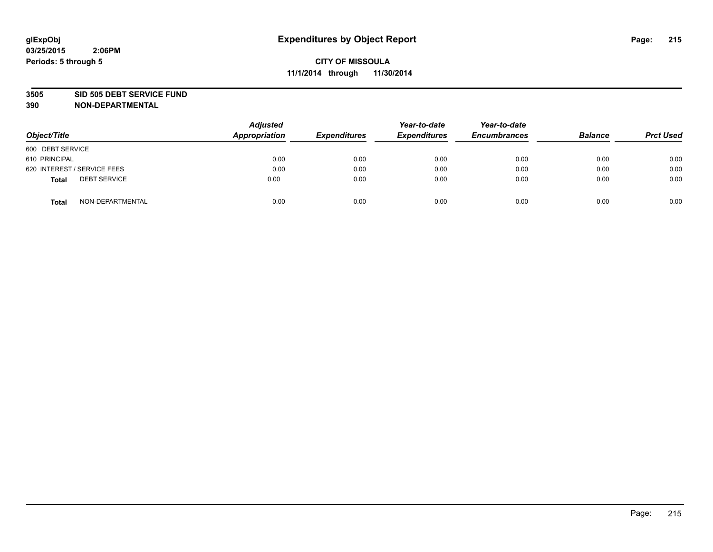#### **3505 SID 505 DEBT SERVICE FUND**

| Object/Title                        | <b>Adjusted</b><br>Appropriation | <b>Expenditures</b> | Year-to-date<br><b>Expenditures</b> | Year-to-date<br><b>Encumbrances</b> | <b>Balance</b> | <b>Prct Used</b> |
|-------------------------------------|----------------------------------|---------------------|-------------------------------------|-------------------------------------|----------------|------------------|
| 600 DEBT SERVICE                    |                                  |                     |                                     |                                     |                |                  |
| 610 PRINCIPAL                       | 0.00                             | 0.00                | 0.00                                | 0.00                                | 0.00           | 0.00             |
| 620 INTEREST / SERVICE FEES         | 0.00                             | 0.00                | 0.00                                | 0.00                                | 0.00           | 0.00             |
| <b>DEBT SERVICE</b><br><b>Total</b> | 0.00                             | 0.00                | 0.00                                | 0.00                                | 0.00           | 0.00             |
| NON-DEPARTMENTAL<br><b>Total</b>    | 0.00                             | 0.00                | 0.00                                | 0.00                                | 0.00           | 0.00             |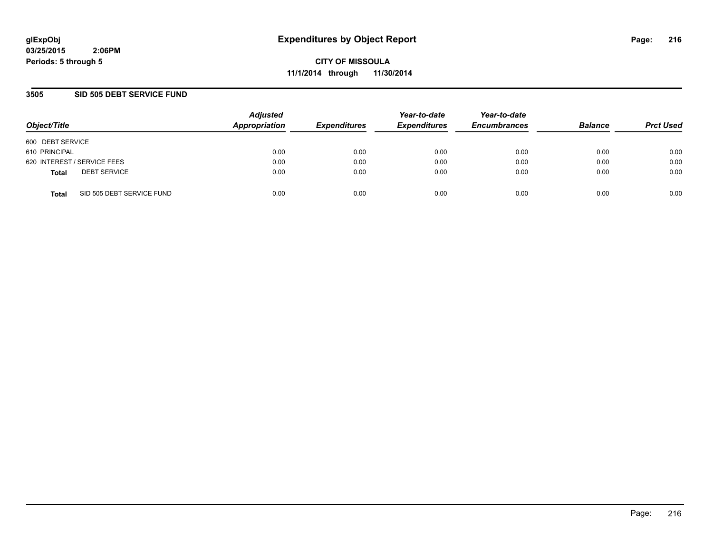**CITY OF MISSOULA 11/1/2014 through 11/30/2014**

## **3505 SID 505 DEBT SERVICE FUND**

| Object/Title                              | <b>Adjusted</b><br>Appropriation | <b>Expenditures</b> | Year-to-date<br><b>Expenditures</b> | Year-to-date<br><b>Encumbrances</b> | <b>Balance</b> | <b>Prct Used</b> |
|-------------------------------------------|----------------------------------|---------------------|-------------------------------------|-------------------------------------|----------------|------------------|
| 600 DEBT SERVICE                          |                                  |                     |                                     |                                     |                |                  |
| 610 PRINCIPAL                             | 0.00                             | 0.00                | 0.00                                | 0.00                                | 0.00           | 0.00             |
| 620 INTEREST / SERVICE FEES               | 0.00                             | 0.00                | 0.00                                | 0.00                                | 0.00           | 0.00             |
| <b>DEBT SERVICE</b><br><b>Total</b>       | 0.00                             | 0.00                | 0.00                                | 0.00                                | 0.00           | 0.00             |
| SID 505 DEBT SERVICE FUND<br><b>Total</b> | 0.00                             | 0.00                | 0.00                                | 0.00                                | 0.00           | 0.00             |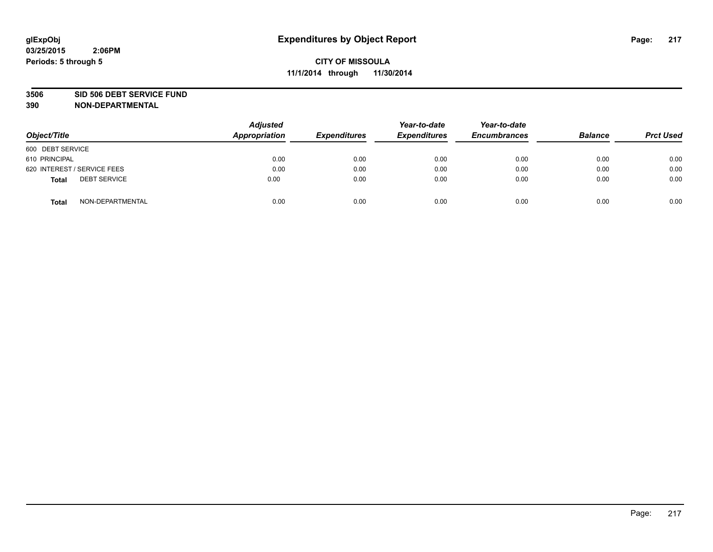#### **3506 SID 506 DEBT SERVICE FUND**

| Object/Title                 | <b>Adjusted</b><br>Appropriation | <b>Expenditures</b> | Year-to-date<br><b>Expenditures</b> | Year-to-date<br><b>Encumbrances</b> | <b>Balance</b> | <b>Prct Used</b> |
|------------------------------|----------------------------------|---------------------|-------------------------------------|-------------------------------------|----------------|------------------|
| 600 DEBT SERVICE             |                                  |                     |                                     |                                     |                |                  |
| 610 PRINCIPAL                | 0.00                             | 0.00                | 0.00                                | 0.00                                | 0.00           | 0.00             |
| 620 INTEREST / SERVICE FEES  | 0.00                             | 0.00                | 0.00                                | 0.00                                | 0.00           | 0.00             |
| <b>DEBT SERVICE</b><br>Total | 0.00                             | 0.00                | 0.00                                | 0.00                                | 0.00           | 0.00             |
| NON-DEPARTMENTAL<br>Total    | 0.00                             | 0.00                | 0.00                                | 0.00                                | 0.00           | 0.00             |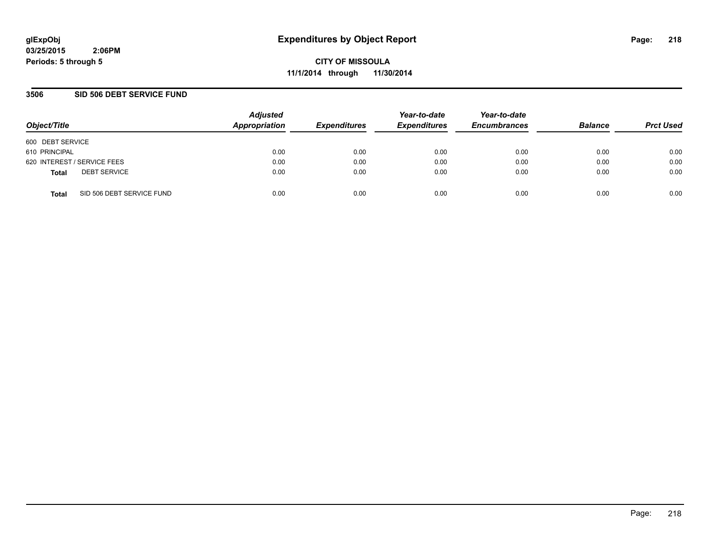**CITY OF MISSOULA 11/1/2014 through 11/30/2014**

### **3506 SID 506 DEBT SERVICE FUND**

| Object/Title                              | <b>Adjusted</b><br>Appropriation | <b>Expenditures</b> | Year-to-date<br><b>Expenditures</b> | Year-to-date<br><b>Encumbrances</b> | <b>Balance</b> | <b>Prct Used</b> |
|-------------------------------------------|----------------------------------|---------------------|-------------------------------------|-------------------------------------|----------------|------------------|
| 600 DEBT SERVICE                          |                                  |                     |                                     |                                     |                |                  |
| 610 PRINCIPAL                             | 0.00                             | 0.00                | 0.00                                | 0.00                                | 0.00           | 0.00             |
| 620 INTEREST / SERVICE FEES               | 0.00                             | 0.00                | 0.00                                | 0.00                                | 0.00           | 0.00             |
| <b>DEBT SERVICE</b><br><b>Total</b>       | 0.00                             | 0.00                | 0.00                                | 0.00                                | 0.00           | 0.00             |
| SID 506 DEBT SERVICE FUND<br><b>Total</b> | 0.00                             | 0.00                | 0.00                                | 0.00                                | 0.00           | 0.00             |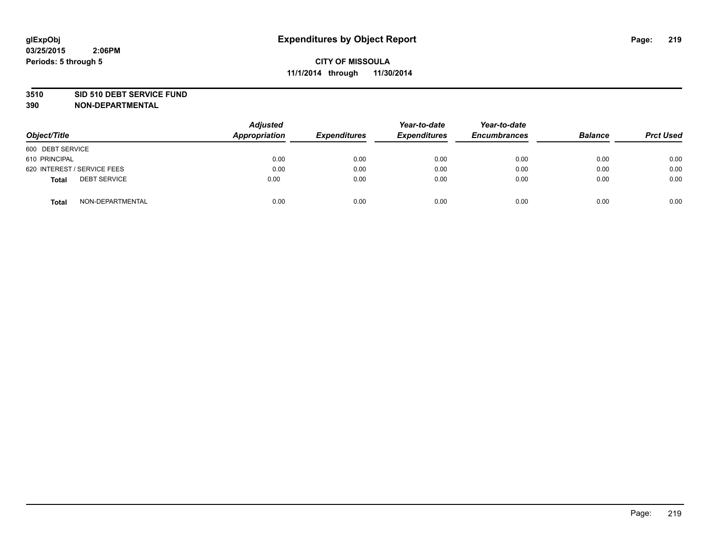#### **3510 SID 510 DEBT SERVICE FUND**

| Object/Title                        | <b>Adjusted</b><br>Appropriation | <b>Expenditures</b> | Year-to-date<br><b>Expenditures</b> | Year-to-date<br><b>Encumbrances</b> | <b>Balance</b> | <b>Prct Used</b> |
|-------------------------------------|----------------------------------|---------------------|-------------------------------------|-------------------------------------|----------------|------------------|
| 600 DEBT SERVICE                    |                                  |                     |                                     |                                     |                |                  |
| 610 PRINCIPAL                       | 0.00                             | 0.00                | 0.00                                | 0.00                                | 0.00           | 0.00             |
| 620 INTEREST / SERVICE FEES         | 0.00                             | 0.00                | 0.00                                | 0.00                                | 0.00           | 0.00             |
| <b>DEBT SERVICE</b><br><b>Total</b> | 0.00                             | 0.00                | 0.00                                | 0.00                                | 0.00           | 0.00             |
| NON-DEPARTMENTAL<br><b>Total</b>    | 0.00                             | 0.00                | 0.00                                | 0.00                                | 0.00           | 0.00             |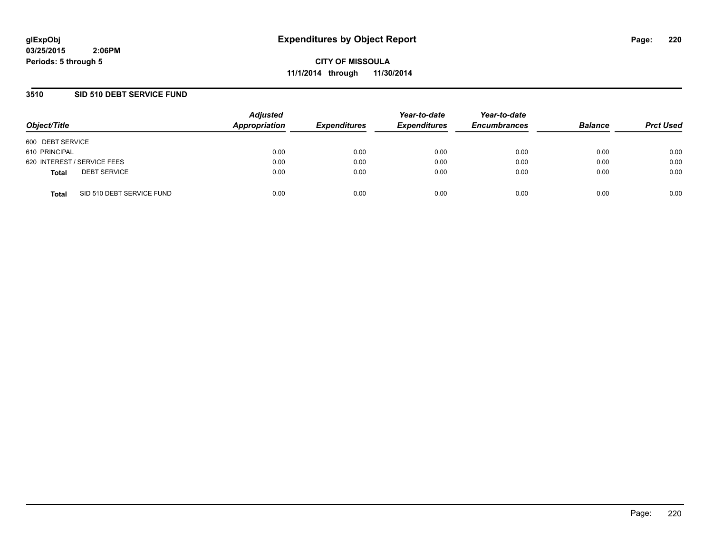**CITY OF MISSOULA 11/1/2014 through 11/30/2014**

### **3510 SID 510 DEBT SERVICE FUND**

| Object/Title                              | <b>Adjusted</b><br>Appropriation | <b>Expenditures</b> | Year-to-date<br><b>Expenditures</b> | Year-to-date<br><b>Encumbrances</b> | <b>Balance</b> | <b>Prct Used</b> |
|-------------------------------------------|----------------------------------|---------------------|-------------------------------------|-------------------------------------|----------------|------------------|
| 600 DEBT SERVICE                          |                                  |                     |                                     |                                     |                |                  |
| 610 PRINCIPAL                             | 0.00                             | 0.00                | 0.00                                | 0.00                                | 0.00           | 0.00             |
| 620 INTEREST / SERVICE FEES               | 0.00                             | 0.00                | 0.00                                | 0.00                                | 0.00           | 0.00             |
| <b>DEBT SERVICE</b><br><b>Total</b>       | 0.00                             | 0.00                | 0.00                                | 0.00                                | 0.00           | 0.00             |
| SID 510 DEBT SERVICE FUND<br><b>Total</b> | 0.00                             | 0.00                | 0.00                                | 0.00                                | 0.00           | 0.00             |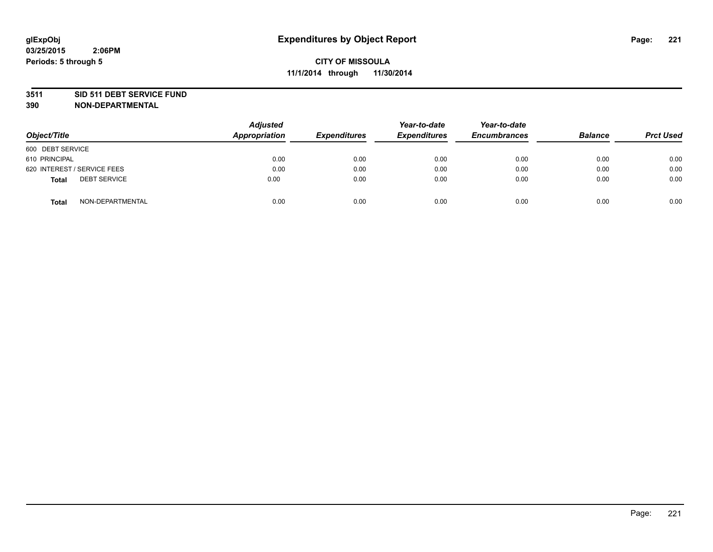#### **3511 SID 511 DEBT SERVICE FUND**

| Object/Title                        | <b>Adjusted</b><br><b>Appropriation</b> | <b>Expenditures</b> | Year-to-date<br><b>Expenditures</b> | Year-to-date<br><b>Encumbrances</b> | <b>Balance</b> | <b>Prct Used</b> |
|-------------------------------------|-----------------------------------------|---------------------|-------------------------------------|-------------------------------------|----------------|------------------|
| 600 DEBT SERVICE                    |                                         |                     |                                     |                                     |                |                  |
| 610 PRINCIPAL                       | 0.00                                    | 0.00                | 0.00                                | 0.00                                | 0.00           | 0.00             |
| 620 INTEREST / SERVICE FEES         | 0.00                                    | 0.00                | 0.00                                | 0.00                                | 0.00           | 0.00             |
| <b>DEBT SERVICE</b><br><b>Total</b> | 0.00                                    | 0.00                | 0.00                                | 0.00                                | 0.00           | 0.00             |
| NON-DEPARTMENTAL<br><b>Total</b>    | 0.00                                    | 0.00                | 0.00                                | 0.00                                | 0.00           | 0.00             |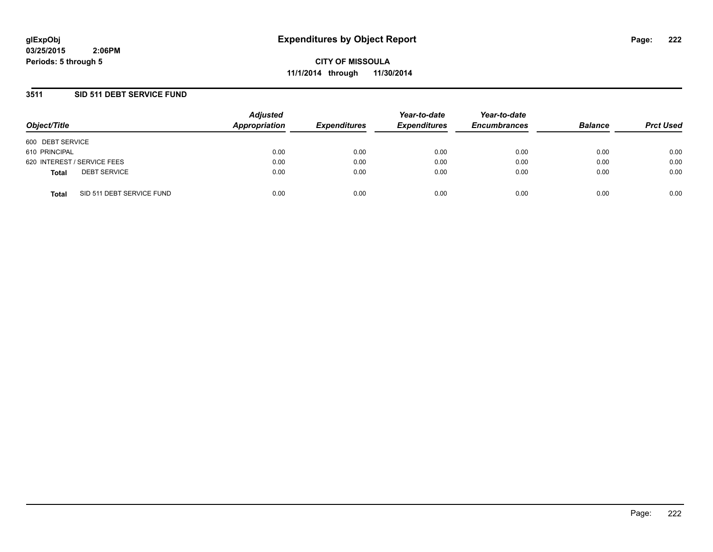**CITY OF MISSOULA 11/1/2014 through 11/30/2014**

### **3511 SID 511 DEBT SERVICE FUND**

| Object/Title                              | <b>Adjusted</b><br>Appropriation | <b>Expenditures</b> | Year-to-date<br><b>Expenditures</b> | Year-to-date<br><b>Encumbrances</b> | <b>Balance</b> | <b>Prct Used</b> |
|-------------------------------------------|----------------------------------|---------------------|-------------------------------------|-------------------------------------|----------------|------------------|
| 600 DEBT SERVICE                          |                                  |                     |                                     |                                     |                |                  |
| 610 PRINCIPAL                             | 0.00                             | 0.00                | 0.00                                | 0.00                                | 0.00           | 0.00             |
| 620 INTEREST / SERVICE FEES               | 0.00                             | 0.00                | 0.00                                | 0.00                                | 0.00           | 0.00             |
| <b>DEBT SERVICE</b><br><b>Total</b>       | 0.00                             | 0.00                | 0.00                                | 0.00                                | 0.00           | 0.00             |
| SID 511 DEBT SERVICE FUND<br><b>Total</b> | 0.00                             | 0.00                | 0.00                                | 0.00                                | 0.00           | 0.00             |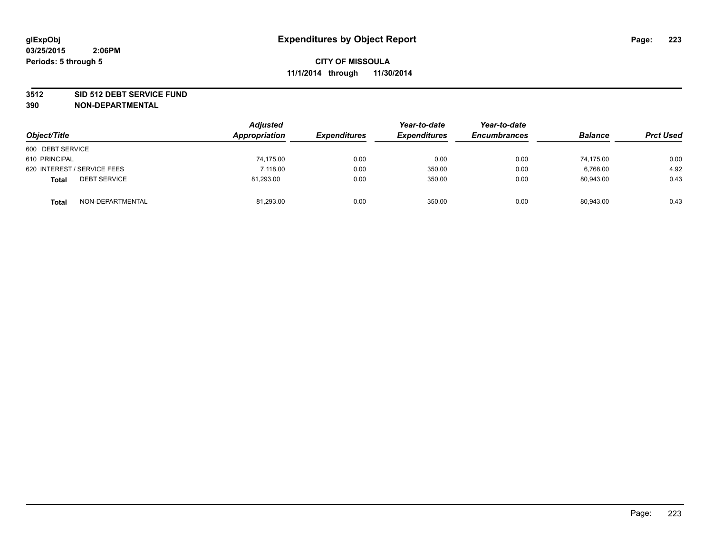#### **3512 SID 512 DEBT SERVICE FUND**

| Object/Title                        | <b>Adjusted</b><br>Appropriation | <b>Expenditures</b> | Year-to-date<br><b>Expenditures</b> | Year-to-date<br><b>Encumbrances</b> | <b>Balance</b> | <b>Prct Used</b> |
|-------------------------------------|----------------------------------|---------------------|-------------------------------------|-------------------------------------|----------------|------------------|
| 600 DEBT SERVICE                    |                                  |                     |                                     |                                     |                |                  |
| 610 PRINCIPAL                       | 74,175.00                        | 0.00                | 0.00                                | 0.00                                | 74.175.00      | 0.00             |
| 620 INTEREST / SERVICE FEES         | 7.118.00                         | 0.00                | 350.00                              | 0.00                                | 6,768.00       | 4.92             |
| <b>DEBT SERVICE</b><br><b>Total</b> | 81.293.00                        | 0.00                | 350.00                              | 0.00                                | 80.943.00      | 0.43             |
| NON-DEPARTMENTAL<br><b>Total</b>    | 81,293.00                        | 0.00                | 350.00                              | 0.00                                | 80,943.00      | 0.43             |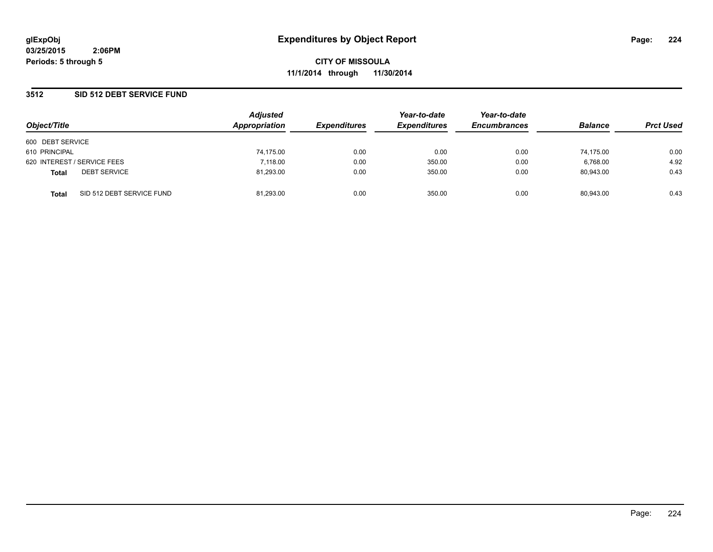### **3512 SID 512 DEBT SERVICE FUND**

| Object/Title                              |  | <b>Adjusted</b> | Year-to-date        | Year-to-date        |                     |                |                  |
|-------------------------------------------|--|-----------------|---------------------|---------------------|---------------------|----------------|------------------|
|                                           |  | Appropriation   | <b>Expenditures</b> | <b>Expenditures</b> | <b>Encumbrances</b> | <b>Balance</b> | <b>Prct Used</b> |
| 600 DEBT SERVICE                          |  |                 |                     |                     |                     |                |                  |
| 610 PRINCIPAL                             |  | 74,175.00       | 0.00                | 0.00                | 0.00                | 74.175.00      | 0.00             |
| 620 INTEREST / SERVICE FEES               |  | 7.118.00        | 0.00                | 350.00              | 0.00                | 6,768.00       | 4.92             |
| <b>DEBT SERVICE</b><br><b>Total</b>       |  | 81,293.00       | 0.00                | 350.00              | 0.00                | 80.943.00      | 0.43             |
| SID 512 DEBT SERVICE FUND<br><b>Total</b> |  | 81.293.00       | 0.00                | 350.00              | 0.00                | 80.943.00      | 0.43             |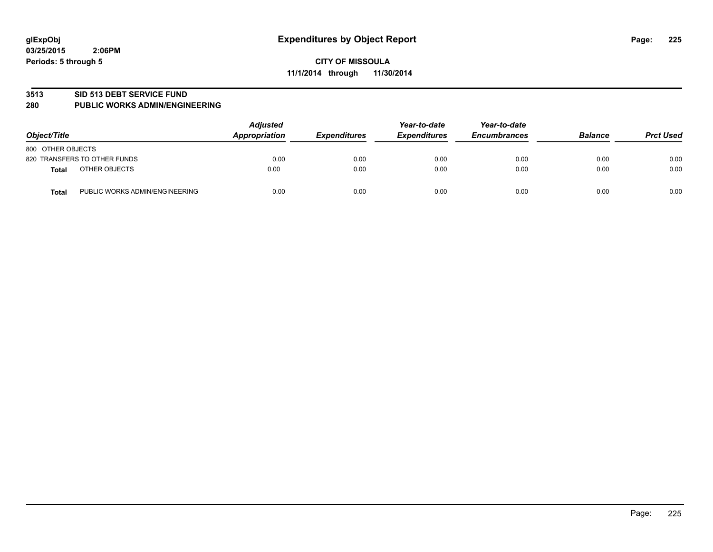#### **3513 SID 513 DEBT SERVICE FUND**

#### **280 PUBLIC WORKS ADMIN/ENGINEERING**

| Object/Title                                   | <b>Adjusted</b><br>Appropriation | <b>Expenditures</b> | Year-to-date<br><b>Expenditures</b> | Year-to-date<br><b>Encumbrances</b> | <b>Balance</b> | <b>Prct Used</b> |
|------------------------------------------------|----------------------------------|---------------------|-------------------------------------|-------------------------------------|----------------|------------------|
| 800 OTHER OBJECTS                              |                                  |                     |                                     |                                     |                |                  |
| 820 TRANSFERS TO OTHER FUNDS                   | 0.00                             | 0.00                | 0.00                                | 0.00                                | 0.00           | 0.00             |
| OTHER OBJECTS<br><b>Total</b>                  | 0.00                             | 0.00                | 0.00                                | 0.00                                | 0.00           | 0.00             |
| PUBLIC WORKS ADMIN/ENGINEERING<br><b>Total</b> | 0.00                             | 0.00                | 0.00                                | 0.00                                | 0.00           | 0.00             |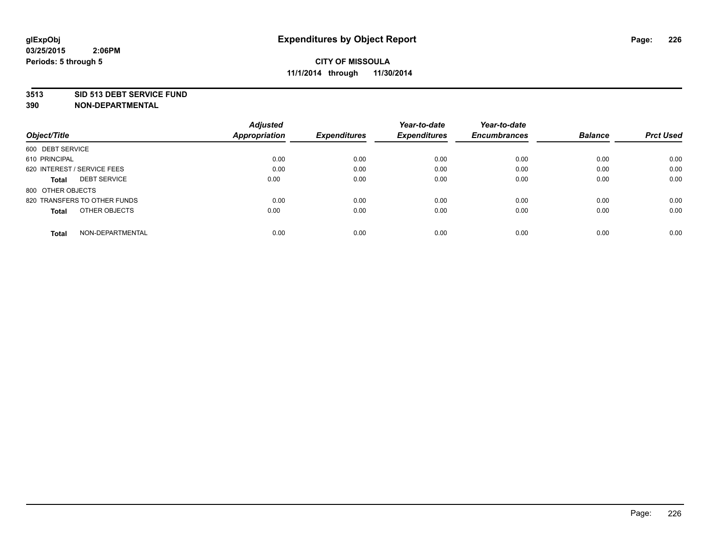#### **3513 SID 513 DEBT SERVICE FUND**

|                                     | <b>Adjusted</b> |                     | Year-to-date        | Year-to-date        |                |                  |
|-------------------------------------|-----------------|---------------------|---------------------|---------------------|----------------|------------------|
| Object/Title                        | Appropriation   | <b>Expenditures</b> | <b>Expenditures</b> | <b>Encumbrances</b> | <b>Balance</b> | <b>Prct Used</b> |
| 600 DEBT SERVICE                    |                 |                     |                     |                     |                |                  |
| 610 PRINCIPAL                       | 0.00            | 0.00                | 0.00                | 0.00                | 0.00           | 0.00             |
| 620 INTEREST / SERVICE FEES         | 0.00            | 0.00                | 0.00                | 0.00                | 0.00           | 0.00             |
| <b>DEBT SERVICE</b><br><b>Total</b> | 0.00            | 0.00                | 0.00                | 0.00                | 0.00           | 0.00             |
| 800 OTHER OBJECTS                   |                 |                     |                     |                     |                |                  |
| 820 TRANSFERS TO OTHER FUNDS        | 0.00            | 0.00                | 0.00                | 0.00                | 0.00           | 0.00             |
| OTHER OBJECTS<br><b>Total</b>       | 0.00            | 0.00                | 0.00                | 0.00                | 0.00           | 0.00             |
| NON-DEPARTMENTAL<br>Total           | 0.00            | 0.00                | 0.00                | 0.00                | 0.00           | 0.00             |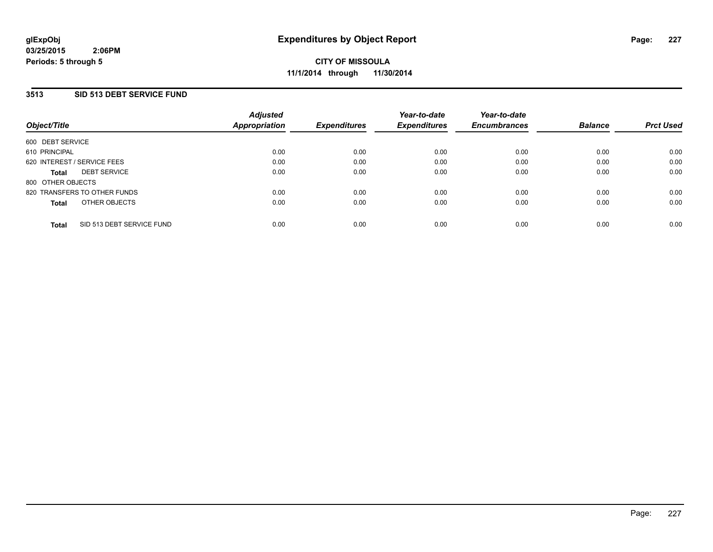## **3513 SID 513 DEBT SERVICE FUND**

| Object/Title                 |                           | <b>Adjusted</b><br>Appropriation | <b>Expenditures</b> | Year-to-date<br><b>Expenditures</b> | Year-to-date<br><b>Encumbrances</b> | <b>Balance</b> | <b>Prct Used</b> |
|------------------------------|---------------------------|----------------------------------|---------------------|-------------------------------------|-------------------------------------|----------------|------------------|
| 600 DEBT SERVICE             |                           |                                  |                     |                                     |                                     |                |                  |
| 610 PRINCIPAL                |                           | 0.00                             | 0.00                | 0.00                                | 0.00                                | 0.00           | 0.00             |
| 620 INTEREST / SERVICE FEES  |                           | 0.00                             | 0.00                | 0.00                                | 0.00                                | 0.00           | 0.00             |
| <b>Total</b>                 | <b>DEBT SERVICE</b>       | 0.00                             | 0.00                | 0.00                                | 0.00                                | 0.00           | 0.00             |
| 800 OTHER OBJECTS            |                           |                                  |                     |                                     |                                     |                |                  |
| 820 TRANSFERS TO OTHER FUNDS |                           | 0.00                             | 0.00                | 0.00                                | 0.00                                | 0.00           | 0.00             |
| <b>Total</b>                 | OTHER OBJECTS             | 0.00                             | 0.00                | 0.00                                | 0.00                                | 0.00           | 0.00             |
| <b>Total</b>                 | SID 513 DEBT SERVICE FUND | 0.00                             | 0.00                | 0.00                                | 0.00                                | 0.00           | 0.00             |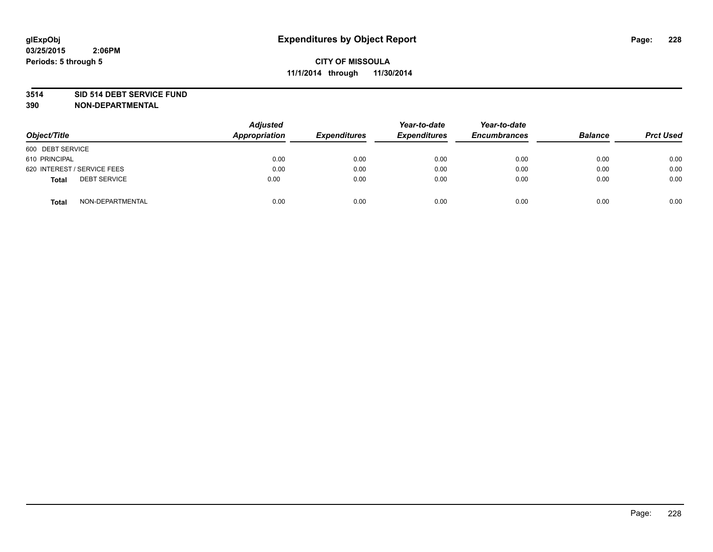#### **3514 SID 514 DEBT SERVICE FUND**

| Object/Title                        | <b>Adjusted</b><br>Appropriation | <b>Expenditures</b> | Year-to-date<br><b>Expenditures</b> | Year-to-date<br><b>Encumbrances</b> | <b>Balance</b> | <b>Prct Used</b> |
|-------------------------------------|----------------------------------|---------------------|-------------------------------------|-------------------------------------|----------------|------------------|
| 600 DEBT SERVICE                    |                                  |                     |                                     |                                     |                |                  |
| 610 PRINCIPAL                       | 0.00                             | 0.00                | 0.00                                | 0.00                                | 0.00           | 0.00             |
| 620 INTEREST / SERVICE FEES         | 0.00                             | 0.00                | 0.00                                | 0.00                                | 0.00           | 0.00             |
| <b>DEBT SERVICE</b><br><b>Total</b> | 0.00                             | 0.00                | 0.00                                | 0.00                                | 0.00           | 0.00             |
| NON-DEPARTMENTAL<br><b>Total</b>    | 0.00                             | 0.00                | 0.00                                | 0.00                                | 0.00           | 0.00             |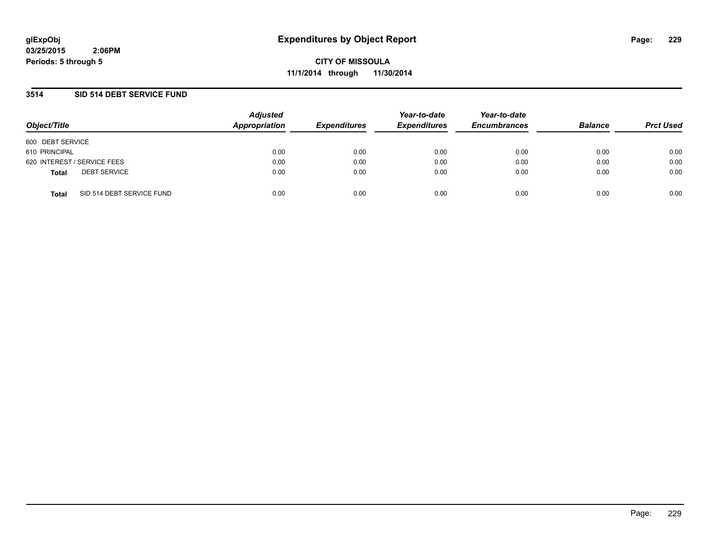**CITY OF MISSOULA 11/1/2014 through 11/30/2014**

### **3514 SID 514 DEBT SERVICE FUND**

| Object/Title                              | <b>Adjusted</b><br>Appropriation | <b>Expenditures</b> | Year-to-date<br><b>Expenditures</b> | Year-to-date<br><b>Encumbrances</b> | <b>Balance</b> | <b>Prct Used</b> |
|-------------------------------------------|----------------------------------|---------------------|-------------------------------------|-------------------------------------|----------------|------------------|
| 600 DEBT SERVICE                          |                                  |                     |                                     |                                     |                |                  |
| 610 PRINCIPAL                             | 0.00                             | 0.00                | 0.00                                | 0.00                                | 0.00           | 0.00             |
| 620 INTEREST / SERVICE FEES               | 0.00                             | 0.00                | 0.00                                | 0.00                                | 0.00           | 0.00             |
| <b>DEBT SERVICE</b><br><b>Total</b>       | 0.00                             | 0.00                | 0.00                                | 0.00                                | 0.00           | 0.00             |
| SID 514 DEBT SERVICE FUND<br><b>Total</b> | 0.00                             | 0.00                | 0.00                                | 0.00                                | 0.00           | 0.00             |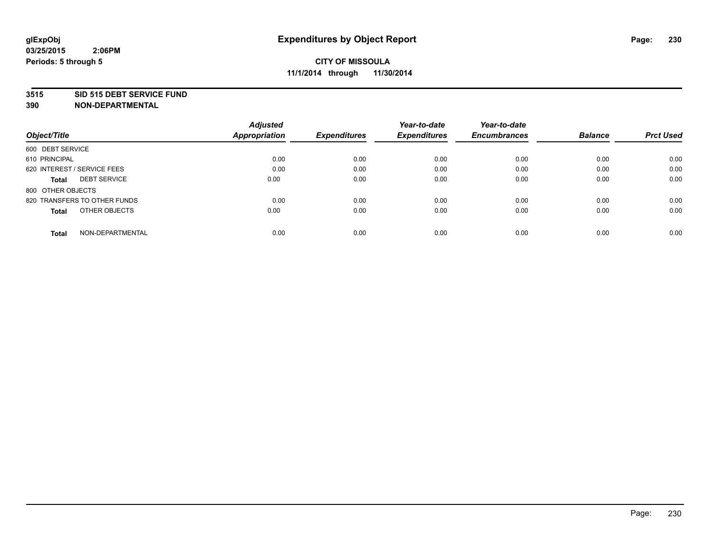#### **3515 SID 515 DEBT SERVICE FUND**

|                                     | <b>Adjusted</b>      |                     | Year-to-date        | Year-to-date        |                |                  |
|-------------------------------------|----------------------|---------------------|---------------------|---------------------|----------------|------------------|
| Object/Title                        | <b>Appropriation</b> | <b>Expenditures</b> | <b>Expenditures</b> | <b>Encumbrances</b> | <b>Balance</b> | <b>Prct Used</b> |
| 600 DEBT SERVICE                    |                      |                     |                     |                     |                |                  |
| 610 PRINCIPAL                       | 0.00                 | 0.00                | 0.00                | 0.00                | 0.00           | 0.00             |
| 620 INTEREST / SERVICE FEES         | 0.00                 | 0.00                | 0.00                | 0.00                | 0.00           | 0.00             |
| <b>DEBT SERVICE</b><br><b>Total</b> | 0.00                 | 0.00                | 0.00                | 0.00                | 0.00           | 0.00             |
| 800 OTHER OBJECTS                   |                      |                     |                     |                     |                |                  |
| 820 TRANSFERS TO OTHER FUNDS        | 0.00                 | 0.00                | 0.00                | 0.00                | 0.00           | 0.00             |
| OTHER OBJECTS<br><b>Total</b>       | 0.00                 | 0.00                | 0.00                | 0.00                | 0.00           | 0.00             |
| NON-DEPARTMENTAL<br>Total           | 0.00                 | 0.00                | 0.00                | 0.00                | 0.00           | 0.00             |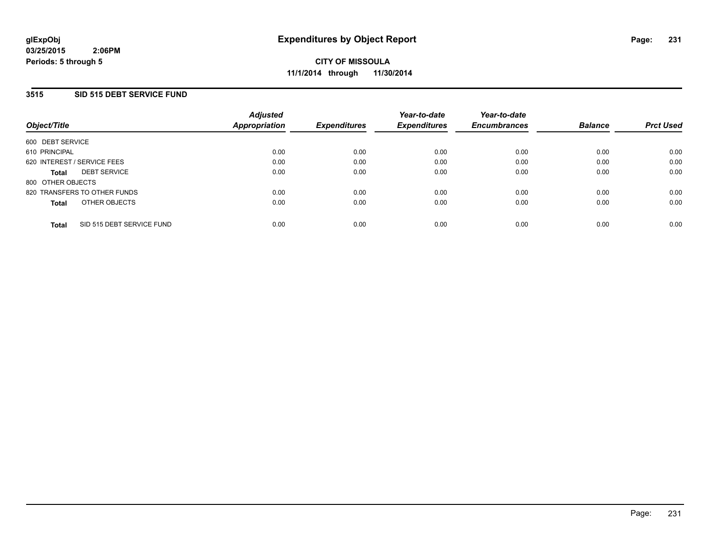### **3515 SID 515 DEBT SERVICE FUND**

| Object/Title                 |                           | <b>Adjusted</b><br>Appropriation | <b>Expenditures</b> | Year-to-date<br><b>Expenditures</b> | Year-to-date<br><b>Encumbrances</b> | <b>Balance</b> | <b>Prct Used</b> |
|------------------------------|---------------------------|----------------------------------|---------------------|-------------------------------------|-------------------------------------|----------------|------------------|
| 600 DEBT SERVICE             |                           |                                  |                     |                                     |                                     |                |                  |
| 610 PRINCIPAL                |                           | 0.00                             | 0.00                | 0.00                                | 0.00                                | 0.00           | 0.00             |
| 620 INTEREST / SERVICE FEES  |                           | 0.00                             | 0.00                | 0.00                                | 0.00                                | 0.00           | 0.00             |
| <b>Total</b>                 | <b>DEBT SERVICE</b>       | 0.00                             | 0.00                | 0.00                                | 0.00                                | 0.00           | 0.00             |
| 800 OTHER OBJECTS            |                           |                                  |                     |                                     |                                     |                |                  |
| 820 TRANSFERS TO OTHER FUNDS |                           | 0.00                             | 0.00                | 0.00                                | 0.00                                | 0.00           | 0.00             |
| <b>Total</b>                 | OTHER OBJECTS             | 0.00                             | 0.00                | 0.00                                | 0.00                                | 0.00           | 0.00             |
| <b>Total</b>                 | SID 515 DEBT SERVICE FUND | 0.00                             | 0.00                | 0.00                                | 0.00                                | 0.00           | 0.00             |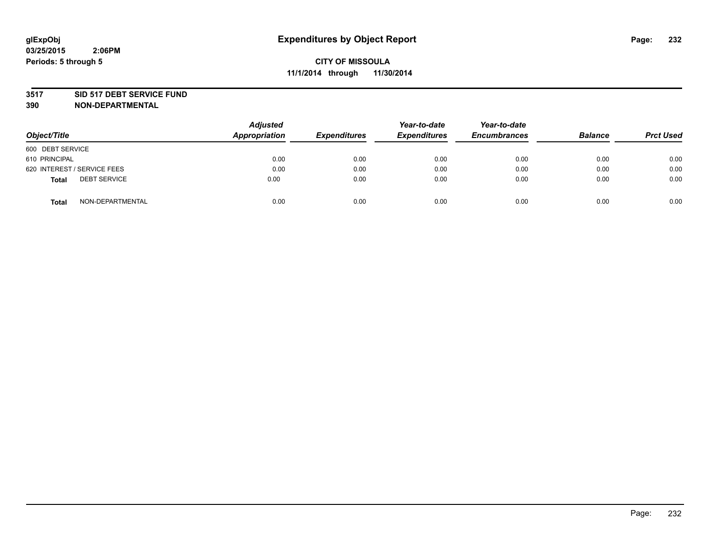#### **3517 SID 517 DEBT SERVICE FUND**

| Object/Title                        | <b>Adjusted</b><br>Appropriation | <b>Expenditures</b> | Year-to-date<br><b>Expenditures</b> | Year-to-date<br><b>Encumbrances</b> | <b>Balance</b> | <b>Prct Used</b> |
|-------------------------------------|----------------------------------|---------------------|-------------------------------------|-------------------------------------|----------------|------------------|
| 600 DEBT SERVICE                    |                                  |                     |                                     |                                     |                |                  |
| 610 PRINCIPAL                       | 0.00                             | 0.00                | 0.00                                | 0.00                                | 0.00           | 0.00             |
| 620 INTEREST / SERVICE FEES         | 0.00                             | 0.00                | 0.00                                | 0.00                                | 0.00           | 0.00             |
| <b>DEBT SERVICE</b><br><b>Total</b> | 0.00                             | 0.00                | 0.00                                | 0.00                                | 0.00           | 0.00             |
| NON-DEPARTMENTAL<br><b>Total</b>    | 0.00                             | 0.00                | 0.00                                | 0.00                                | 0.00           | 0.00             |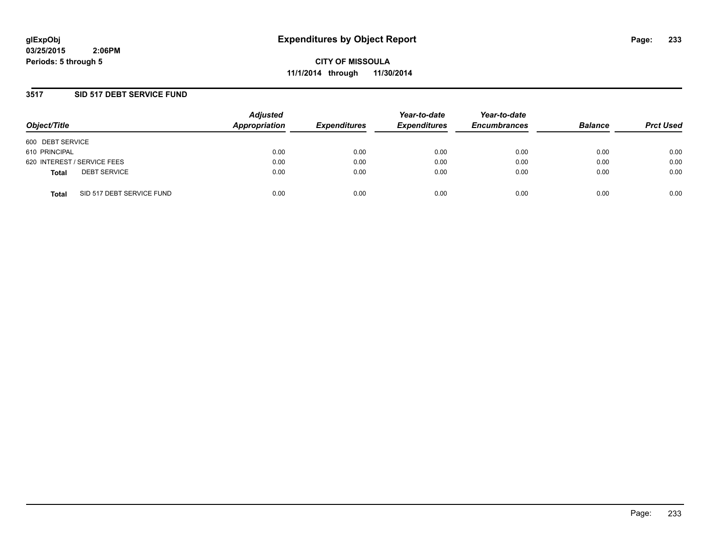**CITY OF MISSOULA 11/1/2014 through 11/30/2014**

### **3517 SID 517 DEBT SERVICE FUND**

| Object/Title                              | <b>Adjusted</b><br>Appropriation | <b>Expenditures</b> | Year-to-date<br><b>Expenditures</b> | Year-to-date<br><b>Encumbrances</b> | <b>Balance</b> | <b>Prct Used</b> |
|-------------------------------------------|----------------------------------|---------------------|-------------------------------------|-------------------------------------|----------------|------------------|
| 600 DEBT SERVICE                          |                                  |                     |                                     |                                     |                |                  |
| 610 PRINCIPAL                             | 0.00                             | 0.00                | 0.00                                | 0.00                                | 0.00           | 0.00             |
| 620 INTEREST / SERVICE FEES               | 0.00                             | 0.00                | 0.00                                | 0.00                                | 0.00           | 0.00             |
| <b>DEBT SERVICE</b><br><b>Total</b>       | 0.00                             | 0.00                | 0.00                                | 0.00                                | 0.00           | 0.00             |
| SID 517 DEBT SERVICE FUND<br><b>Total</b> | 0.00                             | 0.00                | 0.00                                | 0.00                                | 0.00           | 0.00             |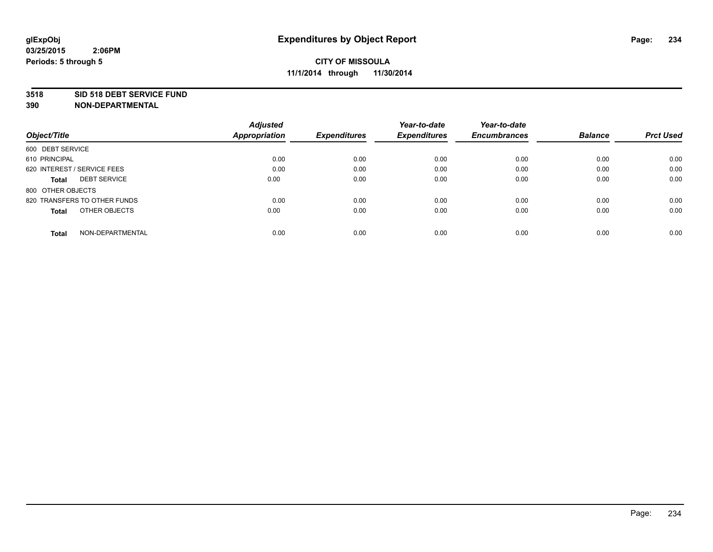#### **3518 SID 518 DEBT SERVICE FUND**

|                                     | <b>Adjusted</b>      |                     | Year-to-date        | Year-to-date        |                |                  |
|-------------------------------------|----------------------|---------------------|---------------------|---------------------|----------------|------------------|
| Object/Title                        | <b>Appropriation</b> | <b>Expenditures</b> | <b>Expenditures</b> | <b>Encumbrances</b> | <b>Balance</b> | <b>Prct Used</b> |
| 600 DEBT SERVICE                    |                      |                     |                     |                     |                |                  |
| 610 PRINCIPAL                       | 0.00                 | 0.00                | 0.00                | 0.00                | 0.00           | 0.00             |
| 620 INTEREST / SERVICE FEES         | 0.00                 | 0.00                | 0.00                | 0.00                | 0.00           | 0.00             |
| <b>DEBT SERVICE</b><br><b>Total</b> | 0.00                 | 0.00                | 0.00                | 0.00                | 0.00           | 0.00             |
| 800 OTHER OBJECTS                   |                      |                     |                     |                     |                |                  |
| 820 TRANSFERS TO OTHER FUNDS        | 0.00                 | 0.00                | 0.00                | 0.00                | 0.00           | 0.00             |
| OTHER OBJECTS<br><b>Total</b>       | 0.00                 | 0.00                | 0.00                | 0.00                | 0.00           | 0.00             |
| NON-DEPARTMENTAL<br>Total           | 0.00                 | 0.00                | 0.00                | 0.00                | 0.00           | 0.00             |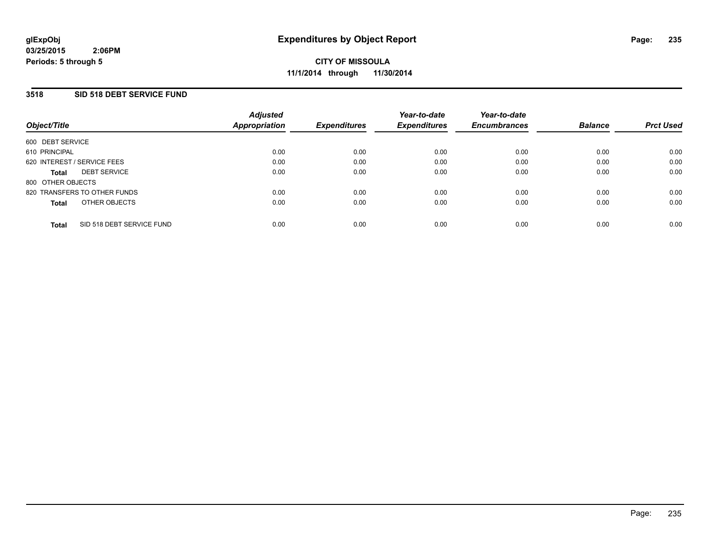### **3518 SID 518 DEBT SERVICE FUND**

| Object/Title      |                              | <b>Adjusted</b><br><b>Appropriation</b> | <b>Expenditures</b> | Year-to-date<br><b>Expenditures</b> | Year-to-date<br><b>Encumbrances</b> | <b>Balance</b> | <b>Prct Used</b> |
|-------------------|------------------------------|-----------------------------------------|---------------------|-------------------------------------|-------------------------------------|----------------|------------------|
| 600 DEBT SERVICE  |                              |                                         |                     |                                     |                                     |                |                  |
| 610 PRINCIPAL     |                              | 0.00                                    | 0.00                | 0.00                                | 0.00                                | 0.00           | 0.00             |
|                   | 620 INTEREST / SERVICE FEES  | 0.00                                    | 0.00                | 0.00                                | 0.00                                | 0.00           | 0.00             |
| <b>Total</b>      | <b>DEBT SERVICE</b>          | 0.00                                    | 0.00                | 0.00                                | 0.00                                | 0.00           | 0.00             |
| 800 OTHER OBJECTS |                              |                                         |                     |                                     |                                     |                |                  |
|                   | 820 TRANSFERS TO OTHER FUNDS | 0.00                                    | 0.00                | 0.00                                | 0.00                                | 0.00           | 0.00             |
| <b>Total</b>      | OTHER OBJECTS                | 0.00                                    | 0.00                | 0.00                                | 0.00                                | 0.00           | 0.00             |
| <b>Total</b>      | SID 518 DEBT SERVICE FUND    | 0.00                                    | 0.00                | 0.00                                | 0.00                                | 0.00           | 0.00             |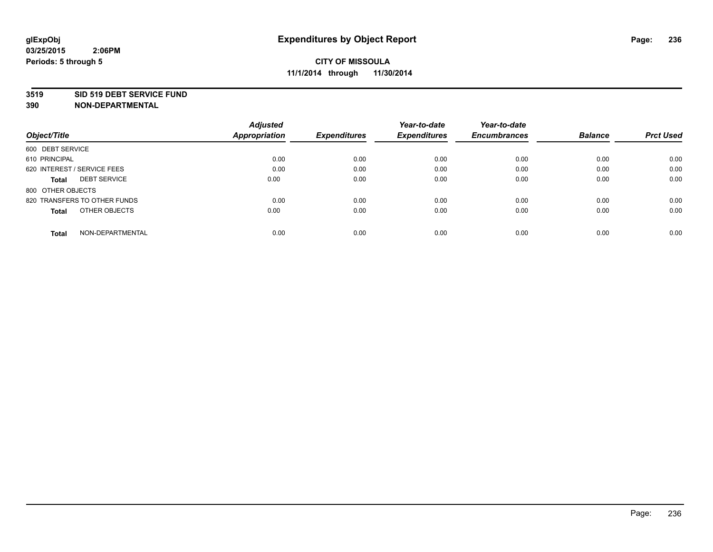#### **3519 SID 519 DEBT SERVICE FUND**

|                                     | <b>Adjusted</b> |                     | Year-to-date        | Year-to-date        |                |                  |
|-------------------------------------|-----------------|---------------------|---------------------|---------------------|----------------|------------------|
| Object/Title                        | Appropriation   | <b>Expenditures</b> | <b>Expenditures</b> | <b>Encumbrances</b> | <b>Balance</b> | <b>Prct Used</b> |
| 600 DEBT SERVICE                    |                 |                     |                     |                     |                |                  |
| 610 PRINCIPAL                       | 0.00            | 0.00                | 0.00                | 0.00                | 0.00           | 0.00             |
| 620 INTEREST / SERVICE FEES         | 0.00            | 0.00                | 0.00                | 0.00                | 0.00           | 0.00             |
| <b>DEBT SERVICE</b><br><b>Total</b> | 0.00            | 0.00                | 0.00                | 0.00                | 0.00           | 0.00             |
| 800 OTHER OBJECTS                   |                 |                     |                     |                     |                |                  |
| 820 TRANSFERS TO OTHER FUNDS        | 0.00            | 0.00                | 0.00                | 0.00                | 0.00           | 0.00             |
| OTHER OBJECTS<br><b>Total</b>       | 0.00            | 0.00                | 0.00                | 0.00                | 0.00           | 0.00             |
| NON-DEPARTMENTAL<br>Total           | 0.00            | 0.00                | 0.00                | 0.00                | 0.00           | 0.00             |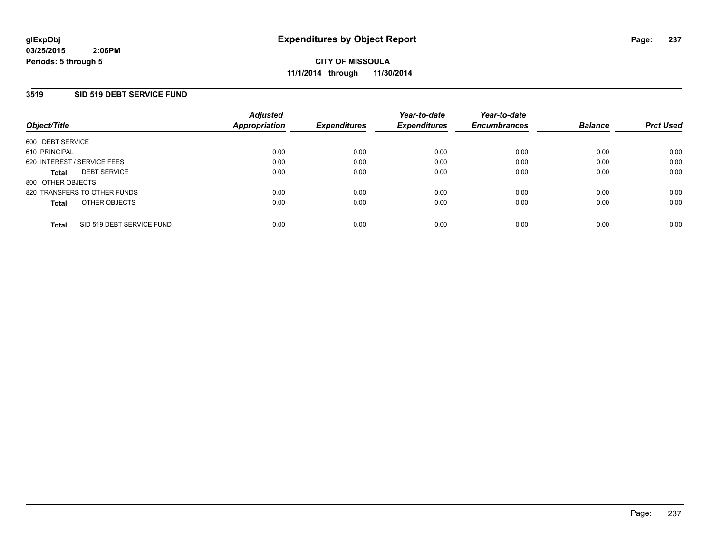### **3519 SID 519 DEBT SERVICE FUND**

| Object/Title                |                              | <b>Adjusted</b><br>Appropriation | <b>Expenditures</b> | Year-to-date<br><b>Expenditures</b> | Year-to-date<br><b>Encumbrances</b> | <b>Balance</b> | <b>Prct Used</b> |
|-----------------------------|------------------------------|----------------------------------|---------------------|-------------------------------------|-------------------------------------|----------------|------------------|
| 600 DEBT SERVICE            |                              |                                  |                     |                                     |                                     |                |                  |
| 610 PRINCIPAL               |                              | 0.00                             | 0.00                | 0.00                                | 0.00                                | 0.00           | 0.00             |
| 620 INTEREST / SERVICE FEES |                              | 0.00                             | 0.00                | 0.00                                | 0.00                                | 0.00           | 0.00             |
| <b>Total</b>                | <b>DEBT SERVICE</b>          | 0.00                             | 0.00                | 0.00                                | 0.00                                | 0.00           | 0.00             |
| 800 OTHER OBJECTS           |                              |                                  |                     |                                     |                                     |                |                  |
|                             | 820 TRANSFERS TO OTHER FUNDS | 0.00                             | 0.00                | 0.00                                | 0.00                                | 0.00           | 0.00             |
| <b>Total</b>                | OTHER OBJECTS                | 0.00                             | 0.00                | 0.00                                | 0.00                                | 0.00           | 0.00             |
| <b>Total</b>                | SID 519 DEBT SERVICE FUND    | 0.00                             | 0.00                | 0.00                                | 0.00                                | 0.00           | 0.00             |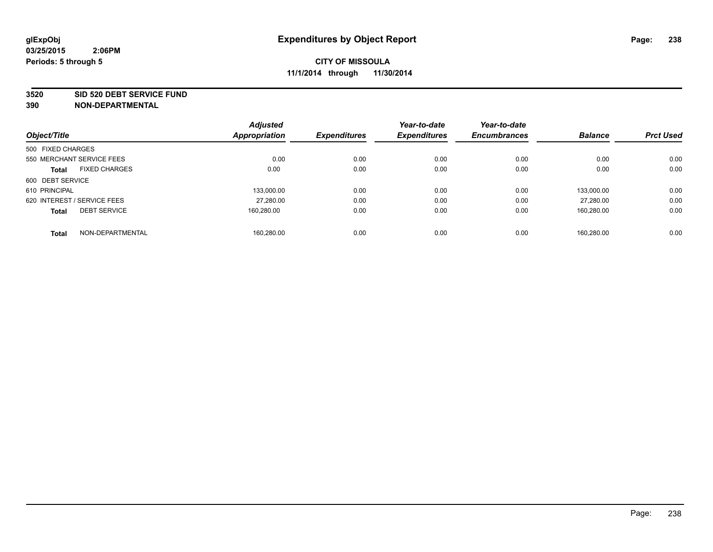#### **3520 SID 520 DEBT SERVICE FUND**

| Object/Title                |                      | <b>Adjusted</b><br>Appropriation | <b>Expenditures</b> | Year-to-date<br><b>Expenditures</b> | Year-to-date<br><b>Encumbrances</b> | <b>Balance</b> | <b>Prct Used</b> |
|-----------------------------|----------------------|----------------------------------|---------------------|-------------------------------------|-------------------------------------|----------------|------------------|
|                             |                      |                                  |                     |                                     |                                     |                |                  |
| 500 FIXED CHARGES           |                      |                                  |                     |                                     |                                     |                |                  |
| 550 MERCHANT SERVICE FEES   |                      | 0.00                             | 0.00                | 0.00                                | 0.00                                | 0.00           | 0.00             |
| <b>Total</b>                | <b>FIXED CHARGES</b> | 0.00                             | 0.00                | 0.00                                | 0.00                                | 0.00           | 0.00             |
| 600 DEBT SERVICE            |                      |                                  |                     |                                     |                                     |                |                  |
| 610 PRINCIPAL               |                      | 133.000.00                       | 0.00                | 0.00                                | 0.00                                | 133.000.00     | 0.00             |
| 620 INTEREST / SERVICE FEES |                      | 27,280.00                        | 0.00                | 0.00                                | 0.00                                | 27.280.00      | 0.00             |
| <b>Total</b>                | <b>DEBT SERVICE</b>  | 160.280.00                       | 0.00                | 0.00                                | 0.00                                | 160,280.00     | 0.00             |
| <b>Total</b>                | NON-DEPARTMENTAL     | 160.280.00                       | 0.00                | 0.00                                | 0.00                                | 160.280.00     | 0.00             |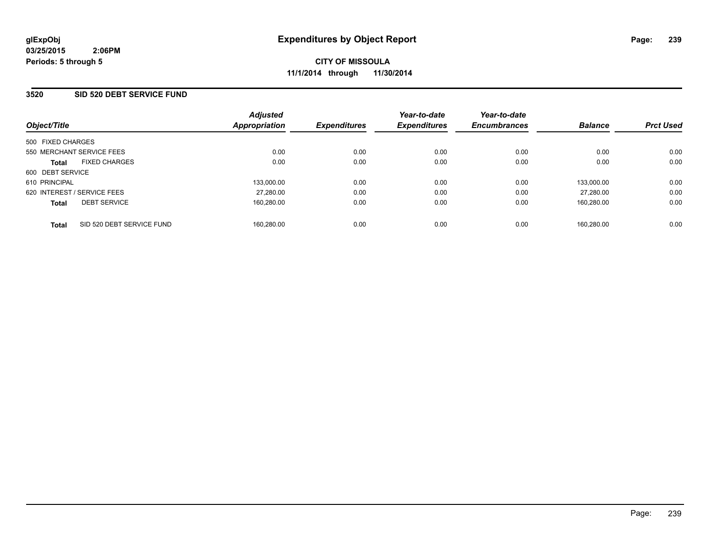### **3520 SID 520 DEBT SERVICE FUND**

| Object/Title      |                             | <b>Adjusted</b><br>Appropriation | <b>Expenditures</b> | Year-to-date<br><b>Expenditures</b> | Year-to-date<br><b>Encumbrances</b> | <b>Balance</b> | <b>Prct Used</b> |
|-------------------|-----------------------------|----------------------------------|---------------------|-------------------------------------|-------------------------------------|----------------|------------------|
| 500 FIXED CHARGES |                             |                                  |                     |                                     |                                     |                |                  |
|                   | 550 MERCHANT SERVICE FEES   | 0.00                             | 0.00                | 0.00                                | 0.00                                | 0.00           | 0.00             |
| <b>Total</b>      | <b>FIXED CHARGES</b>        | 0.00                             | 0.00                | 0.00                                | 0.00                                | 0.00           | 0.00             |
| 600 DEBT SERVICE  |                             |                                  |                     |                                     |                                     |                |                  |
| 610 PRINCIPAL     |                             | 133.000.00                       | 0.00                | 0.00                                | 0.00                                | 133.000.00     | 0.00             |
|                   | 620 INTEREST / SERVICE FEES | 27.280.00                        | 0.00                | 0.00                                | 0.00                                | 27.280.00      | 0.00             |
| <b>Total</b>      | <b>DEBT SERVICE</b>         | 160.280.00                       | 0.00                | 0.00                                | 0.00                                | 160.280.00     | 0.00             |
| <b>Total</b>      | SID 520 DEBT SERVICE FUND   | 160.280.00                       | 0.00                | 0.00                                | 0.00                                | 160.280.00     | 0.00             |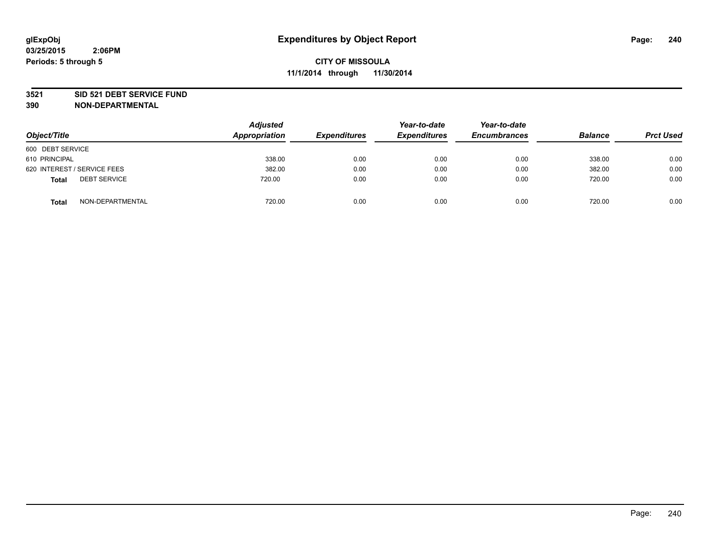#### **3521 SID 521 DEBT SERVICE FUND**

| Object/Title                        | <b>Adjusted</b><br>Appropriation | <b>Expenditures</b> | Year-to-date<br><b>Expenditures</b> | Year-to-date<br><b>Encumbrances</b> | <b>Balance</b> | <b>Prct Used</b> |
|-------------------------------------|----------------------------------|---------------------|-------------------------------------|-------------------------------------|----------------|------------------|
| 600 DEBT SERVICE                    |                                  |                     |                                     |                                     |                |                  |
| 610 PRINCIPAL                       | 338.00                           | 0.00                | 0.00                                | 0.00                                | 338.00         | 0.00             |
| 620 INTEREST / SERVICE FEES         | 382.00                           | 0.00                | 0.00                                | 0.00                                | 382.00         | 0.00             |
| <b>DEBT SERVICE</b><br><b>Total</b> | 720.00                           | 0.00                | 0.00                                | 0.00                                | 720.00         | 0.00             |
| NON-DEPARTMENTAL<br><b>Total</b>    | 720.00                           | 0.00                | 0.00                                | 0.00                                | 720.00         | 0.00             |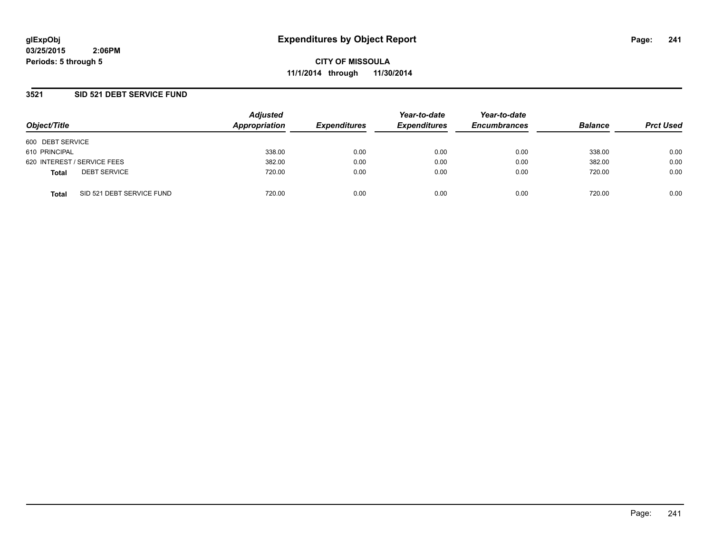**CITY OF MISSOULA 11/1/2014 through 11/30/2014**

### **3521 SID 521 DEBT SERVICE FUND**

| Object/Title     |                             | <b>Adjusted</b><br><b>Appropriation</b> | <b>Expenditures</b> | Year-to-date<br><b>Expenditures</b> | Year-to-date<br><b>Encumbrances</b> | <b>Balance</b> | <b>Prct Used</b> |
|------------------|-----------------------------|-----------------------------------------|---------------------|-------------------------------------|-------------------------------------|----------------|------------------|
| 600 DEBT SERVICE |                             |                                         |                     |                                     |                                     |                |                  |
| 610 PRINCIPAL    |                             | 338.00                                  | 0.00                | 0.00                                | 0.00                                | 338.00         | 0.00             |
|                  | 620 INTEREST / SERVICE FEES | 382.00                                  | 0.00                | 0.00                                | 0.00                                | 382.00         | 0.00             |
| <b>Total</b>     | <b>DEBT SERVICE</b>         | 720.00                                  | 0.00                | 0.00                                | 0.00                                | 720.00         | 0.00             |
| <b>Total</b>     | SID 521 DEBT SERVICE FUND   | 720.00                                  | 0.00                | 0.00                                | 0.00                                | 720.00         | 0.00             |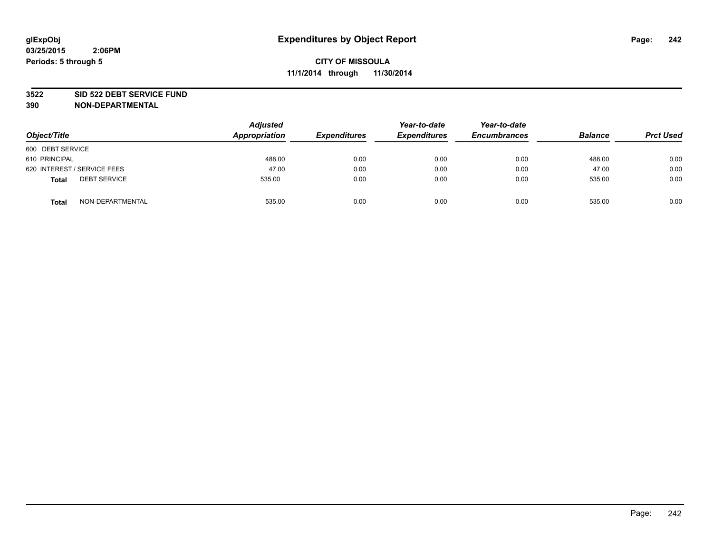#### **3522 SID 522 DEBT SERVICE FUND**

| Object/Title                        | <b>Adjusted</b><br>Appropriation | <b>Expenditures</b> | Year-to-date<br><b>Expenditures</b> | Year-to-date<br><b>Encumbrances</b> | <b>Balance</b> | <b>Prct Used</b> |
|-------------------------------------|----------------------------------|---------------------|-------------------------------------|-------------------------------------|----------------|------------------|
| 600 DEBT SERVICE                    |                                  |                     |                                     |                                     |                |                  |
| 610 PRINCIPAL                       | 488.00                           | 0.00                | 0.00                                | 0.00                                | 488.00         | 0.00             |
| 620 INTEREST / SERVICE FEES         | 47.00                            | 0.00                | 0.00                                | 0.00                                | 47.00          | 0.00             |
| <b>DEBT SERVICE</b><br><b>Total</b> | 535.00                           | 0.00                | 0.00                                | 0.00                                | 535.00         | 0.00             |
| NON-DEPARTMENTAL<br><b>Total</b>    | 535.00                           | 0.00                | 0.00                                | 0.00                                | 535.00         | 0.00             |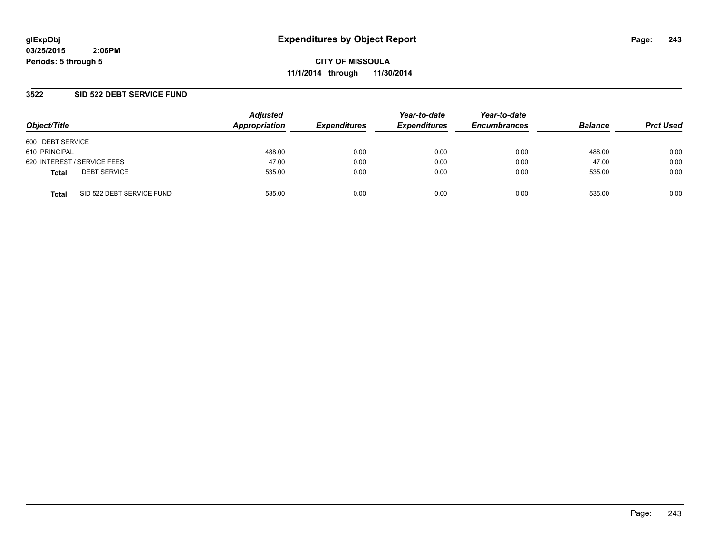**CITY OF MISSOULA 11/1/2014 through 11/30/2014**

### **3522 SID 522 DEBT SERVICE FUND**

| Object/Title                              | <b>Adjusted</b><br>Appropriation | <b>Expenditures</b> | Year-to-date<br><b>Expenditures</b> | Year-to-date<br><b>Encumbrances</b> | <b>Balance</b> | <b>Prct Used</b> |
|-------------------------------------------|----------------------------------|---------------------|-------------------------------------|-------------------------------------|----------------|------------------|
| 600 DEBT SERVICE                          |                                  |                     |                                     |                                     |                |                  |
| 610 PRINCIPAL                             | 488.00                           | 0.00                | 0.00                                | 0.00                                | 488.00         | 0.00             |
| 620 INTEREST / SERVICE FEES               | 47.00                            | 0.00                | 0.00                                | 0.00                                | 47.00          | 0.00             |
| <b>DEBT SERVICE</b><br><b>Total</b>       | 535.00                           | 0.00                | 0.00                                | 0.00                                | 535.00         | 0.00             |
| SID 522 DEBT SERVICE FUND<br><b>Total</b> | 535.00                           | 0.00                | 0.00                                | 0.00                                | 535.00         | 0.00             |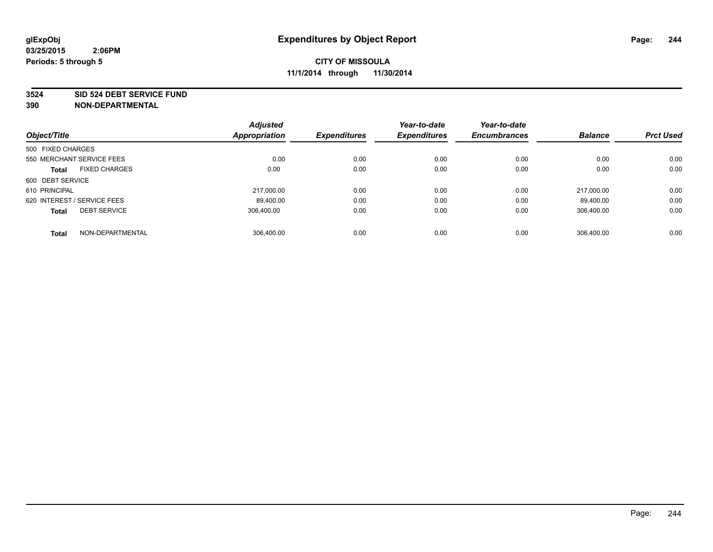#### **3524 SID 524 DEBT SERVICE FUND**

| Object/Title                |                           | <b>Adjusted</b><br><b>Appropriation</b> | <b>Expenditures</b> | Year-to-date<br><b>Expenditures</b> | Year-to-date<br><b>Encumbrances</b> | <b>Balance</b> | <b>Prct Used</b> |
|-----------------------------|---------------------------|-----------------------------------------|---------------------|-------------------------------------|-------------------------------------|----------------|------------------|
|                             |                           |                                         |                     |                                     |                                     |                |                  |
| 500 FIXED CHARGES           |                           |                                         |                     |                                     |                                     |                |                  |
|                             | 550 MERCHANT SERVICE FEES | 0.00                                    | 0.00                | 0.00                                | 0.00                                | 0.00           | 0.00             |
| <b>Total</b>                | <b>FIXED CHARGES</b>      | 0.00                                    | 0.00                | 0.00                                | 0.00                                | 0.00           | 0.00             |
| 600 DEBT SERVICE            |                           |                                         |                     |                                     |                                     |                |                  |
| 610 PRINCIPAL               |                           | 217.000.00                              | 0.00                | 0.00                                | 0.00                                | 217.000.00     | 0.00             |
| 620 INTEREST / SERVICE FEES |                           | 89,400.00                               | 0.00                | 0.00                                | 0.00                                | 89,400.00      | 0.00             |
| <b>Total</b>                | <b>DEBT SERVICE</b>       | 306.400.00                              | 0.00                | 0.00                                | 0.00                                | 306.400.00     | 0.00             |
| <b>Total</b>                | NON-DEPARTMENTAL          | 306.400.00                              | 0.00                | 0.00                                | 0.00                                | 306.400.00     | 0.00             |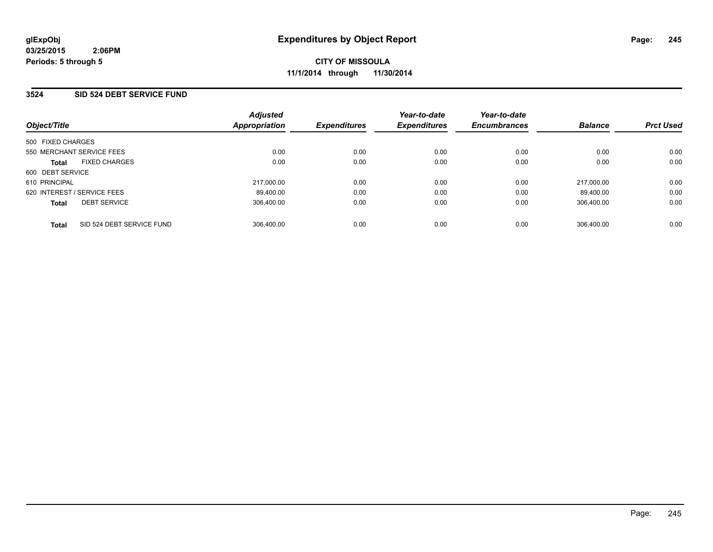### **3524 SID 524 DEBT SERVICE FUND**

| Object/Title                |                           | <b>Adjusted</b><br>Appropriation | <b>Expenditures</b> | Year-to-date<br><b>Expenditures</b> | Year-to-date<br><b>Encumbrances</b> | <b>Balance</b> | <b>Prct Used</b> |
|-----------------------------|---------------------------|----------------------------------|---------------------|-------------------------------------|-------------------------------------|----------------|------------------|
| 500 FIXED CHARGES           |                           |                                  |                     |                                     |                                     |                |                  |
| 550 MERCHANT SERVICE FEES   |                           | 0.00                             | 0.00                | 0.00                                | 0.00                                | 0.00           | 0.00             |
| <b>Total</b>                | <b>FIXED CHARGES</b>      | 0.00                             | 0.00                | 0.00                                | 0.00                                | 0.00           | 0.00             |
| 600 DEBT SERVICE            |                           |                                  |                     |                                     |                                     |                |                  |
| 610 PRINCIPAL               |                           | 217.000.00                       | 0.00                | 0.00                                | 0.00                                | 217.000.00     | 0.00             |
| 620 INTEREST / SERVICE FEES |                           | 89.400.00                        | 0.00                | 0.00                                | 0.00                                | 89.400.00      | 0.00             |
| <b>Total</b>                | <b>DEBT SERVICE</b>       | 306.400.00                       | 0.00                | 0.00                                | 0.00                                | 306.400.00     | 0.00             |
| <b>Total</b>                | SID 524 DEBT SERVICE FUND | 306.400.00                       | 0.00                | 0.00                                | 0.00                                | 306.400.00     | 0.00             |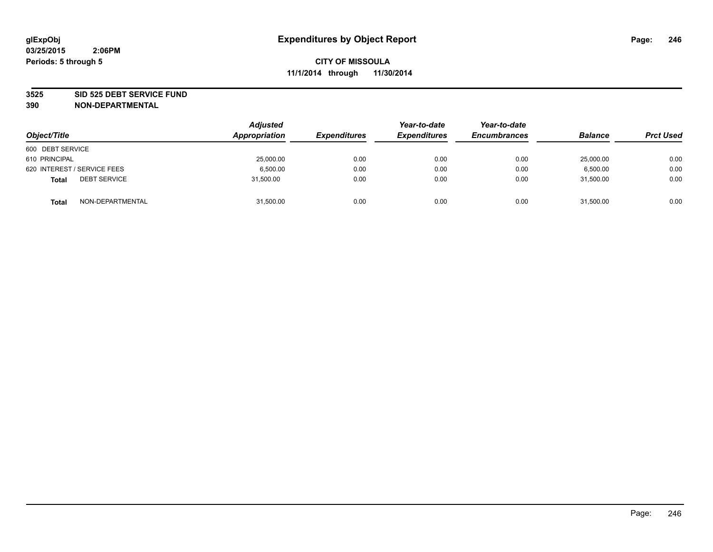#### **3525 SID 525 DEBT SERVICE FUND**

| Object/Title                        | <b>Adjusted</b><br>Appropriation | <b>Expenditures</b> | Year-to-date<br><b>Expenditures</b> | Year-to-date<br><b>Encumbrances</b> | <b>Balance</b> | <b>Prct Used</b> |
|-------------------------------------|----------------------------------|---------------------|-------------------------------------|-------------------------------------|----------------|------------------|
| 600 DEBT SERVICE                    |                                  |                     |                                     |                                     |                |                  |
| 610 PRINCIPAL                       | 25,000.00                        | 0.00                | 0.00                                | 0.00                                | 25,000.00      | 0.00             |
| 620 INTEREST / SERVICE FEES         | 6.500.00                         | 0.00                | 0.00                                | 0.00                                | 6.500.00       | 0.00             |
| <b>DEBT SERVICE</b><br><b>Total</b> | 31.500.00                        | 0.00                | 0.00                                | 0.00                                | 31.500.00      | 0.00             |
| NON-DEPARTMENTAL<br><b>Total</b>    | 31,500.00                        | 0.00                | 0.00                                | 0.00                                | 31,500.00      | 0.00             |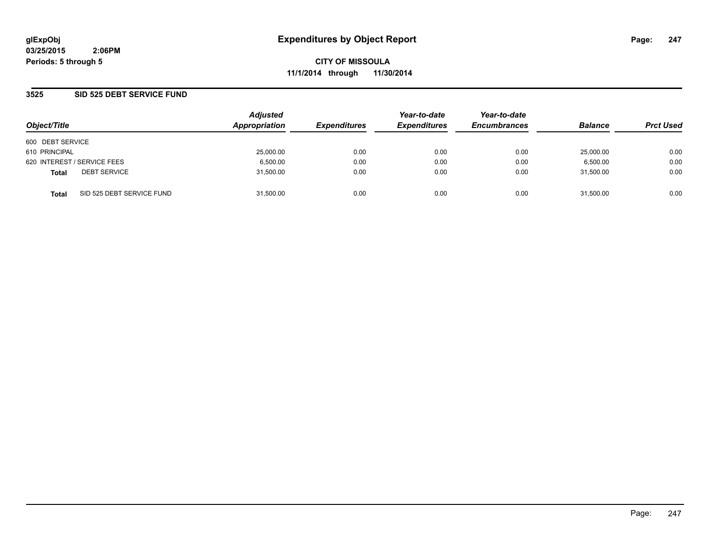**CITY OF MISSOULA 11/1/2014 through 11/30/2014**

### **3525 SID 525 DEBT SERVICE FUND**

| Object/Title     |                             | <b>Adjusted</b><br>Appropriation | <b>Expenditures</b> | Year-to-date<br><b>Expenditures</b> | Year-to-date<br><b>Encumbrances</b> | <b>Balance</b> | <b>Prct Used</b> |
|------------------|-----------------------------|----------------------------------|---------------------|-------------------------------------|-------------------------------------|----------------|------------------|
|                  |                             |                                  |                     |                                     |                                     |                |                  |
| 600 DEBT SERVICE |                             |                                  |                     |                                     |                                     |                |                  |
| 610 PRINCIPAL    |                             | 25,000.00                        | 0.00                | 0.00                                | 0.00                                | 25,000.00      | 0.00             |
|                  | 620 INTEREST / SERVICE FEES | 6,500.00                         | 0.00                | 0.00                                | 0.00                                | 6,500.00       | 0.00             |
| <b>Total</b>     | <b>DEBT SERVICE</b>         | 31,500.00                        | 0.00                | 0.00                                | 0.00                                | 31.500.00      | 0.00             |
| <b>Total</b>     | SID 525 DEBT SERVICE FUND   | 31.500.00                        | 0.00                | 0.00                                | 0.00                                | 31.500.00      | 0.00             |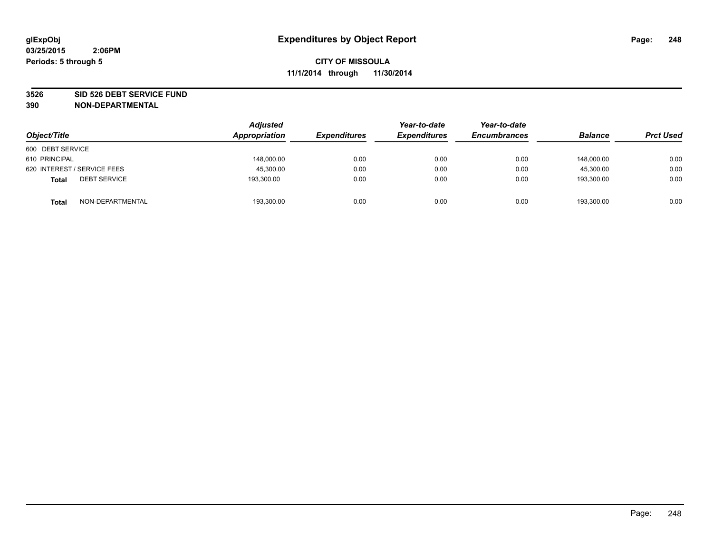#### **3526 SID 526 DEBT SERVICE FUND**

| Object/Title                        | <b>Adjusted</b><br>Appropriation | <b>Expenditures</b> | Year-to-date<br><b>Expenditures</b> | Year-to-date<br><b>Encumbrances</b> | <b>Balance</b> | <b>Prct Used</b> |
|-------------------------------------|----------------------------------|---------------------|-------------------------------------|-------------------------------------|----------------|------------------|
| 600 DEBT SERVICE                    |                                  |                     |                                     |                                     |                |                  |
| 610 PRINCIPAL                       | 148,000.00                       | 0.00                | 0.00                                | 0.00                                | 148,000.00     | 0.00             |
| 620 INTEREST / SERVICE FEES         | 45,300.00                        | 0.00                | 0.00                                | 0.00                                | 45.300.00      | 0.00             |
| <b>DEBT SERVICE</b><br><b>Total</b> | 193,300.00                       | 0.00                | 0.00                                | 0.00                                | 193.300.00     | 0.00             |
| NON-DEPARTMENTAL<br><b>Total</b>    | 193,300.00                       | 0.00                | 0.00                                | 0.00                                | 193,300.00     | 0.00             |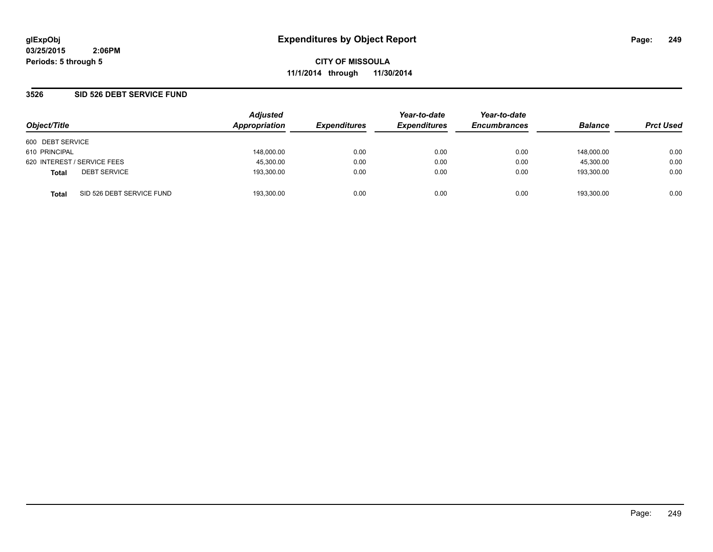**CITY OF MISSOULA 11/1/2014 through 11/30/2014**

### **3526 SID 526 DEBT SERVICE FUND**

| Object/Title                              | <b>Adjusted</b><br>Appropriation | <b>Expenditures</b> | Year-to-date<br><b>Expenditures</b> | Year-to-date<br><b>Encumbrances</b> | <b>Balance</b> | <b>Prct Used</b> |
|-------------------------------------------|----------------------------------|---------------------|-------------------------------------|-------------------------------------|----------------|------------------|
| 600 DEBT SERVICE                          |                                  |                     |                                     |                                     |                |                  |
| 610 PRINCIPAL                             | 148,000.00                       | 0.00                | 0.00                                | 0.00                                | 148.000.00     | 0.00             |
| 620 INTEREST / SERVICE FEES               | 45,300.00                        | 0.00                | 0.00                                | 0.00                                | 45.300.00      | 0.00             |
| <b>DEBT SERVICE</b><br><b>Total</b>       | 193,300.00                       | 0.00                | 0.00                                | 0.00                                | 193.300.00     | 0.00             |
| SID 526 DEBT SERVICE FUND<br><b>Total</b> | 193.300.00                       | 0.00                | 0.00                                | 0.00                                | 193.300.00     | 0.00             |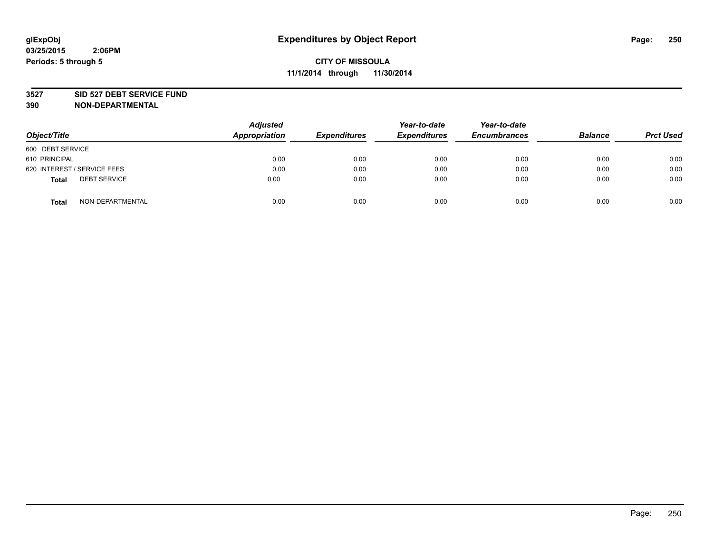#### **3527 SID 527 DEBT SERVICE FUND**

| Object/Title                 | <b>Adjusted</b><br>Appropriation | <b>Expenditures</b> | Year-to-date<br><b>Expenditures</b> | Year-to-date<br><b>Encumbrances</b> | <b>Balance</b> | <b>Prct Used</b> |
|------------------------------|----------------------------------|---------------------|-------------------------------------|-------------------------------------|----------------|------------------|
| 600 DEBT SERVICE             |                                  |                     |                                     |                                     |                |                  |
| 610 PRINCIPAL                | 0.00                             | 0.00                | 0.00                                | 0.00                                | 0.00           | 0.00             |
| 620 INTEREST / SERVICE FEES  | 0.00                             | 0.00                | 0.00                                | 0.00                                | 0.00           | 0.00             |
| <b>DEBT SERVICE</b><br>Total | 0.00                             | 0.00                | 0.00                                | 0.00                                | 0.00           | 0.00             |
| NON-DEPARTMENTAL<br>Total    | 0.00                             | 0.00                | 0.00                                | 0.00                                | 0.00           | 0.00             |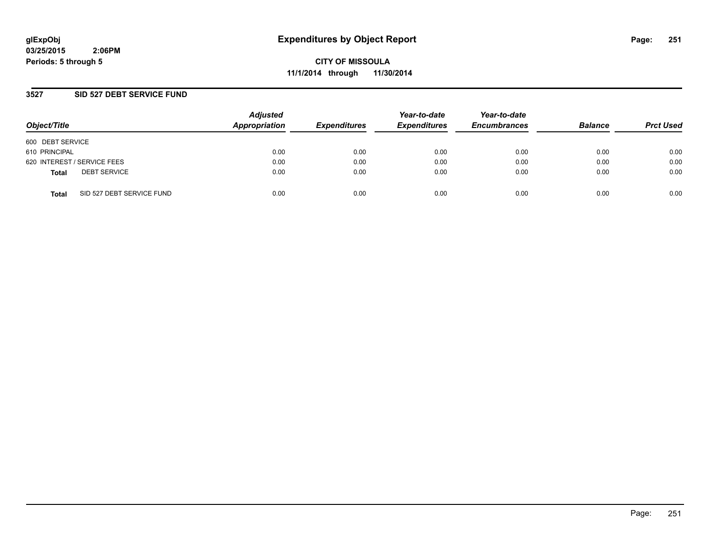**CITY OF MISSOULA 11/1/2014 through 11/30/2014**

### **3527 SID 527 DEBT SERVICE FUND**

| Object/Title                              | <b>Adjusted</b><br>Appropriation | <b>Expenditures</b> | Year-to-date<br><b>Expenditures</b> | Year-to-date<br><b>Encumbrances</b> | <b>Balance</b> | <b>Prct Used</b> |
|-------------------------------------------|----------------------------------|---------------------|-------------------------------------|-------------------------------------|----------------|------------------|
| 600 DEBT SERVICE                          |                                  |                     |                                     |                                     |                |                  |
| 610 PRINCIPAL                             | 0.00                             | 0.00                | 0.00                                | 0.00                                | 0.00           | 0.00             |
| 620 INTEREST / SERVICE FEES               | 0.00                             | 0.00                | 0.00                                | 0.00                                | 0.00           | 0.00             |
| <b>DEBT SERVICE</b><br><b>Total</b>       | 0.00                             | 0.00                | 0.00                                | 0.00                                | 0.00           | 0.00             |
| SID 527 DEBT SERVICE FUND<br><b>Total</b> | 0.00                             | 0.00                | 0.00                                | 0.00                                | 0.00           | 0.00             |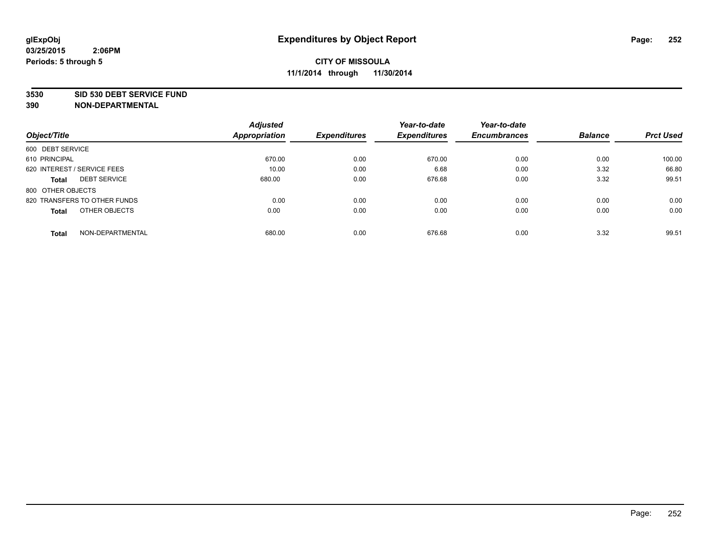#### **3530 SID 530 DEBT SERVICE FUND**

|                                     | <b>Adjusted</b>      |                     | Year-to-date        | Year-to-date        |                |                  |
|-------------------------------------|----------------------|---------------------|---------------------|---------------------|----------------|------------------|
| Object/Title                        | <b>Appropriation</b> | <b>Expenditures</b> | <b>Expenditures</b> | <b>Encumbrances</b> | <b>Balance</b> | <b>Prct Used</b> |
| 600 DEBT SERVICE                    |                      |                     |                     |                     |                |                  |
| 610 PRINCIPAL                       | 670.00               | 0.00                | 670.00              | 0.00                | 0.00           | 100.00           |
| 620 INTEREST / SERVICE FEES         | 10.00                | 0.00                | 6.68                | 0.00                | 3.32           | 66.80            |
| <b>DEBT SERVICE</b><br><b>Total</b> | 680.00               | 0.00                | 676.68              | 0.00                | 3.32           | 99.51            |
| 800 OTHER OBJECTS                   |                      |                     |                     |                     |                |                  |
| 820 TRANSFERS TO OTHER FUNDS        | 0.00                 | 0.00                | 0.00                | 0.00                | 0.00           | 0.00             |
| OTHER OBJECTS<br><b>Total</b>       | 0.00                 | 0.00                | 0.00                | 0.00                | 0.00           | 0.00             |
| NON-DEPARTMENTAL<br><b>Total</b>    | 680.00               | 0.00                | 676.68              | 0.00                | 3.32           | 99.51            |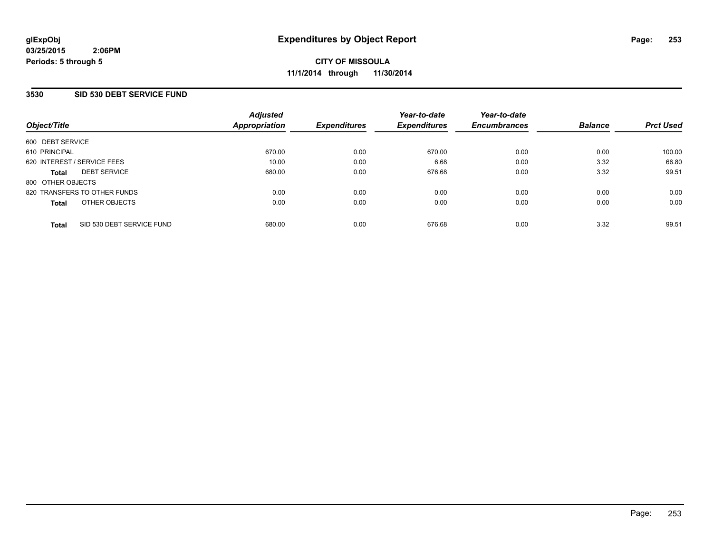### **3530 SID 530 DEBT SERVICE FUND**

| Object/Title      |                              | <b>Adjusted</b><br><b>Appropriation</b> | <b>Expenditures</b> | Year-to-date<br><b>Expenditures</b> | Year-to-date<br><b>Encumbrances</b> | <b>Balance</b> | <b>Prct Used</b> |
|-------------------|------------------------------|-----------------------------------------|---------------------|-------------------------------------|-------------------------------------|----------------|------------------|
| 600 DEBT SERVICE  |                              |                                         |                     |                                     |                                     |                |                  |
| 610 PRINCIPAL     |                              | 670.00                                  | 0.00                | 670.00                              | 0.00                                | 0.00           | 100.00           |
|                   | 620 INTEREST / SERVICE FEES  | 10.00                                   | 0.00                | 6.68                                | 0.00                                | 3.32           | 66.80            |
| <b>Total</b>      | <b>DEBT SERVICE</b>          | 680.00                                  | 0.00                | 676.68                              | 0.00                                | 3.32           | 99.51            |
| 800 OTHER OBJECTS |                              |                                         |                     |                                     |                                     |                |                  |
|                   | 820 TRANSFERS TO OTHER FUNDS | 0.00                                    | 0.00                | 0.00                                | 0.00                                | 0.00           | 0.00             |
| <b>Total</b>      | OTHER OBJECTS                | 0.00                                    | 0.00                | 0.00                                | 0.00                                | 0.00           | 0.00             |
| <b>Total</b>      | SID 530 DEBT SERVICE FUND    | 680.00                                  | 0.00                | 676.68                              | 0.00                                | 3.32           | 99.51            |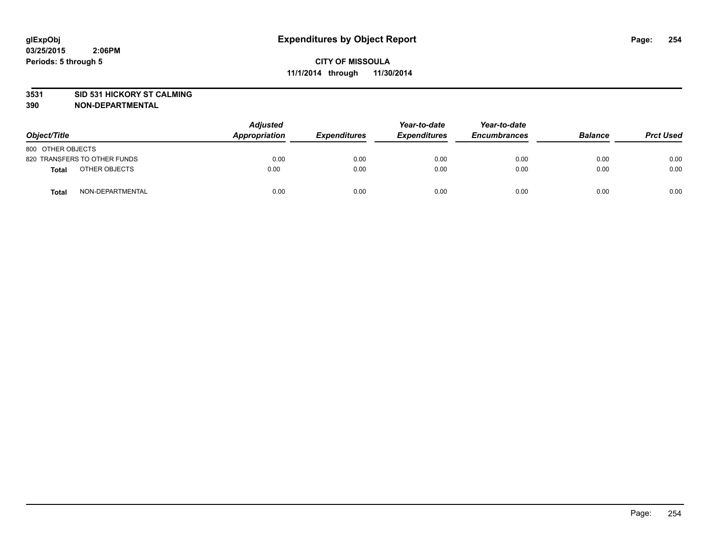### **3531 SID 531 HICKORY ST CALMING**

| Object/Title                     | <b>Adjusted</b><br>Appropriation | <b>Expenditures</b> | Year-to-date<br><b>Expenditures</b> | Year-to-date<br><b>Encumbrances</b> | <b>Balance</b> | <b>Prct Used</b> |
|----------------------------------|----------------------------------|---------------------|-------------------------------------|-------------------------------------|----------------|------------------|
| 800 OTHER OBJECTS                |                                  |                     |                                     |                                     |                |                  |
| 820 TRANSFERS TO OTHER FUNDS     | 0.00                             | 0.00                | 0.00                                | 0.00                                | 0.00           | 0.00             |
| OTHER OBJECTS<br><b>Total</b>    | 0.00                             | 0.00                | 0.00                                | 0.00                                | 0.00           | 0.00             |
| NON-DEPARTMENTAL<br><b>Total</b> | 0.00                             | 0.00                | 0.00                                | 0.00                                | 0.00           | 0.00             |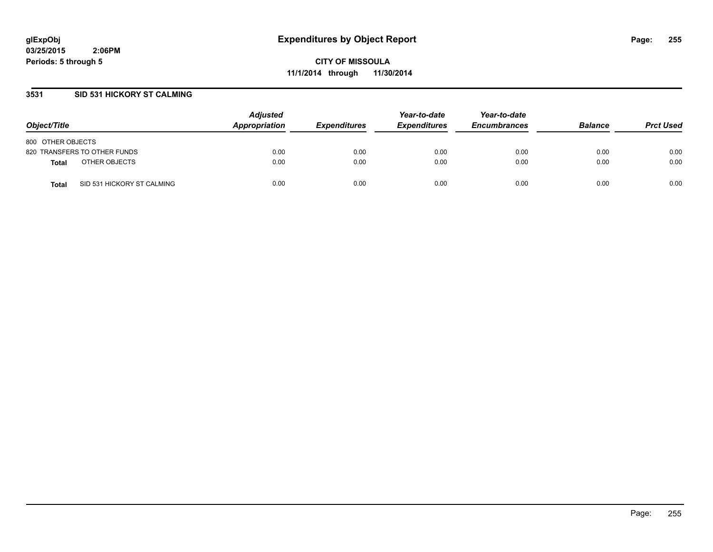**CITY OF MISSOULA 11/1/2014 through 11/30/2014**

### **3531 SID 531 HICKORY ST CALMING**

| Object/Title                               | <b>Adjusted</b><br>Appropriation | <b>Expenditures</b> | Year-to-date<br><b>Expenditures</b> | Year-to-date<br><b>Encumbrances</b> | <b>Balance</b> | <b>Prct Used</b> |
|--------------------------------------------|----------------------------------|---------------------|-------------------------------------|-------------------------------------|----------------|------------------|
| 800 OTHER OBJECTS                          |                                  |                     |                                     |                                     |                |                  |
| 820 TRANSFERS TO OTHER FUNDS               | 0.00                             | 0.00                | 0.00                                | 0.00                                | 0.00           | 0.00             |
| OTHER OBJECTS<br><b>Total</b>              | 0.00                             | 0.00                | 0.00                                | 0.00                                | 0.00           | 0.00             |
| SID 531 HICKORY ST CALMING<br><b>Total</b> | 0.00                             | 0.00                | 0.00                                | 0.00                                | 0.00           | 0.00             |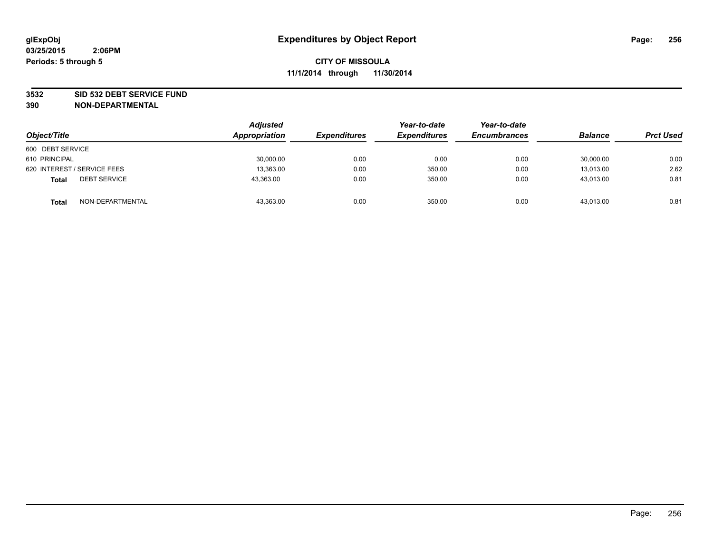### **3532 SID 532 DEBT SERVICE FUND**

| Object/Title                        | <b>Adjusted</b><br><b>Appropriation</b> | <b>Expenditures</b> | Year-to-date<br><b>Expenditures</b> | Year-to-date<br><b>Encumbrances</b> | <b>Balance</b> | <b>Prct Used</b> |
|-------------------------------------|-----------------------------------------|---------------------|-------------------------------------|-------------------------------------|----------------|------------------|
| 600 DEBT SERVICE                    |                                         |                     |                                     |                                     |                |                  |
|                                     |                                         |                     |                                     |                                     |                |                  |
| 610 PRINCIPAL                       | 30,000.00                               | 0.00                | 0.00                                | 0.00                                | 30,000.00      | 0.00             |
| 620 INTEREST / SERVICE FEES         | 13,363.00                               | 0.00                | 350.00                              | 0.00                                | 13,013.00      | 2.62             |
| <b>DEBT SERVICE</b><br><b>Total</b> | 43,363.00                               | 0.00                | 350.00                              | 0.00                                | 43,013.00      | 0.81             |
| NON-DEPARTMENTAL<br><b>Total</b>    | 43,363.00                               | 0.00                | 350.00                              | 0.00                                | 43,013.00      | 0.81             |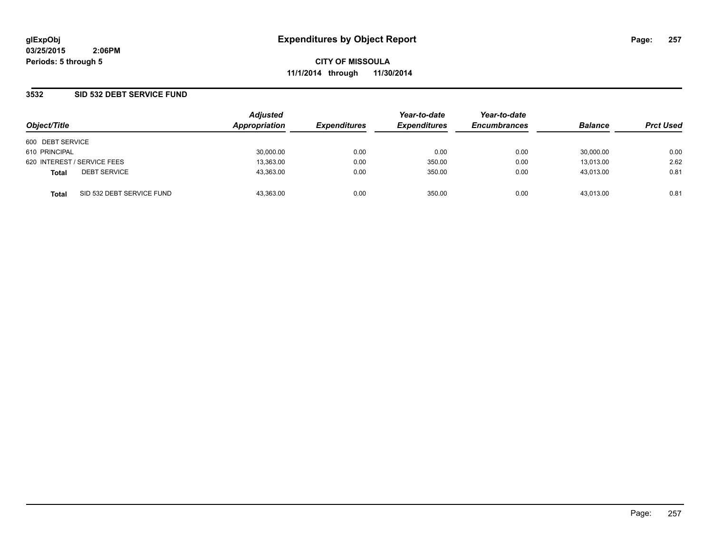### **3532 SID 532 DEBT SERVICE FUND**

| Object/Title                |                           | <b>Adjusted</b> |                     | Year-to-date        | Year-to-date<br><b>Encumbrances</b> | <b>Balance</b> |                  |
|-----------------------------|---------------------------|-----------------|---------------------|---------------------|-------------------------------------|----------------|------------------|
|                             |                           | Appropriation   | <b>Expenditures</b> | <b>Expenditures</b> |                                     |                | <b>Prct Used</b> |
| 600 DEBT SERVICE            |                           |                 |                     |                     |                                     |                |                  |
| 610 PRINCIPAL               |                           | 30,000.00       | 0.00                | 0.00                | 0.00                                | 30,000.00      | 0.00             |
| 620 INTEREST / SERVICE FEES |                           | 13,363.00       | 0.00                | 350.00              | 0.00                                | 13,013.00      | 2.62             |
| <b>Total</b>                | <b>DEBT SERVICE</b>       | 43,363.00       | 0.00                | 350.00              | 0.00                                | 43.013.00      | 0.81             |
| <b>Total</b>                | SID 532 DEBT SERVICE FUND | 43.363.00       | 0.00                | 350.00              | 0.00                                | 43.013.00      | 0.81             |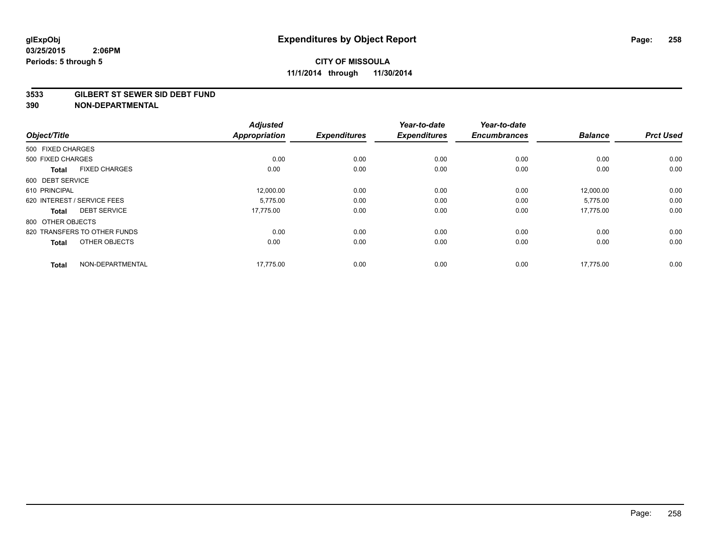#### **3533 GILBERT ST SEWER SID DEBT FUND**

| Object/Title      |                              | <b>Adjusted</b><br><b>Appropriation</b> | <b>Expenditures</b> | Year-to-date<br><b>Expenditures</b> | Year-to-date<br><b>Encumbrances</b> | <b>Balance</b> | <b>Prct Used</b> |
|-------------------|------------------------------|-----------------------------------------|---------------------|-------------------------------------|-------------------------------------|----------------|------------------|
| 500 FIXED CHARGES |                              |                                         |                     |                                     |                                     |                |                  |
| 500 FIXED CHARGES |                              | 0.00                                    | 0.00                | 0.00                                | 0.00                                | 0.00           | 0.00             |
| <b>Total</b>      | <b>FIXED CHARGES</b>         | 0.00                                    | 0.00                | 0.00                                | 0.00                                | 0.00           | 0.00             |
| 600 DEBT SERVICE  |                              |                                         |                     |                                     |                                     |                |                  |
| 610 PRINCIPAL     |                              | 12,000.00                               | 0.00                | 0.00                                | 0.00                                | 12,000.00      | 0.00             |
|                   | 620 INTEREST / SERVICE FEES  | 5.775.00                                | 0.00                | 0.00                                | 0.00                                | 5,775.00       | 0.00             |
| <b>Total</b>      | <b>DEBT SERVICE</b>          | 17,775.00                               | 0.00                | 0.00                                | 0.00                                | 17,775.00      | 0.00             |
| 800 OTHER OBJECTS |                              |                                         |                     |                                     |                                     |                |                  |
|                   | 820 TRANSFERS TO OTHER FUNDS | 0.00                                    | 0.00                | 0.00                                | 0.00                                | 0.00           | 0.00             |
| <b>Total</b>      | OTHER OBJECTS                | 0.00                                    | 0.00                | 0.00                                | 0.00                                | 0.00           | 0.00             |
| <b>Total</b>      | NON-DEPARTMENTAL             | 17,775.00                               | 0.00                | 0.00                                | 0.00                                | 17,775.00      | 0.00             |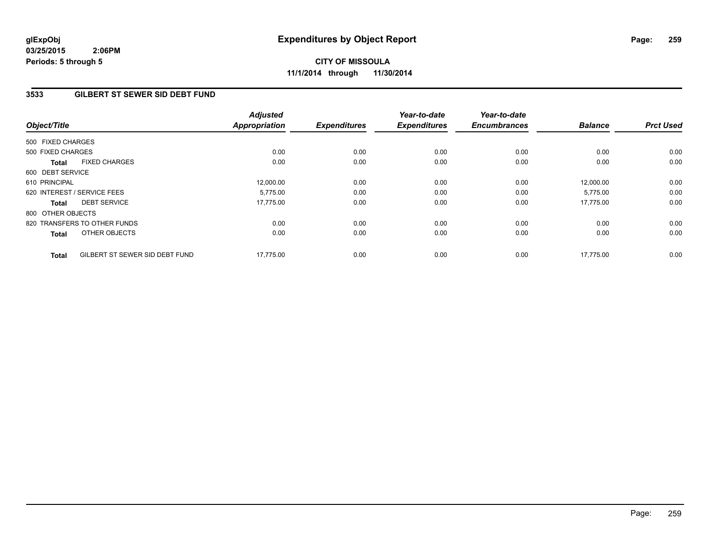**CITY OF MISSOULA 11/1/2014 through 11/30/2014**

# **3533 GILBERT ST SEWER SID DEBT FUND**

| Object/Title      |                                | <b>Adjusted</b><br>Appropriation | <b>Expenditures</b> | Year-to-date<br><b>Expenditures</b> | Year-to-date<br><b>Encumbrances</b> | <b>Balance</b> | <b>Prct Used</b> |
|-------------------|--------------------------------|----------------------------------|---------------------|-------------------------------------|-------------------------------------|----------------|------------------|
| 500 FIXED CHARGES |                                |                                  |                     |                                     |                                     |                |                  |
|                   |                                |                                  |                     |                                     |                                     |                |                  |
| 500 FIXED CHARGES |                                | 0.00                             | 0.00                | 0.00                                | 0.00                                | 0.00           | 0.00             |
| Total             | <b>FIXED CHARGES</b>           | 0.00                             | 0.00                | 0.00                                | 0.00                                | 0.00           | 0.00             |
| 600 DEBT SERVICE  |                                |                                  |                     |                                     |                                     |                |                  |
| 610 PRINCIPAL     |                                | 12,000.00                        | 0.00                | 0.00                                | 0.00                                | 12,000.00      | 0.00             |
|                   | 620 INTEREST / SERVICE FEES    | 5.775.00                         | 0.00                | 0.00                                | 0.00                                | 5,775.00       | 0.00             |
| <b>Total</b>      | <b>DEBT SERVICE</b>            | 17,775.00                        | 0.00                | 0.00                                | 0.00                                | 17.775.00      | 0.00             |
| 800 OTHER OBJECTS |                                |                                  |                     |                                     |                                     |                |                  |
|                   | 820 TRANSFERS TO OTHER FUNDS   | 0.00                             | 0.00                | 0.00                                | 0.00                                | 0.00           | 0.00             |
| Total             | OTHER OBJECTS                  | 0.00                             | 0.00                | 0.00                                | 0.00                                | 0.00           | 0.00             |
| <b>Total</b>      | GILBERT ST SEWER SID DEBT FUND | 17,775.00                        | 0.00                | 0.00                                | 0.00                                | 17.775.00      | 0.00             |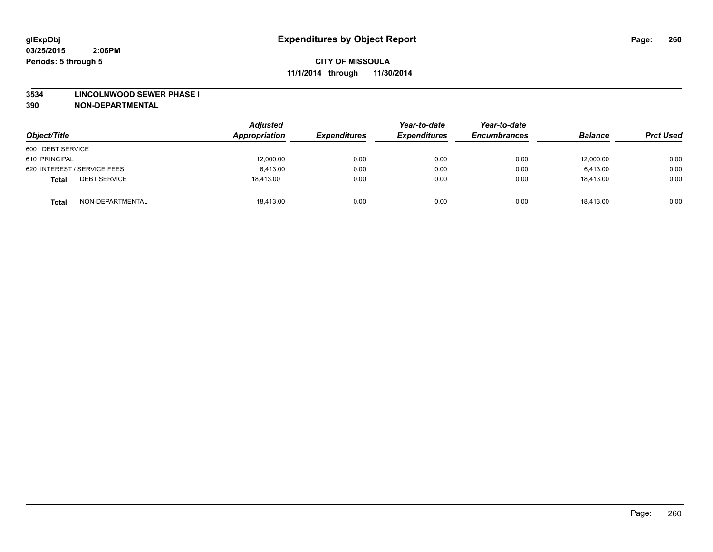#### **3534 LINCOLNWOOD SEWER PHASE I**

| Object/Title                        | <b>Adjusted</b><br>Appropriation | <b>Expenditures</b> | Year-to-date<br><b>Expenditures</b> | Year-to-date<br><b>Encumbrances</b> | <b>Balance</b> | <b>Prct Used</b> |
|-------------------------------------|----------------------------------|---------------------|-------------------------------------|-------------------------------------|----------------|------------------|
| 600 DEBT SERVICE                    |                                  |                     |                                     |                                     |                |                  |
| 610 PRINCIPAL                       | 12,000.00                        | 0.00                | 0.00                                | 0.00                                | 12,000.00      | 0.00             |
| 620 INTEREST / SERVICE FEES         | 6.413.00                         | 0.00                | 0.00                                | 0.00                                | 6.413.00       | 0.00             |
| <b>DEBT SERVICE</b><br><b>Total</b> | 18.413.00                        | 0.00                | 0.00                                | 0.00                                | 18,413.00      | 0.00             |
| NON-DEPARTMENTAL<br><b>Total</b>    | 18.413.00                        | 0.00                | 0.00                                | 0.00                                | 18.413.00      | 0.00             |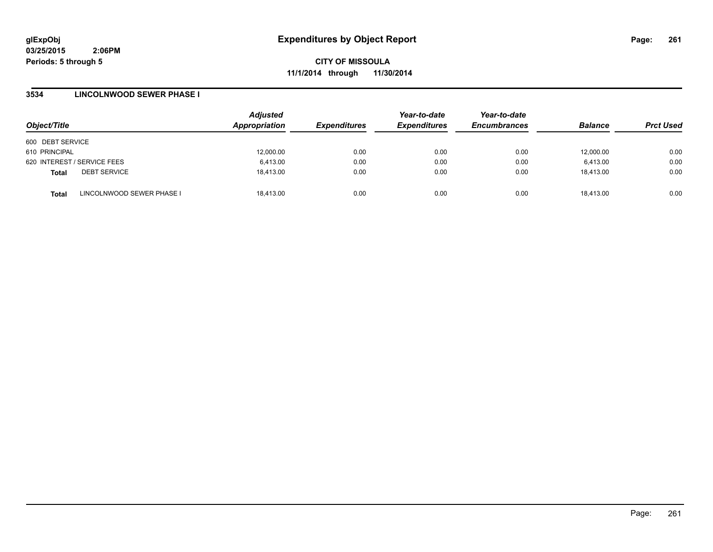**CITY OF MISSOULA 11/1/2014 through 11/30/2014**

### **3534 LINCOLNWOOD SEWER PHASE I**

| Object/Title     |                             | <b>Adjusted</b><br>Appropriation | <b>Expenditures</b> | Year-to-date<br><b>Expenditures</b> | Year-to-date<br><b>Encumbrances</b> | <b>Balance</b> | <b>Prct Used</b> |
|------------------|-----------------------------|----------------------------------|---------------------|-------------------------------------|-------------------------------------|----------------|------------------|
| 600 DEBT SERVICE |                             |                                  |                     |                                     |                                     |                |                  |
| 610 PRINCIPAL    |                             | 12,000.00                        | 0.00                | 0.00                                | 0.00                                | 12,000.00      | 0.00             |
|                  | 620 INTEREST / SERVICE FEES | 6.413.00                         | 0.00                | 0.00                                | 0.00                                | 6.413.00       | 0.00             |
| <b>Total</b>     | <b>DEBT SERVICE</b>         | 18.413.00                        | 0.00                | 0.00                                | 0.00                                | 18.413.00      | 0.00             |
| <b>Total</b>     | LINCOLNWOOD SEWER PHASE I   | 18.413.00                        | 0.00                | 0.00                                | 0.00                                | 18.413.00      | 0.00             |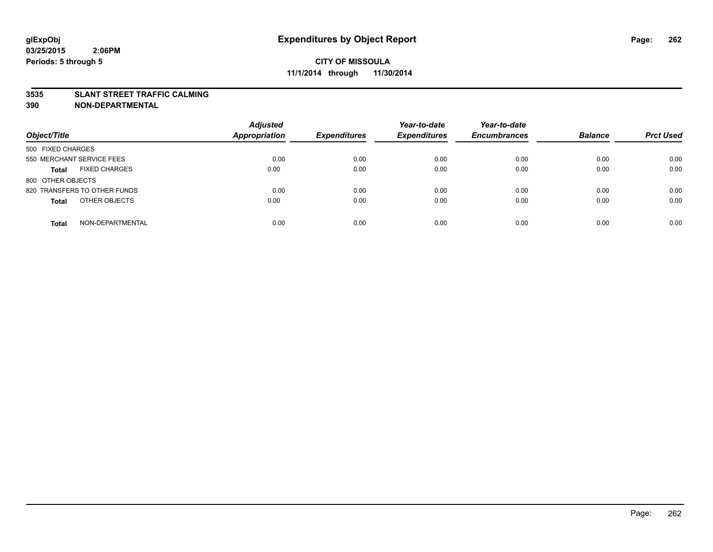### **3535 SLANT STREET TRAFFIC CALMING**

| Object/Title                         | <b>Adjusted</b><br><b>Appropriation</b> | <b>Expenditures</b> | Year-to-date<br><b>Expenditures</b> | Year-to-date<br><b>Encumbrances</b> | <b>Balance</b> | <b>Prct Used</b> |
|--------------------------------------|-----------------------------------------|---------------------|-------------------------------------|-------------------------------------|----------------|------------------|
| 500 FIXED CHARGES                    |                                         |                     |                                     |                                     |                |                  |
| 550 MERCHANT SERVICE FEES            | 0.00                                    | 0.00                | 0.00                                | 0.00                                | 0.00           | 0.00             |
| <b>FIXED CHARGES</b><br><b>Total</b> | 0.00                                    | 0.00                | 0.00                                | 0.00                                | 0.00           | 0.00             |
| 800 OTHER OBJECTS                    |                                         |                     |                                     |                                     |                |                  |
| 820 TRANSFERS TO OTHER FUNDS         | 0.00                                    | 0.00                | 0.00                                | 0.00                                | 0.00           | 0.00             |
| OTHER OBJECTS<br><b>Total</b>        | 0.00                                    | 0.00                | 0.00                                | 0.00                                | 0.00           | 0.00             |
| NON-DEPARTMENTAL<br><b>Total</b>     | 0.00                                    | 0.00                | 0.00                                | 0.00                                | 0.00           | 0.00             |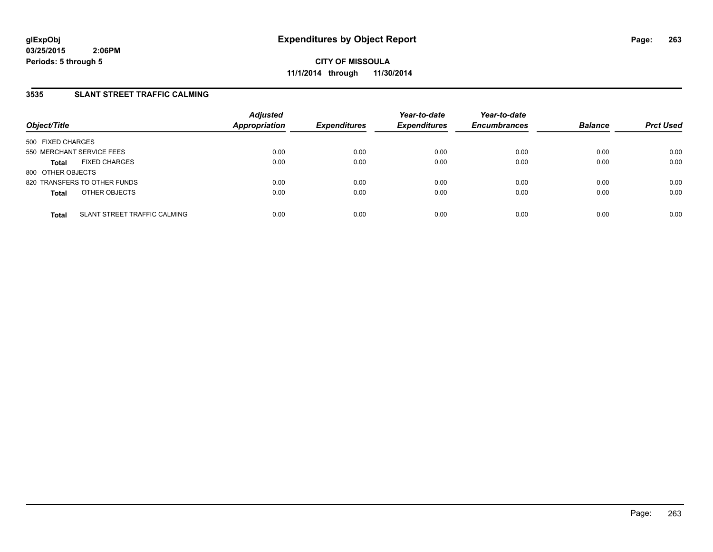**CITY OF MISSOULA 11/1/2014 through 11/30/2014**

### **3535 SLANT STREET TRAFFIC CALMING**

| Object/Title              |                              | <b>Adjusted</b><br>Appropriation | <b>Expenditures</b> | Year-to-date<br><b>Expenditures</b> | Year-to-date<br><b>Encumbrances</b> | <b>Balance</b> | <b>Prct Used</b> |
|---------------------------|------------------------------|----------------------------------|---------------------|-------------------------------------|-------------------------------------|----------------|------------------|
| 500 FIXED CHARGES         |                              |                                  |                     |                                     |                                     |                |                  |
| 550 MERCHANT SERVICE FEES |                              | 0.00                             | 0.00                | 0.00                                | 0.00                                | 0.00           | 0.00             |
| <b>Total</b>              | <b>FIXED CHARGES</b>         | 0.00                             | 0.00                | 0.00                                | 0.00                                | 0.00           | 0.00             |
| 800 OTHER OBJECTS         |                              |                                  |                     |                                     |                                     |                |                  |
|                           | 820 TRANSFERS TO OTHER FUNDS | 0.00                             | 0.00                | 0.00                                | 0.00                                | 0.00           | 0.00             |
| <b>Total</b>              | OTHER OBJECTS                | 0.00                             | 0.00                | 0.00                                | 0.00                                | 0.00           | 0.00             |
| <b>Total</b>              | SLANT STREET TRAFFIC CALMING | 0.00                             | 0.00                | 0.00                                | 0.00                                | 0.00           | 0.00             |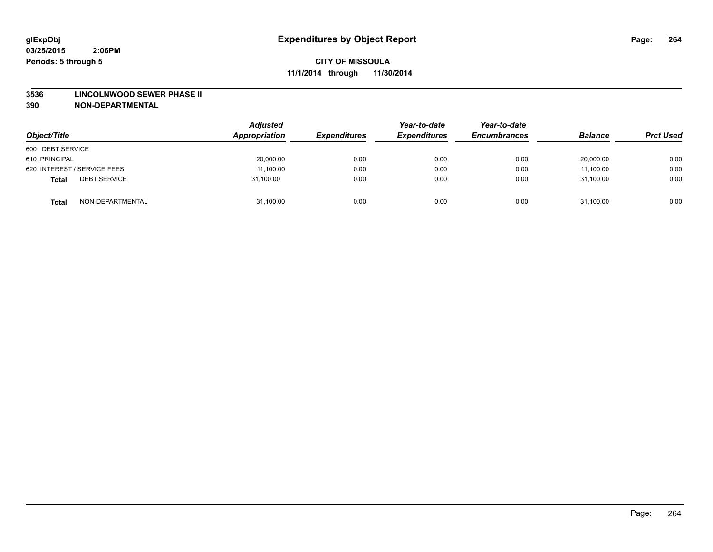#### **3536 LINCOLNWOOD SEWER PHASE II**

| Object/Title                        | <b>Adjusted</b><br>Appropriation | <b>Expenditures</b> | Year-to-date<br><b>Expenditures</b> | Year-to-date<br><b>Encumbrances</b> | <b>Balance</b> | <b>Prct Used</b> |
|-------------------------------------|----------------------------------|---------------------|-------------------------------------|-------------------------------------|----------------|------------------|
| 600 DEBT SERVICE                    |                                  |                     |                                     |                                     |                |                  |
| 610 PRINCIPAL                       | 20,000.00                        | 0.00                | 0.00                                | 0.00                                | 20,000.00      | 0.00             |
| 620 INTEREST / SERVICE FEES         | 11,100.00                        | 0.00                | 0.00                                | 0.00                                | 11,100.00      | 0.00             |
| <b>DEBT SERVICE</b><br><b>Total</b> | 31,100.00                        | 0.00                | 0.00                                | 0.00                                | 31,100.00      | 0.00             |
| NON-DEPARTMENTAL<br><b>Total</b>    | 31,100.00                        | 0.00                | 0.00                                | 0.00                                | 31,100.00      | 0.00             |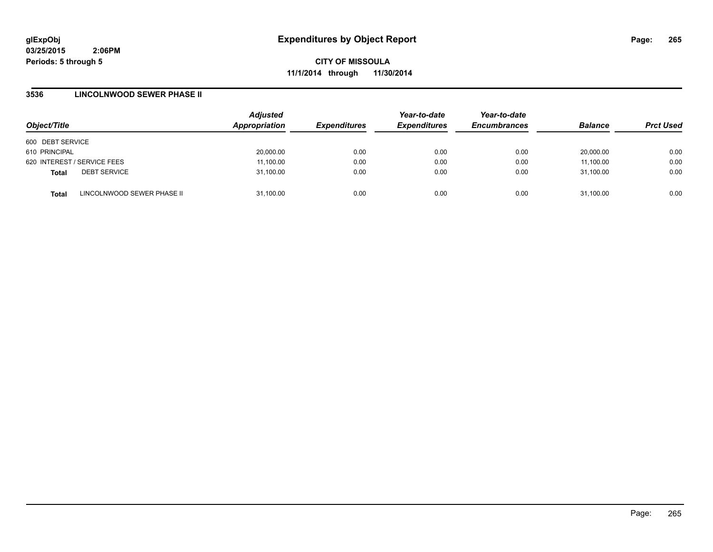**CITY OF MISSOULA 11/1/2014 through 11/30/2014**

### **3536 LINCOLNWOOD SEWER PHASE II**

| Object/Title                |                            | <b>Adjusted</b><br>Appropriation | <b>Expenditures</b> | Year-to-date<br><b>Expenditures</b> | Year-to-date<br><b>Encumbrances</b> | <b>Balance</b> | <b>Prct Used</b> |
|-----------------------------|----------------------------|----------------------------------|---------------------|-------------------------------------|-------------------------------------|----------------|------------------|
| 600 DEBT SERVICE            |                            |                                  |                     |                                     |                                     |                |                  |
| 610 PRINCIPAL               |                            | 20,000.00                        | 0.00                | 0.00                                | 0.00                                | 20.000.00      | 0.00             |
| 620 INTEREST / SERVICE FEES |                            | 11,100.00                        | 0.00                | 0.00                                | 0.00                                | 11,100.00      | 0.00             |
| <b>Total</b>                | <b>DEBT SERVICE</b>        | 31,100.00                        | 0.00                | 0.00                                | 0.00                                | 31.100.00      | 0.00             |
| <b>Total</b>                | LINCOLNWOOD SEWER PHASE II | 31,100.00                        | 0.00                | 0.00                                | 0.00                                | 31,100.00      | 0.00             |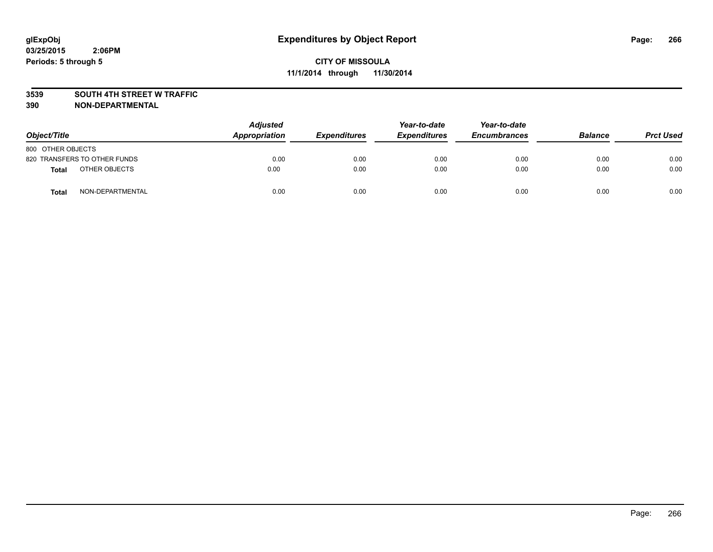#### **3539 SOUTH 4TH STREET W TRAFFIC**

| Object/Title                 | <b>Adjusted</b><br>Appropriation | <b>Expenditures</b> | Year-to-date<br><b>Expenditures</b> | Year-to-date<br><b>Encumbrances</b> | <b>Balance</b> | <b>Prct Used</b> |
|------------------------------|----------------------------------|---------------------|-------------------------------------|-------------------------------------|----------------|------------------|
| 800 OTHER OBJECTS            |                                  |                     |                                     |                                     |                |                  |
| 820 TRANSFERS TO OTHER FUNDS | 0.00                             | 0.00                | 0.00                                | 0.00                                | 0.00           | 0.00             |
| OTHER OBJECTS<br>Total       | 0.00                             | 0.00                | 0.00                                | 0.00                                | 0.00           | 0.00             |
| NON-DEPARTMENTAL<br>Total    | 0.00                             | 0.00                | 0.00                                | 0.00                                | 0.00           | 0.00             |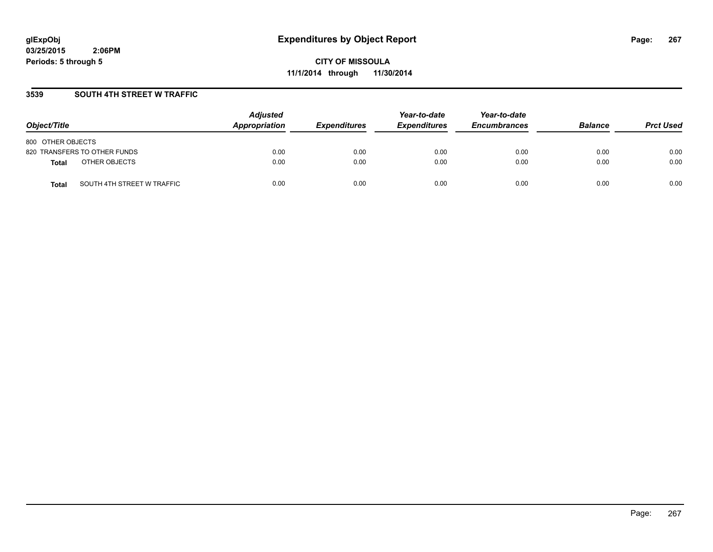**CITY OF MISSOULA 11/1/2014 through 11/30/2014**

### **3539 SOUTH 4TH STREET W TRAFFIC**

| Object/Title                               | <b>Adjusted</b><br>Appropriation | <b>Expenditures</b> | Year-to-date<br><b>Expenditures</b> | Year-to-date<br><b>Encumbrances</b> | <b>Balance</b> | <b>Prct Used</b> |
|--------------------------------------------|----------------------------------|---------------------|-------------------------------------|-------------------------------------|----------------|------------------|
| 800 OTHER OBJECTS                          |                                  |                     |                                     |                                     |                |                  |
| 820 TRANSFERS TO OTHER FUNDS               | 0.00                             | 0.00                | 0.00                                | 0.00                                | 0.00           | 0.00             |
| OTHER OBJECTS<br><b>Total</b>              | 0.00                             | 0.00                | 0.00                                | 0.00                                | 0.00           | 0.00             |
| SOUTH 4TH STREET W TRAFFIC<br><b>Total</b> | 0.00                             | 0.00                | 0.00                                | 0.00                                | 0.00           | 0.00             |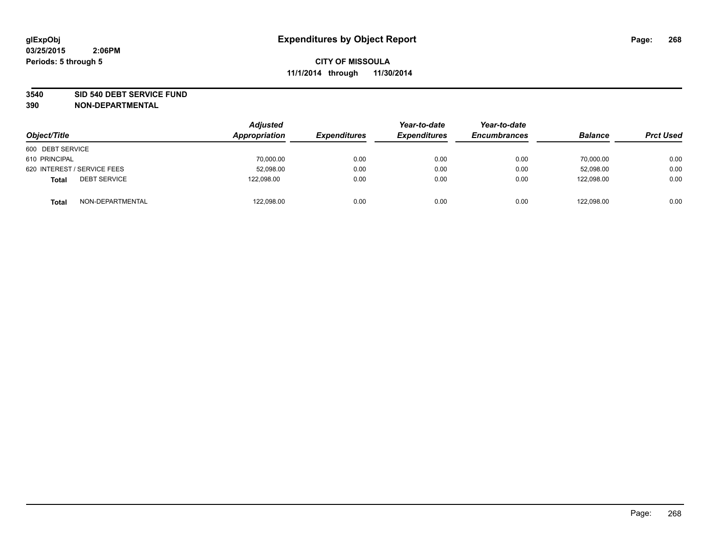#### **3540 SID 540 DEBT SERVICE FUND**

| Object/Title                        | <b>Adjusted</b><br>Appropriation | <b>Expenditures</b> | Year-to-date<br><b>Expenditures</b> | Year-to-date<br><b>Encumbrances</b> | <b>Balance</b> | <b>Prct Used</b> |
|-------------------------------------|----------------------------------|---------------------|-------------------------------------|-------------------------------------|----------------|------------------|
| 600 DEBT SERVICE                    |                                  |                     |                                     |                                     |                |                  |
| 610 PRINCIPAL                       | 70,000.00                        | 0.00                | 0.00                                | 0.00                                | 70,000.00      | 0.00             |
| 620 INTEREST / SERVICE FEES         | 52,098.00                        | 0.00                | 0.00                                | 0.00                                | 52.098.00      | 0.00             |
| <b>DEBT SERVICE</b><br><b>Total</b> | 122.098.00                       | 0.00                | 0.00                                | 0.00                                | 122.098.00     | 0.00             |
| NON-DEPARTMENTAL<br><b>Total</b>    | 122,098.00                       | 0.00                | 0.00                                | 0.00                                | 122,098.00     | 0.00             |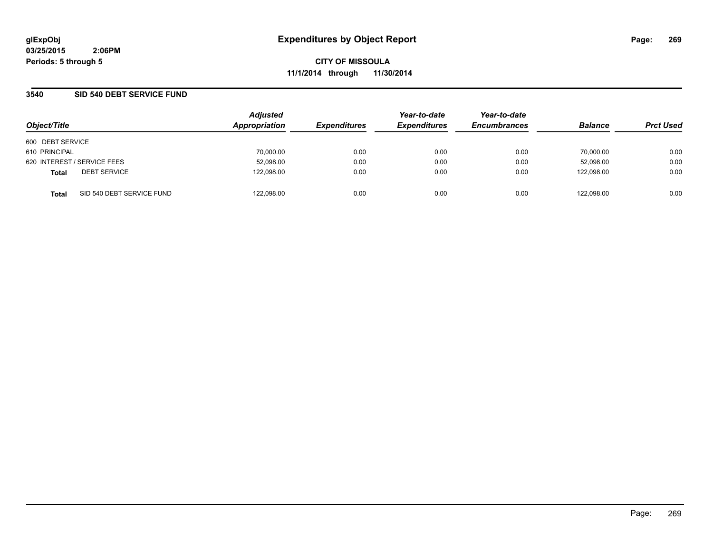**CITY OF MISSOULA 11/1/2014 through 11/30/2014**

### **3540 SID 540 DEBT SERVICE FUND**

| Object/Title                              | <b>Adjusted</b><br>Appropriation | <b>Expenditures</b> | Year-to-date<br><b>Expenditures</b> | Year-to-date<br><b>Encumbrances</b> | <b>Balance</b> | <b>Prct Used</b> |
|-------------------------------------------|----------------------------------|---------------------|-------------------------------------|-------------------------------------|----------------|------------------|
|                                           |                                  |                     |                                     |                                     |                |                  |
| 600 DEBT SERVICE                          |                                  |                     |                                     |                                     |                |                  |
| 610 PRINCIPAL                             | 70,000.00                        | 0.00                | 0.00                                | 0.00                                | 70,000.00      | 0.00             |
| 620 INTEREST / SERVICE FEES               | 52,098.00                        | 0.00                | 0.00                                | 0.00                                | 52,098.00      | 0.00             |
| <b>DEBT SERVICE</b><br><b>Total</b>       | 122,098.00                       | 0.00                | 0.00                                | 0.00                                | 122.098.00     | 0.00             |
| SID 540 DEBT SERVICE FUND<br><b>Total</b> | 122.098.00                       | 0.00                | 0.00                                | 0.00                                | 122.098.00     | 0.00             |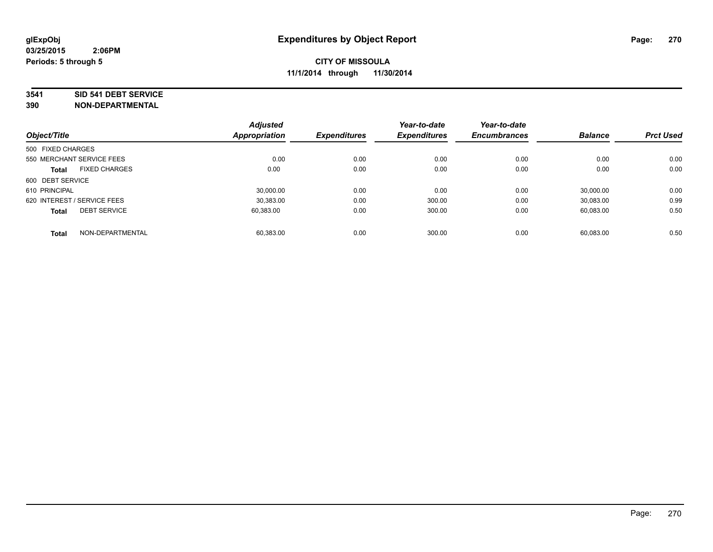#### **3541 SID 541 DEBT SERVICE**

| Object/Title                |                      | <b>Adjusted</b><br><b>Appropriation</b> | <b>Expenditures</b> | Year-to-date<br><b>Expenditures</b> | Year-to-date<br><b>Encumbrances</b> | <b>Balance</b> | <b>Prct Used</b> |
|-----------------------------|----------------------|-----------------------------------------|---------------------|-------------------------------------|-------------------------------------|----------------|------------------|
|                             |                      |                                         |                     |                                     |                                     |                |                  |
| 500 FIXED CHARGES           |                      |                                         |                     |                                     |                                     |                |                  |
| 550 MERCHANT SERVICE FEES   |                      | 0.00                                    | 0.00                | 0.00                                | 0.00                                | 0.00           | 0.00             |
| <b>Total</b>                | <b>FIXED CHARGES</b> | 0.00                                    | 0.00                | 0.00                                | 0.00                                | 0.00           | 0.00             |
| 600 DEBT SERVICE            |                      |                                         |                     |                                     |                                     |                |                  |
| 610 PRINCIPAL               |                      | 30.000.00                               | 0.00                | 0.00                                | 0.00                                | 30.000.00      | 0.00             |
| 620 INTEREST / SERVICE FEES |                      | 30,383.00                               | 0.00                | 300.00                              | 0.00                                | 30,083.00      | 0.99             |
| <b>Total</b>                | <b>DEBT SERVICE</b>  | 60,383.00                               | 0.00                | 300.00                              | 0.00                                | 60.083.00      | 0.50             |
| <b>Total</b>                | NON-DEPARTMENTAL     | 60.383.00                               | 0.00                | 300.00                              | 0.00                                | 60,083.00      | 0.50             |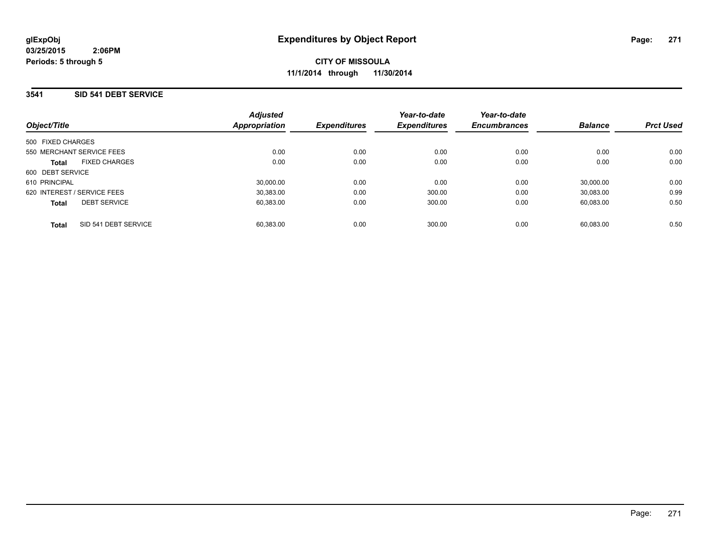**CITY OF MISSOULA 11/1/2014 through 11/30/2014**

### **3541 SID 541 DEBT SERVICE**

| Object/Title                         | <b>Adjusted</b><br><b>Appropriation</b> | <b>Expenditures</b> | Year-to-date<br><b>Expenditures</b> | Year-to-date<br><b>Encumbrances</b> | <b>Balance</b> | <b>Prct Used</b> |
|--------------------------------------|-----------------------------------------|---------------------|-------------------------------------|-------------------------------------|----------------|------------------|
| 500 FIXED CHARGES                    |                                         |                     |                                     |                                     |                |                  |
| 550 MERCHANT SERVICE FEES            | 0.00                                    | 0.00                | 0.00                                | 0.00                                | 0.00           | 0.00             |
| <b>FIXED CHARGES</b><br><b>Total</b> | 0.00                                    | 0.00                | 0.00                                | 0.00                                | 0.00           | 0.00             |
| 600 DEBT SERVICE                     |                                         |                     |                                     |                                     |                |                  |
| 610 PRINCIPAL                        | 30.000.00                               | 0.00                | 0.00                                | 0.00                                | 30.000.00      | 0.00             |
| 620 INTEREST / SERVICE FEES          | 30.383.00                               | 0.00                | 300.00                              | 0.00                                | 30.083.00      | 0.99             |
| <b>DEBT SERVICE</b><br><b>Total</b>  | 60.383.00                               | 0.00                | 300.00                              | 0.00                                | 60.083.00      | 0.50             |
| SID 541 DEBT SERVICE<br>Total        | 60.383.00                               | 0.00                | 300.00                              | 0.00                                | 60.083.00      | 0.50             |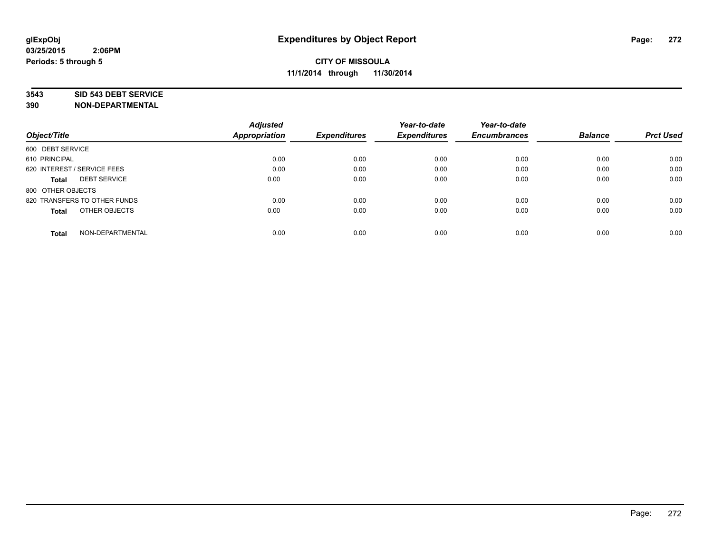#### **3543 SID 543 DEBT SERVICE**

|                                  | <b>Adjusted</b><br><b>Appropriation</b> | <b>Expenditures</b> | Year-to-date<br><b>Expenditures</b> | Year-to-date<br><b>Encumbrances</b> | <b>Balance</b> | <b>Prct Used</b> |
|----------------------------------|-----------------------------------------|---------------------|-------------------------------------|-------------------------------------|----------------|------------------|
| Object/Title                     |                                         |                     |                                     |                                     |                |                  |
| 600 DEBT SERVICE                 |                                         |                     |                                     |                                     |                |                  |
| 610 PRINCIPAL                    | 0.00                                    | 0.00                | 0.00                                | 0.00                                | 0.00           | 0.00             |
| 620 INTEREST / SERVICE FEES      | 0.00                                    | 0.00                | 0.00                                | 0.00                                | 0.00           | 0.00             |
| <b>DEBT SERVICE</b><br>Total     | 0.00                                    | 0.00                | 0.00                                | 0.00                                | 0.00           | 0.00             |
| 800 OTHER OBJECTS                |                                         |                     |                                     |                                     |                |                  |
| 820 TRANSFERS TO OTHER FUNDS     | 0.00                                    | 0.00                | 0.00                                | 0.00                                | 0.00           | 0.00             |
| OTHER OBJECTS<br><b>Total</b>    | 0.00                                    | 0.00                | 0.00                                | 0.00                                | 0.00           | 0.00             |
| NON-DEPARTMENTAL<br><b>Total</b> | 0.00                                    | 0.00                | 0.00                                | 0.00                                | 0.00           | 0.00             |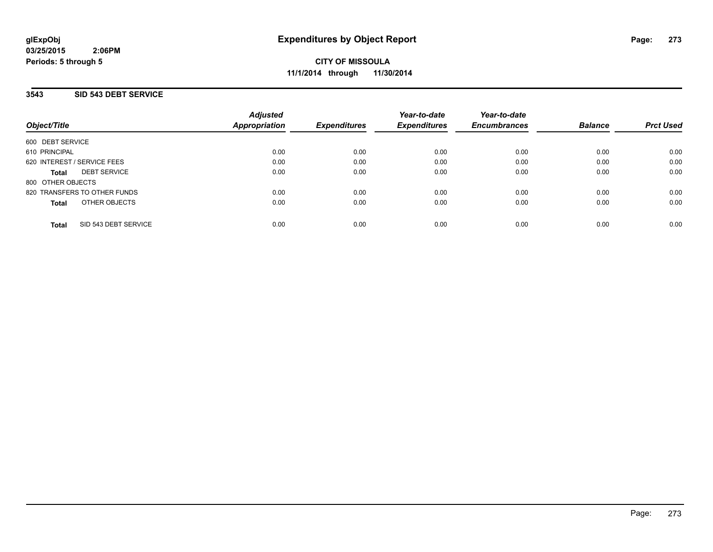### **3543 SID 543 DEBT SERVICE**

| Object/Title                         | <b>Adjusted</b><br><b>Appropriation</b> | <b>Expenditures</b> | Year-to-date<br><b>Expenditures</b> | Year-to-date<br><b>Encumbrances</b> | <b>Balance</b> | <b>Prct Used</b> |
|--------------------------------------|-----------------------------------------|---------------------|-------------------------------------|-------------------------------------|----------------|------------------|
| 600 DEBT SERVICE                     |                                         |                     |                                     |                                     |                |                  |
| 610 PRINCIPAL                        | 0.00                                    | 0.00                | 0.00                                | 0.00                                | 0.00           | 0.00             |
| 620 INTEREST / SERVICE FEES          | 0.00                                    | 0.00                | 0.00                                | 0.00                                | 0.00           | 0.00             |
| <b>DEBT SERVICE</b><br>Total         | 0.00                                    | 0.00                | 0.00                                | 0.00                                | 0.00           | 0.00             |
| 800 OTHER OBJECTS                    |                                         |                     |                                     |                                     |                |                  |
| 820 TRANSFERS TO OTHER FUNDS         | 0.00                                    | 0.00                | 0.00                                | 0.00                                | 0.00           | 0.00             |
| OTHER OBJECTS<br>Total               | 0.00                                    | 0.00                | 0.00                                | 0.00                                | 0.00           | 0.00             |
| SID 543 DEBT SERVICE<br><b>Total</b> | 0.00                                    | 0.00                | 0.00                                | 0.00                                | 0.00           | 0.00             |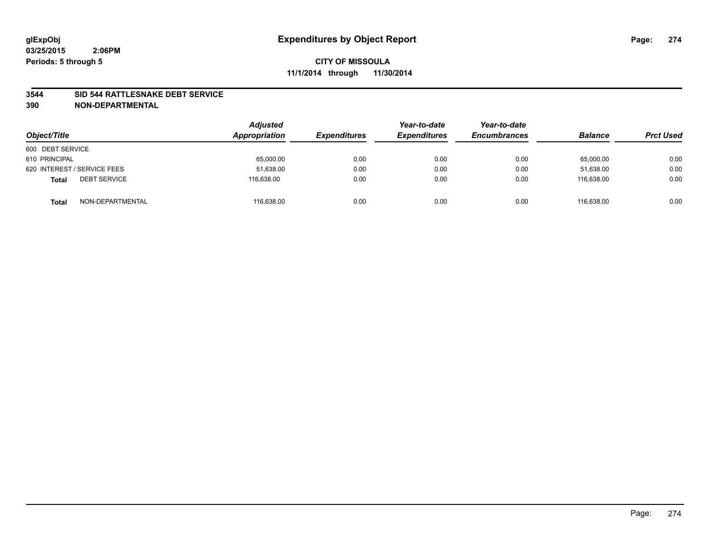### **3544 SID 544 RATTLESNAKE DEBT SERVICE**

| Object/Title                        | <b>Adjusted</b><br>Appropriation | <b>Expenditures</b> | Year-to-date<br><b>Expenditures</b> | Year-to-date<br><b>Encumbrances</b> | <b>Balance</b> | <b>Prct Used</b> |
|-------------------------------------|----------------------------------|---------------------|-------------------------------------|-------------------------------------|----------------|------------------|
| 600 DEBT SERVICE                    |                                  |                     |                                     |                                     |                |                  |
| 610 PRINCIPAL                       | 65,000.00                        | 0.00                | 0.00                                | 0.00                                | 65,000.00      | 0.00             |
| 620 INTEREST / SERVICE FEES         | 51,638.00                        | 0.00                | 0.00                                | 0.00                                | 51.638.00      | 0.00             |
| <b>DEBT SERVICE</b><br><b>Total</b> | 116.638.00                       | 0.00                | 0.00                                | 0.00                                | 116.638.00     | 0.00             |
| NON-DEPARTMENTAL<br><b>Total</b>    | 116,638.00                       | 0.00                | 0.00                                | 0.00                                | 116.638.00     | 0.00             |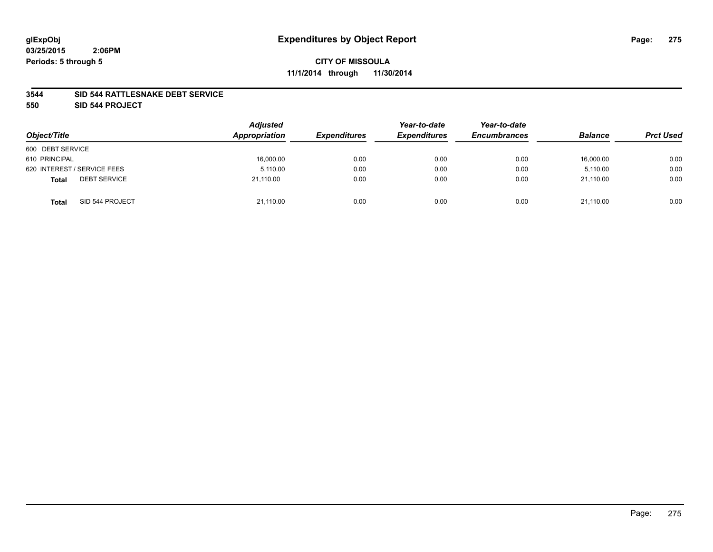### **3544 SID 544 RATTLESNAKE DEBT SERVICE**

**550 SID 544 PROJECT**

| Object/Title                        | <b>Adjusted</b><br>Appropriation | <b>Expenditures</b> | Year-to-date<br><b>Expenditures</b> | Year-to-date<br><b>Encumbrances</b> | <b>Balance</b> | <b>Prct Used</b> |
|-------------------------------------|----------------------------------|---------------------|-------------------------------------|-------------------------------------|----------------|------------------|
| 600 DEBT SERVICE                    |                                  |                     |                                     |                                     |                |                  |
| 610 PRINCIPAL                       | 16,000.00                        | 0.00                | 0.00                                | 0.00                                | 16,000.00      | 0.00             |
| 620 INTEREST / SERVICE FEES         | 5,110.00                         | 0.00                | 0.00                                | 0.00                                | 5,110.00       | 0.00             |
| <b>DEBT SERVICE</b><br><b>Total</b> | 21.110.00                        | 0.00                | 0.00                                | 0.00                                | 21.110.00      | 0.00             |
| SID 544 PROJECT<br><b>Total</b>     | 21,110.00                        | 0.00                | 0.00                                | 0.00                                | 21,110.00      | 0.00             |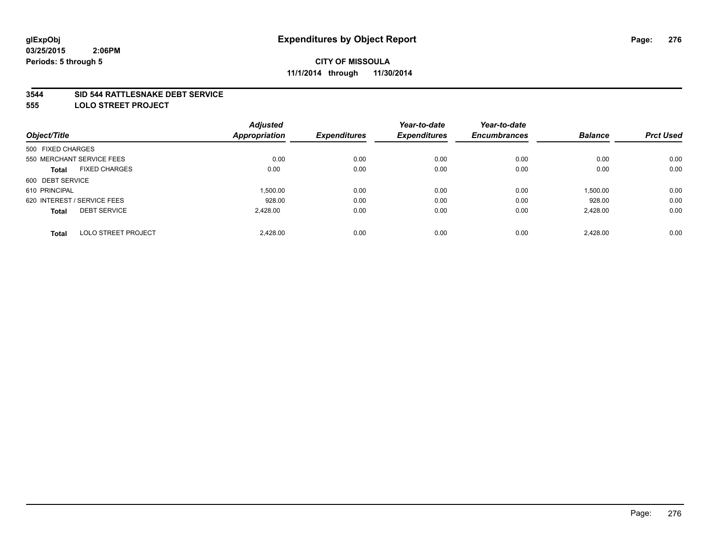#### **3544 SID 544 RATTLESNAKE DEBT SERVICE**

**555 LOLO STREET PROJECT**

|                                            | <b>Adjusted</b>      |                     | Year-to-date        | Year-to-date        |                |                  |
|--------------------------------------------|----------------------|---------------------|---------------------|---------------------|----------------|------------------|
| Object/Title                               | <b>Appropriation</b> | <b>Expenditures</b> | <b>Expenditures</b> | <b>Encumbrances</b> | <b>Balance</b> | <b>Prct Used</b> |
| 500 FIXED CHARGES                          |                      |                     |                     |                     |                |                  |
| 550 MERCHANT SERVICE FEES                  | 0.00                 | 0.00                | 0.00                | 0.00                | 0.00           | 0.00             |
| <b>FIXED CHARGES</b><br><b>Total</b>       | 0.00                 | 0.00                | 0.00                | 0.00                | 0.00           | 0.00             |
| 600 DEBT SERVICE                           |                      |                     |                     |                     |                |                  |
| 610 PRINCIPAL                              | 1.500.00             | 0.00                | 0.00                | 0.00                | 1,500.00       | 0.00             |
| 620 INTEREST / SERVICE FEES                | 928.00               | 0.00                | 0.00                | 0.00                | 928.00         | 0.00             |
| <b>DEBT SERVICE</b><br><b>Total</b>        | 2.428.00             | 0.00                | 0.00                | 0.00                | 2,428.00       | 0.00             |
| <b>LOLO STREET PROJECT</b><br><b>Total</b> | 2.428.00             | 0.00                | 0.00                | 0.00                | 2.428.00       | 0.00             |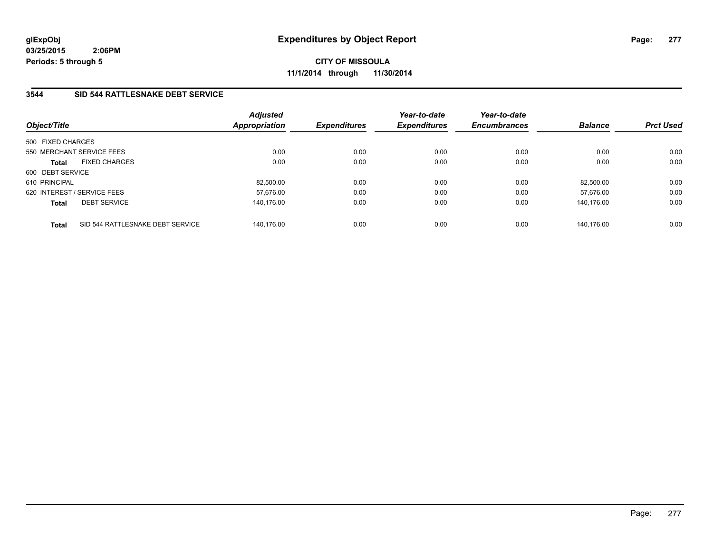**CITY OF MISSOULA 11/1/2014 through 11/30/2014**

## **3544 SID 544 RATTLESNAKE DEBT SERVICE**

| Object/Title                                     | <b>Adjusted</b><br><b>Appropriation</b> | <b>Expenditures</b> | Year-to-date<br><b>Expenditures</b> | Year-to-date<br><b>Encumbrances</b> | <b>Balance</b> | <b>Prct Used</b> |
|--------------------------------------------------|-----------------------------------------|---------------------|-------------------------------------|-------------------------------------|----------------|------------------|
| 500 FIXED CHARGES                                |                                         |                     |                                     |                                     |                |                  |
| 550 MERCHANT SERVICE FEES                        | 0.00                                    | 0.00                | 0.00                                | 0.00                                | 0.00           | 0.00             |
| <b>FIXED CHARGES</b><br><b>Total</b>             | 0.00                                    | 0.00                | 0.00                                | 0.00                                | 0.00           | 0.00             |
| 600 DEBT SERVICE                                 |                                         |                     |                                     |                                     |                |                  |
| 610 PRINCIPAL                                    | 82,500.00                               | 0.00                | 0.00                                | 0.00                                | 82.500.00      | 0.00             |
| 620 INTEREST / SERVICE FEES                      | 57,676.00                               | 0.00                | 0.00                                | 0.00                                | 57.676.00      | 0.00             |
| <b>DEBT SERVICE</b><br><b>Total</b>              | 140.176.00                              | 0.00                | 0.00                                | 0.00                                | 140.176.00     | 0.00             |
| SID 544 RATTLESNAKE DEBT SERVICE<br><b>Total</b> | 140.176.00                              | 0.00                | 0.00                                | 0.00                                | 140.176.00     | 0.00             |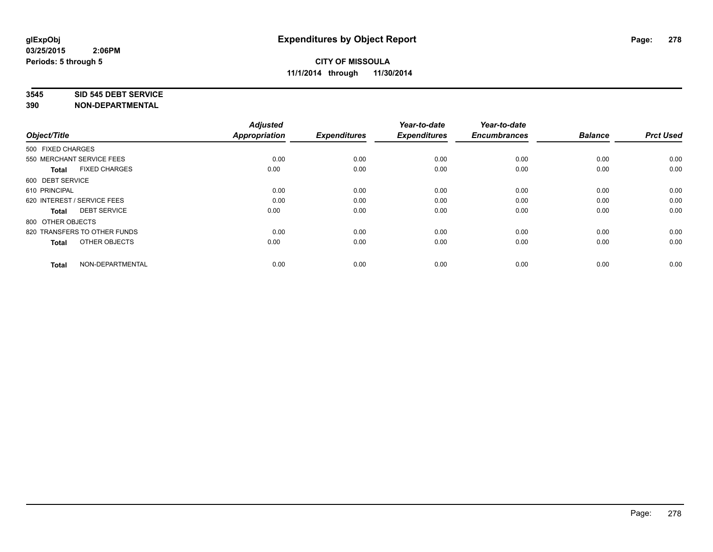#### **3545 SID 545 DEBT SERVICE**

| Object/Title                         | <b>Adjusted</b><br><b>Appropriation</b> | <b>Expenditures</b> | Year-to-date<br><b>Expenditures</b> | Year-to-date<br><b>Encumbrances</b> | <b>Balance</b> | <b>Prct Used</b> |
|--------------------------------------|-----------------------------------------|---------------------|-------------------------------------|-------------------------------------|----------------|------------------|
| 500 FIXED CHARGES                    |                                         |                     |                                     |                                     |                |                  |
| 550 MERCHANT SERVICE FEES            | 0.00                                    | 0.00                | 0.00                                | 0.00                                | 0.00           | 0.00             |
| <b>FIXED CHARGES</b><br><b>Total</b> | 0.00                                    | 0.00                | 0.00                                | 0.00                                | 0.00           | 0.00             |
| 600 DEBT SERVICE                     |                                         |                     |                                     |                                     |                |                  |
| 610 PRINCIPAL                        | 0.00                                    | 0.00                | 0.00                                | 0.00                                | 0.00           | 0.00             |
| 620 INTEREST / SERVICE FEES          | 0.00                                    | 0.00                | 0.00                                | 0.00                                | 0.00           | 0.00             |
| <b>DEBT SERVICE</b><br><b>Total</b>  | 0.00                                    | 0.00                | 0.00                                | 0.00                                | 0.00           | 0.00             |
| 800 OTHER OBJECTS                    |                                         |                     |                                     |                                     |                |                  |
| 820 TRANSFERS TO OTHER FUNDS         | 0.00                                    | 0.00                | 0.00                                | 0.00                                | 0.00           | 0.00             |
| OTHER OBJECTS<br><b>Total</b>        | 0.00                                    | 0.00                | 0.00                                | 0.00                                | 0.00           | 0.00             |
|                                      |                                         |                     |                                     |                                     |                |                  |
| NON-DEPARTMENTAL<br><b>Total</b>     | 0.00                                    | 0.00                | 0.00                                | 0.00                                | 0.00           | 0.00             |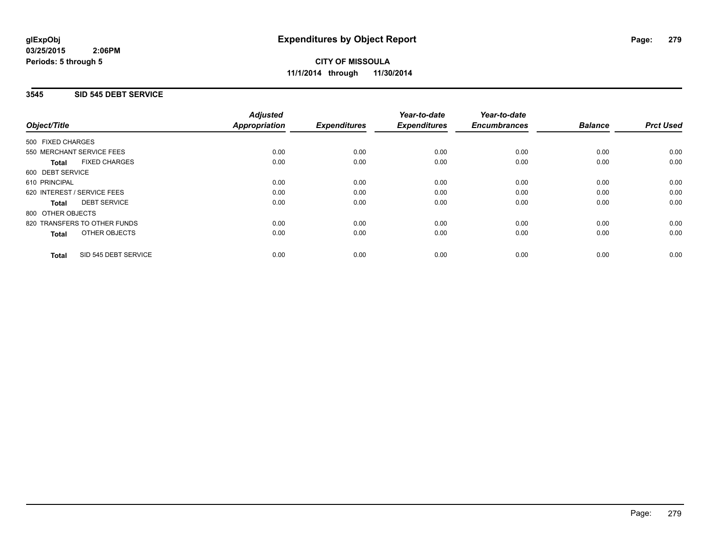### **3545 SID 545 DEBT SERVICE**

|                                      | <b>Adjusted</b>      |                     | Year-to-date        | Year-to-date<br><b>Encumbrances</b> | <b>Balance</b> | <b>Prct Used</b> |
|--------------------------------------|----------------------|---------------------|---------------------|-------------------------------------|----------------|------------------|
| Object/Title                         | <b>Appropriation</b> | <b>Expenditures</b> | <b>Expenditures</b> |                                     |                |                  |
| 500 FIXED CHARGES                    |                      |                     |                     |                                     |                |                  |
| 550 MERCHANT SERVICE FEES            | 0.00                 | 0.00                | 0.00                | 0.00                                | 0.00           | 0.00             |
| <b>FIXED CHARGES</b><br><b>Total</b> | 0.00                 | 0.00                | 0.00                | 0.00                                | 0.00           | 0.00             |
| 600 DEBT SERVICE                     |                      |                     |                     |                                     |                |                  |
| 610 PRINCIPAL                        | 0.00                 | 0.00                | 0.00                | 0.00                                | 0.00           | 0.00             |
| 620 INTEREST / SERVICE FEES          | 0.00                 | 0.00                | 0.00                | 0.00                                | 0.00           | 0.00             |
| <b>DEBT SERVICE</b><br><b>Total</b>  | 0.00                 | 0.00                | 0.00                | 0.00                                | 0.00           | 0.00             |
| 800 OTHER OBJECTS                    |                      |                     |                     |                                     |                |                  |
| 820 TRANSFERS TO OTHER FUNDS         | 0.00                 | 0.00                | 0.00                | 0.00                                | 0.00           | 0.00             |
| <b>OTHER OBJECTS</b><br><b>Total</b> | 0.00                 | 0.00                | 0.00                | 0.00                                | 0.00           | 0.00             |
| SID 545 DEBT SERVICE<br><b>Total</b> | 0.00                 | 0.00                | 0.00                | 0.00                                | 0.00           | 0.00             |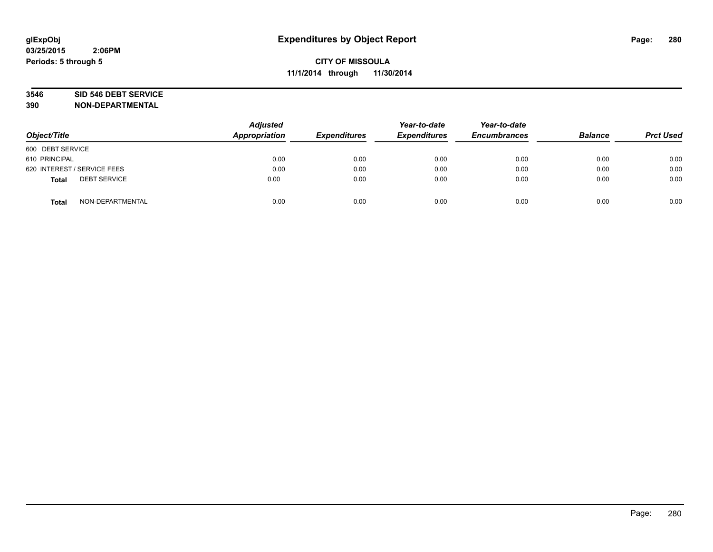# **3546 SID 546 DEBT SERVICE**

| Object/Title                        | <b>Adjusted</b><br>Appropriation | <b>Expenditures</b> | Year-to-date<br><b>Expenditures</b> | Year-to-date<br><b>Encumbrances</b> | <b>Balance</b> | <b>Prct Used</b> |
|-------------------------------------|----------------------------------|---------------------|-------------------------------------|-------------------------------------|----------------|------------------|
| 600 DEBT SERVICE                    |                                  |                     |                                     |                                     |                |                  |
| 610 PRINCIPAL                       | 0.00                             | 0.00                | 0.00                                | 0.00                                | 0.00           | 0.00             |
| 620 INTEREST / SERVICE FEES         | 0.00                             | 0.00                | 0.00                                | 0.00                                | 0.00           | 0.00             |
| <b>DEBT SERVICE</b><br><b>Total</b> | 0.00                             | 0.00                | 0.00                                | 0.00                                | 0.00           | 0.00             |
| NON-DEPARTMENTAL<br><b>Total</b>    | 0.00                             | 0.00                | 0.00                                | 0.00                                | 0.00           | 0.00             |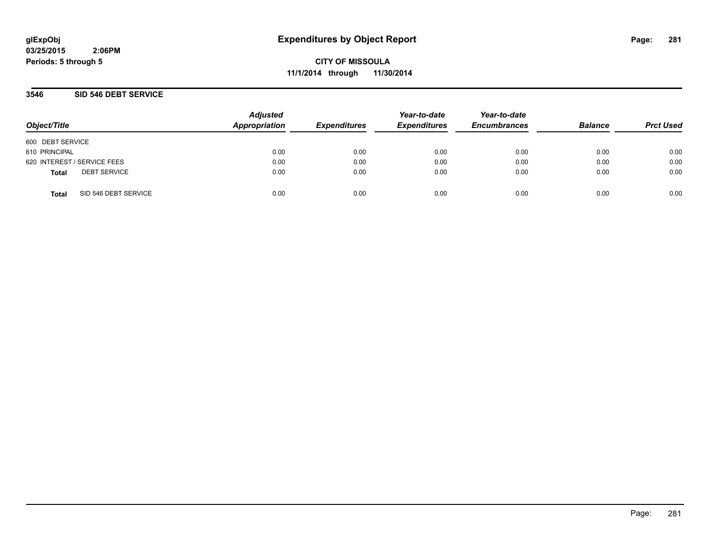**CITY OF MISSOULA 11/1/2014 through 11/30/2014**

### **3546 SID 546 DEBT SERVICE**

| Object/Title                |                      | <b>Adjusted</b><br>Appropriation | <b>Expenditures</b> | Year-to-date<br><b>Expenditures</b> | Year-to-date<br><b>Encumbrances</b> | <b>Balance</b> | <b>Prct Used</b> |
|-----------------------------|----------------------|----------------------------------|---------------------|-------------------------------------|-------------------------------------|----------------|------------------|
| 600 DEBT SERVICE            |                      |                                  |                     |                                     |                                     |                |                  |
| 610 PRINCIPAL               |                      | 0.00                             | 0.00                | 0.00                                | 0.00                                | 0.00           | 0.00             |
| 620 INTEREST / SERVICE FEES |                      | 0.00                             | 0.00                | 0.00                                | 0.00                                | 0.00           | 0.00             |
| <b>Total</b>                | <b>DEBT SERVICE</b>  | 0.00                             | 0.00                | 0.00                                | 0.00                                | 0.00           | 0.00             |
| <b>Total</b>                | SID 546 DEBT SERVICE | 0.00                             | 0.00                | 0.00                                | 0.00                                | 0.00           | 0.00             |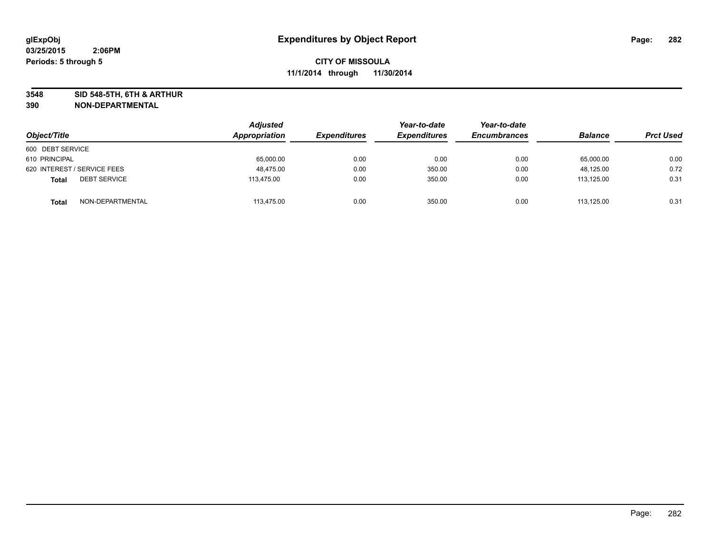**3548 SID 548-5TH, 6TH & ARTHUR**

| Object/Title                        | Adjusted<br>Appropriation | <b>Expenditures</b> | Year-to-date<br><b>Expenditures</b> | Year-to-date<br><b>Encumbrances</b> | <b>Balance</b> | <b>Prct Used</b> |
|-------------------------------------|---------------------------|---------------------|-------------------------------------|-------------------------------------|----------------|------------------|
| 600 DEBT SERVICE                    |                           |                     |                                     |                                     |                |                  |
| 610 PRINCIPAL                       | 65,000.00                 | 0.00                | 0.00                                | 0.00                                | 65,000.00      | 0.00             |
| 620 INTEREST / SERVICE FEES         | 48.475.00                 | 0.00                | 350.00                              | 0.00                                | 48,125.00      | 0.72             |
| <b>DEBT SERVICE</b><br><b>Total</b> | 113,475.00                | 0.00                | 350.00                              | 0.00                                | 113,125.00     | 0.31             |
| NON-DEPARTMENTAL<br><b>Total</b>    | 113,475.00                | 0.00                | 350.00                              | 0.00                                | 113.125.00     | 0.31             |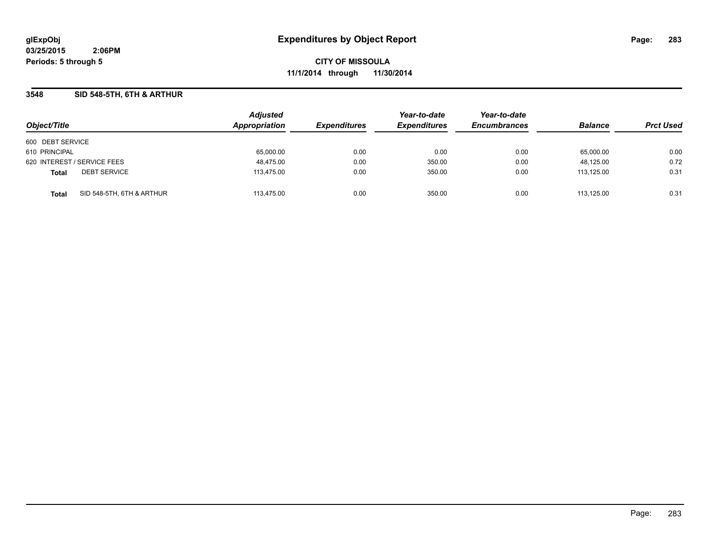**CITY OF MISSOULA 11/1/2014 through 11/30/2014**

### **3548 SID 548-5TH, 6TH & ARTHUR**

| Object/Title                              | <b>Adjusted</b><br>Appropriation | <b>Expenditures</b> | Year-to-date<br><b>Expenditures</b> | Year-to-date<br><b>Encumbrances</b> | <b>Balance</b> | <b>Prct Used</b> |
|-------------------------------------------|----------------------------------|---------------------|-------------------------------------|-------------------------------------|----------------|------------------|
| 600 DEBT SERVICE                          |                                  |                     |                                     |                                     |                |                  |
| 610 PRINCIPAL                             | 65,000.00                        | 0.00                | 0.00                                | 0.00                                | 65,000.00      | 0.00             |
| 620 INTEREST / SERVICE FEES               | 48,475.00                        | 0.00                | 350.00                              | 0.00                                | 48,125.00      | 0.72             |
| <b>DEBT SERVICE</b><br><b>Total</b>       | 113,475.00                       | 0.00                | 350.00                              | 0.00                                | 113.125.00     | 0.31             |
| SID 548-5TH, 6TH & ARTHUR<br><b>Total</b> | 113.475.00                       | 0.00                | 350.00                              | 0.00                                | 113.125.00     | 0.31             |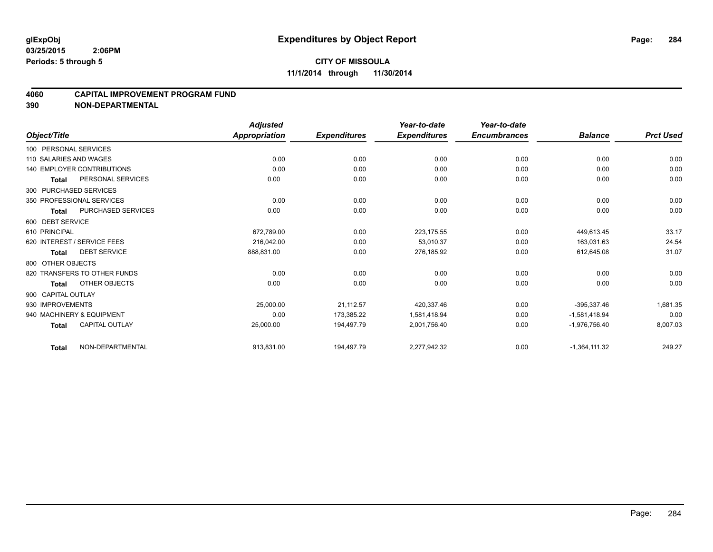#### **4060 CAPITAL IMPROVEMENT PROGRAM FUND**

|                        |                                   | <b>Adjusted</b>      |                     | Year-to-date        | Year-to-date        |                 |                  |
|------------------------|-----------------------------------|----------------------|---------------------|---------------------|---------------------|-----------------|------------------|
| Object/Title           |                                   | <b>Appropriation</b> | <b>Expenditures</b> | <b>Expenditures</b> | <b>Encumbrances</b> | <b>Balance</b>  | <b>Prct Used</b> |
| 100 PERSONAL SERVICES  |                                   |                      |                     |                     |                     |                 |                  |
| 110 SALARIES AND WAGES |                                   | 0.00                 | 0.00                | 0.00                | 0.00                | 0.00            | 0.00             |
|                        | <b>140 EMPLOYER CONTRIBUTIONS</b> | 0.00                 | 0.00                | 0.00                | 0.00                | 0.00            | 0.00             |
| Total                  | PERSONAL SERVICES                 | 0.00                 | 0.00                | 0.00                | 0.00                | 0.00            | 0.00             |
|                        | 300 PURCHASED SERVICES            |                      |                     |                     |                     |                 |                  |
|                        | 350 PROFESSIONAL SERVICES         | 0.00                 | 0.00                | 0.00                | 0.00                | 0.00            | 0.00             |
| <b>Total</b>           | <b>PURCHASED SERVICES</b>         | 0.00                 | 0.00                | 0.00                | 0.00                | 0.00            | 0.00             |
| 600 DEBT SERVICE       |                                   |                      |                     |                     |                     |                 |                  |
| 610 PRINCIPAL          |                                   | 672,789.00           | 0.00                | 223,175.55          | 0.00                | 449,613.45      | 33.17            |
|                        | 620 INTEREST / SERVICE FEES       | 216,042.00           | 0.00                | 53,010.37           | 0.00                | 163,031.63      | 24.54            |
| Total                  | <b>DEBT SERVICE</b>               | 888,831.00           | 0.00                | 276,185.92          | 0.00                | 612,645.08      | 31.07            |
| 800 OTHER OBJECTS      |                                   |                      |                     |                     |                     |                 |                  |
|                        | 820 TRANSFERS TO OTHER FUNDS      | 0.00                 | 0.00                | 0.00                | 0.00                | 0.00            | 0.00             |
| Total                  | OTHER OBJECTS                     | 0.00                 | 0.00                | 0.00                | 0.00                | 0.00            | 0.00             |
| 900 CAPITAL OUTLAY     |                                   |                      |                     |                     |                     |                 |                  |
| 930 IMPROVEMENTS       |                                   | 25,000.00            | 21,112.57           | 420,337.46          | 0.00                | $-395,337.46$   | 1,681.35         |
|                        | 940 MACHINERY & EQUIPMENT         | 0.00                 | 173.385.22          | 1,581,418.94        | 0.00                | $-1,581,418.94$ | 0.00             |
| <b>Total</b>           | <b>CAPITAL OUTLAY</b>             | 25,000.00            | 194.497.79          | 2,001,756.40        | 0.00                | $-1,976,756.40$ | 8,007.03         |
| <b>Total</b>           | NON-DEPARTMENTAL                  | 913,831.00           | 194,497.79          | 2,277,942.32        | 0.00                | $-1,364,111.32$ | 249.27           |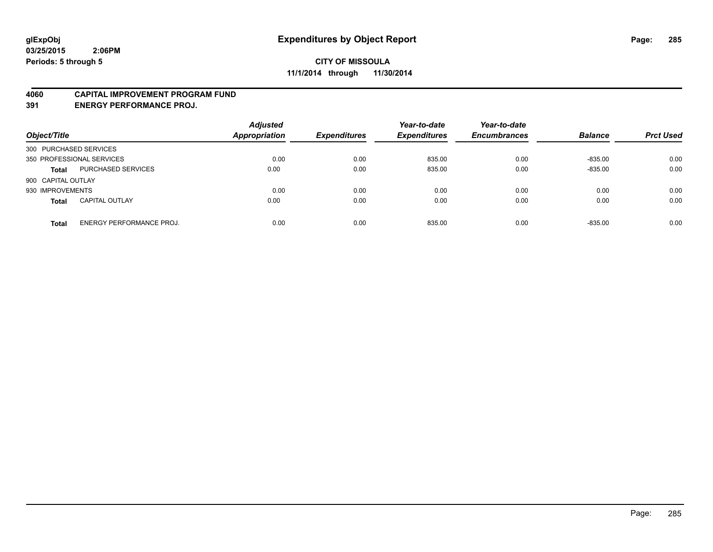#### **4060 CAPITAL IMPROVEMENT PROGRAM FUND**

**391 ENERGY PERFORMANCE PROJ.**

| Object/Title                                    | <b>Adjusted</b><br><b>Appropriation</b> | <b>Expenditures</b> | Year-to-date<br><b>Expenditures</b> | Year-to-date<br><b>Encumbrances</b> | <b>Balance</b> | <b>Prct Used</b> |
|-------------------------------------------------|-----------------------------------------|---------------------|-------------------------------------|-------------------------------------|----------------|------------------|
| 300 PURCHASED SERVICES                          |                                         |                     |                                     |                                     |                |                  |
| 350 PROFESSIONAL SERVICES                       | 0.00                                    | 0.00                | 835.00                              | 0.00                                | $-835.00$      | 0.00             |
| PURCHASED SERVICES<br><b>Total</b>              | 0.00                                    | 0.00                | 835.00                              | 0.00                                | $-835.00$      | 0.00             |
| 900 CAPITAL OUTLAY                              |                                         |                     |                                     |                                     |                |                  |
| 930 IMPROVEMENTS                                | 0.00                                    | 0.00                | 0.00                                | 0.00                                | 0.00           | 0.00             |
| <b>CAPITAL OUTLAY</b><br><b>Total</b>           | 0.00                                    | 0.00                | 0.00                                | 0.00                                | 0.00           | 0.00             |
| <b>ENERGY PERFORMANCE PROJ.</b><br><b>Total</b> | 0.00                                    | 0.00                | 835.00                              | 0.00                                | $-835.00$      | 0.00             |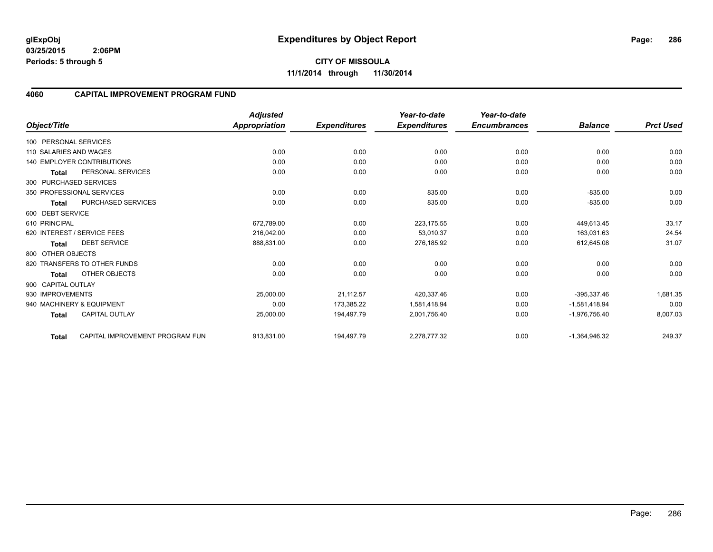**CITY OF MISSOULA 11/1/2014 through 11/30/2014**

### **4060 CAPITAL IMPROVEMENT PROGRAM FUND**

|                        |                                   | <b>Adjusted</b>      |                     | Year-to-date        | Year-to-date        |                 |                  |
|------------------------|-----------------------------------|----------------------|---------------------|---------------------|---------------------|-----------------|------------------|
| Object/Title           |                                   | <b>Appropriation</b> | <b>Expenditures</b> | <b>Expenditures</b> | <b>Encumbrances</b> | <b>Balance</b>  | <b>Prct Used</b> |
| 100 PERSONAL SERVICES  |                                   |                      |                     |                     |                     |                 |                  |
| 110 SALARIES AND WAGES |                                   | 0.00                 | 0.00                | 0.00                | 0.00                | 0.00            | 0.00             |
|                        | <b>140 EMPLOYER CONTRIBUTIONS</b> | 0.00                 | 0.00                | 0.00                | 0.00                | 0.00            | 0.00             |
| <b>Total</b>           | PERSONAL SERVICES                 | 0.00                 | 0.00                | 0.00                | 0.00                | 0.00            | 0.00             |
|                        | 300 PURCHASED SERVICES            |                      |                     |                     |                     |                 |                  |
|                        | 350 PROFESSIONAL SERVICES         | 0.00                 | 0.00                | 835.00              | 0.00                | $-835.00$       | 0.00             |
| <b>Total</b>           | PURCHASED SERVICES                | 0.00                 | 0.00                | 835.00              | 0.00                | $-835.00$       | 0.00             |
| 600 DEBT SERVICE       |                                   |                      |                     |                     |                     |                 |                  |
| 610 PRINCIPAL          |                                   | 672,789.00           | 0.00                | 223,175.55          | 0.00                | 449,613.45      | 33.17            |
|                        | 620 INTEREST / SERVICE FEES       | 216,042.00           | 0.00                | 53.010.37           | 0.00                | 163,031.63      | 24.54            |
| Total                  | <b>DEBT SERVICE</b>               | 888,831.00           | 0.00                | 276,185.92          | 0.00                | 612,645.08      | 31.07            |
| 800 OTHER OBJECTS      |                                   |                      |                     |                     |                     |                 |                  |
|                        | 820 TRANSFERS TO OTHER FUNDS      | 0.00                 | 0.00                | 0.00                | 0.00                | 0.00            | 0.00             |
| <b>Total</b>           | OTHER OBJECTS                     | 0.00                 | 0.00                | 0.00                | 0.00                | 0.00            | 0.00             |
| 900 CAPITAL OUTLAY     |                                   |                      |                     |                     |                     |                 |                  |
| 930 IMPROVEMENTS       |                                   | 25,000.00            | 21,112.57           | 420,337.46          | 0.00                | $-395,337.46$   | 1,681.35         |
|                        | 940 MACHINERY & EQUIPMENT         | 0.00                 | 173,385.22          | 1,581,418.94        | 0.00                | $-1,581,418.94$ | 0.00             |
| <b>Total</b>           | <b>CAPITAL OUTLAY</b>             | 25,000.00            | 194,497.79          | 2,001,756.40        | 0.00                | $-1,976,756.40$ | 8,007.03         |
| <b>Total</b>           | CAPITAL IMPROVEMENT PROGRAM FUN   | 913,831.00           | 194,497.79          | 2,278,777.32        | 0.00                | $-1,364,946.32$ | 249.37           |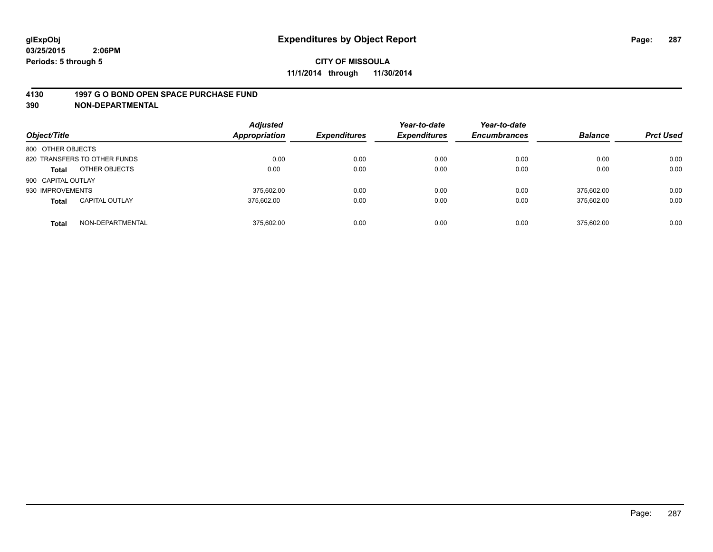#### **4130 1997 G O BOND OPEN SPACE PURCHASE FUND**

| Object/Title       |                              | <b>Adjusted</b><br><b>Appropriation</b> | <b>Expenditures</b> | Year-to-date<br><b>Expenditures</b> | Year-to-date<br><b>Encumbrances</b> | <b>Balance</b> | <b>Prct Used</b> |
|--------------------|------------------------------|-----------------------------------------|---------------------|-------------------------------------|-------------------------------------|----------------|------------------|
| 800 OTHER OBJECTS  |                              |                                         |                     |                                     |                                     |                |                  |
|                    | 820 TRANSFERS TO OTHER FUNDS | 0.00                                    | 0.00                | 0.00                                | 0.00                                | 0.00           | 0.00             |
| <b>Total</b>       | OTHER OBJECTS                | 0.00                                    | 0.00                | 0.00                                | 0.00                                | 0.00           | 0.00             |
| 900 CAPITAL OUTLAY |                              |                                         |                     |                                     |                                     |                |                  |
| 930 IMPROVEMENTS   |                              | 375.602.00                              | 0.00                | 0.00                                | 0.00                                | 375.602.00     | 0.00             |
| <b>Total</b>       | <b>CAPITAL OUTLAY</b>        | 375.602.00                              | 0.00                | 0.00                                | 0.00                                | 375,602.00     | 0.00             |
| <b>Total</b>       | NON-DEPARTMENTAL             | 375.602.00                              | 0.00                | 0.00                                | 0.00                                | 375.602.00     | 0.00             |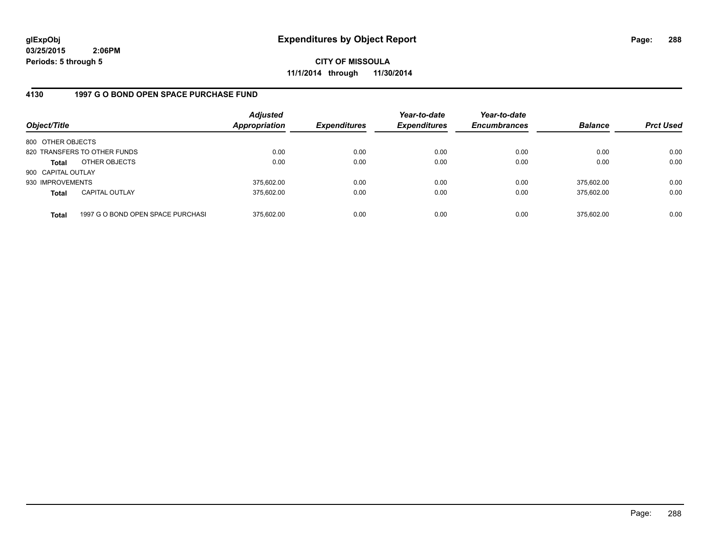**CITY OF MISSOULA 11/1/2014 through 11/30/2014**

### **4130 1997 G O BOND OPEN SPACE PURCHASE FUND**

| Object/Title       |                                   | <b>Adjusted</b><br><b>Appropriation</b> | <b>Expenditures</b> | Year-to-date<br><b>Expenditures</b> | Year-to-date<br><b>Encumbrances</b> | <b>Balance</b> | <b>Prct Used</b> |
|--------------------|-----------------------------------|-----------------------------------------|---------------------|-------------------------------------|-------------------------------------|----------------|------------------|
| 800 OTHER OBJECTS  |                                   |                                         |                     |                                     |                                     |                |                  |
|                    | 820 TRANSFERS TO OTHER FUNDS      | 0.00                                    | 0.00                | 0.00                                | 0.00                                | 0.00           | 0.00             |
| Total              | OTHER OBJECTS                     | 0.00                                    | 0.00                | 0.00                                | 0.00                                | 0.00           | 0.00             |
| 900 CAPITAL OUTLAY |                                   |                                         |                     |                                     |                                     |                |                  |
| 930 IMPROVEMENTS   |                                   | 375,602.00                              | 0.00                | 0.00                                | 0.00                                | 375.602.00     | 0.00             |
| <b>Total</b>       | <b>CAPITAL OUTLAY</b>             | 375.602.00                              | 0.00                | 0.00                                | 0.00                                | 375.602.00     | 0.00             |
| <b>Total</b>       | 1997 G O BOND OPEN SPACE PURCHASI | 375.602.00                              | 0.00                | 0.00                                | 0.00                                | 375,602.00     | 0.00             |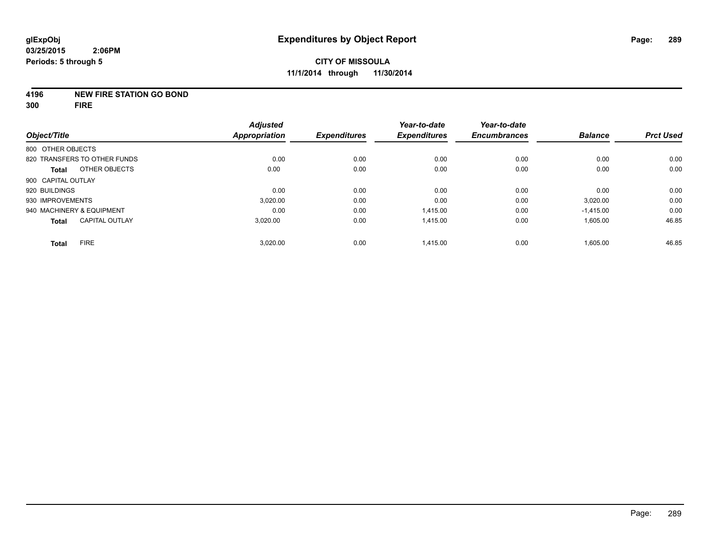#### **4196 NEW FIRE STATION GO BOND**

**300 FIRE**

| Object/Title                          | <b>Adjusted</b><br><b>Appropriation</b> | <b>Expenditures</b> | Year-to-date<br><b>Expenditures</b> | Year-to-date<br><b>Encumbrances</b> | <b>Balance</b> | <b>Prct Used</b> |
|---------------------------------------|-----------------------------------------|---------------------|-------------------------------------|-------------------------------------|----------------|------------------|
| 800 OTHER OBJECTS                     |                                         |                     |                                     |                                     |                |                  |
| 820 TRANSFERS TO OTHER FUNDS          | 0.00                                    | 0.00                | 0.00                                | 0.00                                | 0.00           | 0.00             |
| OTHER OBJECTS<br><b>Total</b>         | 0.00                                    | 0.00                | 0.00                                | 0.00                                | 0.00           | 0.00             |
| 900 CAPITAL OUTLAY                    |                                         |                     |                                     |                                     |                |                  |
| 920 BUILDINGS                         | 0.00                                    | 0.00                | 0.00                                | 0.00                                | 0.00           | 0.00             |
| 930 IMPROVEMENTS                      | 3.020.00                                | 0.00                | 0.00                                | 0.00                                | 3,020.00       | 0.00             |
| 940 MACHINERY & EQUIPMENT             | 0.00                                    | 0.00                | 1.415.00                            | 0.00                                | $-1,415.00$    | 0.00             |
| <b>CAPITAL OUTLAY</b><br><b>Total</b> | 3,020.00                                | 0.00                | 1.415.00                            | 0.00                                | 1,605.00       | 46.85            |
| <b>FIRE</b><br><b>Total</b>           | 3,020.00                                | 0.00                | 1,415.00                            | 0.00                                | 1,605.00       | 46.85            |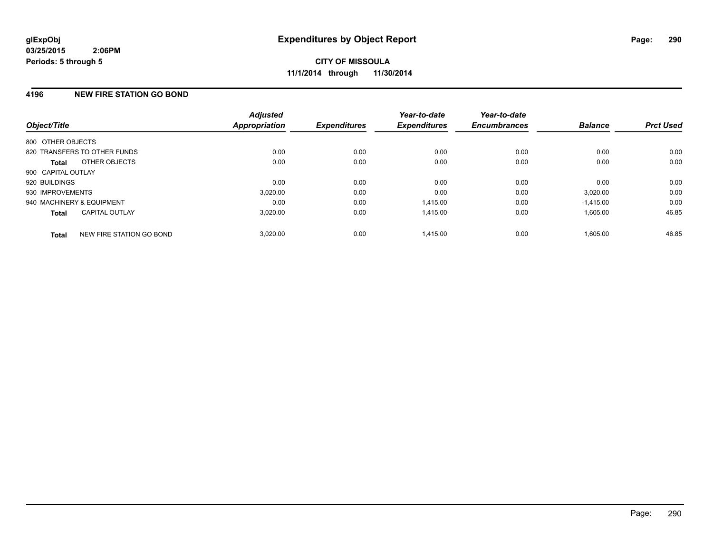#### **4196 NEW FIRE STATION GO BOND**

| Object/Title              |                              | <b>Adjusted</b><br>Appropriation | <b>Expenditures</b> | Year-to-date<br><b>Expenditures</b> | Year-to-date<br><b>Encumbrances</b> | <b>Balance</b> | <b>Prct Used</b> |
|---------------------------|------------------------------|----------------------------------|---------------------|-------------------------------------|-------------------------------------|----------------|------------------|
| 800 OTHER OBJECTS         |                              |                                  |                     |                                     |                                     |                |                  |
|                           | 820 TRANSFERS TO OTHER FUNDS | 0.00                             | 0.00                | 0.00                                | 0.00                                | 0.00           | 0.00             |
| <b>Total</b>              | OTHER OBJECTS                | 0.00                             | 0.00                | 0.00                                | 0.00                                | 0.00           | 0.00             |
| 900 CAPITAL OUTLAY        |                              |                                  |                     |                                     |                                     |                |                  |
| 920 BUILDINGS             |                              | 0.00                             | 0.00                | 0.00                                | 0.00                                | 0.00           | 0.00             |
| 930 IMPROVEMENTS          |                              | 3,020.00                         | 0.00                | 0.00                                | 0.00                                | 3,020.00       | 0.00             |
| 940 MACHINERY & EQUIPMENT |                              | 0.00                             | 0.00                | 1.415.00                            | 0.00                                | $-1,415.00$    | 0.00             |
| Total                     | <b>CAPITAL OUTLAY</b>        | 3,020.00                         | 0.00                | 1,415.00                            | 0.00                                | 1,605.00       | 46.85            |
| <b>Total</b>              | NEW FIRE STATION GO BOND     | 3.020.00                         | 0.00                | 1.415.00                            | 0.00                                | 1.605.00       | 46.85            |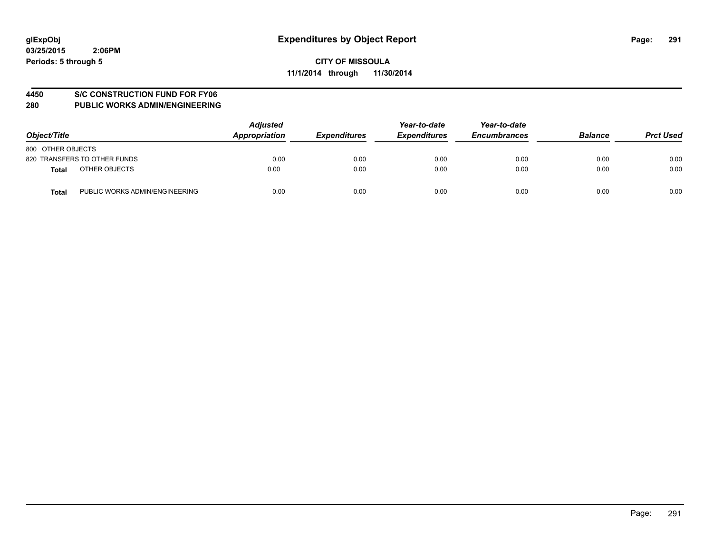#### **4450 S/C CONSTRUCTION FUND FOR FY06**

| Object/Title                                   | <b>Adjusted</b><br>Appropriation | <b>Expenditures</b> | Year-to-date<br><b>Expenditures</b> | Year-to-date<br><b>Encumbrances</b> | <b>Balance</b> | <b>Prct Used</b> |
|------------------------------------------------|----------------------------------|---------------------|-------------------------------------|-------------------------------------|----------------|------------------|
| 800 OTHER OBJECTS                              |                                  |                     |                                     |                                     |                |                  |
| 820 TRANSFERS TO OTHER FUNDS                   | 0.00                             | 0.00                | 0.00                                | 0.00                                | 0.00           | 0.00             |
| OTHER OBJECTS<br><b>Total</b>                  | 0.00                             | 0.00                | 0.00                                | 0.00                                | 0.00           | 0.00             |
| PUBLIC WORKS ADMIN/ENGINEERING<br><b>Total</b> | 0.00                             | 0.00                | 0.00                                | 0.00                                | 0.00           | 0.00             |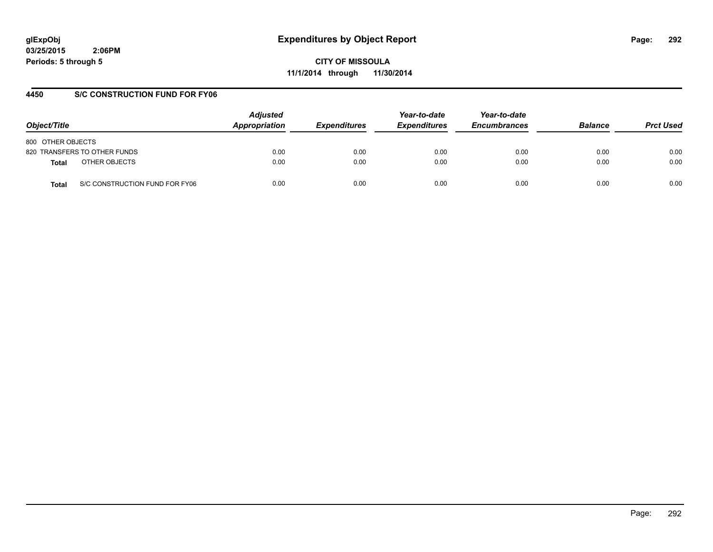**CITY OF MISSOULA 11/1/2014 through 11/30/2014**

# **4450 S/C CONSTRUCTION FUND FOR FY06**

| Object/Title                            | <b>Adjusted</b><br>Appropriation | <b>Expenditures</b> | Year-to-date<br><b>Expenditures</b> | Year-to-date<br><b>Encumbrances</b> | <b>Balance</b> | <b>Prct Used</b> |
|-----------------------------------------|----------------------------------|---------------------|-------------------------------------|-------------------------------------|----------------|------------------|
| 800 OTHER OBJECTS                       |                                  |                     |                                     |                                     |                |                  |
| 820 TRANSFERS TO OTHER FUNDS            | 0.00                             | 0.00                | 0.00                                | 0.00                                | 0.00           | 0.00             |
| OTHER OBJECTS<br>Total                  | 0.00                             | 0.00                | 0.00                                | 0.00                                | 0.00           | 0.00             |
| S/C CONSTRUCTION FUND FOR FY06<br>Total | 0.00                             | 0.00                | 0.00                                | 0.00                                | 0.00           | 0.00             |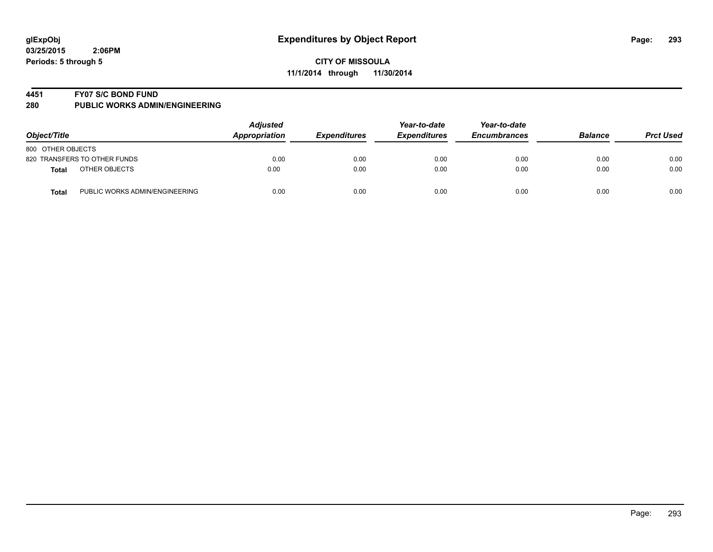#### **4451 FY07 S/C BOND FUND**

| Object/Title                                   | <b>Adjusted</b><br>Appropriation | <b>Expenditures</b> | Year-to-date<br><b>Expenditures</b> | Year-to-date<br><b>Encumbrances</b> | <b>Balance</b> | <b>Prct Used</b> |
|------------------------------------------------|----------------------------------|---------------------|-------------------------------------|-------------------------------------|----------------|------------------|
| 800 OTHER OBJECTS                              |                                  |                     |                                     |                                     |                |                  |
| 820 TRANSFERS TO OTHER FUNDS                   | 0.00                             | 0.00                | 0.00                                | 0.00                                | 0.00           | 0.00             |
| OTHER OBJECTS<br>Total                         | 0.00                             | 0.00                | 0.00                                | 0.00                                | 0.00           | 0.00             |
| PUBLIC WORKS ADMIN/ENGINEERING<br><b>Total</b> | 0.00                             | 0.00                | 0.00                                | 0.00                                | 0.00           | 0.00             |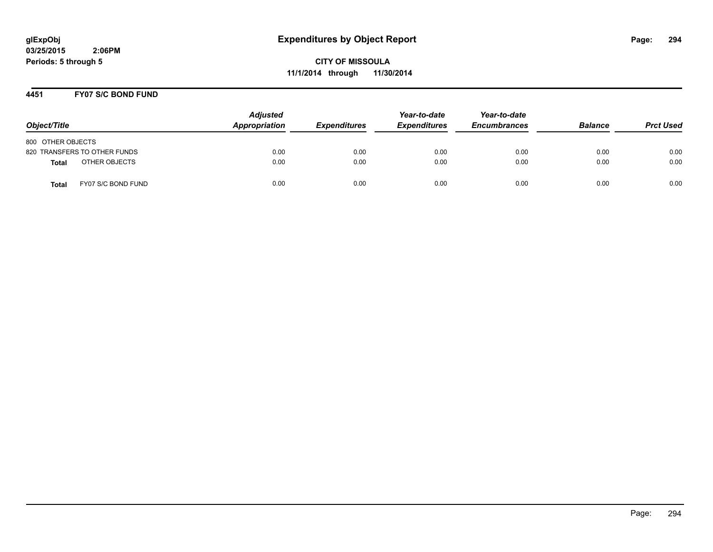**CITY OF MISSOULA 11/1/2014 through 11/30/2014**

#### **4451 FY07 S/C BOND FUND**

| Object/Title                       | <b>Adjusted</b><br>Appropriation | <i><b>Expenditures</b></i> | Year-to-date<br><b>Expenditures</b> | Year-to-date<br><b>Encumbrances</b> | <b>Balance</b> | <b>Prct Used</b> |
|------------------------------------|----------------------------------|----------------------------|-------------------------------------|-------------------------------------|----------------|------------------|
| 800 OTHER OBJECTS                  |                                  |                            |                                     |                                     |                |                  |
| 820 TRANSFERS TO OTHER FUNDS       | 0.00                             | 0.00                       | 0.00                                | 0.00                                | 0.00           | 0.00             |
| OTHER OBJECTS<br>Total             | 0.00                             | 0.00                       | 0.00                                | 0.00                                | 0.00           | 0.00             |
| FY07 S/C BOND FUND<br><b>Total</b> | 0.00                             | 0.00                       | 0.00                                | 0.00                                | 0.00           | 0.00             |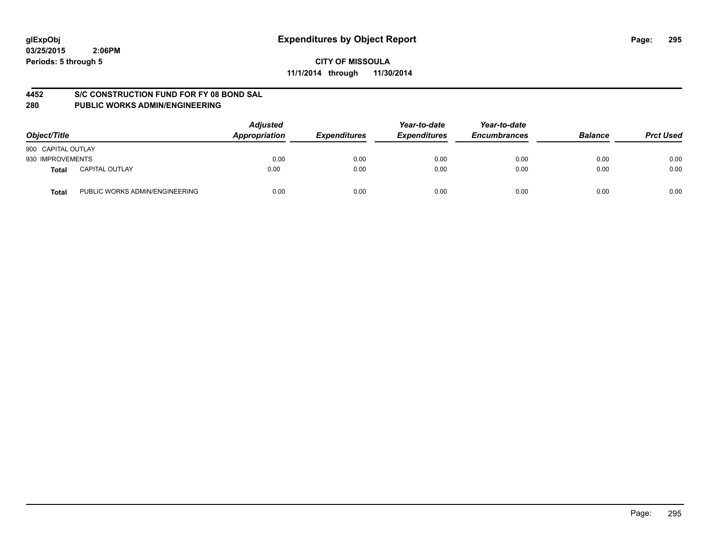**CITY OF MISSOULA 11/1/2014 through 11/30/2014**

#### **4452 S/C CONSTRUCTION FUND FOR FY 08 BOND SAL**

| Object/Title       |                                | <b>Adjusted</b><br>Appropriation | <b>Expenditures</b> | Year-to-date<br><b>Expenditures</b> | Year-to-date<br><b>Encumbrances</b> | <b>Balance</b> | <b>Prct Used</b> |
|--------------------|--------------------------------|----------------------------------|---------------------|-------------------------------------|-------------------------------------|----------------|------------------|
| 900 CAPITAL OUTLAY |                                |                                  |                     |                                     |                                     |                |                  |
| 930 IMPROVEMENTS   |                                | 0.00                             | 0.00                | 0.00                                | 0.00                                | 0.00           | 0.00             |
| Total              | <b>CAPITAL OUTLAY</b>          | 0.00                             | 0.00                | 0.00                                | 0.00                                | 0.00           | 0.00             |
| Total              | PUBLIC WORKS ADMIN/ENGINEERING | 0.00                             | 0.00                | 0.00                                | 0.00                                | 0.00           | 0.00             |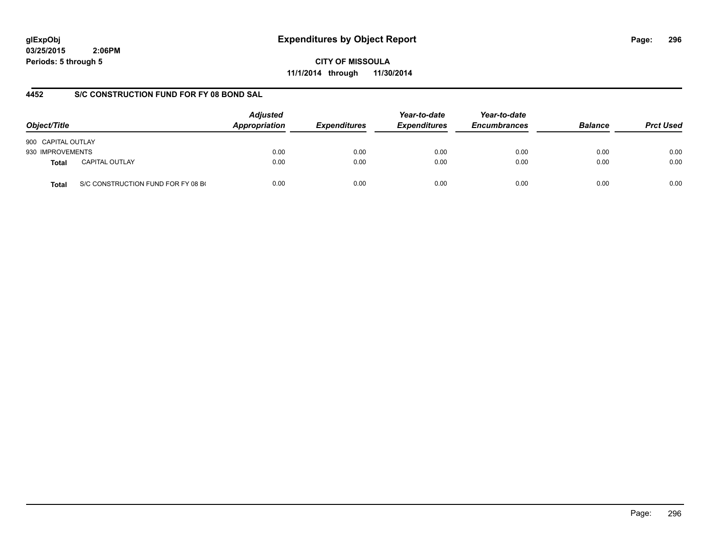# **glExpObj Expenditures by Object Report Page: 296**

**03/25/2015 2:06PM Periods: 5 through 5**

**CITY OF MISSOULA 11/1/2014 through 11/30/2014**

#### **4452 S/C CONSTRUCTION FUND FOR FY 08 BOND SAL**

| Object/Title       |                                    | <b>Adjusted</b><br>Appropriation | <b>Expenditures</b> | Year-to-date<br><b>Expenditures</b> | Year-to-date<br><b>Encumbrances</b> | <b>Balance</b> | <b>Prct Used</b> |
|--------------------|------------------------------------|----------------------------------|---------------------|-------------------------------------|-------------------------------------|----------------|------------------|
| 900 CAPITAL OUTLAY |                                    |                                  |                     |                                     |                                     |                |                  |
| 930 IMPROVEMENTS   |                                    | 0.00                             | 0.00                | 0.00                                | 0.00                                | 0.00           | 0.00             |
| <b>Total</b>       | <b>CAPITAL OUTLAY</b>              | 0.00                             | 0.00                | 0.00                                | 0.00                                | 0.00           | 0.00             |
| <b>Total</b>       | S/C CONSTRUCTION FUND FOR FY 08 BO | 0.00                             | 0.00                | 0.00                                | 0.00                                | 0.00           | 0.00             |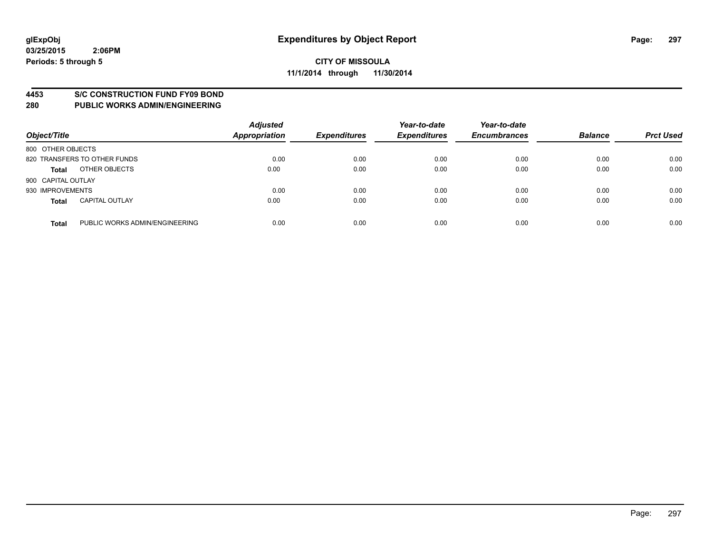#### **4453 S/C CONSTRUCTION FUND FY09 BOND**

| Object/Title       |                                | <b>Adjusted</b><br><b>Appropriation</b> | <b>Expenditures</b> | Year-to-date<br><b>Expenditures</b> | Year-to-date<br><b>Encumbrances</b> | <b>Balance</b> | <b>Prct Used</b> |
|--------------------|--------------------------------|-----------------------------------------|---------------------|-------------------------------------|-------------------------------------|----------------|------------------|
| 800 OTHER OBJECTS  |                                |                                         |                     |                                     |                                     |                |                  |
|                    | 820 TRANSFERS TO OTHER FUNDS   | 0.00                                    | 0.00                | 0.00                                | 0.00                                | 0.00           | 0.00             |
| <b>Total</b>       | OTHER OBJECTS                  | 0.00                                    | 0.00                | 0.00                                | 0.00                                | 0.00           | 0.00             |
| 900 CAPITAL OUTLAY |                                |                                         |                     |                                     |                                     |                |                  |
| 930 IMPROVEMENTS   |                                | 0.00                                    | 0.00                | 0.00                                | 0.00                                | 0.00           | 0.00             |
| <b>Total</b>       | <b>CAPITAL OUTLAY</b>          | 0.00                                    | 0.00                | 0.00                                | 0.00                                | 0.00           | 0.00             |
| <b>Total</b>       | PUBLIC WORKS ADMIN/ENGINEERING | 0.00                                    | 0.00                | 0.00                                | 0.00                                | 0.00           | 0.00             |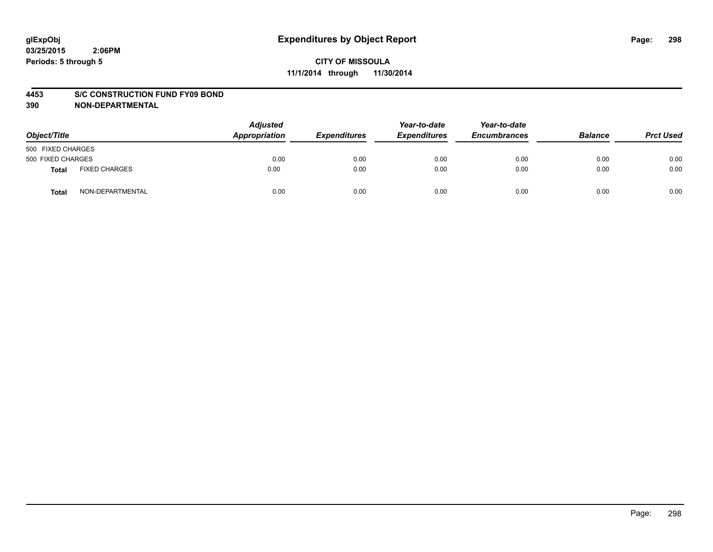#### **4453 S/C CONSTRUCTION FUND FY09 BOND**

| Object/Title      |                      | <b>Adjusted</b><br>Appropriation | <b>Expenditures</b> | Year-to-date<br><b>Expenditures</b> | Year-to-date<br><b>Encumbrances</b> | <b>Balance</b> | <b>Prct Used</b> |
|-------------------|----------------------|----------------------------------|---------------------|-------------------------------------|-------------------------------------|----------------|------------------|
| 500 FIXED CHARGES |                      |                                  |                     |                                     |                                     |                |                  |
| 500 FIXED CHARGES |                      | 0.00                             | 0.00                | 0.00                                | 0.00                                | 0.00           | 0.00             |
| <b>Total</b>      | <b>FIXED CHARGES</b> | 0.00                             | 0.00                | 0.00                                | 0.00                                | 0.00           | 0.00             |
| Total             | NON-DEPARTMENTAL     | 0.00                             | 0.00                | 0.00                                | 0.00                                | 0.00           | 0.00             |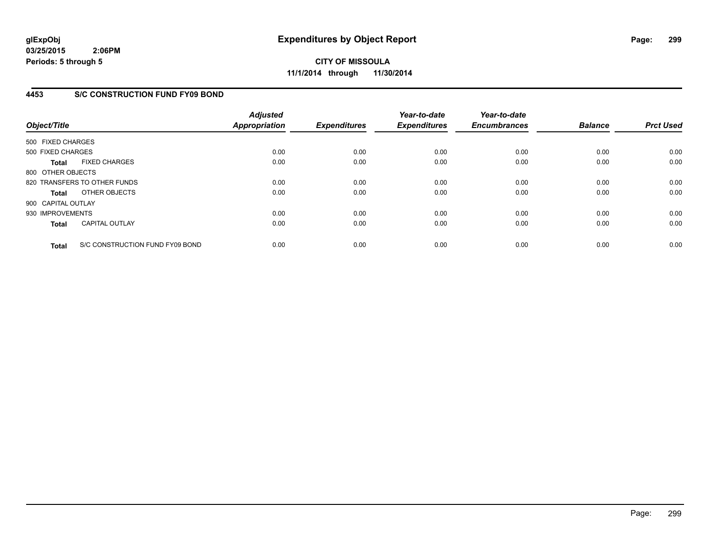**CITY OF MISSOULA 11/1/2014 through 11/30/2014**

#### **4453 S/C CONSTRUCTION FUND FY09 BOND**

| Object/Title       |                                 | <b>Adjusted</b><br><b>Appropriation</b> | <b>Expenditures</b> | Year-to-date<br><b>Expenditures</b> | Year-to-date<br><b>Encumbrances</b> | <b>Balance</b> | <b>Prct Used</b> |
|--------------------|---------------------------------|-----------------------------------------|---------------------|-------------------------------------|-------------------------------------|----------------|------------------|
| 500 FIXED CHARGES  |                                 |                                         |                     |                                     |                                     |                |                  |
| 500 FIXED CHARGES  |                                 | 0.00                                    | 0.00                | 0.00                                | 0.00                                | 0.00           | 0.00             |
| <b>Total</b>       | <b>FIXED CHARGES</b>            | 0.00                                    | 0.00                | 0.00                                | 0.00                                | 0.00           | 0.00             |
| 800 OTHER OBJECTS  |                                 |                                         |                     |                                     |                                     |                |                  |
|                    | 820 TRANSFERS TO OTHER FUNDS    | 0.00                                    | 0.00                | 0.00                                | 0.00                                | 0.00           | 0.00             |
| Total              | OTHER OBJECTS                   | 0.00                                    | 0.00                | 0.00                                | 0.00                                | 0.00           | 0.00             |
| 900 CAPITAL OUTLAY |                                 |                                         |                     |                                     |                                     |                |                  |
| 930 IMPROVEMENTS   |                                 | 0.00                                    | 0.00                | 0.00                                | 0.00                                | 0.00           | 0.00             |
| <b>Total</b>       | <b>CAPITAL OUTLAY</b>           | 0.00                                    | 0.00                | 0.00                                | 0.00                                | 0.00           | 0.00             |
| <b>Total</b>       | S/C CONSTRUCTION FUND FY09 BOND | 0.00                                    | 0.00                | 0.00                                | 0.00                                | 0.00           | 0.00             |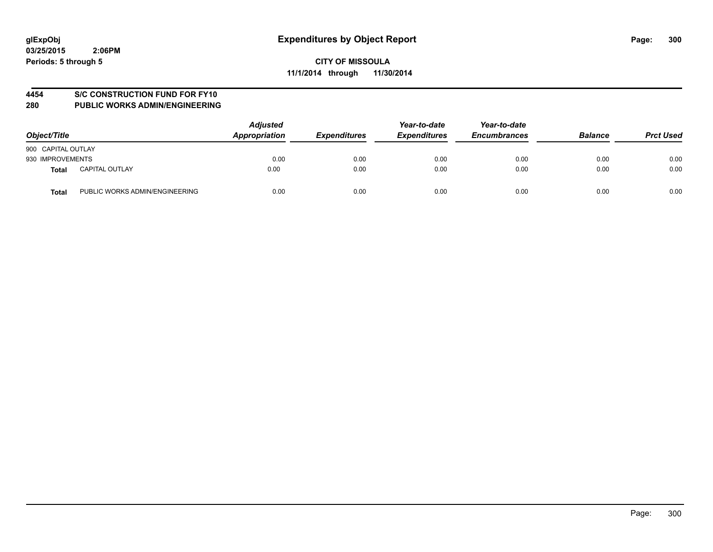# **4454 S/C CONSTRUCTION FUND FOR FY10**

| Object/Title       |                                | <b>Adjusted</b><br>Appropriation | <b>Expenditures</b> | Year-to-date<br><b>Expenditures</b> | Year-to-date<br><b>Encumbrances</b> | <b>Balance</b> | <b>Prct Used</b> |
|--------------------|--------------------------------|----------------------------------|---------------------|-------------------------------------|-------------------------------------|----------------|------------------|
| 900 CAPITAL OUTLAY |                                |                                  |                     |                                     |                                     |                |                  |
| 930 IMPROVEMENTS   |                                | 0.00                             | 0.00                | 0.00                                | 0.00                                | 0.00           | 0.00             |
| Total              | <b>CAPITAL OUTLAY</b>          | 0.00                             | 0.00                | 0.00                                | 0.00                                | 0.00           | 0.00             |
| <b>Total</b>       | PUBLIC WORKS ADMIN/ENGINEERING | 0.00                             | 0.00                | 0.00                                | 0.00                                | 0.00           | 0.00             |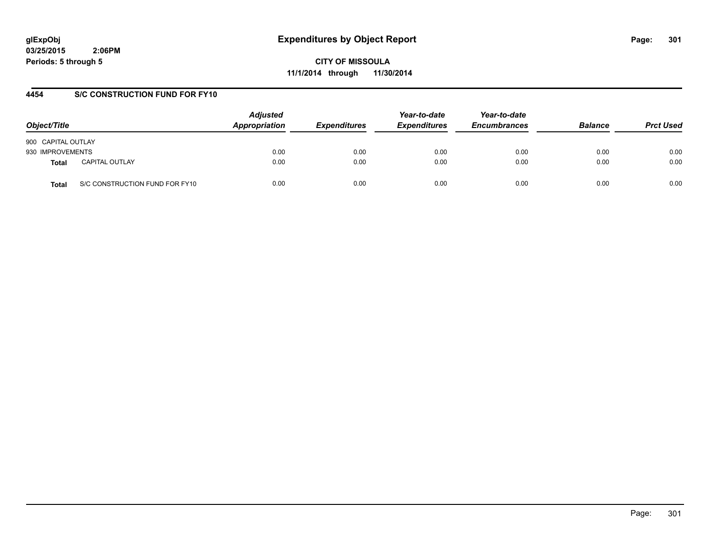**CITY OF MISSOULA 11/1/2014 through 11/30/2014**

#### **4454 S/C CONSTRUCTION FUND FOR FY10**

| Object/Title       |                                | <b>Adjusted</b><br>Appropriation | <b>Expenditures</b> | Year-to-date<br><b>Expenditures</b> | Year-to-date<br><b>Encumbrances</b> | <b>Balance</b> | <b>Prct Used</b> |
|--------------------|--------------------------------|----------------------------------|---------------------|-------------------------------------|-------------------------------------|----------------|------------------|
| 900 CAPITAL OUTLAY |                                |                                  |                     |                                     |                                     |                |                  |
| 930 IMPROVEMENTS   |                                | 0.00                             | 0.00                | 0.00                                | 0.00                                | 0.00           | 0.00             |
| Total              | <b>CAPITAL OUTLAY</b>          | 0.00                             | 0.00                | 0.00                                | 0.00                                | 0.00           | 0.00             |
| Total              | S/C CONSTRUCTION FUND FOR FY10 | 0.00                             | 0.00                | 0.00                                | 0.00                                | 0.00           | 0.00             |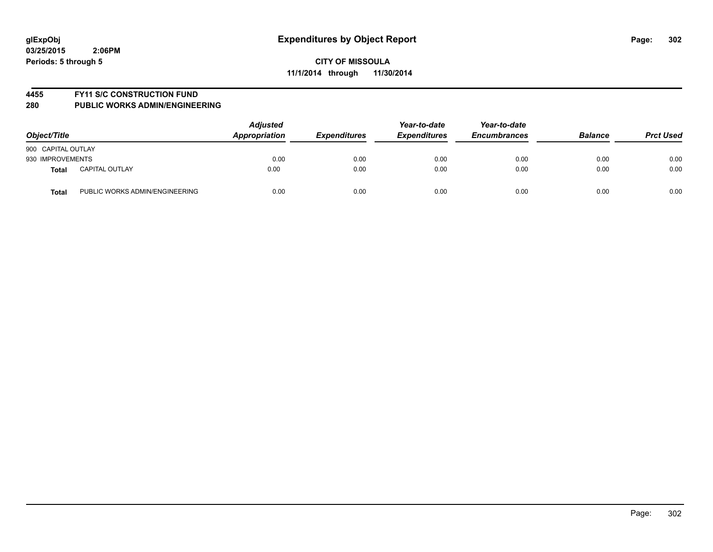#### **4455 FY11 S/C CONSTRUCTION FUND**

| Object/Title                            | <b>Adjusted</b><br>Appropriation | <b>Expenditures</b> | Year-to-date<br><b>Expenditures</b> | Year-to-date<br><b>Encumbrances</b> | <b>Balance</b> | <b>Prct Used</b> |
|-----------------------------------------|----------------------------------|---------------------|-------------------------------------|-------------------------------------|----------------|------------------|
| 900 CAPITAL OUTLAY                      |                                  |                     |                                     |                                     |                |                  |
| 930 IMPROVEMENTS                        | 0.00                             | 0.00                | 0.00                                | 0.00                                | 0.00           | 0.00             |
| <b>CAPITAL OUTLAY</b><br><b>Total</b>   | 0.00                             | 0.00                | 0.00                                | 0.00                                | 0.00           | 0.00             |
| PUBLIC WORKS ADMIN/ENGINEERING<br>Total | 0.00                             | 0.00                | 0.00                                | 0.00                                | 0.00           | 0.00             |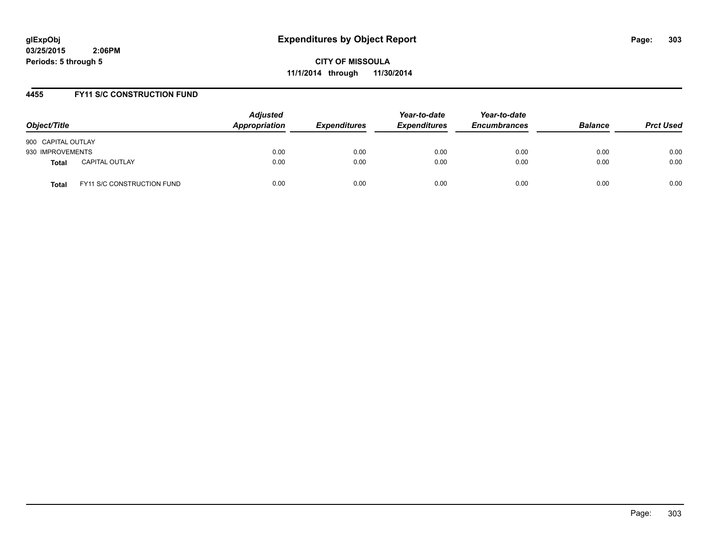**CITY OF MISSOULA 11/1/2014 through 11/30/2014**

#### **4455 FY11 S/C CONSTRUCTION FUND**

| Object/Title                          | <b>Adjusted</b><br><b>Appropriation</b> | <b>Expenditures</b> | Year-to-date<br><b>Expenditures</b> | Year-to-date<br><b>Encumbrances</b> | <b>Balance</b> | <b>Prct Used</b> |
|---------------------------------------|-----------------------------------------|---------------------|-------------------------------------|-------------------------------------|----------------|------------------|
| 900 CAPITAL OUTLAY                    |                                         |                     |                                     |                                     |                |                  |
| 930 IMPROVEMENTS                      | 0.00                                    | 0.00                | 0.00                                | 0.00                                | 0.00           | 0.00             |
| <b>CAPITAL OUTLAY</b><br><b>Total</b> | 0.00                                    | 0.00                | 0.00                                | 0.00                                | 0.00           | 0.00             |
| FY11 S/C CONSTRUCTION FUND<br>Total   | 0.00                                    | 0.00                | 0.00                                | 0.00                                | 0.00           | 0.00             |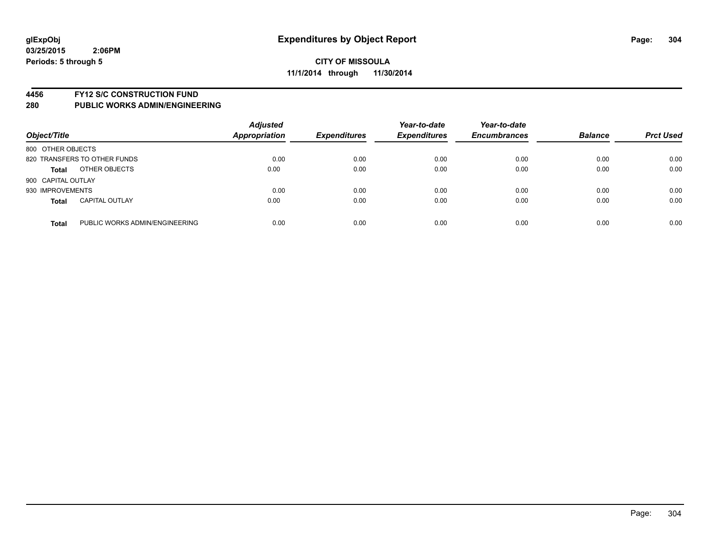#### **4456 FY12 S/C CONSTRUCTION FUND**

| Object/Title       |                                | <b>Adjusted</b><br><b>Appropriation</b> | <b>Expenditures</b> | Year-to-date<br><b>Expenditures</b> | Year-to-date<br><b>Encumbrances</b> | <b>Balance</b> | <b>Prct Used</b> |
|--------------------|--------------------------------|-----------------------------------------|---------------------|-------------------------------------|-------------------------------------|----------------|------------------|
| 800 OTHER OBJECTS  |                                |                                         |                     |                                     |                                     |                |                  |
|                    | 820 TRANSFERS TO OTHER FUNDS   | 0.00                                    | 0.00                | 0.00                                | 0.00                                | 0.00           | 0.00             |
| <b>Total</b>       | OTHER OBJECTS                  | 0.00                                    | 0.00                | 0.00                                | 0.00                                | 0.00           | 0.00             |
| 900 CAPITAL OUTLAY |                                |                                         |                     |                                     |                                     |                |                  |
| 930 IMPROVEMENTS   |                                | 0.00                                    | 0.00                | 0.00                                | 0.00                                | 0.00           | 0.00             |
| <b>Total</b>       | <b>CAPITAL OUTLAY</b>          | 0.00                                    | 0.00                | 0.00                                | 0.00                                | 0.00           | 0.00             |
| <b>Total</b>       | PUBLIC WORKS ADMIN/ENGINEERING | 0.00                                    | 0.00                | 0.00                                | 0.00                                | 0.00           | 0.00             |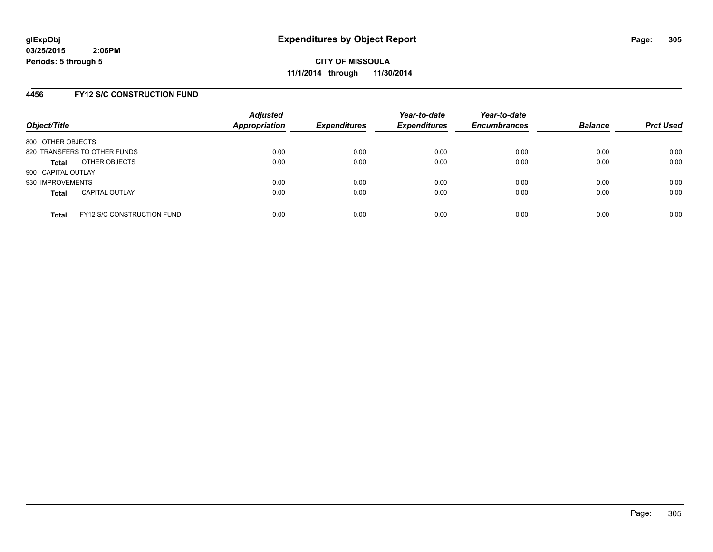#### **4456 FY12 S/C CONSTRUCTION FUND**

| Object/Title       |                                   | <b>Adjusted</b><br>Appropriation | <b>Expenditures</b> | Year-to-date<br><b>Expenditures</b> | Year-to-date<br><b>Encumbrances</b> | <b>Balance</b> | <b>Prct Used</b> |
|--------------------|-----------------------------------|----------------------------------|---------------------|-------------------------------------|-------------------------------------|----------------|------------------|
| 800 OTHER OBJECTS  |                                   |                                  |                     |                                     |                                     |                |                  |
|                    | 820 TRANSFERS TO OTHER FUNDS      | 0.00                             | 0.00                | 0.00                                | 0.00                                | 0.00           | 0.00             |
| <b>Total</b>       | OTHER OBJECTS                     | 0.00                             | 0.00                | 0.00                                | 0.00                                | 0.00           | 0.00             |
| 900 CAPITAL OUTLAY |                                   |                                  |                     |                                     |                                     |                |                  |
| 930 IMPROVEMENTS   |                                   | 0.00                             | 0.00                | 0.00                                | 0.00                                | 0.00           | 0.00             |
| <b>Total</b>       | <b>CAPITAL OUTLAY</b>             | 0.00                             | 0.00                | 0.00                                | 0.00                                | 0.00           | 0.00             |
| <b>Total</b>       | <b>FY12 S/C CONSTRUCTION FUND</b> | 0.00                             | 0.00                | 0.00                                | 0.00                                | 0.00           | 0.00             |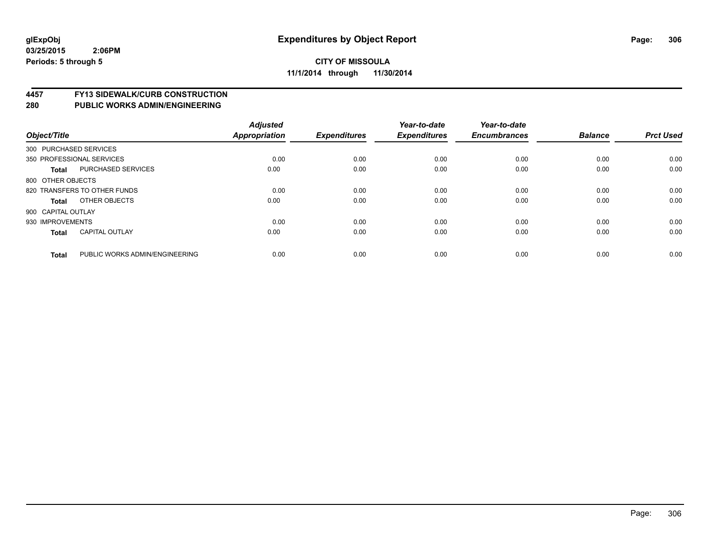# **4457 FY13 SIDEWALK/CURB CONSTRUCTION**

| Object/Title           |                                | <b>Adjusted</b><br><b>Appropriation</b> | <b>Expenditures</b> | Year-to-date<br><b>Expenditures</b> | Year-to-date<br><b>Encumbrances</b> | <b>Balance</b> | <b>Prct Used</b> |
|------------------------|--------------------------------|-----------------------------------------|---------------------|-------------------------------------|-------------------------------------|----------------|------------------|
| 300 PURCHASED SERVICES |                                |                                         |                     |                                     |                                     |                |                  |
|                        | 350 PROFESSIONAL SERVICES      | 0.00                                    | 0.00                | 0.00                                | 0.00                                | 0.00           | 0.00             |
| <b>Total</b>           | <b>PURCHASED SERVICES</b>      | 0.00                                    | 0.00                | 0.00                                | 0.00                                | 0.00           | 0.00             |
| 800 OTHER OBJECTS      |                                |                                         |                     |                                     |                                     |                |                  |
|                        | 820 TRANSFERS TO OTHER FUNDS   | 0.00                                    | 0.00                | 0.00                                | 0.00                                | 0.00           | 0.00             |
| Total                  | OTHER OBJECTS                  | 0.00                                    | 0.00                | 0.00                                | 0.00                                | 0.00           | 0.00             |
| 900 CAPITAL OUTLAY     |                                |                                         |                     |                                     |                                     |                |                  |
| 930 IMPROVEMENTS       |                                | 0.00                                    | 0.00                | 0.00                                | 0.00                                | 0.00           | 0.00             |
| <b>Total</b>           | <b>CAPITAL OUTLAY</b>          | 0.00                                    | 0.00                | 0.00                                | 0.00                                | 0.00           | 0.00             |
| <b>Total</b>           | PUBLIC WORKS ADMIN/ENGINEERING | 0.00                                    | 0.00                | 0.00                                | 0.00                                | 0.00           | 0.00             |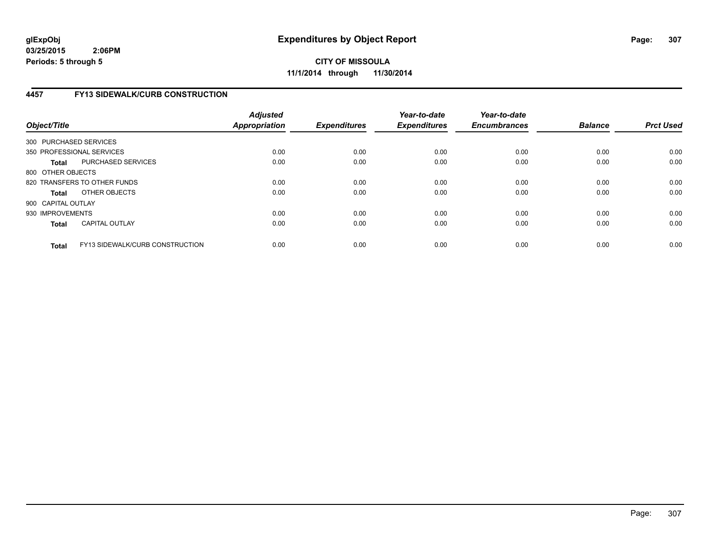**CITY OF MISSOULA 11/1/2014 through 11/30/2014**

# **4457 FY13 SIDEWALK/CURB CONSTRUCTION**

| Object/Title           |                                        | <b>Adjusted</b><br><b>Appropriation</b> | <b>Expenditures</b> | Year-to-date<br><b>Expenditures</b> | Year-to-date<br><b>Encumbrances</b> | <b>Balance</b> | <b>Prct Used</b> |
|------------------------|----------------------------------------|-----------------------------------------|---------------------|-------------------------------------|-------------------------------------|----------------|------------------|
| 300 PURCHASED SERVICES |                                        |                                         |                     |                                     |                                     |                |                  |
|                        | 350 PROFESSIONAL SERVICES              | 0.00                                    | 0.00                | 0.00                                | 0.00                                | 0.00           | 0.00             |
| <b>Total</b>           | PURCHASED SERVICES                     | 0.00                                    | 0.00                | 0.00                                | 0.00                                | 0.00           | 0.00             |
| 800 OTHER OBJECTS      |                                        |                                         |                     |                                     |                                     |                |                  |
|                        | 820 TRANSFERS TO OTHER FUNDS           | 0.00                                    | 0.00                | 0.00                                | 0.00                                | 0.00           | 0.00             |
| <b>Total</b>           | OTHER OBJECTS                          | 0.00                                    | 0.00                | 0.00                                | 0.00                                | 0.00           | 0.00             |
| 900 CAPITAL OUTLAY     |                                        |                                         |                     |                                     |                                     |                |                  |
| 930 IMPROVEMENTS       |                                        | 0.00                                    | 0.00                | 0.00                                | 0.00                                | 0.00           | 0.00             |
| <b>Total</b>           | <b>CAPITAL OUTLAY</b>                  | 0.00                                    | 0.00                | 0.00                                | 0.00                                | 0.00           | 0.00             |
| <b>Total</b>           | <b>FY13 SIDEWALK/CURB CONSTRUCTION</b> | 0.00                                    | 0.00                | 0.00                                | 0.00                                | 0.00           | 0.00             |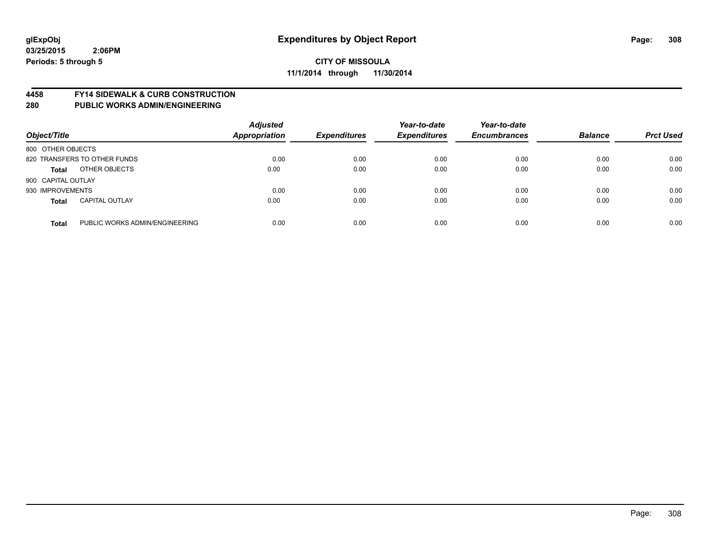#### **4458 FY14 SIDEWALK & CURB CONSTRUCTION**

| Object/Title       |                                | <b>Adjusted</b><br><b>Appropriation</b> | <b>Expenditures</b> | Year-to-date<br><b>Expenditures</b> | Year-to-date<br><b>Encumbrances</b> | <b>Balance</b> | <b>Prct Used</b> |
|--------------------|--------------------------------|-----------------------------------------|---------------------|-------------------------------------|-------------------------------------|----------------|------------------|
| 800 OTHER OBJECTS  |                                |                                         |                     |                                     |                                     |                |                  |
|                    | 820 TRANSFERS TO OTHER FUNDS   | 0.00                                    | 0.00                | 0.00                                | 0.00                                | 0.00           | 0.00             |
| <b>Total</b>       | OTHER OBJECTS                  | 0.00                                    | 0.00                | 0.00                                | 0.00                                | 0.00           | 0.00             |
| 900 CAPITAL OUTLAY |                                |                                         |                     |                                     |                                     |                |                  |
| 930 IMPROVEMENTS   |                                | 0.00                                    | 0.00                | 0.00                                | 0.00                                | 0.00           | 0.00             |
| <b>Total</b>       | <b>CAPITAL OUTLAY</b>          | 0.00                                    | 0.00                | 0.00                                | 0.00                                | 0.00           | 0.00             |
| <b>Total</b>       | PUBLIC WORKS ADMIN/ENGINEERING | 0.00                                    | 0.00                | 0.00                                | 0.00                                | 0.00           | 0.00             |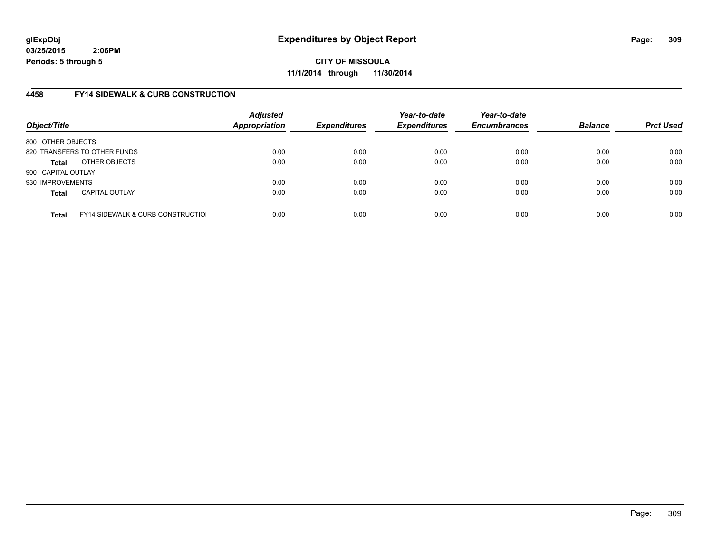**CITY OF MISSOULA 11/1/2014 through 11/30/2014**

# **4458 FY14 SIDEWALK & CURB CONSTRUCTION**

| Object/Title       |                                              | <b>Adjusted</b><br><b>Appropriation</b> | <b>Expenditures</b> | Year-to-date<br><b>Expenditures</b> | Year-to-date<br><b>Encumbrances</b> | <b>Balance</b> | <b>Prct Used</b> |
|--------------------|----------------------------------------------|-----------------------------------------|---------------------|-------------------------------------|-------------------------------------|----------------|------------------|
| 800 OTHER OBJECTS  |                                              |                                         |                     |                                     |                                     |                |                  |
|                    | 820 TRANSFERS TO OTHER FUNDS                 | 0.00                                    | 0.00                | 0.00                                | 0.00                                | 0.00           | 0.00             |
| Total              | OTHER OBJECTS                                | 0.00                                    | 0.00                | 0.00                                | 0.00                                | 0.00           | 0.00             |
| 900 CAPITAL OUTLAY |                                              |                                         |                     |                                     |                                     |                |                  |
| 930 IMPROVEMENTS   |                                              | 0.00                                    | 0.00                | 0.00                                | 0.00                                | 0.00           | 0.00             |
| <b>Total</b>       | <b>CAPITAL OUTLAY</b>                        | 0.00                                    | 0.00                | 0.00                                | 0.00                                | 0.00           | 0.00             |
| <b>Total</b>       | <b>FY14 SIDEWALK &amp; CURB CONSTRUCTIOL</b> | 0.00                                    | 0.00                | 0.00                                | 0.00                                | 0.00           | 0.00             |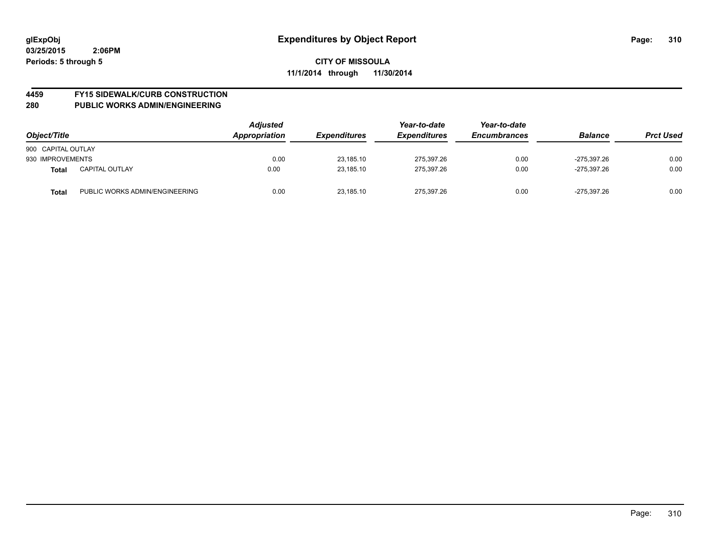# **4459 FY15 SIDEWALK/CURB CONSTRUCTION**

| Object/Title       |                                | <b>Adjusted</b><br>Appropriation | <b>Expenditures</b> | Year-to-date<br><b>Expenditures</b> | Year-to-date<br><b>Encumbrances</b> | <b>Balance</b> | <b>Prct Used</b> |
|--------------------|--------------------------------|----------------------------------|---------------------|-------------------------------------|-------------------------------------|----------------|------------------|
| 900 CAPITAL OUTLAY |                                |                                  |                     |                                     |                                     |                |                  |
| 930 IMPROVEMENTS   |                                | 0.00                             | 23.185.10           | 275.397.26                          | 0.00                                | -275.397.26    | 0.00             |
| <b>Total</b>       | <b>CAPITAL OUTLAY</b>          | 0.00                             | 23.185.10           | 275.397.26                          | 0.00                                | -275.397.26    | 0.00             |
| <b>Total</b>       | PUBLIC WORKS ADMIN/ENGINEERING | 0.00                             | 23,185.10           | 275.397.26                          | 0.00                                | -275.397.26    | 0.00             |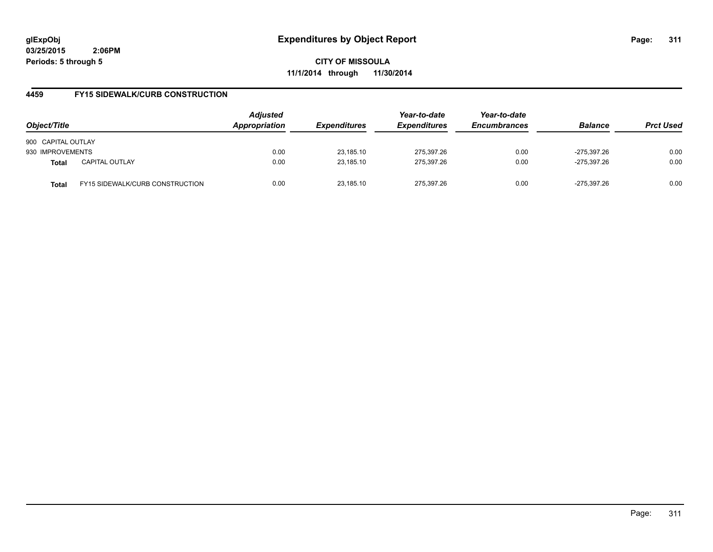**CITY OF MISSOULA 11/1/2014 through 11/30/2014**

# **4459 FY15 SIDEWALK/CURB CONSTRUCTION**

| Object/Title       |                                        | <b>Adjusted</b><br>Appropriation | <b>Expenditures</b> | Year-to-date<br><b>Expenditures</b> | Year-to-date<br><b>Encumbrances</b> | <b>Balance</b> | <b>Prct Used</b> |
|--------------------|----------------------------------------|----------------------------------|---------------------|-------------------------------------|-------------------------------------|----------------|------------------|
| 900 CAPITAL OUTLAY |                                        |                                  |                     |                                     |                                     |                |                  |
| 930 IMPROVEMENTS   |                                        | 0.00                             | 23,185.10           | 275,397.26                          | 0.00                                | -275.397.26    | 0.00             |
| <b>Total</b>       | <b>CAPITAL OUTLAY</b>                  | 0.00                             | 23.185.10           | 275.397.26                          | 0.00                                | -275.397.26    | 0.00             |
| Total              | <b>FY15 SIDEWALK/CURB CONSTRUCTION</b> | 0.00                             | 23.185.10           | 275.397.26                          | 0.00                                | -275.397.26    | 0.00             |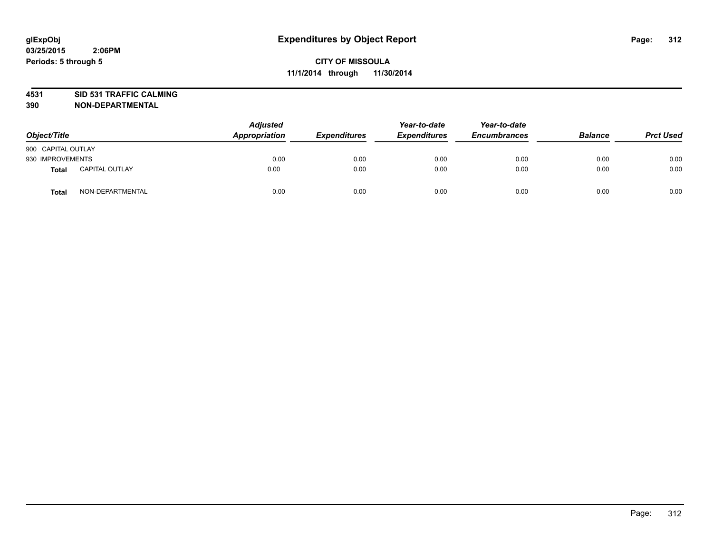# **4531 SID 531 TRAFFIC CALMING**

| Object/Title       |                       | <b>Adjusted</b><br>Appropriation | <b>Expenditures</b> | Year-to-date<br><b>Expenditures</b> | Year-to-date<br><b>Encumbrances</b> | <b>Balance</b> | <b>Prct Used</b> |
|--------------------|-----------------------|----------------------------------|---------------------|-------------------------------------|-------------------------------------|----------------|------------------|
| 900 CAPITAL OUTLAY |                       |                                  |                     |                                     |                                     |                |                  |
| 930 IMPROVEMENTS   |                       | 0.00                             | 0.00                | 0.00                                | 0.00                                | 0.00           | 0.00             |
| Total              | <b>CAPITAL OUTLAY</b> | 0.00                             | 0.00                | 0.00                                | 0.00                                | 0.00           | 0.00             |
| <b>Total</b>       | NON-DEPARTMENTAL      | 0.00                             | 0.00                | 0.00                                | 0.00                                | 0.00           | 0.00             |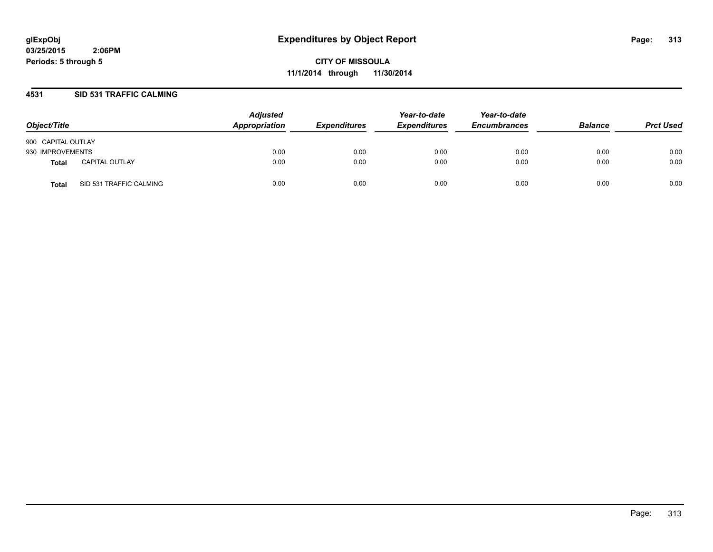**CITY OF MISSOULA 11/1/2014 through 11/30/2014**

#### **4531 SID 531 TRAFFIC CALMING**

| Object/Title       |                         | <b>Adjusted</b><br>Appropriation | <b>Expenditures</b> | Year-to-date<br><b>Expenditures</b> | Year-to-date<br><b>Encumbrances</b> | <b>Balance</b> | <b>Prct Used</b> |
|--------------------|-------------------------|----------------------------------|---------------------|-------------------------------------|-------------------------------------|----------------|------------------|
| 900 CAPITAL OUTLAY |                         |                                  |                     |                                     |                                     |                |                  |
| 930 IMPROVEMENTS   |                         | 0.00                             | 0.00                | 0.00                                | 0.00                                | 0.00           | 0.00             |
| Total              | <b>CAPITAL OUTLAY</b>   | 0.00                             | 0.00                | 0.00                                | 0.00                                | 0.00           | 0.00             |
| Total              | SID 531 TRAFFIC CALMING | 0.00                             | 0.00                | 0.00                                | 0.00                                | 0.00           | 0.00             |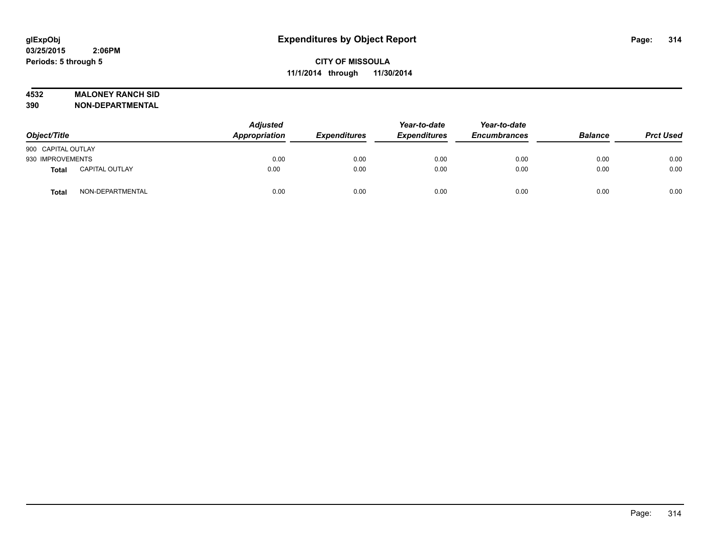#### **4532 MALONEY RANCH SID**

| Object/Title       |                       | <b>Adjusted</b><br>Appropriation | <b>Expenditures</b> | Year-to-date<br><b>Expenditures</b> | Year-to-date<br><b>Encumbrances</b> | <b>Balance</b> | <b>Prct Used</b> |
|--------------------|-----------------------|----------------------------------|---------------------|-------------------------------------|-------------------------------------|----------------|------------------|
| 900 CAPITAL OUTLAY |                       |                                  |                     |                                     |                                     |                |                  |
| 930 IMPROVEMENTS   |                       | 0.00                             | 0.00                | 0.00                                | 0.00                                | 0.00           | 0.00             |
| Total              | <b>CAPITAL OUTLAY</b> | 0.00                             | 0.00                | 0.00                                | 0.00                                | 0.00           | 0.00             |
| Total              | NON-DEPARTMENTAL      | 0.00                             | 0.00                | 0.00                                | 0.00                                | 0.00           | 0.00             |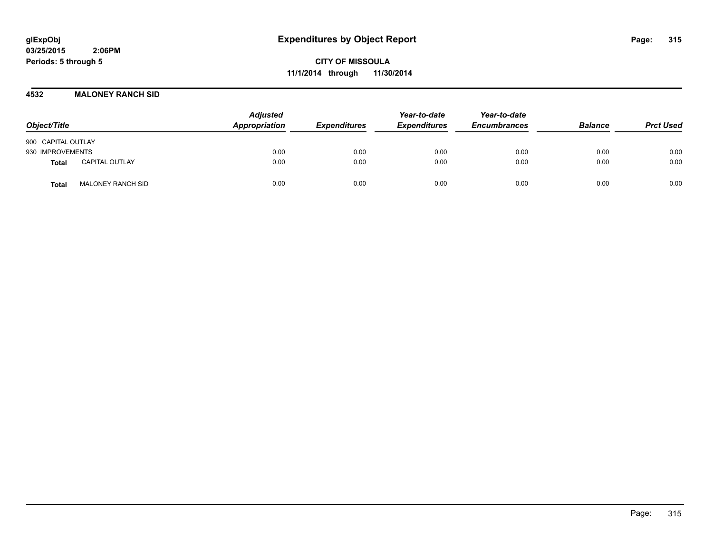**CITY OF MISSOULA 11/1/2014 through 11/30/2014**

#### **4532 MALONEY RANCH SID**

| Object/Title                             | <b>Adjusted</b><br>Appropriation | <b>Expenditures</b> | Year-to-date<br><b>Expenditures</b> | Year-to-date<br><b>Encumbrances</b> | <b>Balance</b> | <b>Prct Used</b> |
|------------------------------------------|----------------------------------|---------------------|-------------------------------------|-------------------------------------|----------------|------------------|
| 900 CAPITAL OUTLAY                       |                                  |                     |                                     |                                     |                |                  |
| 930 IMPROVEMENTS                         | 0.00                             | 0.00                | 0.00                                | 0.00                                | 0.00           | 0.00             |
| <b>CAPITAL OUTLAY</b><br>Total           | 0.00                             | 0.00                | 0.00                                | 0.00                                | 0.00           | 0.00             |
| <b>MALONEY RANCH SID</b><br><b>Total</b> | 0.00                             | 0.00                | 0.00                                | 0.00                                | 0.00           | 0.00             |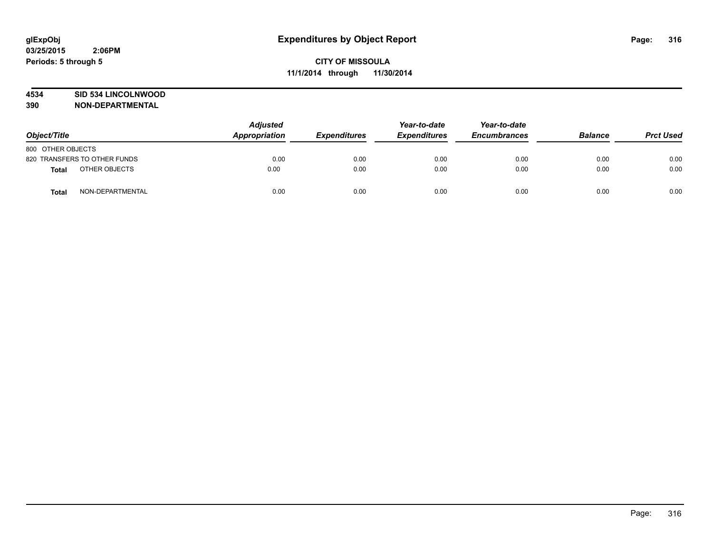#### **4534 SID 534 LINCOLNWOOD**

| Object/Title                  | <b>Adjusted</b><br><b>Appropriation</b> | <b>Expenditures</b> | Year-to-date<br><b>Expenditures</b> | Year-to-date<br><b>Encumbrances</b> | <b>Balance</b> | <b>Prct Used</b> |
|-------------------------------|-----------------------------------------|---------------------|-------------------------------------|-------------------------------------|----------------|------------------|
| 800 OTHER OBJECTS             |                                         |                     |                                     |                                     |                |                  |
| 820 TRANSFERS TO OTHER FUNDS  | 0.00                                    | 0.00                | 0.00                                | 0.00                                | 0.00           | 0.00             |
| OTHER OBJECTS<br><b>Total</b> | 0.00                                    | 0.00                | 0.00                                | 0.00                                | 0.00           | 0.00             |
| NON-DEPARTMENTAL<br>Total     | 0.00                                    | 0.00                | 0.00                                | 0.00                                | 0.00           | 0.00             |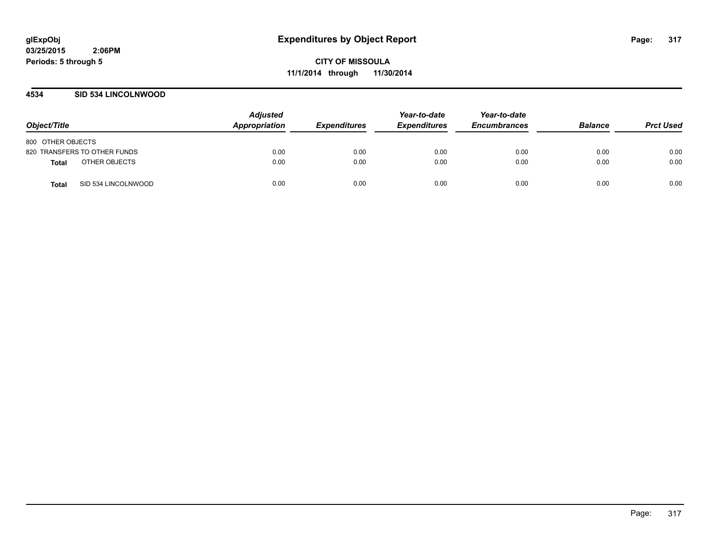#### **4534 SID 534 LINCOLNWOOD**

| Object/Title                 | <b>Adjusted</b><br>Appropriation | <b>Expenditures</b> | Year-to-date<br><b>Expenditures</b> | Year-to-date<br><b>Encumbrances</b> | <b>Balance</b> | <b>Prct Used</b> |
|------------------------------|----------------------------------|---------------------|-------------------------------------|-------------------------------------|----------------|------------------|
| 800 OTHER OBJECTS            |                                  |                     |                                     |                                     |                |                  |
| 820 TRANSFERS TO OTHER FUNDS | 0.00                             | 0.00                | 0.00                                | 0.00                                | 0.00           | 0.00             |
| OTHER OBJECTS<br>Total       | 0.00                             | 0.00                | 0.00                                | 0.00                                | 0.00           | 0.00             |
| SID 534 LINCOLNWOOD<br>Total | 0.00                             | 0.00                | 0.00                                | 0.00                                | 0.00           | 0.00             |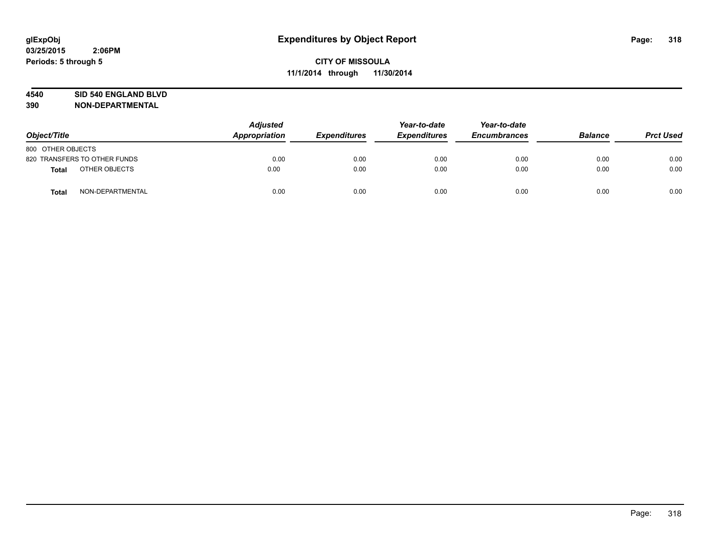#### **4540 SID 540 ENGLAND BLVD**

| Object/Title                  | <b>Adjusted</b><br>Appropriation | Year-to-date<br><b>Expenditures</b><br><b>Expenditures</b> | Year-to-date<br><b>Encumbrances</b> | <b>Balance</b> | <b>Prct Used</b> |      |
|-------------------------------|----------------------------------|------------------------------------------------------------|-------------------------------------|----------------|------------------|------|
| 800 OTHER OBJECTS             |                                  |                                                            |                                     |                |                  |      |
| 820 TRANSFERS TO OTHER FUNDS  | 0.00                             | 0.00                                                       | 0.00                                | 0.00           | 0.00             | 0.00 |
| OTHER OBJECTS<br><b>Total</b> | 0.00                             | 0.00                                                       | 0.00                                | 0.00           | 0.00             | 0.00 |
| NON-DEPARTMENTAL<br>Total     | 0.00                             | 0.00                                                       | 0.00                                | 0.00           | 0.00             | 0.00 |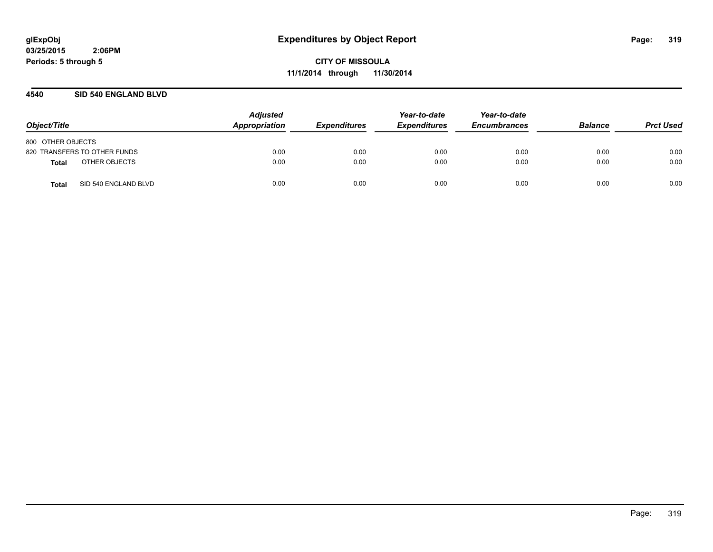#### **4540 SID 540 ENGLAND BLVD**

| Object/Title                  | <b>Adjusted</b><br>Appropriation | <b>Expenditures</b> | Year-to-date<br><b>Expenditures</b> | Year-to-date<br><b>Encumbrances</b> | <b>Balance</b> | <b>Prct Used</b> |
|-------------------------------|----------------------------------|---------------------|-------------------------------------|-------------------------------------|----------------|------------------|
| 800 OTHER OBJECTS             |                                  |                     |                                     |                                     |                |                  |
| 820 TRANSFERS TO OTHER FUNDS  | 0.00                             | 0.00                | 0.00                                | 0.00                                | 0.00           | 0.00             |
| OTHER OBJECTS<br>Total        | 0.00                             | 0.00                | 0.00                                | 0.00                                | 0.00           | 0.00             |
| SID 540 ENGLAND BLVD<br>Total | 0.00                             | 0.00                | 0.00                                | 0.00                                | 0.00           | 0.00             |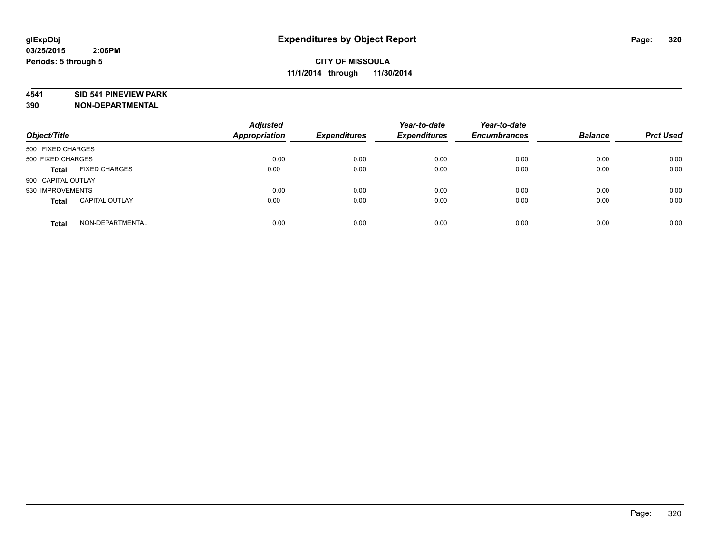#### **4541 SID 541 PINEVIEW PARK**

| Object/Title                          | <b>Adjusted</b><br><b>Appropriation</b> | <b>Expenditures</b> | Year-to-date<br><b>Expenditures</b> | Year-to-date<br><b>Encumbrances</b> | <b>Balance</b> | <b>Prct Used</b> |
|---------------------------------------|-----------------------------------------|---------------------|-------------------------------------|-------------------------------------|----------------|------------------|
| 500 FIXED CHARGES                     |                                         |                     |                                     |                                     |                |                  |
| 500 FIXED CHARGES                     | 0.00                                    | 0.00                | 0.00                                | 0.00                                | 0.00           | 0.00             |
| <b>FIXED CHARGES</b><br><b>Total</b>  | 0.00                                    | 0.00                | 0.00                                | 0.00                                | 0.00           | 0.00             |
| 900 CAPITAL OUTLAY                    |                                         |                     |                                     |                                     |                |                  |
| 930 IMPROVEMENTS                      | 0.00                                    | 0.00                | 0.00                                | 0.00                                | 0.00           | 0.00             |
| <b>CAPITAL OUTLAY</b><br><b>Total</b> | 0.00                                    | 0.00                | 0.00                                | 0.00                                | 0.00           | 0.00             |
| NON-DEPARTMENTAL<br><b>Total</b>      | 0.00                                    | 0.00                | 0.00                                | 0.00                                | 0.00           | 0.00             |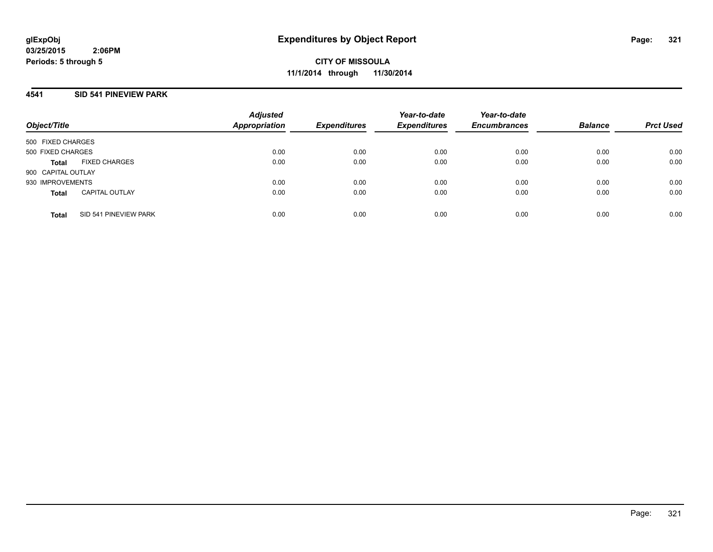**CITY OF MISSOULA 11/1/2014 through 11/30/2014**

#### **4541 SID 541 PINEVIEW PARK**

| Object/Title       |                       | <b>Adjusted</b><br><b>Appropriation</b> | <b>Expenditures</b> | Year-to-date<br><b>Expenditures</b> | Year-to-date<br><b>Encumbrances</b> | <b>Balance</b> | <b>Prct Used</b> |
|--------------------|-----------------------|-----------------------------------------|---------------------|-------------------------------------|-------------------------------------|----------------|------------------|
| 500 FIXED CHARGES  |                       |                                         |                     |                                     |                                     |                |                  |
| 500 FIXED CHARGES  |                       | 0.00                                    | 0.00                | 0.00                                | 0.00                                | 0.00           | 0.00             |
| <b>Total</b>       | <b>FIXED CHARGES</b>  | 0.00                                    | 0.00                | 0.00                                | 0.00                                | 0.00           | 0.00             |
| 900 CAPITAL OUTLAY |                       |                                         |                     |                                     |                                     |                |                  |
| 930 IMPROVEMENTS   |                       | 0.00                                    | 0.00                | 0.00                                | 0.00                                | 0.00           | 0.00             |
| <b>Total</b>       | <b>CAPITAL OUTLAY</b> | 0.00                                    | 0.00                | 0.00                                | 0.00                                | 0.00           | 0.00             |
| <b>Total</b>       | SID 541 PINEVIEW PARK | 0.00                                    | 0.00                | 0.00                                | 0.00                                | 0.00           | 0.00             |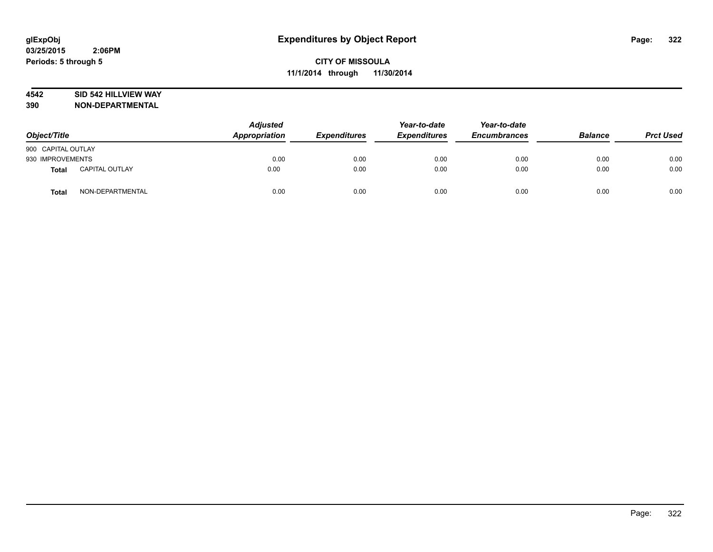#### **4542 SID 542 HILLVIEW WAY**

| Object/Title       |                       | <b>Adjusted</b><br>Appropriation | <b>Expenditures</b> | Year-to-date<br><b>Expenditures</b> | Year-to-date<br><b>Encumbrances</b> | <b>Balance</b> | <b>Prct Used</b> |
|--------------------|-----------------------|----------------------------------|---------------------|-------------------------------------|-------------------------------------|----------------|------------------|
| 900 CAPITAL OUTLAY |                       |                                  |                     |                                     |                                     |                |                  |
| 930 IMPROVEMENTS   |                       | 0.00                             | 0.00                | 0.00                                | 0.00                                | 0.00           | 0.00             |
| Total              | <b>CAPITAL OUTLAY</b> | 0.00                             | 0.00                | 0.00                                | 0.00                                | 0.00           | 0.00             |
| <b>Total</b>       | NON-DEPARTMENTAL      | 0.00                             | 0.00                | 0.00                                | 0.00                                | 0.00           | 0.00             |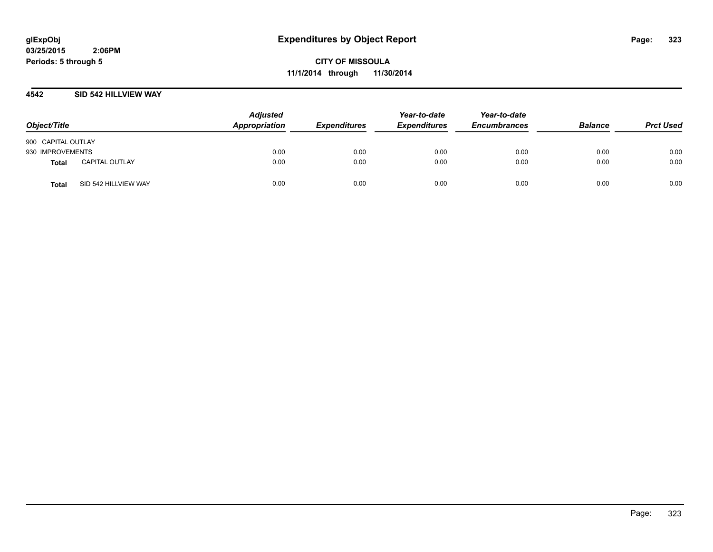**CITY OF MISSOULA 11/1/2014 through 11/30/2014**

#### **4542 SID 542 HILLVIEW WAY**

| Object/Title       |                       | <b>Adjusted</b><br>Appropriation | <b>Expenditures</b> | Year-to-date<br><b>Expenditures</b> | Year-to-date<br><b>Encumbrances</b> | <b>Balance</b> | <b>Prct Used</b> |
|--------------------|-----------------------|----------------------------------|---------------------|-------------------------------------|-------------------------------------|----------------|------------------|
| 900 CAPITAL OUTLAY |                       |                                  |                     |                                     |                                     |                |                  |
| 930 IMPROVEMENTS   |                       | 0.00                             | 0.00                | 0.00                                | 0.00                                | 0.00           | 0.00             |
| <b>Total</b>       | <b>CAPITAL OUTLAY</b> | 0.00                             | 0.00                | 0.00                                | 0.00                                | 0.00           | 0.00             |
| <b>Total</b>       | SID 542 HILLVIEW WAY  | 0.00                             | 0.00                | 0.00                                | 0.00                                | 0.00           | 0.00             |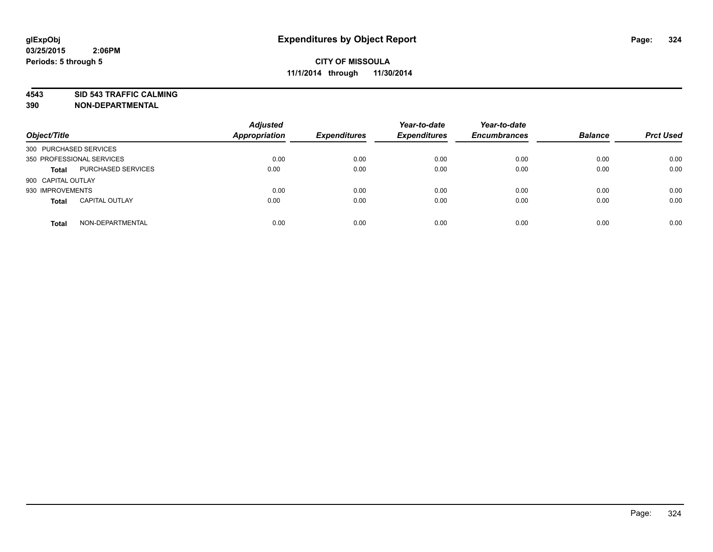**4543 SID 543 TRAFFIC CALMING**

| Object/Title           |                           | <b>Adjusted</b><br><b>Appropriation</b> | <b>Expenditures</b> | Year-to-date<br><b>Expenditures</b> | Year-to-date<br><b>Encumbrances</b> | <b>Balance</b> | <b>Prct Used</b> |
|------------------------|---------------------------|-----------------------------------------|---------------------|-------------------------------------|-------------------------------------|----------------|------------------|
| 300 PURCHASED SERVICES |                           |                                         |                     |                                     |                                     |                |                  |
|                        | 350 PROFESSIONAL SERVICES | 0.00                                    | 0.00                | 0.00                                | 0.00                                | 0.00           | 0.00             |
| <b>Total</b>           | PURCHASED SERVICES        | 0.00                                    | 0.00                | 0.00                                | 0.00                                | 0.00           | 0.00             |
| 900 CAPITAL OUTLAY     |                           |                                         |                     |                                     |                                     |                |                  |
| 930 IMPROVEMENTS       |                           | 0.00                                    | 0.00                | 0.00                                | 0.00                                | 0.00           | 0.00             |
| <b>Total</b>           | <b>CAPITAL OUTLAY</b>     | 0.00                                    | 0.00                | 0.00                                | 0.00                                | 0.00           | 0.00             |
| <b>Total</b>           | NON-DEPARTMENTAL          | 0.00                                    | 0.00                | 0.00                                | 0.00                                | 0.00           | 0.00             |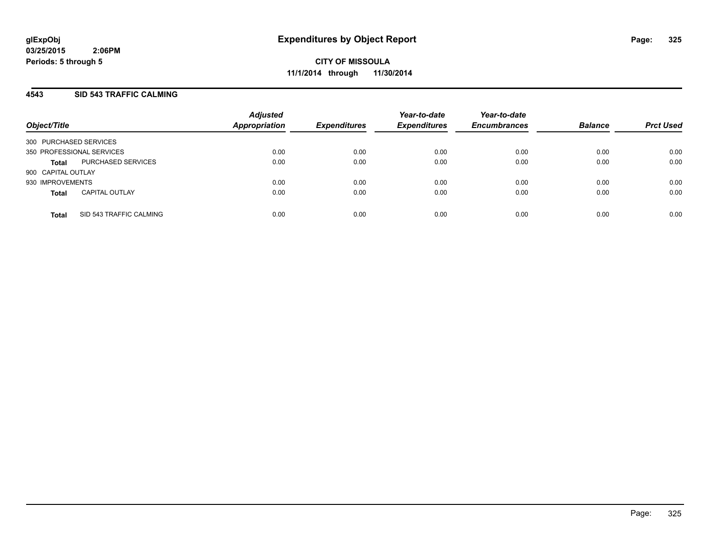## **4543 SID 543 TRAFFIC CALMING**

| Object/Title           |                           | <b>Adjusted</b><br><b>Appropriation</b> | <b>Expenditures</b> | Year-to-date<br><b>Expenditures</b> | Year-to-date<br><b>Encumbrances</b> | <b>Balance</b> | <b>Prct Used</b> |
|------------------------|---------------------------|-----------------------------------------|---------------------|-------------------------------------|-------------------------------------|----------------|------------------|
| 300 PURCHASED SERVICES |                           |                                         |                     |                                     |                                     |                |                  |
|                        | 350 PROFESSIONAL SERVICES | 0.00                                    | 0.00                | 0.00                                | 0.00                                | 0.00           | 0.00             |
| <b>Total</b>           | PURCHASED SERVICES        | 0.00                                    | 0.00                | 0.00                                | 0.00                                | 0.00           | 0.00             |
| 900 CAPITAL OUTLAY     |                           |                                         |                     |                                     |                                     |                |                  |
| 930 IMPROVEMENTS       |                           | 0.00                                    | 0.00                | 0.00                                | 0.00                                | 0.00           | 0.00             |
| <b>Total</b>           | <b>CAPITAL OUTLAY</b>     | 0.00                                    | 0.00                | 0.00                                | 0.00                                | 0.00           | 0.00             |
| <b>Total</b>           | SID 543 TRAFFIC CALMING   | 0.00                                    | 0.00                | 0.00                                | 0.00                                | 0.00           | 0.00             |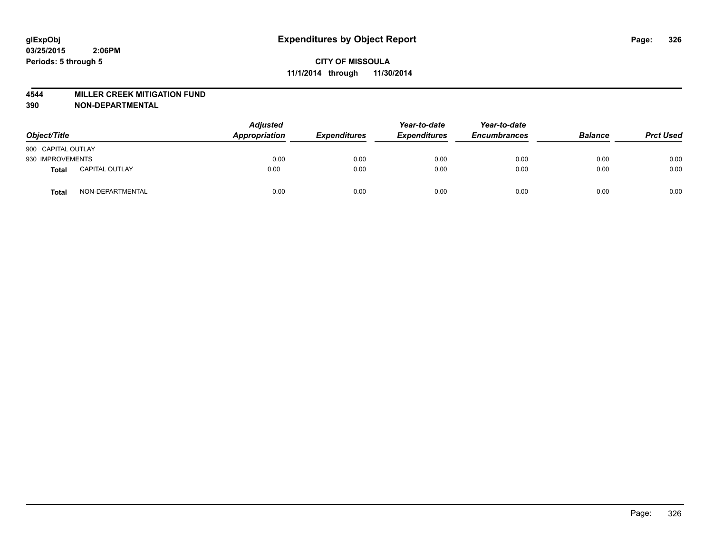#### **4544 MILLER CREEK MITIGATION FUND**

| Object/Title       |                       | <b>Adjusted</b><br>Appropriation | <b>Expenditures</b> | Year-to-date<br><b>Expenditures</b> | Year-to-date<br><b>Encumbrances</b> | <b>Balance</b> | <b>Prct Used</b> |
|--------------------|-----------------------|----------------------------------|---------------------|-------------------------------------|-------------------------------------|----------------|------------------|
| 900 CAPITAL OUTLAY |                       |                                  |                     |                                     |                                     |                |                  |
| 930 IMPROVEMENTS   |                       | 0.00                             | 0.00                | 0.00                                | 0.00                                | 0.00           | 0.00             |
| Total              | <b>CAPITAL OUTLAY</b> | 0.00                             | 0.00                | 0.00                                | 0.00                                | 0.00           | 0.00             |
| Total              | NON-DEPARTMENTAL      | 0.00                             | 0.00                | 0.00                                | 0.00                                | 0.00           | 0.00             |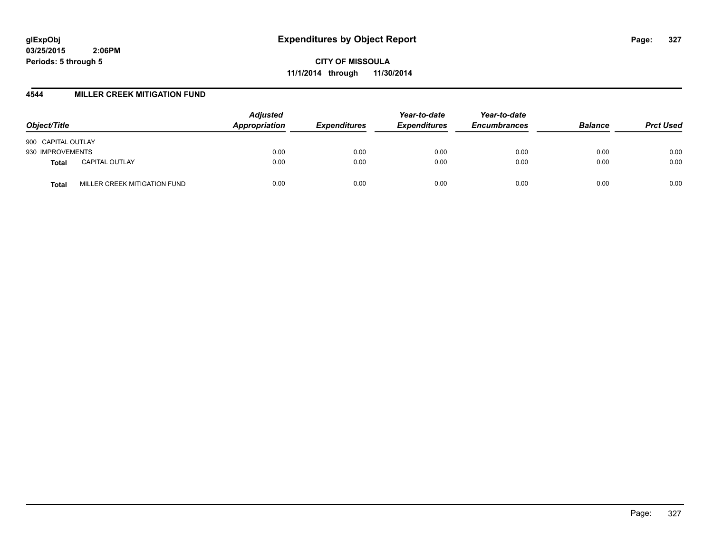**CITY OF MISSOULA 11/1/2014 through 11/30/2014**

## **4544 MILLER CREEK MITIGATION FUND**

| Object/Title                          | <b>Adjusted</b><br>Appropriation | <b>Expenditures</b> | Year-to-date<br><b>Expenditures</b> | Year-to-date<br><b>Encumbrances</b> | <b>Balance</b> | <b>Prct Used</b> |
|---------------------------------------|----------------------------------|---------------------|-------------------------------------|-------------------------------------|----------------|------------------|
| 900 CAPITAL OUTLAY                    |                                  |                     |                                     |                                     |                |                  |
| 930 IMPROVEMENTS                      | 0.00                             | 0.00                | 0.00                                | 0.00                                | 0.00           | 0.00             |
| <b>CAPITAL OUTLAY</b><br><b>Total</b> | 0.00                             | 0.00                | 0.00                                | 0.00                                | 0.00           | 0.00             |
| MILLER CREEK MITIGATION FUND<br>Total | 0.00                             | 0.00                | 0.00                                | 0.00                                | 0.00           | 0.00             |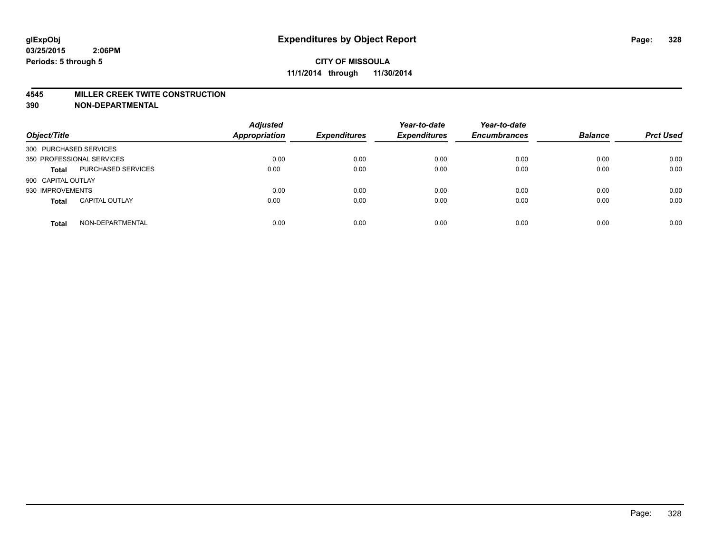#### **4545 MILLER CREEK TWITE CONSTRUCTION**

| Object/Title           |                           | <b>Adjusted</b><br><b>Appropriation</b> | <b>Expenditures</b> | Year-to-date<br><b>Expenditures</b> | Year-to-date<br><b>Encumbrances</b> | <b>Balance</b> | <b>Prct Used</b> |
|------------------------|---------------------------|-----------------------------------------|---------------------|-------------------------------------|-------------------------------------|----------------|------------------|
| 300 PURCHASED SERVICES |                           |                                         |                     |                                     |                                     |                |                  |
|                        | 350 PROFESSIONAL SERVICES | 0.00                                    | 0.00                | 0.00                                | 0.00                                | 0.00           | 0.00             |
| <b>Total</b>           | <b>PURCHASED SERVICES</b> | 0.00                                    | 0.00                | 0.00                                | 0.00                                | 0.00           | 0.00             |
| 900 CAPITAL OUTLAY     |                           |                                         |                     |                                     |                                     |                |                  |
| 930 IMPROVEMENTS       |                           | 0.00                                    | 0.00                | 0.00                                | 0.00                                | 0.00           | 0.00             |
| <b>Total</b>           | <b>CAPITAL OUTLAY</b>     | 0.00                                    | 0.00                | 0.00                                | 0.00                                | 0.00           | 0.00             |
| <b>Total</b>           | NON-DEPARTMENTAL          | 0.00                                    | 0.00                | 0.00                                | 0.00                                | 0.00           | 0.00             |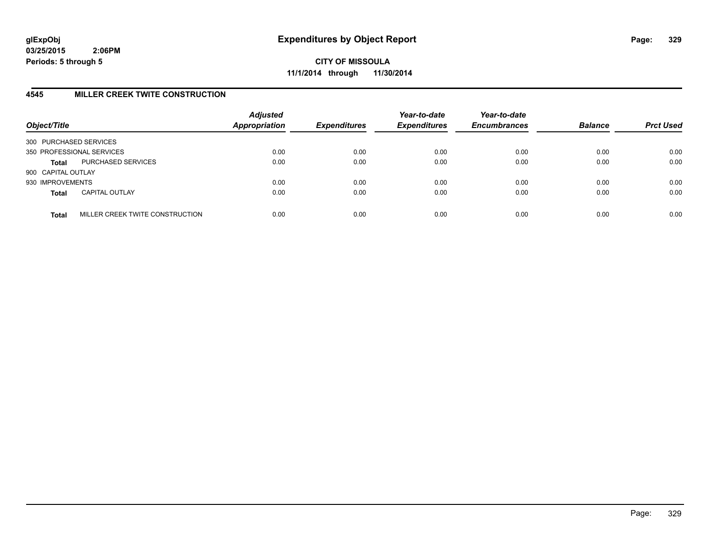**CITY OF MISSOULA 11/1/2014 through 11/30/2014**

## **4545 MILLER CREEK TWITE CONSTRUCTION**

| Object/Title           |                                 | <b>Adjusted</b><br><b>Appropriation</b> | <b>Expenditures</b> | Year-to-date<br><b>Expenditures</b> | Year-to-date<br><b>Encumbrances</b> | <b>Balance</b> | <b>Prct Used</b> |
|------------------------|---------------------------------|-----------------------------------------|---------------------|-------------------------------------|-------------------------------------|----------------|------------------|
| 300 PURCHASED SERVICES |                                 |                                         |                     |                                     |                                     |                |                  |
|                        | 350 PROFESSIONAL SERVICES       | 0.00                                    | 0.00                | 0.00                                | 0.00                                | 0.00           | 0.00             |
| <b>Total</b>           | PURCHASED SERVICES              | 0.00                                    | 0.00                | 0.00                                | 0.00                                | 0.00           | 0.00             |
| 900 CAPITAL OUTLAY     |                                 |                                         |                     |                                     |                                     |                |                  |
| 930 IMPROVEMENTS       |                                 | 0.00                                    | 0.00                | 0.00                                | 0.00                                | 0.00           | 0.00             |
| <b>Total</b>           | <b>CAPITAL OUTLAY</b>           | 0.00                                    | 0.00                | 0.00                                | 0.00                                | 0.00           | 0.00             |
| <b>Total</b>           | MILLER CREEK TWITE CONSTRUCTION | 0.00                                    | 0.00                | 0.00                                | 0.00                                | 0.00           | 0.00             |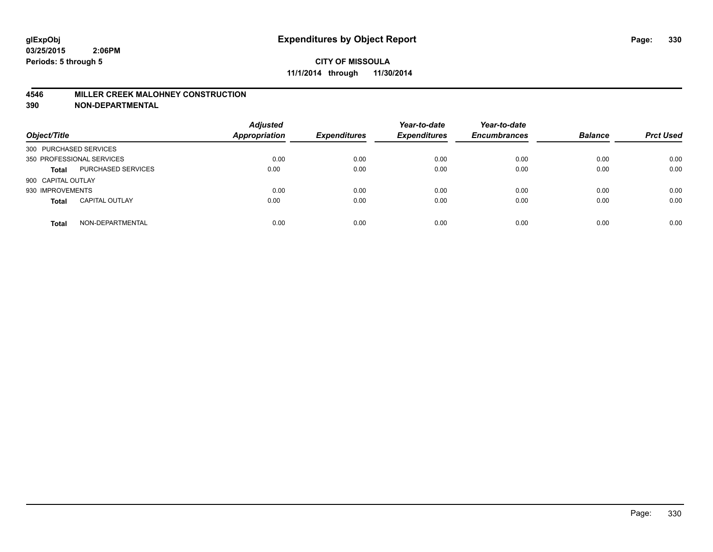## **4546 MILLER CREEK MALOHNEY CONSTRUCTION**

| Object/Title           |                           | <b>Adjusted</b><br><b>Appropriation</b> | <b>Expenditures</b> | Year-to-date<br><b>Expenditures</b> | Year-to-date<br><b>Encumbrances</b> | <b>Balance</b> | <b>Prct Used</b> |
|------------------------|---------------------------|-----------------------------------------|---------------------|-------------------------------------|-------------------------------------|----------------|------------------|
| 300 PURCHASED SERVICES |                           |                                         |                     |                                     |                                     |                |                  |
|                        | 350 PROFESSIONAL SERVICES | 0.00                                    | 0.00                | 0.00                                | 0.00                                | 0.00           | 0.00             |
| <b>Total</b>           | <b>PURCHASED SERVICES</b> | 0.00                                    | 0.00                | 0.00                                | 0.00                                | 0.00           | 0.00             |
| 900 CAPITAL OUTLAY     |                           |                                         |                     |                                     |                                     |                |                  |
| 930 IMPROVEMENTS       |                           | 0.00                                    | 0.00                | 0.00                                | 0.00                                | 0.00           | 0.00             |
| <b>Total</b>           | <b>CAPITAL OUTLAY</b>     | 0.00                                    | 0.00                | 0.00                                | 0.00                                | 0.00           | 0.00             |
| <b>Total</b>           | NON-DEPARTMENTAL          | 0.00                                    | 0.00                | 0.00                                | 0.00                                | 0.00           | 0.00             |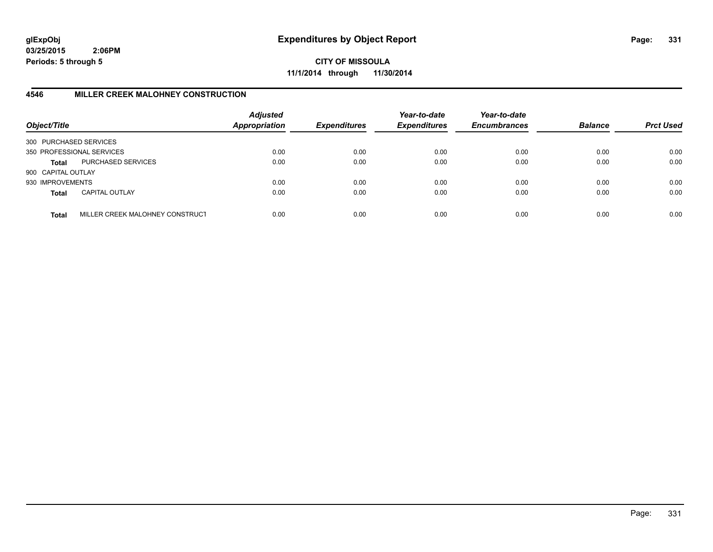**CITY OF MISSOULA 11/1/2014 through 11/30/2014**

# **4546 MILLER CREEK MALOHNEY CONSTRUCTION**

| Object/Title           |                                 | <b>Adjusted</b><br><b>Appropriation</b> | <b>Expenditures</b> | Year-to-date<br><b>Expenditures</b> | Year-to-date<br><b>Encumbrances</b> | <b>Balance</b> | <b>Prct Used</b> |
|------------------------|---------------------------------|-----------------------------------------|---------------------|-------------------------------------|-------------------------------------|----------------|------------------|
| 300 PURCHASED SERVICES |                                 |                                         |                     |                                     |                                     |                |                  |
|                        | 350 PROFESSIONAL SERVICES       | 0.00                                    | 0.00                | 0.00                                | 0.00                                | 0.00           | 0.00             |
| Total                  | PURCHASED SERVICES              | 0.00                                    | 0.00                | 0.00                                | 0.00                                | 0.00           | 0.00             |
| 900 CAPITAL OUTLAY     |                                 |                                         |                     |                                     |                                     |                |                  |
| 930 IMPROVEMENTS       |                                 | 0.00                                    | 0.00                | 0.00                                | 0.00                                | 0.00           | 0.00             |
| <b>Total</b>           | <b>CAPITAL OUTLAY</b>           | 0.00                                    | 0.00                | 0.00                                | 0.00                                | 0.00           | 0.00             |
| <b>Total</b>           | MILLER CREEK MALOHNEY CONSTRUCT | 0.00                                    | 0.00                | 0.00                                | 0.00                                | 0.00           | 0.00             |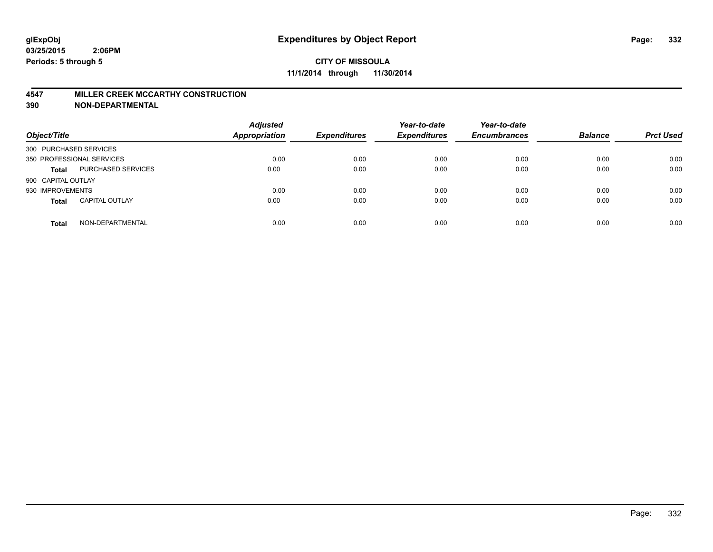#### **4547 MILLER CREEK MCCARTHY CONSTRUCTION**

| Object/Title           |                           | <b>Adjusted</b><br>Appropriation | <b>Expenditures</b> | Year-to-date<br><b>Expenditures</b> | Year-to-date<br><b>Encumbrances</b> | <b>Balance</b> | <b>Prct Used</b> |
|------------------------|---------------------------|----------------------------------|---------------------|-------------------------------------|-------------------------------------|----------------|------------------|
| 300 PURCHASED SERVICES |                           |                                  |                     |                                     |                                     |                |                  |
|                        | 350 PROFESSIONAL SERVICES | 0.00                             | 0.00                | 0.00                                | 0.00                                | 0.00           | 0.00             |
| <b>Total</b>           | PURCHASED SERVICES        | 0.00                             | 0.00                | 0.00                                | 0.00                                | 0.00           | 0.00             |
| 900 CAPITAL OUTLAY     |                           |                                  |                     |                                     |                                     |                |                  |
| 930 IMPROVEMENTS       |                           | 0.00                             | 0.00                | 0.00                                | 0.00                                | 0.00           | 0.00             |
| <b>Total</b>           | <b>CAPITAL OUTLAY</b>     | 0.00                             | 0.00                | 0.00                                | 0.00                                | 0.00           | 0.00             |
| <b>Total</b>           | NON-DEPARTMENTAL          | 0.00                             | 0.00                | 0.00                                | 0.00                                | 0.00           | 0.00             |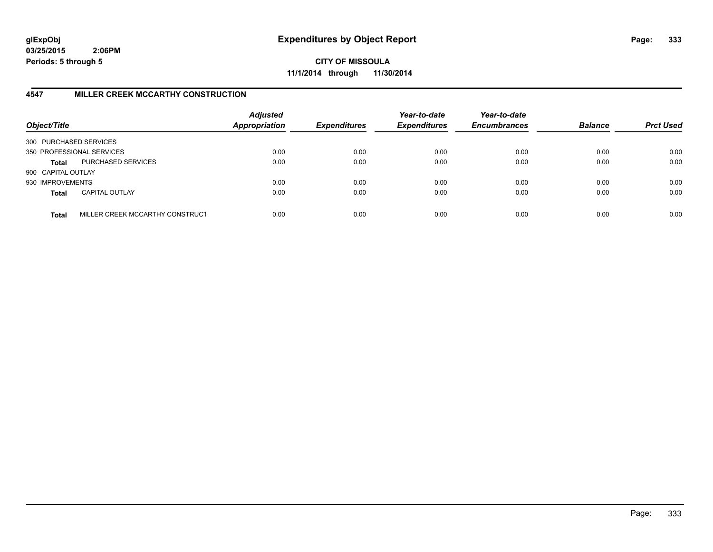**CITY OF MISSOULA 11/1/2014 through 11/30/2014**

# **4547 MILLER CREEK MCCARTHY CONSTRUCTION**

| Object/Title           |                                 | <b>Adjusted</b><br><b>Appropriation</b> | <b>Expenditures</b> | Year-to-date<br><b>Expenditures</b> | Year-to-date<br><b>Encumbrances</b> | <b>Balance</b> | <b>Prct Used</b> |
|------------------------|---------------------------------|-----------------------------------------|---------------------|-------------------------------------|-------------------------------------|----------------|------------------|
| 300 PURCHASED SERVICES |                                 |                                         |                     |                                     |                                     |                |                  |
|                        | 350 PROFESSIONAL SERVICES       | 0.00                                    | 0.00                | 0.00                                | 0.00                                | 0.00           | 0.00             |
| Total                  | PURCHASED SERVICES              | 0.00                                    | 0.00                | 0.00                                | 0.00                                | 0.00           | 0.00             |
| 900 CAPITAL OUTLAY     |                                 |                                         |                     |                                     |                                     |                |                  |
| 930 IMPROVEMENTS       |                                 | 0.00                                    | 0.00                | 0.00                                | 0.00                                | 0.00           | 0.00             |
| <b>Total</b>           | <b>CAPITAL OUTLAY</b>           | 0.00                                    | 0.00                | 0.00                                | 0.00                                | 0.00           | 0.00             |
| <b>Total</b>           | MILLER CREEK MCCARTHY CONSTRUCT | 0.00                                    | 0.00                | 0.00                                | 0.00                                | 0.00           | 0.00             |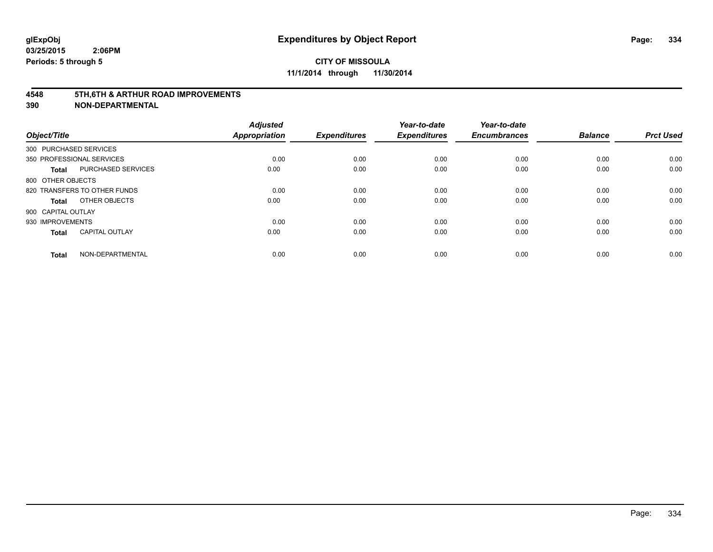#### **4548 5TH,6TH & ARTHUR ROAD IMPROVEMENTS**

| Object/Title           |                              | <b>Adjusted</b><br><b>Appropriation</b> | <b>Expenditures</b> | Year-to-date<br><b>Expenditures</b> | Year-to-date<br><b>Encumbrances</b> | <b>Balance</b> | <b>Prct Used</b> |
|------------------------|------------------------------|-----------------------------------------|---------------------|-------------------------------------|-------------------------------------|----------------|------------------|
| 300 PURCHASED SERVICES |                              |                                         |                     |                                     |                                     |                |                  |
|                        | 350 PROFESSIONAL SERVICES    | 0.00                                    | 0.00                | 0.00                                | 0.00                                | 0.00           | 0.00             |
| <b>Total</b>           | <b>PURCHASED SERVICES</b>    | 0.00                                    | 0.00                | 0.00                                | 0.00                                | 0.00           | 0.00             |
| 800 OTHER OBJECTS      |                              |                                         |                     |                                     |                                     |                |                  |
|                        | 820 TRANSFERS TO OTHER FUNDS | 0.00                                    | 0.00                | 0.00                                | 0.00                                | 0.00           | 0.00             |
| Total                  | OTHER OBJECTS                | 0.00                                    | 0.00                | 0.00                                | 0.00                                | 0.00           | 0.00             |
| 900 CAPITAL OUTLAY     |                              |                                         |                     |                                     |                                     |                |                  |
| 930 IMPROVEMENTS       |                              | 0.00                                    | 0.00                | 0.00                                | 0.00                                | 0.00           | 0.00             |
| Total                  | <b>CAPITAL OUTLAY</b>        | 0.00                                    | 0.00                | 0.00                                | 0.00                                | 0.00           | 0.00             |
| <b>Total</b>           | NON-DEPARTMENTAL             | 0.00                                    | 0.00                | 0.00                                | 0.00                                | 0.00           | 0.00             |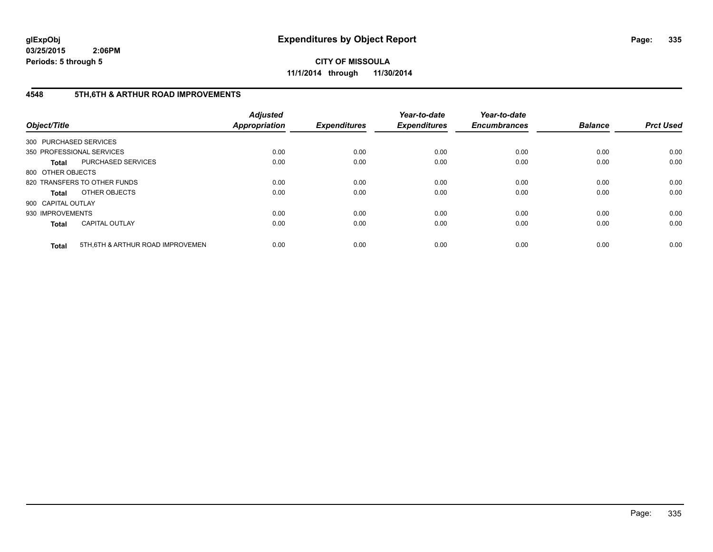**CITY OF MISSOULA 11/1/2014 through 11/30/2014**

# **4548 5TH,6TH & ARTHUR ROAD IMPROVEMENTS**

| Object/Title           |                                  | <b>Adjusted</b><br><b>Appropriation</b> | <b>Expenditures</b> | Year-to-date<br><b>Expenditures</b> | Year-to-date<br><b>Encumbrances</b> | <b>Balance</b> | <b>Prct Used</b> |
|------------------------|----------------------------------|-----------------------------------------|---------------------|-------------------------------------|-------------------------------------|----------------|------------------|
| 300 PURCHASED SERVICES |                                  |                                         |                     |                                     |                                     |                |                  |
|                        | 350 PROFESSIONAL SERVICES        | 0.00                                    | 0.00                | 0.00                                | 0.00                                | 0.00           | 0.00             |
| <b>Total</b>           | <b>PURCHASED SERVICES</b>        | 0.00                                    | 0.00                | 0.00                                | 0.00                                | 0.00           | 0.00             |
| 800 OTHER OBJECTS      |                                  |                                         |                     |                                     |                                     |                |                  |
|                        | 820 TRANSFERS TO OTHER FUNDS     | 0.00                                    | 0.00                | 0.00                                | 0.00                                | 0.00           | 0.00             |
| <b>Total</b>           | OTHER OBJECTS                    | 0.00                                    | 0.00                | 0.00                                | 0.00                                | 0.00           | 0.00             |
| 900 CAPITAL OUTLAY     |                                  |                                         |                     |                                     |                                     |                |                  |
| 930 IMPROVEMENTS       |                                  | 0.00                                    | 0.00                | 0.00                                | 0.00                                | 0.00           | 0.00             |
| <b>Total</b>           | <b>CAPITAL OUTLAY</b>            | 0.00                                    | 0.00                | 0.00                                | 0.00                                | 0.00           | 0.00             |
| <b>Total</b>           | 5TH.6TH & ARTHUR ROAD IMPROVEMEN | 0.00                                    | 0.00                | 0.00                                | 0.00                                | 0.00           | 0.00             |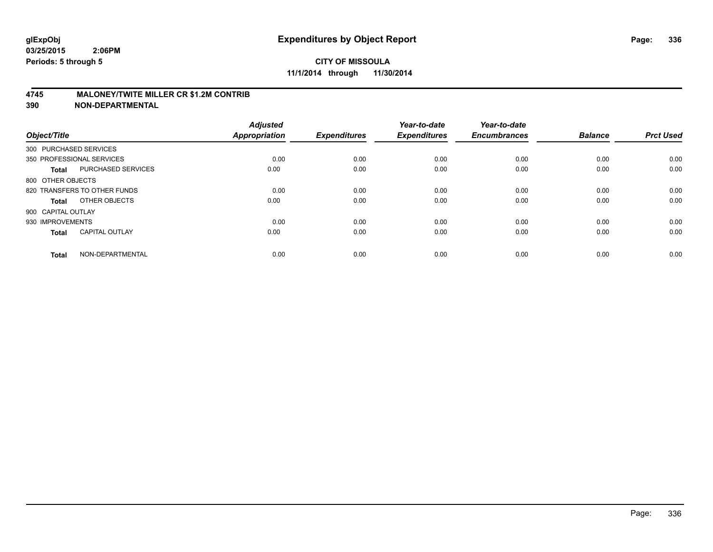## **4745 MALONEY/TWITE MILLER CR \$1.2M CONTRIB**

| Object/Title           |                              | <b>Adjusted</b><br><b>Appropriation</b> | <b>Expenditures</b> | Year-to-date<br><b>Expenditures</b> | Year-to-date<br><b>Encumbrances</b> | <b>Balance</b> | <b>Prct Used</b> |
|------------------------|------------------------------|-----------------------------------------|---------------------|-------------------------------------|-------------------------------------|----------------|------------------|
| 300 PURCHASED SERVICES |                              |                                         |                     |                                     |                                     |                |                  |
|                        | 350 PROFESSIONAL SERVICES    | 0.00                                    | 0.00                | 0.00                                | 0.00                                | 0.00           | 0.00             |
| <b>Total</b>           | <b>PURCHASED SERVICES</b>    | 0.00                                    | 0.00                | 0.00                                | 0.00                                | 0.00           | 0.00             |
| 800 OTHER OBJECTS      |                              |                                         |                     |                                     |                                     |                |                  |
|                        | 820 TRANSFERS TO OTHER FUNDS | 0.00                                    | 0.00                | 0.00                                | 0.00                                | 0.00           | 0.00             |
| Total                  | OTHER OBJECTS                | 0.00                                    | 0.00                | 0.00                                | 0.00                                | 0.00           | 0.00             |
| 900 CAPITAL OUTLAY     |                              |                                         |                     |                                     |                                     |                |                  |
| 930 IMPROVEMENTS       |                              | 0.00                                    | 0.00                | 0.00                                | 0.00                                | 0.00           | 0.00             |
| Total                  | <b>CAPITAL OUTLAY</b>        | 0.00                                    | 0.00                | 0.00                                | 0.00                                | 0.00           | 0.00             |
| <b>Total</b>           | NON-DEPARTMENTAL             | 0.00                                    | 0.00                | 0.00                                | 0.00                                | 0.00           | 0.00             |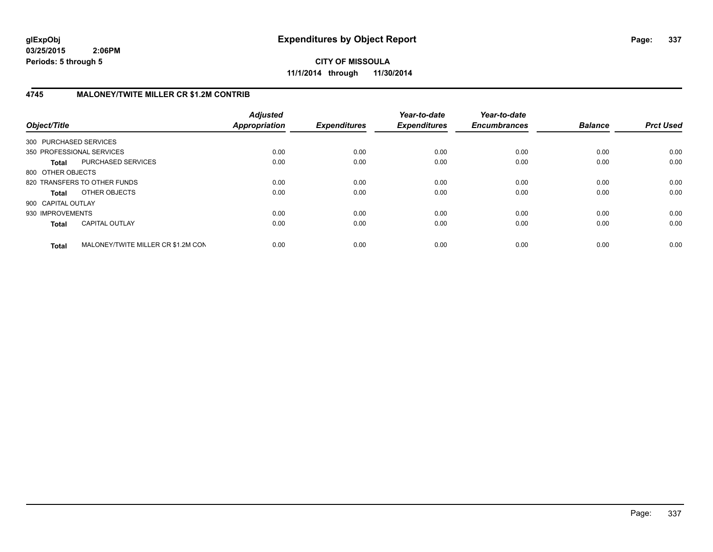**CITY OF MISSOULA 11/1/2014 through 11/30/2014**

# **4745 MALONEY/TWITE MILLER CR \$1.2M CONTRIB**

| Object/Title           |                                    | <b>Adjusted</b><br>Appropriation | <b>Expenditures</b> | Year-to-date<br><b>Expenditures</b> | Year-to-date<br><b>Encumbrances</b> | <b>Balance</b> | <b>Prct Used</b> |
|------------------------|------------------------------------|----------------------------------|---------------------|-------------------------------------|-------------------------------------|----------------|------------------|
| 300 PURCHASED SERVICES |                                    |                                  |                     |                                     |                                     |                |                  |
|                        | 350 PROFESSIONAL SERVICES          | 0.00                             | 0.00                | 0.00                                | 0.00                                | 0.00           | 0.00             |
| <b>Total</b>           | PURCHASED SERVICES                 | 0.00                             | 0.00                | 0.00                                | 0.00                                | 0.00           | 0.00             |
| 800 OTHER OBJECTS      |                                    |                                  |                     |                                     |                                     |                |                  |
|                        | 820 TRANSFERS TO OTHER FUNDS       | 0.00                             | 0.00                | 0.00                                | 0.00                                | 0.00           | 0.00             |
| Total                  | OTHER OBJECTS                      | 0.00                             | 0.00                | 0.00                                | 0.00                                | 0.00           | 0.00             |
| 900 CAPITAL OUTLAY     |                                    |                                  |                     |                                     |                                     |                |                  |
| 930 IMPROVEMENTS       |                                    | 0.00                             | 0.00                | 0.00                                | 0.00                                | 0.00           | 0.00             |
| <b>Total</b>           | <b>CAPITAL OUTLAY</b>              | 0.00                             | 0.00                | 0.00                                | 0.00                                | 0.00           | 0.00             |
| <b>Total</b>           | MALONEY/TWITE MILLER CR \$1.2M CON | 0.00                             | 0.00                | 0.00                                | 0.00                                | 0.00           | 0.00             |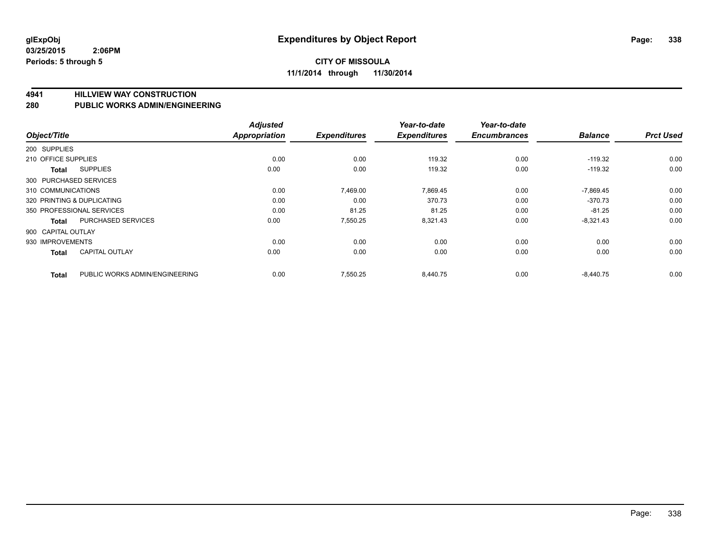#### **4941 HILLVIEW WAY CONSTRUCTION**

#### **280 PUBLIC WORKS ADMIN/ENGINEERING**

|                            |                                | <b>Adjusted</b>      |                     | Year-to-date        | Year-to-date        |                |                  |
|----------------------------|--------------------------------|----------------------|---------------------|---------------------|---------------------|----------------|------------------|
| Object/Title               |                                | <b>Appropriation</b> | <b>Expenditures</b> | <b>Expenditures</b> | <b>Encumbrances</b> | <b>Balance</b> | <b>Prct Used</b> |
| 200 SUPPLIES               |                                |                      |                     |                     |                     |                |                  |
| 210 OFFICE SUPPLIES        |                                | 0.00                 | 0.00                | 119.32              | 0.00                | $-119.32$      | 0.00             |
| Total                      | <b>SUPPLIES</b>                | 0.00                 | 0.00                | 119.32              | 0.00                | $-119.32$      | 0.00             |
| 300 PURCHASED SERVICES     |                                |                      |                     |                     |                     |                |                  |
| 310 COMMUNICATIONS         |                                | 0.00                 | 7,469.00            | 7,869.45            | 0.00                | $-7,869.45$    | 0.00             |
| 320 PRINTING & DUPLICATING |                                | 0.00                 | 0.00                | 370.73              | 0.00                | $-370.73$      | 0.00             |
|                            | 350 PROFESSIONAL SERVICES      | 0.00                 | 81.25               | 81.25               | 0.00                | $-81.25$       | 0.00             |
| <b>Total</b>               | <b>PURCHASED SERVICES</b>      | 0.00                 | 7,550.25            | 8,321.43            | 0.00                | $-8,321.43$    | 0.00             |
| 900 CAPITAL OUTLAY         |                                |                      |                     |                     |                     |                |                  |
| 930 IMPROVEMENTS           |                                | 0.00                 | 0.00                | 0.00                | 0.00                | 0.00           | 0.00             |
| Total                      | <b>CAPITAL OUTLAY</b>          | 0.00                 | 0.00                | 0.00                | 0.00                | 0.00           | 0.00             |
| <b>Total</b>               | PUBLIC WORKS ADMIN/ENGINEERING | 0.00                 | 7.550.25            | 8.440.75            | 0.00                | $-8.440.75$    | 0.00             |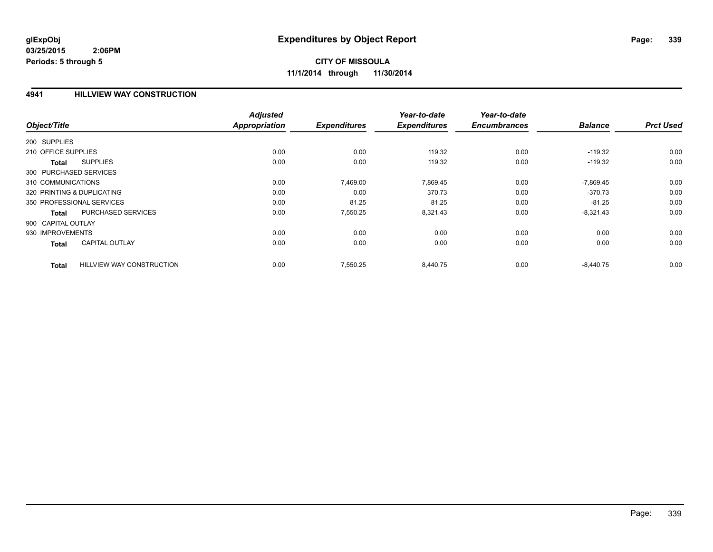## **4941 HILLVIEW WAY CONSTRUCTION**

|                                                  | <b>Adjusted</b>      |                     | Year-to-date        | Year-to-date        |                |                  |
|--------------------------------------------------|----------------------|---------------------|---------------------|---------------------|----------------|------------------|
| Object/Title                                     | <b>Appropriation</b> | <b>Expenditures</b> | <b>Expenditures</b> | <b>Encumbrances</b> | <b>Balance</b> | <b>Prct Used</b> |
| 200 SUPPLIES                                     |                      |                     |                     |                     |                |                  |
| 210 OFFICE SUPPLIES                              | 0.00                 | 0.00                | 119.32              | 0.00                | $-119.32$      | 0.00             |
| <b>SUPPLIES</b><br><b>Total</b>                  | 0.00                 | 0.00                | 119.32              | 0.00                | $-119.32$      | 0.00             |
| 300 PURCHASED SERVICES                           |                      |                     |                     |                     |                |                  |
| 310 COMMUNICATIONS                               | 0.00                 | 7,469.00            | 7,869.45            | 0.00                | $-7,869.45$    | 0.00             |
| 320 PRINTING & DUPLICATING                       | 0.00                 | 0.00                | 370.73              | 0.00                | $-370.73$      | 0.00             |
| 350 PROFESSIONAL SERVICES                        | 0.00                 | 81.25               | 81.25               | 0.00                | $-81.25$       | 0.00             |
| PURCHASED SERVICES<br><b>Total</b>               | 0.00                 | 7,550.25            | 8,321.43            | 0.00                | $-8,321.43$    | 0.00             |
| 900 CAPITAL OUTLAY                               |                      |                     |                     |                     |                |                  |
| 930 IMPROVEMENTS                                 | 0.00                 | 0.00                | 0.00                | 0.00                | 0.00           | 0.00             |
| <b>CAPITAL OUTLAY</b><br><b>Total</b>            | 0.00                 | 0.00                | 0.00                | 0.00                | 0.00           | 0.00             |
| <b>HILLVIEW WAY CONSTRUCTION</b><br><b>Total</b> | 0.00                 | 7,550.25            | 8,440.75            | 0.00                | $-8,440.75$    | 0.00             |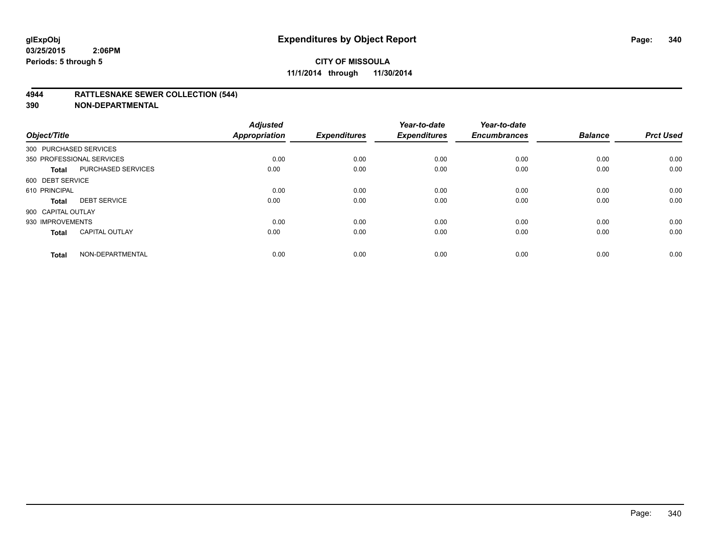## **4944 RATTLESNAKE SEWER COLLECTION (544)**

| Object/Title           |                           | <b>Adjusted</b><br><b>Appropriation</b> | <b>Expenditures</b> | Year-to-date<br><b>Expenditures</b> | Year-to-date<br><b>Encumbrances</b> | <b>Balance</b> | <b>Prct Used</b> |
|------------------------|---------------------------|-----------------------------------------|---------------------|-------------------------------------|-------------------------------------|----------------|------------------|
| 300 PURCHASED SERVICES |                           |                                         |                     |                                     |                                     |                |                  |
|                        | 350 PROFESSIONAL SERVICES | 0.00                                    | 0.00                | 0.00                                | 0.00                                | 0.00           | 0.00             |
| <b>Total</b>           | <b>PURCHASED SERVICES</b> | 0.00                                    | 0.00                | 0.00                                | 0.00                                | 0.00           | 0.00             |
| 600 DEBT SERVICE       |                           |                                         |                     |                                     |                                     |                |                  |
| 610 PRINCIPAL          |                           | 0.00                                    | 0.00                | 0.00                                | 0.00                                | 0.00           | 0.00             |
| <b>Total</b>           | <b>DEBT SERVICE</b>       | 0.00                                    | 0.00                | 0.00                                | 0.00                                | 0.00           | 0.00             |
| 900 CAPITAL OUTLAY     |                           |                                         |                     |                                     |                                     |                |                  |
| 930 IMPROVEMENTS       |                           | 0.00                                    | 0.00                | 0.00                                | 0.00                                | 0.00           | 0.00             |
| <b>Total</b>           | <b>CAPITAL OUTLAY</b>     | 0.00                                    | 0.00                | 0.00                                | 0.00                                | 0.00           | 0.00             |
| <b>Total</b>           | NON-DEPARTMENTAL          | 0.00                                    | 0.00                | 0.00                                | 0.00                                | 0.00           | 0.00             |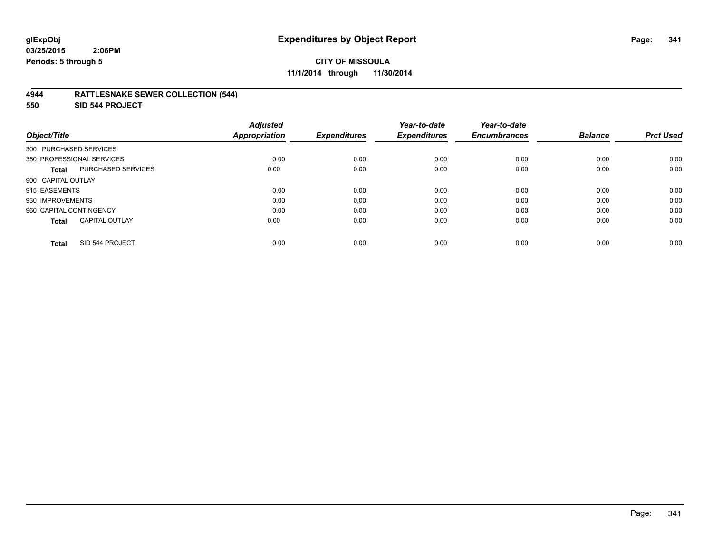## **4944 RATTLESNAKE SEWER COLLECTION (544)**

**550 SID 544 PROJECT**

| Object/Title                              | <b>Adjusted</b><br><b>Appropriation</b> | <b>Expenditures</b> | Year-to-date<br><b>Expenditures</b> | Year-to-date<br><b>Encumbrances</b> | <b>Balance</b> | <b>Prct Used</b> |
|-------------------------------------------|-----------------------------------------|---------------------|-------------------------------------|-------------------------------------|----------------|------------------|
| 300 PURCHASED SERVICES                    |                                         |                     |                                     |                                     |                |                  |
| 350 PROFESSIONAL SERVICES                 | 0.00                                    | 0.00                | 0.00                                | 0.00                                | 0.00           | 0.00             |
| <b>PURCHASED SERVICES</b><br><b>Total</b> | 0.00                                    | 0.00                | 0.00                                | 0.00                                | 0.00           | 0.00             |
| 900 CAPITAL OUTLAY                        |                                         |                     |                                     |                                     |                |                  |
| 915 EASEMENTS                             | 0.00                                    | 0.00                | 0.00                                | 0.00                                | 0.00           | 0.00             |
| 930 IMPROVEMENTS                          | 0.00                                    | 0.00                | 0.00                                | 0.00                                | 0.00           | 0.00             |
| 960 CAPITAL CONTINGENCY                   | 0.00                                    | 0.00                | 0.00                                | 0.00                                | 0.00           | 0.00             |
| <b>CAPITAL OUTLAY</b><br><b>Total</b>     | 0.00                                    | 0.00                | 0.00                                | 0.00                                | 0.00           | 0.00             |
| SID 544 PROJECT<br><b>Total</b>           | 0.00                                    | 0.00                | 0.00                                | 0.00                                | 0.00           | 0.00             |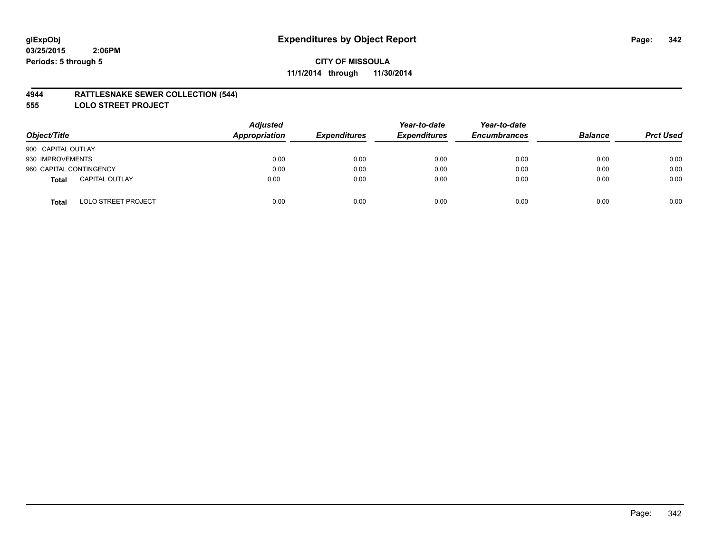## **4944 RATTLESNAKE SEWER COLLECTION (544)**

**555 LOLO STREET PROJECT**

| Object/Title                               | <b>Adjusted</b><br>Appropriation | <b>Expenditures</b> | Year-to-date<br><b>Expenditures</b> | Year-to-date<br><b>Encumbrances</b> | <b>Balance</b> | <b>Prct Used</b> |
|--------------------------------------------|----------------------------------|---------------------|-------------------------------------|-------------------------------------|----------------|------------------|
| 900 CAPITAL OUTLAY                         |                                  |                     |                                     |                                     |                |                  |
| 930 IMPROVEMENTS                           | 0.00                             | 0.00                | 0.00                                | 0.00                                | 0.00           | 0.00             |
| 960 CAPITAL CONTINGENCY                    | 0.00                             | 0.00                | 0.00                                | 0.00                                | 0.00           | 0.00             |
| <b>CAPITAL OUTLAY</b><br>Total             | 0.00                             | 0.00                | 0.00                                | 0.00                                | 0.00           | 0.00             |
| <b>LOLO STREET PROJECT</b><br><b>Total</b> | 0.00                             | 0.00                | 0.00                                | 0.00                                | 0.00           | 0.00             |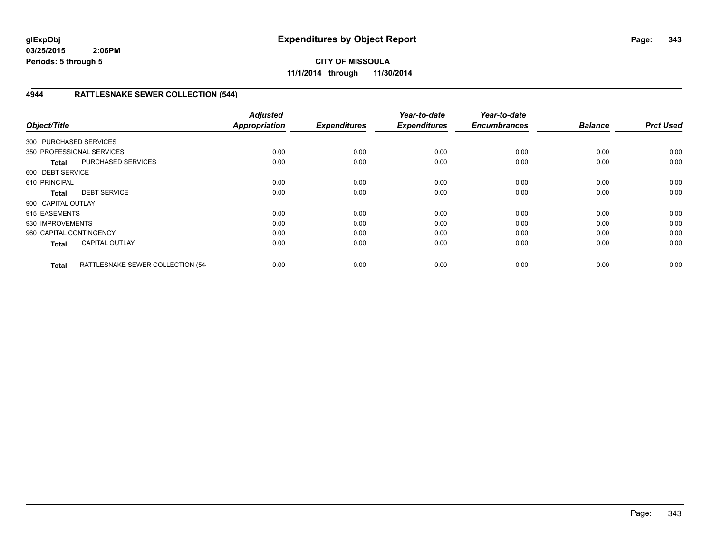**CITY OF MISSOULA 11/1/2014 through 11/30/2014**

# **4944 RATTLESNAKE SEWER COLLECTION (544)**

| Object/Title            |                                  | <b>Adjusted</b><br><b>Appropriation</b> | <b>Expenditures</b> | Year-to-date<br><b>Expenditures</b> | Year-to-date<br><b>Encumbrances</b> | <b>Balance</b> | <b>Prct Used</b> |
|-------------------------|----------------------------------|-----------------------------------------|---------------------|-------------------------------------|-------------------------------------|----------------|------------------|
| 300 PURCHASED SERVICES  |                                  |                                         |                     |                                     |                                     |                |                  |
|                         | 350 PROFESSIONAL SERVICES        | 0.00                                    | 0.00                | 0.00                                | 0.00                                | 0.00           | 0.00             |
| <b>Total</b>            | <b>PURCHASED SERVICES</b>        | 0.00                                    | 0.00                | 0.00                                | 0.00                                | 0.00           | 0.00             |
| 600 DEBT SERVICE        |                                  |                                         |                     |                                     |                                     |                |                  |
| 610 PRINCIPAL           |                                  | 0.00                                    | 0.00                | 0.00                                | 0.00                                | 0.00           | 0.00             |
| <b>Total</b>            | <b>DEBT SERVICE</b>              | 0.00                                    | 0.00                | 0.00                                | 0.00                                | 0.00           | 0.00             |
| 900 CAPITAL OUTLAY      |                                  |                                         |                     |                                     |                                     |                |                  |
| 915 EASEMENTS           |                                  | 0.00                                    | 0.00                | 0.00                                | 0.00                                | 0.00           | 0.00             |
| 930 IMPROVEMENTS        |                                  | 0.00                                    | 0.00                | 0.00                                | 0.00                                | 0.00           | 0.00             |
| 960 CAPITAL CONTINGENCY |                                  | 0.00                                    | 0.00                | 0.00                                | 0.00                                | 0.00           | 0.00             |
| <b>Total</b>            | <b>CAPITAL OUTLAY</b>            | 0.00                                    | 0.00                | 0.00                                | 0.00                                | 0.00           | 0.00             |
| <b>Total</b>            | RATTLESNAKE SEWER COLLECTION (54 | 0.00                                    | 0.00                | 0.00                                | 0.00                                | 0.00           | 0.00             |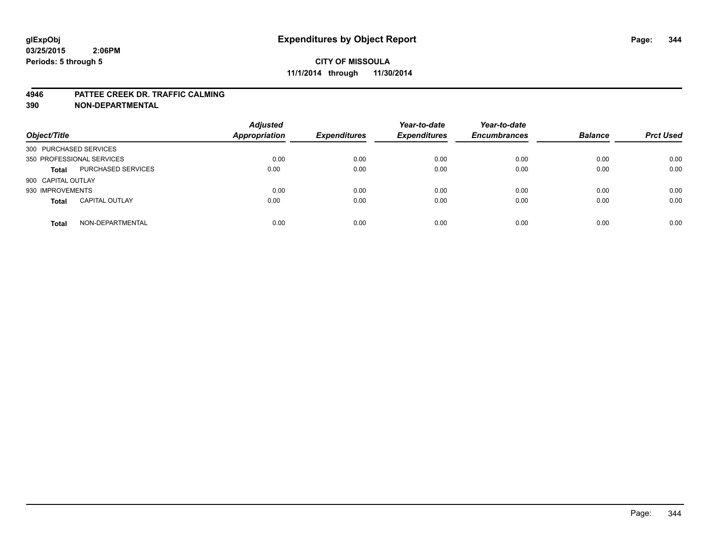#### **4946 PATTEE CREEK DR. TRAFFIC CALMING**

| Object/Title           |                           | <b>Adjusted</b><br>Appropriation | <b>Expenditures</b> | Year-to-date<br><b>Expenditures</b> | Year-to-date<br><b>Encumbrances</b> | <b>Balance</b> | <b>Prct Used</b> |
|------------------------|---------------------------|----------------------------------|---------------------|-------------------------------------|-------------------------------------|----------------|------------------|
| 300 PURCHASED SERVICES |                           |                                  |                     |                                     |                                     |                |                  |
|                        | 350 PROFESSIONAL SERVICES | 0.00                             | 0.00                | 0.00                                | 0.00                                | 0.00           | 0.00             |
| <b>Total</b>           | PURCHASED SERVICES        | 0.00                             | 0.00                | 0.00                                | 0.00                                | 0.00           | 0.00             |
| 900 CAPITAL OUTLAY     |                           |                                  |                     |                                     |                                     |                |                  |
| 930 IMPROVEMENTS       |                           | 0.00                             | 0.00                | 0.00                                | 0.00                                | 0.00           | 0.00             |
| <b>Total</b>           | <b>CAPITAL OUTLAY</b>     | 0.00                             | 0.00                | 0.00                                | 0.00                                | 0.00           | 0.00             |
| <b>Total</b>           | NON-DEPARTMENTAL          | 0.00                             | 0.00                | 0.00                                | 0.00                                | 0.00           | 0.00             |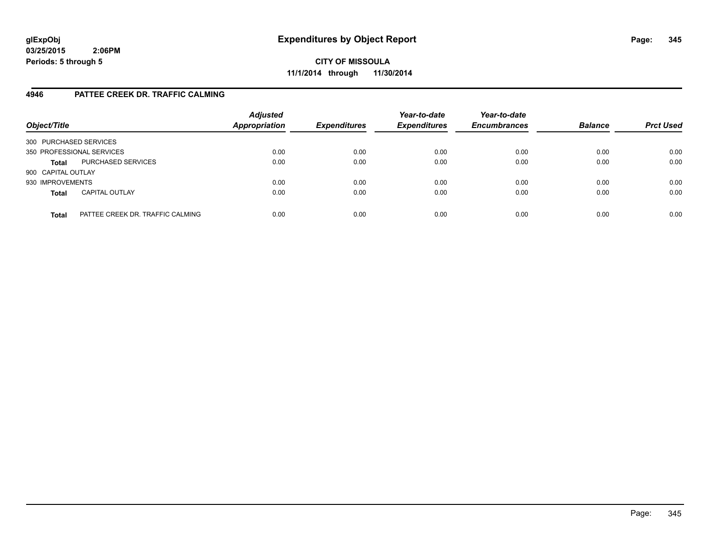**CITY OF MISSOULA 11/1/2014 through 11/30/2014**

## **4946 PATTEE CREEK DR. TRAFFIC CALMING**

| Object/Title              |                                  | <b>Adjusted</b><br>Appropriation | <b>Expenditures</b> | Year-to-date<br><b>Expenditures</b> | Year-to-date<br><b>Encumbrances</b> | <b>Balance</b> | <b>Prct Used</b> |
|---------------------------|----------------------------------|----------------------------------|---------------------|-------------------------------------|-------------------------------------|----------------|------------------|
| 300 PURCHASED SERVICES    |                                  |                                  |                     |                                     |                                     |                |                  |
| 350 PROFESSIONAL SERVICES |                                  | 0.00                             | 0.00                | 0.00                                | 0.00                                | 0.00           | 0.00             |
| <b>Total</b>              | PURCHASED SERVICES               | 0.00                             | 0.00                | 0.00                                | 0.00                                | 0.00           | 0.00             |
| 900 CAPITAL OUTLAY        |                                  |                                  |                     |                                     |                                     |                |                  |
| 930 IMPROVEMENTS          |                                  | 0.00                             | 0.00                | 0.00                                | 0.00                                | 0.00           | 0.00             |
| <b>Total</b>              | <b>CAPITAL OUTLAY</b>            | 0.00                             | 0.00                | 0.00                                | 0.00                                | 0.00           | 0.00             |
| <b>Total</b>              | PATTEE CREEK DR. TRAFFIC CALMING | 0.00                             | 0.00                | 0.00                                | 0.00                                | 0.00           | 0.00             |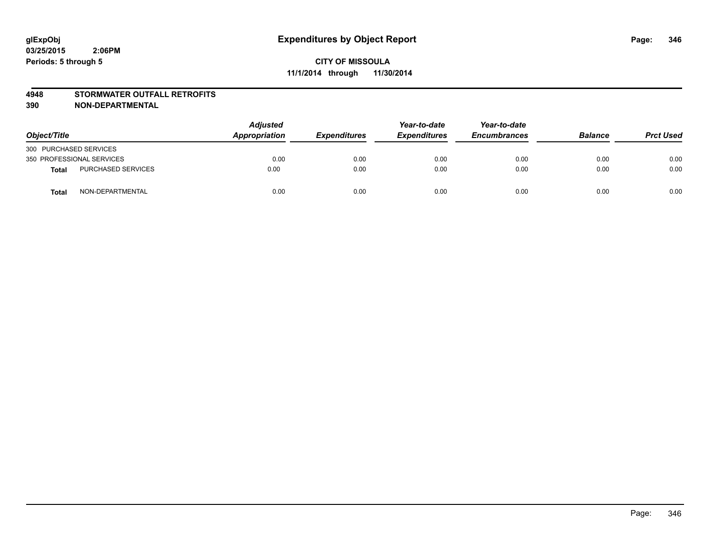## **4948 STORMWATER OUTFALL RETROFITS**

| Object/Title              |                           | Adjusted<br>Appropriation | <b>Expenditures</b> | Year-to-date<br><b>Expenditures</b> | Year-to-date<br><b>Encumbrances</b> | <b>Balance</b> | <b>Prct Used</b> |
|---------------------------|---------------------------|---------------------------|---------------------|-------------------------------------|-------------------------------------|----------------|------------------|
| 300 PURCHASED SERVICES    |                           |                           |                     |                                     |                                     |                |                  |
| 350 PROFESSIONAL SERVICES |                           | 0.00                      | 0.00                | 0.00                                | 0.00                                | 0.00           | 0.00             |
| <b>Total</b>              | <b>PURCHASED SERVICES</b> | 0.00                      | 0.00                | 0.00                                | 0.00                                | 0.00           | 0.00             |
| <b>Total</b>              | NON-DEPARTMENTAL          | 0.00                      | 0.00                | 0.00                                | 0.00                                | 0.00           | 0.00             |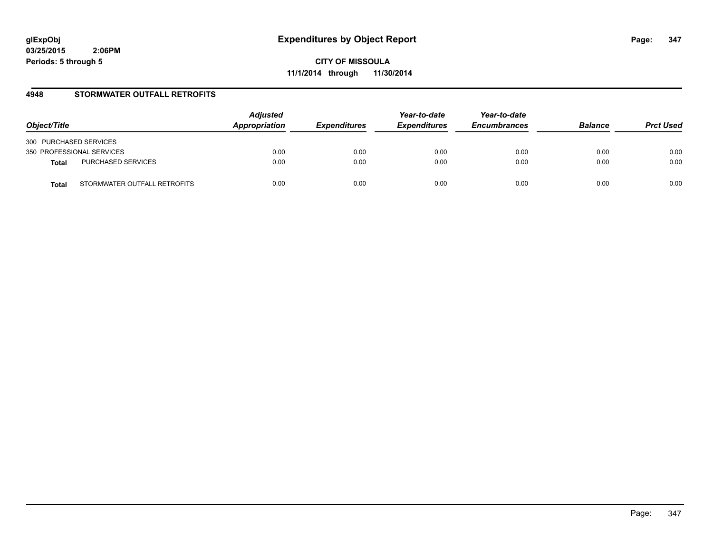**CITY OF MISSOULA 11/1/2014 through 11/30/2014**

## **4948 STORMWATER OUTFALL RETROFITS**

| Object/Title                          | <b>Adjusted</b><br>Appropriation | <b>Expenditures</b> | Year-to-date<br><b>Expenditures</b> | Year-to-date<br><b>Encumbrances</b> | <b>Balance</b> | <b>Prct Used</b> |
|---------------------------------------|----------------------------------|---------------------|-------------------------------------|-------------------------------------|----------------|------------------|
| 300 PURCHASED SERVICES                |                                  |                     |                                     |                                     |                |                  |
| 350 PROFESSIONAL SERVICES             | 0.00                             | 0.00                | 0.00                                | 0.00                                | 0.00           | 0.00             |
| PURCHASED SERVICES<br><b>Total</b>    | 0.00                             | 0.00                | 0.00                                | 0.00                                | 0.00           | 0.00             |
| STORMWATER OUTFALL RETROFITS<br>Total | 0.00                             | 0.00                | 0.00                                | 0.00                                | 0.00           | 0.00             |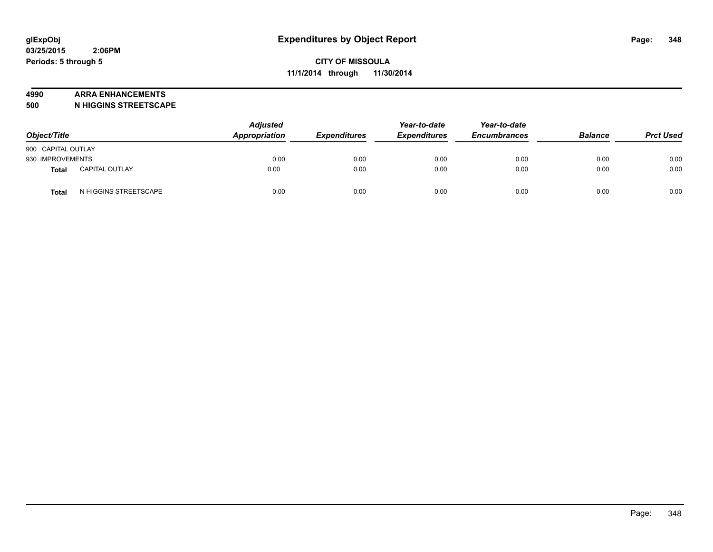#### **4990 ARRA ENHANCEMENTS**

**500 N HIGGINS STREETSCAPE**

| Object/Title       |                       | <b>Adjusted</b><br>Appropriation | <b>Expenditures</b> | Year-to-date<br><b>Expenditures</b> | Year-to-date<br><b>Encumbrances</b> | <b>Balance</b> | <b>Prct Used</b> |
|--------------------|-----------------------|----------------------------------|---------------------|-------------------------------------|-------------------------------------|----------------|------------------|
| 900 CAPITAL OUTLAY |                       |                                  |                     |                                     |                                     |                |                  |
| 930 IMPROVEMENTS   |                       | 0.00                             | 0.00                | 0.00                                | 0.00                                | 0.00           | 0.00             |
| <b>Total</b>       | <b>CAPITAL OUTLAY</b> | 0.00                             | 0.00                | 0.00                                | 0.00                                | 0.00           | 0.00             |
| Total              | N HIGGINS STREETSCAPE | 0.00                             | 0.00                | 0.00                                | 0.00                                | 0.00           | 0.00             |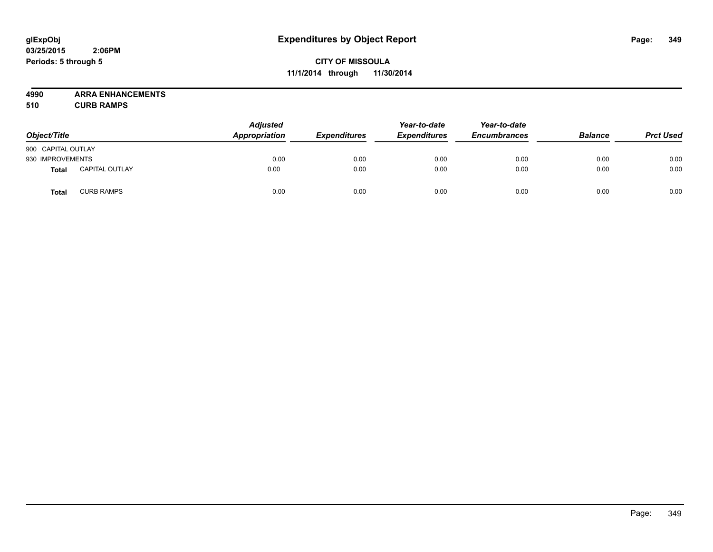# **CITY OF MISSOULA 11/1/2014 through 11/30/2014**

**4990 ARRA ENHANCEMENTS**

**510 CURB RAMPS**

| Object/Title       |                       | <b>Adjusted</b><br>Appropriation | <b>Expenditures</b> | Year-to-date<br><b>Expenditures</b> | Year-to-date<br><b>Encumbrances</b> | <b>Balance</b> | <b>Prct Used</b> |
|--------------------|-----------------------|----------------------------------|---------------------|-------------------------------------|-------------------------------------|----------------|------------------|
| 900 CAPITAL OUTLAY |                       |                                  |                     |                                     |                                     |                |                  |
| 930 IMPROVEMENTS   |                       | 0.00                             | 0.00                | 0.00                                | 0.00                                | 0.00           | 0.00             |
| Total              | <b>CAPITAL OUTLAY</b> | 0.00                             | 0.00                | 0.00                                | 0.00                                | 0.00           | 0.00             |
| Total              | <b>CURB RAMPS</b>     | 0.00                             | 0.00                | 0.00                                | 0.00                                | 0.00           | 0.00             |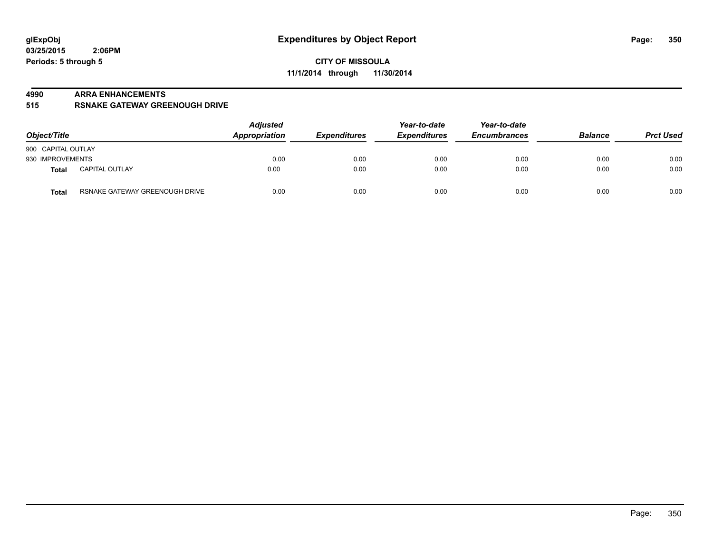#### **4990 ARRA ENHANCEMENTS**

**515 RSNAKE GATEWAY GREENOUGH DRIVE**

| Object/Title                                   | <b>Adjusted</b><br><b>Appropriation</b> | <b>Expenditures</b> | Year-to-date<br><b>Expenditures</b> | Year-to-date<br><b>Encumbrances</b> | <b>Balance</b> | <b>Prct Used</b> |
|------------------------------------------------|-----------------------------------------|---------------------|-------------------------------------|-------------------------------------|----------------|------------------|
| 900 CAPITAL OUTLAY                             |                                         |                     |                                     |                                     |                |                  |
| 930 IMPROVEMENTS                               | 0.00                                    | 0.00                | 0.00                                | 0.00                                | 0.00           | 0.00             |
| <b>CAPITAL OUTLAY</b><br>Total                 | 0.00                                    | 0.00                | 0.00                                | 0.00                                | 0.00           | 0.00             |
| RSNAKE GATEWAY GREENOUGH DRIVE<br><b>Total</b> | 0.00                                    | 0.00                | 0.00                                | 0.00                                | 0.00           | 0.00             |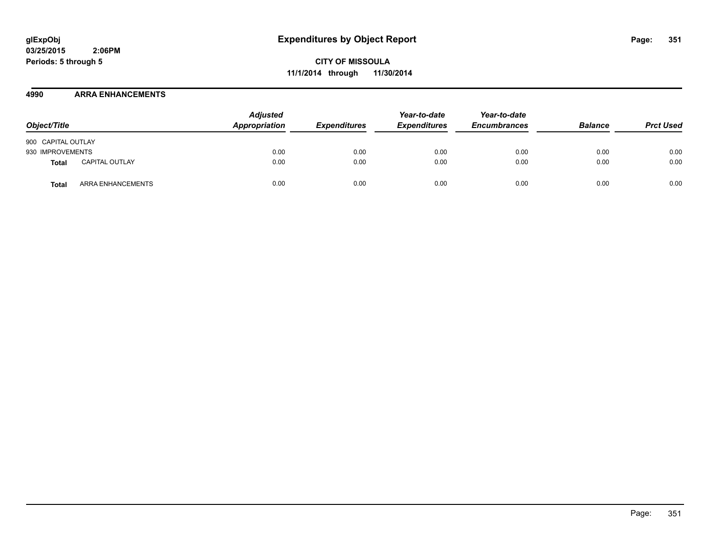**CITY OF MISSOULA 11/1/2014 through 11/30/2014**

## **4990 ARRA ENHANCEMENTS**

| Object/Title       |                       | <b>Adjusted</b><br>Appropriation | <b>Expenditures</b> | Year-to-date<br><b>Expenditures</b> | Year-to-date<br><b>Encumbrances</b> | <b>Balance</b> | <b>Prct Used</b> |
|--------------------|-----------------------|----------------------------------|---------------------|-------------------------------------|-------------------------------------|----------------|------------------|
| 900 CAPITAL OUTLAY |                       |                                  |                     |                                     |                                     |                |                  |
| 930 IMPROVEMENTS   |                       | 0.00                             | 0.00                | 0.00                                | 0.00                                | 0.00           | 0.00             |
| Total              | <b>CAPITAL OUTLAY</b> | 0.00                             | 0.00                | 0.00                                | 0.00                                | 0.00           | 0.00             |
| Total              | ARRA ENHANCEMENTS     | 0.00                             | 0.00                | 0.00                                | 0.00                                | 0.00           | 0.00             |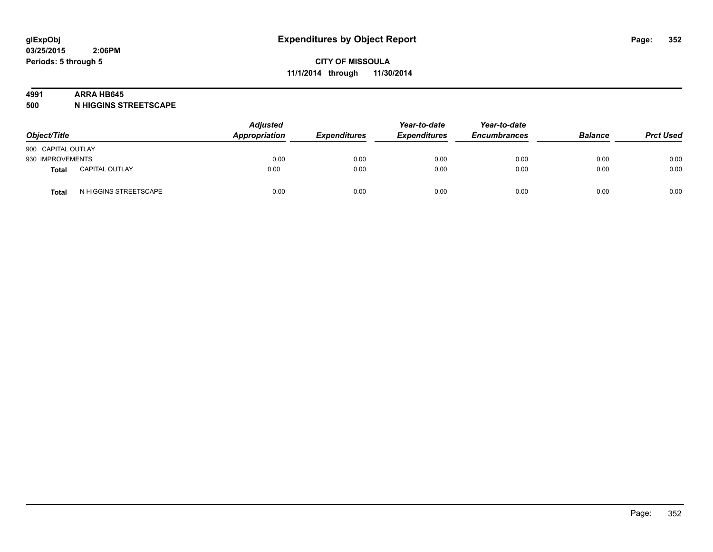#### **4991 ARRA HB645**

**500 N HIGGINS STREETSCAPE**

| Object/Title       |                       | <b>Adjusted</b><br>Appropriation | <b>Expenditures</b> | Year-to-date<br><b>Expenditures</b> | Year-to-date<br><b>Encumbrances</b> | <b>Balance</b> | <b>Prct Used</b> |
|--------------------|-----------------------|----------------------------------|---------------------|-------------------------------------|-------------------------------------|----------------|------------------|
| 900 CAPITAL OUTLAY |                       |                                  |                     |                                     |                                     |                |                  |
| 930 IMPROVEMENTS   |                       | 0.00                             | 0.00                | 0.00                                | 0.00                                | 0.00           | 0.00             |
| <b>Total</b>       | <b>CAPITAL OUTLAY</b> | 0.00                             | 0.00                | 0.00                                | 0.00                                | 0.00           | 0.00             |
| Total              | N HIGGINS STREETSCAPE | 0.00                             | 0.00                | 0.00                                | 0.00                                | 0.00           | 0.00             |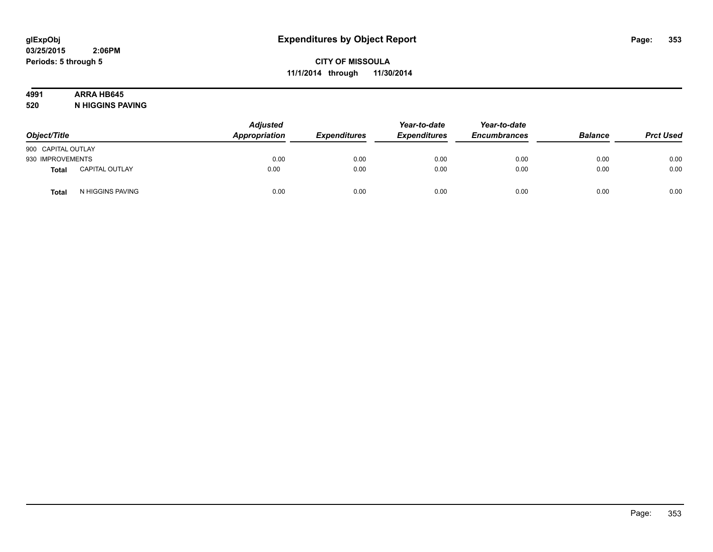# **4991 ARRA HB645**

**520 N HIGGINS PAVING**

| Object/Title       |                       | Adjusted<br>Appropriation | <b>Expenditures</b> | Year-to-date<br><b>Expenditures</b> | Year-to-date<br><b>Encumbrances</b> | <b>Balance</b> | <b>Prct Used</b> |
|--------------------|-----------------------|---------------------------|---------------------|-------------------------------------|-------------------------------------|----------------|------------------|
| 900 CAPITAL OUTLAY |                       |                           |                     |                                     |                                     |                |                  |
| 930 IMPROVEMENTS   |                       | 0.00                      | 0.00                | 0.00                                | 0.00                                | 0.00           | 0.00             |
| Total              | <b>CAPITAL OUTLAY</b> | 0.00                      | 0.00                | 0.00                                | 0.00                                | 0.00           | 0.00             |
| <b>Total</b>       | N HIGGINS PAVING      | 0.00                      | 0.00                | 0.00                                | 0.00                                | 0.00           | 0.00             |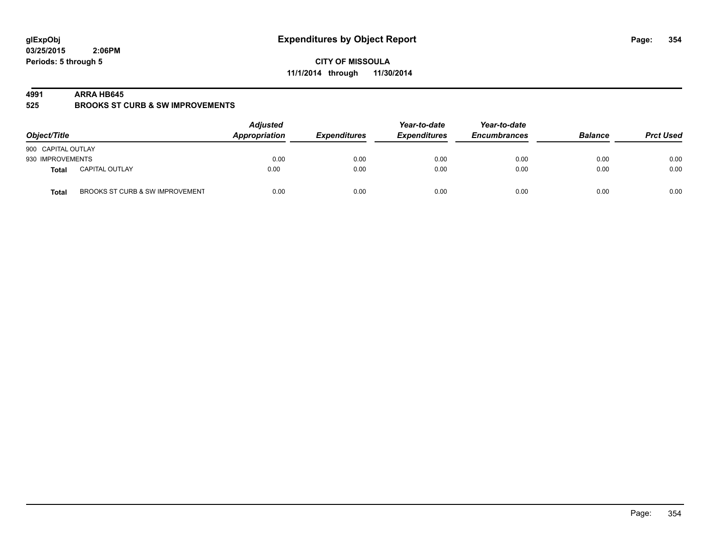**CITY OF MISSOULA 11/1/2014 through 11/30/2014**

#### **4991 ARRA HB645**

**525 BROOKS ST CURB & SW IMPROVEMENTS**

| Object/Title                                    | <b>Adjusted</b><br>Appropriation | <b>Expenditures</b> | Year-to-date<br><b>Expenditures</b> | Year-to-date<br><b>Encumbrances</b> | <b>Balance</b> | <b>Prct Used</b> |
|-------------------------------------------------|----------------------------------|---------------------|-------------------------------------|-------------------------------------|----------------|------------------|
| 900 CAPITAL OUTLAY                              |                                  |                     |                                     |                                     |                |                  |
| 930 IMPROVEMENTS                                | 0.00                             | 0.00                | 0.00                                | 0.00                                | 0.00           | 0.00             |
| <b>CAPITAL OUTLAY</b><br>Total                  | 0.00                             | 0.00                | 0.00                                | 0.00                                | 0.00           | 0.00             |
| BROOKS ST CURB & SW IMPROVEMENT<br><b>Total</b> | 0.00                             | 0.00                | 0.00                                | 0.00                                | 0.00           | 0.00             |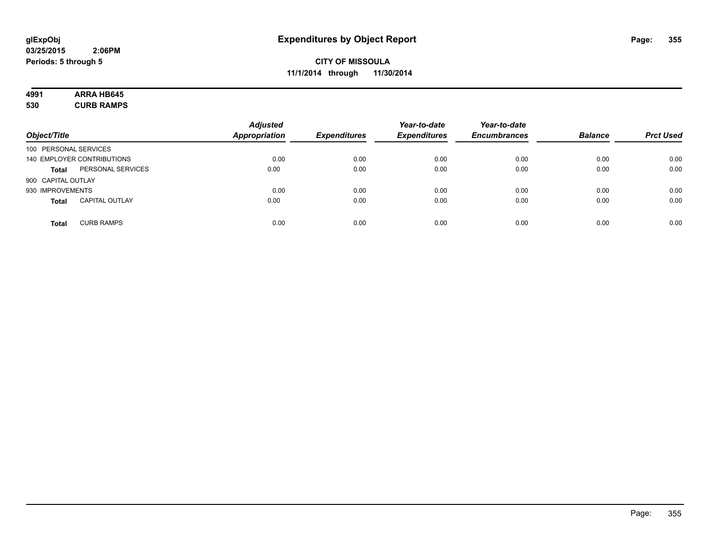# **4991 ARRA HB645**

**530 CURB RAMPS**

| Object/Title          |                            | <b>Adjusted</b><br><b>Appropriation</b> | <b>Expenditures</b> | Year-to-date<br><b>Expenditures</b> | Year-to-date<br><b>Encumbrances</b> | <b>Balance</b> | <b>Prct Used</b> |
|-----------------------|----------------------------|-----------------------------------------|---------------------|-------------------------------------|-------------------------------------|----------------|------------------|
| 100 PERSONAL SERVICES |                            |                                         |                     |                                     |                                     |                |                  |
|                       | 140 EMPLOYER CONTRIBUTIONS | 0.00                                    | 0.00                | 0.00                                | 0.00                                | 0.00           | 0.00             |
| <b>Total</b>          | PERSONAL SERVICES          | 0.00                                    | 0.00                | 0.00                                | 0.00                                | 0.00           | 0.00             |
| 900 CAPITAL OUTLAY    |                            |                                         |                     |                                     |                                     |                |                  |
| 930 IMPROVEMENTS      |                            | 0.00                                    | 0.00                | 0.00                                | 0.00                                | 0.00           | 0.00             |
| <b>Total</b>          | <b>CAPITAL OUTLAY</b>      | 0.00                                    | 0.00                | 0.00                                | 0.00                                | 0.00           | 0.00             |
| <b>Total</b>          | <b>CURB RAMPS</b>          | 0.00                                    | 0.00                | 0.00                                | 0.00                                | 0.00           | 0.00             |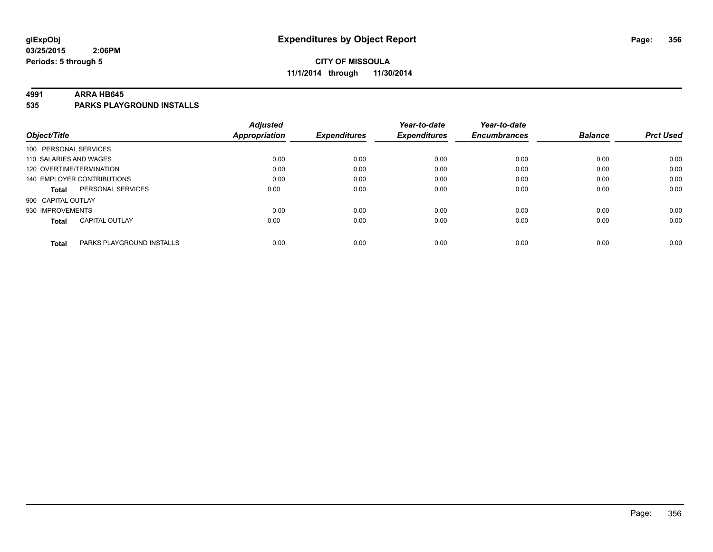# **CITY OF MISSOULA 11/1/2014 through 11/30/2014**

#### **4991 ARRA HB645**

**535 PARKS PLAYGROUND INSTALLS**

| Object/Title                              | <b>Adjusted</b><br>Appropriation | <b>Expenditures</b> | Year-to-date<br><b>Expenditures</b> | Year-to-date<br><b>Encumbrances</b> | <b>Balance</b> | <b>Prct Used</b> |
|-------------------------------------------|----------------------------------|---------------------|-------------------------------------|-------------------------------------|----------------|------------------|
|                                           |                                  |                     |                                     |                                     |                |                  |
| 100 PERSONAL SERVICES                     |                                  |                     |                                     |                                     |                |                  |
| 110 SALARIES AND WAGES                    | 0.00                             | 0.00                | 0.00                                | 0.00                                | 0.00           | 0.00             |
| 120 OVERTIME/TERMINATION                  | 0.00                             | 0.00                | 0.00                                | 0.00                                | 0.00           | 0.00             |
| 140 EMPLOYER CONTRIBUTIONS                | 0.00                             | 0.00                | 0.00                                | 0.00                                | 0.00           | 0.00             |
| PERSONAL SERVICES<br><b>Total</b>         | 0.00                             | 0.00                | 0.00                                | 0.00                                | 0.00           | 0.00             |
| 900 CAPITAL OUTLAY                        |                                  |                     |                                     |                                     |                |                  |
| 930 IMPROVEMENTS                          | 0.00                             | 0.00                | 0.00                                | 0.00                                | 0.00           | 0.00             |
| <b>CAPITAL OUTLAY</b><br><b>Total</b>     | 0.00                             | 0.00                | 0.00                                | 0.00                                | 0.00           | 0.00             |
|                                           |                                  |                     |                                     |                                     |                |                  |
| PARKS PLAYGROUND INSTALLS<br><b>Total</b> | 0.00                             | 0.00                | 0.00                                | 0.00                                | 0.00           | 0.00             |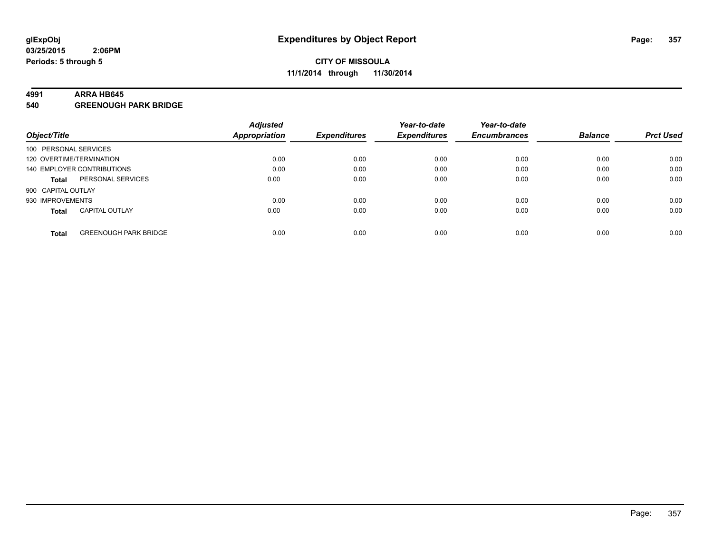#### **4991 ARRA HB645**

**540 GREENOUGH PARK BRIDGE**

|                                              | <b>Adjusted</b> |                     | Year-to-date        | Year-to-date        |                |                  |
|----------------------------------------------|-----------------|---------------------|---------------------|---------------------|----------------|------------------|
| Object/Title                                 | Appropriation   | <b>Expenditures</b> | <b>Expenditures</b> | <b>Encumbrances</b> | <b>Balance</b> | <b>Prct Used</b> |
| 100 PERSONAL SERVICES                        |                 |                     |                     |                     |                |                  |
| 120 OVERTIME/TERMINATION                     | 0.00            | 0.00                | 0.00                | 0.00                | 0.00           | 0.00             |
| 140 EMPLOYER CONTRIBUTIONS                   | 0.00            | 0.00                | 0.00                | 0.00                | 0.00           | 0.00             |
| PERSONAL SERVICES<br><b>Total</b>            | 0.00            | 0.00                | 0.00                | 0.00                | 0.00           | 0.00             |
| 900 CAPITAL OUTLAY                           |                 |                     |                     |                     |                |                  |
| 930 IMPROVEMENTS                             | 0.00            | 0.00                | 0.00                | 0.00                | 0.00           | 0.00             |
| <b>CAPITAL OUTLAY</b><br><b>Total</b>        | 0.00            | 0.00                | 0.00                | 0.00                | 0.00           | 0.00             |
| <b>GREENOUGH PARK BRIDGE</b><br><b>Total</b> | 0.00            | 0.00                | 0.00                | 0.00                | 0.00           | 0.00             |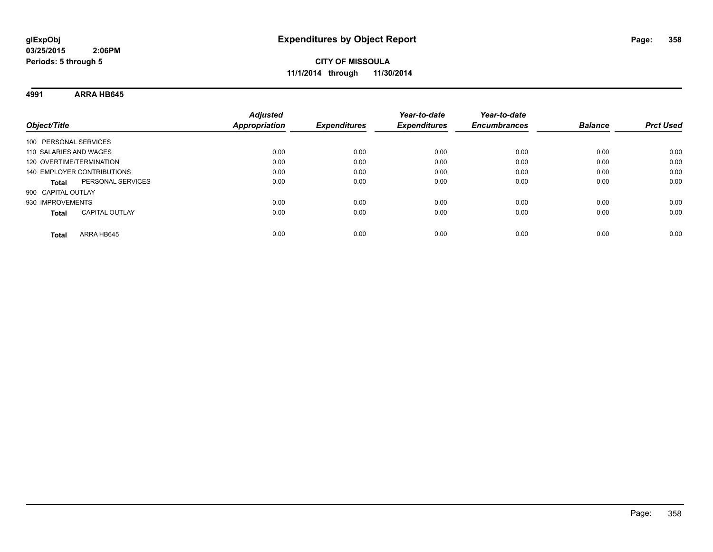# **CITY OF MISSOULA 11/1/2014 through 11/30/2014**

**4991 ARRA HB645**

| Object/Title                          | <b>Adjusted</b><br><b>Appropriation</b> | <b>Expenditures</b> | Year-to-date<br><b>Expenditures</b> | Year-to-date<br><b>Encumbrances</b> | <b>Balance</b> | <b>Prct Used</b> |
|---------------------------------------|-----------------------------------------|---------------------|-------------------------------------|-------------------------------------|----------------|------------------|
| 100 PERSONAL SERVICES                 |                                         |                     |                                     |                                     |                |                  |
| 110 SALARIES AND WAGES                | 0.00                                    | 0.00                | 0.00                                | 0.00                                | 0.00           | 0.00             |
| 120 OVERTIME/TERMINATION              | 0.00                                    | 0.00                | 0.00                                | 0.00                                | 0.00           | 0.00             |
| 140 EMPLOYER CONTRIBUTIONS            | 0.00                                    | 0.00                | 0.00                                | 0.00                                | 0.00           | 0.00             |
| PERSONAL SERVICES<br><b>Total</b>     | 0.00                                    | 0.00                | 0.00                                | 0.00                                | 0.00           | 0.00             |
| 900 CAPITAL OUTLAY                    |                                         |                     |                                     |                                     |                |                  |
| 930 IMPROVEMENTS                      | 0.00                                    | 0.00                | 0.00                                | 0.00                                | 0.00           | 0.00             |
| <b>CAPITAL OUTLAY</b><br><b>Total</b> | 0.00                                    | 0.00                | 0.00                                | 0.00                                | 0.00           | 0.00             |
| ARRA HB645<br>Total                   | 0.00                                    | 0.00                | 0.00                                | 0.00                                | 0.00           | 0.00             |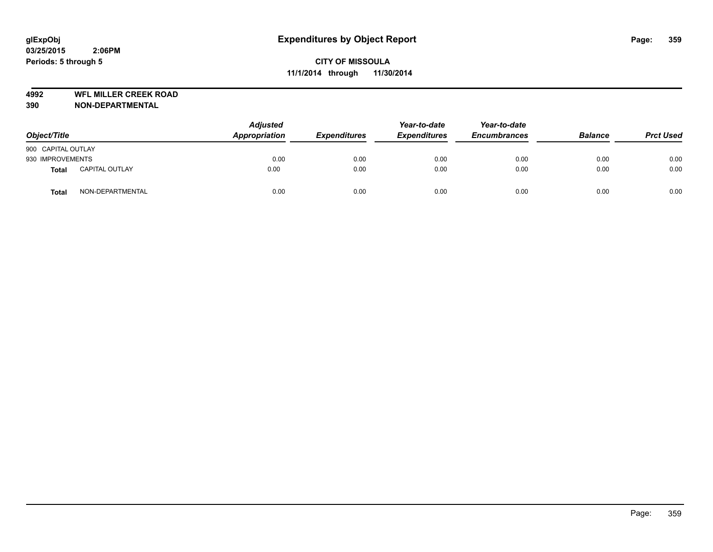**4992 WFL MILLER CREEK ROAD**

| Object/Title       |                       | <b>Adjusted</b><br>Appropriation | <b>Expenditures</b> | Year-to-date<br><b>Expenditures</b> | Year-to-date<br><b>Encumbrances</b> | <b>Balance</b> | <b>Prct Used</b> |
|--------------------|-----------------------|----------------------------------|---------------------|-------------------------------------|-------------------------------------|----------------|------------------|
| 900 CAPITAL OUTLAY |                       |                                  |                     |                                     |                                     |                |                  |
| 930 IMPROVEMENTS   |                       | 0.00                             | 0.00                | 0.00                                | 0.00                                | 0.00           | 0.00             |
| <b>Total</b>       | <b>CAPITAL OUTLAY</b> | 0.00                             | 0.00                | 0.00                                | 0.00                                | 0.00           | 0.00             |
| <b>Total</b>       | NON-DEPARTMENTAL      | 0.00                             | 0.00                | 0.00                                | 0.00                                | 0.00           | 0.00             |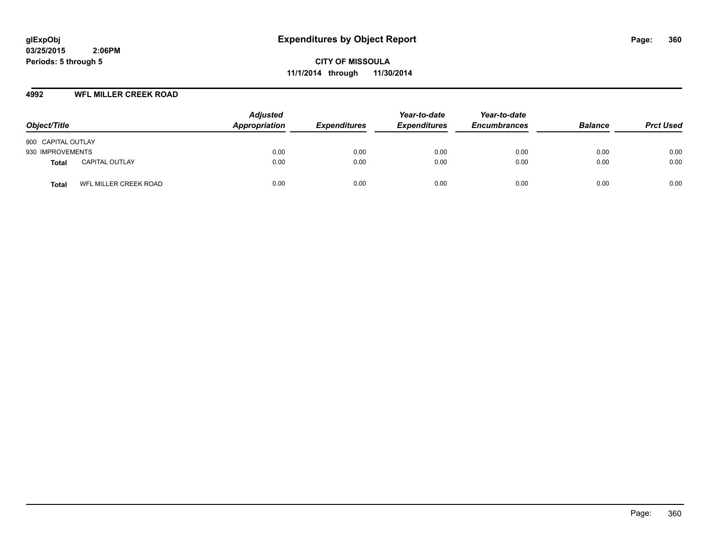**CITY OF MISSOULA 11/1/2014 through 11/30/2014**

## **4992 WFL MILLER CREEK ROAD**

| Object/Title                          | <b>Adjusted</b><br>Appropriation | <b>Expenditures</b> | Year-to-date<br><b>Expenditures</b> | Year-to-date<br><b>Encumbrances</b> | <b>Balance</b> | <b>Prct Used</b> |
|---------------------------------------|----------------------------------|---------------------|-------------------------------------|-------------------------------------|----------------|------------------|
| 900 CAPITAL OUTLAY                    |                                  |                     |                                     |                                     |                |                  |
| 930 IMPROVEMENTS                      | 0.00                             | 0.00                | 0.00                                | 0.00                                | 0.00           | 0.00             |
| <b>CAPITAL OUTLAY</b><br><b>Total</b> | 0.00                             | 0.00                | 0.00                                | 0.00                                | 0.00           | 0.00             |
| WFL MILLER CREEK ROAD<br><b>Total</b> | 0.00                             | 0.00                | 0.00                                | 0.00                                | 0.00           | 0.00             |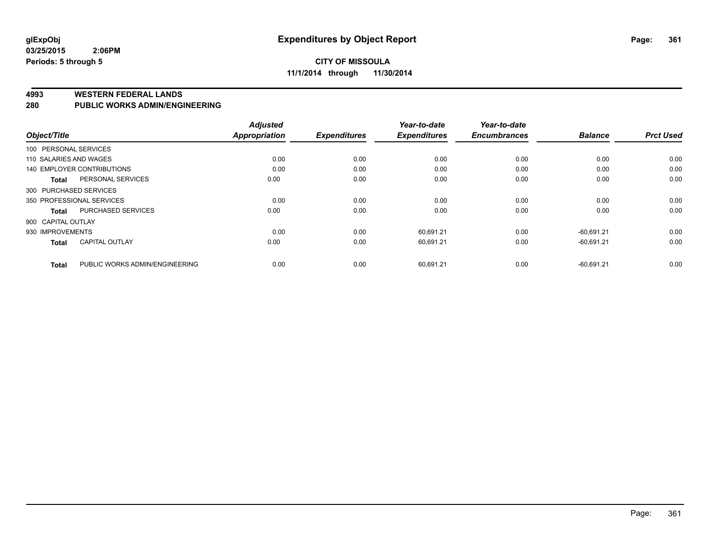#### **4993 WESTERN FEDERAL LANDS**

#### **280 PUBLIC WORKS ADMIN/ENGINEERING**

| Object/Title                      | <b>Adjusted</b> |                      | Year-to-date                | Year-to-date                     |                     | <b>Prct Used</b> |
|-----------------------------------|-----------------|----------------------|-----------------------------|----------------------------------|---------------------|------------------|
| 100 PERSONAL SERVICES             |                 |                      |                             |                                  |                     |                  |
| 110 SALARIES AND WAGES            | 0.00            | 0.00                 | 0.00                        | 0.00                             | 0.00                | 0.00             |
| <b>140 EMPLOYER CONTRIBUTIONS</b> | 0.00            | 0.00                 | 0.00                        | 0.00                             | 0.00                | 0.00             |
| PERSONAL SERVICES                 | 0.00            | 0.00                 | 0.00                        | 0.00                             | 0.00                | 0.00             |
| 300 PURCHASED SERVICES            |                 |                      |                             |                                  |                     |                  |
| 350 PROFESSIONAL SERVICES         | 0.00            | 0.00                 | 0.00                        | 0.00                             | 0.00                | 0.00             |
| <b>PURCHASED SERVICES</b>         | 0.00            | 0.00                 | 0.00                        | 0.00                             | 0.00                | 0.00             |
| 900 CAPITAL OUTLAY                |                 |                      |                             |                                  |                     |                  |
| 930 IMPROVEMENTS                  | 0.00            | 0.00                 | 60,691.21                   | 0.00                             | $-60.691.21$        | 0.00             |
| <b>CAPITAL OUTLAY</b>             | 0.00            | 0.00                 | 60.691.21                   | 0.00                             | $-60.691.21$        | 0.00             |
| PUBLIC WORKS ADMIN/ENGINEERING    | 0.00            |                      |                             | 0.00                             | $-60.691.21$        | 0.00             |
|                                   |                 | <b>Appropriation</b> | <b>Expenditures</b><br>0.00 | <b>Expenditures</b><br>60,691.21 | <b>Encumbrances</b> | <b>Balance</b>   |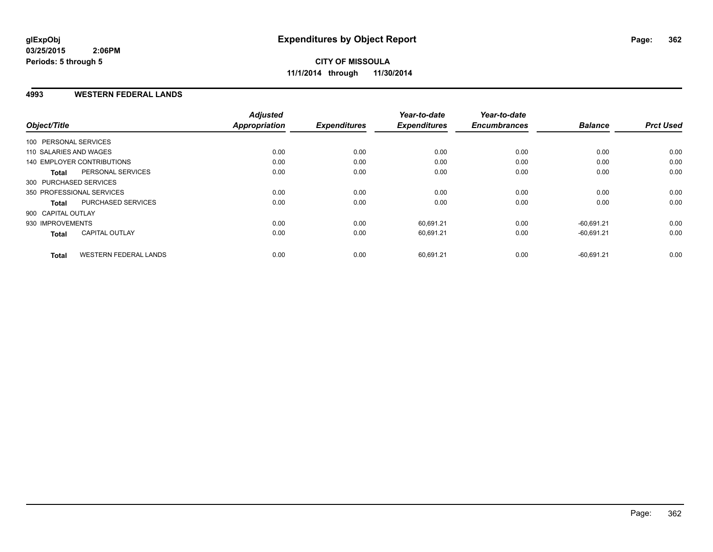#### **4993 WESTERN FEDERAL LANDS**

| Object/Title               |                              | <b>Adjusted</b><br><b>Appropriation</b> | <b>Expenditures</b> | Year-to-date<br><b>Expenditures</b> | Year-to-date<br><b>Encumbrances</b> | <b>Balance</b> | <b>Prct Used</b> |
|----------------------------|------------------------------|-----------------------------------------|---------------------|-------------------------------------|-------------------------------------|----------------|------------------|
| 100 PERSONAL SERVICES      |                              |                                         |                     |                                     |                                     |                |                  |
| 110 SALARIES AND WAGES     |                              | 0.00                                    | 0.00                | 0.00                                | 0.00                                | 0.00           | 0.00             |
|                            |                              |                                         |                     |                                     |                                     |                |                  |
| 140 EMPLOYER CONTRIBUTIONS |                              | 0.00                                    | 0.00                | 0.00                                | 0.00                                | 0.00           | 0.00             |
| <b>Total</b>               | PERSONAL SERVICES            | 0.00                                    | 0.00                | 0.00                                | 0.00                                | 0.00           | 0.00             |
| 300 PURCHASED SERVICES     |                              |                                         |                     |                                     |                                     |                |                  |
| 350 PROFESSIONAL SERVICES  |                              | 0.00                                    | 0.00                | 0.00                                | 0.00                                | 0.00           | 0.00             |
| <b>Total</b>               | PURCHASED SERVICES           | 0.00                                    | 0.00                | 0.00                                | 0.00                                | 0.00           | 0.00             |
| 900 CAPITAL OUTLAY         |                              |                                         |                     |                                     |                                     |                |                  |
| 930 IMPROVEMENTS           |                              | 0.00                                    | 0.00                | 60,691.21                           | 0.00                                | $-60.691.21$   | 0.00             |
| <b>Total</b>               | <b>CAPITAL OUTLAY</b>        | 0.00                                    | 0.00                | 60,691.21                           | 0.00                                | $-60,691.21$   | 0.00             |
| <b>Total</b>               | <b>WESTERN FEDERAL LANDS</b> | 0.00                                    | 0.00                | 60,691.21                           | 0.00                                | $-60,691.21$   | 0.00             |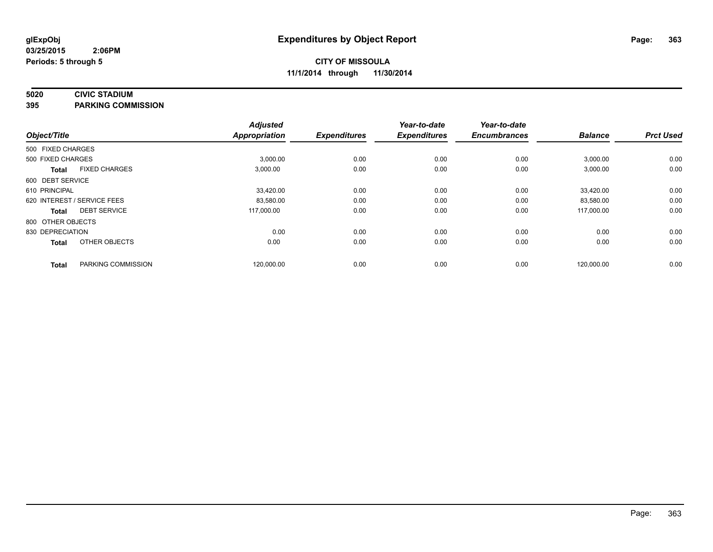### **5020 CIVIC STADIUM**

**395 PARKING COMMISSION**

|                   |                             | <b>Adjusted</b>      |                     | Year-to-date        | Year-to-date<br><b>Encumbrances</b> | <b>Balance</b> | <b>Prct Used</b> |
|-------------------|-----------------------------|----------------------|---------------------|---------------------|-------------------------------------|----------------|------------------|
| Object/Title      |                             | <b>Appropriation</b> | <b>Expenditures</b> | <b>Expenditures</b> |                                     |                |                  |
| 500 FIXED CHARGES |                             |                      |                     |                     |                                     |                |                  |
| 500 FIXED CHARGES |                             | 3,000.00             | 0.00                | 0.00                | 0.00                                | 3,000.00       | 0.00             |
| <b>Total</b>      | <b>FIXED CHARGES</b>        | 3,000.00             | 0.00                | 0.00                | 0.00                                | 3,000.00       | 0.00             |
| 600 DEBT SERVICE  |                             |                      |                     |                     |                                     |                |                  |
| 610 PRINCIPAL     |                             | 33,420.00            | 0.00                | 0.00                | 0.00                                | 33,420.00      | 0.00             |
|                   | 620 INTEREST / SERVICE FEES | 83,580.00            | 0.00                | 0.00                | 0.00                                | 83,580.00      | 0.00             |
| <b>Total</b>      | <b>DEBT SERVICE</b>         | 117,000.00           | 0.00                | 0.00                | 0.00                                | 117,000.00     | 0.00             |
| 800 OTHER OBJECTS |                             |                      |                     |                     |                                     |                |                  |
| 830 DEPRECIATION  |                             | 0.00                 | 0.00                | 0.00                | 0.00                                | 0.00           | 0.00             |
| <b>Total</b>      | OTHER OBJECTS               | 0.00                 | 0.00                | 0.00                | 0.00                                | 0.00           | 0.00             |
| <b>Total</b>      | PARKING COMMISSION          | 120,000.00           | 0.00                | 0.00                | 0.00                                | 120,000.00     | 0.00             |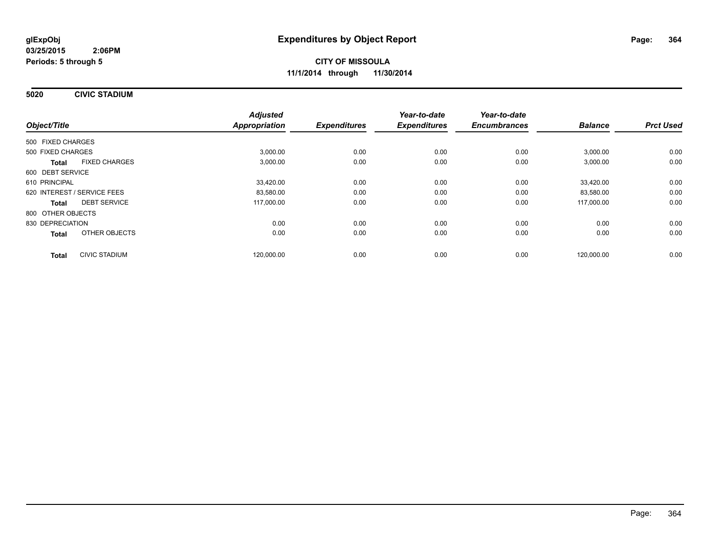**5020 CIVIC STADIUM**

| Object/Title                         | <b>Adjusted</b><br><b>Appropriation</b> | <b>Expenditures</b> | Year-to-date<br><b>Expenditures</b> | Year-to-date<br><b>Encumbrances</b> | <b>Balance</b> | <b>Prct Used</b> |
|--------------------------------------|-----------------------------------------|---------------------|-------------------------------------|-------------------------------------|----------------|------------------|
| 500 FIXED CHARGES                    |                                         |                     |                                     |                                     |                |                  |
| 500 FIXED CHARGES                    | 3,000.00                                | 0.00                | 0.00                                | 0.00                                | 3,000.00       | 0.00             |
| <b>FIXED CHARGES</b><br><b>Total</b> | 3,000.00                                | 0.00                | 0.00                                | 0.00                                | 3,000.00       | 0.00             |
| 600 DEBT SERVICE                     |                                         |                     |                                     |                                     |                |                  |
| 610 PRINCIPAL                        | 33,420.00                               | 0.00                | 0.00                                | 0.00                                | 33,420.00      | 0.00             |
| 620 INTEREST / SERVICE FEES          | 83,580.00                               | 0.00                | 0.00                                | 0.00                                | 83,580.00      | 0.00             |
| <b>DEBT SERVICE</b><br><b>Total</b>  | 117,000.00                              | 0.00                | 0.00                                | 0.00                                | 117,000.00     | 0.00             |
| 800 OTHER OBJECTS                    |                                         |                     |                                     |                                     |                |                  |
| 830 DEPRECIATION                     | 0.00                                    | 0.00                | 0.00                                | 0.00                                | 0.00           | 0.00             |
| OTHER OBJECTS<br>Total               | 0.00                                    | 0.00                | 0.00                                | 0.00                                | 0.00           | 0.00             |
| <b>CIVIC STADIUM</b><br><b>Total</b> | 120.000.00                              | 0.00                | 0.00                                | 0.00                                | 120.000.00     | 0.00             |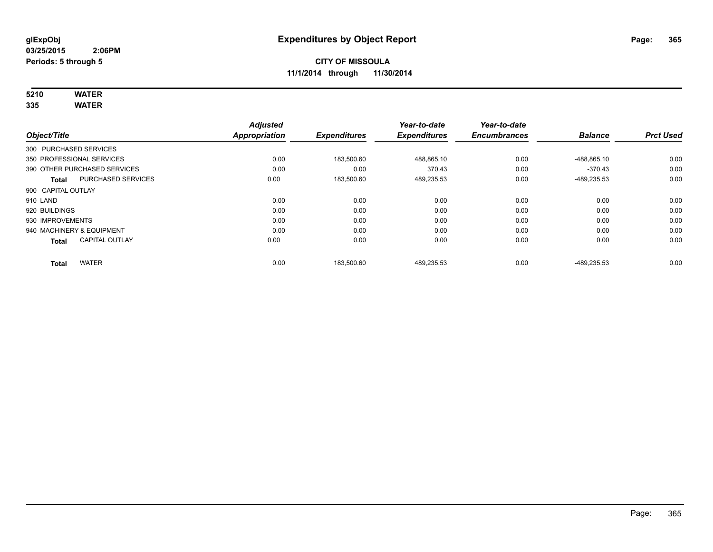# **5210 WATER**

**335 WATER**

|                           |                              | <b>Adjusted</b> |                     | Year-to-date        | Year-to-date        |                |                  |
|---------------------------|------------------------------|-----------------|---------------------|---------------------|---------------------|----------------|------------------|
| Object/Title              |                              | Appropriation   | <b>Expenditures</b> | <b>Expenditures</b> | <b>Encumbrances</b> | <b>Balance</b> | <b>Prct Used</b> |
| 300 PURCHASED SERVICES    |                              |                 |                     |                     |                     |                |                  |
|                           | 350 PROFESSIONAL SERVICES    | 0.00            | 183,500.60          | 488.865.10          | 0.00                | -488.865.10    | 0.00             |
|                           | 390 OTHER PURCHASED SERVICES | 0.00            | 0.00                | 370.43              | 0.00                | $-370.43$      | 0.00             |
| <b>Total</b>              | PURCHASED SERVICES           | 0.00            | 183,500.60          | 489,235.53          | 0.00                | -489,235.53    | 0.00             |
| 900 CAPITAL OUTLAY        |                              |                 |                     |                     |                     |                |                  |
| 910 LAND                  |                              | 0.00            | 0.00                | 0.00                | 0.00                | 0.00           | 0.00             |
| 920 BUILDINGS             |                              | 0.00            | 0.00                | 0.00                | 0.00                | 0.00           | 0.00             |
| 930 IMPROVEMENTS          |                              | 0.00            | 0.00                | 0.00                | 0.00                | 0.00           | 0.00             |
| 940 MACHINERY & EQUIPMENT |                              | 0.00            | 0.00                | 0.00                | 0.00                | 0.00           | 0.00             |
| <b>Total</b>              | <b>CAPITAL OUTLAY</b>        | 0.00            | 0.00                | 0.00                | 0.00                | 0.00           | 0.00             |
| <b>Total</b>              | <b>WATER</b>                 | 0.00            | 183,500.60          | 489,235.53          | 0.00                | -489.235.53    | 0.00             |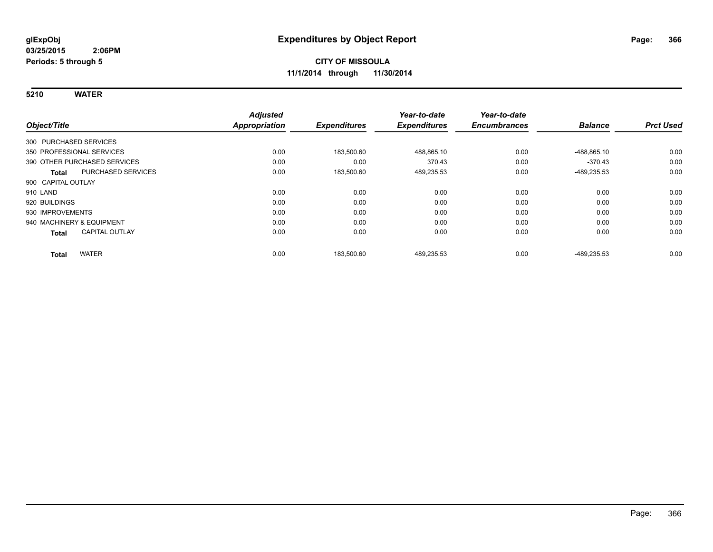**5210 WATER**

|                                       | <b>Adjusted</b>      |                     | Year-to-date        | Year-to-date        |                |                  |
|---------------------------------------|----------------------|---------------------|---------------------|---------------------|----------------|------------------|
| Object/Title                          | <b>Appropriation</b> | <b>Expenditures</b> | <b>Expenditures</b> | <b>Encumbrances</b> | <b>Balance</b> | <b>Prct Used</b> |
| 300 PURCHASED SERVICES                |                      |                     |                     |                     |                |                  |
| 350 PROFESSIONAL SERVICES             | 0.00                 | 183.500.60          | 488,865.10          | 0.00                | -488.865.10    | 0.00             |
| 390 OTHER PURCHASED SERVICES          | 0.00                 | 0.00                | 370.43              | 0.00                | $-370.43$      | 0.00             |
| PURCHASED SERVICES<br>Total           | 0.00                 | 183,500.60          | 489,235.53          | 0.00                | -489,235.53    | 0.00             |
| 900 CAPITAL OUTLAY                    |                      |                     |                     |                     |                |                  |
| 910 LAND                              | 0.00                 | 0.00                | 0.00                | 0.00                | 0.00           | 0.00             |
| 920 BUILDINGS                         | 0.00                 | 0.00                | 0.00                | 0.00                | 0.00           | 0.00             |
| 930 IMPROVEMENTS                      | 0.00                 | 0.00                | 0.00                | 0.00                | 0.00           | 0.00             |
| 940 MACHINERY & EQUIPMENT             | 0.00                 | 0.00                | 0.00                | 0.00                | 0.00           | 0.00             |
| <b>CAPITAL OUTLAY</b><br><b>Total</b> | 0.00                 | 0.00                | 0.00                | 0.00                | 0.00           | 0.00             |
| <b>WATER</b><br><b>Total</b>          | 0.00                 | 183,500.60          | 489,235.53          | 0.00                | -489.235.53    | 0.00             |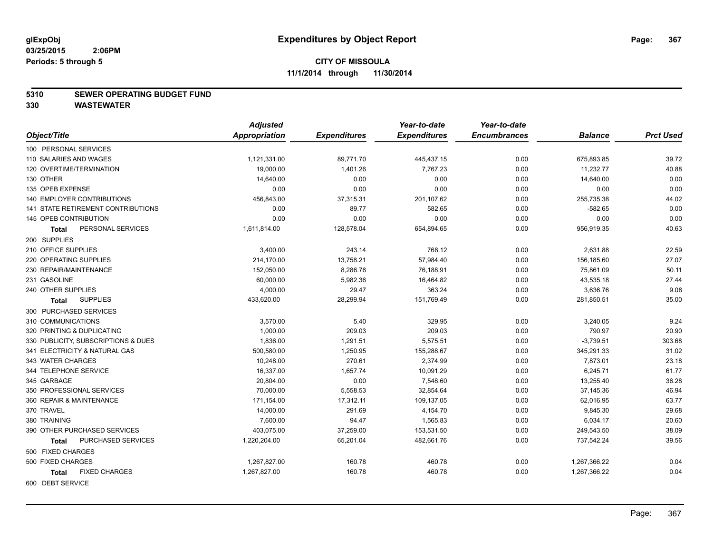#### **5310 SEWER OPERATING BUDGET FUND**

|                                           | <b>Adjusted</b> |                     | Year-to-date        | Year-to-date        |                |                  |
|-------------------------------------------|-----------------|---------------------|---------------------|---------------------|----------------|------------------|
| Object/Title                              | Appropriation   | <b>Expenditures</b> | <b>Expenditures</b> | <b>Encumbrances</b> | <b>Balance</b> | <b>Prct Used</b> |
| 100 PERSONAL SERVICES                     |                 |                     |                     |                     |                |                  |
| 110 SALARIES AND WAGES                    | 1,121,331.00    | 89,771.70           | 445,437.15          | 0.00                | 675,893.85     | 39.72            |
| 120 OVERTIME/TERMINATION                  | 19,000.00       | 1,401.26            | 7,767.23            | 0.00                | 11,232.77      | 40.88            |
| 130 OTHER                                 | 14,640.00       | 0.00                | 0.00                | 0.00                | 14,640.00      | 0.00             |
| 135 OPEB EXPENSE                          | 0.00            | 0.00                | 0.00                | 0.00                | 0.00           | 0.00             |
| 140 EMPLOYER CONTRIBUTIONS                | 456,843.00      | 37,315.31           | 201,107.62          | 0.00                | 255,735.38     | 44.02            |
| <b>141 STATE RETIREMENT CONTRIBUTIONS</b> | 0.00            | 89.77               | 582.65              | 0.00                | $-582.65$      | 0.00             |
| 145 OPEB CONTRIBUTION                     | 0.00            | 0.00                | 0.00                | 0.00                | 0.00           | 0.00             |
| PERSONAL SERVICES<br>Total                | 1,611,814.00    | 128,578.04          | 654,894.65          | 0.00                | 956,919.35     | 40.63            |
| 200 SUPPLIES                              |                 |                     |                     |                     |                |                  |
| 210 OFFICE SUPPLIES                       | 3,400.00        | 243.14              | 768.12              | 0.00                | 2,631.88       | 22.59            |
| 220 OPERATING SUPPLIES                    | 214,170.00      | 13,758.21           | 57,984.40           | 0.00                | 156,185.60     | 27.07            |
| 230 REPAIR/MAINTENANCE                    | 152,050.00      | 8,286.76            | 76,188.91           | 0.00                | 75,861.09      | 50.11            |
| 231 GASOLINE                              | 60,000.00       | 5,982.36            | 16,464.82           | 0.00                | 43,535.18      | 27.44            |
| 240 OTHER SUPPLIES                        | 4,000.00        | 29.47               | 363.24              | 0.00                | 3,636.76       | 9.08             |
| <b>SUPPLIES</b><br>Total                  | 433,620.00      | 28,299.94           | 151,769.49          | 0.00                | 281,850.51     | 35.00            |
| 300 PURCHASED SERVICES                    |                 |                     |                     |                     |                |                  |
| 310 COMMUNICATIONS                        | 3,570.00        | 5.40                | 329.95              | 0.00                | 3,240.05       | 9.24             |
| 320 PRINTING & DUPLICATING                | 1,000.00        | 209.03              | 209.03              | 0.00                | 790.97         | 20.90            |
| 330 PUBLICITY, SUBSCRIPTIONS & DUES       | 1,836.00        | 1,291.51            | 5,575.51            | 0.00                | $-3,739.51$    | 303.68           |
| 341 ELECTRICITY & NATURAL GAS             | 500,580.00      | 1,250.95            | 155,288.67          | 0.00                | 345,291.33     | 31.02            |
| 343 WATER CHARGES                         | 10,248.00       | 270.61              | 2,374.99            | 0.00                | 7,873.01       | 23.18            |
| 344 TELEPHONE SERVICE                     | 16,337.00       | 1,657.74            | 10,091.29           | 0.00                | 6,245.71       | 61.77            |
| 345 GARBAGE                               | 20,804.00       | 0.00                | 7,548.60            | 0.00                | 13,255.40      | 36.28            |
| 350 PROFESSIONAL SERVICES                 | 70,000.00       | 5,558.53            | 32,854.64           | 0.00                | 37,145.36      | 46.94            |
| 360 REPAIR & MAINTENANCE                  | 171,154.00      | 17,312.11           | 109,137.05          | 0.00                | 62,016.95      | 63.77            |
| 370 TRAVEL                                | 14,000.00       | 291.69              | 4,154.70            | 0.00                | 9,845.30       | 29.68            |
| 380 TRAINING                              | 7,600.00        | 94.47               | 1,565.83            | 0.00                | 6,034.17       | 20.60            |
| 390 OTHER PURCHASED SERVICES              | 403,075.00      | 37,259.00           | 153,531.50          | 0.00                | 249,543.50     | 38.09            |
| PURCHASED SERVICES<br><b>Total</b>        | 1,220,204.00    | 65,201.04           | 482,661.76          | 0.00                | 737,542.24     | 39.56            |
| 500 FIXED CHARGES                         |                 |                     |                     |                     |                |                  |
| 500 FIXED CHARGES                         | 1,267,827.00    | 160.78              | 460.78              | 0.00                | 1,267,366.22   | 0.04             |
| <b>FIXED CHARGES</b><br><b>Total</b>      | 1,267,827.00    | 160.78              | 460.78              | 0.00                | 1,267,366.22   | 0.04             |
| 600 DEBT SERVICE                          |                 |                     |                     |                     |                |                  |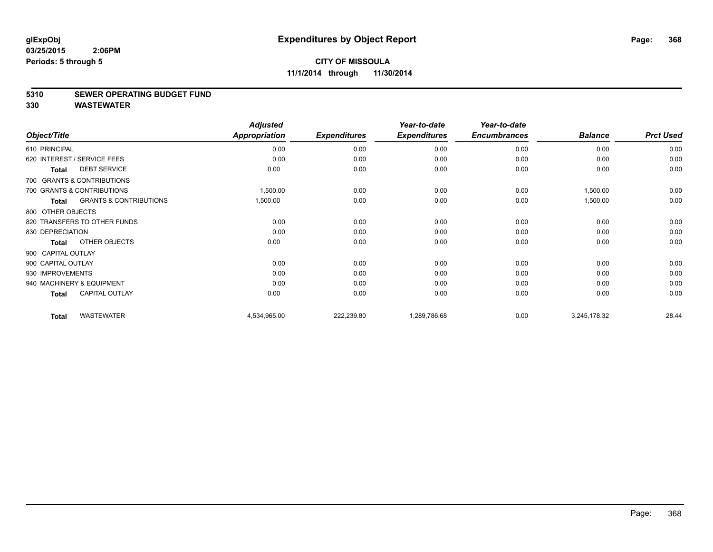#### **5310 SEWER OPERATING BUDGET FUND**

|                    |                                   | <b>Adjusted</b>      |                     | Year-to-date        | Year-to-date        |                |                  |
|--------------------|-----------------------------------|----------------------|---------------------|---------------------|---------------------|----------------|------------------|
| Object/Title       |                                   | <b>Appropriation</b> | <b>Expenditures</b> | <b>Expenditures</b> | <b>Encumbrances</b> | <b>Balance</b> | <b>Prct Used</b> |
| 610 PRINCIPAL      |                                   | 0.00                 | 0.00                | 0.00                | 0.00                | 0.00           | 0.00             |
|                    | 620 INTEREST / SERVICE FEES       | 0.00                 | 0.00                | 0.00                | 0.00                | 0.00           | 0.00             |
| <b>Total</b>       | <b>DEBT SERVICE</b>               | 0.00                 | 0.00                | 0.00                | 0.00                | 0.00           | 0.00             |
|                    | 700 GRANTS & CONTRIBUTIONS        |                      |                     |                     |                     |                |                  |
|                    | 700 GRANTS & CONTRIBUTIONS        | 1,500.00             | 0.00                | 0.00                | 0.00                | 1,500.00       | 0.00             |
| <b>Total</b>       | <b>GRANTS &amp; CONTRIBUTIONS</b> | 1,500.00             | 0.00                | 0.00                | 0.00                | 1,500.00       | 0.00             |
| 800 OTHER OBJECTS  |                                   |                      |                     |                     |                     |                |                  |
|                    | 820 TRANSFERS TO OTHER FUNDS      | 0.00                 | 0.00                | 0.00                | 0.00                | 0.00           | 0.00             |
| 830 DEPRECIATION   |                                   | 0.00                 | 0.00                | 0.00                | 0.00                | 0.00           | 0.00             |
| <b>Total</b>       | OTHER OBJECTS                     | 0.00                 | 0.00                | 0.00                | 0.00                | 0.00           | 0.00             |
| 900 CAPITAL OUTLAY |                                   |                      |                     |                     |                     |                |                  |
| 900 CAPITAL OUTLAY |                                   | 0.00                 | 0.00                | 0.00                | 0.00                | 0.00           | 0.00             |
| 930 IMPROVEMENTS   |                                   | 0.00                 | 0.00                | 0.00                | 0.00                | 0.00           | 0.00             |
|                    | 940 MACHINERY & EQUIPMENT         | 0.00                 | 0.00                | 0.00                | 0.00                | 0.00           | 0.00             |
| <b>Total</b>       | <b>CAPITAL OUTLAY</b>             | 0.00                 | 0.00                | 0.00                | 0.00                | 0.00           | 0.00             |
| <b>Total</b>       | <b>WASTEWATER</b>                 | 4,534,965.00         | 222,239.80          | 1,289,786.68        | 0.00                | 3,245,178.32   | 28.44            |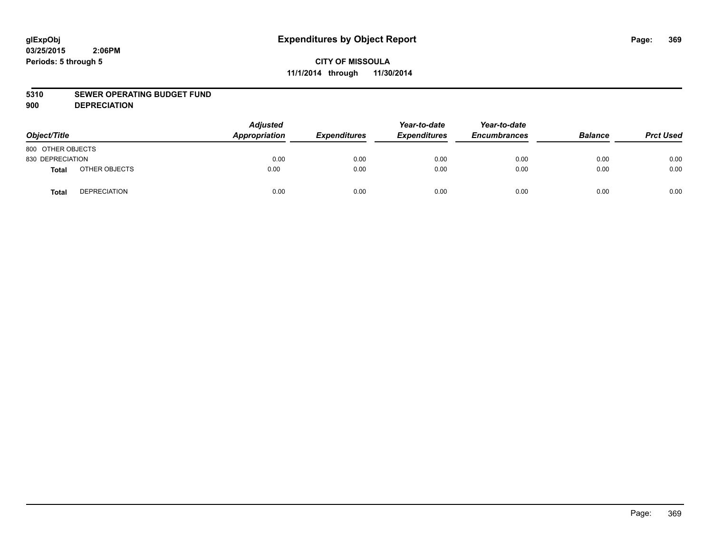#### **5310 SEWER OPERATING BUDGET FUND**

**900 DEPRECIATION**

| Object/Title      |                     | <b>Adjusted</b><br>Appropriation | <b>Expenditures</b> | Year-to-date<br><b>Expenditures</b> | Year-to-date<br><b>Encumbrances</b> | <b>Balance</b> | <b>Prct Used</b> |
|-------------------|---------------------|----------------------------------|---------------------|-------------------------------------|-------------------------------------|----------------|------------------|
| 800 OTHER OBJECTS |                     |                                  |                     |                                     |                                     |                |                  |
| 830 DEPRECIATION  |                     | 0.00                             | 0.00                | 0.00                                | 0.00                                | 0.00           | 0.00             |
| Total             | OTHER OBJECTS       | 0.00                             | 0.00                | 0.00                                | 0.00                                | 0.00           | 0.00             |
| <b>Total</b>      | <b>DEPRECIATION</b> | 0.00                             | 0.00                | 0.00                                | 0.00                                | 0.00           | 0.00             |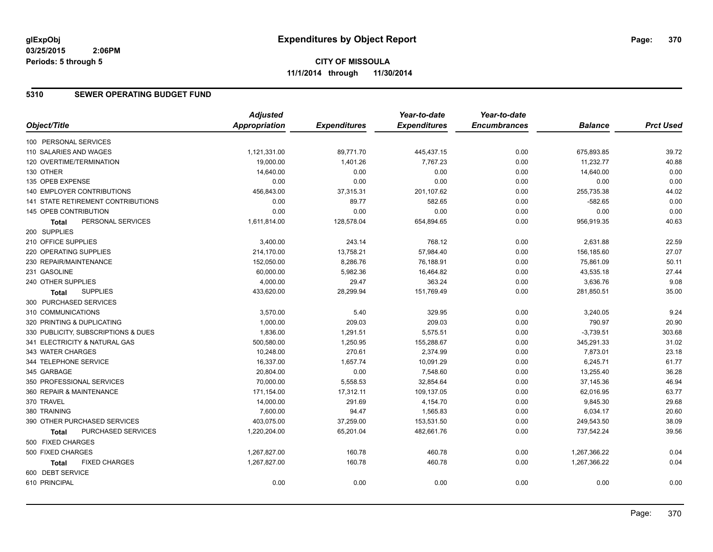#### **5310 SEWER OPERATING BUDGET FUND**

|                                      | <b>Adjusted</b> |                     | Year-to-date        | Year-to-date        |                |                  |
|--------------------------------------|-----------------|---------------------|---------------------|---------------------|----------------|------------------|
| Object/Title                         | Appropriation   | <b>Expenditures</b> | <b>Expenditures</b> | <b>Encumbrances</b> | <b>Balance</b> | <b>Prct Used</b> |
| 100 PERSONAL SERVICES                |                 |                     |                     |                     |                |                  |
| 110 SALARIES AND WAGES               | 1,121,331.00    | 89,771.70           | 445,437.15          | 0.00                | 675,893.85     | 39.72            |
| 120 OVERTIME/TERMINATION             | 19,000.00       | 1,401.26            | 7,767.23            | 0.00                | 11,232.77      | 40.88            |
| 130 OTHER                            | 14,640.00       | 0.00                | 0.00                | 0.00                | 14,640.00      | 0.00             |
| 135 OPEB EXPENSE                     | 0.00            | 0.00                | 0.00                | 0.00                | 0.00           | 0.00             |
| 140 EMPLOYER CONTRIBUTIONS           | 456,843.00      | 37,315.31           | 201,107.62          | 0.00                | 255,735.38     | 44.02            |
| 141 STATE RETIREMENT CONTRIBUTIONS   | 0.00            | 89.77               | 582.65              | 0.00                | $-582.65$      | 0.00             |
| 145 OPEB CONTRIBUTION                | 0.00            | 0.00                | 0.00                | 0.00                | 0.00           | 0.00             |
| PERSONAL SERVICES<br><b>Total</b>    | 1,611,814.00    | 128,578.04          | 654,894.65          | 0.00                | 956,919.35     | 40.63            |
| 200 SUPPLIES                         |                 |                     |                     |                     |                |                  |
| 210 OFFICE SUPPLIES                  | 3,400.00        | 243.14              | 768.12              | 0.00                | 2,631.88       | 22.59            |
| 220 OPERATING SUPPLIES               | 214,170.00      | 13,758.21           | 57,984.40           | 0.00                | 156,185.60     | 27.07            |
| 230 REPAIR/MAINTENANCE               | 152,050.00      | 8,286.76            | 76,188.91           | 0.00                | 75,861.09      | 50.11            |
| 231 GASOLINE                         | 60,000.00       | 5,982.36            | 16,464.82           | 0.00                | 43,535.18      | 27.44            |
| 240 OTHER SUPPLIES                   | 4,000.00        | 29.47               | 363.24              | 0.00                | 3,636.76       | 9.08             |
| <b>SUPPLIES</b><br>Total             | 433,620.00      | 28,299.94           | 151,769.49          | 0.00                | 281,850.51     | 35.00            |
| 300 PURCHASED SERVICES               |                 |                     |                     |                     |                |                  |
| 310 COMMUNICATIONS                   | 3,570.00        | 5.40                | 329.95              | 0.00                | 3,240.05       | 9.24             |
| 320 PRINTING & DUPLICATING           | 1,000.00        | 209.03              | 209.03              | 0.00                | 790.97         | 20.90            |
| 330 PUBLICITY, SUBSCRIPTIONS & DUES  | 1,836.00        | 1,291.51            | 5,575.51            | 0.00                | $-3,739.51$    | 303.68           |
| 341 ELECTRICITY & NATURAL GAS        | 500,580.00      | 1,250.95            | 155,288.67          | 0.00                | 345,291.33     | 31.02            |
| 343 WATER CHARGES                    | 10,248.00       | 270.61              | 2,374.99            | 0.00                | 7,873.01       | 23.18            |
| 344 TELEPHONE SERVICE                | 16,337.00       | 1,657.74            | 10,091.29           | 0.00                | 6,245.71       | 61.77            |
| 345 GARBAGE                          | 20,804.00       | 0.00                | 7,548.60            | 0.00                | 13,255.40      | 36.28            |
| 350 PROFESSIONAL SERVICES            | 70,000.00       | 5,558.53            | 32,854.64           | 0.00                | 37,145.36      | 46.94            |
| 360 REPAIR & MAINTENANCE             | 171,154.00      | 17,312.11           | 109,137.05          | 0.00                | 62,016.95      | 63.77            |
| 370 TRAVEL                           | 14,000.00       | 291.69              | 4,154.70            | 0.00                | 9,845.30       | 29.68            |
| 380 TRAINING                         | 7,600.00        | 94.47               | 1,565.83            | 0.00                | 6,034.17       | 20.60            |
| 390 OTHER PURCHASED SERVICES         | 403,075.00      | 37,259.00           | 153,531.50          | 0.00                | 249,543.50     | 38.09            |
| PURCHASED SERVICES<br><b>Total</b>   | 1,220,204.00    | 65,201.04           | 482,661.76          | 0.00                | 737,542.24     | 39.56            |
| 500 FIXED CHARGES                    |                 |                     |                     |                     |                |                  |
| 500 FIXED CHARGES                    | 1,267,827.00    | 160.78              | 460.78              | 0.00                | 1,267,366.22   | 0.04             |
| <b>FIXED CHARGES</b><br><b>Total</b> | 1,267,827.00    | 160.78              | 460.78              | 0.00                | 1,267,366.22   | 0.04             |
| 600 DEBT SERVICE                     |                 |                     |                     |                     |                |                  |
| 610 PRINCIPAL                        | 0.00            | 0.00                | 0.00                | 0.00                | 0.00           | 0.00             |
|                                      |                 |                     |                     |                     |                |                  |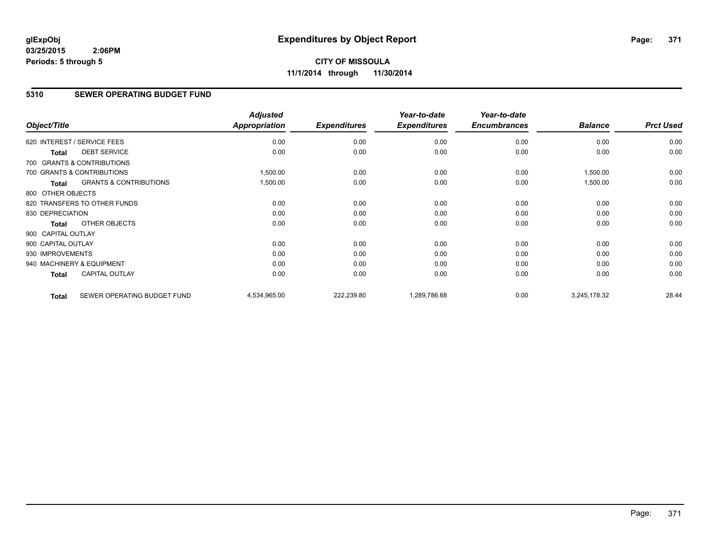## **CITY OF MISSOULA 11/1/2014 through 11/30/2014**

## **5310 SEWER OPERATING BUDGET FUND**

| Object/Title       |                                   | <b>Adjusted</b><br><b>Appropriation</b> | <b>Expenditures</b> | Year-to-date<br><b>Expenditures</b> | Year-to-date<br><b>Encumbrances</b> | <b>Balance</b> | <b>Prct Used</b> |
|--------------------|-----------------------------------|-----------------------------------------|---------------------|-------------------------------------|-------------------------------------|----------------|------------------|
|                    | 620 INTEREST / SERVICE FEES       | 0.00                                    | 0.00                | 0.00                                | 0.00                                | 0.00           | 0.00             |
| <b>Total</b>       | <b>DEBT SERVICE</b>               | 0.00                                    | 0.00                | 0.00                                | 0.00                                | 0.00           | 0.00             |
|                    | 700 GRANTS & CONTRIBUTIONS        |                                         |                     |                                     |                                     |                |                  |
|                    | 700 GRANTS & CONTRIBUTIONS        | 1,500.00                                | 0.00                | 0.00                                | 0.00                                | 1,500.00       | 0.00             |
| <b>Total</b>       | <b>GRANTS &amp; CONTRIBUTIONS</b> | 1,500.00                                | 0.00                | 0.00                                | 0.00                                | 1,500.00       | 0.00             |
| 800 OTHER OBJECTS  |                                   |                                         |                     |                                     |                                     |                |                  |
|                    | 820 TRANSFERS TO OTHER FUNDS      | 0.00                                    | 0.00                | 0.00                                | 0.00                                | 0.00           | 0.00             |
| 830 DEPRECIATION   |                                   | 0.00                                    | 0.00                | 0.00                                | 0.00                                | 0.00           | 0.00             |
| Total              | OTHER OBJECTS                     | 0.00                                    | 0.00                | 0.00                                | 0.00                                | 0.00           | 0.00             |
| 900 CAPITAL OUTLAY |                                   |                                         |                     |                                     |                                     |                |                  |
| 900 CAPITAL OUTLAY |                                   | 0.00                                    | 0.00                | 0.00                                | 0.00                                | 0.00           | 0.00             |
| 930 IMPROVEMENTS   |                                   | 0.00                                    | 0.00                | 0.00                                | 0.00                                | 0.00           | 0.00             |
|                    | 940 MACHINERY & EQUIPMENT         | 0.00                                    | 0.00                | 0.00                                | 0.00                                | 0.00           | 0.00             |
| <b>Total</b>       | <b>CAPITAL OUTLAY</b>             | 0.00                                    | 0.00                | 0.00                                | 0.00                                | 0.00           | 0.00             |
| <b>Total</b>       | SEWER OPERATING BUDGET FUND       | 4,534,965.00                            | 222,239.80          | 1,289,786.68                        | 0.00                                | 3,245,178.32   | 28.44            |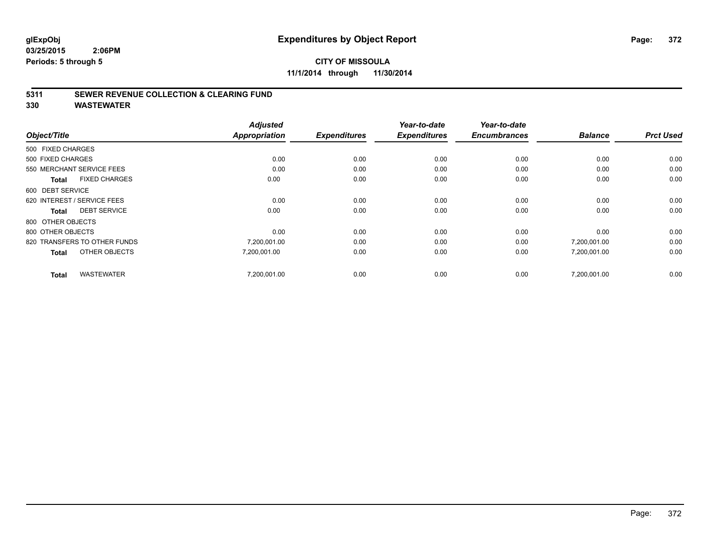**11/1/2014 through 11/30/2014**

#### **5311 SEWER REVENUE COLLECTION & CLEARING FUND**

| Object/Title                         | <b>Adjusted</b><br><b>Appropriation</b> | <b>Expenditures</b> | Year-to-date<br><b>Expenditures</b> | Year-to-date<br><b>Encumbrances</b> | <b>Balance</b> | <b>Prct Used</b> |
|--------------------------------------|-----------------------------------------|---------------------|-------------------------------------|-------------------------------------|----------------|------------------|
|                                      |                                         |                     |                                     |                                     |                |                  |
| 500 FIXED CHARGES                    |                                         |                     |                                     |                                     |                |                  |
| 500 FIXED CHARGES                    | 0.00                                    | 0.00                | 0.00                                | 0.00                                | 0.00           | 0.00             |
| 550 MERCHANT SERVICE FEES            | 0.00                                    | 0.00                | 0.00                                | 0.00                                | 0.00           | 0.00             |
| <b>FIXED CHARGES</b><br><b>Total</b> | 0.00                                    | 0.00                | 0.00                                | 0.00                                | 0.00           | 0.00             |
| 600 DEBT SERVICE                     |                                         |                     |                                     |                                     |                |                  |
| 620 INTEREST / SERVICE FEES          | 0.00                                    | 0.00                | 0.00                                | 0.00                                | 0.00           | 0.00             |
| <b>DEBT SERVICE</b><br><b>Total</b>  | 0.00                                    | 0.00                | 0.00                                | 0.00                                | 0.00           | 0.00             |
| 800 OTHER OBJECTS                    |                                         |                     |                                     |                                     |                |                  |
| 800 OTHER OBJECTS                    | 0.00                                    | 0.00                | 0.00                                | 0.00                                | 0.00           | 0.00             |
| 820 TRANSFERS TO OTHER FUNDS         | 7,200,001.00                            | 0.00                | 0.00                                | 0.00                                | 7,200,001.00   | 0.00             |
| OTHER OBJECTS<br><b>Total</b>        | 7,200,001.00                            | 0.00                | 0.00                                | 0.00                                | 7,200,001.00   | 0.00             |
| <b>WASTEWATER</b><br><b>Total</b>    | 7.200.001.00                            | 0.00                | 0.00                                | 0.00                                | 7.200.001.00   | 0.00             |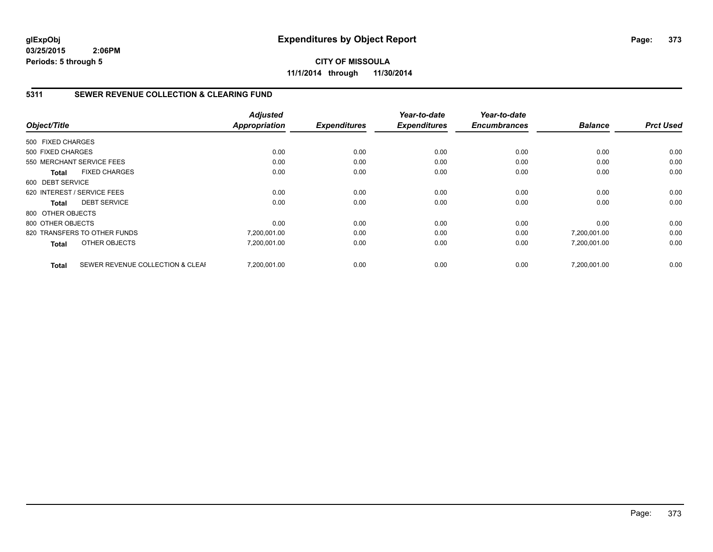**CITY OF MISSOULA 11/1/2014 through 11/30/2014**

#### **5311 SEWER REVENUE COLLECTION & CLEARING FUND**

|                   |                                  | <b>Adjusted</b> |                     | Year-to-date        | Year-to-date        |                | <b>Prct Used</b> |
|-------------------|----------------------------------|-----------------|---------------------|---------------------|---------------------|----------------|------------------|
| Object/Title      |                                  | Appropriation   | <b>Expenditures</b> | <b>Expenditures</b> | <b>Encumbrances</b> | <b>Balance</b> |                  |
| 500 FIXED CHARGES |                                  |                 |                     |                     |                     |                |                  |
| 500 FIXED CHARGES |                                  | 0.00            | 0.00                | 0.00                | 0.00                | 0.00           | 0.00             |
|                   | 550 MERCHANT SERVICE FEES        | 0.00            | 0.00                | 0.00                | 0.00                | 0.00           | 0.00             |
| Total             | <b>FIXED CHARGES</b>             | 0.00            | 0.00                | 0.00                | 0.00                | 0.00           | 0.00             |
| 600 DEBT SERVICE  |                                  |                 |                     |                     |                     |                |                  |
|                   | 620 INTEREST / SERVICE FEES      | 0.00            | 0.00                | 0.00                | 0.00                | 0.00           | 0.00             |
| Total             | <b>DEBT SERVICE</b>              | 0.00            | 0.00                | 0.00                | 0.00                | 0.00           | 0.00             |
| 800 OTHER OBJECTS |                                  |                 |                     |                     |                     |                |                  |
| 800 OTHER OBJECTS |                                  | 0.00            | 0.00                | 0.00                | 0.00                | 0.00           | 0.00             |
|                   | 820 TRANSFERS TO OTHER FUNDS     | 7,200,001.00    | 0.00                | 0.00                | 0.00                | 7,200,001.00   | 0.00             |
| <b>Total</b>      | OTHER OBJECTS                    | 7,200,001.00    | 0.00                | 0.00                | 0.00                | 7,200,001.00   | 0.00             |
| <b>Total</b>      | SEWER REVENUE COLLECTION & CLEAF | 7.200.001.00    | 0.00                | 0.00                | 0.00                | 7.200.001.00   | 0.00             |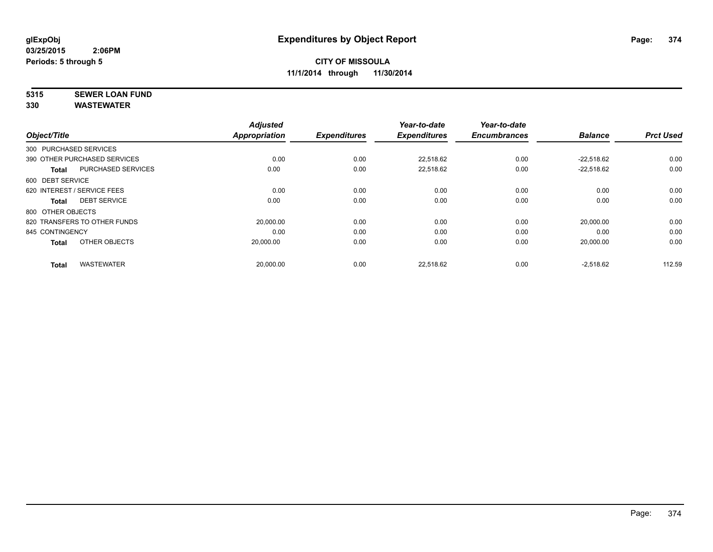# **5315 SEWER LOAN FUND**

| Object/Title      |                              | <b>Adjusted</b><br><b>Appropriation</b> | <b>Expenditures</b> | Year-to-date<br><b>Expenditures</b> | Year-to-date<br><b>Encumbrances</b> | <b>Balance</b> | <b>Prct Used</b> |
|-------------------|------------------------------|-----------------------------------------|---------------------|-------------------------------------|-------------------------------------|----------------|------------------|
|                   |                              |                                         |                     |                                     |                                     |                |                  |
|                   | 300 PURCHASED SERVICES       |                                         |                     |                                     |                                     |                |                  |
|                   | 390 OTHER PURCHASED SERVICES | 0.00                                    | 0.00                | 22.518.62                           | 0.00                                | $-22.518.62$   | 0.00             |
| <b>Total</b>      | <b>PURCHASED SERVICES</b>    | 0.00                                    | 0.00                | 22,518.62                           | 0.00                                | $-22,518.62$   | 0.00             |
| 600 DEBT SERVICE  |                              |                                         |                     |                                     |                                     |                |                  |
|                   | 620 INTEREST / SERVICE FEES  | 0.00                                    | 0.00                | 0.00                                | 0.00                                | 0.00           | 0.00             |
| <b>Total</b>      | <b>DEBT SERVICE</b>          | 0.00                                    | 0.00                | 0.00                                | 0.00                                | 0.00           | 0.00             |
| 800 OTHER OBJECTS |                              |                                         |                     |                                     |                                     |                |                  |
|                   | 820 TRANSFERS TO OTHER FUNDS | 20,000.00                               | 0.00                | 0.00                                | 0.00                                | 20,000.00      | 0.00             |
| 845 CONTINGENCY   |                              | 0.00                                    | 0.00                | 0.00                                | 0.00                                | 0.00           | 0.00             |
| <b>Total</b>      | OTHER OBJECTS                | 20,000.00                               | 0.00                | 0.00                                | 0.00                                | 20,000.00      | 0.00             |
| <b>Total</b>      | <b>WASTEWATER</b>            | 20,000.00                               | 0.00                | 22,518.62                           | 0.00                                | $-2,518.62$    | 112.59           |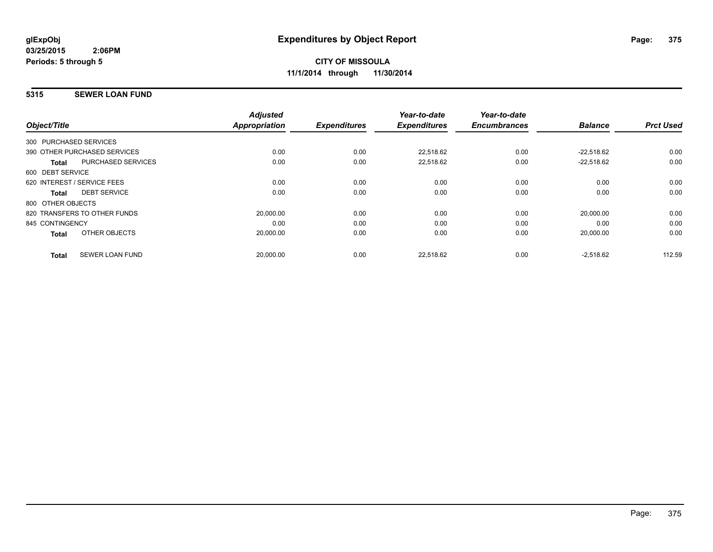#### **5315 SEWER LOAN FUND**

| Object/Title      |                              | <b>Adjusted</b><br>Appropriation | <b>Expenditures</b> | Year-to-date<br><b>Expenditures</b> | Year-to-date<br><b>Encumbrances</b> | <b>Balance</b> | <b>Prct Used</b> |
|-------------------|------------------------------|----------------------------------|---------------------|-------------------------------------|-------------------------------------|----------------|------------------|
|                   | 300 PURCHASED SERVICES       |                                  |                     |                                     |                                     |                |                  |
|                   |                              |                                  |                     |                                     |                                     |                |                  |
|                   | 390 OTHER PURCHASED SERVICES | 0.00                             | 0.00                | 22,518.62                           | 0.00                                | $-22.518.62$   | 0.00             |
| <b>Total</b>      | <b>PURCHASED SERVICES</b>    | 0.00                             | 0.00                | 22,518.62                           | 0.00                                | $-22.518.62$   | 0.00             |
| 600 DEBT SERVICE  |                              |                                  |                     |                                     |                                     |                |                  |
|                   | 620 INTEREST / SERVICE FEES  | 0.00                             | 0.00                | 0.00                                | 0.00                                | 0.00           | 0.00             |
| <b>Total</b>      | <b>DEBT SERVICE</b>          | 0.00                             | 0.00                | 0.00                                | 0.00                                | 0.00           | 0.00             |
| 800 OTHER OBJECTS |                              |                                  |                     |                                     |                                     |                |                  |
|                   | 820 TRANSFERS TO OTHER FUNDS | 20,000.00                        | 0.00                | 0.00                                | 0.00                                | 20.000.00      | 0.00             |
| 845 CONTINGENCY   |                              | 0.00                             | 0.00                | 0.00                                | 0.00                                | 0.00           | 0.00             |
| <b>Total</b>      | OTHER OBJECTS                | 20,000.00                        | 0.00                | 0.00                                | 0.00                                | 20,000.00      | 0.00             |
| <b>Total</b>      | <b>SEWER LOAN FUND</b>       | 20,000.00                        | 0.00                | 22.518.62                           | 0.00                                | $-2.518.62$    | 112.59           |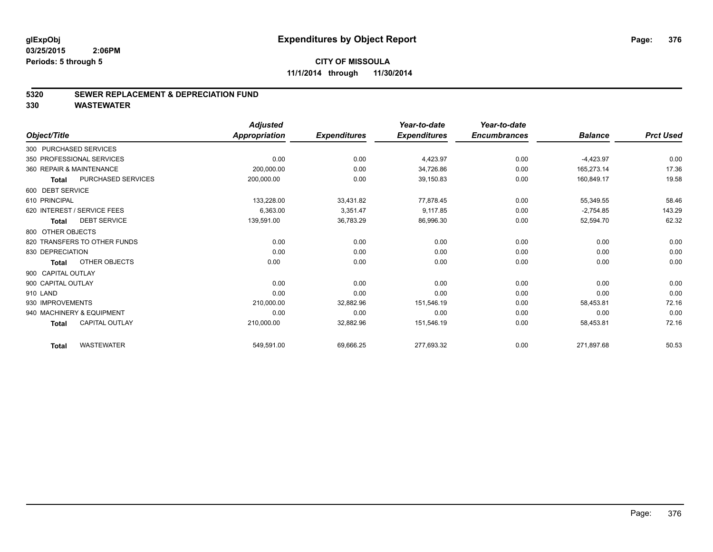#### **CITY OF MISSOULA 11/1/2014 through 11/30/2014**

#### **5320 SEWER REPLACEMENT & DEPRECIATION FUND**

|                                       | <b>Adjusted</b>      |                     | Year-to-date        | Year-to-date        |                |                  |
|---------------------------------------|----------------------|---------------------|---------------------|---------------------|----------------|------------------|
| Object/Title                          | <b>Appropriation</b> | <b>Expenditures</b> | <b>Expenditures</b> | <b>Encumbrances</b> | <b>Balance</b> | <b>Prct Used</b> |
| 300 PURCHASED SERVICES                |                      |                     |                     |                     |                |                  |
| 350 PROFESSIONAL SERVICES             | 0.00                 | 0.00                | 4,423.97            | 0.00                | $-4,423.97$    | 0.00             |
| 360 REPAIR & MAINTENANCE              | 200,000.00           | 0.00                | 34,726.86           | 0.00                | 165,273.14     | 17.36            |
| PURCHASED SERVICES<br><b>Total</b>    | 200,000.00           | 0.00                | 39,150.83           | 0.00                | 160,849.17     | 19.58            |
| 600 DEBT SERVICE                      |                      |                     |                     |                     |                |                  |
| 610 PRINCIPAL                         | 133,228.00           | 33,431.82           | 77,878.45           | 0.00                | 55,349.55      | 58.46            |
| 620 INTEREST / SERVICE FEES           | 6,363.00             | 3,351.47            | 9,117.85            | 0.00                | $-2,754.85$    | 143.29           |
| <b>DEBT SERVICE</b><br><b>Total</b>   | 139,591.00           | 36,783.29           | 86,996.30           | 0.00                | 52,594.70      | 62.32            |
| 800 OTHER OBJECTS                     |                      |                     |                     |                     |                |                  |
| 820 TRANSFERS TO OTHER FUNDS          | 0.00                 | 0.00                | 0.00                | 0.00                | 0.00           | 0.00             |
| 830 DEPRECIATION                      | 0.00                 | 0.00                | 0.00                | 0.00                | 0.00           | 0.00             |
| OTHER OBJECTS<br><b>Total</b>         | 0.00                 | 0.00                | 0.00                | 0.00                | 0.00           | 0.00             |
| 900 CAPITAL OUTLAY                    |                      |                     |                     |                     |                |                  |
| 900 CAPITAL OUTLAY                    | 0.00                 | 0.00                | 0.00                | 0.00                | 0.00           | 0.00             |
| 910 LAND                              | 0.00                 | 0.00                | 0.00                | 0.00                | 0.00           | 0.00             |
| 930 IMPROVEMENTS                      | 210,000.00           | 32,882.96           | 151,546.19          | 0.00                | 58,453.81      | 72.16            |
| 940 MACHINERY & EQUIPMENT             | 0.00                 | 0.00                | 0.00                | 0.00                | 0.00           | 0.00             |
| <b>CAPITAL OUTLAY</b><br><b>Total</b> | 210,000.00           | 32,882.96           | 151,546.19          | 0.00                | 58,453.81      | 72.16            |
| <b>WASTEWATER</b><br><b>Total</b>     | 549,591.00           | 69,666.25           | 277,693.32          | 0.00                | 271,897.68     | 50.53            |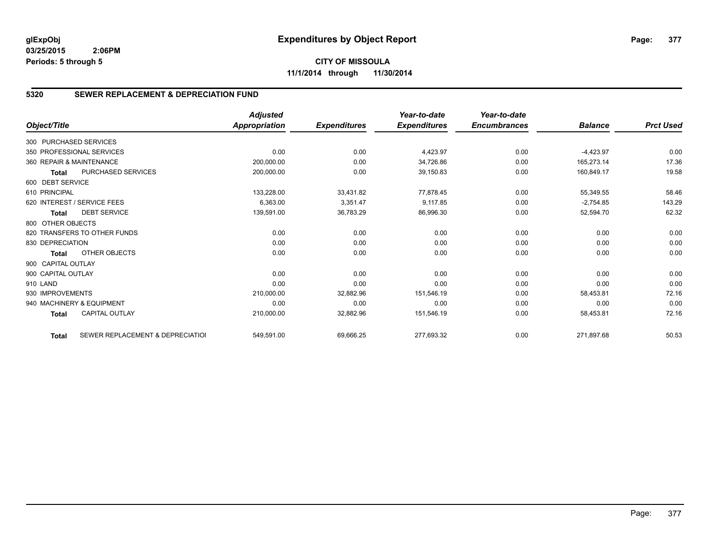**CITY OF MISSOULA 11/1/2014 through 11/30/2014**

#### **5320 SEWER REPLACEMENT & DEPRECIATION FUND**

|                        |                                  | <b>Adjusted</b> |                     | Year-to-date        | Year-to-date        |                |                  |
|------------------------|----------------------------------|-----------------|---------------------|---------------------|---------------------|----------------|------------------|
| Object/Title           |                                  | Appropriation   | <b>Expenditures</b> | <b>Expenditures</b> | <b>Encumbrances</b> | <b>Balance</b> | <b>Prct Used</b> |
| 300 PURCHASED SERVICES |                                  |                 |                     |                     |                     |                |                  |
|                        | 350 PROFESSIONAL SERVICES        | 0.00            | 0.00                | 4,423.97            | 0.00                | $-4.423.97$    | 0.00             |
|                        | 360 REPAIR & MAINTENANCE         | 200,000.00      | 0.00                | 34,726.86           | 0.00                | 165.273.14     | 17.36            |
| <b>Total</b>           | PURCHASED SERVICES               | 200,000.00      | 0.00                | 39,150.83           | 0.00                | 160,849.17     | 19.58            |
| 600 DEBT SERVICE       |                                  |                 |                     |                     |                     |                |                  |
| 610 PRINCIPAL          |                                  | 133,228.00      | 33,431.82           | 77,878.45           | 0.00                | 55,349.55      | 58.46            |
|                        | 620 INTEREST / SERVICE FEES      | 6,363.00        | 3,351.47            | 9.117.85            | 0.00                | $-2,754.85$    | 143.29           |
| <b>Total</b>           | <b>DEBT SERVICE</b>              | 139,591.00      | 36,783.29           | 86,996.30           | 0.00                | 52,594.70      | 62.32            |
| 800 OTHER OBJECTS      |                                  |                 |                     |                     |                     |                |                  |
|                        | 820 TRANSFERS TO OTHER FUNDS     | 0.00            | 0.00                | 0.00                | 0.00                | 0.00           | 0.00             |
| 830 DEPRECIATION       |                                  | 0.00            | 0.00                | 0.00                | 0.00                | 0.00           | 0.00             |
| <b>Total</b>           | OTHER OBJECTS                    | 0.00            | 0.00                | 0.00                | 0.00                | 0.00           | 0.00             |
| 900 CAPITAL OUTLAY     |                                  |                 |                     |                     |                     |                |                  |
| 900 CAPITAL OUTLAY     |                                  | 0.00            | 0.00                | 0.00                | 0.00                | 0.00           | 0.00             |
| 910 LAND               |                                  | 0.00            | 0.00                | 0.00                | 0.00                | 0.00           | 0.00             |
| 930 IMPROVEMENTS       |                                  | 210,000.00      | 32,882.96           | 151,546.19          | 0.00                | 58.453.81      | 72.16            |
|                        | 940 MACHINERY & EQUIPMENT        | 0.00            | 0.00                | 0.00                | 0.00                | 0.00           | 0.00             |
| <b>Total</b>           | <b>CAPITAL OUTLAY</b>            | 210,000.00      | 32,882.96           | 151,546.19          | 0.00                | 58,453.81      | 72.16            |
| <b>Total</b>           | SEWER REPLACEMENT & DEPRECIATION | 549,591.00      | 69,666.25           | 277,693.32          | 0.00                | 271,897.68     | 50.53            |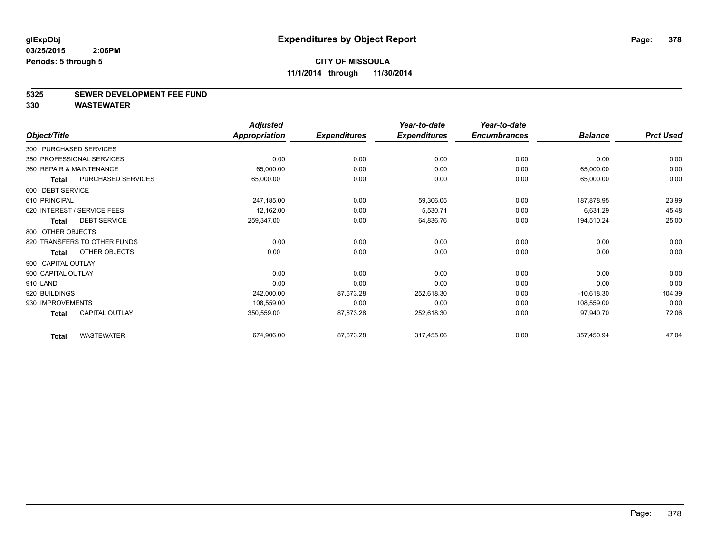#### **5325 SEWER DEVELOPMENT FEE FUND**

|                        |                              | <b>Adjusted</b> |                     | Year-to-date        | Year-to-date        |                |                  |
|------------------------|------------------------------|-----------------|---------------------|---------------------|---------------------|----------------|------------------|
| Object/Title           |                              | Appropriation   | <b>Expenditures</b> | <b>Expenditures</b> | <b>Encumbrances</b> | <b>Balance</b> | <b>Prct Used</b> |
| 300 PURCHASED SERVICES |                              |                 |                     |                     |                     |                |                  |
|                        | 350 PROFESSIONAL SERVICES    | 0.00            | 0.00                | 0.00                | 0.00                | 0.00           | 0.00             |
|                        | 360 REPAIR & MAINTENANCE     | 65,000.00       | 0.00                | 0.00                | 0.00                | 65,000.00      | 0.00             |
| <b>Total</b>           | PURCHASED SERVICES           | 65,000.00       | 0.00                | 0.00                | 0.00                | 65,000.00      | 0.00             |
| 600 DEBT SERVICE       |                              |                 |                     |                     |                     |                |                  |
| 610 PRINCIPAL          |                              | 247,185.00      | 0.00                | 59,306.05           | 0.00                | 187,878.95     | 23.99            |
|                        | 620 INTEREST / SERVICE FEES  | 12,162.00       | 0.00                | 5,530.71            | 0.00                | 6,631.29       | 45.48            |
| <b>Total</b>           | <b>DEBT SERVICE</b>          | 259,347.00      | 0.00                | 64,836.76           | 0.00                | 194,510.24     | 25.00            |
| 800 OTHER OBJECTS      |                              |                 |                     |                     |                     |                |                  |
|                        | 820 TRANSFERS TO OTHER FUNDS | 0.00            | 0.00                | 0.00                | 0.00                | 0.00           | 0.00             |
| <b>Total</b>           | OTHER OBJECTS                | 0.00            | 0.00                | 0.00                | 0.00                | 0.00           | 0.00             |
| 900 CAPITAL OUTLAY     |                              |                 |                     |                     |                     |                |                  |
| 900 CAPITAL OUTLAY     |                              | 0.00            | 0.00                | 0.00                | 0.00                | 0.00           | 0.00             |
| 910 LAND               |                              | 0.00            | 0.00                | 0.00                | 0.00                | 0.00           | 0.00             |
| 920 BUILDINGS          |                              | 242,000.00      | 87,673.28           | 252,618.30          | 0.00                | $-10,618.30$   | 104.39           |
| 930 IMPROVEMENTS       |                              | 108,559.00      | 0.00                | 0.00                | 0.00                | 108,559.00     | 0.00             |
| <b>Total</b>           | <b>CAPITAL OUTLAY</b>        | 350,559.00      | 87,673.28           | 252,618.30          | 0.00                | 97,940.70      | 72.06            |
| <b>Total</b>           | <b>WASTEWATER</b>            | 674,906.00      | 87,673.28           | 317,455.06          | 0.00                | 357,450.94     | 47.04            |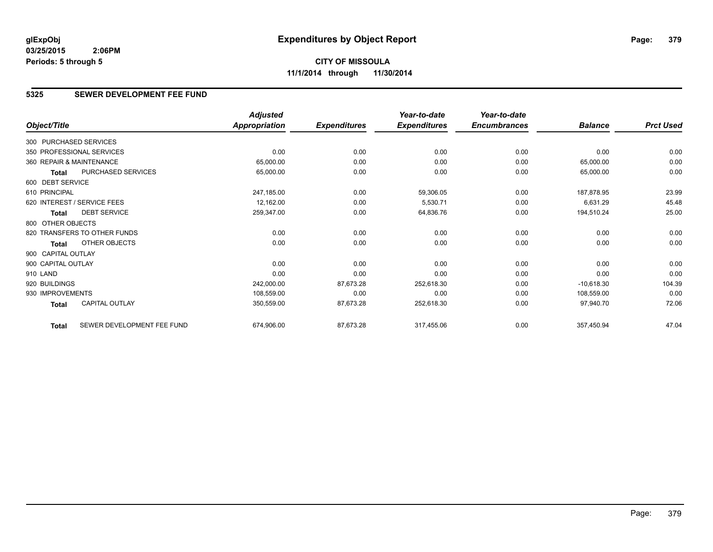## **5325 SEWER DEVELOPMENT FEE FUND**

|                        |                              | <b>Adjusted</b>      |                     | Year-to-date        | Year-to-date        |                |                  |
|------------------------|------------------------------|----------------------|---------------------|---------------------|---------------------|----------------|------------------|
| Object/Title           |                              | <b>Appropriation</b> | <b>Expenditures</b> | <b>Expenditures</b> | <b>Encumbrances</b> | <b>Balance</b> | <b>Prct Used</b> |
| 300 PURCHASED SERVICES |                              |                      |                     |                     |                     |                |                  |
|                        | 350 PROFESSIONAL SERVICES    | 0.00                 | 0.00                | 0.00                | 0.00                | 0.00           | 0.00             |
|                        | 360 REPAIR & MAINTENANCE     | 65,000.00            | 0.00                | 0.00                | 0.00                | 65,000.00      | 0.00             |
| Total                  | PURCHASED SERVICES           | 65,000.00            | 0.00                | 0.00                | 0.00                | 65,000.00      | 0.00             |
| 600 DEBT SERVICE       |                              |                      |                     |                     |                     |                |                  |
| 610 PRINCIPAL          |                              | 247,185.00           | 0.00                | 59,306.05           | 0.00                | 187,878.95     | 23.99            |
|                        | 620 INTEREST / SERVICE FEES  | 12,162.00            | 0.00                | 5,530.71            | 0.00                | 6,631.29       | 45.48            |
| <b>Total</b>           | <b>DEBT SERVICE</b>          | 259,347.00           | 0.00                | 64,836.76           | 0.00                | 194,510.24     | 25.00            |
| 800 OTHER OBJECTS      |                              |                      |                     |                     |                     |                |                  |
|                        | 820 TRANSFERS TO OTHER FUNDS | 0.00                 | 0.00                | 0.00                | 0.00                | 0.00           | 0.00             |
| Total                  | <b>OTHER OBJECTS</b>         | 0.00                 | 0.00                | 0.00                | 0.00                | 0.00           | 0.00             |
| 900 CAPITAL OUTLAY     |                              |                      |                     |                     |                     |                |                  |
| 900 CAPITAL OUTLAY     |                              | 0.00                 | 0.00                | 0.00                | 0.00                | 0.00           | 0.00             |
| 910 LAND               |                              | 0.00                 | 0.00                | 0.00                | 0.00                | 0.00           | 0.00             |
| 920 BUILDINGS          |                              | 242,000.00           | 87,673.28           | 252,618.30          | 0.00                | $-10,618.30$   | 104.39           |
| 930 IMPROVEMENTS       |                              | 108,559.00           | 0.00                | 0.00                | 0.00                | 108,559.00     | 0.00             |
| Total                  | <b>CAPITAL OUTLAY</b>        | 350,559.00           | 87,673.28           | 252,618.30          | 0.00                | 97,940.70      | 72.06            |
| <b>Total</b>           | SEWER DEVELOPMENT FEE FUND   | 674,906.00           | 87,673.28           | 317,455.06          | 0.00                | 357,450.94     | 47.04            |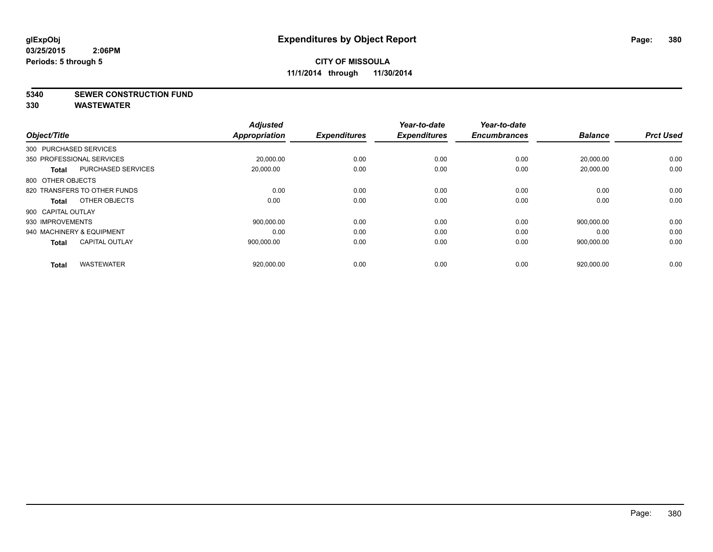**5340 SEWER CONSTRUCTION FUND**

| Object/Title              |                              | <b>Adjusted</b><br><b>Appropriation</b> | <b>Expenditures</b> | Year-to-date<br><b>Expenditures</b> | Year-to-date<br><b>Encumbrances</b> | <b>Balance</b> | <b>Prct Used</b> |
|---------------------------|------------------------------|-----------------------------------------|---------------------|-------------------------------------|-------------------------------------|----------------|------------------|
| 300 PURCHASED SERVICES    |                              |                                         |                     |                                     |                                     |                |                  |
| 350 PROFESSIONAL SERVICES |                              |                                         |                     |                                     |                                     |                |                  |
|                           |                              | 20,000.00                               | 0.00                | 0.00                                | 0.00                                | 20,000.00      | 0.00             |
| <b>Total</b>              | <b>PURCHASED SERVICES</b>    | 20,000.00                               | 0.00                | 0.00                                | 0.00                                | 20,000.00      | 0.00             |
| 800 OTHER OBJECTS         |                              |                                         |                     |                                     |                                     |                |                  |
|                           | 820 TRANSFERS TO OTHER FUNDS | 0.00                                    | 0.00                | 0.00                                | 0.00                                | 0.00           | 0.00             |
| Total                     | OTHER OBJECTS                | 0.00                                    | 0.00                | 0.00                                | 0.00                                | 0.00           | 0.00             |
| 900 CAPITAL OUTLAY        |                              |                                         |                     |                                     |                                     |                |                  |
| 930 IMPROVEMENTS          |                              | 900,000.00                              | 0.00                | 0.00                                | 0.00                                | 900.000.00     | 0.00             |
| 940 MACHINERY & EQUIPMENT |                              | 0.00                                    | 0.00                | 0.00                                | 0.00                                | 0.00           | 0.00             |
| <b>Total</b>              | <b>CAPITAL OUTLAY</b>        | 900,000.00                              | 0.00                | 0.00                                | 0.00                                | 900,000.00     | 0.00             |
|                           |                              |                                         |                     |                                     |                                     |                |                  |
| <b>Total</b>              | <b>WASTEWATER</b>            | 920,000.00                              | 0.00                | 0.00                                | 0.00                                | 920,000.00     | 0.00             |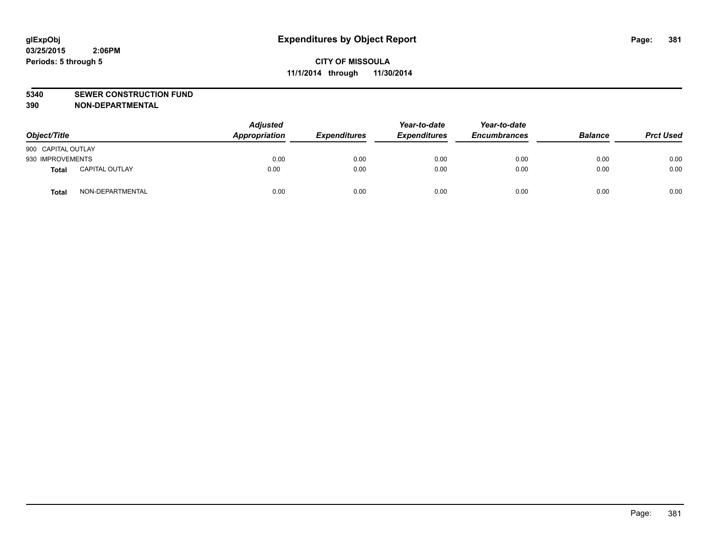#### **5340 SEWER CONSTRUCTION FUND**

**390 NON-DEPARTMENTAL**

| Object/Title       |                       | <b>Adjusted</b><br>Appropriation | <b>Expenditures</b> | Year-to-date<br><b>Expenditures</b> | Year-to-date<br><b>Encumbrances</b> | <b>Balance</b> | <b>Prct Used</b> |
|--------------------|-----------------------|----------------------------------|---------------------|-------------------------------------|-------------------------------------|----------------|------------------|
| 900 CAPITAL OUTLAY |                       |                                  |                     |                                     |                                     |                |                  |
| 930 IMPROVEMENTS   |                       | 0.00                             | 0.00                | 0.00                                | 0.00                                | 0.00           | 0.00             |
| <b>Total</b>       | <b>CAPITAL OUTLAY</b> | 0.00                             | 0.00                | 0.00                                | 0.00                                | 0.00           | 0.00             |
| <b>Total</b>       | NON-DEPARTMENTAL      | 0.00                             | 0.00                | 0.00                                | 0.00                                | 0.00           | 0.00             |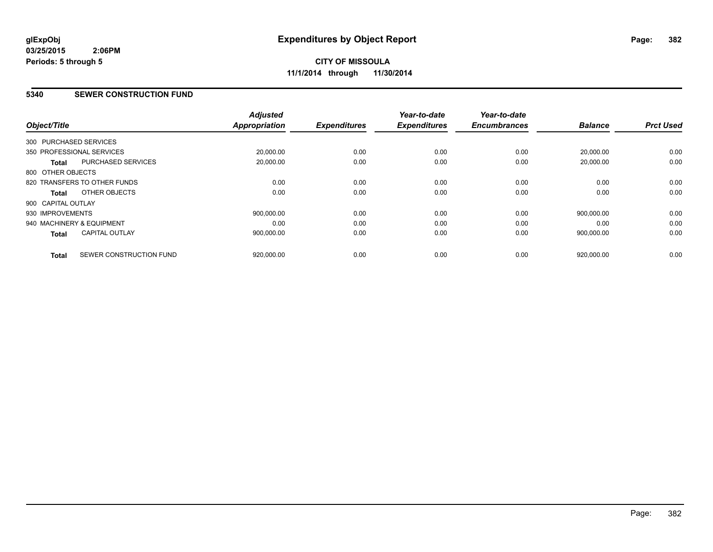#### **5340 SEWER CONSTRUCTION FUND**

| Object/Title           |                              | <b>Adjusted</b><br><b>Appropriation</b> | <b>Expenditures</b> | Year-to-date<br><b>Expenditures</b> | Year-to-date<br><b>Encumbrances</b> | <b>Balance</b> | <b>Prct Used</b> |
|------------------------|------------------------------|-----------------------------------------|---------------------|-------------------------------------|-------------------------------------|----------------|------------------|
| 300 PURCHASED SERVICES |                              |                                         |                     |                                     |                                     |                |                  |
|                        | 350 PROFESSIONAL SERVICES    | 20,000.00                               | 0.00                | 0.00                                | 0.00                                | 20,000.00      | 0.00             |
| <b>Total</b>           | <b>PURCHASED SERVICES</b>    | 20,000.00                               | 0.00                | 0.00                                | 0.00                                | 20,000.00      | 0.00             |
| 800 OTHER OBJECTS      |                              |                                         |                     |                                     |                                     |                |                  |
|                        | 820 TRANSFERS TO OTHER FUNDS | 0.00                                    | 0.00                | 0.00                                | 0.00                                | 0.00           | 0.00             |
| Total                  | OTHER OBJECTS                | 0.00                                    | 0.00                | 0.00                                | 0.00                                | 0.00           | 0.00             |
| 900 CAPITAL OUTLAY     |                              |                                         |                     |                                     |                                     |                |                  |
| 930 IMPROVEMENTS       |                              | 900.000.00                              | 0.00                | 0.00                                | 0.00                                | 900,000.00     | 0.00             |
|                        | 940 MACHINERY & EQUIPMENT    | 0.00                                    | 0.00                | 0.00                                | 0.00                                | 0.00           | 0.00             |
| <b>Total</b>           | <b>CAPITAL OUTLAY</b>        | 900,000.00                              | 0.00                | 0.00                                | 0.00                                | 900,000.00     | 0.00             |
| <b>Total</b>           | SEWER CONSTRUCTION FUND      | 920,000.00                              | 0.00                | 0.00                                | 0.00                                | 920,000.00     | 0.00             |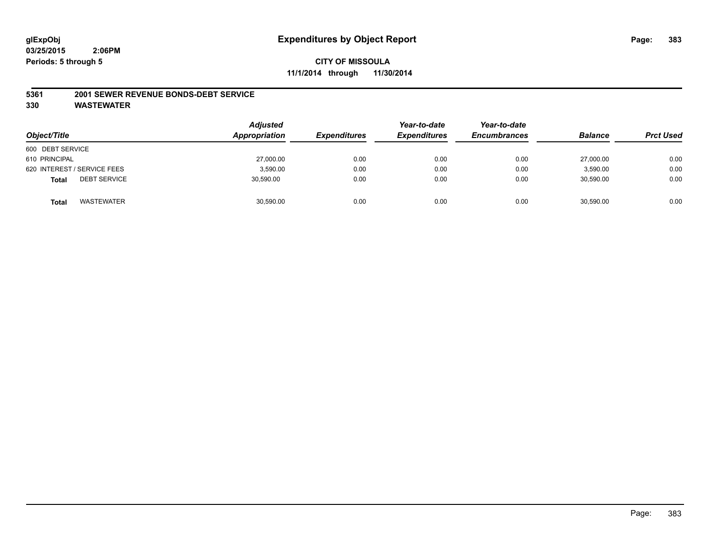#### **CITY OF MISSOULA 11/1/2014 through 11/30/2014**

#### **5361 2001 SEWER REVENUE BONDS-DEBT SERVICE**

| Object/Title                        | <b>Adjusted</b><br>Appropriation | <b>Expenditures</b> | Year-to-date<br><b>Expenditures</b> | Year-to-date<br><b>Encumbrances</b> | <b>Balance</b> | <b>Prct Used</b> |
|-------------------------------------|----------------------------------|---------------------|-------------------------------------|-------------------------------------|----------------|------------------|
| 600 DEBT SERVICE                    |                                  |                     |                                     |                                     |                |                  |
| 610 PRINCIPAL                       | 27,000.00                        | 0.00                | 0.00                                | 0.00                                | 27,000.00      | 0.00             |
| 620 INTEREST / SERVICE FEES         | 3,590.00                         | 0.00                | 0.00                                | 0.00                                | 3,590.00       | 0.00             |
| <b>DEBT SERVICE</b><br><b>Total</b> | 30,590.00                        | 0.00                | 0.00                                | 0.00                                | 30,590.00      | 0.00             |
| WASTEWATER<br><b>Total</b>          | 30,590.00                        | 0.00                | 0.00                                | 0.00                                | 30,590.00      | 0.00             |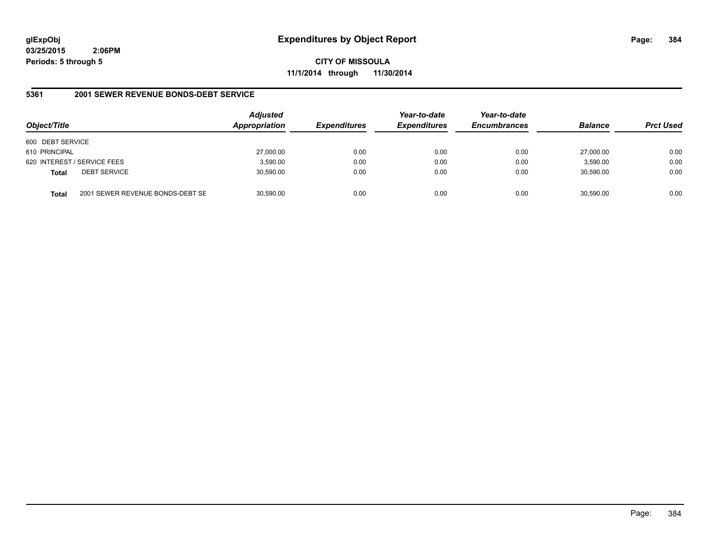**CITY OF MISSOULA 11/1/2014 through 11/30/2014**

#### **5361 2001 SEWER REVENUE BONDS-DEBT SERVICE**

| Object/Title     |                                  | <b>Adjusted</b><br>Appropriation | <b>Expenditures</b> | Year-to-date<br><b>Expenditures</b> | Year-to-date<br><b>Encumbrances</b> | <b>Balance</b> | <b>Prct Used</b> |
|------------------|----------------------------------|----------------------------------|---------------------|-------------------------------------|-------------------------------------|----------------|------------------|
| 600 DEBT SERVICE |                                  |                                  |                     |                                     |                                     |                |                  |
| 610 PRINCIPAL    |                                  | 27,000.00                        | 0.00                | 0.00                                | 0.00                                | 27,000.00      | 0.00             |
|                  | 620 INTEREST / SERVICE FEES      | 3,590.00                         | 0.00                | 0.00                                | 0.00                                | 3,590.00       | 0.00             |
| <b>Total</b>     | <b>DEBT SERVICE</b>              | 30,590.00                        | 0.00                | 0.00                                | 0.00                                | 30,590.00      | 0.00             |
| <b>Total</b>     | 2001 SEWER REVENUE BONDS-DEBT SE | 30,590.00                        | 0.00                | 0.00                                | 0.00                                | 30,590.00      | 0.00             |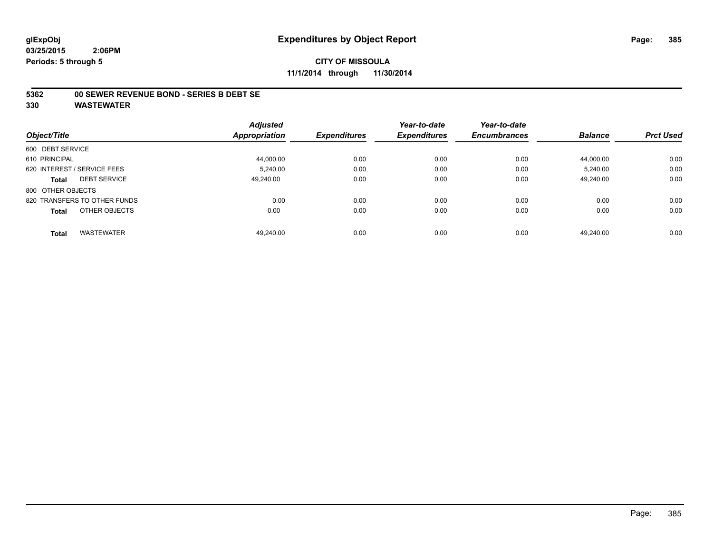#### **CITY OF MISSOULA 11/1/2014 through 11/30/2014**

#### **5362 00 SEWER REVENUE BOND - SERIES B DEBT SE**

|                                   | <b>Adjusted</b> |                     | Year-to-date        | Year-to-date        |                |                  |
|-----------------------------------|-----------------|---------------------|---------------------|---------------------|----------------|------------------|
| Object/Title                      | Appropriation   | <b>Expenditures</b> | <b>Expenditures</b> | <b>Encumbrances</b> | <b>Balance</b> | <b>Prct Used</b> |
| 600 DEBT SERVICE                  |                 |                     |                     |                     |                |                  |
| 610 PRINCIPAL                     | 44,000.00       | 0.00                | 0.00                | 0.00                | 44,000.00      | 0.00             |
| 620 INTEREST / SERVICE FEES       | 5.240.00        | 0.00                | 0.00                | 0.00                | 5.240.00       | 0.00             |
| <b>DEBT SERVICE</b><br>Total      | 49.240.00       | 0.00                | 0.00                | 0.00                | 49.240.00      | 0.00             |
| 800 OTHER OBJECTS                 |                 |                     |                     |                     |                |                  |
| 820 TRANSFERS TO OTHER FUNDS      | 0.00            | 0.00                | 0.00                | 0.00                | 0.00           | 0.00             |
| OTHER OBJECTS<br><b>Total</b>     | 0.00            | 0.00                | 0.00                | 0.00                | 0.00           | 0.00             |
| <b>WASTEWATER</b><br><b>Total</b> | 49.240.00       | 0.00                | 0.00                | 0.00                | 49.240.00      | 0.00             |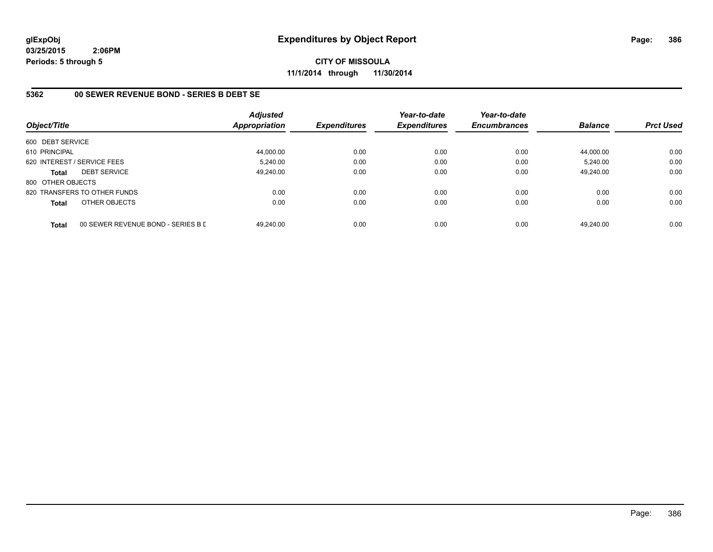**CITY OF MISSOULA 11/1/2014 through 11/30/2014**

#### **5362 00 SEWER REVENUE BOND - SERIES B DEBT SE**

| Object/Title                |                                    | <b>Adjusted</b><br><b>Appropriation</b> | <b>Expenditures</b> | Year-to-date<br><b>Expenditures</b> | Year-to-date<br><b>Encumbrances</b> | <b>Balance</b> | <b>Prct Used</b> |
|-----------------------------|------------------------------------|-----------------------------------------|---------------------|-------------------------------------|-------------------------------------|----------------|------------------|
| 600 DEBT SERVICE            |                                    |                                         |                     |                                     |                                     |                |                  |
| 610 PRINCIPAL               |                                    | 44,000.00                               | 0.00                | 0.00                                | 0.00                                | 44.000.00      | 0.00             |
| 620 INTEREST / SERVICE FEES |                                    | 5,240.00                                | 0.00                | 0.00                                | 0.00                                | 5,240.00       | 0.00             |
| <b>Total</b>                | <b>DEBT SERVICE</b>                | 49.240.00                               | 0.00                | 0.00                                | 0.00                                | 49.240.00      | 0.00             |
| 800 OTHER OBJECTS           |                                    |                                         |                     |                                     |                                     |                |                  |
|                             | 820 TRANSFERS TO OTHER FUNDS       | 0.00                                    | 0.00                | 0.00                                | 0.00                                | 0.00           | 0.00             |
| <b>Total</b>                | OTHER OBJECTS                      | 0.00                                    | 0.00                | 0.00                                | 0.00                                | 0.00           | 0.00             |
| <b>Total</b>                | 00 SEWER REVENUE BOND - SERIES B D | 49.240.00                               | 0.00                | 0.00                                | 0.00                                | 49.240.00      | 0.00             |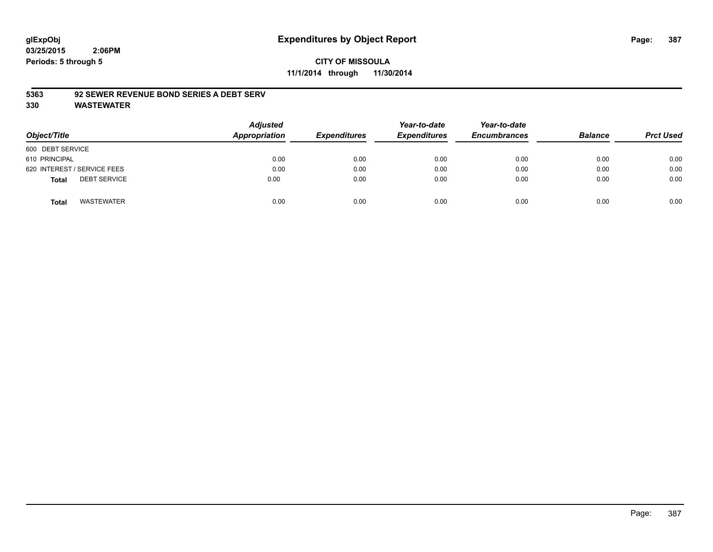## **CITY OF MISSOULA 11/1/2014 through 11/30/2014**

#### **5363 92 SEWER REVENUE BOND SERIES A DEBT SERV**

| Object/Title                        | <b>Adjusted</b><br>Appropriation | <b>Expenditures</b> | Year-to-date<br><b>Expenditures</b> | Year-to-date<br><b>Encumbrances</b> | <b>Balance</b> | <b>Prct Used</b> |
|-------------------------------------|----------------------------------|---------------------|-------------------------------------|-------------------------------------|----------------|------------------|
| 600 DEBT SERVICE                    |                                  |                     |                                     |                                     |                |                  |
| 610 PRINCIPAL                       | 0.00                             | 0.00                | 0.00                                | 0.00                                | 0.00           | 0.00             |
| 620 INTEREST / SERVICE FEES         | 0.00                             | 0.00                | 0.00                                | 0.00                                | 0.00           | 0.00             |
| <b>DEBT SERVICE</b><br><b>Total</b> | 0.00                             | 0.00                | 0.00                                | 0.00                                | 0.00           | 0.00             |
| <b>WASTEWATER</b><br><b>Total</b>   | 0.00                             | 0.00                | 0.00                                | 0.00                                | 0.00           | 0.00             |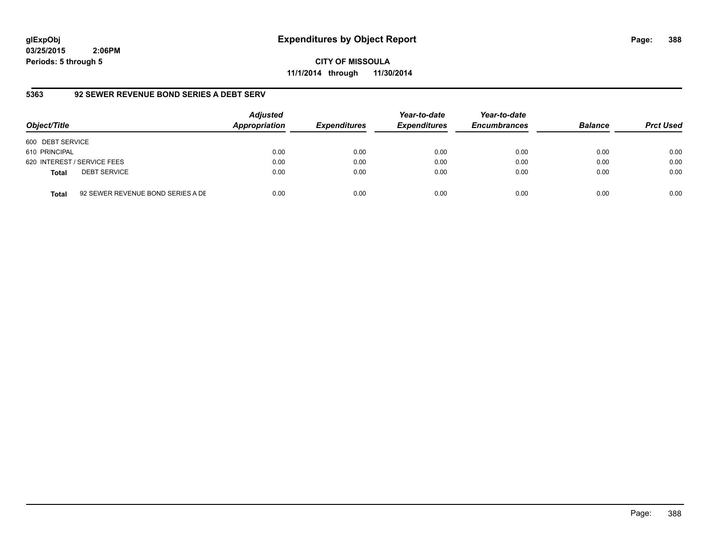## **glExpObj Expenditures by Object Report Page: 388**

**03/25/2015 2:06PM Periods: 5 through 5**

**CITY OF MISSOULA 11/1/2014 through 11/30/2014**

### **5363 92 SEWER REVENUE BOND SERIES A DEBT SERV**

| Object/Title     |                                   | <b>Adjusted</b><br>Appropriation | <b>Expenditures</b> | Year-to-date<br><b>Expenditures</b> | Year-to-date<br><b>Encumbrances</b> | <b>Balance</b> | <b>Prct Used</b> |
|------------------|-----------------------------------|----------------------------------|---------------------|-------------------------------------|-------------------------------------|----------------|------------------|
| 600 DEBT SERVICE |                                   |                                  |                     |                                     |                                     |                |                  |
| 610 PRINCIPAL    |                                   | 0.00                             | 0.00                | 0.00                                | 0.00                                | 0.00           | 0.00             |
|                  | 620 INTEREST / SERVICE FEES       | 0.00                             | 0.00                | 0.00                                | 0.00                                | 0.00           | 0.00             |
| <b>Total</b>     | <b>DEBT SERVICE</b>               | 0.00                             | 0.00                | 0.00                                | 0.00                                | 0.00           | 0.00             |
| <b>Total</b>     | 92 SEWER REVENUE BOND SERIES A DE | 0.00                             | 0.00                | 0.00                                | 0.00                                | 0.00           | 0.00             |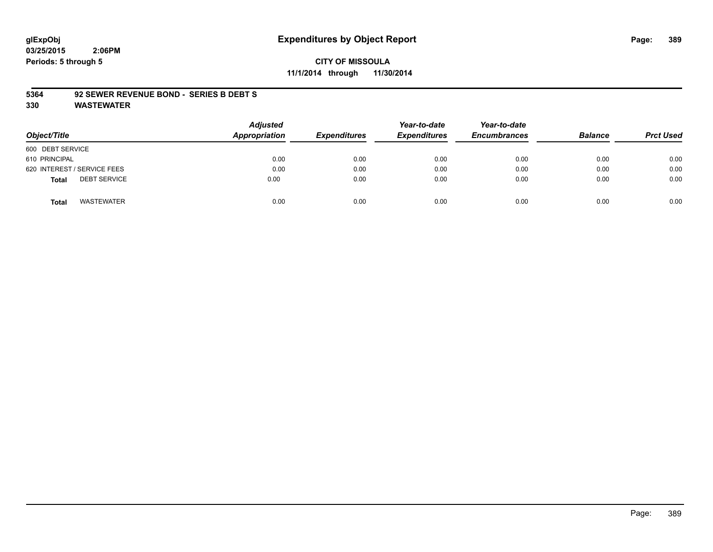# **glExpObj Expenditures by Object Report Page: 389**

**03/25/2015 2:06PM Periods: 5 through 5**

#### **CITY OF MISSOULA 11/1/2014 through 11/30/2014**

#### **5364 92 SEWER REVENUE BOND - SERIES B DEBT S**

| Object/Title                        | Adjusted<br>Appropriation | <b>Expenditures</b> | Year-to-date<br><b>Expenditures</b> | Year-to-date<br><b>Encumbrances</b> | <b>Balance</b> | <b>Prct Used</b> |
|-------------------------------------|---------------------------|---------------------|-------------------------------------|-------------------------------------|----------------|------------------|
| 600 DEBT SERVICE                    |                           |                     |                                     |                                     |                |                  |
| 610 PRINCIPAL                       | 0.00                      | 0.00                | 0.00                                | 0.00                                | 0.00           | 0.00             |
| 620 INTEREST / SERVICE FEES         | 0.00                      | 0.00                | 0.00                                | 0.00                                | 0.00           | 0.00             |
| <b>DEBT SERVICE</b><br><b>Total</b> | 0.00                      | 0.00                | 0.00                                | 0.00                                | 0.00           | 0.00             |
| <b>WASTEWATER</b><br><b>Total</b>   | 0.00                      | 0.00                | 0.00                                | 0.00                                | 0.00           | 0.00             |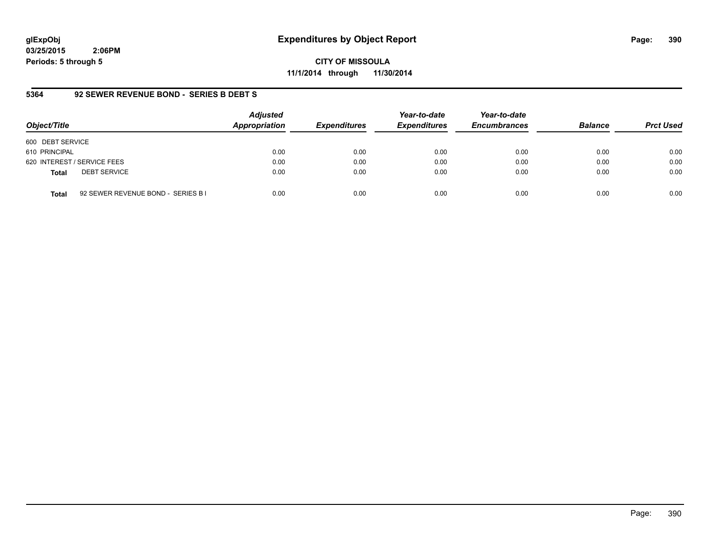## **glExpObj Expenditures by Object Report Page: 390**

**03/25/2015 2:06PM Periods: 5 through 5**

**CITY OF MISSOULA 11/1/2014 through 11/30/2014**

#### **5364 92 SEWER REVENUE BOND - SERIES B DEBT S**

| Object/Title                                       | <b>Adjusted</b><br>Appropriation | <b>Expenditures</b> | Year-to-date<br><b>Expenditures</b> | Year-to-date<br><b>Encumbrances</b> | <b>Balance</b> | <b>Prct Used</b> |
|----------------------------------------------------|----------------------------------|---------------------|-------------------------------------|-------------------------------------|----------------|------------------|
| 600 DEBT SERVICE                                   |                                  |                     |                                     |                                     |                |                  |
| 610 PRINCIPAL                                      | 0.00                             | 0.00                | 0.00                                | 0.00                                | 0.00           | 0.00             |
| 620 INTEREST / SERVICE FEES                        | 0.00                             | 0.00                | 0.00                                | 0.00                                | 0.00           | 0.00             |
| <b>DEBT SERVICE</b><br><b>Total</b>                | 0.00                             | 0.00                | 0.00                                | 0.00                                | 0.00           | 0.00             |
| 92 SEWER REVENUE BOND - SERIES B I<br><b>Total</b> | 0.00                             | 0.00                | 0.00                                | 0.00                                | 0.00           | 0.00             |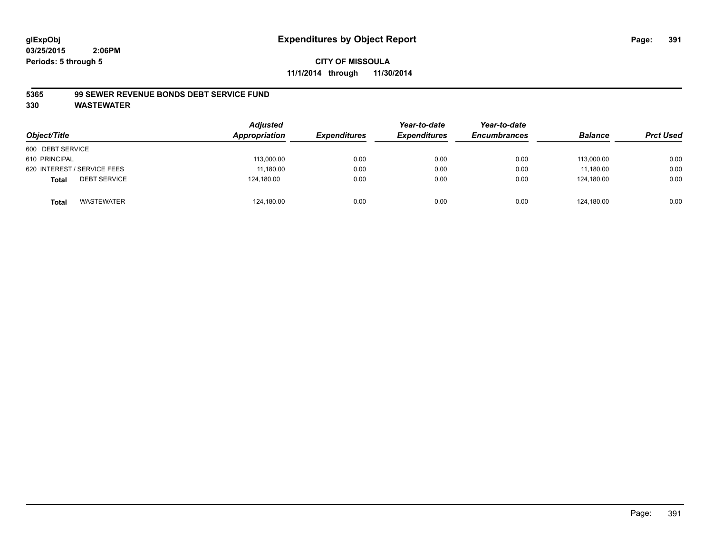### **CITY OF MISSOULA 11/1/2014 through 11/30/2014**

#### **5365 99 SEWER REVENUE BONDS DEBT SERVICE FUND**

| Object/Title                        | <b>Adjusted</b><br>Appropriation | <b>Expenditures</b> | Year-to-date<br><b>Expenditures</b> | Year-to-date<br><b>Encumbrances</b> | <b>Balance</b> | <b>Prct Used</b> |
|-------------------------------------|----------------------------------|---------------------|-------------------------------------|-------------------------------------|----------------|------------------|
| 600 DEBT SERVICE                    |                                  |                     |                                     |                                     |                |                  |
| 610 PRINCIPAL                       | 113,000.00                       | 0.00                | 0.00                                | 0.00                                | 113,000.00     | 0.00             |
| 620 INTEREST / SERVICE FEES         | 11,180.00                        | 0.00                | 0.00                                | 0.00                                | 11.180.00      | 0.00             |
| <b>DEBT SERVICE</b><br><b>Total</b> | 124,180.00                       | 0.00                | 0.00                                | 0.00                                | 124.180.00     | 0.00             |
| WASTEWATER<br><b>Total</b>          | 124,180.00                       | 0.00                | 0.00                                | 0.00                                | 124,180.00     | 0.00             |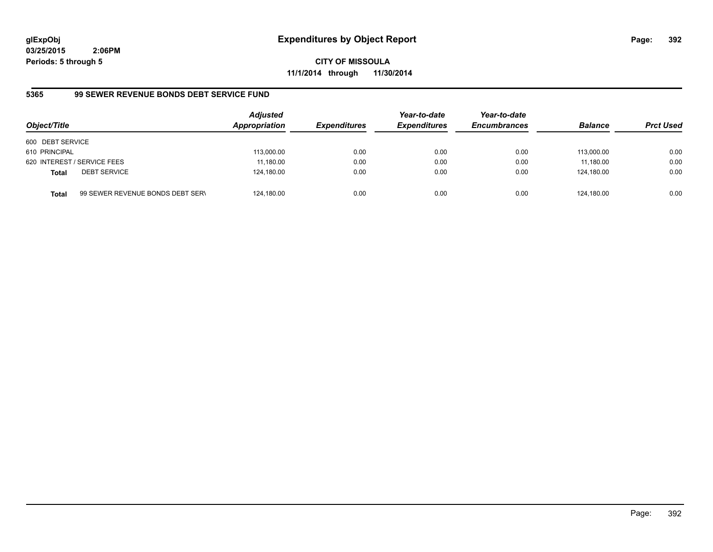**CITY OF MISSOULA 11/1/2014 through 11/30/2014**

## **5365 99 SEWER REVENUE BONDS DEBT SERVICE FUND**

| Object/Title     |                                  | <b>Adjusted</b><br>Appropriation | <b>Expenditures</b> | Year-to-date<br><b>Expenditures</b> | Year-to-date<br><b>Encumbrances</b> | <b>Balance</b> | <b>Prct Used</b> |
|------------------|----------------------------------|----------------------------------|---------------------|-------------------------------------|-------------------------------------|----------------|------------------|
| 600 DEBT SERVICE |                                  |                                  |                     |                                     |                                     |                |                  |
| 610 PRINCIPAL    |                                  | 113,000.00                       | 0.00                | 0.00                                | 0.00                                | 113.000.00     | 0.00             |
|                  | 620 INTEREST / SERVICE FEES      | 11,180.00                        | 0.00                | 0.00                                | 0.00                                | 11.180.00      | 0.00             |
| <b>Total</b>     | <b>DEBT SERVICE</b>              | 124,180.00                       | 0.00                | 0.00                                | 0.00                                | 124.180.00     | 0.00             |
| Total            | 99 SEWER REVENUE BONDS DEBT SERN | 124,180.00                       | 0.00                | 0.00                                | 0.00                                | 124.180.00     | 0.00             |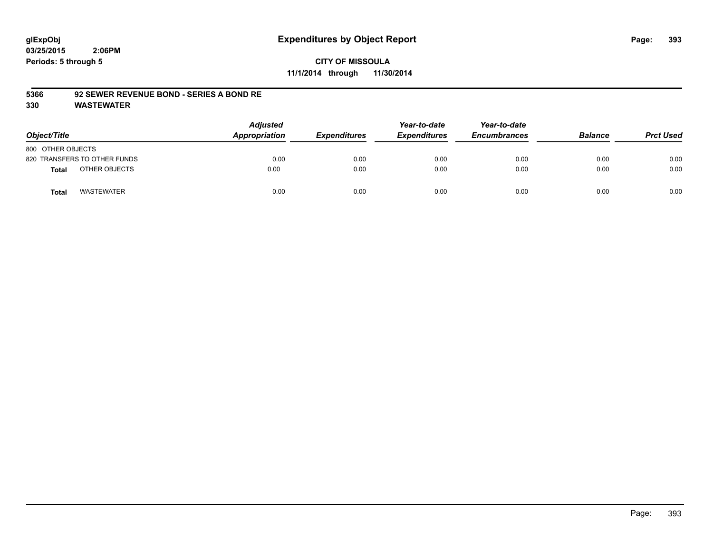## **CITY OF MISSOULA 11/1/2014 through 11/30/2014**

#### **5366 92 SEWER REVENUE BOND - SERIES A BOND RE**

| Object/Title                      | <b>Adjusted</b><br>Appropriation | <b>Expenditures</b> | Year-to-date<br><b>Expenditures</b> | Year-to-date<br><b>Encumbrances</b> | <b>Balance</b> | <b>Prct Used</b> |
|-----------------------------------|----------------------------------|---------------------|-------------------------------------|-------------------------------------|----------------|------------------|
| 800 OTHER OBJECTS                 |                                  |                     |                                     |                                     |                |                  |
| 820 TRANSFERS TO OTHER FUNDS      | 0.00                             | 0.00                | 0.00                                | 0.00                                | 0.00           | 0.00             |
| OTHER OBJECTS<br>Total            | 0.00                             | 0.00                | 0.00                                | 0.00                                | 0.00           | 0.00             |
| <b>WASTEWATER</b><br><b>Total</b> | 0.00                             | 0.00                | 0.00                                | 0.00                                | 0.00           | 0.00             |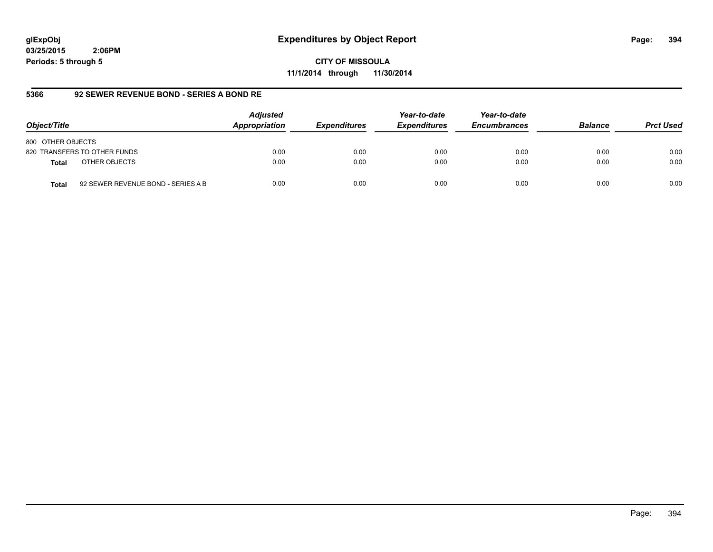**CITY OF MISSOULA 11/1/2014 through 11/30/2014**

#### **5366 92 SEWER REVENUE BOND - SERIES A BOND RE**

| Object/Title                                       | <b>Adjusted</b><br>Appropriation | <b>Expenditures</b> | Year-to-date<br><b>Expenditures</b> | Year-to-date<br><b>Encumbrances</b> | <b>Balance</b> | <b>Prct Used</b> |
|----------------------------------------------------|----------------------------------|---------------------|-------------------------------------|-------------------------------------|----------------|------------------|
| 800 OTHER OBJECTS                                  |                                  |                     |                                     |                                     |                |                  |
| 820 TRANSFERS TO OTHER FUNDS                       | 0.00                             | 0.00                | 0.00                                | 0.00                                | 0.00           | 0.00             |
| OTHER OBJECTS<br><b>Total</b>                      | 0.00                             | 0.00                | 0.00                                | 0.00                                | 0.00           | 0.00             |
| 92 SEWER REVENUE BOND - SERIES A B<br><b>Total</b> | 0.00                             | 0.00                | 0.00                                | 0.00                                | 0.00           | 0.00             |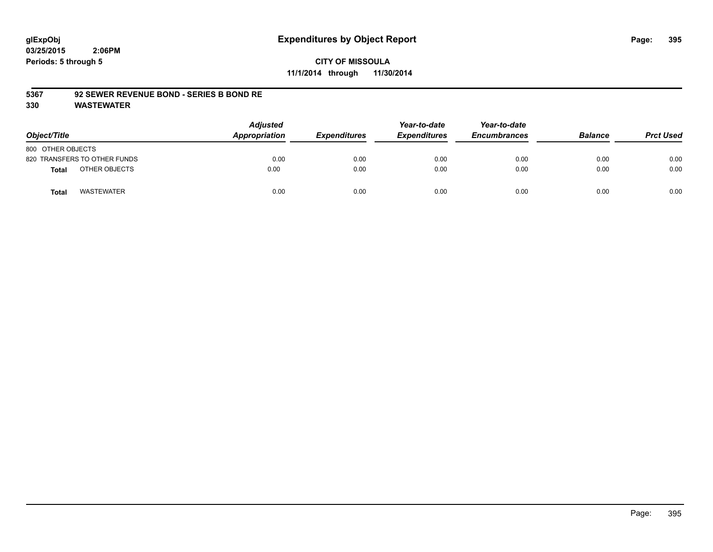## **CITY OF MISSOULA 11/1/2014 through 11/30/2014**

#### **5367 92 SEWER REVENUE BOND - SERIES B BOND RE**

| Object/Title                  | <b>Adjusted</b><br>Appropriation | <b>Expenditures</b> | Year-to-date<br><b>Expenditures</b> | Year-to-date<br><b>Encumbrances</b> | <b>Balance</b> | <b>Prct Used</b> |
|-------------------------------|----------------------------------|---------------------|-------------------------------------|-------------------------------------|----------------|------------------|
| 800 OTHER OBJECTS             |                                  |                     |                                     |                                     |                |                  |
| 820 TRANSFERS TO OTHER FUNDS  | 0.00                             | 0.00                | 0.00                                | 0.00                                | 0.00           | 0.00             |
| OTHER OBJECTS<br><b>Total</b> | 0.00                             | 0.00                | 0.00                                | 0.00                                | 0.00           | 0.00             |
| WASTEWATER<br><b>Total</b>    | 0.00                             | 0.00                | 0.00                                | 0.00                                | 0.00           | 0.00             |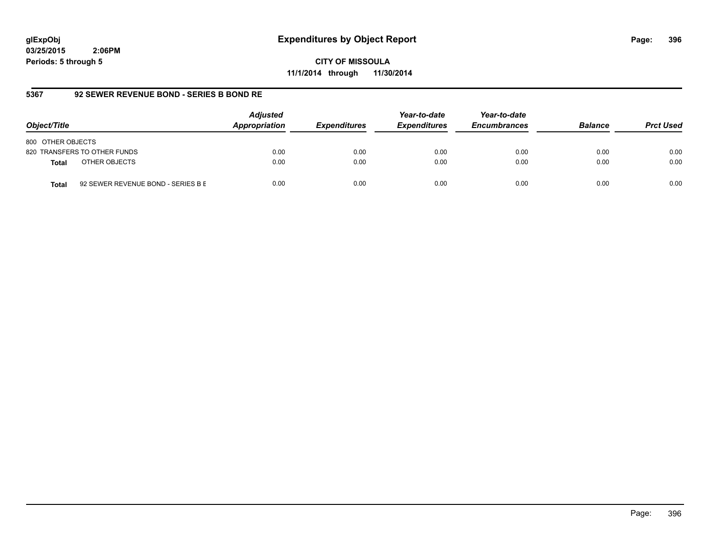**CITY OF MISSOULA 11/1/2014 through 11/30/2014**

#### **5367 92 SEWER REVENUE BOND - SERIES B BOND RE**

| Object/Title                                       | <b>Adjusted</b><br>Appropriation | <b>Expenditures</b> | Year-to-date<br><b>Expenditures</b> | Year-to-date<br><b>Encumbrances</b> | <b>Balance</b> | <b>Prct Used</b> |
|----------------------------------------------------|----------------------------------|---------------------|-------------------------------------|-------------------------------------|----------------|------------------|
| 800 OTHER OBJECTS                                  |                                  |                     |                                     |                                     |                |                  |
| 820 TRANSFERS TO OTHER FUNDS                       | 0.00                             | 0.00                | 0.00                                | 0.00                                | 0.00           | 0.00             |
| OTHER OBJECTS<br><b>Total</b>                      | 0.00                             | 0.00                | 0.00                                | 0.00                                | 0.00           | 0.00             |
| 92 SEWER REVENUE BOND - SERIES B E<br><b>Total</b> | 0.00                             | 0.00                | 0.00                                | 0.00                                | 0.00           | 0.00             |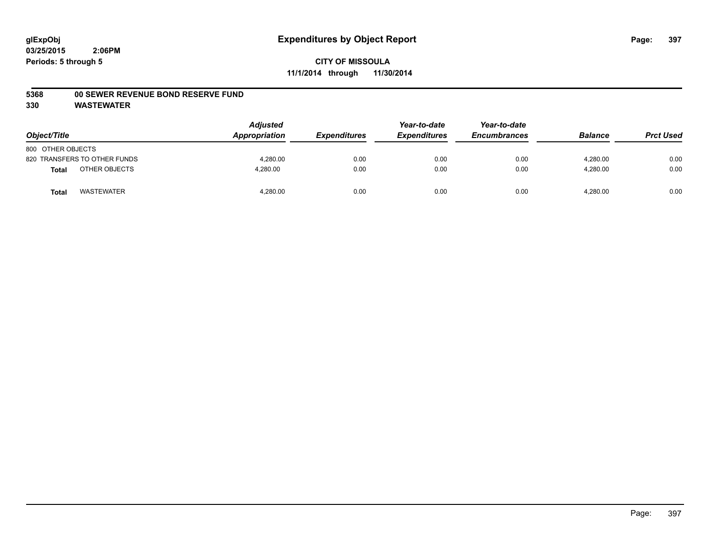## **5368 00 SEWER REVENUE BOND RESERVE FUND**

| Object/Title      |                              | <b>Adjusted</b><br>Appropriation | <b>Expenditures</b> | Year-to-date<br><b>Expenditures</b> | Year-to-date<br><b>Encumbrances</b> | <b>Balance</b> | <b>Prct Used</b> |
|-------------------|------------------------------|----------------------------------|---------------------|-------------------------------------|-------------------------------------|----------------|------------------|
| 800 OTHER OBJECTS |                              |                                  |                     |                                     |                                     |                |                  |
|                   | 820 TRANSFERS TO OTHER FUNDS | 4.280.00                         | 0.00                | 0.00                                | 0.00                                | 4.280.00       | 0.00             |
| <b>Total</b>      | OTHER OBJECTS                | 4,280.00                         | 0.00                | 0.00                                | 0.00                                | 4,280.00       | 0.00             |
| <b>Total</b>      | <b>WASTEWATER</b>            | 4,280.00                         | 0.00                | 0.00                                | 0.00                                | 4,280.00       | 0.00             |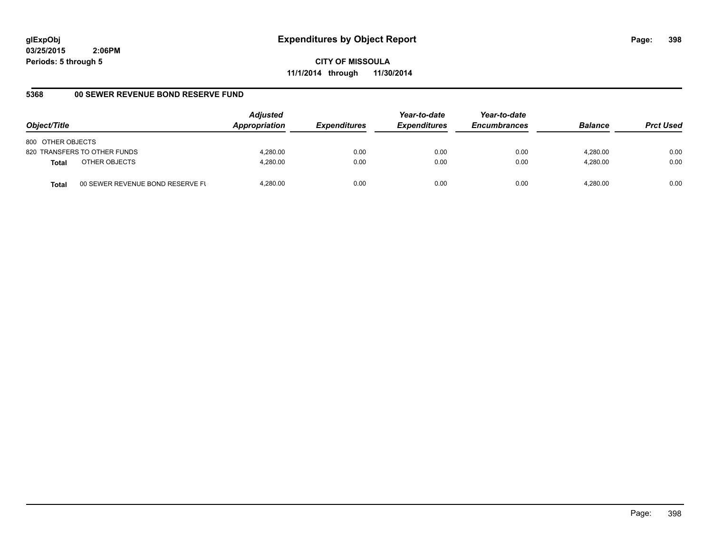**CITY OF MISSOULA 11/1/2014 through 11/30/2014**

## **5368 00 SEWER REVENUE BOND RESERVE FUND**

| Object/Title                  |                                  | <b>Adjusted</b><br>Appropriation | <b>Expenditures</b> | Year-to-date<br><b>Expenditures</b> | Year-to-date<br><b>Encumbrances</b> | <b>Balance</b> | <b>Prct Used</b> |
|-------------------------------|----------------------------------|----------------------------------|---------------------|-------------------------------------|-------------------------------------|----------------|------------------|
| 800 OTHER OBJECTS             |                                  |                                  |                     |                                     |                                     |                |                  |
| 820 TRANSFERS TO OTHER FUNDS  |                                  | 4.280.00                         | 0.00                | 0.00                                | 0.00                                | 4.280.00       | 0.00             |
| OTHER OBJECTS<br><b>Total</b> |                                  | 4.280.00                         | 0.00                | 0.00                                | 0.00                                | 4.280.00       | 0.00             |
| <b>Total</b>                  | 00 SEWER REVENUE BOND RESERVE FL | 4.280.00                         | 0.00                | 0.00                                | 0.00                                | 4.280.00       | 0.00             |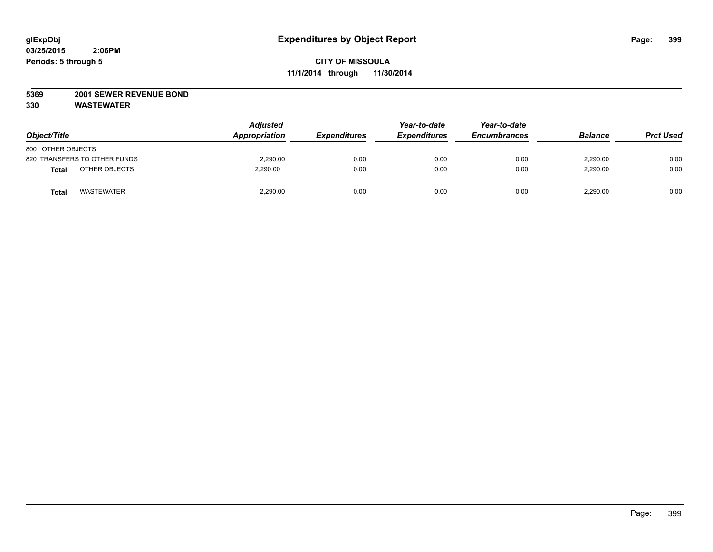#### **5369 2001 SEWER REVENUE BOND**

| Object/Title                           | <b>Adjusted</b><br>Appropriation | <i><b>Expenditures</b></i> | Year-to-date<br><b>Expenditures</b> | Year-to-date<br><b>Encumbrances</b> | <b>Balance</b> | <b>Prct Used</b> |
|----------------------------------------|----------------------------------|----------------------------|-------------------------------------|-------------------------------------|----------------|------------------|
| 800 OTHER OBJECTS                      |                                  |                            |                                     |                                     |                |                  |
| 820 TRANSFERS TO OTHER FUNDS           | 2,290.00                         | 0.00                       | 0.00                                | 0.00                                | 2,290.00       | 0.00             |
| OTHER OBJECTS<br><b>Total</b>          | 2,290.00                         | 0.00                       | 0.00                                | 0.00                                | 2,290.00       | 0.00             |
| <b>WASTEWATER</b><br>Tota <sub>l</sub> | 2,290.00                         | 0.00                       | 0.00                                | 0.00                                | 2,290.00       | 0.00             |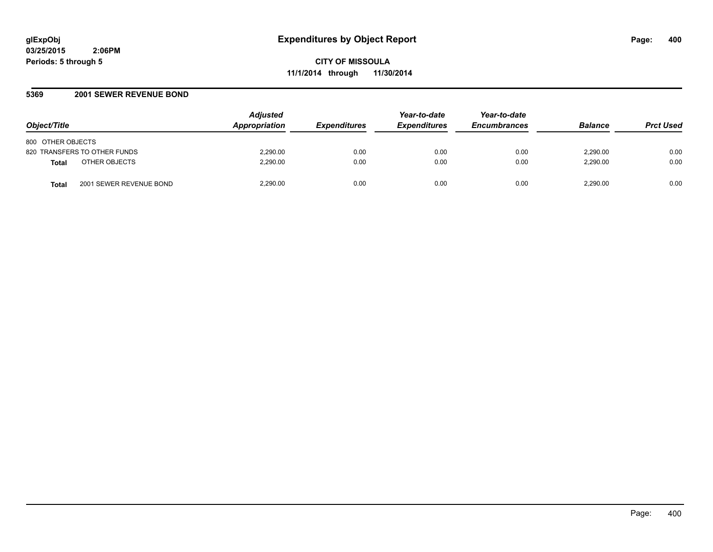**CITY OF MISSOULA 11/1/2014 through 11/30/2014**

#### **5369 2001 SEWER REVENUE BOND**

| Object/Title                            | <b>Adjusted</b><br>Appropriation | <i><b>Expenditures</b></i> | Year-to-date<br><b>Expenditures</b> | Year-to-date<br><b>Encumbrances</b> | <b>Balance</b> | <b>Prct Used</b> |
|-----------------------------------------|----------------------------------|----------------------------|-------------------------------------|-------------------------------------|----------------|------------------|
| 800 OTHER OBJECTS                       |                                  |                            |                                     |                                     |                |                  |
| 820 TRANSFERS TO OTHER FUNDS            | 2,290.00                         | 0.00                       | 0.00                                | 0.00                                | 2.290.00       | 0.00             |
| OTHER OBJECTS<br><b>Total</b>           | 2.290.00                         | 0.00                       | 0.00                                | 0.00                                | 2.290.00       | 0.00             |
| 2001 SEWER REVENUE BOND<br><b>Total</b> | 2.290.00                         | 0.00                       | 0.00                                | 0.00                                | 2.290.00       | 0.00             |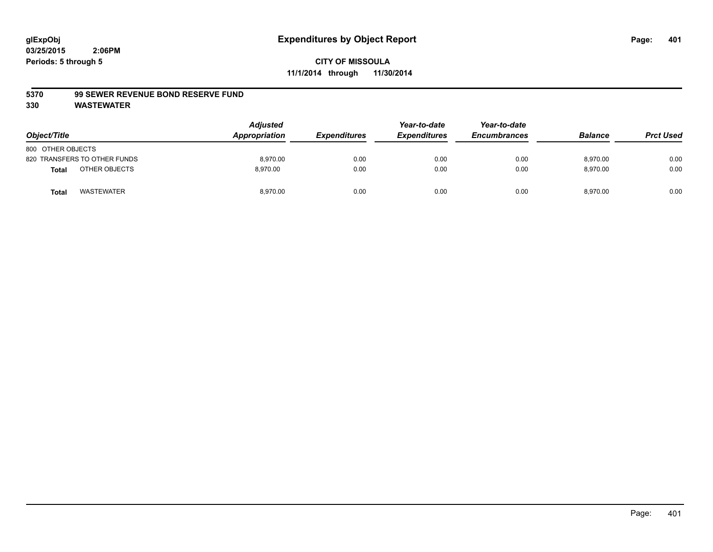#### **5370 99 SEWER REVENUE BOND RESERVE FUND**

| Object/Title                      | <b>Adjusted</b><br>Appropriation | <b>Expenditures</b> | Year-to-date<br><b>Expenditures</b> | Year-to-date<br><b>Encumbrances</b> | <b>Balance</b> | <b>Prct Used</b> |
|-----------------------------------|----------------------------------|---------------------|-------------------------------------|-------------------------------------|----------------|------------------|
| 800 OTHER OBJECTS                 |                                  |                     |                                     |                                     |                |                  |
| 820 TRANSFERS TO OTHER FUNDS      | 8.970.00                         | 0.00                | 0.00                                | 0.00                                | 8.970.00       | 0.00             |
| OTHER OBJECTS<br><b>Total</b>     | 8.970.00                         | 0.00                | 0.00                                | 0.00                                | 8,970.00       | 0.00             |
| <b>WASTEWATER</b><br><b>Total</b> | 8,970.00                         | 0.00                | 0.00                                | 0.00                                | 8,970.00       | 0.00             |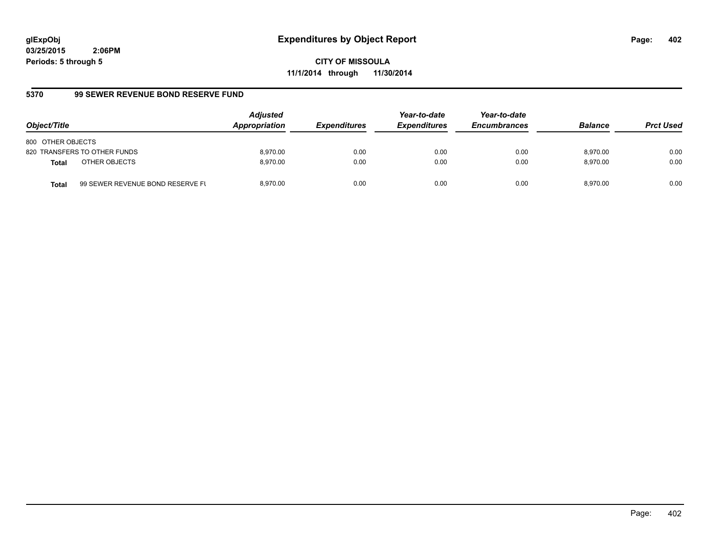**CITY OF MISSOULA 11/1/2014 through 11/30/2014**

## **5370 99 SEWER REVENUE BOND RESERVE FUND**

| Object/Title                  |                                  | <b>Adjusted</b><br>Appropriation | <b>Expenditures</b> | Year-to-date<br><b>Expenditures</b> | Year-to-date<br><b>Encumbrances</b> | <b>Balance</b> | <b>Prct Used</b> |
|-------------------------------|----------------------------------|----------------------------------|---------------------|-------------------------------------|-------------------------------------|----------------|------------------|
| 800 OTHER OBJECTS             |                                  |                                  |                     |                                     |                                     |                |                  |
| 820 TRANSFERS TO OTHER FUNDS  |                                  | 8.970.00                         | 0.00                | 0.00                                | 0.00                                | 8.970.00       | 0.00             |
| OTHER OBJECTS<br><b>Total</b> |                                  | 8.970.00                         | 0.00                | 0.00                                | 0.00                                | 8.970.00       | 0.00             |
| <b>Total</b>                  | 99 SEWER REVENUE BOND RESERVE FL | 8.970.00                         | 0.00                | 0.00                                | 0.00                                | 8.970.00       | 0.00             |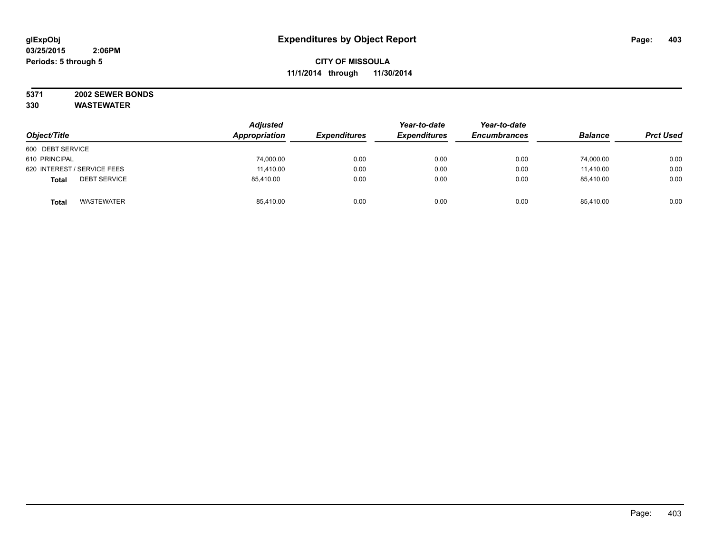#### **5371 2002 SEWER BONDS 330 WASTEWATER**

|                                     | <b>Adjusted</b><br>Appropriation |                     | Year-to-date        | Year-to-date        | <b>Balance</b> |                  |
|-------------------------------------|----------------------------------|---------------------|---------------------|---------------------|----------------|------------------|
| Object/Title                        |                                  | <b>Expenditures</b> | <b>Expenditures</b> | <b>Encumbrances</b> |                | <b>Prct Used</b> |
| 600 DEBT SERVICE                    |                                  |                     |                     |                     |                |                  |
| 610 PRINCIPAL                       | 74,000.00                        | 0.00                | 0.00                | 0.00                | 74.000.00      | 0.00             |
| 620 INTEREST / SERVICE FEES         | 11,410.00                        | 0.00                | 0.00                | 0.00                | 11,410.00      | 0.00             |
| <b>DEBT SERVICE</b><br><b>Total</b> | 85,410.00                        | 0.00                | 0.00                | 0.00                | 85,410.00      | 0.00             |
| <b>WASTEWATER</b><br><b>Total</b>   | 85,410.00                        | 0.00                | 0.00                | 0.00                | 85,410.00      | 0.00             |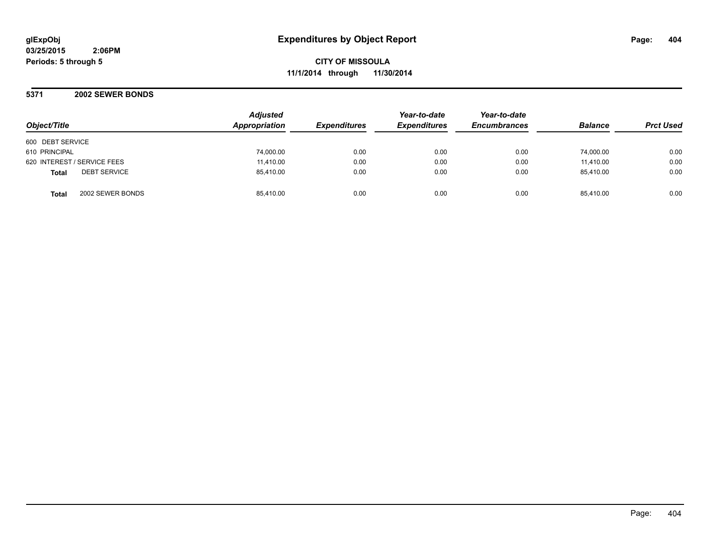**CITY OF MISSOULA 11/1/2014 through 11/30/2014**

**5371 2002 SEWER BONDS**

| Object/Title                        | <b>Adjusted</b><br>Appropriation | <b>Expenditures</b> | Year-to-date<br><b>Expenditures</b> | Year-to-date<br><b>Encumbrances</b> | <b>Balance</b> | <b>Prct Used</b> |
|-------------------------------------|----------------------------------|---------------------|-------------------------------------|-------------------------------------|----------------|------------------|
| 600 DEBT SERVICE                    |                                  |                     |                                     |                                     |                |                  |
| 610 PRINCIPAL                       | 74,000.00                        | 0.00                | 0.00                                | 0.00                                | 74,000.00      | 0.00             |
| 620 INTEREST / SERVICE FEES         | 11,410.00                        | 0.00                | 0.00                                | 0.00                                | 11,410.00      | 0.00             |
| <b>DEBT SERVICE</b><br><b>Total</b> | 85,410.00                        | 0.00                | 0.00                                | 0.00                                | 85.410.00      | 0.00             |
| 2002 SEWER BONDS<br><b>Total</b>    | 85.410.00                        | 0.00                | 0.00                                | 0.00                                | 85.410.00      | 0.00             |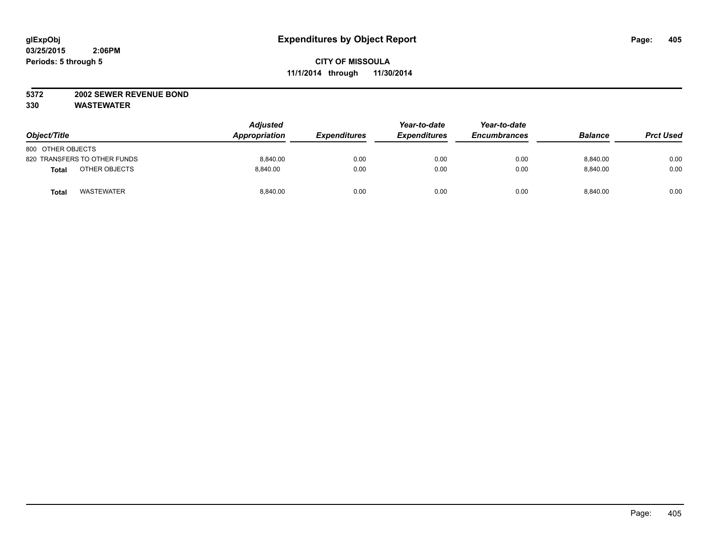## **5372 2002 SEWER REVENUE BOND**

| Object/Title                      | <b>Adjusted</b><br>Appropriation | <b>Expenditures</b> | Year-to-date<br><b>Expenditures</b> | Year-to-date<br><b>Encumbrances</b> | <b>Balance</b> | <b>Prct Used</b> |
|-----------------------------------|----------------------------------|---------------------|-------------------------------------|-------------------------------------|----------------|------------------|
| 800 OTHER OBJECTS                 |                                  |                     |                                     |                                     |                |                  |
| 820 TRANSFERS TO OTHER FUNDS      | 8,840.00                         | 0.00                | 0.00                                | 0.00                                | 8,840.00       | 0.00             |
| OTHER OBJECTS<br><b>Total</b>     | 8.840.00                         | 0.00                | 0.00                                | 0.00                                | 8.840.00       | 0.00             |
| <b>WASTEWATER</b><br><b>Total</b> | 8,840.00                         | 0.00                | 0.00                                | 0.00                                | 8,840.00       | 0.00             |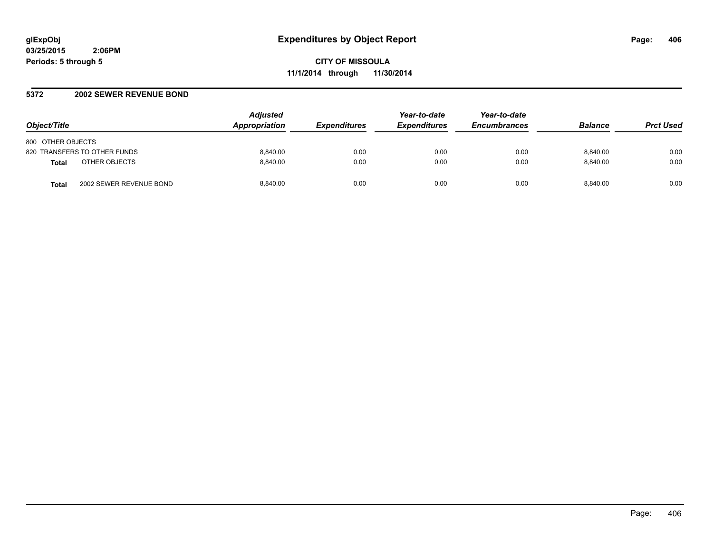#### **5372 2002 SEWER REVENUE BOND**

| Object/Title                            | <b>Adjusted</b><br><b>Appropriation</b> | <b>Expenditures</b> | Year-to-date<br><b>Expenditures</b> | Year-to-date<br><b>Encumbrances</b> | <b>Balance</b> | <b>Prct Used</b> |
|-----------------------------------------|-----------------------------------------|---------------------|-------------------------------------|-------------------------------------|----------------|------------------|
| 800 OTHER OBJECTS                       |                                         |                     |                                     |                                     |                |                  |
| 820 TRANSFERS TO OTHER FUNDS            | 8.840.00                                | 0.00                | 0.00                                | 0.00                                | 8.840.00       | 0.00             |
| OTHER OBJECTS<br><b>Total</b>           | 8.840.00                                | 0.00                | 0.00                                | 0.00                                | 8.840.00       | 0.00             |
| 2002 SEWER REVENUE BOND<br><b>Total</b> | 8.840.00                                | 0.00                | 0.00                                | 0.00                                | 8.840.00       | 0.00             |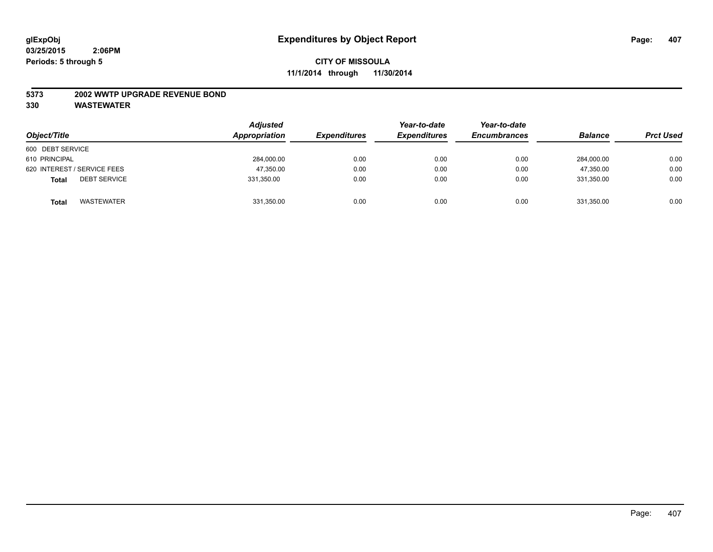#### **5373 2002 WWTP UPGRADE REVENUE BOND**

| Object/Title                        | <b>Adjusted</b><br>Appropriation | <b>Expenditures</b> | Year-to-date<br><b>Expenditures</b> | Year-to-date<br><b>Encumbrances</b> | <b>Balance</b> | <b>Prct Used</b> |
|-------------------------------------|----------------------------------|---------------------|-------------------------------------|-------------------------------------|----------------|------------------|
| 600 DEBT SERVICE                    |                                  |                     |                                     |                                     |                |                  |
| 610 PRINCIPAL                       | 284,000.00                       | 0.00                | 0.00                                | 0.00                                | 284,000.00     | 0.00             |
| 620 INTEREST / SERVICE FEES         | 47,350.00                        | 0.00                | 0.00                                | 0.00                                | 47.350.00      | 0.00             |
| <b>DEBT SERVICE</b><br><b>Total</b> | 331,350.00                       | 0.00                | 0.00                                | 0.00                                | 331.350.00     | 0.00             |
| <b>WASTEWATER</b><br><b>Total</b>   | 331,350.00                       | 0.00                | 0.00                                | 0.00                                | 331,350.00     | 0.00             |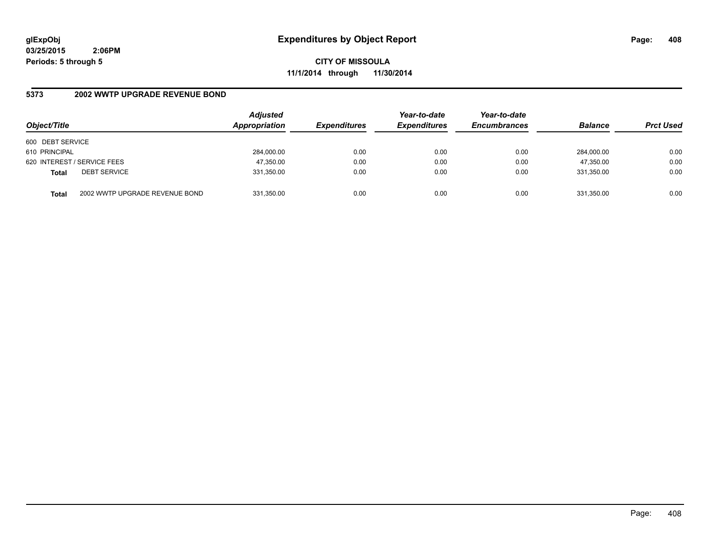**CITY OF MISSOULA 11/1/2014 through 11/30/2014**

## **5373 2002 WWTP UPGRADE REVENUE BOND**

| Object/Title     |                                | <b>Adjusted</b><br>Appropriation | <b>Expenditures</b> | Year-to-date<br><b>Expenditures</b> | Year-to-date<br><b>Encumbrances</b> | <b>Balance</b> | <b>Prct Used</b> |
|------------------|--------------------------------|----------------------------------|---------------------|-------------------------------------|-------------------------------------|----------------|------------------|
| 600 DEBT SERVICE |                                |                                  |                     |                                     |                                     |                |                  |
| 610 PRINCIPAL    |                                | 284,000.00                       | 0.00                | 0.00                                | 0.00                                | 284.000.00     | 0.00             |
|                  | 620 INTEREST / SERVICE FEES    | 47,350.00                        | 0.00                | 0.00                                | 0.00                                | 47,350.00      | 0.00             |
| <b>Total</b>     | <b>DEBT SERVICE</b>            | 331,350.00                       | 0.00                | 0.00                                | 0.00                                | 331.350.00     | 0.00             |
| <b>Total</b>     | 2002 WWTP UPGRADE REVENUE BOND | 331,350.00                       | 0.00                | 0.00                                | 0.00                                | 331,350.00     | 0.00             |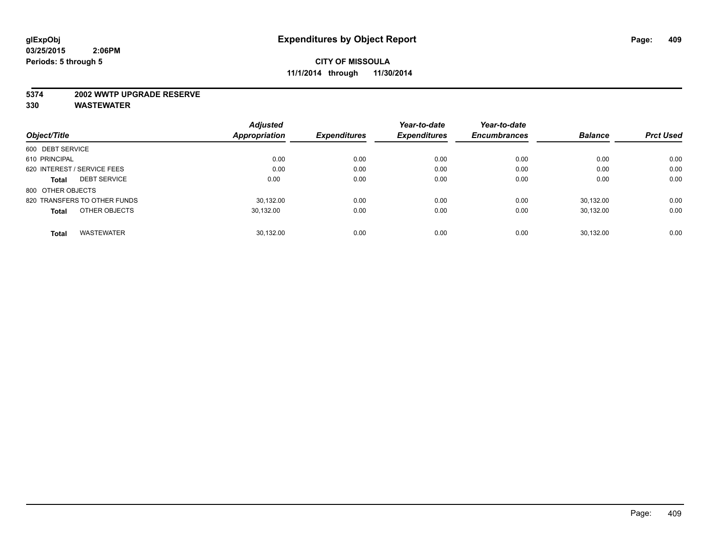#### **5374 2002 WWTP UPGRADE RESERVE**

|                                     | <b>Adjusted</b> |                     | Year-to-date        | Year-to-date        |                |                  |
|-------------------------------------|-----------------|---------------------|---------------------|---------------------|----------------|------------------|
| Object/Title                        | Appropriation   | <b>Expenditures</b> | <b>Expenditures</b> | <b>Encumbrances</b> | <b>Balance</b> | <b>Prct Used</b> |
| 600 DEBT SERVICE                    |                 |                     |                     |                     |                |                  |
| 610 PRINCIPAL                       | 0.00            | 0.00                | 0.00                | 0.00                | 0.00           | 0.00             |
| 620 INTEREST / SERVICE FEES         | 0.00            | 0.00                | 0.00                | 0.00                | 0.00           | 0.00             |
| <b>DEBT SERVICE</b><br><b>Total</b> | 0.00            | 0.00                | 0.00                | 0.00                | 0.00           | 0.00             |
| 800 OTHER OBJECTS                   |                 |                     |                     |                     |                |                  |
| 820 TRANSFERS TO OTHER FUNDS        | 30.132.00       | 0.00                | 0.00                | 0.00                | 30.132.00      | 0.00             |
| OTHER OBJECTS<br><b>Total</b>       | 30,132.00       | 0.00                | 0.00                | 0.00                | 30.132.00      | 0.00             |
| <b>WASTEWATER</b><br><b>Total</b>   | 30.132.00       | 0.00                | 0.00                | 0.00                | 30.132.00      | 0.00             |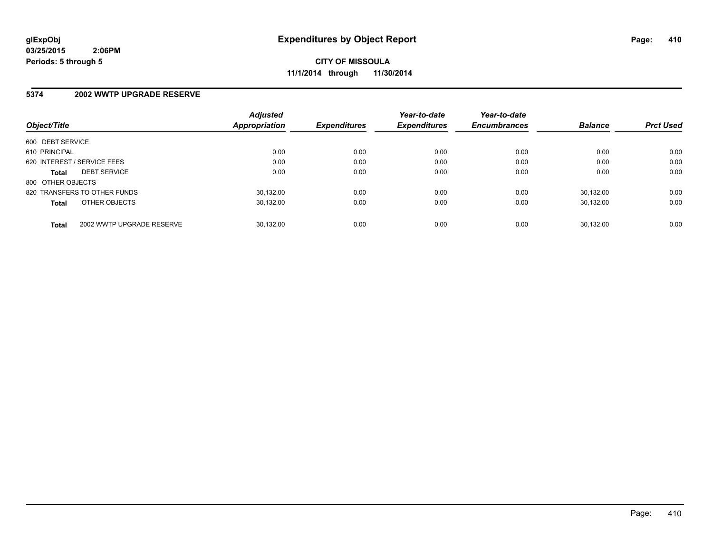**CITY OF MISSOULA 11/1/2014 through 11/30/2014**

#### **5374 2002 WWTP UPGRADE RESERVE**

| Object/Title      |                              | <b>Adjusted</b><br>Appropriation | <b>Expenditures</b> | Year-to-date<br><b>Expenditures</b> | Year-to-date<br><b>Encumbrances</b> | <b>Balance</b> | <b>Prct Used</b> |
|-------------------|------------------------------|----------------------------------|---------------------|-------------------------------------|-------------------------------------|----------------|------------------|
|                   |                              |                                  |                     |                                     |                                     |                |                  |
| 600 DEBT SERVICE  |                              |                                  |                     |                                     |                                     |                |                  |
| 610 PRINCIPAL     |                              | 0.00                             | 0.00                | 0.00                                | 0.00                                | 0.00           | 0.00             |
|                   | 620 INTEREST / SERVICE FEES  | 0.00                             | 0.00                | 0.00                                | 0.00                                | 0.00           | 0.00             |
| <b>Total</b>      | <b>DEBT SERVICE</b>          | 0.00                             | 0.00                | 0.00                                | 0.00                                | 0.00           | 0.00             |
| 800 OTHER OBJECTS |                              |                                  |                     |                                     |                                     |                |                  |
|                   | 820 TRANSFERS TO OTHER FUNDS | 30.132.00                        | 0.00                | 0.00                                | 0.00                                | 30.132.00      | 0.00             |
| <b>Total</b>      | OTHER OBJECTS                | 30.132.00                        | 0.00                | 0.00                                | 0.00                                | 30.132.00      | 0.00             |
| <b>Total</b>      | 2002 WWTP UPGRADE RESERVE    | 30.132.00                        | 0.00                | 0.00                                | 0.00                                | 30.132.00      | 0.00             |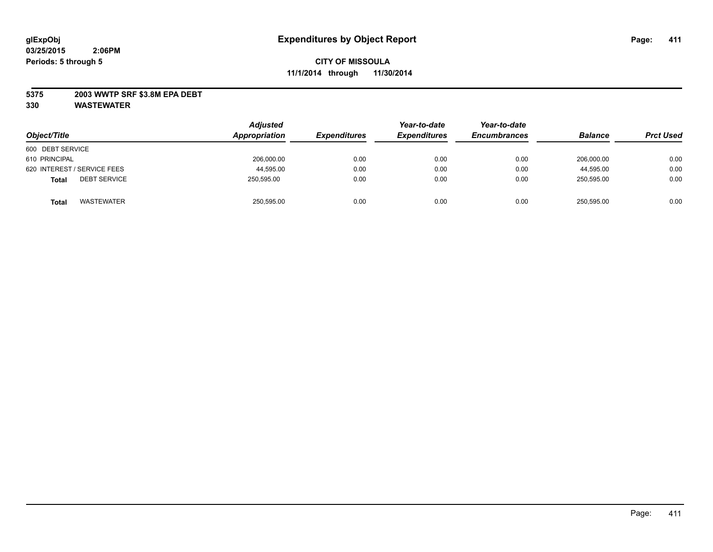## **5375 2003 WWTP SRF \$3.8M EPA DEBT**

| Object/Title                        | <b>Adjusted</b><br>Appropriation | <b>Expenditures</b> | Year-to-date<br><b>Expenditures</b> | Year-to-date<br><b>Encumbrances</b> | <b>Balance</b> | <b>Prct Used</b> |
|-------------------------------------|----------------------------------|---------------------|-------------------------------------|-------------------------------------|----------------|------------------|
| 600 DEBT SERVICE                    |                                  |                     |                                     |                                     |                |                  |
| 610 PRINCIPAL                       | 206,000.00                       | 0.00                | 0.00                                | 0.00                                | 206.000.00     | 0.00             |
| 620 INTEREST / SERVICE FEES         | 44,595.00                        | 0.00                | 0.00                                | 0.00                                | 44,595.00      | 0.00             |
| <b>DEBT SERVICE</b><br><b>Total</b> | 250.595.00                       | 0.00                | 0.00                                | 0.00                                | 250.595.00     | 0.00             |
| <b>WASTEWATER</b><br><b>Total</b>   | 250,595.00                       | 0.00                | 0.00                                | 0.00                                | 250,595.00     | 0.00             |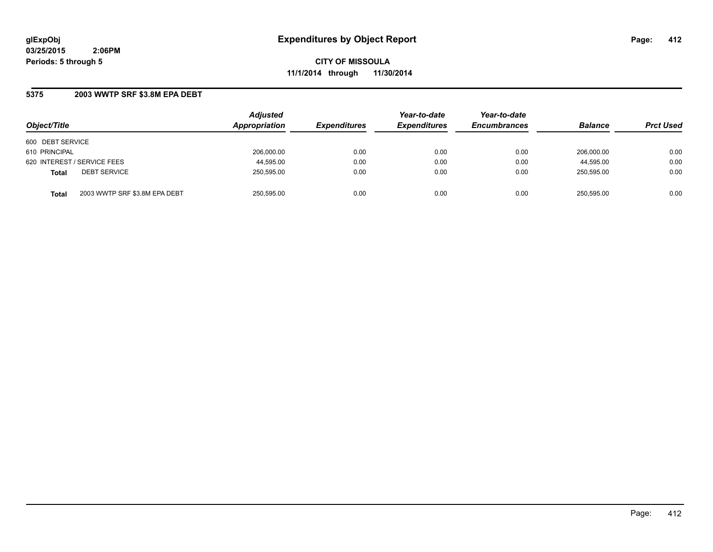**CITY OF MISSOULA 11/1/2014 through 11/30/2014**

## **5375 2003 WWTP SRF \$3.8M EPA DEBT**

| Object/Title     |                               | <b>Adjusted</b><br>Appropriation | <b>Expenditures</b> | Year-to-date<br><b>Expenditures</b> | Year-to-date<br><b>Encumbrances</b> | <b>Balance</b> | <b>Prct Used</b> |
|------------------|-------------------------------|----------------------------------|---------------------|-------------------------------------|-------------------------------------|----------------|------------------|
| 600 DEBT SERVICE |                               |                                  |                     |                                     |                                     |                |                  |
| 610 PRINCIPAL    |                               | 206.000.00                       | 0.00                | 0.00                                | 0.00                                | 206.000.00     | 0.00             |
|                  | 620 INTEREST / SERVICE FEES   | 44,595.00                        | 0.00                | 0.00                                | 0.00                                | 44,595.00      | 0.00             |
| <b>Total</b>     | <b>DEBT SERVICE</b>           | 250,595.00                       | 0.00                | 0.00                                | 0.00                                | 250.595.00     | 0.00             |
| <b>Total</b>     | 2003 WWTP SRF \$3.8M EPA DEBT | 250.595.00                       | 0.00                | 0.00                                | 0.00                                | 250.595.00     | 0.00             |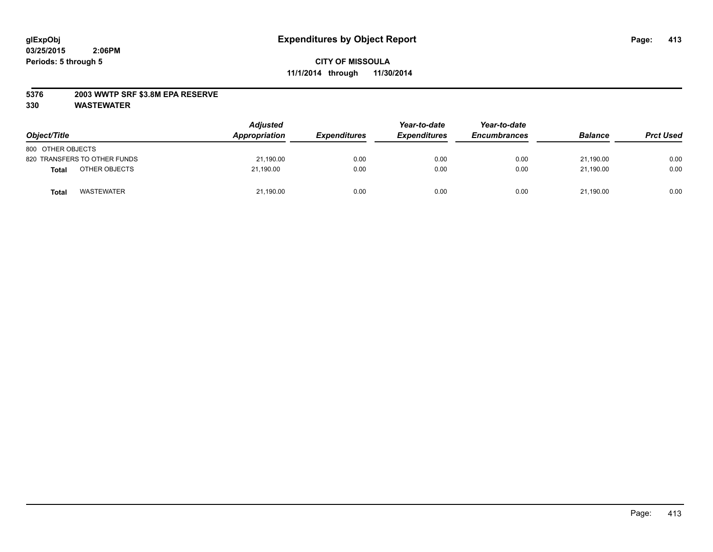## **5376 2003 WWTP SRF \$3.8M EPA RESERVE**

| Object/Title                      | <b>Adjusted</b><br>Appropriation | <b>Expenditures</b> | Year-to-date<br><b>Expenditures</b> | Year-to-date<br><b>Encumbrances</b> | <b>Balance</b> | <b>Prct Used</b> |
|-----------------------------------|----------------------------------|---------------------|-------------------------------------|-------------------------------------|----------------|------------------|
| 800 OTHER OBJECTS                 |                                  |                     |                                     |                                     |                |                  |
| 820 TRANSFERS TO OTHER FUNDS      | 21,190.00                        | 0.00                | 0.00                                | 0.00                                | 21.190.00      | 0.00             |
| OTHER OBJECTS<br><b>Total</b>     | 21.190.00                        | 0.00                | 0.00                                | 0.00                                | 21.190.00      | 0.00             |
| <b>WASTEWATER</b><br><b>Total</b> | 21,190.00                        | 0.00                | 0.00                                | 0.00                                | 21,190.00      | 0.00             |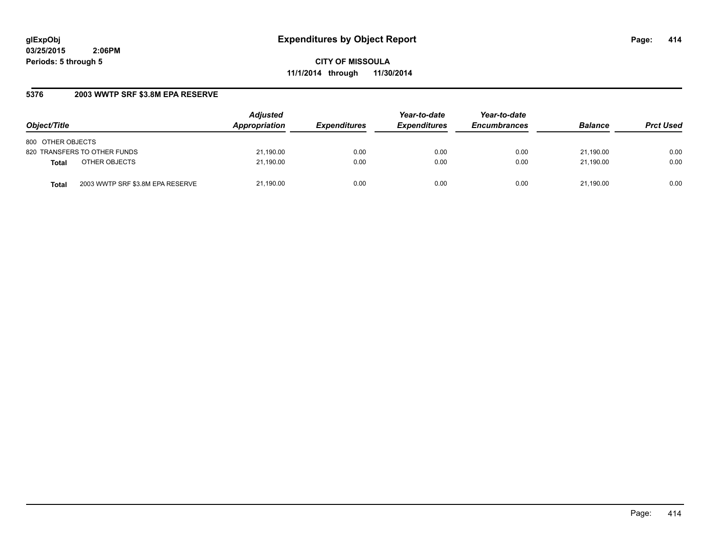**CITY OF MISSOULA 11/1/2014 through 11/30/2014**

## **5376 2003 WWTP SRF \$3.8M EPA RESERVE**

| Object/Title                              | <b>Adjusted</b><br>Appropriation | <b>Expenditures</b> | Year-to-date<br><b>Expenditures</b> | Year-to-date<br><b>Encumbrances</b> | <b>Balance</b> | <b>Prct Used</b> |
|-------------------------------------------|----------------------------------|---------------------|-------------------------------------|-------------------------------------|----------------|------------------|
| 800 OTHER OBJECTS                         |                                  |                     |                                     |                                     |                |                  |
| 820 TRANSFERS TO OTHER FUNDS              | 21,190.00                        | 0.00                | 0.00                                | 0.00                                | 21.190.00      | 0.00             |
| OTHER OBJECTS<br><b>Total</b>             | 21,190.00                        | 0.00                | 0.00                                | 0.00                                | 21.190.00      | 0.00             |
| 2003 WWTP SRF \$3.8M EPA RESERVE<br>Total | 21,190.00                        | 0.00                | 0.00                                | 0.00                                | 21.190.00      | 0.00             |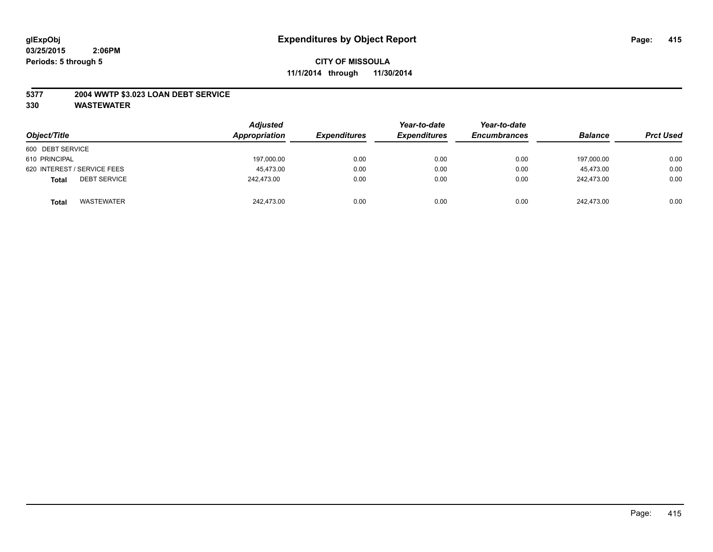## **5377 2004 WWTP \$3.023 LOAN DEBT SERVICE**

| Object/Title                        | <b>Adjusted</b><br>Appropriation | <b>Expenditures</b> | Year-to-date<br><b>Expenditures</b> | Year-to-date<br><b>Encumbrances</b> | <b>Balance</b> | <b>Prct Used</b> |
|-------------------------------------|----------------------------------|---------------------|-------------------------------------|-------------------------------------|----------------|------------------|
| 600 DEBT SERVICE                    |                                  |                     |                                     |                                     |                |                  |
| 610 PRINCIPAL                       | 197,000.00                       | 0.00                | 0.00                                | 0.00                                | 197.000.00     | 0.00             |
| 620 INTEREST / SERVICE FEES         | 45.473.00                        | 0.00                | 0.00                                | 0.00                                | 45.473.00      | 0.00             |
| <b>DEBT SERVICE</b><br><b>Total</b> | 242.473.00                       | 0.00                | 0.00                                | 0.00                                | 242,473.00     | 0.00             |
| <b>WASTEWATER</b><br><b>Total</b>   | 242.473.00                       | 0.00                | 0.00                                | 0.00                                | 242.473.00     | 0.00             |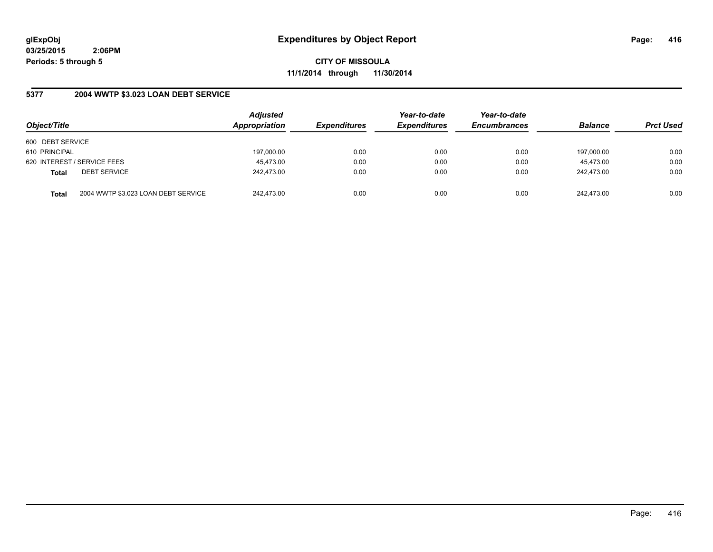**CITY OF MISSOULA 11/1/2014 through 11/30/2014**

## **5377 2004 WWTP \$3.023 LOAN DEBT SERVICE**

| Object/Title                        |                                     | <b>Adjusted</b><br>Appropriation | <b>Expenditures</b> | Year-to-date<br><b>Expenditures</b> | Year-to-date<br><b>Encumbrances</b> | <b>Balance</b> | <b>Prct Used</b> |
|-------------------------------------|-------------------------------------|----------------------------------|---------------------|-------------------------------------|-------------------------------------|----------------|------------------|
| 600 DEBT SERVICE                    |                                     |                                  |                     |                                     |                                     |                |                  |
| 610 PRINCIPAL                       |                                     | 197,000.00                       | 0.00                | 0.00                                | 0.00                                | 197,000.00     | 0.00             |
| 620 INTEREST / SERVICE FEES         |                                     | 45,473.00                        | 0.00                | 0.00                                | 0.00                                | 45.473.00      | 0.00             |
| <b>DEBT SERVICE</b><br><b>Total</b> |                                     | 242.473.00                       | 0.00                | 0.00                                | 0.00                                | 242.473.00     | 0.00             |
| <b>Total</b>                        | 2004 WWTP \$3.023 LOAN DEBT SERVICE | 242.473.00                       | 0.00                | 0.00                                | 0.00                                | 242.473.00     | 0.00             |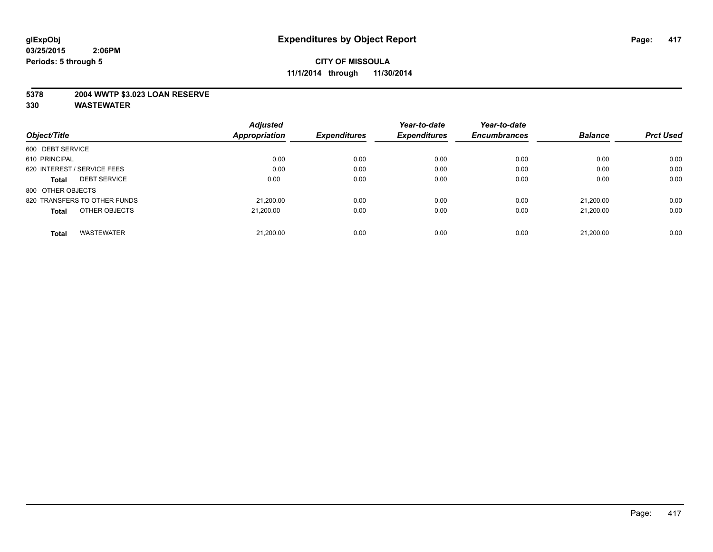## **5378 2004 WWTP \$3.023 LOAN RESERVE**

|                                     | <b>Adjusted</b>      |                     | Year-to-date        | Year-to-date        |                |                  |
|-------------------------------------|----------------------|---------------------|---------------------|---------------------|----------------|------------------|
| Object/Title                        | <b>Appropriation</b> | <b>Expenditures</b> | <b>Expenditures</b> | <b>Encumbrances</b> | <b>Balance</b> | <b>Prct Used</b> |
| 600 DEBT SERVICE                    |                      |                     |                     |                     |                |                  |
| 610 PRINCIPAL                       | 0.00                 | 0.00                | 0.00                | 0.00                | 0.00           | 0.00             |
| 620 INTEREST / SERVICE FEES         | 0.00                 | 0.00                | 0.00                | 0.00                | 0.00           | 0.00             |
| <b>DEBT SERVICE</b><br><b>Total</b> | 0.00                 | 0.00                | 0.00                | 0.00                | 0.00           | 0.00             |
| 800 OTHER OBJECTS                   |                      |                     |                     |                     |                |                  |
| 820 TRANSFERS TO OTHER FUNDS        | 21.200.00            | 0.00                | 0.00                | 0.00                | 21.200.00      | 0.00             |
| OTHER OBJECTS<br><b>Total</b>       | 21.200.00            | 0.00                | 0.00                | 0.00                | 21.200.00      | 0.00             |
| <b>WASTEWATER</b><br>Total          | 21.200.00            | 0.00                | 0.00                | 0.00                | 21,200.00      | 0.00             |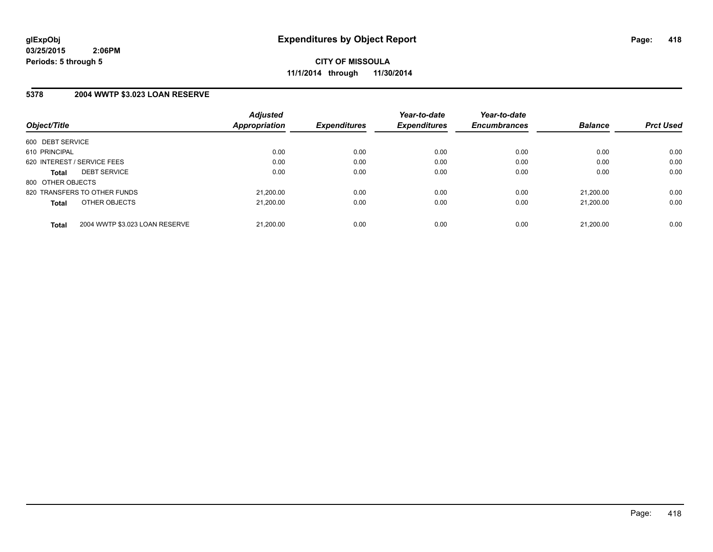**CITY OF MISSOULA 11/1/2014 through 11/30/2014**

## **5378 2004 WWTP \$3.023 LOAN RESERVE**

| Object/Title                                   | <b>Adjusted</b><br>Appropriation | <b>Expenditures</b> | Year-to-date<br><b>Expenditures</b> | Year-to-date<br><b>Encumbrances</b> | <b>Balance</b> | <b>Prct Used</b> |
|------------------------------------------------|----------------------------------|---------------------|-------------------------------------|-------------------------------------|----------------|------------------|
| 600 DEBT SERVICE                               |                                  |                     |                                     |                                     |                |                  |
| 610 PRINCIPAL                                  | 0.00                             | 0.00                | 0.00                                | 0.00                                | 0.00           | 0.00             |
| 620 INTEREST / SERVICE FEES                    | 0.00                             | 0.00                | 0.00                                | 0.00                                | 0.00           | 0.00             |
| <b>DEBT SERVICE</b><br><b>Total</b>            | 0.00                             | 0.00                | 0.00                                | 0.00                                | 0.00           | 0.00             |
| 800 OTHER OBJECTS                              |                                  |                     |                                     |                                     |                |                  |
| 820 TRANSFERS TO OTHER FUNDS                   | 21,200.00                        | 0.00                | 0.00                                | 0.00                                | 21.200.00      | 0.00             |
| OTHER OBJECTS<br><b>Total</b>                  | 21.200.00                        | 0.00                | 0.00                                | 0.00                                | 21.200.00      | 0.00             |
| 2004 WWTP \$3.023 LOAN RESERVE<br><b>Total</b> | 21,200.00                        | 0.00                | 0.00                                | 0.00                                | 21.200.00      | 0.00             |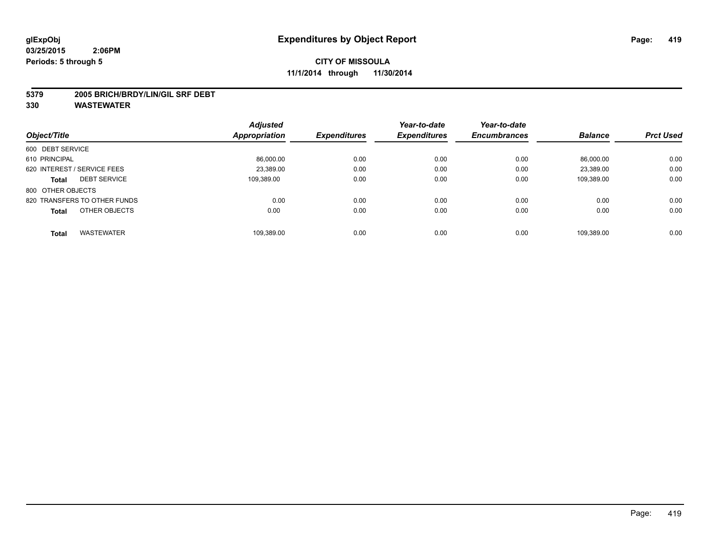#### **5379 2005 BRICH/BRDY/LIN/GIL SRF DEBT**

|                              |                     | <b>Adjusted</b>      |                     | Year-to-date        | Year-to-date        |                |                  |
|------------------------------|---------------------|----------------------|---------------------|---------------------|---------------------|----------------|------------------|
| Object/Title                 |                     | <b>Appropriation</b> | <b>Expenditures</b> | <b>Expenditures</b> | <b>Encumbrances</b> | <b>Balance</b> | <b>Prct Used</b> |
| 600 DEBT SERVICE             |                     |                      |                     |                     |                     |                |                  |
| 610 PRINCIPAL                |                     | 86,000.00            | 0.00                | 0.00                | 0.00                | 86.000.00      | 0.00             |
| 620 INTEREST / SERVICE FEES  |                     | 23.389.00            | 0.00                | 0.00                | 0.00                | 23,389.00      | 0.00             |
| <b>Total</b>                 | <b>DEBT SERVICE</b> | 109.389.00           | 0.00                | 0.00                | 0.00                | 109.389.00     | 0.00             |
| 800 OTHER OBJECTS            |                     |                      |                     |                     |                     |                |                  |
| 820 TRANSFERS TO OTHER FUNDS |                     | 0.00                 | 0.00                | 0.00                | 0.00                | 0.00           | 0.00             |
| <b>Total</b>                 | OTHER OBJECTS       | 0.00                 | 0.00                | 0.00                | 0.00                | 0.00           | 0.00             |
| Total                        | <b>WASTEWATER</b>   | 109.389.00           | 0.00                | 0.00                | 0.00                | 109.389.00     | 0.00             |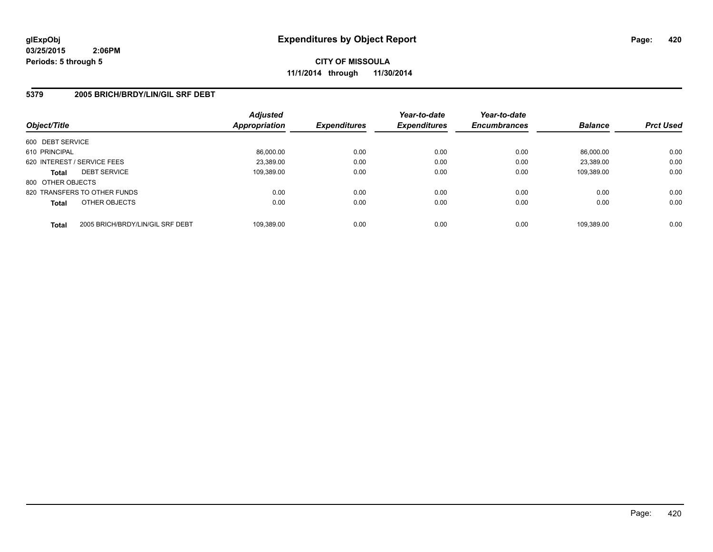**CITY OF MISSOULA 11/1/2014 through 11/30/2014**

## **5379 2005 BRICH/BRDY/LIN/GIL SRF DEBT**

| Object/Title      |                                  | <b>Adjusted</b><br>Appropriation | <b>Expenditures</b> | Year-to-date<br><b>Expenditures</b> | Year-to-date<br><b>Encumbrances</b> | <b>Balance</b> | <b>Prct Used</b> |
|-------------------|----------------------------------|----------------------------------|---------------------|-------------------------------------|-------------------------------------|----------------|------------------|
| 600 DEBT SERVICE  |                                  |                                  |                     |                                     |                                     |                |                  |
| 610 PRINCIPAL     |                                  | 86.000.00                        | 0.00                | 0.00                                | 0.00                                | 86.000.00      | 0.00             |
|                   | 620 INTEREST / SERVICE FEES      | 23.389.00                        | 0.00                | 0.00                                | 0.00                                | 23.389.00      | 0.00             |
| <b>Total</b>      | <b>DEBT SERVICE</b>              | 109.389.00                       | 0.00                | 0.00                                | 0.00                                | 109.389.00     | 0.00             |
| 800 OTHER OBJECTS |                                  |                                  |                     |                                     |                                     |                |                  |
|                   | 820 TRANSFERS TO OTHER FUNDS     | 0.00                             | 0.00                | 0.00                                | 0.00                                | 0.00           | 0.00             |
| <b>Total</b>      | OTHER OBJECTS                    | 0.00                             | 0.00                | 0.00                                | 0.00                                | 0.00           | 0.00             |
| <b>Total</b>      | 2005 BRICH/BRDY/LIN/GIL SRF DEBT | 109.389.00                       | 0.00                | 0.00                                | 0.00                                | 109.389.00     | 0.00             |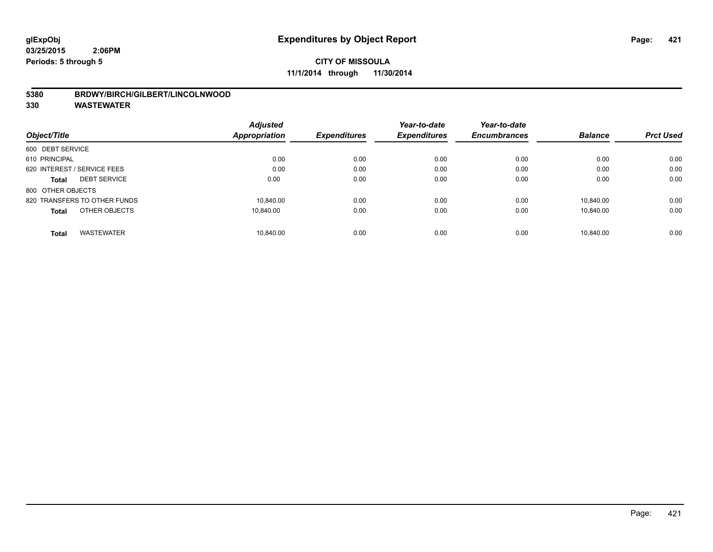## **5380 BRDWY/BIRCH/GILBERT/LINCOLNWOOD**

|                                   | <b>Adjusted</b> |                     | Year-to-date<br><b>Expenditures</b> | Year-to-date        |                |                  |
|-----------------------------------|-----------------|---------------------|-------------------------------------|---------------------|----------------|------------------|
| Object/Title                      | Appropriation   | <b>Expenditures</b> |                                     | <b>Encumbrances</b> | <b>Balance</b> | <b>Prct Used</b> |
| 600 DEBT SERVICE                  |                 |                     |                                     |                     |                |                  |
| 610 PRINCIPAL                     | 0.00            | 0.00                | 0.00                                | 0.00                | 0.00           | 0.00             |
| 620 INTEREST / SERVICE FEES       | 0.00            | 0.00                | 0.00                                | 0.00                | 0.00           | 0.00             |
| <b>DEBT SERVICE</b><br>Total      | 0.00            | 0.00                | 0.00                                | 0.00                | 0.00           | 0.00             |
| 800 OTHER OBJECTS                 |                 |                     |                                     |                     |                |                  |
| 820 TRANSFERS TO OTHER FUNDS      | 10.840.00       | 0.00                | 0.00                                | 0.00                | 10.840.00      | 0.00             |
| OTHER OBJECTS<br><b>Total</b>     | 10.840.00       | 0.00                | 0.00                                | 0.00                | 10.840.00      | 0.00             |
| <b>WASTEWATER</b><br><b>Total</b> | 10.840.00       | 0.00                | 0.00                                | 0.00                | 10.840.00      | 0.00             |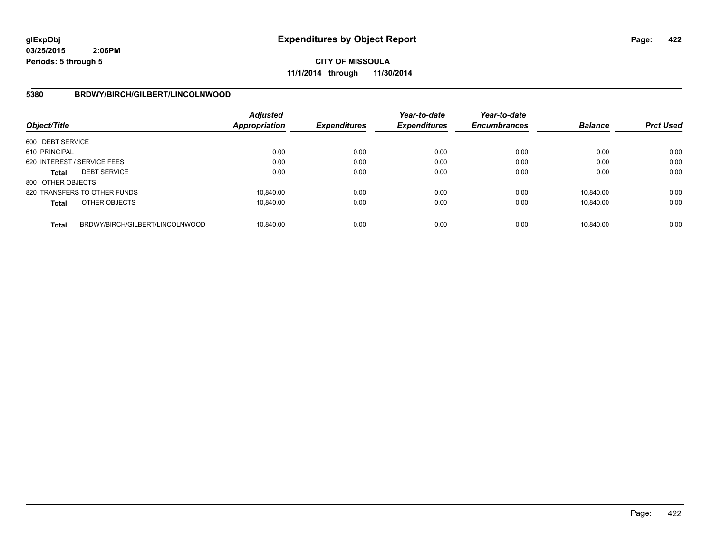**CITY OF MISSOULA 11/1/2014 through 11/30/2014**

## **5380 BRDWY/BIRCH/GILBERT/LINCOLNWOOD**

| Object/Title      |                                 | Adjusted<br><b>Appropriation</b> | <b>Expenditures</b> | Year-to-date<br><b>Expenditures</b> | Year-to-date<br><b>Encumbrances</b> | <b>Balance</b> | <b>Prct Used</b> |
|-------------------|---------------------------------|----------------------------------|---------------------|-------------------------------------|-------------------------------------|----------------|------------------|
| 600 DEBT SERVICE  |                                 |                                  |                     |                                     |                                     |                |                  |
| 610 PRINCIPAL     |                                 | 0.00                             | 0.00                | 0.00                                | 0.00                                | 0.00           | 0.00             |
|                   | 620 INTEREST / SERVICE FEES     | 0.00                             | 0.00                | 0.00                                | 0.00                                | 0.00           | 0.00             |
| <b>Total</b>      | <b>DEBT SERVICE</b>             | 0.00                             | 0.00                | 0.00                                | 0.00                                | 0.00           | 0.00             |
| 800 OTHER OBJECTS |                                 |                                  |                     |                                     |                                     |                |                  |
|                   | 820 TRANSFERS TO OTHER FUNDS    | 10.840.00                        | 0.00                | 0.00                                | 0.00                                | 10.840.00      | 0.00             |
| <b>Total</b>      | OTHER OBJECTS                   | 10.840.00                        | 0.00                | 0.00                                | 0.00                                | 10.840.00      | 0.00             |
| <b>Total</b>      | BRDWY/BIRCH/GILBERT/LINCOLNWOOD | 10.840.00                        | 0.00                | 0.00                                | 0.00                                | 10.840.00      | 0.00             |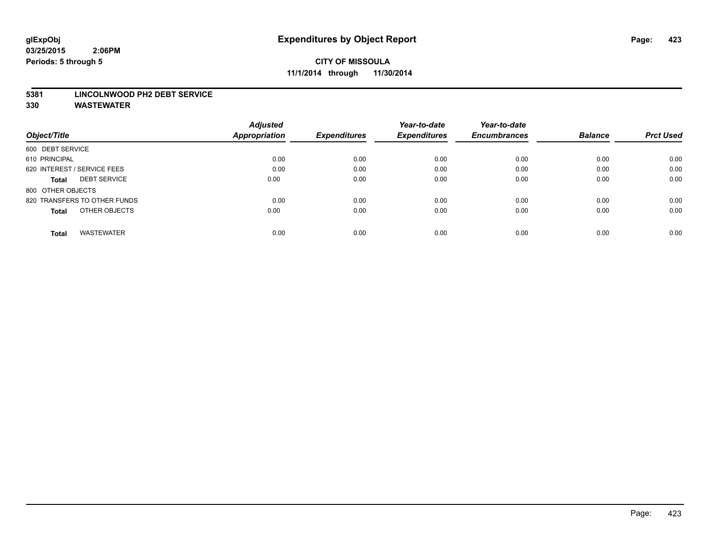#### **5381 LINCOLNWOOD PH2 DEBT SERVICE**

|                                     | <b>Adjusted</b> |                     | Year-to-date        | Year-to-date        |                |                  |
|-------------------------------------|-----------------|---------------------|---------------------|---------------------|----------------|------------------|
| Object/Title                        | Appropriation   | <b>Expenditures</b> | <b>Expenditures</b> | <b>Encumbrances</b> | <b>Balance</b> | <b>Prct Used</b> |
| 600 DEBT SERVICE                    |                 |                     |                     |                     |                |                  |
| 610 PRINCIPAL                       | 0.00            | 0.00                | 0.00                | 0.00                | 0.00           | 0.00             |
| 620 INTEREST / SERVICE FEES         | 0.00            | 0.00                | 0.00                | 0.00                | 0.00           | 0.00             |
| <b>DEBT SERVICE</b><br><b>Total</b> | 0.00            | 0.00                | 0.00                | 0.00                | 0.00           | 0.00             |
| 800 OTHER OBJECTS                   |                 |                     |                     |                     |                |                  |
| 820 TRANSFERS TO OTHER FUNDS        | 0.00            | 0.00                | 0.00                | 0.00                | 0.00           | 0.00             |
| OTHER OBJECTS<br><b>Total</b>       | 0.00            | 0.00                | 0.00                | 0.00                | 0.00           | 0.00             |
| <b>WASTEWATER</b><br>Total          | 0.00            | 0.00                | 0.00                | 0.00                | 0.00           | 0.00             |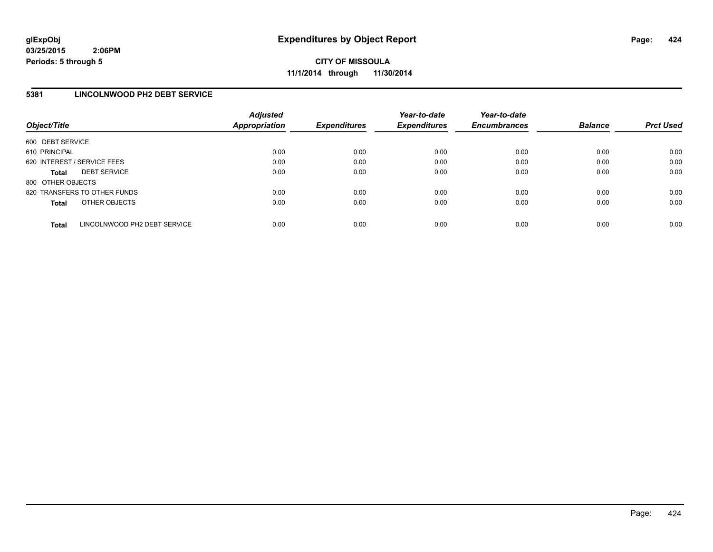**CITY OF MISSOULA 11/1/2014 through 11/30/2014**

## **5381 LINCOLNWOOD PH2 DEBT SERVICE**

| Object/Title                |                              | <b>Adjusted</b><br>Appropriation | <b>Expenditures</b> | Year-to-date<br><b>Expenditures</b> | Year-to-date<br><b>Encumbrances</b> | <b>Balance</b> | <b>Prct Used</b> |
|-----------------------------|------------------------------|----------------------------------|---------------------|-------------------------------------|-------------------------------------|----------------|------------------|
| 600 DEBT SERVICE            |                              |                                  |                     |                                     |                                     |                |                  |
| 610 PRINCIPAL               |                              | 0.00                             | 0.00                | 0.00                                | 0.00                                | 0.00           | 0.00             |
| 620 INTEREST / SERVICE FEES |                              | 0.00                             | 0.00                | 0.00                                | 0.00                                | 0.00           | 0.00             |
| <b>Total</b>                | <b>DEBT SERVICE</b>          | 0.00                             | 0.00                | 0.00                                | 0.00                                | 0.00           | 0.00             |
| 800 OTHER OBJECTS           |                              |                                  |                     |                                     |                                     |                |                  |
|                             | 820 TRANSFERS TO OTHER FUNDS | 0.00                             | 0.00                | 0.00                                | 0.00                                | 0.00           | 0.00             |
| <b>Total</b>                | OTHER OBJECTS                | 0.00                             | 0.00                | 0.00                                | 0.00                                | 0.00           | 0.00             |
| <b>Total</b>                | LINCOLNWOOD PH2 DEBT SERVICE | 0.00                             | 0.00                | 0.00                                | 0.00                                | 0.00           | 0.00             |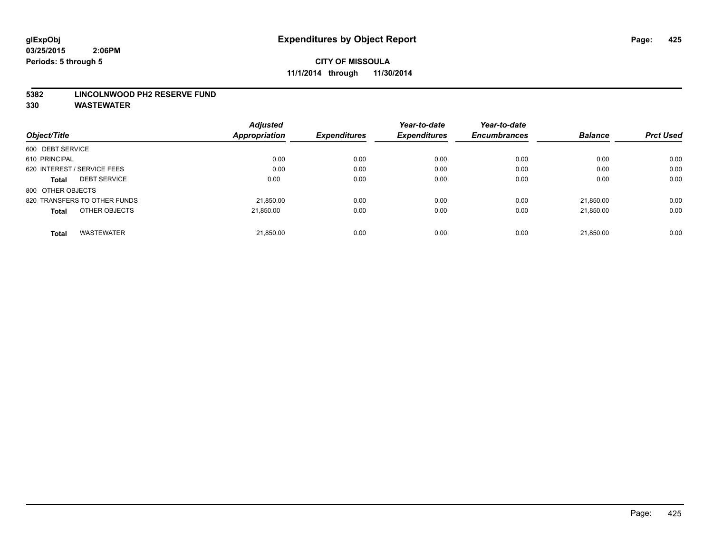#### **5382 LINCOLNWOOD PH2 RESERVE FUND**

|                                   | <b>Adjusted</b> | <b>Expenditures</b> | Year-to-date<br><b>Expenditures</b> | Year-to-date        |                |                  |
|-----------------------------------|-----------------|---------------------|-------------------------------------|---------------------|----------------|------------------|
| Object/Title                      | Appropriation   |                     |                                     | <b>Encumbrances</b> | <b>Balance</b> | <b>Prct Used</b> |
| 600 DEBT SERVICE                  |                 |                     |                                     |                     |                |                  |
| 610 PRINCIPAL                     | 0.00            | 0.00                | 0.00                                | 0.00                | 0.00           | 0.00             |
| 620 INTEREST / SERVICE FEES       | 0.00            | 0.00                | 0.00                                | 0.00                | 0.00           | 0.00             |
| <b>DEBT SERVICE</b><br>Total      | 0.00            | 0.00                | 0.00                                | 0.00                | 0.00           | 0.00             |
| 800 OTHER OBJECTS                 |                 |                     |                                     |                     |                |                  |
| 820 TRANSFERS TO OTHER FUNDS      | 21,850.00       | 0.00                | 0.00                                | 0.00                | 21.850.00      | 0.00             |
| OTHER OBJECTS<br><b>Total</b>     | 21.850.00       | 0.00                | 0.00                                | 0.00                | 21.850.00      | 0.00             |
| <b>WASTEWATER</b><br><b>Total</b> | 21,850.00       | 0.00                | 0.00                                | 0.00                | 21.850.00      | 0.00             |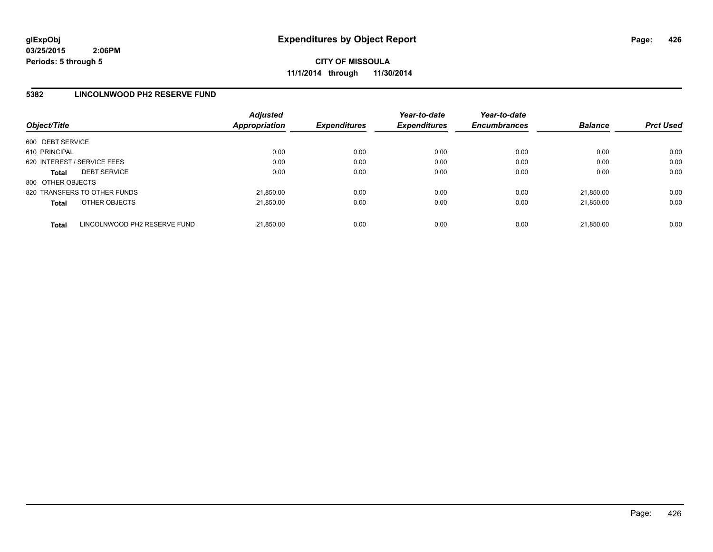**CITY OF MISSOULA 11/1/2014 through 11/30/2014**

## **5382 LINCOLNWOOD PH2 RESERVE FUND**

| Object/Title                |                              | <b>Adjusted</b><br>Appropriation | <b>Expenditures</b> | Year-to-date<br><b>Expenditures</b> | Year-to-date<br><b>Encumbrances</b> | <b>Balance</b> | <b>Prct Used</b> |
|-----------------------------|------------------------------|----------------------------------|---------------------|-------------------------------------|-------------------------------------|----------------|------------------|
| 600 DEBT SERVICE            |                              |                                  |                     |                                     |                                     |                |                  |
| 610 PRINCIPAL               |                              | 0.00                             | 0.00                | 0.00                                | 0.00                                | 0.00           | 0.00             |
| 620 INTEREST / SERVICE FEES |                              | 0.00                             | 0.00                | 0.00                                | 0.00                                | 0.00           | 0.00             |
| <b>Total</b>                | <b>DEBT SERVICE</b>          | 0.00                             | 0.00                | 0.00                                | 0.00                                | 0.00           | 0.00             |
| 800 OTHER OBJECTS           |                              |                                  |                     |                                     |                                     |                |                  |
|                             | 820 TRANSFERS TO OTHER FUNDS | 21.850.00                        | 0.00                | 0.00                                | 0.00                                | 21.850.00      | 0.00             |
| <b>Total</b>                | OTHER OBJECTS                | 21,850.00                        | 0.00                | 0.00                                | 0.00                                | 21.850.00      | 0.00             |
| <b>Total</b>                | LINCOLNWOOD PH2 RESERVE FUND | 21.850.00                        | 0.00                | 0.00                                | 0.00                                | 21.850.00      | 0.00             |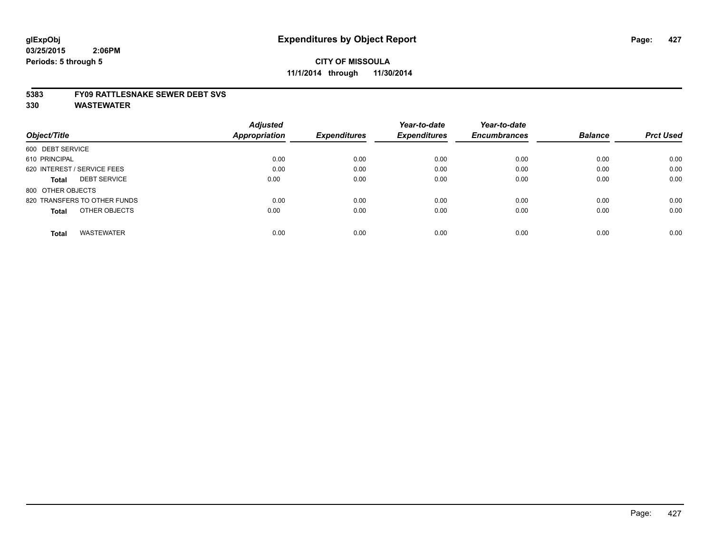#### **5383 FY09 RATTLESNAKE SEWER DEBT SVS**

|                                     | <b>Adjusted</b> |                     | Year-to-date        | Year-to-date        |                |                  |
|-------------------------------------|-----------------|---------------------|---------------------|---------------------|----------------|------------------|
| Object/Title                        | Appropriation   | <b>Expenditures</b> | <b>Expenditures</b> | <b>Encumbrances</b> | <b>Balance</b> | <b>Prct Used</b> |
| 600 DEBT SERVICE                    |                 |                     |                     |                     |                |                  |
| 610 PRINCIPAL                       | 0.00            | 0.00                | 0.00                | 0.00                | 0.00           | 0.00             |
| 620 INTEREST / SERVICE FEES         | 0.00            | 0.00                | 0.00                | 0.00                | 0.00           | 0.00             |
| <b>DEBT SERVICE</b><br><b>Total</b> | 0.00            | 0.00                | 0.00                | 0.00                | 0.00           | 0.00             |
| 800 OTHER OBJECTS                   |                 |                     |                     |                     |                |                  |
| 820 TRANSFERS TO OTHER FUNDS        | 0.00            | 0.00                | 0.00                | 0.00                | 0.00           | 0.00             |
| OTHER OBJECTS<br><b>Total</b>       | 0.00            | 0.00                | 0.00                | 0.00                | 0.00           | 0.00             |
| <b>WASTEWATER</b><br><b>Total</b>   | 0.00            | 0.00                | 0.00                | 0.00                | 0.00           | 0.00             |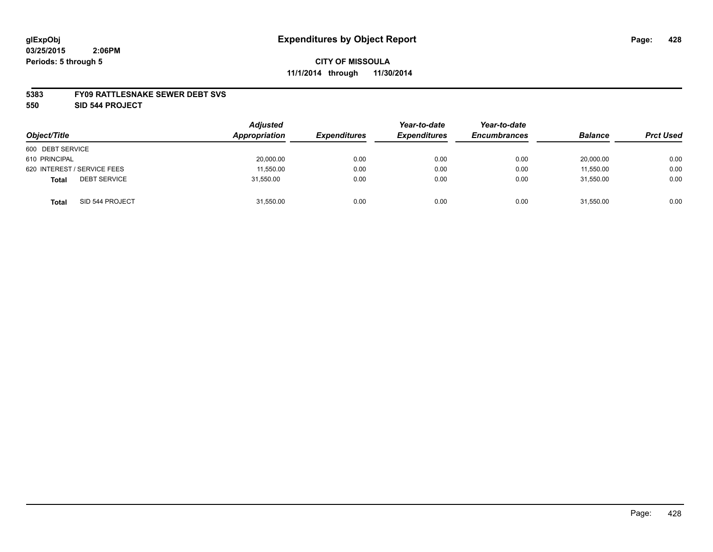#### **5383 FY09 RATTLESNAKE SEWER DEBT SVS**

**550 SID 544 PROJECT**

| Object/Title                        | <b>Adjusted</b><br>Appropriation | <b>Expenditures</b> | Year-to-date<br><b>Expenditures</b> | Year-to-date<br><b>Encumbrances</b> | <b>Balance</b> | <b>Prct Used</b> |
|-------------------------------------|----------------------------------|---------------------|-------------------------------------|-------------------------------------|----------------|------------------|
| 600 DEBT SERVICE                    |                                  |                     |                                     |                                     |                |                  |
| 610 PRINCIPAL                       | 20,000.00                        | 0.00                | 0.00                                | 0.00                                | 20,000.00      | 0.00             |
| 620 INTEREST / SERVICE FEES         | 11.550.00                        | 0.00                | 0.00                                | 0.00                                | 11.550.00      | 0.00             |
| <b>DEBT SERVICE</b><br><b>Total</b> | 31,550.00                        | 0.00                | 0.00                                | 0.00                                | 31,550.00      | 0.00             |
| SID 544 PROJECT<br>Total            | 31,550.00                        | 0.00                | 0.00                                | 0.00                                | 31,550.00      | 0.00             |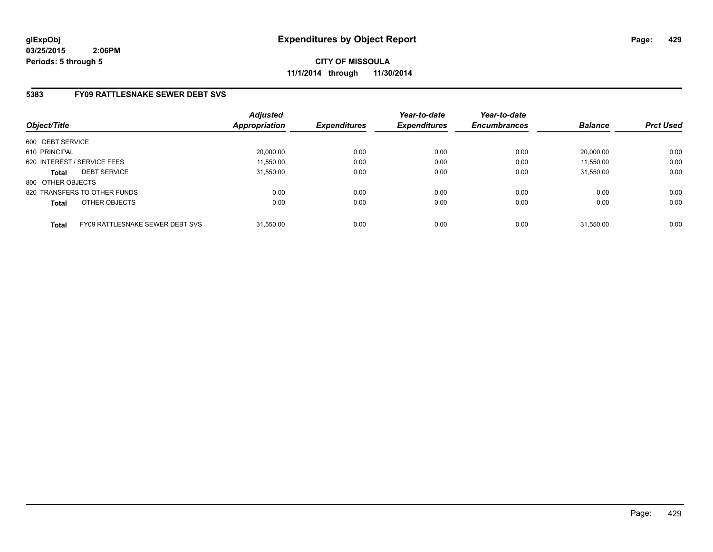**CITY OF MISSOULA 11/1/2014 through 11/30/2014**

# **5383 FY09 RATTLESNAKE SEWER DEBT SVS**

| Object/Title      |                                        | <b>Adjusted</b><br>Appropriation | <b>Expenditures</b> | Year-to-date<br><b>Expenditures</b> | Year-to-date<br><b>Encumbrances</b> | <b>Balance</b> | <b>Prct Used</b> |
|-------------------|----------------------------------------|----------------------------------|---------------------|-------------------------------------|-------------------------------------|----------------|------------------|
| 600 DEBT SERVICE  |                                        |                                  |                     |                                     |                                     |                |                  |
| 610 PRINCIPAL     |                                        | 20.000.00                        | 0.00                | 0.00                                | 0.00                                | 20.000.00      | 0.00             |
|                   | 620 INTEREST / SERVICE FEES            | 11,550.00                        | 0.00                | 0.00                                | 0.00                                | 11,550.00      | 0.00             |
| <b>Total</b>      | <b>DEBT SERVICE</b>                    | 31.550.00                        | 0.00                | 0.00                                | 0.00                                | 31.550.00      | 0.00             |
| 800 OTHER OBJECTS |                                        |                                  |                     |                                     |                                     |                |                  |
|                   | 820 TRANSFERS TO OTHER FUNDS           | 0.00                             | 0.00                | 0.00                                | 0.00                                | 0.00           | 0.00             |
| <b>Total</b>      | OTHER OBJECTS                          | 0.00                             | 0.00                | 0.00                                | 0.00                                | 0.00           | 0.00             |
| <b>Total</b>      | <b>FY09 RATTLESNAKE SEWER DEBT SVS</b> | 31.550.00                        | 0.00                | 0.00                                | 0.00                                | 31.550.00      | 0.00             |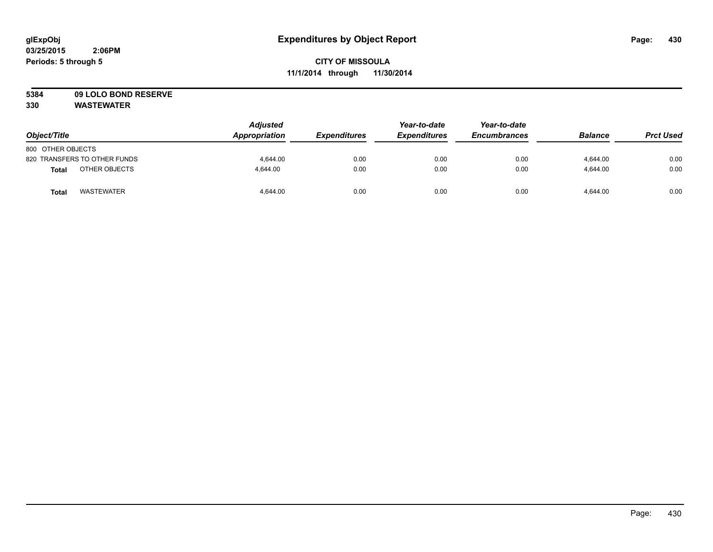# **5384 09 LOLO BOND RESERVE**

| Object/Title                      | <b>Adjusted</b><br>Appropriation | <b>Expenditures</b> | Year-to-date<br><b>Expenditures</b> | Year-to-date<br><b>Encumbrances</b> | <b>Balance</b> | <b>Prct Used</b> |
|-----------------------------------|----------------------------------|---------------------|-------------------------------------|-------------------------------------|----------------|------------------|
| 800 OTHER OBJECTS                 |                                  |                     |                                     |                                     |                |                  |
| 820 TRANSFERS TO OTHER FUNDS      | 4.644.00                         | 0.00                | 0.00                                | 0.00                                | 4.644.00       | 0.00             |
| OTHER OBJECTS<br>Total            | 4.644.00                         | 0.00                | 0.00                                | 0.00                                | 4.644.00       | 0.00             |
| <b>WASTEWATER</b><br><b>Total</b> | 4,644.00                         | 0.00                | 0.00                                | 0.00                                | 4,644.00       | 0.00             |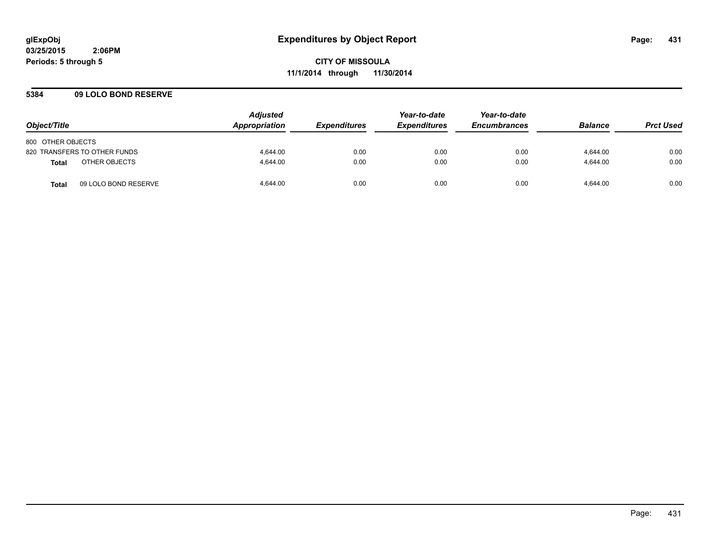## **5384 09 LOLO BOND RESERVE**

| Object/Title                         | <b>Adjusted</b><br>Appropriation | <i><b>Expenditures</b></i> | Year-to-date<br><b>Expenditures</b> | Year-to-date<br><b>Encumbrances</b> | <b>Balance</b> | <b>Prct Used</b> |
|--------------------------------------|----------------------------------|----------------------------|-------------------------------------|-------------------------------------|----------------|------------------|
| 800 OTHER OBJECTS                    |                                  |                            |                                     |                                     |                |                  |
| 820 TRANSFERS TO OTHER FUNDS         | 4.644.00                         | 0.00                       | 0.00                                | 0.00                                | 4.644.00       | 0.00             |
| OTHER OBJECTS<br><b>Total</b>        | 4.644.00                         | 0.00                       | 0.00                                | 0.00                                | 4.644.00       | 0.00             |
| 09 LOLO BOND RESERVE<br><b>Total</b> | 4.644.00                         | 0.00                       | 0.00                                | 0.00                                | 4.644.00       | 0.00             |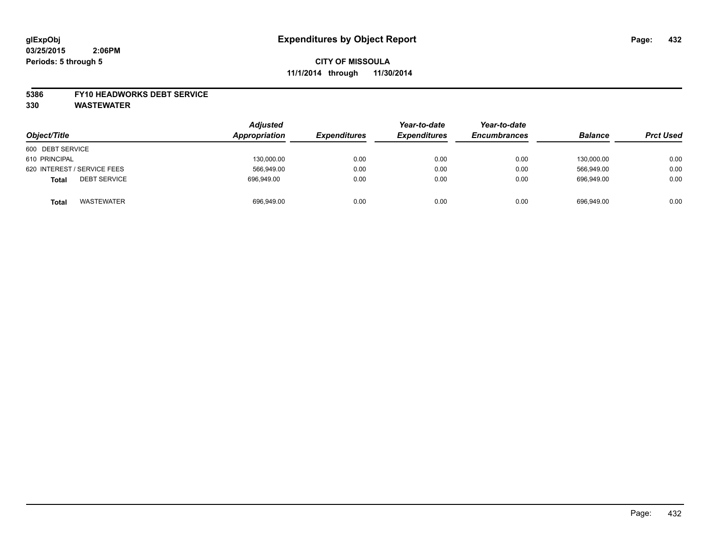#### **5386 FY10 HEADWORKS DEBT SERVICE**

| Object/Title                        | <b>Adjusted</b><br>Appropriation | <b>Expenditures</b> | Year-to-date<br><b>Expenditures</b> | Year-to-date<br><b>Encumbrances</b> | <b>Balance</b> | <b>Prct Used</b> |
|-------------------------------------|----------------------------------|---------------------|-------------------------------------|-------------------------------------|----------------|------------------|
| 600 DEBT SERVICE                    |                                  |                     |                                     |                                     |                |                  |
| 610 PRINCIPAL                       | 130,000.00                       | 0.00                | 0.00                                | 0.00                                | 130.000.00     | 0.00             |
| 620 INTEREST / SERVICE FEES         | 566,949.00                       | 0.00                | 0.00                                | 0.00                                | 566,949.00     | 0.00             |
| <b>DEBT SERVICE</b><br><b>Total</b> | 696.949.00                       | 0.00                | 0.00                                | 0.00                                | 696.949.00     | 0.00             |
| <b>WASTEWATER</b><br><b>Total</b>   | 696,949.00                       | 0.00                | 0.00                                | 0.00                                | 696,949.00     | 0.00             |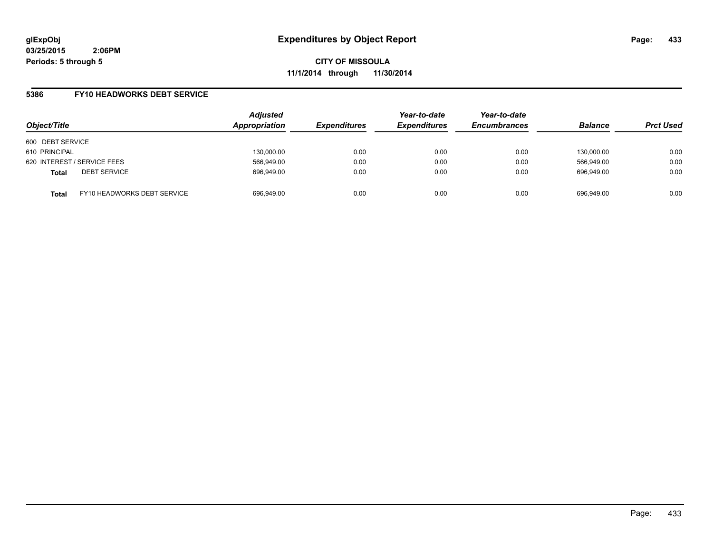**CITY OF MISSOULA 11/1/2014 through 11/30/2014**

### **5386 FY10 HEADWORKS DEBT SERVICE**

| Object/Title                        |                             | <b>Adjusted</b><br>Appropriation | <b>Expenditures</b> | Year-to-date<br><b>Expenditures</b> | Year-to-date<br><b>Encumbrances</b> | <b>Balance</b> | <b>Prct Used</b> |
|-------------------------------------|-----------------------------|----------------------------------|---------------------|-------------------------------------|-------------------------------------|----------------|------------------|
| 600 DEBT SERVICE                    |                             |                                  |                     |                                     |                                     |                |                  |
| 610 PRINCIPAL                       |                             | 130.000.00                       | 0.00                | 0.00                                | 0.00                                | 130.000.00     | 0.00             |
| 620 INTEREST / SERVICE FEES         |                             | 566,949.00                       | 0.00                | 0.00                                | 0.00                                | 566.949.00     | 0.00             |
| <b>DEBT SERVICE</b><br><b>Total</b> |                             | 696,949.00                       | 0.00                | 0.00                                | 0.00                                | 696.949.00     | 0.00             |
| <b>Total</b>                        | FY10 HEADWORKS DEBT SERVICE | 696,949.00                       | 0.00                | 0.00                                | 0.00                                | 696.949.00     | 0.00             |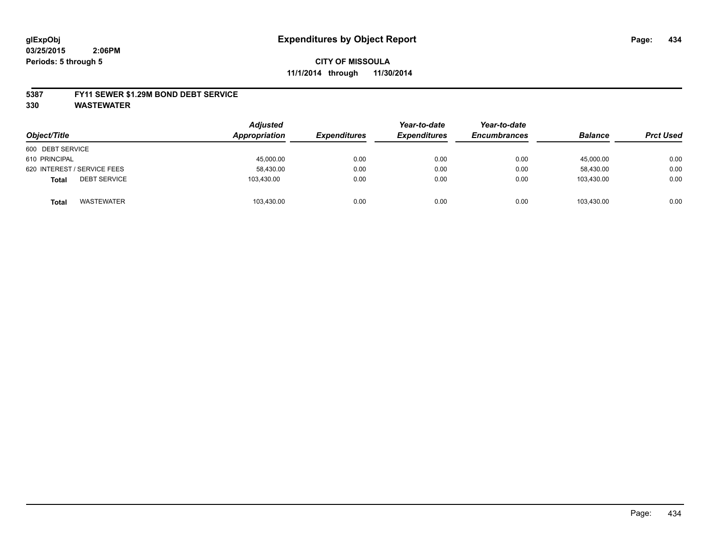# **CITY OF MISSOULA 11/1/2014 through 11/30/2014**

#### **5387 FY11 SEWER \$1.29M BOND DEBT SERVICE**

**330 WASTEWATER**

| Object/Title                        | <b>Adjusted</b><br>Appropriation | <b>Expenditures</b> | Year-to-date<br><b>Expenditures</b> | Year-to-date<br><b>Encumbrances</b> | <b>Balance</b> | <b>Prct Used</b> |
|-------------------------------------|----------------------------------|---------------------|-------------------------------------|-------------------------------------|----------------|------------------|
| 600 DEBT SERVICE                    |                                  |                     |                                     |                                     |                |                  |
| 610 PRINCIPAL                       | 45,000.00                        | 0.00                | 0.00                                | 0.00                                | 45,000.00      | 0.00             |
| 620 INTEREST / SERVICE FEES         | 58,430.00                        | 0.00                | 0.00                                | 0.00                                | 58.430.00      | 0.00             |
| <b>DEBT SERVICE</b><br><b>Total</b> | 103,430.00                       | 0.00                | 0.00                                | 0.00                                | 103.430.00     | 0.00             |
| <b>WASTEWATER</b><br><b>Total</b>   | 103,430.00                       | 0.00                | 0.00                                | 0.00                                | 103,430.00     | 0.00             |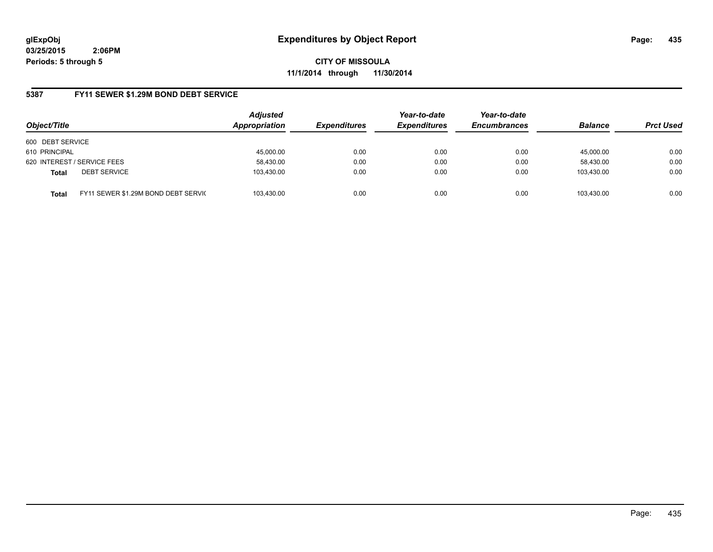**CITY OF MISSOULA 11/1/2014 through 11/30/2014**

## **5387 FY11 SEWER \$1.29M BOND DEBT SERVICE**

| Object/Title                |                                      | <b>Adjusted</b><br>Appropriation | <b>Expenditures</b> | Year-to-date<br><b>Expenditures</b> | Year-to-date<br><b>Encumbrances</b> | <b>Balance</b> | <b>Prct Used</b> |
|-----------------------------|--------------------------------------|----------------------------------|---------------------|-------------------------------------|-------------------------------------|----------------|------------------|
| 600 DEBT SERVICE            |                                      |                                  |                     |                                     |                                     |                |                  |
| 610 PRINCIPAL               |                                      | 45,000.00                        | 0.00                | 0.00                                | 0.00                                | 45.000.00      | 0.00             |
| 620 INTEREST / SERVICE FEES |                                      | 58,430.00                        | 0.00                | 0.00                                | 0.00                                | 58,430.00      | 0.00             |
| <b>Total</b>                | <b>DEBT SERVICE</b>                  | 103,430.00                       | 0.00                | 0.00                                | 0.00                                | 103.430.00     | 0.00             |
| <b>Total</b>                | FY11 SEWER \$1.29M BOND DEBT SERVICE | 103.430.00                       | 0.00                | 0.00                                | 0.00                                | 103.430.00     | 0.00             |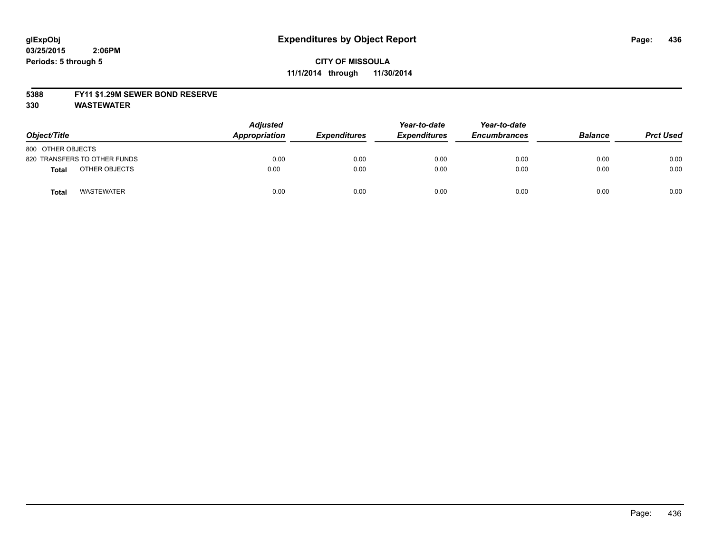#### **5388 FY11 \$1.29M SEWER BOND RESERVE**

**330 WASTEWATER**

| Object/Title                      | Adjusted<br>Appropriation | <b>Expenditures</b> | Year-to-date<br><b>Expenditures</b> | Year-to-date<br><b>Encumbrances</b> | <b>Balance</b> | <b>Prct Used</b> |
|-----------------------------------|---------------------------|---------------------|-------------------------------------|-------------------------------------|----------------|------------------|
| 800 OTHER OBJECTS                 |                           |                     |                                     |                                     |                |                  |
| 820 TRANSFERS TO OTHER FUNDS      | 0.00                      | 0.00                | 0.00                                | 0.00                                | 0.00           | 0.00             |
| OTHER OBJECTS<br>Total            | 0.00                      | 0.00                | 0.00                                | 0.00                                | 0.00           | 0.00             |
| <b>WASTEWATER</b><br><b>Total</b> | 0.00                      | 0.00                | 0.00                                | 0.00                                | 0.00           | 0.00             |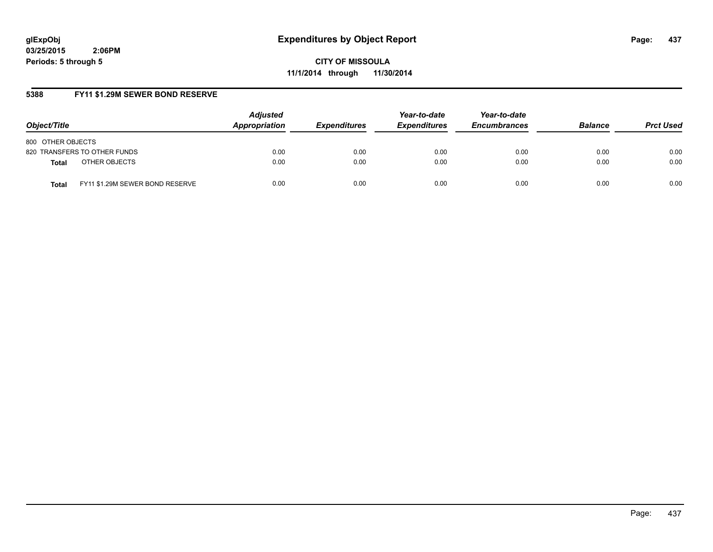**CITY OF MISSOULA 11/1/2014 through 11/30/2014**

## **5388 FY11 \$1.29M SEWER BOND RESERVE**

| Object/Title                                    | <b>Adjusted</b><br>Appropriation | <b>Expenditures</b> | Year-to-date<br><b>Expenditures</b> | Year-to-date<br><b>Encumbrances</b> | <b>Balance</b> | <b>Prct Used</b> |
|-------------------------------------------------|----------------------------------|---------------------|-------------------------------------|-------------------------------------|----------------|------------------|
| 800 OTHER OBJECTS                               |                                  |                     |                                     |                                     |                |                  |
| 820 TRANSFERS TO OTHER FUNDS                    | 0.00                             | 0.00                | 0.00                                | 0.00                                | 0.00           | 0.00             |
| OTHER OBJECTS<br><b>Total</b>                   | 0.00                             | 0.00                | 0.00                                | 0.00                                | 0.00           | 0.00             |
| FY11 \$1.29M SEWER BOND RESERVE<br><b>Total</b> | 0.00                             | 0.00                | 0.00                                | 0.00                                | 0.00           | 0.00             |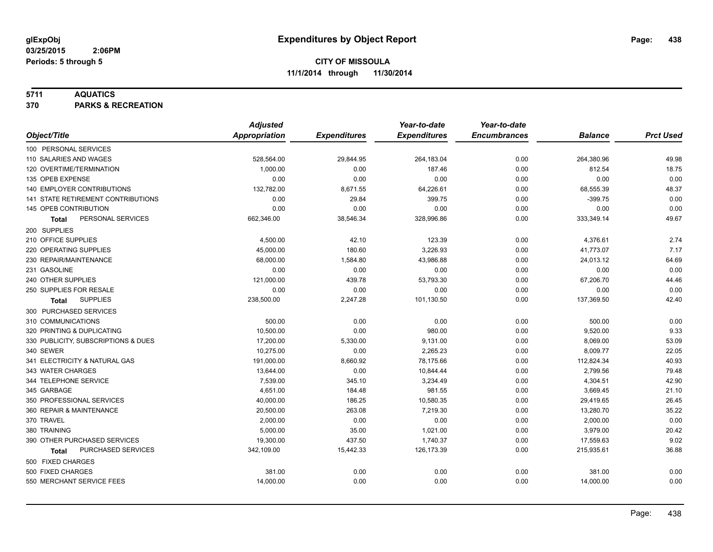### **5711 AQUATICS**

**370 PARKS & RECREATION**

| Appropriation<br><b>Expenditures</b><br>Object/Title<br><b>Expenditures</b><br><b>Encumbrances</b><br><b>Balance</b><br>100 PERSONAL SERVICES<br>110 SALARIES AND WAGES<br>528,564.00<br>29,844.95<br>264,183.04<br>0.00<br>264,380.96<br>120 OVERTIME/TERMINATION<br>1,000.00<br>0.00<br>187.46<br>812.54<br>0.00<br>0.00<br>0.00<br>135 OPEB EXPENSE<br>0.00<br>0.00<br>0.00<br>132,782.00<br>68,555.39<br>140 EMPLOYER CONTRIBUTIONS<br>8,671.55<br>64,226.61<br>0.00<br>$-399.75$<br><b>141 STATE RETIREMENT CONTRIBUTIONS</b><br>0.00<br>29.84<br>399.75<br>0.00<br>145 OPEB CONTRIBUTION<br>0.00<br>0.00<br>0.00<br>0.00<br>0.00<br>PERSONAL SERVICES<br>662,346.00<br>38,546.34<br>328,996.86<br>0.00<br>333,349.14<br><b>Total</b><br>200 SUPPLIES<br>210 OFFICE SUPPLIES<br>4,500.00<br>42.10<br>123.39<br>0.00<br>4,376.61<br>45,000.00<br>180.60<br>3,226.93<br>220 OPERATING SUPPLIES<br>0.00<br>41,773.07<br>230 REPAIR/MAINTENANCE<br>68,000.00<br>1,584.80<br>43,986.88<br>0.00<br>24,013.12<br>0.00<br>231 GASOLINE<br>0.00<br>0.00<br>0.00<br>0.00<br>240 OTHER SUPPLIES<br>121,000.00<br>439.78<br>53,793.30<br>0.00<br>67,206.70<br>0.00<br>0.00<br>250 SUPPLIES FOR RESALE<br>0.00<br>0.00<br>0.00<br><b>SUPPLIES</b><br>238,500.00<br>2,247.28<br>101,130.50<br>0.00<br>137,369.50<br>Total<br>300 PURCHASED SERVICES<br>310 COMMUNICATIONS<br>500.00<br>500.00<br>0.00<br>0.00<br>0.00<br>320 PRINTING & DUPLICATING<br>10,500.00<br>0.00<br>980.00<br>9,520.00<br>0.00<br>17,200.00<br>330 PUBLICITY, SUBSCRIPTIONS & DUES<br>5,330.00<br>9,131.00<br>0.00<br>8,069.00<br>10,275.00<br>340 SEWER<br>0.00<br>2,265.23<br>0.00<br>8,009.77<br>341 ELECTRICITY & NATURAL GAS<br>191,000.00<br>78,175.66<br>8,660.92<br>0.00<br>112,824.34<br>343 WATER CHARGES<br>13,644.00<br>0.00<br>10,844.44<br>0.00<br>2,799.56 |                       | <b>Adjusted</b> |        | Year-to-date | Year-to-date |          |                  |
|------------------------------------------------------------------------------------------------------------------------------------------------------------------------------------------------------------------------------------------------------------------------------------------------------------------------------------------------------------------------------------------------------------------------------------------------------------------------------------------------------------------------------------------------------------------------------------------------------------------------------------------------------------------------------------------------------------------------------------------------------------------------------------------------------------------------------------------------------------------------------------------------------------------------------------------------------------------------------------------------------------------------------------------------------------------------------------------------------------------------------------------------------------------------------------------------------------------------------------------------------------------------------------------------------------------------------------------------------------------------------------------------------------------------------------------------------------------------------------------------------------------------------------------------------------------------------------------------------------------------------------------------------------------------------------------------------------------------------------------------------------------------------------------------------------------------------------------|-----------------------|-----------------|--------|--------------|--------------|----------|------------------|
|                                                                                                                                                                                                                                                                                                                                                                                                                                                                                                                                                                                                                                                                                                                                                                                                                                                                                                                                                                                                                                                                                                                                                                                                                                                                                                                                                                                                                                                                                                                                                                                                                                                                                                                                                                                                                                          |                       |                 |        |              |              |          | <b>Prct Used</b> |
|                                                                                                                                                                                                                                                                                                                                                                                                                                                                                                                                                                                                                                                                                                                                                                                                                                                                                                                                                                                                                                                                                                                                                                                                                                                                                                                                                                                                                                                                                                                                                                                                                                                                                                                                                                                                                                          |                       |                 |        |              |              |          |                  |
|                                                                                                                                                                                                                                                                                                                                                                                                                                                                                                                                                                                                                                                                                                                                                                                                                                                                                                                                                                                                                                                                                                                                                                                                                                                                                                                                                                                                                                                                                                                                                                                                                                                                                                                                                                                                                                          |                       |                 |        |              |              |          | 49.98            |
|                                                                                                                                                                                                                                                                                                                                                                                                                                                                                                                                                                                                                                                                                                                                                                                                                                                                                                                                                                                                                                                                                                                                                                                                                                                                                                                                                                                                                                                                                                                                                                                                                                                                                                                                                                                                                                          |                       |                 |        |              |              |          | 18.75            |
|                                                                                                                                                                                                                                                                                                                                                                                                                                                                                                                                                                                                                                                                                                                                                                                                                                                                                                                                                                                                                                                                                                                                                                                                                                                                                                                                                                                                                                                                                                                                                                                                                                                                                                                                                                                                                                          |                       |                 |        |              |              |          | 0.00             |
|                                                                                                                                                                                                                                                                                                                                                                                                                                                                                                                                                                                                                                                                                                                                                                                                                                                                                                                                                                                                                                                                                                                                                                                                                                                                                                                                                                                                                                                                                                                                                                                                                                                                                                                                                                                                                                          |                       |                 |        |              |              |          | 48.37            |
|                                                                                                                                                                                                                                                                                                                                                                                                                                                                                                                                                                                                                                                                                                                                                                                                                                                                                                                                                                                                                                                                                                                                                                                                                                                                                                                                                                                                                                                                                                                                                                                                                                                                                                                                                                                                                                          |                       |                 |        |              |              |          | 0.00             |
|                                                                                                                                                                                                                                                                                                                                                                                                                                                                                                                                                                                                                                                                                                                                                                                                                                                                                                                                                                                                                                                                                                                                                                                                                                                                                                                                                                                                                                                                                                                                                                                                                                                                                                                                                                                                                                          |                       |                 |        |              |              |          | 0.00             |
|                                                                                                                                                                                                                                                                                                                                                                                                                                                                                                                                                                                                                                                                                                                                                                                                                                                                                                                                                                                                                                                                                                                                                                                                                                                                                                                                                                                                                                                                                                                                                                                                                                                                                                                                                                                                                                          |                       |                 |        |              |              |          | 49.67            |
|                                                                                                                                                                                                                                                                                                                                                                                                                                                                                                                                                                                                                                                                                                                                                                                                                                                                                                                                                                                                                                                                                                                                                                                                                                                                                                                                                                                                                                                                                                                                                                                                                                                                                                                                                                                                                                          |                       |                 |        |              |              |          |                  |
|                                                                                                                                                                                                                                                                                                                                                                                                                                                                                                                                                                                                                                                                                                                                                                                                                                                                                                                                                                                                                                                                                                                                                                                                                                                                                                                                                                                                                                                                                                                                                                                                                                                                                                                                                                                                                                          |                       |                 |        |              |              |          | 2.74             |
|                                                                                                                                                                                                                                                                                                                                                                                                                                                                                                                                                                                                                                                                                                                                                                                                                                                                                                                                                                                                                                                                                                                                                                                                                                                                                                                                                                                                                                                                                                                                                                                                                                                                                                                                                                                                                                          |                       |                 |        |              |              |          | 7.17             |
|                                                                                                                                                                                                                                                                                                                                                                                                                                                                                                                                                                                                                                                                                                                                                                                                                                                                                                                                                                                                                                                                                                                                                                                                                                                                                                                                                                                                                                                                                                                                                                                                                                                                                                                                                                                                                                          |                       |                 |        |              |              |          | 64.69            |
|                                                                                                                                                                                                                                                                                                                                                                                                                                                                                                                                                                                                                                                                                                                                                                                                                                                                                                                                                                                                                                                                                                                                                                                                                                                                                                                                                                                                                                                                                                                                                                                                                                                                                                                                                                                                                                          |                       |                 |        |              |              |          | 0.00             |
|                                                                                                                                                                                                                                                                                                                                                                                                                                                                                                                                                                                                                                                                                                                                                                                                                                                                                                                                                                                                                                                                                                                                                                                                                                                                                                                                                                                                                                                                                                                                                                                                                                                                                                                                                                                                                                          |                       |                 |        |              |              |          | 44.46            |
|                                                                                                                                                                                                                                                                                                                                                                                                                                                                                                                                                                                                                                                                                                                                                                                                                                                                                                                                                                                                                                                                                                                                                                                                                                                                                                                                                                                                                                                                                                                                                                                                                                                                                                                                                                                                                                          |                       |                 |        |              |              |          | 0.00             |
|                                                                                                                                                                                                                                                                                                                                                                                                                                                                                                                                                                                                                                                                                                                                                                                                                                                                                                                                                                                                                                                                                                                                                                                                                                                                                                                                                                                                                                                                                                                                                                                                                                                                                                                                                                                                                                          |                       |                 |        |              |              |          | 42.40            |
|                                                                                                                                                                                                                                                                                                                                                                                                                                                                                                                                                                                                                                                                                                                                                                                                                                                                                                                                                                                                                                                                                                                                                                                                                                                                                                                                                                                                                                                                                                                                                                                                                                                                                                                                                                                                                                          |                       |                 |        |              |              |          |                  |
|                                                                                                                                                                                                                                                                                                                                                                                                                                                                                                                                                                                                                                                                                                                                                                                                                                                                                                                                                                                                                                                                                                                                                                                                                                                                                                                                                                                                                                                                                                                                                                                                                                                                                                                                                                                                                                          |                       |                 |        |              |              |          | 0.00             |
|                                                                                                                                                                                                                                                                                                                                                                                                                                                                                                                                                                                                                                                                                                                                                                                                                                                                                                                                                                                                                                                                                                                                                                                                                                                                                                                                                                                                                                                                                                                                                                                                                                                                                                                                                                                                                                          |                       |                 |        |              |              |          | 9.33             |
|                                                                                                                                                                                                                                                                                                                                                                                                                                                                                                                                                                                                                                                                                                                                                                                                                                                                                                                                                                                                                                                                                                                                                                                                                                                                                                                                                                                                                                                                                                                                                                                                                                                                                                                                                                                                                                          |                       |                 |        |              |              |          | 53.09            |
|                                                                                                                                                                                                                                                                                                                                                                                                                                                                                                                                                                                                                                                                                                                                                                                                                                                                                                                                                                                                                                                                                                                                                                                                                                                                                                                                                                                                                                                                                                                                                                                                                                                                                                                                                                                                                                          |                       |                 |        |              |              |          | 22.05            |
|                                                                                                                                                                                                                                                                                                                                                                                                                                                                                                                                                                                                                                                                                                                                                                                                                                                                                                                                                                                                                                                                                                                                                                                                                                                                                                                                                                                                                                                                                                                                                                                                                                                                                                                                                                                                                                          |                       |                 |        |              |              |          | 40.93            |
|                                                                                                                                                                                                                                                                                                                                                                                                                                                                                                                                                                                                                                                                                                                                                                                                                                                                                                                                                                                                                                                                                                                                                                                                                                                                                                                                                                                                                                                                                                                                                                                                                                                                                                                                                                                                                                          |                       |                 |        |              |              |          | 79.48            |
|                                                                                                                                                                                                                                                                                                                                                                                                                                                                                                                                                                                                                                                                                                                                                                                                                                                                                                                                                                                                                                                                                                                                                                                                                                                                                                                                                                                                                                                                                                                                                                                                                                                                                                                                                                                                                                          | 344 TELEPHONE SERVICE | 7,539.00        | 345.10 | 3,234.49     | 0.00         | 4,304.51 | 42.90            |
| 345 GARBAGE<br>4,651.00<br>184.48<br>981.55<br>3,669.45<br>0.00                                                                                                                                                                                                                                                                                                                                                                                                                                                                                                                                                                                                                                                                                                                                                                                                                                                                                                                                                                                                                                                                                                                                                                                                                                                                                                                                                                                                                                                                                                                                                                                                                                                                                                                                                                          |                       |                 |        |              |              |          | 21.10            |
| 350 PROFESSIONAL SERVICES<br>40,000.00<br>186.25<br>10,580.35<br>0.00<br>29,419.65                                                                                                                                                                                                                                                                                                                                                                                                                                                                                                                                                                                                                                                                                                                                                                                                                                                                                                                                                                                                                                                                                                                                                                                                                                                                                                                                                                                                                                                                                                                                                                                                                                                                                                                                                       |                       |                 |        |              |              |          | 26.45            |
| 20,500.00<br>263.08<br>13,280.70<br>360 REPAIR & MAINTENANCE<br>7,219.30<br>0.00                                                                                                                                                                                                                                                                                                                                                                                                                                                                                                                                                                                                                                                                                                                                                                                                                                                                                                                                                                                                                                                                                                                                                                                                                                                                                                                                                                                                                                                                                                                                                                                                                                                                                                                                                         |                       |                 |        |              |              |          | 35.22            |
| 370 TRAVEL<br>0.00<br>2,000.00<br>0.00<br>0.00<br>2,000.00                                                                                                                                                                                                                                                                                                                                                                                                                                                                                                                                                                                                                                                                                                                                                                                                                                                                                                                                                                                                                                                                                                                                                                                                                                                                                                                                                                                                                                                                                                                                                                                                                                                                                                                                                                               |                       |                 |        |              |              |          | 0.00             |
| 5,000.00<br>35.00<br>1,021.00<br>3,979.00<br>380 TRAINING<br>0.00                                                                                                                                                                                                                                                                                                                                                                                                                                                                                                                                                                                                                                                                                                                                                                                                                                                                                                                                                                                                                                                                                                                                                                                                                                                                                                                                                                                                                                                                                                                                                                                                                                                                                                                                                                        |                       |                 |        |              |              |          | 20.42            |
| 390 OTHER PURCHASED SERVICES<br>19,300.00<br>437.50<br>1,740.37<br>0.00<br>17,559.63                                                                                                                                                                                                                                                                                                                                                                                                                                                                                                                                                                                                                                                                                                                                                                                                                                                                                                                                                                                                                                                                                                                                                                                                                                                                                                                                                                                                                                                                                                                                                                                                                                                                                                                                                     |                       |                 |        |              |              |          | 9.02             |
| 126, 173.39<br>PURCHASED SERVICES<br>342,109.00<br>15,442.33<br>0.00<br>215,935.61<br><b>Total</b>                                                                                                                                                                                                                                                                                                                                                                                                                                                                                                                                                                                                                                                                                                                                                                                                                                                                                                                                                                                                                                                                                                                                                                                                                                                                                                                                                                                                                                                                                                                                                                                                                                                                                                                                       |                       |                 |        |              |              |          | 36.88            |
| 500 FIXED CHARGES                                                                                                                                                                                                                                                                                                                                                                                                                                                                                                                                                                                                                                                                                                                                                                                                                                                                                                                                                                                                                                                                                                                                                                                                                                                                                                                                                                                                                                                                                                                                                                                                                                                                                                                                                                                                                        |                       |                 |        |              |              |          |                  |
| 500 FIXED CHARGES<br>0.00<br>381.00<br>0.00<br>0.00<br>381.00                                                                                                                                                                                                                                                                                                                                                                                                                                                                                                                                                                                                                                                                                                                                                                                                                                                                                                                                                                                                                                                                                                                                                                                                                                                                                                                                                                                                                                                                                                                                                                                                                                                                                                                                                                            |                       |                 |        |              |              |          | 0.00             |
| 550 MERCHANT SERVICE FEES<br>14,000.00<br>0.00<br>0.00<br>0.00<br>14,000.00                                                                                                                                                                                                                                                                                                                                                                                                                                                                                                                                                                                                                                                                                                                                                                                                                                                                                                                                                                                                                                                                                                                                                                                                                                                                                                                                                                                                                                                                                                                                                                                                                                                                                                                                                              |                       |                 |        |              |              |          | 0.00             |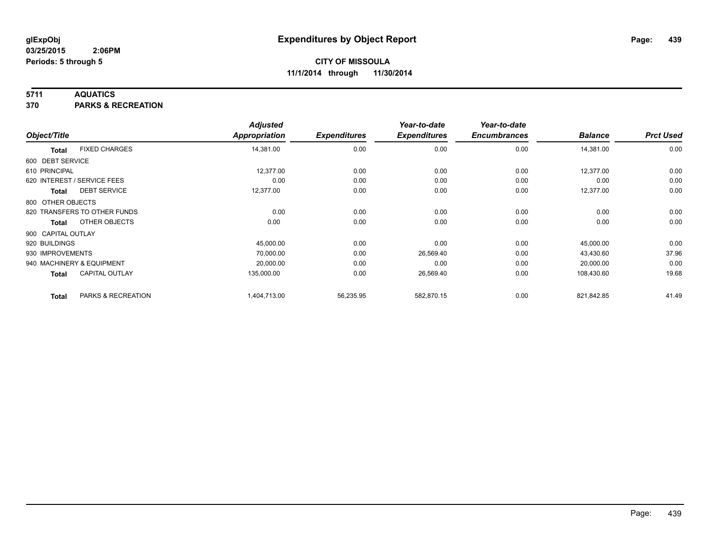### **5711 AQUATICS**

**370 PARKS & RECREATION**

|                    |                              | <b>Adjusted</b> |                     | Year-to-date        | Year-to-date        |                |                  |
|--------------------|------------------------------|-----------------|---------------------|---------------------|---------------------|----------------|------------------|
| Object/Title       |                              | Appropriation   | <b>Expenditures</b> | <b>Expenditures</b> | <b>Encumbrances</b> | <b>Balance</b> | <b>Prct Used</b> |
| <b>Total</b>       | <b>FIXED CHARGES</b>         | 14,381.00       | 0.00                | 0.00                | 0.00                | 14,381.00      | 0.00             |
| 600 DEBT SERVICE   |                              |                 |                     |                     |                     |                |                  |
| 610 PRINCIPAL      |                              | 12,377.00       | 0.00                | 0.00                | 0.00                | 12,377.00      | 0.00             |
|                    | 620 INTEREST / SERVICE FEES  | 0.00            | 0.00                | 0.00                | 0.00                | 0.00           | 0.00             |
| Total              | <b>DEBT SERVICE</b>          | 12,377.00       | 0.00                | 0.00                | 0.00                | 12,377.00      | 0.00             |
| 800 OTHER OBJECTS  |                              |                 |                     |                     |                     |                |                  |
|                    | 820 TRANSFERS TO OTHER FUNDS | 0.00            | 0.00                | 0.00                | 0.00                | 0.00           | 0.00             |
| <b>Total</b>       | OTHER OBJECTS                | 0.00            | 0.00                | 0.00                | 0.00                | 0.00           | 0.00             |
| 900 CAPITAL OUTLAY |                              |                 |                     |                     |                     |                |                  |
| 920 BUILDINGS      |                              | 45,000.00       | 0.00                | 0.00                | 0.00                | 45,000.00      | 0.00             |
| 930 IMPROVEMENTS   |                              | 70,000.00       | 0.00                | 26,569.40           | 0.00                | 43,430.60      | 37.96            |
|                    | 940 MACHINERY & EQUIPMENT    | 20,000.00       | 0.00                | 0.00                | 0.00                | 20,000.00      | 0.00             |
| Total              | <b>CAPITAL OUTLAY</b>        | 135,000.00      | 0.00                | 26,569.40           | 0.00                | 108,430.60     | 19.68            |
| <b>Total</b>       | PARKS & RECREATION           | 1,404,713.00    | 56,235.95           | 582,870.15          | 0.00                | 821,842.85     | 41.49            |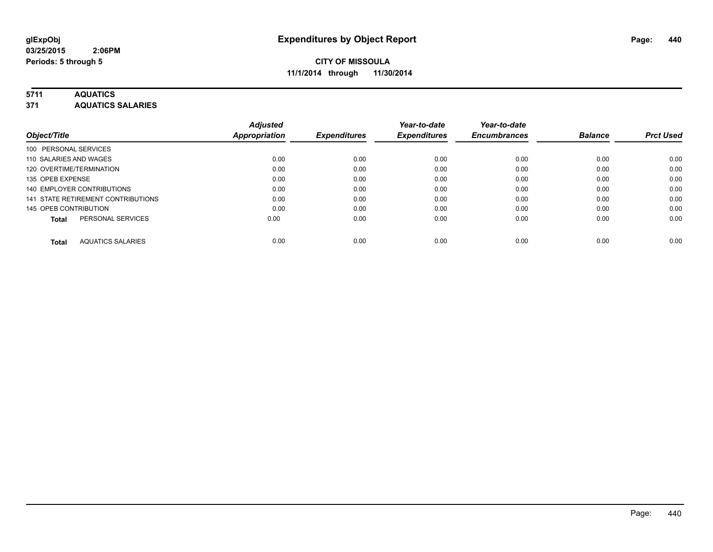# **5711 AQUATICS**

**371 AQUATICS SALARIES**

| Object/Title                             | <b>Adjusted</b><br><b>Appropriation</b> | <b>Expenditures</b> | Year-to-date<br><b>Expenditures</b> | Year-to-date<br><b>Encumbrances</b> | <b>Balance</b> | <b>Prct Used</b> |
|------------------------------------------|-----------------------------------------|---------------------|-------------------------------------|-------------------------------------|----------------|------------------|
| 100 PERSONAL SERVICES                    |                                         |                     |                                     |                                     |                |                  |
| 110 SALARIES AND WAGES                   | 0.00                                    | 0.00                | 0.00                                | 0.00                                | 0.00           | 0.00             |
| 120 OVERTIME/TERMINATION                 | 0.00                                    | 0.00                | 0.00                                | 0.00                                | 0.00           | 0.00             |
| 135 OPEB EXPENSE                         | 0.00                                    | 0.00                | 0.00                                | 0.00                                | 0.00           | 0.00             |
| 140 EMPLOYER CONTRIBUTIONS               | 0.00                                    | 0.00                | 0.00                                | 0.00                                | 0.00           | 0.00             |
| 141 STATE RETIREMENT CONTRIBUTIONS       | 0.00                                    | 0.00                | 0.00                                | 0.00                                | 0.00           | 0.00             |
| 145 OPEB CONTRIBUTION                    | 0.00                                    | 0.00                | 0.00                                | 0.00                                | 0.00           | 0.00             |
| PERSONAL SERVICES<br><b>Total</b>        | 0.00                                    | 0.00                | 0.00                                | 0.00                                | 0.00           | 0.00             |
| <b>AQUATICS SALARIES</b><br><b>Total</b> | 0.00                                    | 0.00                | 0.00                                | 0.00                                | 0.00           | 0.00             |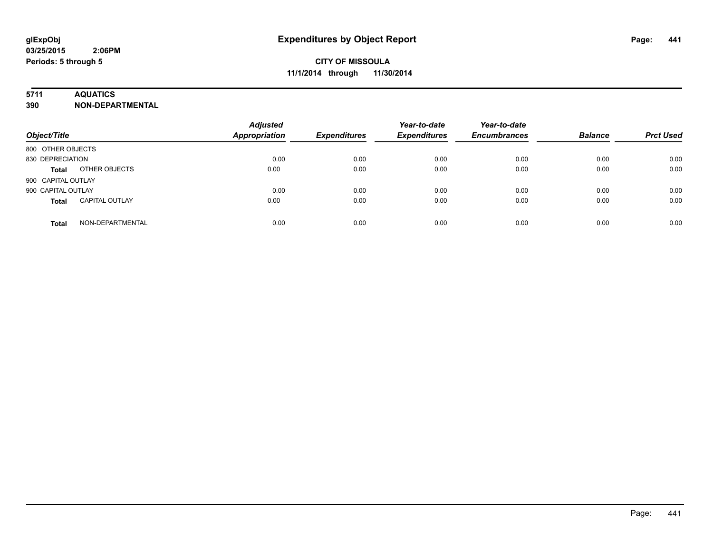### **5711 AQUATICS**

**390 NON-DEPARTMENTAL**

| Object/Title                          | <b>Adjusted</b><br><b>Appropriation</b> | <b>Expenditures</b> | Year-to-date<br><b>Expenditures</b> | Year-to-date<br><b>Encumbrances</b> | <b>Balance</b> | <b>Prct Used</b> |
|---------------------------------------|-----------------------------------------|---------------------|-------------------------------------|-------------------------------------|----------------|------------------|
| 800 OTHER OBJECTS                     |                                         |                     |                                     |                                     |                |                  |
| 830 DEPRECIATION                      | 0.00                                    | 0.00                | 0.00                                | 0.00                                | 0.00           | 0.00             |
| OTHER OBJECTS<br><b>Total</b>         | 0.00                                    | 0.00                | 0.00                                | 0.00                                | 0.00           | 0.00             |
| 900 CAPITAL OUTLAY                    |                                         |                     |                                     |                                     |                |                  |
| 900 CAPITAL OUTLAY                    | 0.00                                    | 0.00                | 0.00                                | 0.00                                | 0.00           | 0.00             |
| <b>CAPITAL OUTLAY</b><br><b>Total</b> | 0.00                                    | 0.00                | 0.00                                | 0.00                                | 0.00           | 0.00             |
| NON-DEPARTMENTAL<br><b>Total</b>      | 0.00                                    | 0.00                | 0.00                                | 0.00                                | 0.00           | 0.00             |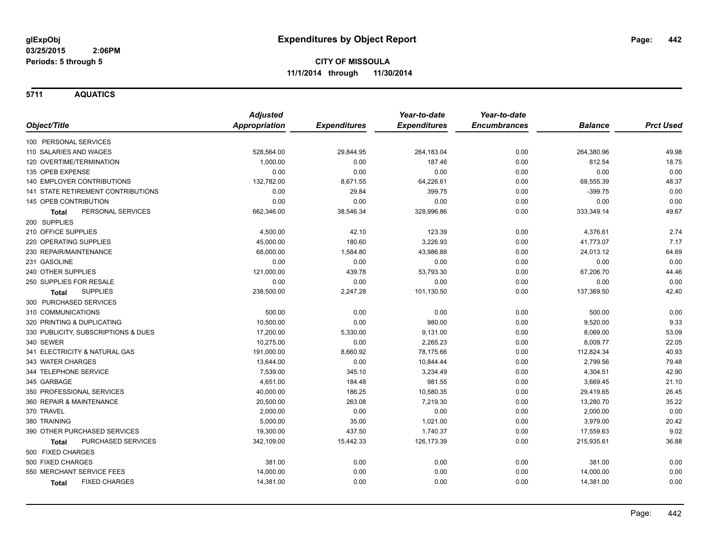**5711 AQUATICS**

|                                           | <b>Adjusted</b>      |                     | Year-to-date        | Year-to-date        |                |                  |
|-------------------------------------------|----------------------|---------------------|---------------------|---------------------|----------------|------------------|
| Object/Title                              | <b>Appropriation</b> | <b>Expenditures</b> | <b>Expenditures</b> | <b>Encumbrances</b> | <b>Balance</b> | <b>Prct Used</b> |
| 100 PERSONAL SERVICES                     |                      |                     |                     |                     |                |                  |
| 110 SALARIES AND WAGES                    | 528,564.00           | 29,844.95           | 264,183.04          | 0.00                | 264,380.96     | 49.98            |
| 120 OVERTIME/TERMINATION                  | 1,000.00             | 0.00                | 187.46              | 0.00                | 812.54         | 18.75            |
| 135 OPEB EXPENSE                          | 0.00                 | 0.00                | 0.00                | 0.00                | 0.00           | 0.00             |
| 140 EMPLOYER CONTRIBUTIONS                | 132,782.00           | 8,671.55            | 64,226.61           | 0.00                | 68,555.39      | 48.37            |
| <b>141 STATE RETIREMENT CONTRIBUTIONS</b> | 0.00                 | 29.84               | 399.75              | 0.00                | $-399.75$      | 0.00             |
| 145 OPEB CONTRIBUTION                     | 0.00                 | 0.00                | 0.00                | 0.00                | 0.00           | 0.00             |
| PERSONAL SERVICES<br>Total                | 662,346.00           | 38,546.34           | 328,996.86          | 0.00                | 333,349.14     | 49.67            |
| 200 SUPPLIES                              |                      |                     |                     |                     |                |                  |
| 210 OFFICE SUPPLIES                       | 4,500.00             | 42.10               | 123.39              | 0.00                | 4,376.61       | 2.74             |
| 220 OPERATING SUPPLIES                    | 45,000.00            | 180.60              | 3,226.93            | 0.00                | 41,773.07      | 7.17             |
| 230 REPAIR/MAINTENANCE                    | 68,000.00            | 1,584.80            | 43,986.88           | 0.00                | 24,013.12      | 64.69            |
| 231 GASOLINE                              | 0.00                 | 0.00                | 0.00                | 0.00                | 0.00           | 0.00             |
| 240 OTHER SUPPLIES                        | 121,000.00           | 439.78              | 53,793.30           | 0.00                | 67,206.70      | 44.46            |
| 250 SUPPLIES FOR RESALE                   | 0.00                 | 0.00                | 0.00                | 0.00                | 0.00           | 0.00             |
| <b>SUPPLIES</b><br><b>Total</b>           | 238,500.00           | 2,247.28            | 101,130.50          | 0.00                | 137,369.50     | 42.40            |
| 300 PURCHASED SERVICES                    |                      |                     |                     |                     |                |                  |
| 310 COMMUNICATIONS                        | 500.00               | 0.00                | 0.00                | 0.00                | 500.00         | 0.00             |
| 320 PRINTING & DUPLICATING                | 10,500.00            | 0.00                | 980.00              | 0.00                | 9,520.00       | 9.33             |
| 330 PUBLICITY, SUBSCRIPTIONS & DUES       | 17,200.00            | 5,330.00            | 9,131.00            | 0.00                | 8,069.00       | 53.09            |
| 340 SEWER                                 | 10,275.00            | 0.00                | 2,265.23            | 0.00                | 8,009.77       | 22.05            |
| 341 ELECTRICITY & NATURAL GAS             | 191,000.00           | 8,660.92            | 78,175.66           | 0.00                | 112,824.34     | 40.93            |
| 343 WATER CHARGES                         | 13,644.00            | 0.00                | 10,844.44           | 0.00                | 2,799.56       | 79.48            |
| 344 TELEPHONE SERVICE                     | 7,539.00             | 345.10              | 3,234.49            | 0.00                | 4,304.51       | 42.90            |
| 345 GARBAGE                               | 4,651.00             | 184.48              | 981.55              | 0.00                | 3,669.45       | 21.10            |
| 350 PROFESSIONAL SERVICES                 | 40,000.00            | 186.25              | 10,580.35           | 0.00                | 29,419.65      | 26.45            |
| 360 REPAIR & MAINTENANCE                  | 20,500.00            | 263.08              | 7,219.30            | 0.00                | 13,280.70      | 35.22            |
| 370 TRAVEL                                | 2,000.00             | 0.00                | 0.00                | 0.00                | 2,000.00       | 0.00             |
| 380 TRAINING                              | 5,000.00             | 35.00               | 1,021.00            | 0.00                | 3,979.00       | 20.42            |
| 390 OTHER PURCHASED SERVICES              | 19,300.00            | 437.50              | 1,740.37            | 0.00                | 17,559.63      | 9.02             |
| PURCHASED SERVICES<br><b>Total</b>        | 342,109.00           | 15,442.33           | 126, 173.39         | 0.00                | 215,935.61     | 36.88            |
| 500 FIXED CHARGES                         |                      |                     |                     |                     |                |                  |
| 500 FIXED CHARGES                         | 381.00               | 0.00                | 0.00                | 0.00                | 381.00         | 0.00             |
| 550 MERCHANT SERVICE FEES                 | 14,000.00            | 0.00                | 0.00                | 0.00                | 14,000.00      | 0.00             |
| <b>FIXED CHARGES</b><br>Total             | 14,381.00            | 0.00                | 0.00                | 0.00                | 14,381.00      | 0.00             |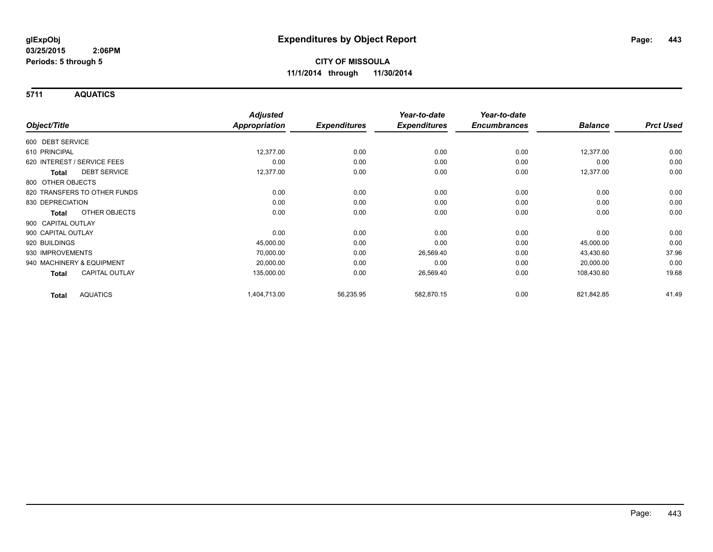**5711 AQUATICS**

|                                       | <b>Adjusted</b>      |                     | Year-to-date        | Year-to-date        |                |                  |
|---------------------------------------|----------------------|---------------------|---------------------|---------------------|----------------|------------------|
| Object/Title                          | <b>Appropriation</b> | <b>Expenditures</b> | <b>Expenditures</b> | <b>Encumbrances</b> | <b>Balance</b> | <b>Prct Used</b> |
| 600 DEBT SERVICE                      |                      |                     |                     |                     |                |                  |
| 610 PRINCIPAL                         | 12,377.00            | 0.00                | 0.00                | 0.00                | 12,377.00      | 0.00             |
| 620 INTEREST / SERVICE FEES           | 0.00                 | 0.00                | 0.00                | 0.00                | 0.00           | 0.00             |
| <b>DEBT SERVICE</b><br><b>Total</b>   | 12,377.00            | 0.00                | 0.00                | 0.00                | 12,377.00      | 0.00             |
| 800 OTHER OBJECTS                     |                      |                     |                     |                     |                |                  |
| 820 TRANSFERS TO OTHER FUNDS          | 0.00                 | 0.00                | 0.00                | 0.00                | 0.00           | 0.00             |
| 830 DEPRECIATION                      | 0.00                 | 0.00                | 0.00                | 0.00                | 0.00           | 0.00             |
| OTHER OBJECTS<br>Total                | 0.00                 | 0.00                | 0.00                | 0.00                | 0.00           | 0.00             |
| 900 CAPITAL OUTLAY                    |                      |                     |                     |                     |                |                  |
| 900 CAPITAL OUTLAY                    | 0.00                 | 0.00                | 0.00                | 0.00                | 0.00           | 0.00             |
| 920 BUILDINGS                         | 45,000.00            | 0.00                | 0.00                | 0.00                | 45,000.00      | 0.00             |
| 930 IMPROVEMENTS                      | 70,000.00            | 0.00                | 26,569.40           | 0.00                | 43,430.60      | 37.96            |
| 940 MACHINERY & EQUIPMENT             | 20,000.00            | 0.00                | 0.00                | 0.00                | 20,000.00      | 0.00             |
| <b>CAPITAL OUTLAY</b><br><b>Total</b> | 135,000.00           | 0.00                | 26,569.40           | 0.00                | 108,430.60     | 19.68            |
| <b>AQUATICS</b><br><b>Total</b>       | 1,404,713.00         | 56,235.95           | 582,870.15          | 0.00                | 821,842.85     | 41.49            |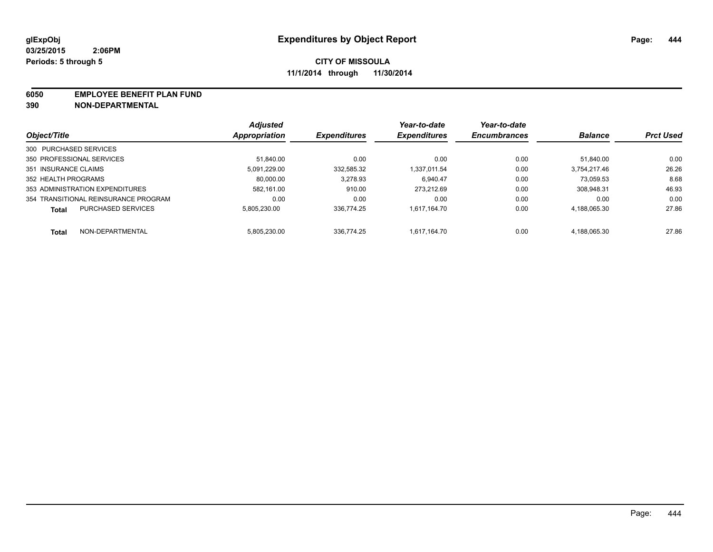#### **6050 EMPLOYEE BENEFIT PLAN FUND**

**390 NON-DEPARTMENTAL**

|                                           | <b>Adjusted</b> | <b>Expenditures</b> | Year-to-date<br><b>Expenditures</b> | Year-to-date<br><b>Encumbrances</b> | <b>Balance</b> | <b>Prct Used</b> |
|-------------------------------------------|-----------------|---------------------|-------------------------------------|-------------------------------------|----------------|------------------|
| Object/Title                              | Appropriation   |                     |                                     |                                     |                |                  |
| 300 PURCHASED SERVICES                    |                 |                     |                                     |                                     |                |                  |
| 350 PROFESSIONAL SERVICES                 | 51.840.00       | 0.00                | 0.00                                | 0.00                                | 51.840.00      | 0.00             |
| 351 INSURANCE CLAIMS                      | 5.091.229.00    | 332.585.32          | 1.337.011.54                        | 0.00                                | 3.754.217.46   | 26.26            |
| 352 HEALTH PROGRAMS                       | 80.000.00       | 3.278.93            | 6.940.47                            | 0.00                                | 73.059.53      | 8.68             |
| 353 ADMINISTRATION EXPENDITURES           | 582.161.00      | 910.00              | 273.212.69                          | 0.00                                | 308,948.31     | 46.93            |
| 354 TRANSITIONAL REINSURANCE PROGRAM      | 0.00            | 0.00                | 0.00                                | 0.00                                | 0.00           | 0.00             |
| <b>PURCHASED SERVICES</b><br><b>Total</b> | 5.805.230.00    | 336.774.25          | 1.617.164.70                        | 0.00                                | 4,188,065.30   | 27.86            |
| NON-DEPARTMENTAL<br>Total                 | 5.805.230.00    | 336.774.25          | 1.617.164.70                        | 0.00                                | 4.188.065.30   | 27.86            |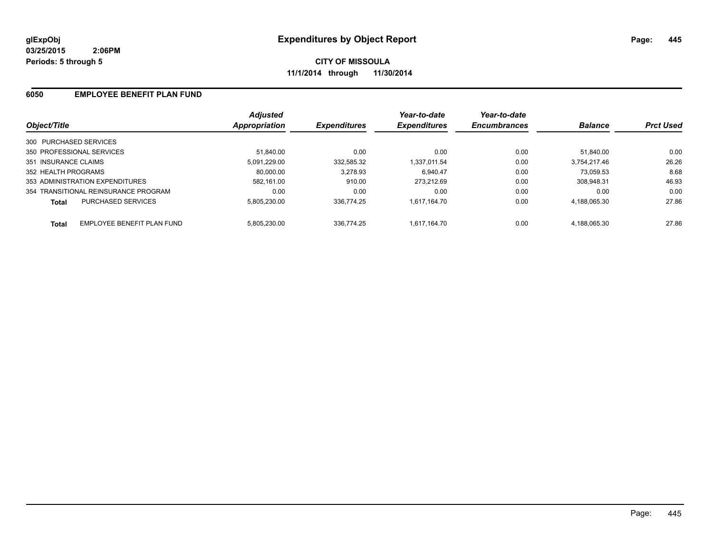### **6050 EMPLOYEE BENEFIT PLAN FUND**

| Object/Title                         |                            | <b>Adjusted</b><br>Appropriation | <b>Expenditures</b> | Year-to-date<br><b>Expenditures</b> | Year-to-date<br><b>Encumbrances</b> | <b>Balance</b> | <b>Prct Used</b> |
|--------------------------------------|----------------------------|----------------------------------|---------------------|-------------------------------------|-------------------------------------|----------------|------------------|
|                                      |                            |                                  |                     |                                     |                                     |                |                  |
| 300 PURCHASED SERVICES               |                            |                                  |                     |                                     |                                     |                |                  |
| 350 PROFESSIONAL SERVICES            |                            | 51.840.00                        | 0.00                | 0.00                                | 0.00                                | 51.840.00      | 0.00             |
| 351 INSURANCE CLAIMS                 |                            | 5.091.229.00                     | 332.585.32          | 1.337.011.54                        | 0.00                                | 3.754.217.46   | 26.26            |
| 352 HEALTH PROGRAMS                  |                            | 80.000.00                        | 3,278.93            | 6.940.47                            | 0.00                                | 73.059.53      | 8.68             |
| 353 ADMINISTRATION EXPENDITURES      |                            | 582.161.00                       | 910.00              | 273.212.69                          | 0.00                                | 308.948.31     | 46.93            |
| 354 TRANSITIONAL REINSURANCE PROGRAM |                            | 0.00                             | 0.00                | 0.00                                | 0.00                                | 0.00           | 0.00             |
| <b>Total</b>                         | <b>PURCHASED SERVICES</b>  | 5.805.230.00                     | 336.774.25          | 1.617.164.70                        | 0.00                                | 4.188.065.30   | 27.86            |
| Total                                | EMPLOYEE BENEFIT PLAN FUND | 5.805.230.00                     | 336.774.25          | 1.617.164.70                        | 0.00                                | 4.188.065.30   | 27.86            |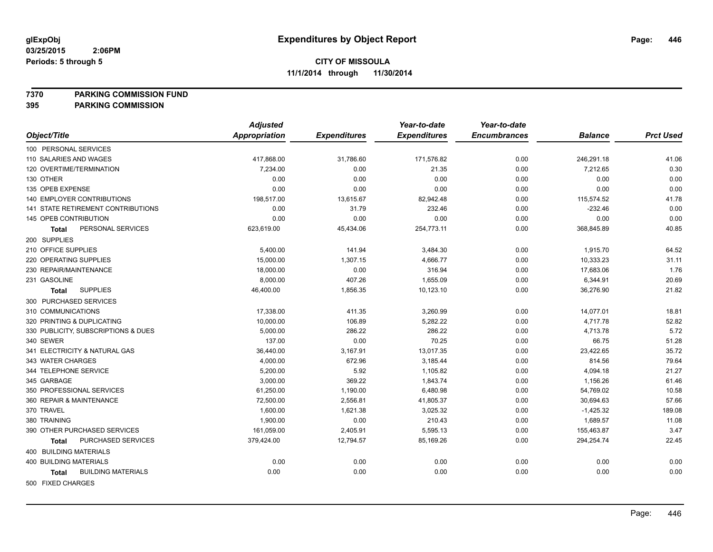## **7370 PARKING COMMISSION FUND**

|                                           | <b>Adjusted</b>      |                     | Year-to-date        | Year-to-date        |                |                  |
|-------------------------------------------|----------------------|---------------------|---------------------|---------------------|----------------|------------------|
| Object/Title                              | <b>Appropriation</b> | <b>Expenditures</b> | <b>Expenditures</b> | <b>Encumbrances</b> | <b>Balance</b> | <b>Prct Used</b> |
| 100 PERSONAL SERVICES                     |                      |                     |                     |                     |                |                  |
| 110 SALARIES AND WAGES                    | 417,868.00           | 31,786.60           | 171,576.82          | 0.00                | 246,291.18     | 41.06            |
| 120 OVERTIME/TERMINATION                  | 7,234.00             | 0.00                | 21.35               | 0.00                | 7,212.65       | 0.30             |
| 130 OTHER                                 | 0.00                 | 0.00                | 0.00                | 0.00                | 0.00           | 0.00             |
| 135 OPEB EXPENSE                          | 0.00                 | 0.00                | 0.00                | 0.00                | 0.00           | 0.00             |
| 140 EMPLOYER CONTRIBUTIONS                | 198,517.00           | 13,615.67           | 82,942.48           | 0.00                | 115,574.52     | 41.78            |
| 141 STATE RETIREMENT CONTRIBUTIONS        | 0.00                 | 31.79               | 232.46              | 0.00                | $-232.46$      | 0.00             |
| 145 OPEB CONTRIBUTION                     | 0.00                 | 0.00                | 0.00                | 0.00                | 0.00           | 0.00             |
| PERSONAL SERVICES<br>Total                | 623,619.00           | 45,434.06           | 254,773.11          | 0.00                | 368,845.89     | 40.85            |
| 200 SUPPLIES                              |                      |                     |                     |                     |                |                  |
| 210 OFFICE SUPPLIES                       | 5,400.00             | 141.94              | 3,484.30            | 0.00                | 1,915.70       | 64.52            |
| 220 OPERATING SUPPLIES                    | 15,000.00            | 1,307.15            | 4,666.77            | 0.00                | 10,333.23      | 31.11            |
| 230 REPAIR/MAINTENANCE                    | 18,000.00            | 0.00                | 316.94              | 0.00                | 17,683.06      | 1.76             |
| 231 GASOLINE                              | 8,000.00             | 407.26              | 1,655.09            | 0.00                | 6,344.91       | 20.69            |
| <b>SUPPLIES</b><br>Total                  | 46,400.00            | 1,856.35            | 10,123.10           | 0.00                | 36,276.90      | 21.82            |
| 300 PURCHASED SERVICES                    |                      |                     |                     |                     |                |                  |
| 310 COMMUNICATIONS                        | 17,338.00            | 411.35              | 3,260.99            | 0.00                | 14,077.01      | 18.81            |
| 320 PRINTING & DUPLICATING                | 10,000.00            | 106.89              | 5,282.22            | 0.00                | 4,717.78       | 52.82            |
| 330 PUBLICITY, SUBSCRIPTIONS & DUES       | 5,000.00             | 286.22              | 286.22              | 0.00                | 4,713.78       | 5.72             |
| 340 SEWER                                 | 137.00               | 0.00                | 70.25               | 0.00                | 66.75          | 51.28            |
| 341 ELECTRICITY & NATURAL GAS             | 36,440.00            | 3,167.91            | 13,017.35           | 0.00                | 23,422.65      | 35.72            |
| 343 WATER CHARGES                         | 4,000.00             | 672.96              | 3,185.44            | 0.00                | 814.56         | 79.64            |
| 344 TELEPHONE SERVICE                     | 5,200.00             | 5.92                | 1,105.82            | 0.00                | 4,094.18       | 21.27            |
| 345 GARBAGE                               | 3,000.00             | 369.22              | 1,843.74            | 0.00                | 1,156.26       | 61.46            |
| 350 PROFESSIONAL SERVICES                 | 61,250.00            | 1,190.00            | 6,480.98            | 0.00                | 54,769.02      | 10.58            |
| 360 REPAIR & MAINTENANCE                  | 72,500.00            | 2,556.81            | 41,805.37           | 0.00                | 30,694.63      | 57.66            |
| 370 TRAVEL                                | 1,600.00             | 1,621.38            | 3,025.32            | 0.00                | $-1,425.32$    | 189.08           |
| 380 TRAINING                              | 1,900.00             | 0.00                | 210.43              | 0.00                | 1,689.57       | 11.08            |
| 390 OTHER PURCHASED SERVICES              | 161,059.00           | 2,405.91            | 5,595.13            | 0.00                | 155,463.87     | 3.47             |
| PURCHASED SERVICES<br><b>Total</b>        | 379,424.00           | 12,794.57           | 85,169.26           | 0.00                | 294,254.74     | 22.45            |
| 400 BUILDING MATERIALS                    |                      |                     |                     |                     |                |                  |
| <b>400 BUILDING MATERIALS</b>             | 0.00                 | 0.00                | 0.00                | 0.00                | 0.00           | 0.00             |
| <b>BUILDING MATERIALS</b><br><b>Total</b> | 0.00                 | 0.00                | 0.00                | 0.00                | 0.00           | 0.00             |
| 500 FIXED CHARGES                         |                      |                     |                     |                     |                |                  |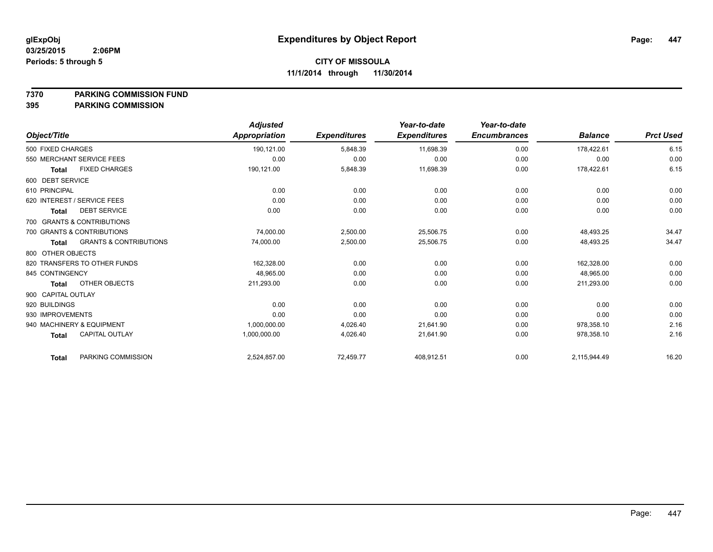#### **7370 PARKING COMMISSION FUND**

|                                                   | <b>Adjusted</b> |                     | Year-to-date        | Year-to-date        |                |                  |
|---------------------------------------------------|-----------------|---------------------|---------------------|---------------------|----------------|------------------|
| Object/Title                                      | Appropriation   | <b>Expenditures</b> | <b>Expenditures</b> | <b>Encumbrances</b> | <b>Balance</b> | <b>Prct Used</b> |
| 500 FIXED CHARGES                                 | 190,121.00      | 5,848.39            | 11,698.39           | 0.00                | 178,422.61     | 6.15             |
| 550 MERCHANT SERVICE FEES                         | 0.00            | 0.00                | 0.00                | 0.00                | 0.00           | 0.00             |
| <b>FIXED CHARGES</b><br><b>Total</b>              | 190,121.00      | 5,848.39            | 11,698.39           | 0.00                | 178,422.61     | 6.15             |
| 600 DEBT SERVICE                                  |                 |                     |                     |                     |                |                  |
| 610 PRINCIPAL                                     | 0.00            | 0.00                | 0.00                | 0.00                | 0.00           | 0.00             |
| 620 INTEREST / SERVICE FEES                       | 0.00            | 0.00                | 0.00                | 0.00                | 0.00           | 0.00             |
| <b>DEBT SERVICE</b><br>Total                      | 0.00            | 0.00                | 0.00                | 0.00                | 0.00           | 0.00             |
| 700 GRANTS & CONTRIBUTIONS                        |                 |                     |                     |                     |                |                  |
| 700 GRANTS & CONTRIBUTIONS                        | 74,000.00       | 2,500.00            | 25,506.75           | 0.00                | 48,493.25      | 34.47            |
| <b>GRANTS &amp; CONTRIBUTIONS</b><br><b>Total</b> | 74,000.00       | 2,500.00            | 25,506.75           | 0.00                | 48,493.25      | 34.47            |
| 800 OTHER OBJECTS                                 |                 |                     |                     |                     |                |                  |
| 820 TRANSFERS TO OTHER FUNDS                      | 162,328.00      | 0.00                | 0.00                | 0.00                | 162,328.00     | 0.00             |
| 845 CONTINGENCY                                   | 48,965.00       | 0.00                | 0.00                | 0.00                | 48,965.00      | 0.00             |
| OTHER OBJECTS<br><b>Total</b>                     | 211,293.00      | 0.00                | 0.00                | 0.00                | 211,293.00     | 0.00             |
| 900 CAPITAL OUTLAY                                |                 |                     |                     |                     |                |                  |
| 920 BUILDINGS                                     | 0.00            | 0.00                | 0.00                | 0.00                | 0.00           | 0.00             |
| 930 IMPROVEMENTS                                  | 0.00            | 0.00                | 0.00                | 0.00                | 0.00           | 0.00             |
| 940 MACHINERY & EQUIPMENT                         | 1,000,000.00    | 4,026.40            | 21,641.90           | 0.00                | 978,358.10     | 2.16             |
| <b>CAPITAL OUTLAY</b><br><b>Total</b>             | 1,000,000.00    | 4,026.40            | 21,641.90           | 0.00                | 978,358.10     | 2.16             |
| PARKING COMMISSION<br><b>Total</b>                | 2,524,857.00    | 72,459.77           | 408,912.51          | 0.00                | 2,115,944.49   | 16.20            |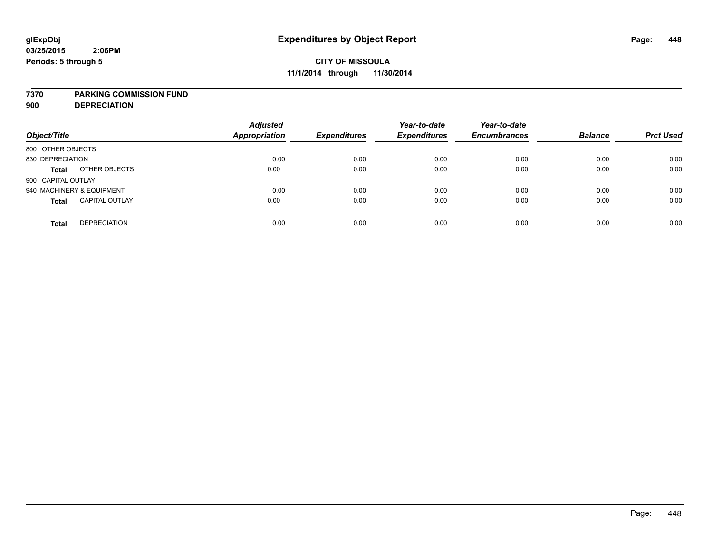#### **7370 PARKING COMMISSION FUND**

**900 DEPRECIATION**

| Object/Title                          | <b>Adjusted</b><br><b>Appropriation</b> | <b>Expenditures</b> | Year-to-date<br><b>Expenditures</b> | Year-to-date<br><b>Encumbrances</b> | <b>Balance</b> | <b>Prct Used</b> |
|---------------------------------------|-----------------------------------------|---------------------|-------------------------------------|-------------------------------------|----------------|------------------|
| 800 OTHER OBJECTS                     |                                         |                     |                                     |                                     |                |                  |
| 830 DEPRECIATION                      | 0.00                                    | 0.00                | 0.00                                | 0.00                                | 0.00           | 0.00             |
| OTHER OBJECTS<br><b>Total</b>         | 0.00                                    | 0.00                | 0.00                                | 0.00                                | 0.00           | 0.00             |
| 900 CAPITAL OUTLAY                    |                                         |                     |                                     |                                     |                |                  |
| 940 MACHINERY & EQUIPMENT             | 0.00                                    | 0.00                | 0.00                                | 0.00                                | 0.00           | 0.00             |
| <b>CAPITAL OUTLAY</b><br><b>Total</b> | 0.00                                    | 0.00                | 0.00                                | 0.00                                | 0.00           | 0.00             |
| <b>DEPRECIATION</b><br><b>Total</b>   | 0.00                                    | 0.00                | 0.00                                | 0.00                                | 0.00           | 0.00             |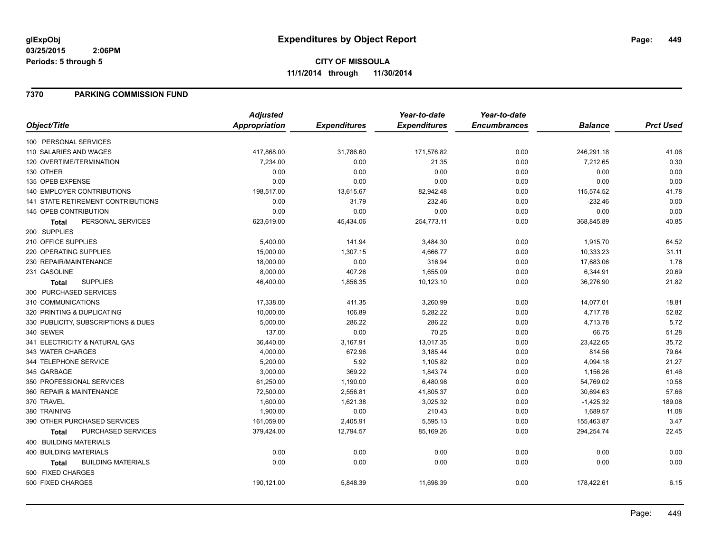### **7370 PARKING COMMISSION FUND**

|                                           | <b>Adjusted</b>      |                     | Year-to-date        | Year-to-date        |                |                  |
|-------------------------------------------|----------------------|---------------------|---------------------|---------------------|----------------|------------------|
| Object/Title                              | <b>Appropriation</b> | <b>Expenditures</b> | <b>Expenditures</b> | <b>Encumbrances</b> | <b>Balance</b> | <b>Prct Used</b> |
| 100 PERSONAL SERVICES                     |                      |                     |                     |                     |                |                  |
| 110 SALARIES AND WAGES                    | 417,868.00           | 31,786.60           | 171,576.82          | 0.00                | 246,291.18     | 41.06            |
| 120 OVERTIME/TERMINATION                  | 7,234.00             | 0.00                | 21.35               | 0.00                | 7,212.65       | 0.30             |
| 130 OTHER                                 | 0.00                 | 0.00                | 0.00                | 0.00                | 0.00           | 0.00             |
| 135 OPEB EXPENSE                          | 0.00                 | 0.00                | 0.00                | 0.00                | 0.00           | 0.00             |
| 140 EMPLOYER CONTRIBUTIONS                | 198,517.00           | 13,615.67           | 82,942.48           | 0.00                | 115,574.52     | 41.78            |
| <b>141 STATE RETIREMENT CONTRIBUTIONS</b> | 0.00                 | 31.79               | 232.46              | 0.00                | $-232.46$      | 0.00             |
| 145 OPEB CONTRIBUTION                     | 0.00                 | 0.00                | 0.00                | 0.00                | 0.00           | 0.00             |
| PERSONAL SERVICES<br>Total                | 623,619.00           | 45,434.06           | 254,773.11          | 0.00                | 368,845.89     | 40.85            |
| 200 SUPPLIES                              |                      |                     |                     |                     |                |                  |
| 210 OFFICE SUPPLIES                       | 5,400.00             | 141.94              | 3,484.30            | 0.00                | 1,915.70       | 64.52            |
| 220 OPERATING SUPPLIES                    | 15,000.00            | 1,307.15            | 4,666.77            | 0.00                | 10,333.23      | 31.11            |
| 230 REPAIR/MAINTENANCE                    | 18,000.00            | 0.00                | 316.94              | 0.00                | 17,683.06      | 1.76             |
| 231 GASOLINE                              | 8,000.00             | 407.26              | 1,655.09            | 0.00                | 6,344.91       | 20.69            |
| <b>SUPPLIES</b><br><b>Total</b>           | 46,400.00            | 1,856.35            | 10,123.10           | 0.00                | 36,276.90      | 21.82            |
| 300 PURCHASED SERVICES                    |                      |                     |                     |                     |                |                  |
| 310 COMMUNICATIONS                        | 17,338.00            | 411.35              | 3,260.99            | 0.00                | 14,077.01      | 18.81            |
| 320 PRINTING & DUPLICATING                | 10,000.00            | 106.89              | 5,282.22            | 0.00                | 4,717.78       | 52.82            |
| 330 PUBLICITY, SUBSCRIPTIONS & DUES       | 5,000.00             | 286.22              | 286.22              | 0.00                | 4,713.78       | 5.72             |
| 340 SEWER                                 | 137.00               | 0.00                | 70.25               | 0.00                | 66.75          | 51.28            |
| 341 ELECTRICITY & NATURAL GAS             | 36,440.00            | 3,167.91            | 13,017.35           | 0.00                | 23,422.65      | 35.72            |
| 343 WATER CHARGES                         | 4,000.00             | 672.96              | 3,185.44            | 0.00                | 814.56         | 79.64            |
| 344 TELEPHONE SERVICE                     | 5,200.00             | 5.92                | 1,105.82            | 0.00                | 4,094.18       | 21.27            |
| 345 GARBAGE                               | 3,000.00             | 369.22              | 1,843.74            | 0.00                | 1,156.26       | 61.46            |
| 350 PROFESSIONAL SERVICES                 | 61,250.00            | 1,190.00            | 6,480.98            | 0.00                | 54,769.02      | 10.58            |
| 360 REPAIR & MAINTENANCE                  | 72,500.00            | 2,556.81            | 41,805.37           | 0.00                | 30,694.63      | 57.66            |
| 370 TRAVEL                                | 1,600.00             | 1,621.38            | 3,025.32            | 0.00                | $-1,425.32$    | 189.08           |
| 380 TRAINING                              | 1,900.00             | 0.00                | 210.43              | 0.00                | 1,689.57       | 11.08            |
| 390 OTHER PURCHASED SERVICES              | 161,059.00           | 2,405.91            | 5,595.13            | 0.00                | 155,463.87     | 3.47             |
| PURCHASED SERVICES<br><b>Total</b>        | 379,424.00           | 12,794.57           | 85,169.26           | 0.00                | 294,254.74     | 22.45            |
| <b>400 BUILDING MATERIALS</b>             |                      |                     |                     |                     |                |                  |
| 400 BUILDING MATERIALS                    | 0.00                 | 0.00                | 0.00                | 0.00                | 0.00           | 0.00             |
| <b>BUILDING MATERIALS</b><br><b>Total</b> | 0.00                 | 0.00                | 0.00                | 0.00                | 0.00           | 0.00             |
| 500 FIXED CHARGES                         |                      |                     |                     |                     |                |                  |
| 500 FIXED CHARGES                         | 190,121.00           | 5,848.39            | 11,698.39           | 0.00                | 178,422.61     | 6.15             |
|                                           |                      |                     |                     |                     |                |                  |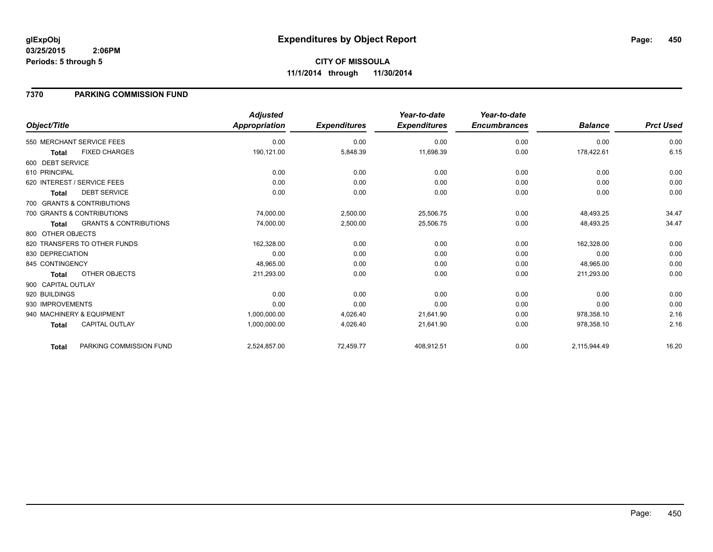### **7370 PARKING COMMISSION FUND**

|                    |                                   | <b>Adjusted</b> |                     | Year-to-date        | Year-to-date        |                |                  |
|--------------------|-----------------------------------|-----------------|---------------------|---------------------|---------------------|----------------|------------------|
| Object/Title       |                                   | Appropriation   | <b>Expenditures</b> | <b>Expenditures</b> | <b>Encumbrances</b> | <b>Balance</b> | <b>Prct Used</b> |
|                    | 550 MERCHANT SERVICE FEES         | 0.00            | 0.00                | 0.00                | 0.00                | 0.00           | 0.00             |
| <b>Total</b>       | <b>FIXED CHARGES</b>              | 190,121.00      | 5,848.39            | 11,698.39           | 0.00                | 178,422.61     | 6.15             |
| 600 DEBT SERVICE   |                                   |                 |                     |                     |                     |                |                  |
| 610 PRINCIPAL      |                                   | 0.00            | 0.00                | 0.00                | 0.00                | 0.00           | 0.00             |
|                    | 620 INTEREST / SERVICE FEES       | 0.00            | 0.00                | 0.00                | 0.00                | 0.00           | 0.00             |
| <b>Total</b>       | <b>DEBT SERVICE</b>               | 0.00            | 0.00                | 0.00                | 0.00                | 0.00           | 0.00             |
|                    | 700 GRANTS & CONTRIBUTIONS        |                 |                     |                     |                     |                |                  |
|                    | 700 GRANTS & CONTRIBUTIONS        | 74,000.00       | 2,500.00            | 25,506.75           | 0.00                | 48,493.25      | 34.47            |
| <b>Total</b>       | <b>GRANTS &amp; CONTRIBUTIONS</b> | 74,000.00       | 2,500.00            | 25,506.75           | 0.00                | 48,493.25      | 34.47            |
| 800 OTHER OBJECTS  |                                   |                 |                     |                     |                     |                |                  |
|                    | 820 TRANSFERS TO OTHER FUNDS      | 162,328.00      | 0.00                | 0.00                | 0.00                | 162,328.00     | 0.00             |
| 830 DEPRECIATION   |                                   | 0.00            | 0.00                | 0.00                | 0.00                | 0.00           | 0.00             |
| 845 CONTINGENCY    |                                   | 48,965.00       | 0.00                | 0.00                | 0.00                | 48,965.00      | 0.00             |
| Total              | OTHER OBJECTS                     | 211,293.00      | 0.00                | 0.00                | 0.00                | 211,293.00     | 0.00             |
| 900 CAPITAL OUTLAY |                                   |                 |                     |                     |                     |                |                  |
| 920 BUILDINGS      |                                   | 0.00            | 0.00                | 0.00                | 0.00                | 0.00           | 0.00             |
| 930 IMPROVEMENTS   |                                   | 0.00            | 0.00                | 0.00                | 0.00                | 0.00           | 0.00             |
|                    | 940 MACHINERY & EQUIPMENT         | 1,000,000.00    | 4,026.40            | 21,641.90           | 0.00                | 978,358.10     | 2.16             |
| <b>Total</b>       | <b>CAPITAL OUTLAY</b>             | 1,000,000.00    | 4,026.40            | 21,641.90           | 0.00                | 978,358.10     | 2.16             |
| Total              | PARKING COMMISSION FUND           | 2,524,857.00    | 72,459.77           | 408,912.51          | 0.00                | 2,115,944.49   | 16.20            |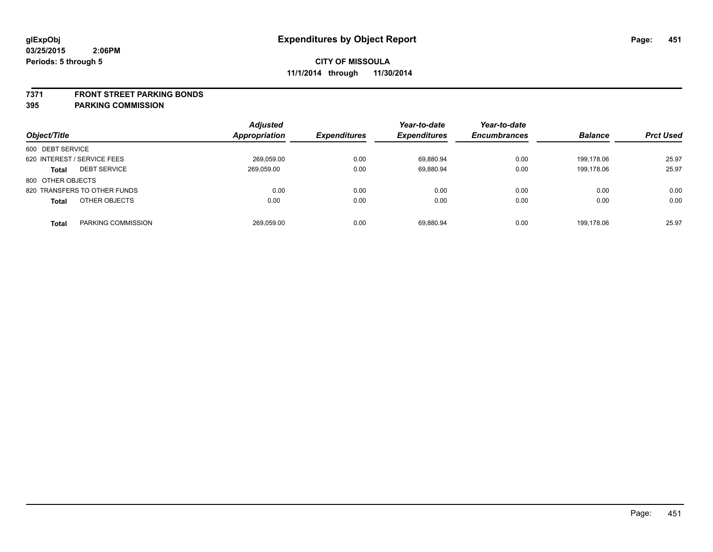#### **7371 FRONT STREET PARKING BONDS**

| Object/Title                        | <b>Adjusted</b><br><b>Appropriation</b> | <b>Expenditures</b> | Year-to-date<br><b>Expenditures</b> | Year-to-date<br><b>Encumbrances</b> | <b>Balance</b> | <b>Prct Used</b> |
|-------------------------------------|-----------------------------------------|---------------------|-------------------------------------|-------------------------------------|----------------|------------------|
| 600 DEBT SERVICE                    |                                         |                     |                                     |                                     |                |                  |
| 620 INTEREST / SERVICE FEES         | 269,059.00                              | 0.00                | 69,880.94                           | 0.00                                | 199.178.06     | 25.97            |
| <b>DEBT SERVICE</b><br><b>Total</b> | 269,059.00                              | 0.00                | 69,880.94                           | 0.00                                | 199.178.06     | 25.97            |
| 800 OTHER OBJECTS                   |                                         |                     |                                     |                                     |                |                  |
| 820 TRANSFERS TO OTHER FUNDS        | 0.00                                    | 0.00                | 0.00                                | 0.00                                | 0.00           | 0.00             |
| OTHER OBJECTS<br><b>Total</b>       | 0.00                                    | 0.00                | 0.00                                | 0.00                                | 0.00           | 0.00             |
| PARKING COMMISSION<br>Total         | 269.059.00                              | 0.00                | 69.880.94                           | 0.00                                | 199.178.06     | 25.97            |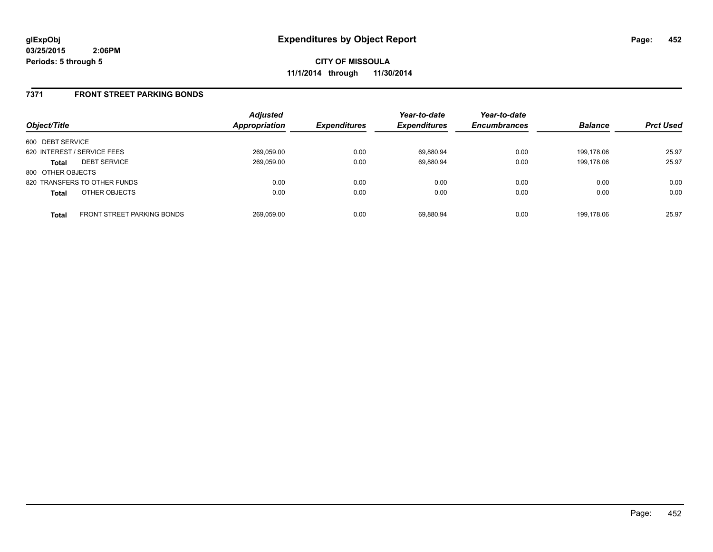### **7371 FRONT STREET PARKING BONDS**

| Object/Title                |                                   | <b>Adjusted</b><br><b>Appropriation</b> | <b>Expenditures</b> | Year-to-date<br><b>Expenditures</b> | Year-to-date<br><b>Encumbrances</b> | <b>Balance</b> | <b>Prct Used</b> |
|-----------------------------|-----------------------------------|-----------------------------------------|---------------------|-------------------------------------|-------------------------------------|----------------|------------------|
| 600 DEBT SERVICE            |                                   |                                         |                     |                                     |                                     |                |                  |
| 620 INTEREST / SERVICE FEES |                                   | 269,059.00                              | 0.00                | 69.880.94                           | 0.00                                | 199.178.06     | 25.97            |
| <b>Total</b>                | <b>DEBT SERVICE</b>               | 269,059.00                              | 0.00                | 69.880.94                           | 0.00                                | 199.178.06     | 25.97            |
| 800 OTHER OBJECTS           |                                   |                                         |                     |                                     |                                     |                |                  |
|                             | 820 TRANSFERS TO OTHER FUNDS      | 0.00                                    | 0.00                | 0.00                                | 0.00                                | 0.00           | 0.00             |
| <b>Total</b>                | OTHER OBJECTS                     | 0.00                                    | 0.00                | 0.00                                | 0.00                                | 0.00           | 0.00             |
| <b>Total</b>                | <b>FRONT STREET PARKING BONDS</b> | 269.059.00                              | 0.00                | 69.880.94                           | 0.00                                | 199.178.06     | 25.97            |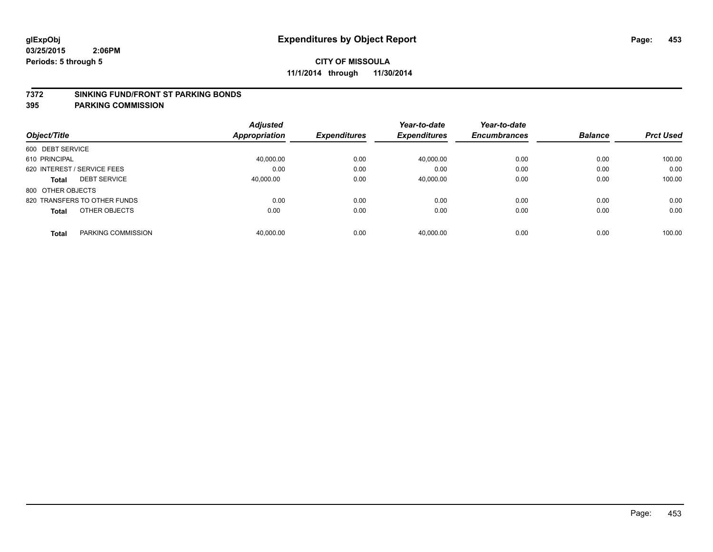#### **7372 SINKING FUND/FRONT ST PARKING BONDS**

|                                     | <b>Adjusted</b> | <b>Expenditures</b> | Year-to-date<br><b>Expenditures</b> | Year-to-date<br><b>Encumbrances</b> | <b>Balance</b> | <b>Prct Used</b> |
|-------------------------------------|-----------------|---------------------|-------------------------------------|-------------------------------------|----------------|------------------|
| Object/Title                        | Appropriation   |                     |                                     |                                     |                |                  |
| 600 DEBT SERVICE                    |                 |                     |                                     |                                     |                |                  |
| 610 PRINCIPAL                       | 40.000.00       | 0.00                | 40.000.00                           | 0.00                                | 0.00           | 100.00           |
| 620 INTEREST / SERVICE FEES         | 0.00            | 0.00                | 0.00                                | 0.00                                | 0.00           | 0.00             |
| <b>DEBT SERVICE</b><br><b>Total</b> | 40.000.00       | 0.00                | 40,000.00                           | 0.00                                | 0.00           | 100.00           |
| 800 OTHER OBJECTS                   |                 |                     |                                     |                                     |                |                  |
| 820 TRANSFERS TO OTHER FUNDS        | 0.00            | 0.00                | 0.00                                | 0.00                                | 0.00           | 0.00             |
| OTHER OBJECTS<br><b>Total</b>       | 0.00            | 0.00                | 0.00                                | 0.00                                | 0.00           | 0.00             |
| PARKING COMMISSION<br><b>Total</b>  | 40,000.00       | 0.00                | 40.000.00                           | 0.00                                | 0.00           | 100.00           |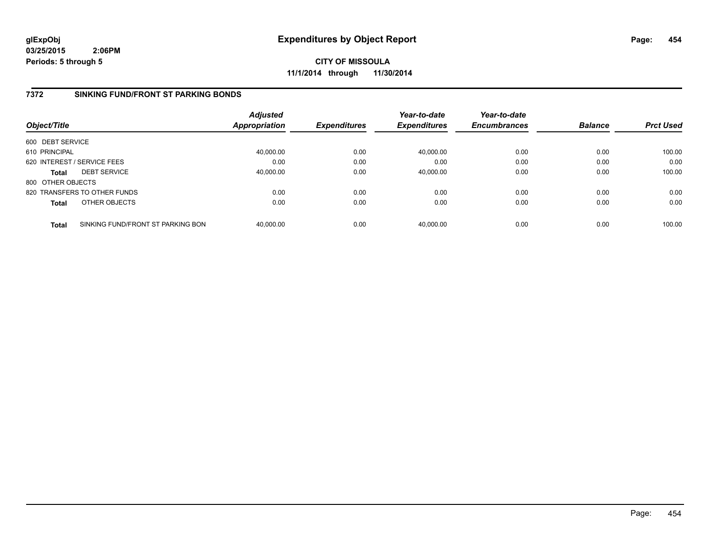**CITY OF MISSOULA 11/1/2014 through 11/30/2014**

## **7372 SINKING FUND/FRONT ST PARKING BONDS**

| Object/Title      |                                   | <b>Adjusted</b><br><b>Appropriation</b> | <b>Expenditures</b> | Year-to-date<br><b>Expenditures</b> | Year-to-date<br><b>Encumbrances</b> | <b>Balance</b> | <b>Prct Used</b> |
|-------------------|-----------------------------------|-----------------------------------------|---------------------|-------------------------------------|-------------------------------------|----------------|------------------|
| 600 DEBT SERVICE  |                                   |                                         |                     |                                     |                                     |                |                  |
| 610 PRINCIPAL     |                                   | 40,000.00                               | 0.00                | 40,000.00                           | 0.00                                | 0.00           | 100.00           |
|                   | 620 INTEREST / SERVICE FEES       | 0.00                                    | 0.00                | 0.00                                | 0.00                                | 0.00           | 0.00             |
| <b>Total</b>      | <b>DEBT SERVICE</b>               | 40,000.00                               | 0.00                | 40,000.00                           | 0.00                                | 0.00           | 100.00           |
| 800 OTHER OBJECTS |                                   |                                         |                     |                                     |                                     |                |                  |
|                   | 820 TRANSFERS TO OTHER FUNDS      | 0.00                                    | 0.00                | 0.00                                | 0.00                                | 0.00           | 0.00             |
| <b>Total</b>      | OTHER OBJECTS                     | 0.00                                    | 0.00                | 0.00                                | 0.00                                | 0.00           | 0.00             |
| <b>Total</b>      | SINKING FUND/FRONT ST PARKING BON | 40.000.00                               | 0.00                | 40.000.00                           | 0.00                                | 0.00           | 100.00           |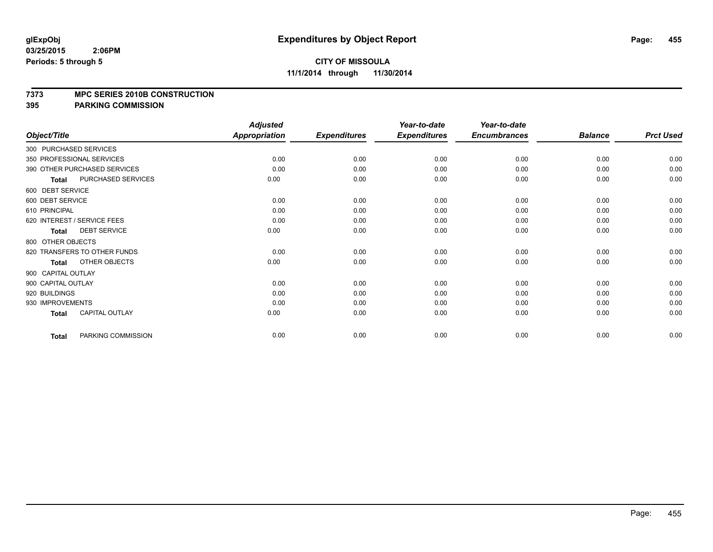## **CITY OF MISSOULA 11/1/2014 through 11/30/2014**

#### **7373 MPC SERIES 2010B CONSTRUCTION**

| Object/Title           |                              | <b>Adjusted</b><br><b>Appropriation</b> | <b>Expenditures</b> | Year-to-date<br><b>Expenditures</b> | Year-to-date<br><b>Encumbrances</b> | <b>Balance</b> | <b>Prct Used</b> |
|------------------------|------------------------------|-----------------------------------------|---------------------|-------------------------------------|-------------------------------------|----------------|------------------|
| 300 PURCHASED SERVICES |                              |                                         |                     |                                     |                                     |                |                  |
|                        | 350 PROFESSIONAL SERVICES    | 0.00                                    | 0.00                | 0.00                                | 0.00                                | 0.00           | 0.00             |
|                        |                              |                                         |                     |                                     |                                     |                |                  |
|                        | 390 OTHER PURCHASED SERVICES | 0.00                                    | 0.00                | 0.00                                | 0.00                                | 0.00           | 0.00             |
| <b>Total</b>           | PURCHASED SERVICES           | 0.00                                    | 0.00                | 0.00                                | 0.00                                | 0.00           | 0.00             |
| 600 DEBT SERVICE       |                              |                                         |                     |                                     |                                     |                |                  |
| 600 DEBT SERVICE       |                              | 0.00                                    | 0.00                | 0.00                                | 0.00                                | 0.00           | 0.00             |
| 610 PRINCIPAL          |                              | 0.00                                    | 0.00                | 0.00                                | 0.00                                | 0.00           | 0.00             |
|                        | 620 INTEREST / SERVICE FEES  | 0.00                                    | 0.00                | 0.00                                | 0.00                                | 0.00           | 0.00             |
| <b>Total</b>           | <b>DEBT SERVICE</b>          | 0.00                                    | 0.00                | 0.00                                | 0.00                                | 0.00           | 0.00             |
| 800 OTHER OBJECTS      |                              |                                         |                     |                                     |                                     |                |                  |
|                        | 820 TRANSFERS TO OTHER FUNDS | 0.00                                    | 0.00                | 0.00                                | 0.00                                | 0.00           | 0.00             |
| <b>Total</b>           | OTHER OBJECTS                | 0.00                                    | 0.00                | 0.00                                | 0.00                                | 0.00           | 0.00             |
| 900 CAPITAL OUTLAY     |                              |                                         |                     |                                     |                                     |                |                  |
| 900 CAPITAL OUTLAY     |                              | 0.00                                    | 0.00                | 0.00                                | 0.00                                | 0.00           | 0.00             |
| 920 BUILDINGS          |                              | 0.00                                    | 0.00                | 0.00                                | 0.00                                | 0.00           | 0.00             |
| 930 IMPROVEMENTS       |                              | 0.00                                    | 0.00                | 0.00                                | 0.00                                | 0.00           | 0.00             |
| <b>Total</b>           | CAPITAL OUTLAY               | 0.00                                    | 0.00                | 0.00                                | 0.00                                | 0.00           | 0.00             |
| <b>Total</b>           | PARKING COMMISSION           | 0.00                                    | 0.00                | 0.00                                | 0.00                                | 0.00           | 0.00             |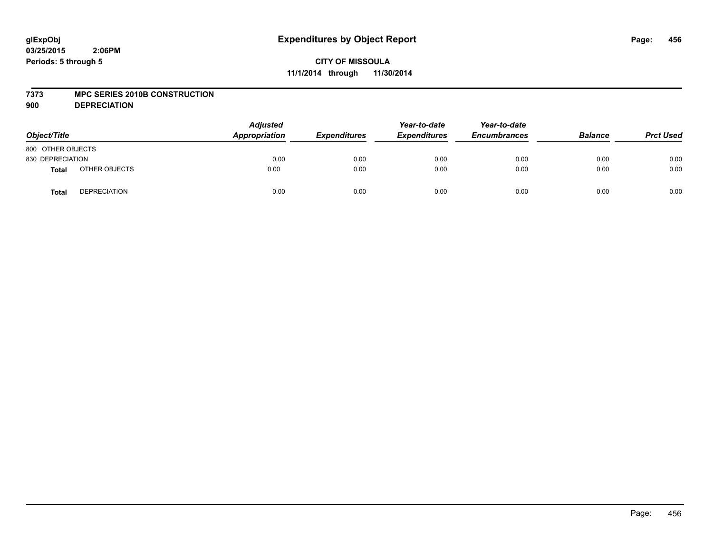#### **7373 MPC SERIES 2010B CONSTRUCTION**

**900 DEPRECIATION**

| Object/Title      |                     | <b>Adjusted</b><br>Appropriation | <b>Expenditures</b> | Year-to-date<br><b>Expenditures</b> | Year-to-date<br><b>Encumbrances</b> | <b>Balance</b> | <b>Prct Used</b> |
|-------------------|---------------------|----------------------------------|---------------------|-------------------------------------|-------------------------------------|----------------|------------------|
| 800 OTHER OBJECTS |                     |                                  |                     |                                     |                                     |                |                  |
| 830 DEPRECIATION  |                     | 0.00                             | 0.00                | 0.00                                | 0.00                                | 0.00           | 0.00             |
| <b>Total</b>      | OTHER OBJECTS       | 0.00                             | 0.00                | 0.00                                | 0.00                                | 0.00           | 0.00             |
| <b>Total</b>      | <b>DEPRECIATION</b> | 0.00                             | 0.00                | 0.00                                | 0.00                                | 0.00           | 0.00             |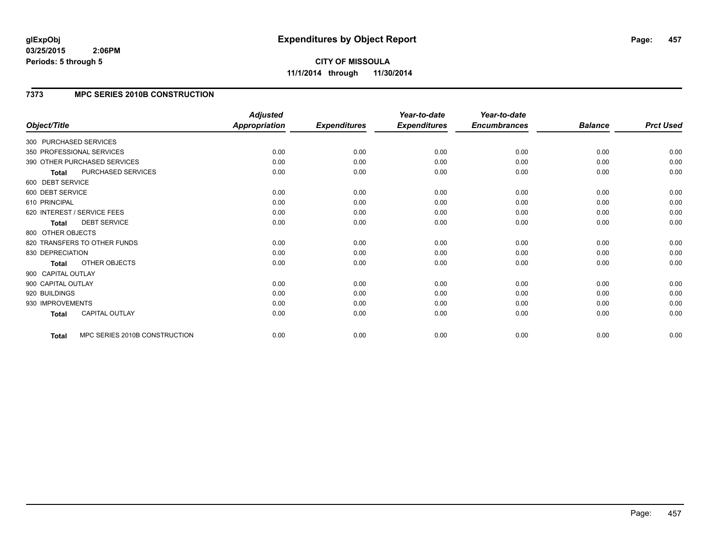# **7373 MPC SERIES 2010B CONSTRUCTION**

| Object/Title           |                               | <b>Adjusted</b><br><b>Appropriation</b> | <b>Expenditures</b> | Year-to-date<br><b>Expenditures</b> | Year-to-date<br><b>Encumbrances</b> | <b>Balance</b> | <b>Prct Used</b> |
|------------------------|-------------------------------|-----------------------------------------|---------------------|-------------------------------------|-------------------------------------|----------------|------------------|
|                        |                               |                                         |                     |                                     |                                     |                |                  |
| 300 PURCHASED SERVICES |                               |                                         |                     |                                     |                                     |                |                  |
|                        | 350 PROFESSIONAL SERVICES     | 0.00                                    | 0.00                | 0.00                                | 0.00                                | 0.00           | 0.00             |
|                        | 390 OTHER PURCHASED SERVICES  | 0.00                                    | 0.00                | 0.00                                | 0.00                                | 0.00           | 0.00             |
| <b>Total</b>           | PURCHASED SERVICES            | 0.00                                    | 0.00                | 0.00                                | 0.00                                | 0.00           | 0.00             |
| 600 DEBT SERVICE       |                               |                                         |                     |                                     |                                     |                |                  |
| 600 DEBT SERVICE       |                               | 0.00                                    | 0.00                | 0.00                                | 0.00                                | 0.00           | 0.00             |
| 610 PRINCIPAL          |                               | 0.00                                    | 0.00                | 0.00                                | 0.00                                | 0.00           | 0.00             |
|                        | 620 INTEREST / SERVICE FEES   | 0.00                                    | 0.00                | 0.00                                | 0.00                                | 0.00           | 0.00             |
| <b>Total</b>           | <b>DEBT SERVICE</b>           | 0.00                                    | 0.00                | 0.00                                | 0.00                                | 0.00           | 0.00             |
| 800 OTHER OBJECTS      |                               |                                         |                     |                                     |                                     |                |                  |
|                        | 820 TRANSFERS TO OTHER FUNDS  | 0.00                                    | 0.00                | 0.00                                | 0.00                                | 0.00           | 0.00             |
| 830 DEPRECIATION       |                               | 0.00                                    | 0.00                | 0.00                                | 0.00                                | 0.00           | 0.00             |
| <b>Total</b>           | OTHER OBJECTS                 | 0.00                                    | 0.00                | 0.00                                | 0.00                                | 0.00           | 0.00             |
| 900 CAPITAL OUTLAY     |                               |                                         |                     |                                     |                                     |                |                  |
| 900 CAPITAL OUTLAY     |                               | 0.00                                    | 0.00                | 0.00                                | 0.00                                | 0.00           | 0.00             |
| 920 BUILDINGS          |                               | 0.00                                    | 0.00                | 0.00                                | 0.00                                | 0.00           | 0.00             |
| 930 IMPROVEMENTS       |                               | 0.00                                    | 0.00                | 0.00                                | 0.00                                | 0.00           | 0.00             |
| <b>Total</b>           | <b>CAPITAL OUTLAY</b>         | 0.00                                    | 0.00                | 0.00                                | 0.00                                | 0.00           | 0.00             |
| <b>Total</b>           | MPC SERIES 2010B CONSTRUCTION | 0.00                                    | 0.00                | 0.00                                | 0.00                                | 0.00           | 0.00             |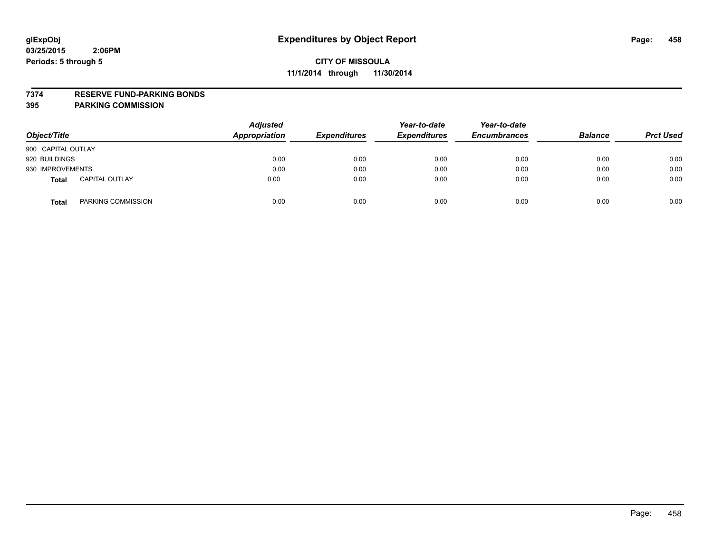#### **7374 RESERVE FUND-PARKING BONDS**

| Object/Title                          | <b>Adjusted</b><br><b>Appropriation</b> | <b>Expenditures</b> | Year-to-date<br><b>Expenditures</b> | Year-to-date<br><b>Encumbrances</b> | <b>Balance</b> | <b>Prct Used</b> |
|---------------------------------------|-----------------------------------------|---------------------|-------------------------------------|-------------------------------------|----------------|------------------|
| 900 CAPITAL OUTLAY                    |                                         |                     |                                     |                                     |                |                  |
| 920 BUILDINGS                         | 0.00                                    | 0.00                | 0.00                                | 0.00                                | 0.00           | 0.00             |
| 930 IMPROVEMENTS                      | 0.00                                    | 0.00                | 0.00                                | 0.00                                | 0.00           | 0.00             |
| <b>CAPITAL OUTLAY</b><br><b>Total</b> | 0.00                                    | 0.00                | 0.00                                | 0.00                                | 0.00           | 0.00             |
| PARKING COMMISSION<br><b>Total</b>    | 0.00                                    | 0.00                | 0.00                                | 0.00                                | 0.00           | 0.00             |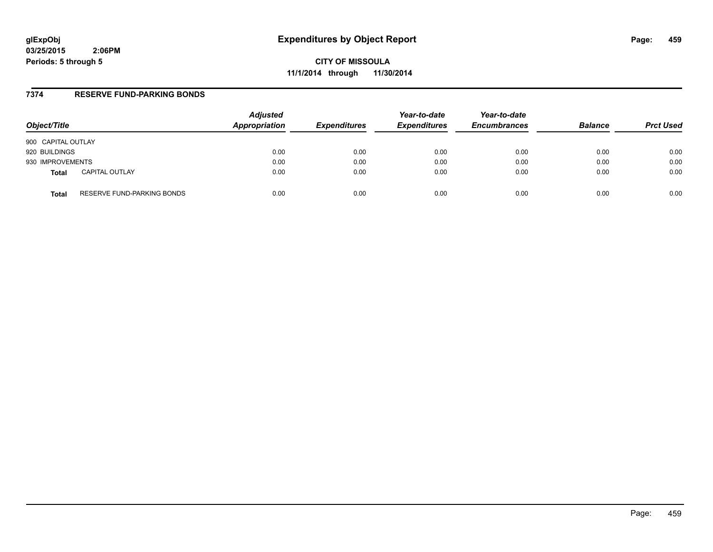**CITY OF MISSOULA 11/1/2014 through 11/30/2014**

### **7374 RESERVE FUND-PARKING BONDS**

| Object/Title       |                            | <b>Adjusted</b><br>Appropriation | <b>Expenditures</b> | Year-to-date<br><b>Expenditures</b> | Year-to-date<br><b>Encumbrances</b> | <b>Balance</b> | <b>Prct Used</b> |
|--------------------|----------------------------|----------------------------------|---------------------|-------------------------------------|-------------------------------------|----------------|------------------|
| 900 CAPITAL OUTLAY |                            |                                  |                     |                                     |                                     |                |                  |
| 920 BUILDINGS      |                            | 0.00                             | 0.00                | 0.00                                | 0.00                                | 0.00           | 0.00             |
| 930 IMPROVEMENTS   |                            | 0.00                             | 0.00                | 0.00                                | 0.00                                | 0.00           | 0.00             |
| <b>Total</b>       | <b>CAPITAL OUTLAY</b>      | 0.00                             | 0.00                | 0.00                                | 0.00                                | 0.00           | 0.00             |
| <b>Total</b>       | RESERVE FUND-PARKING BONDS | 0.00                             | 0.00                | 0.00                                | 0.00                                | 0.00           | 0.00             |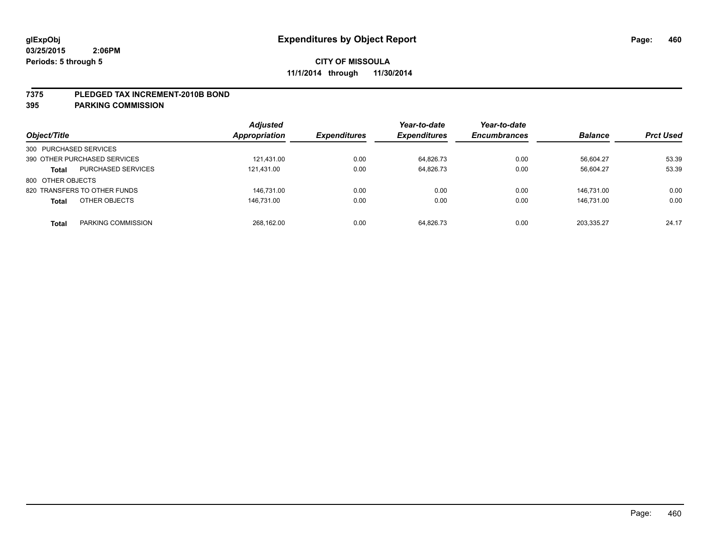#### **7375 PLEDGED TAX INCREMENT-2010B BOND**

| Object/Title                              | <b>Adjusted</b><br><b>Appropriation</b> | <b>Expenditures</b> | Year-to-date<br><b>Expenditures</b> | Year-to-date<br><b>Encumbrances</b> | <b>Balance</b> | <b>Prct Used</b> |
|-------------------------------------------|-----------------------------------------|---------------------|-------------------------------------|-------------------------------------|----------------|------------------|
| 300 PURCHASED SERVICES                    |                                         |                     |                                     |                                     |                |                  |
| 390 OTHER PURCHASED SERVICES              | 121.431.00                              | 0.00                | 64.826.73                           | 0.00                                | 56.604.27      | 53.39            |
| <b>PURCHASED SERVICES</b><br><b>Total</b> | 121,431.00                              | 0.00                | 64,826.73                           | 0.00                                | 56,604.27      | 53.39            |
| 800 OTHER OBJECTS                         |                                         |                     |                                     |                                     |                |                  |
| 820 TRANSFERS TO OTHER FUNDS              | 146.731.00                              | 0.00                | 0.00                                | 0.00                                | 146.731.00     | 0.00             |
| OTHER OBJECTS<br><b>Total</b>             | 146.731.00                              | 0.00                | 0.00                                | 0.00                                | 146.731.00     | 0.00             |
| PARKING COMMISSION<br><b>Total</b>        | 268.162.00                              | 0.00                | 64.826.73                           | 0.00                                | 203.335.27     | 24.17            |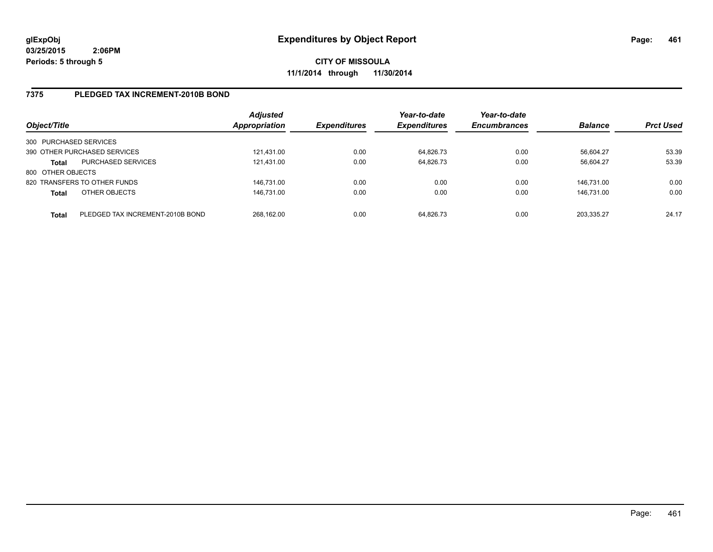## **7375 PLEDGED TAX INCREMENT-2010B BOND**

| Object/Title           |                                  | <b>Adjusted</b><br>Appropriation | <b>Expenditures</b> | Year-to-date<br><b>Expenditures</b> | Year-to-date<br><b>Encumbrances</b> | <b>Balance</b> | <b>Prct Used</b> |
|------------------------|----------------------------------|----------------------------------|---------------------|-------------------------------------|-------------------------------------|----------------|------------------|
| 300 PURCHASED SERVICES |                                  |                                  |                     |                                     |                                     |                |                  |
|                        | 390 OTHER PURCHASED SERVICES     | 121.431.00                       | 0.00                | 64,826.73                           | 0.00                                | 56,604.27      | 53.39            |
| <b>Total</b>           | <b>PURCHASED SERVICES</b>        | 121.431.00                       | 0.00                | 64.826.73                           | 0.00                                | 56.604.27      | 53.39            |
| 800 OTHER OBJECTS      |                                  |                                  |                     |                                     |                                     |                |                  |
|                        | 820 TRANSFERS TO OTHER FUNDS     | 146.731.00                       | 0.00                | 0.00                                | 0.00                                | 146.731.00     | 0.00             |
| <b>Total</b>           | OTHER OBJECTS                    | 146.731.00                       | 0.00                | 0.00                                | 0.00                                | 146.731.00     | 0.00             |
| <b>Total</b>           | PLEDGED TAX INCREMENT-2010B BOND | 268.162.00                       | 0.00                | 64.826.73                           | 0.00                                | 203.335.27     | 24.17            |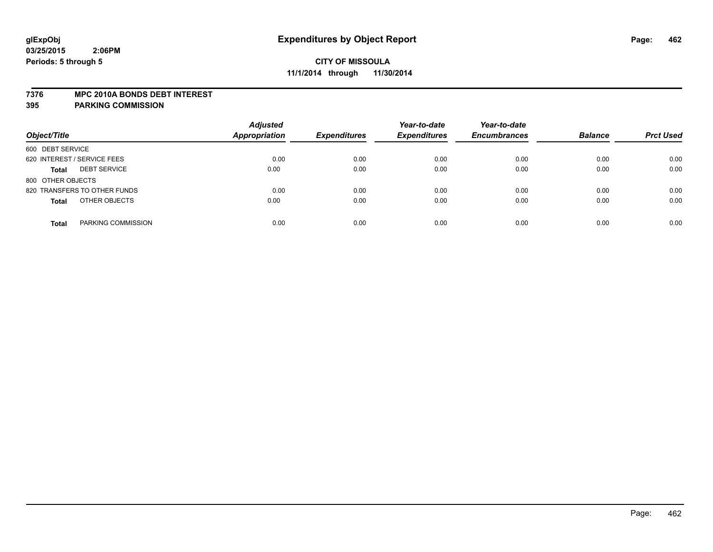#### **7376 MPC 2010A BONDS DEBT INTEREST**

| Object/Title                        | <b>Adjusted</b><br><b>Appropriation</b> | <b>Expenditures</b> | Year-to-date<br><b>Expenditures</b> | Year-to-date<br><b>Encumbrances</b> | <b>Balance</b> | <b>Prct Used</b> |
|-------------------------------------|-----------------------------------------|---------------------|-------------------------------------|-------------------------------------|----------------|------------------|
| 600 DEBT SERVICE                    |                                         |                     |                                     |                                     |                |                  |
| 620 INTEREST / SERVICE FEES         | 0.00                                    | 0.00                | 0.00                                | 0.00                                | 0.00           | 0.00             |
| <b>DEBT SERVICE</b><br><b>Total</b> | 0.00                                    | 0.00                | 0.00                                | 0.00                                | 0.00           | 0.00             |
| 800 OTHER OBJECTS                   |                                         |                     |                                     |                                     |                |                  |
| 820 TRANSFERS TO OTHER FUNDS        | 0.00                                    | 0.00                | 0.00                                | 0.00                                | 0.00           | 0.00             |
| OTHER OBJECTS<br><b>Total</b>       | 0.00                                    | 0.00                | 0.00                                | 0.00                                | 0.00           | 0.00             |
| PARKING COMMISSION<br><b>Total</b>  | 0.00                                    | 0.00                | 0.00                                | 0.00                                | 0.00           | 0.00             |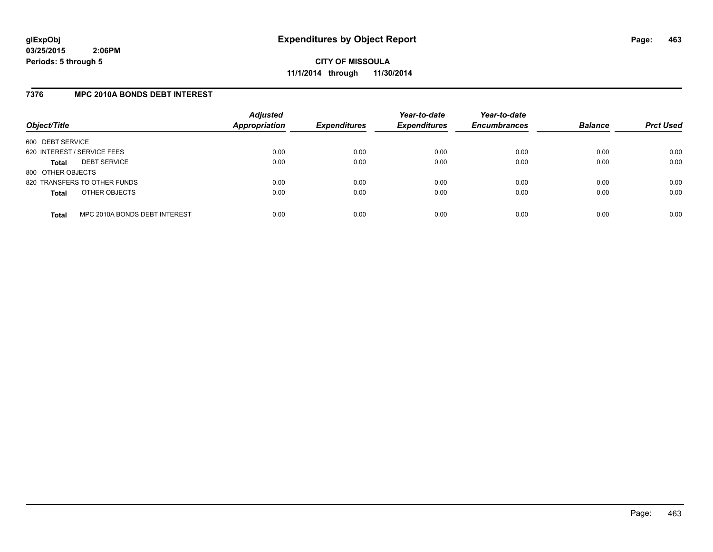### **7376 MPC 2010A BONDS DEBT INTEREST**

| Object/Title                |                               | <b>Adjusted</b><br><b>Appropriation</b> | <b>Expenditures</b> | Year-to-date<br><b>Expenditures</b> | Year-to-date<br><b>Encumbrances</b> | <b>Balance</b> | <b>Prct Used</b> |
|-----------------------------|-------------------------------|-----------------------------------------|---------------------|-------------------------------------|-------------------------------------|----------------|------------------|
| 600 DEBT SERVICE            |                               |                                         |                     |                                     |                                     |                |                  |
| 620 INTEREST / SERVICE FEES |                               | 0.00                                    | 0.00                | 0.00                                | 0.00                                | 0.00           | 0.00             |
| <b>Total</b>                | <b>DEBT SERVICE</b>           | 0.00                                    | 0.00                | 0.00                                | 0.00                                | 0.00           | 0.00             |
| 800 OTHER OBJECTS           |                               |                                         |                     |                                     |                                     |                |                  |
|                             | 820 TRANSFERS TO OTHER FUNDS  | 0.00                                    | 0.00                | 0.00                                | 0.00                                | 0.00           | 0.00             |
| <b>Total</b>                | OTHER OBJECTS                 | 0.00                                    | 0.00                | 0.00                                | 0.00                                | 0.00           | 0.00             |
| <b>Total</b>                | MPC 2010A BONDS DEBT INTEREST | 0.00                                    | 0.00                | 0.00                                | 0.00                                | 0.00           | 0.00             |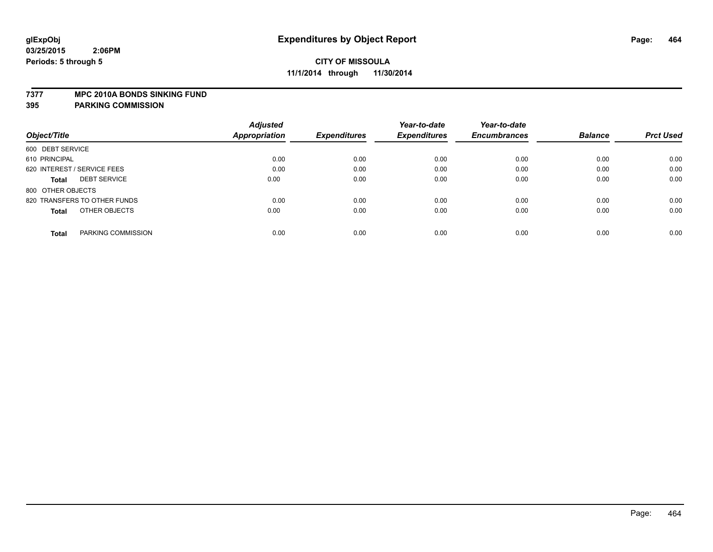#### **7377 MPC 2010A BONDS SINKING FUND**

|                                     | <b>Adjusted</b> |                     | Year-to-date        | Year-to-date        |                |                  |
|-------------------------------------|-----------------|---------------------|---------------------|---------------------|----------------|------------------|
| Object/Title                        | Appropriation   | <b>Expenditures</b> | <b>Expenditures</b> | <b>Encumbrances</b> | <b>Balance</b> | <b>Prct Used</b> |
| 600 DEBT SERVICE                    |                 |                     |                     |                     |                |                  |
| 610 PRINCIPAL                       | 0.00            | 0.00                | 0.00                | 0.00                | 0.00           | 0.00             |
| 620 INTEREST / SERVICE FEES         | 0.00            | 0.00                | 0.00                | 0.00                | 0.00           | 0.00             |
| <b>DEBT SERVICE</b><br><b>Total</b> | 0.00            | 0.00                | 0.00                | 0.00                | 0.00           | 0.00             |
| 800 OTHER OBJECTS                   |                 |                     |                     |                     |                |                  |
| 820 TRANSFERS TO OTHER FUNDS        | 0.00            | 0.00                | 0.00                | 0.00                | 0.00           | 0.00             |
| OTHER OBJECTS<br><b>Total</b>       | 0.00            | 0.00                | 0.00                | 0.00                | 0.00           | 0.00             |
| PARKING COMMISSION<br><b>Total</b>  | 0.00            | 0.00                | 0.00                | 0.00                | 0.00           | 0.00             |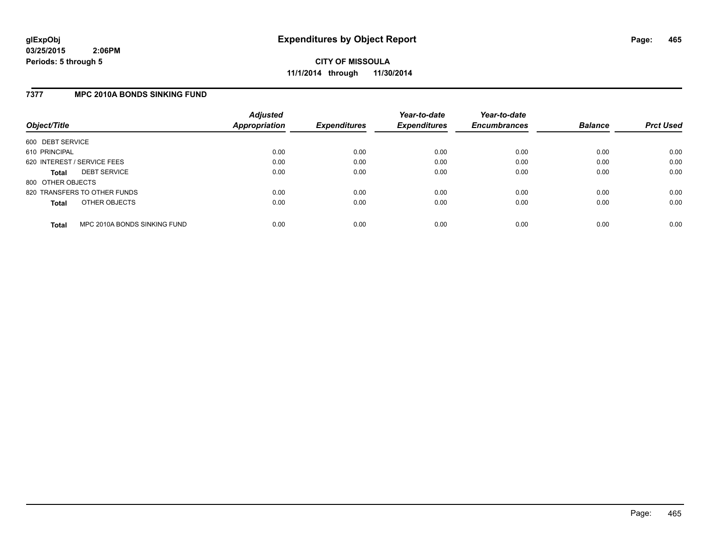**CITY OF MISSOULA 11/1/2014 through 11/30/2014**

### **7377 MPC 2010A BONDS SINKING FUND**

| Object/Title                |                              | <b>Adjusted</b><br><b>Appropriation</b> | <b>Expenditures</b> | Year-to-date<br><b>Expenditures</b> | Year-to-date<br><b>Encumbrances</b> | <b>Balance</b> | <b>Prct Used</b> |
|-----------------------------|------------------------------|-----------------------------------------|---------------------|-------------------------------------|-------------------------------------|----------------|------------------|
| 600 DEBT SERVICE            |                              |                                         |                     |                                     |                                     |                |                  |
| 610 PRINCIPAL               |                              | 0.00                                    | 0.00                | 0.00                                | 0.00                                | 0.00           | 0.00             |
| 620 INTEREST / SERVICE FEES |                              | 0.00                                    | 0.00                | 0.00                                | 0.00                                | 0.00           | 0.00             |
| <b>Total</b>                | <b>DEBT SERVICE</b>          | 0.00                                    | 0.00                | 0.00                                | 0.00                                | 0.00           | 0.00             |
| 800 OTHER OBJECTS           |                              |                                         |                     |                                     |                                     |                |                  |
|                             | 820 TRANSFERS TO OTHER FUNDS | 0.00                                    | 0.00                | 0.00                                | 0.00                                | 0.00           | 0.00             |
| <b>Total</b>                | OTHER OBJECTS                | 0.00                                    | 0.00                | 0.00                                | 0.00                                | 0.00           | 0.00             |
| <b>Total</b>                | MPC 2010A BONDS SINKING FUND | 0.00                                    | 0.00                | 0.00                                | 0.00                                | 0.00           | 0.00             |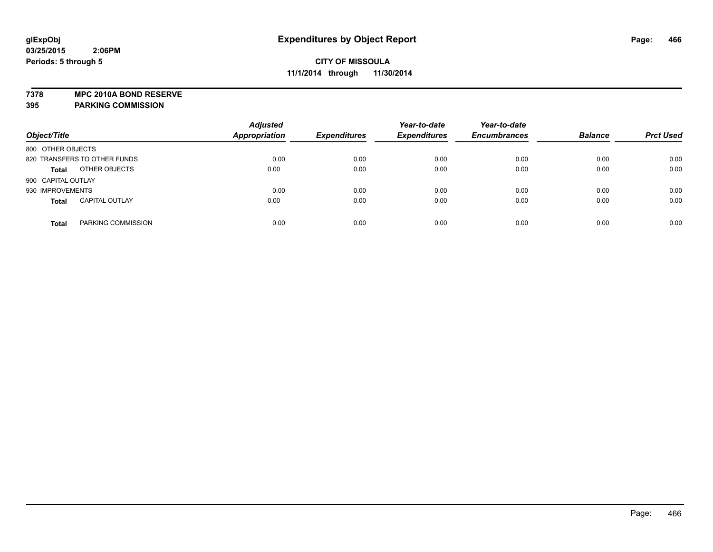**7378 MPC 2010A BOND RESERVE**

| Object/Title                 |                       | <b>Adjusted</b><br><b>Appropriation</b> | <b>Expenditures</b> | Year-to-date<br><b>Expenditures</b> | Year-to-date<br><b>Encumbrances</b> | <b>Balance</b> | <b>Prct Used</b> |
|------------------------------|-----------------------|-----------------------------------------|---------------------|-------------------------------------|-------------------------------------|----------------|------------------|
| 800 OTHER OBJECTS            |                       |                                         |                     |                                     |                                     |                |                  |
| 820 TRANSFERS TO OTHER FUNDS |                       | 0.00                                    | 0.00                | 0.00                                | 0.00                                | 0.00           | 0.00             |
| <b>Total</b>                 | OTHER OBJECTS         | 0.00                                    | 0.00                | 0.00                                | 0.00                                | 0.00           | 0.00             |
| 900 CAPITAL OUTLAY           |                       |                                         |                     |                                     |                                     |                |                  |
| 930 IMPROVEMENTS             |                       | 0.00                                    | 0.00                | 0.00                                | 0.00                                | 0.00           | 0.00             |
| <b>Total</b>                 | <b>CAPITAL OUTLAY</b> | 0.00                                    | 0.00                | 0.00                                | 0.00                                | 0.00           | 0.00             |
| <b>Total</b>                 | PARKING COMMISSION    | 0.00                                    | 0.00                | 0.00                                | 0.00                                | 0.00           | 0.00             |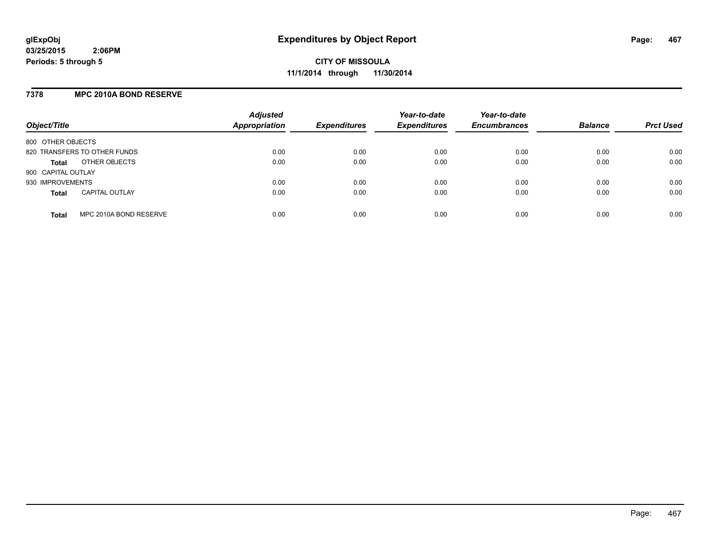### **7378 MPC 2010A BOND RESERVE**

| Object/Title       |                              | <b>Adjusted</b><br><b>Appropriation</b> | <b>Expenditures</b> | Year-to-date<br><b>Expenditures</b> | Year-to-date<br><b>Encumbrances</b> | <b>Balance</b> | <b>Prct Used</b> |
|--------------------|------------------------------|-----------------------------------------|---------------------|-------------------------------------|-------------------------------------|----------------|------------------|
| 800 OTHER OBJECTS  |                              |                                         |                     |                                     |                                     |                |                  |
|                    | 820 TRANSFERS TO OTHER FUNDS | 0.00                                    | 0.00                | 0.00                                | 0.00                                | 0.00           | 0.00             |
| <b>Total</b>       | OTHER OBJECTS                | 0.00                                    | 0.00                | 0.00                                | 0.00                                | 0.00           | 0.00             |
| 900 CAPITAL OUTLAY |                              |                                         |                     |                                     |                                     |                |                  |
| 930 IMPROVEMENTS   |                              | 0.00                                    | 0.00                | 0.00                                | 0.00                                | 0.00           | 0.00             |
| <b>Total</b>       | <b>CAPITAL OUTLAY</b>        | 0.00                                    | 0.00                | 0.00                                | 0.00                                | 0.00           | 0.00             |
| <b>Total</b>       | MPC 2010A BOND RESERVE       | 0.00                                    | 0.00                | 0.00                                | 0.00                                | 0.00           | 0.00             |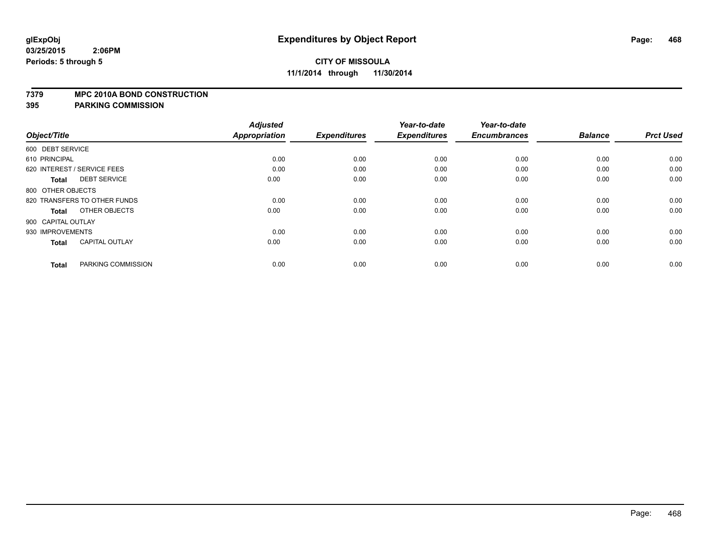#### **7379 MPC 2010A BOND CONSTRUCTION**

| Object/Title                          | <b>Adjusted</b><br><b>Appropriation</b> | <b>Expenditures</b> | Year-to-date<br><b>Expenditures</b> | Year-to-date<br><b>Encumbrances</b> | <b>Balance</b> | <b>Prct Used</b> |
|---------------------------------------|-----------------------------------------|---------------------|-------------------------------------|-------------------------------------|----------------|------------------|
|                                       |                                         |                     |                                     |                                     |                |                  |
| 600 DEBT SERVICE                      |                                         |                     |                                     |                                     |                |                  |
| 610 PRINCIPAL                         | 0.00                                    | 0.00                | 0.00                                | 0.00                                | 0.00           | 0.00             |
| 620 INTEREST / SERVICE FEES           | 0.00                                    | 0.00                | 0.00                                | 0.00                                | 0.00           | 0.00             |
| <b>DEBT SERVICE</b><br><b>Total</b>   | 0.00                                    | 0.00                | 0.00                                | 0.00                                | 0.00           | 0.00             |
| 800 OTHER OBJECTS                     |                                         |                     |                                     |                                     |                |                  |
| 820 TRANSFERS TO OTHER FUNDS          | 0.00                                    | 0.00                | 0.00                                | 0.00                                | 0.00           | 0.00             |
| OTHER OBJECTS<br>Total                | 0.00                                    | 0.00                | 0.00                                | 0.00                                | 0.00           | 0.00             |
| 900 CAPITAL OUTLAY                    |                                         |                     |                                     |                                     |                |                  |
| 930 IMPROVEMENTS                      | 0.00                                    | 0.00                | 0.00                                | 0.00                                | 0.00           | 0.00             |
| <b>CAPITAL OUTLAY</b><br><b>Total</b> | 0.00                                    | 0.00                | 0.00                                | 0.00                                | 0.00           | 0.00             |
|                                       |                                         |                     |                                     |                                     |                |                  |
| PARKING COMMISSION<br><b>Total</b>    | 0.00                                    | 0.00                | 0.00                                | 0.00                                | 0.00           | 0.00             |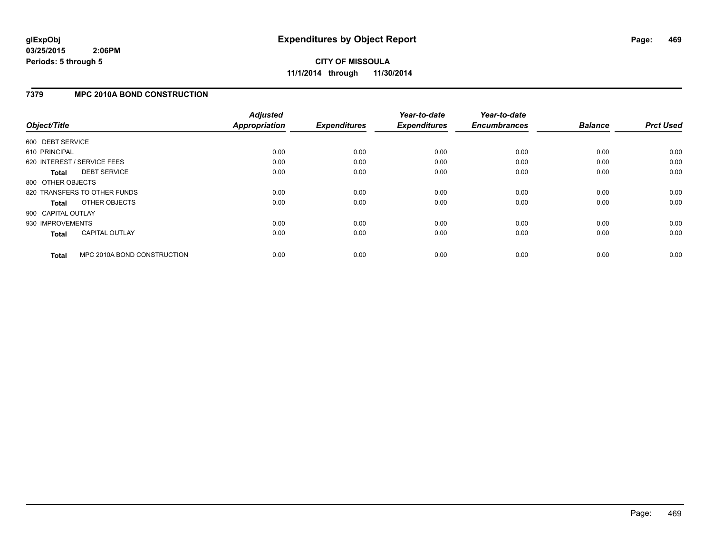**CITY OF MISSOULA 11/1/2014 through 11/30/2014**

### **7379 MPC 2010A BOND CONSTRUCTION**

|                    |                              | <b>Adjusted</b>      |                     | Year-to-date        | Year-to-date        |                |                  |
|--------------------|------------------------------|----------------------|---------------------|---------------------|---------------------|----------------|------------------|
| Object/Title       |                              | <b>Appropriation</b> | <b>Expenditures</b> | <b>Expenditures</b> | <b>Encumbrances</b> | <b>Balance</b> | <b>Prct Used</b> |
| 600 DEBT SERVICE   |                              |                      |                     |                     |                     |                |                  |
| 610 PRINCIPAL      |                              | 0.00                 | 0.00                | 0.00                | 0.00                | 0.00           | 0.00             |
|                    | 620 INTEREST / SERVICE FEES  | 0.00                 | 0.00                | 0.00                | 0.00                | 0.00           | 0.00             |
| <b>Total</b>       | <b>DEBT SERVICE</b>          | 0.00                 | 0.00                | 0.00                | 0.00                | 0.00           | 0.00             |
| 800 OTHER OBJECTS  |                              |                      |                     |                     |                     |                |                  |
|                    | 820 TRANSFERS TO OTHER FUNDS | 0.00                 | 0.00                | 0.00                | 0.00                | 0.00           | 0.00             |
| Total              | OTHER OBJECTS                | 0.00                 | 0.00                | 0.00                | 0.00                | 0.00           | 0.00             |
| 900 CAPITAL OUTLAY |                              |                      |                     |                     |                     |                |                  |
| 930 IMPROVEMENTS   |                              | 0.00                 | 0.00                | 0.00                | 0.00                | 0.00           | 0.00             |
| <b>Total</b>       | <b>CAPITAL OUTLAY</b>        | 0.00                 | 0.00                | 0.00                | 0.00                | 0.00           | 0.00             |
| <b>Total</b>       | MPC 2010A BOND CONSTRUCTION  | 0.00                 | 0.00                | 0.00                | 0.00                | 0.00           | 0.00             |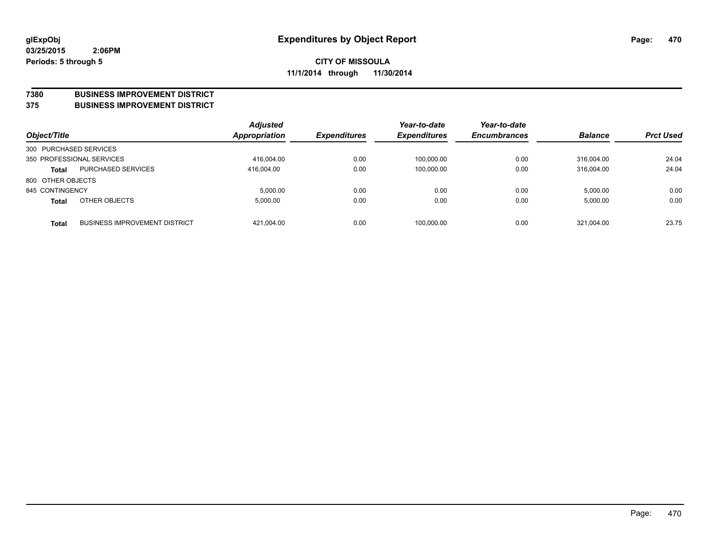#### **7380 BUSINESS IMPROVEMENT DISTRICT**

**375 BUSINESS IMPROVEMENT DISTRICT**

| Object/Title           |                                      | <b>Adjusted</b><br>Appropriation | <b>Expenditures</b> | Year-to-date<br><b>Expenditures</b> | Year-to-date<br><b>Encumbrances</b> | <b>Balance</b> | <b>Prct Used</b> |
|------------------------|--------------------------------------|----------------------------------|---------------------|-------------------------------------|-------------------------------------|----------------|------------------|
| 300 PURCHASED SERVICES |                                      |                                  |                     |                                     |                                     |                |                  |
|                        | 350 PROFESSIONAL SERVICES            | 416,004.00                       | 0.00                | 100,000.00                          | 0.00                                | 316.004.00     | 24.04            |
| <b>Total</b>           | <b>PURCHASED SERVICES</b>            | 416.004.00                       | 0.00                | 100,000.00                          | 0.00                                | 316.004.00     | 24.04            |
| 800 OTHER OBJECTS      |                                      |                                  |                     |                                     |                                     |                |                  |
| 845 CONTINGENCY        |                                      | 5,000.00                         | 0.00                | 0.00                                | 0.00                                | 5,000.00       | 0.00             |
| <b>Total</b>           | OTHER OBJECTS                        | 5,000.00                         | 0.00                | 0.00                                | 0.00                                | 5,000.00       | 0.00             |
| <b>Total</b>           | <b>BUSINESS IMPROVEMENT DISTRICT</b> | 421,004.00                       | 0.00                | 100,000.00                          | 0.00                                | 321,004.00     | 23.75            |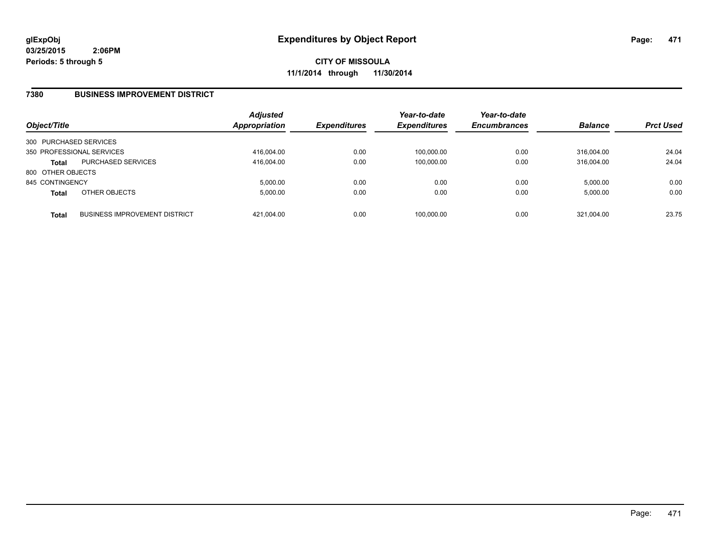**CITY OF MISSOULA 11/1/2014 through 11/30/2014**

### **7380 BUSINESS IMPROVEMENT DISTRICT**

| Object/Title           |                                      | <b>Adjusted</b><br><b>Appropriation</b> | <b>Expenditures</b> | Year-to-date<br><b>Expenditures</b> | Year-to-date<br><b>Encumbrances</b> | <b>Balance</b> | <b>Prct Used</b> |
|------------------------|--------------------------------------|-----------------------------------------|---------------------|-------------------------------------|-------------------------------------|----------------|------------------|
| 300 PURCHASED SERVICES |                                      |                                         |                     |                                     |                                     |                |                  |
|                        | 350 PROFESSIONAL SERVICES            | 416,004.00                              | 0.00                | 100,000.00                          | 0.00                                | 316.004.00     | 24.04            |
| Total                  | <b>PURCHASED SERVICES</b>            | 416.004.00                              | 0.00                | 100,000.00                          | 0.00                                | 316.004.00     | 24.04            |
| 800 OTHER OBJECTS      |                                      |                                         |                     |                                     |                                     |                |                  |
| 845 CONTINGENCY        |                                      | 5.000.00                                | 0.00                | 0.00                                | 0.00                                | 5.000.00       | 0.00             |
| <b>Total</b>           | OTHER OBJECTS                        | 5,000.00                                | 0.00                | 0.00                                | 0.00                                | 5,000.00       | 0.00             |
| <b>Total</b>           | <b>BUSINESS IMPROVEMENT DISTRICT</b> | 421,004.00                              | 0.00                | 100,000.00                          | 0.00                                | 321.004.00     | 23.75            |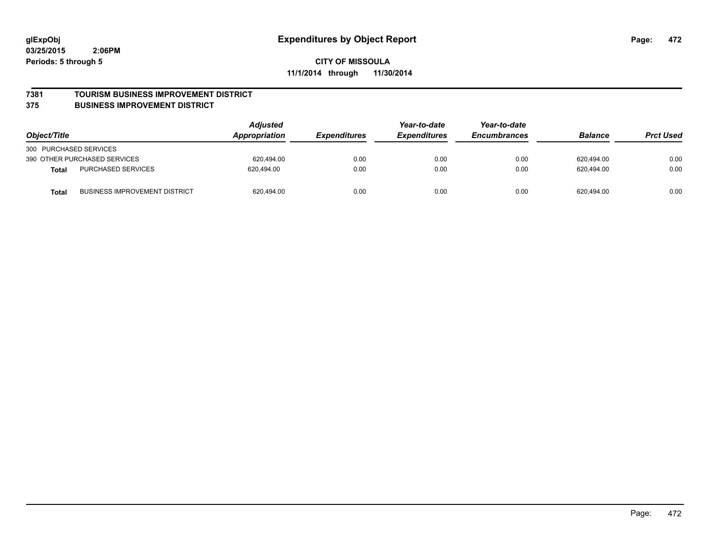# **CITY OF MISSOULA 11/1/2014 through 11/30/2014**

#### **7381 TOURISM BUSINESS IMPROVEMENT DISTRICT**

#### **375 BUSINESS IMPROVEMENT DISTRICT**

| Object/Title           |                                      | <b>Adjusted</b><br>Year-to-date<br>Appropriation<br><b>Expenditures</b><br><i><b>Expenditures</b></i> | Year-to-date<br><b>Encumbrances</b> | <b>Balance</b> | <b>Prct Used</b> |            |      |
|------------------------|--------------------------------------|-------------------------------------------------------------------------------------------------------|-------------------------------------|----------------|------------------|------------|------|
| 300 PURCHASED SERVICES |                                      |                                                                                                       |                                     |                |                  |            |      |
|                        | 390 OTHER PURCHASED SERVICES         | 620.494.00                                                                                            | 0.00                                | 0.00           | 0.00             | 620,494.00 | 0.00 |
| <b>Total</b>           | PURCHASED SERVICES                   | 620.494.00                                                                                            | 0.00                                | 0.00           | 0.00             | 620.494.00 | 0.00 |
| Total                  | <b>BUSINESS IMPROVEMENT DISTRICT</b> | 620,494.00                                                                                            | 0.00                                | 0.00           | 0.00             | 620,494.00 | 0.00 |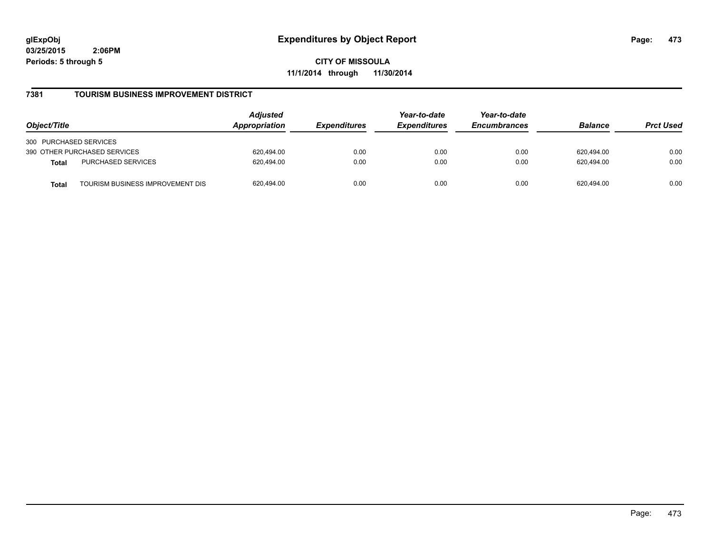**CITY OF MISSOULA 11/1/2014 through 11/30/2014**

### **7381 TOURISM BUSINESS IMPROVEMENT DISTRICT**

| Object/Title                                     | <b>Adjusted</b><br>Appropriation<br><i><b>Expenditures</b></i> | Year-to-date<br><b>Expenditures</b> | Year-to-date<br><b>Encumbrances</b> | <b>Balance</b> | <b>Prct Used</b> |      |
|--------------------------------------------------|----------------------------------------------------------------|-------------------------------------|-------------------------------------|----------------|------------------|------|
| 300 PURCHASED SERVICES                           |                                                                |                                     |                                     |                |                  |      |
| 390 OTHER PURCHASED SERVICES                     | 620.494.00                                                     | 0.00                                | 0.00                                | 0.00           | 620.494.00       | 0.00 |
| PURCHASED SERVICES<br><b>Total</b>               | 620.494.00                                                     | 0.00                                | 0.00                                | 0.00           | 620.494.00       | 0.00 |
| TOURISM BUSINESS IMPROVEMENT DIS<br><b>Total</b> | 620.494.00                                                     | 0.00                                | 0.00                                | 0.00           | 620.494.00       | 0.00 |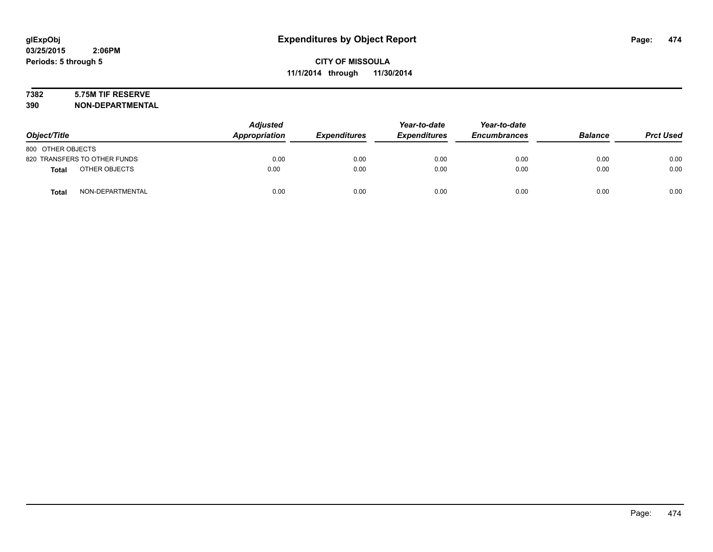# **7382 5.75M TIF RESERVE**

| Object/Title                     | <b>Adjusted</b><br>Appropriation | <b>Expenditures</b> | Year-to-date<br><b>Expenditures</b> | Year-to-date<br><b>Encumbrances</b> | <b>Balance</b> | <b>Prct Used</b> |
|----------------------------------|----------------------------------|---------------------|-------------------------------------|-------------------------------------|----------------|------------------|
| 800 OTHER OBJECTS                |                                  |                     |                                     |                                     |                |                  |
| 820 TRANSFERS TO OTHER FUNDS     | 0.00                             | 0.00                | 0.00                                | 0.00                                | 0.00           | 0.00             |
| OTHER OBJECTS<br><b>Total</b>    | 0.00                             | 0.00                | 0.00                                | 0.00                                | 0.00           | 0.00             |
| NON-DEPARTMENTAL<br><b>Total</b> | 0.00                             | 0.00                | 0.00                                | 0.00                                | 0.00           | 0.00             |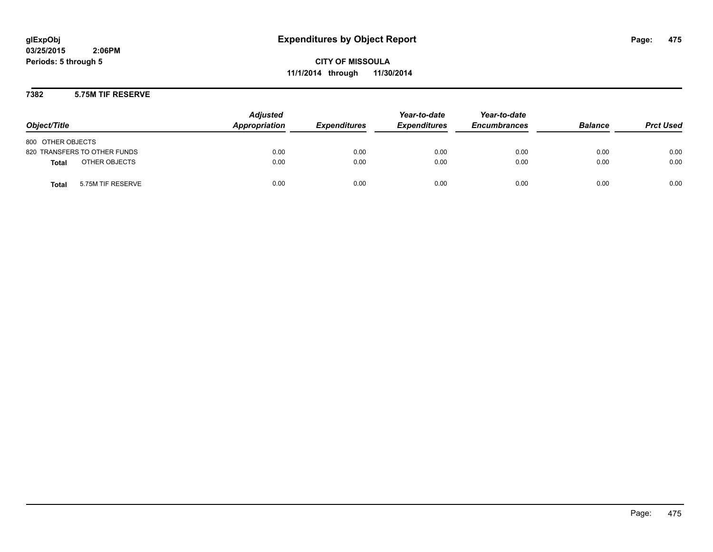**CITY OF MISSOULA 11/1/2014 through 11/30/2014**

### **7382 5.75M TIF RESERVE**

| Object/Title                      | <b>Adjusted</b><br>Appropriation | <b>Expenditures</b> | Year-to-date<br><b>Expenditures</b> | Year-to-date<br><b>Encumbrances</b> | <b>Balance</b> | <b>Prct Used</b> |
|-----------------------------------|----------------------------------|---------------------|-------------------------------------|-------------------------------------|----------------|------------------|
| 800 OTHER OBJECTS                 |                                  |                     |                                     |                                     |                |                  |
| 820 TRANSFERS TO OTHER FUNDS      | 0.00                             | 0.00                | 0.00                                | 0.00                                | 0.00           | 0.00             |
| OTHER OBJECTS<br><b>Total</b>     | 0.00                             | 0.00                | 0.00                                | 0.00                                | 0.00           | 0.00             |
| 5.75M TIF RESERVE<br><b>Total</b> | 0.00                             | 0.00                | 0.00                                | 0.00                                | 0.00           | 0.00             |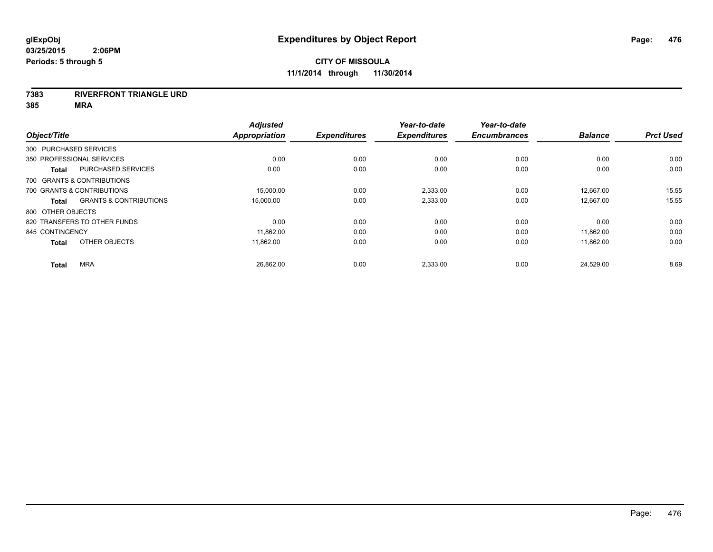#### **7383 RIVERFRONT TRIANGLE URD**

| Object/Title           |                                   | <b>Adjusted</b><br>Appropriation | <b>Expenditures</b> | Year-to-date<br><b>Expenditures</b> | Year-to-date<br><b>Encumbrances</b> | <b>Balance</b> | <b>Prct Used</b> |
|------------------------|-----------------------------------|----------------------------------|---------------------|-------------------------------------|-------------------------------------|----------------|------------------|
| 300 PURCHASED SERVICES |                                   |                                  |                     |                                     |                                     |                |                  |
|                        | 350 PROFESSIONAL SERVICES         | 0.00                             | 0.00                | 0.00                                | 0.00                                | 0.00           | 0.00             |
| <b>Total</b>           | PURCHASED SERVICES                | 0.00                             | 0.00                | 0.00                                | 0.00                                | 0.00           | 0.00             |
|                        | 700 GRANTS & CONTRIBUTIONS        |                                  |                     |                                     |                                     |                |                  |
|                        | 700 GRANTS & CONTRIBUTIONS        | 15,000.00                        | 0.00                | 2,333.00                            | 0.00                                | 12,667.00      | 15.55            |
| <b>Total</b>           | <b>GRANTS &amp; CONTRIBUTIONS</b> | 15,000.00                        | 0.00                | 2,333.00                            | 0.00                                | 12,667.00      | 15.55            |
| 800 OTHER OBJECTS      |                                   |                                  |                     |                                     |                                     |                |                  |
|                        | 820 TRANSFERS TO OTHER FUNDS      | 0.00                             | 0.00                | 0.00                                | 0.00                                | 0.00           | 0.00             |
| 845 CONTINGENCY        |                                   | 11,862.00                        | 0.00                | 0.00                                | 0.00                                | 11,862.00      | 0.00             |
| <b>Total</b>           | OTHER OBJECTS                     | 11.862.00                        | 0.00                | 0.00                                | 0.00                                | 11,862.00      | 0.00             |
| <b>Total</b>           | <b>MRA</b>                        | 26,862.00                        | 0.00                | 2,333.00                            | 0.00                                | 24,529.00      | 8.69             |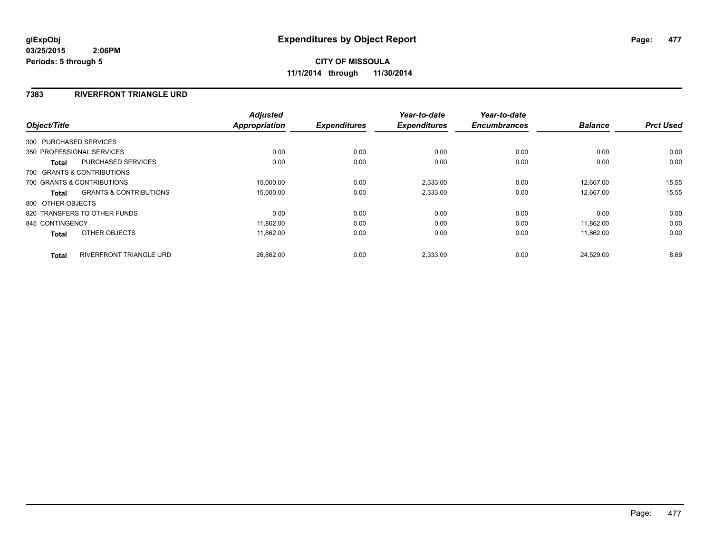# **7383 RIVERFRONT TRIANGLE URD**

|                   |                                   | <b>Adjusted</b> |                     | Year-to-date        | Year-to-date        |                |                  |
|-------------------|-----------------------------------|-----------------|---------------------|---------------------|---------------------|----------------|------------------|
| Object/Title      |                                   | Appropriation   | <b>Expenditures</b> | <b>Expenditures</b> | <b>Encumbrances</b> | <b>Balance</b> | <b>Prct Used</b> |
|                   | 300 PURCHASED SERVICES            |                 |                     |                     |                     |                |                  |
|                   | 350 PROFESSIONAL SERVICES         | 0.00            | 0.00                | 0.00                | 0.00                | 0.00           | 0.00             |
| Total             | PURCHASED SERVICES                | 0.00            | 0.00                | 0.00                | 0.00                | 0.00           | 0.00             |
|                   | 700 GRANTS & CONTRIBUTIONS        |                 |                     |                     |                     |                |                  |
|                   | 700 GRANTS & CONTRIBUTIONS        | 15,000.00       | 0.00                | 2,333.00            | 0.00                | 12.667.00      | 15.55            |
| Total             | <b>GRANTS &amp; CONTRIBUTIONS</b> | 15,000.00       | 0.00                | 2,333.00            | 0.00                | 12,667.00      | 15.55            |
| 800 OTHER OBJECTS |                                   |                 |                     |                     |                     |                |                  |
|                   | 820 TRANSFERS TO OTHER FUNDS      | 0.00            | 0.00                | 0.00                | 0.00                | 0.00           | 0.00             |
| 845 CONTINGENCY   |                                   | 11,862.00       | 0.00                | 0.00                | 0.00                | 11.862.00      | 0.00             |
| <b>Total</b>      | OTHER OBJECTS                     | 11.862.00       | 0.00                | 0.00                | 0.00                | 11.862.00      | 0.00             |
| <b>Total</b>      | <b>RIVERFRONT TRIANGLE URD</b>    | 26.862.00       | 0.00                | 2,333.00            | 0.00                | 24.529.00      | 8.69             |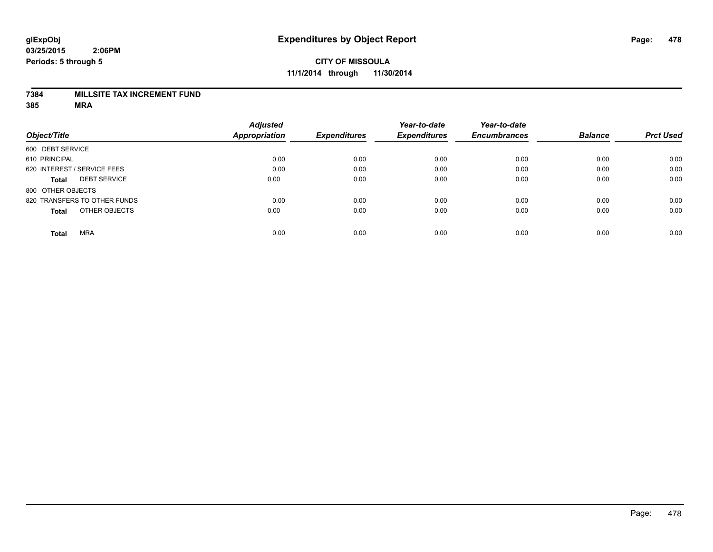### **7384 MILLSITE TAX INCREMENT FUND**

|                              |                     | <b>Adjusted</b>      |                     | Year-to-date        | Year-to-date        |                |                  |
|------------------------------|---------------------|----------------------|---------------------|---------------------|---------------------|----------------|------------------|
| Object/Title                 |                     | <b>Appropriation</b> | <b>Expenditures</b> | <b>Expenditures</b> | <b>Encumbrances</b> | <b>Balance</b> | <b>Prct Used</b> |
| 600 DEBT SERVICE             |                     |                      |                     |                     |                     |                |                  |
| 610 PRINCIPAL                |                     | 0.00                 | 0.00                | 0.00                | 0.00                | 0.00           | 0.00             |
| 620 INTEREST / SERVICE FEES  |                     | 0.00                 | 0.00                | 0.00                | 0.00                | 0.00           | 0.00             |
| <b>Total</b>                 | <b>DEBT SERVICE</b> | 0.00                 | 0.00                | 0.00                | 0.00                | 0.00           | 0.00             |
| 800 OTHER OBJECTS            |                     |                      |                     |                     |                     |                |                  |
| 820 TRANSFERS TO OTHER FUNDS |                     | 0.00                 | 0.00                | 0.00                | 0.00                | 0.00           | 0.00             |
| <b>Total</b>                 | OTHER OBJECTS       | 0.00                 | 0.00                | 0.00                | 0.00                | 0.00           | 0.00             |
| <b>MRA</b><br><b>Total</b>   |                     | 0.00                 | 0.00                | 0.00                | 0.00                | 0.00           | 0.00             |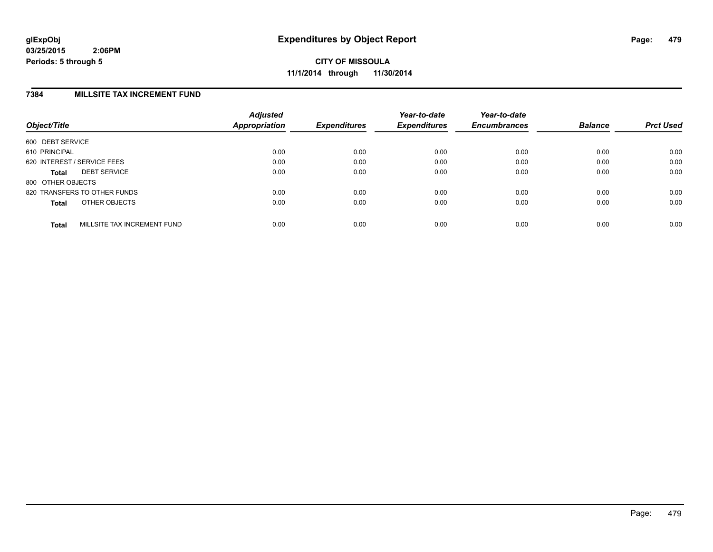### **7384 MILLSITE TAX INCREMENT FUND**

| Object/Title      |                              | <b>Adjusted</b><br>Appropriation | <b>Expenditures</b> | Year-to-date<br><b>Expenditures</b> | Year-to-date<br><b>Encumbrances</b> | <b>Balance</b> | <b>Prct Used</b> |
|-------------------|------------------------------|----------------------------------|---------------------|-------------------------------------|-------------------------------------|----------------|------------------|
| 600 DEBT SERVICE  |                              |                                  |                     |                                     |                                     |                |                  |
| 610 PRINCIPAL     |                              | 0.00                             | 0.00                | 0.00                                | 0.00                                | 0.00           | 0.00             |
|                   | 620 INTEREST / SERVICE FEES  | 0.00                             | 0.00                | 0.00                                | 0.00                                | 0.00           | 0.00             |
| <b>Total</b>      | <b>DEBT SERVICE</b>          | 0.00                             | 0.00                | 0.00                                | 0.00                                | 0.00           | 0.00             |
| 800 OTHER OBJECTS |                              |                                  |                     |                                     |                                     |                |                  |
|                   | 820 TRANSFERS TO OTHER FUNDS | 0.00                             | 0.00                | 0.00                                | 0.00                                | 0.00           | 0.00             |
| <b>Total</b>      | OTHER OBJECTS                | 0.00                             | 0.00                | 0.00                                | 0.00                                | 0.00           | 0.00             |
| <b>Total</b>      | MILLSITE TAX INCREMENT FUND  | 0.00                             | 0.00                | 0.00                                | 0.00                                | 0.00           | 0.00             |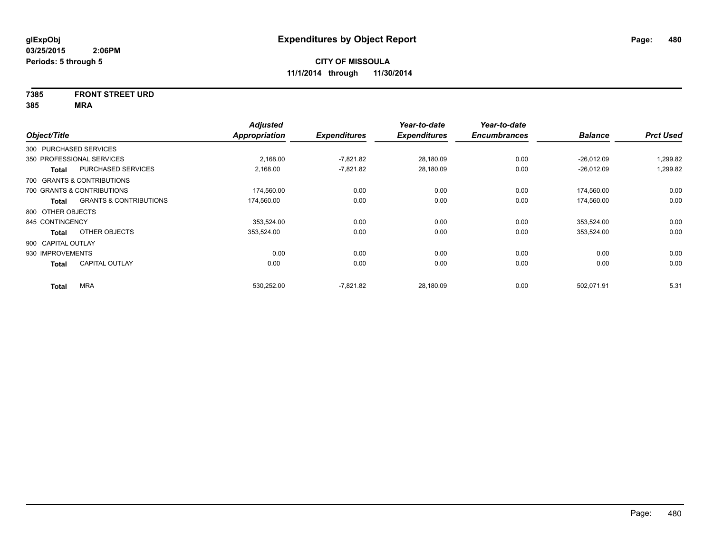# **7385 FRONT STREET URD**

| Object/Title           |                                   | <b>Adjusted</b><br>Appropriation | <b>Expenditures</b> | Year-to-date<br><b>Expenditures</b> | Year-to-date<br><b>Encumbrances</b> | <b>Balance</b> | <b>Prct Used</b> |
|------------------------|-----------------------------------|----------------------------------|---------------------|-------------------------------------|-------------------------------------|----------------|------------------|
| 300 PURCHASED SERVICES |                                   |                                  |                     |                                     |                                     |                |                  |
|                        | 350 PROFESSIONAL SERVICES         | 2,168.00                         | $-7,821.82$         | 28,180.09                           | 0.00                                | $-26,012.09$   | 1,299.82         |
| <b>Total</b>           | PURCHASED SERVICES                | 2,168.00                         | $-7,821.82$         | 28,180.09                           | 0.00                                | $-26,012.09$   | 1,299.82         |
|                        | 700 GRANTS & CONTRIBUTIONS        |                                  |                     |                                     |                                     |                |                  |
|                        | 700 GRANTS & CONTRIBUTIONS        | 174,560.00                       | 0.00                | 0.00                                | 0.00                                | 174,560.00     | 0.00             |
| <b>Total</b>           | <b>GRANTS &amp; CONTRIBUTIONS</b> | 174,560.00                       | 0.00                | 0.00                                | 0.00                                | 174,560.00     | 0.00             |
| 800 OTHER OBJECTS      |                                   |                                  |                     |                                     |                                     |                |                  |
| 845 CONTINGENCY        |                                   | 353,524.00                       | 0.00                | 0.00                                | 0.00                                | 353,524.00     | 0.00             |
| <b>Total</b>           | OTHER OBJECTS                     | 353,524.00                       | 0.00                | 0.00                                | 0.00                                | 353,524.00     | 0.00             |
| 900 CAPITAL OUTLAY     |                                   |                                  |                     |                                     |                                     |                |                  |
| 930 IMPROVEMENTS       |                                   | 0.00                             | 0.00                | 0.00                                | 0.00                                | 0.00           | 0.00             |
| <b>Total</b>           | <b>CAPITAL OUTLAY</b>             | 0.00                             | 0.00                | 0.00                                | 0.00                                | 0.00           | 0.00             |
| <b>Total</b>           | <b>MRA</b>                        | 530,252.00                       | $-7,821.82$         | 28,180.09                           | 0.00                                | 502,071.91     | 5.31             |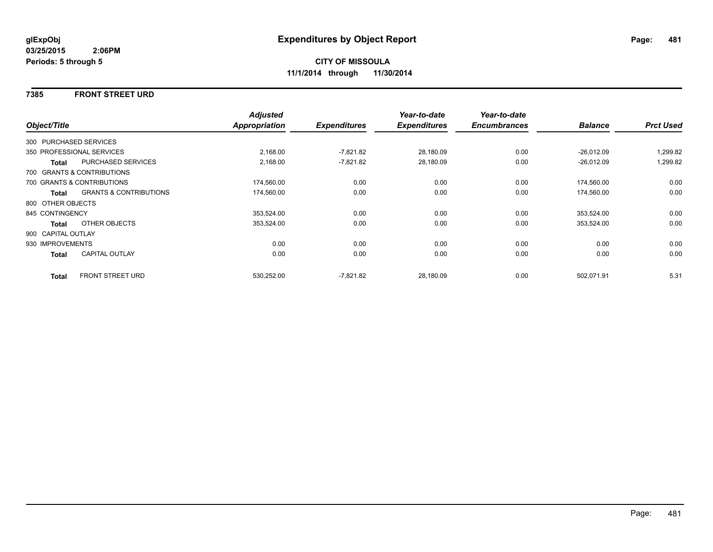### **7385 FRONT STREET URD**

|                    |                                   | <b>Adjusted</b> |                     | Year-to-date        | Year-to-date        |                |                  |
|--------------------|-----------------------------------|-----------------|---------------------|---------------------|---------------------|----------------|------------------|
| Object/Title       |                                   | Appropriation   | <b>Expenditures</b> | <b>Expenditures</b> | <b>Encumbrances</b> | <b>Balance</b> | <b>Prct Used</b> |
|                    | 300 PURCHASED SERVICES            |                 |                     |                     |                     |                |                  |
|                    | 350 PROFESSIONAL SERVICES         | 2,168.00        | $-7,821.82$         | 28,180.09           | 0.00                | $-26,012.09$   | 1,299.82         |
| Total              | <b>PURCHASED SERVICES</b>         | 2,168.00        | $-7,821.82$         | 28,180.09           | 0.00                | $-26,012.09$   | 1,299.82         |
|                    | 700 GRANTS & CONTRIBUTIONS        |                 |                     |                     |                     |                |                  |
|                    | 700 GRANTS & CONTRIBUTIONS        | 174,560.00      | 0.00                | 0.00                | 0.00                | 174,560.00     | 0.00             |
| Total              | <b>GRANTS &amp; CONTRIBUTIONS</b> | 174,560.00      | 0.00                | 0.00                | 0.00                | 174,560.00     | 0.00             |
| 800 OTHER OBJECTS  |                                   |                 |                     |                     |                     |                |                  |
| 845 CONTINGENCY    |                                   | 353,524.00      | 0.00                | 0.00                | 0.00                | 353,524.00     | 0.00             |
| Total              | OTHER OBJECTS                     | 353,524.00      | 0.00                | 0.00                | 0.00                | 353,524.00     | 0.00             |
| 900 CAPITAL OUTLAY |                                   |                 |                     |                     |                     |                |                  |
| 930 IMPROVEMENTS   |                                   | 0.00            | 0.00                | 0.00                | 0.00                | 0.00           | 0.00             |
| Total              | <b>CAPITAL OUTLAY</b>             | 0.00            | 0.00                | 0.00                | 0.00                | 0.00           | 0.00             |
| <b>Total</b>       | <b>FRONT STREET URD</b>           | 530,252.00      | $-7,821.82$         | 28,180.09           | 0.00                | 502,071.91     | 5.31             |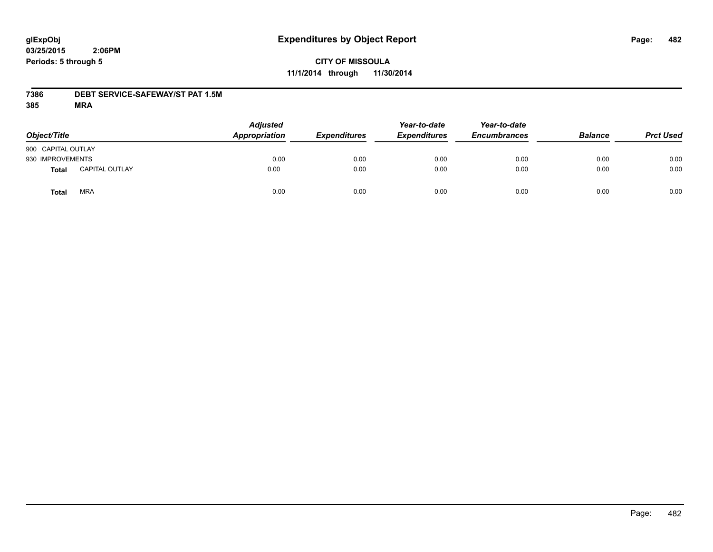# **CITY OF MISSOULA 11/1/2014 through 11/30/2014**

### **7386 DEBT SERVICE-SAFEWAY/ST PAT 1.5M**

| Object/Title       |                       | <b>Adjusted</b><br>Appropriation | <b>Expenditures</b> | Year-to-date<br><b>Expenditures</b> | Year-to-date<br><b>Encumbrances</b> | <b>Balance</b> | <b>Prct Used</b> |
|--------------------|-----------------------|----------------------------------|---------------------|-------------------------------------|-------------------------------------|----------------|------------------|
| 900 CAPITAL OUTLAY |                       |                                  |                     |                                     |                                     |                |                  |
| 930 IMPROVEMENTS   |                       | 0.00                             | 0.00                | 0.00                                | 0.00                                | 0.00           | 0.00             |
| Total              | <b>CAPITAL OUTLAY</b> | 0.00                             | 0.00                | 0.00                                | 0.00                                | 0.00           | 0.00             |
| Total              | <b>MRA</b>            | 0.00                             | 0.00                | 0.00                                | 0.00                                | 0.00           | 0.00             |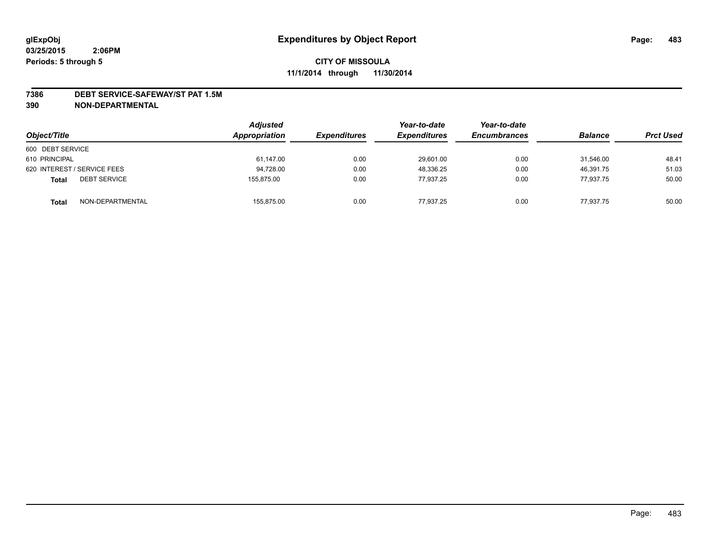#### **7386 DEBT SERVICE-SAFEWAY/ST PAT 1.5M**

| Object/Title                        | <b>Adjusted</b><br>Appropriation | <i><b>Expenditures</b></i> | Year-to-date<br><b>Expenditures</b> | Year-to-date<br><b>Encumbrances</b> | <b>Balance</b> | <b>Prct Used</b> |
|-------------------------------------|----------------------------------|----------------------------|-------------------------------------|-------------------------------------|----------------|------------------|
| 600 DEBT SERVICE                    |                                  |                            |                                     |                                     |                |                  |
| 610 PRINCIPAL                       | 61,147.00                        | 0.00                       | 29,601.00                           | 0.00                                | 31.546.00      | 48.41            |
| 620 INTEREST / SERVICE FEES         | 94,728.00                        | 0.00                       | 48.336.25                           | 0.00                                | 46.391.75      | 51.03            |
| <b>DEBT SERVICE</b><br><b>Total</b> | 155.875.00                       | 0.00                       | 77.937.25                           | 0.00                                | 77.937.75      | 50.00            |
| NON-DEPARTMENTAL<br><b>Total</b>    | 155,875.00                       | 0.00                       | 77,937.25                           | 0.00                                | 77,937.75      | 50.00            |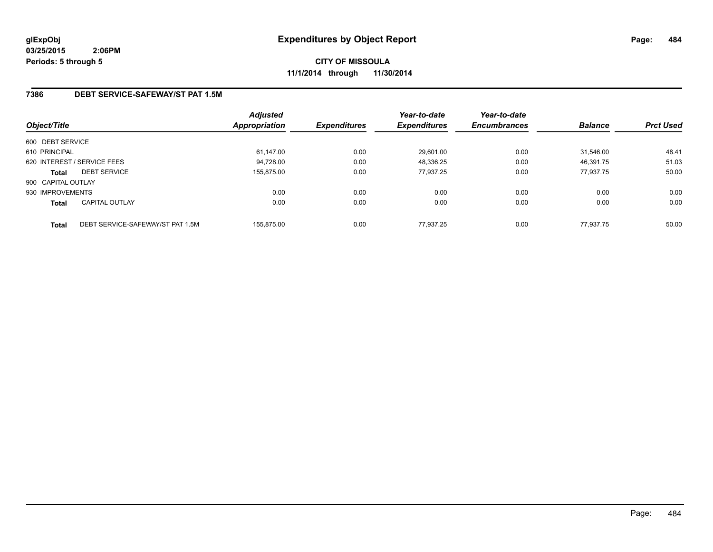**CITY OF MISSOULA 11/1/2014 through 11/30/2014**

# **7386 DEBT SERVICE-SAFEWAY/ST PAT 1.5M**

| Object/Title       |                                  | <b>Adjusted</b><br>Appropriation | <b>Expenditures</b> | Year-to-date<br><b>Expenditures</b> | Year-to-date<br><b>Encumbrances</b> | <b>Balance</b> | <b>Prct Used</b> |
|--------------------|----------------------------------|----------------------------------|---------------------|-------------------------------------|-------------------------------------|----------------|------------------|
| 600 DEBT SERVICE   |                                  |                                  |                     |                                     |                                     |                |                  |
| 610 PRINCIPAL      |                                  | 61,147.00                        | 0.00                | 29,601.00                           | 0.00                                | 31.546.00      | 48.41            |
|                    | 620 INTEREST / SERVICE FEES      | 94,728.00                        | 0.00                | 48,336.25                           | 0.00                                | 46,391.75      | 51.03            |
| <b>Total</b>       | <b>DEBT SERVICE</b>              | 155.875.00                       | 0.00                | 77.937.25                           | 0.00                                | 77.937.75      | 50.00            |
| 900 CAPITAL OUTLAY |                                  |                                  |                     |                                     |                                     |                |                  |
| 930 IMPROVEMENTS   |                                  | 0.00                             | 0.00                | 0.00                                | 0.00                                | 0.00           | 0.00             |
| <b>Total</b>       | <b>CAPITAL OUTLAY</b>            | 0.00                             | 0.00                | 0.00                                | 0.00                                | 0.00           | 0.00             |
| <b>Total</b>       | DEBT SERVICE-SAFEWAY/ST PAT 1.5M | 155.875.00                       | 0.00                | 77.937.25                           | 0.00                                | 77.937.75      | 50.00            |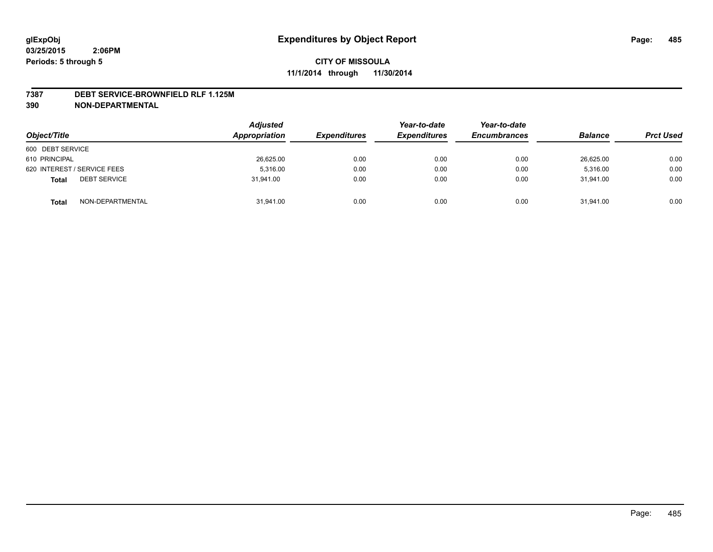#### **7387 DEBT SERVICE-BROWNFIELD RLF 1.125M**

| Object/Title                        | <b>Adjusted</b><br>Appropriation | <b>Expenditures</b> | Year-to-date<br><b>Expenditures</b> | Year-to-date<br><b>Encumbrances</b> | <b>Balance</b> | <b>Prct Used</b> |
|-------------------------------------|----------------------------------|---------------------|-------------------------------------|-------------------------------------|----------------|------------------|
| 600 DEBT SERVICE                    |                                  |                     |                                     |                                     |                |                  |
| 610 PRINCIPAL                       | 26,625.00                        | 0.00                | 0.00                                | 0.00                                | 26,625.00      | 0.00             |
| 620 INTEREST / SERVICE FEES         | 5.316.00                         | 0.00                | 0.00                                | 0.00                                | 5.316.00       | 0.00             |
| <b>DEBT SERVICE</b><br><b>Total</b> | 31.941.00                        | 0.00                | 0.00                                | 0.00                                | 31.941.00      | 0.00             |
| NON-DEPARTMENTAL<br><b>Total</b>    | 31,941.00                        | 0.00                | 0.00                                | 0.00                                | 31,941.00      | 0.00             |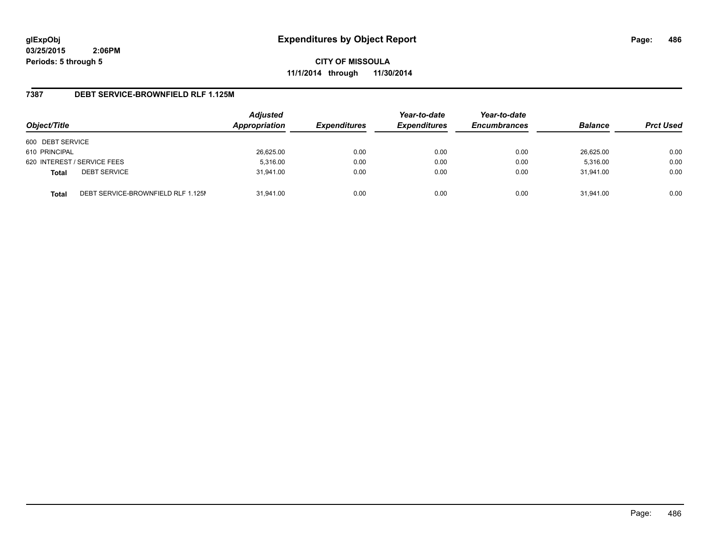**CITY OF MISSOULA 11/1/2014 through 11/30/2014**

### **7387 DEBT SERVICE-BROWNFIELD RLF 1.125M**

| Object/Title     |                                    | <b>Adjusted</b><br>Appropriation | <b>Expenditures</b> | Year-to-date<br><b>Expenditures</b> | Year-to-date<br><b>Encumbrances</b> | <b>Balance</b> | <b>Prct Used</b> |
|------------------|------------------------------------|----------------------------------|---------------------|-------------------------------------|-------------------------------------|----------------|------------------|
| 600 DEBT SERVICE |                                    |                                  |                     |                                     |                                     |                |                  |
| 610 PRINCIPAL    |                                    | 26,625.00                        | 0.00                | 0.00                                | 0.00                                | 26,625.00      | 0.00             |
|                  | 620 INTEREST / SERVICE FEES        | 5,316.00                         | 0.00                | 0.00                                | 0.00                                | 5,316.00       | 0.00             |
| <b>Total</b>     | <b>DEBT SERVICE</b>                | 31.941.00                        | 0.00                | 0.00                                | 0.00                                | 31.941.00      | 0.00             |
| <b>Total</b>     | DEBT SERVICE-BROWNFIELD RLF 1.125M | 31.941.00                        | 0.00                | 0.00                                | 0.00                                | 31.941.00      | 0.00             |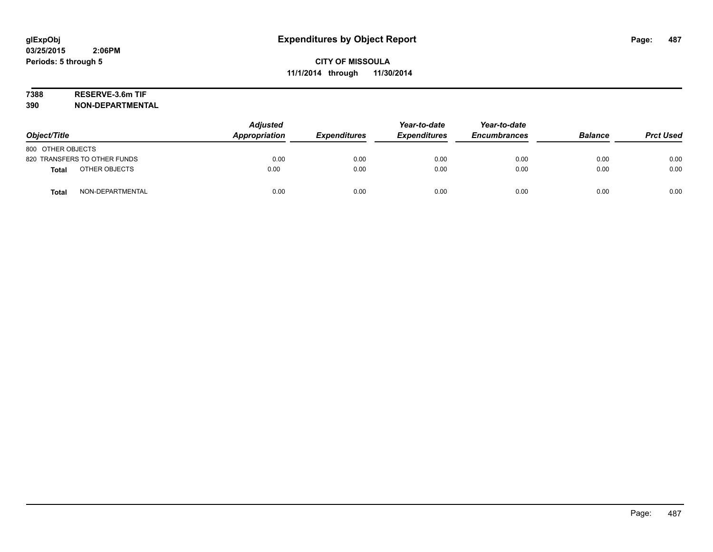# **7388 RESERVE-3.6m TIF**

| Object/Title                     | <b>Adjusted</b><br>Appropriation | <b>Expenditures</b> | Year-to-date<br><b>Expenditures</b> | Year-to-date<br><b>Encumbrances</b> | <b>Balance</b> | <b>Prct Used</b> |
|----------------------------------|----------------------------------|---------------------|-------------------------------------|-------------------------------------|----------------|------------------|
| 800 OTHER OBJECTS                |                                  |                     |                                     |                                     |                |                  |
| 820 TRANSFERS TO OTHER FUNDS     | 0.00                             | 0.00                | 0.00                                | 0.00                                | 0.00           | 0.00             |
| OTHER OBJECTS<br><b>Total</b>    | 0.00                             | 0.00                | 0.00                                | 0.00                                | 0.00           | 0.00             |
| NON-DEPARTMENTAL<br><b>Total</b> | 0.00                             | 0.00                | 0.00                                | 0.00                                | 0.00           | 0.00             |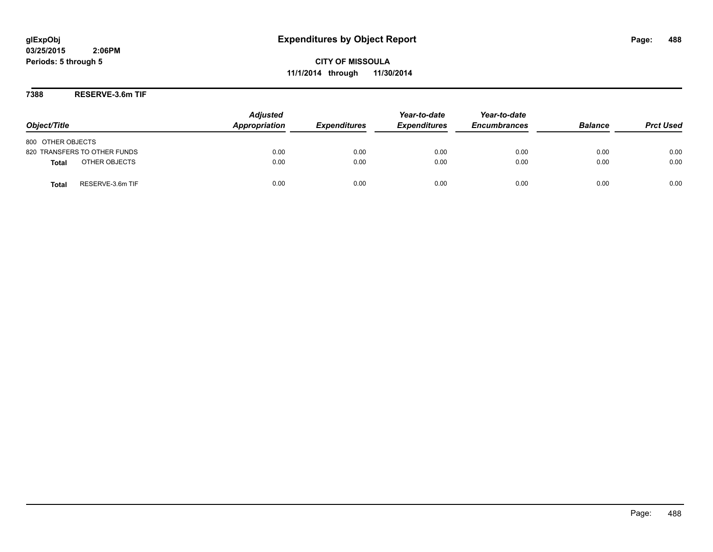**CITY OF MISSOULA 11/1/2014 through 11/30/2014**

**7388 RESERVE-3.6m TIF**

| Object/Title                     | <b>Adjusted</b><br>Appropriation | <b>Expenditures</b> | Year-to-date<br><b>Expenditures</b> | Year-to-date<br><b>Encumbrances</b> | <b>Balance</b> | <b>Prct Used</b> |
|----------------------------------|----------------------------------|---------------------|-------------------------------------|-------------------------------------|----------------|------------------|
| 800 OTHER OBJECTS                |                                  |                     |                                     |                                     |                |                  |
| 820 TRANSFERS TO OTHER FUNDS     | 0.00                             | 0.00                | 0.00                                | 0.00                                | 0.00           | 0.00             |
| OTHER OBJECTS<br><b>Total</b>    | 0.00                             | 0.00                | 0.00                                | 0.00                                | 0.00           | 0.00             |
| RESERVE-3.6m TIF<br><b>Total</b> | 0.00                             | 0.00                | 0.00                                | 0.00                                | 0.00           | 0.00             |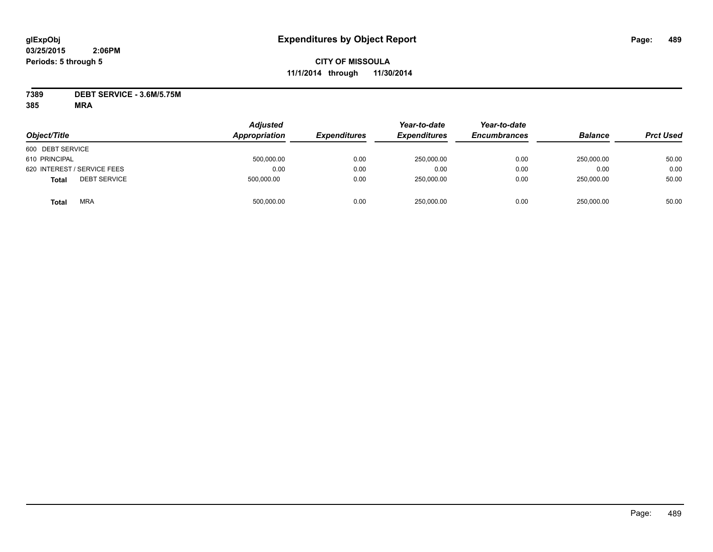# **CITY OF MISSOULA 11/1/2014 through 11/30/2014**

**7389 DEBT SERVICE - 3.6M/5.75M**

| Object/Title                        | <b>Adjusted</b><br>Appropriation | <b>Expenditures</b> | Year-to-date<br><b>Expenditures</b> | Year-to-date<br><b>Encumbrances</b> | <b>Balance</b> | <b>Prct Used</b> |
|-------------------------------------|----------------------------------|---------------------|-------------------------------------|-------------------------------------|----------------|------------------|
| 600 DEBT SERVICE                    |                                  |                     |                                     |                                     |                |                  |
| 610 PRINCIPAL                       | 500,000.00                       | 0.00                | 250,000.00                          | 0.00                                | 250.000.00     | 50.00            |
| 620 INTEREST / SERVICE FEES         | 0.00                             | 0.00                | 0.00                                | 0.00                                | 0.00           | 0.00             |
| <b>DEBT SERVICE</b><br><b>Total</b> | 500,000.00                       | 0.00                | 250,000.00                          | 0.00                                | 250,000.00     | 50.00            |
| <b>MRA</b><br>Total                 | 500,000.00                       | 0.00                | 250,000.00                          | 0.00                                | 250,000.00     | 50.00            |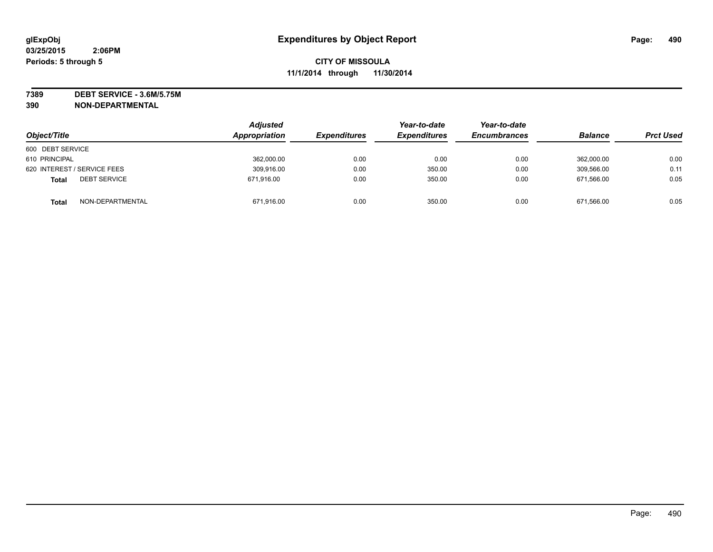**7389 DEBT SERVICE - 3.6M/5.75M**

|                                  | <b>Adjusted</b> |                     | Year-to-date        | Year-to-date        |                |                  |
|----------------------------------|-----------------|---------------------|---------------------|---------------------|----------------|------------------|
| Object/Title                     | Appropriation   | <b>Expenditures</b> | <b>Expenditures</b> | <b>Encumbrances</b> | <b>Balance</b> | <b>Prct Used</b> |
| 600 DEBT SERVICE                 |                 |                     |                     |                     |                |                  |
| 610 PRINCIPAL                    | 362,000.00      | 0.00                | 0.00                | 0.00                | 362,000.00     | 0.00             |
| 620 INTEREST / SERVICE FEES      | 309,916.00      | 0.00                | 350.00              | 0.00                | 309.566.00     | 0.11             |
| <b>DEBT SERVICE</b><br>Total     | 671,916.00      | 0.00                | 350.00              | 0.00                | 671,566.00     | 0.05             |
| NON-DEPARTMENTAL<br><b>Total</b> | 671,916.00      | 0.00                | 350.00              | 0.00                | 671.566.00     | 0.05             |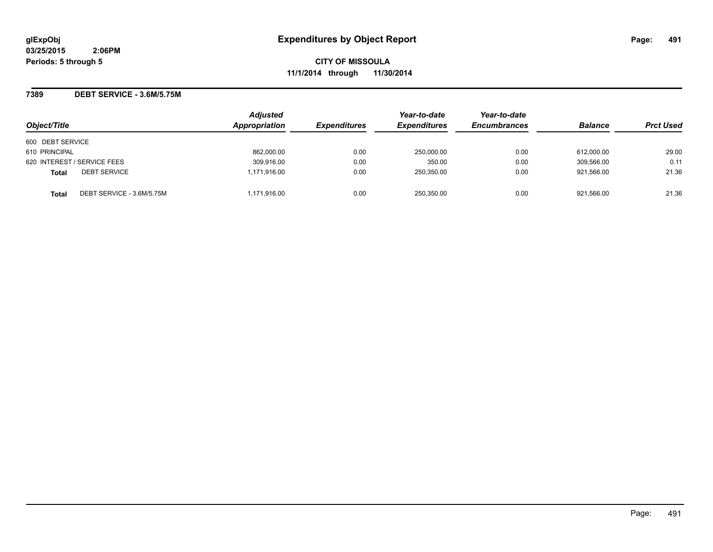**CITY OF MISSOULA 11/1/2014 through 11/30/2014**

### **7389 DEBT SERVICE - 3.6M/5.75M**

|                                           | <b>Adjusted</b> |                     | Year-to-date        | Year-to-date        |                |                  |
|-------------------------------------------|-----------------|---------------------|---------------------|---------------------|----------------|------------------|
| Object/Title                              | Appropriation   | <b>Expenditures</b> | <b>Expenditures</b> | <b>Encumbrances</b> | <b>Balance</b> | <b>Prct Used</b> |
| 600 DEBT SERVICE                          |                 |                     |                     |                     |                |                  |
| 610 PRINCIPAL                             | 862,000.00      | 0.00                | 250,000.00          | 0.00                | 612,000.00     | 29.00            |
| 620 INTEREST / SERVICE FEES               | 309,916.00      | 0.00                | 350.00              | 0.00                | 309,566.00     | 0.11             |
| <b>DEBT SERVICE</b><br><b>Total</b>       | 1.171.916.00    | 0.00                | 250,350.00          | 0.00                | 921.566.00     | 21.36            |
| DEBT SERVICE - 3.6M/5.75M<br><b>Total</b> | 1,171,916.00    | 0.00                | 250.350.00          | 0.00                | 921.566.00     | 21.36            |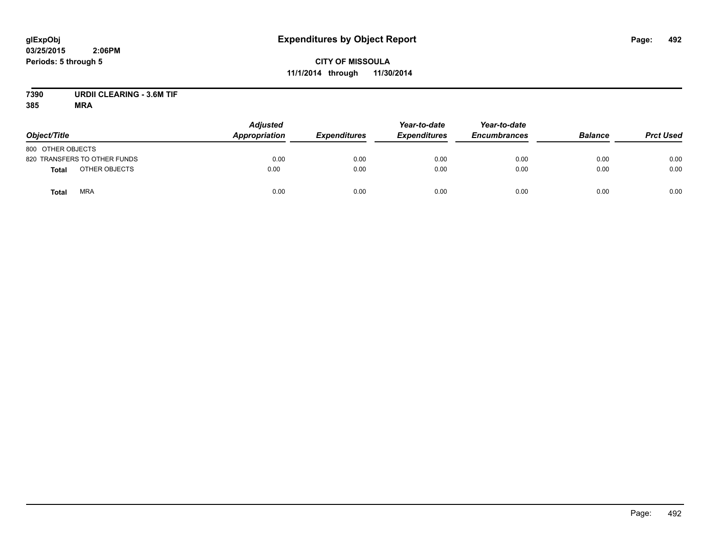# **glExpObj Expenditures by Object Report Page: 492**

**03/25/2015 2:06PM Periods: 5 through 5**

**7390 URDII CLEARING - 3.6M TIF**

| Object/Title                  | <b>Adjusted</b><br>Appropriation | <b>Expenditures</b> | Year-to-date<br><b>Expenditures</b> | Year-to-date<br><b>Encumbrances</b> | <b>Balance</b> | <b>Prct Used</b> |
|-------------------------------|----------------------------------|---------------------|-------------------------------------|-------------------------------------|----------------|------------------|
| 800 OTHER OBJECTS             |                                  |                     |                                     |                                     |                |                  |
| 820 TRANSFERS TO OTHER FUNDS  | 0.00                             | 0.00                | 0.00                                | 0.00                                | 0.00           | 0.00             |
| OTHER OBJECTS<br><b>Total</b> | 0.00                             | 0.00                | 0.00                                | 0.00                                | 0.00           | 0.00             |
| <b>MRA</b><br><b>Total</b>    | 0.00                             | 0.00                | 0.00                                | 0.00                                | 0.00           | 0.00             |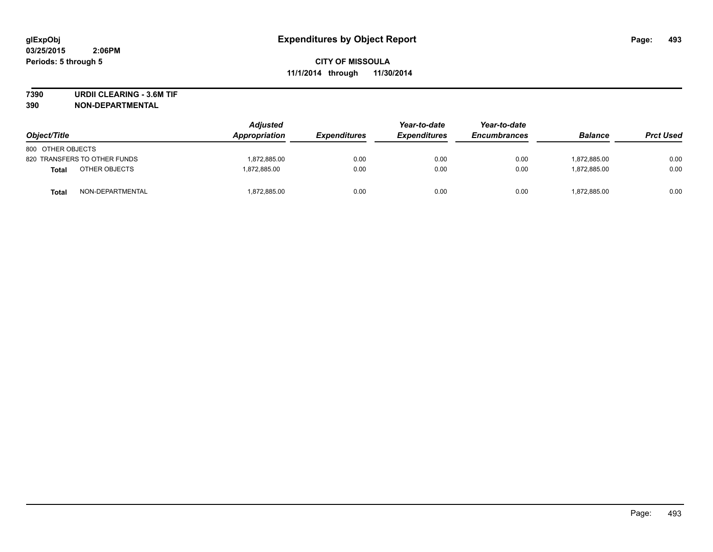**7390 URDII CLEARING - 3.6M TIF**

| Object/Title                 | <b>Adjusted</b><br>Appropriation | <b>Expenditures</b> | Year-to-date<br><b>Expenditures</b> | Year-to-date<br><b>Encumbrances</b> | <b>Balance</b> | <b>Prct Used</b> |
|------------------------------|----------------------------------|---------------------|-------------------------------------|-------------------------------------|----------------|------------------|
| 800 OTHER OBJECTS            |                                  |                     |                                     |                                     |                |                  |
| 820 TRANSFERS TO OTHER FUNDS | 1,872,885.00                     | 0.00                | 0.00                                | 0.00                                | 1.872.885.00   | 0.00             |
| OTHER OBJECTS<br>Total       | 1.872.885.00                     | 0.00                | 0.00                                | 0.00                                | 1.872.885.00   | 0.00             |
| NON-DEPARTMENTAL<br>Total    | 1,872,885.00                     | 0.00                | 0.00                                | 0.00                                | 1,872,885.00   | 0.00             |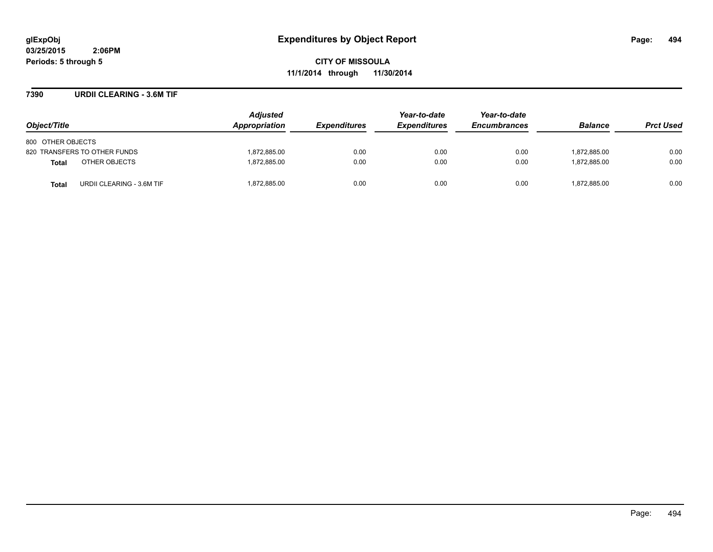**CITY OF MISSOULA 11/1/2014 through 11/30/2014**

### **7390 URDII CLEARING - 3.6M TIF**

| Object/Title                              | <b>Adjusted</b><br>Appropriation | <b>Expenditures</b> | Year-to-date<br><b>Expenditures</b> | Year-to-date<br><b>Encumbrances</b> | <b>Balance</b> | <b>Prct Used</b> |
|-------------------------------------------|----------------------------------|---------------------|-------------------------------------|-------------------------------------|----------------|------------------|
| 800 OTHER OBJECTS                         |                                  |                     |                                     |                                     |                |                  |
| 820 TRANSFERS TO OTHER FUNDS              | 1,872,885.00                     | 0.00                | 0.00                                | 0.00                                | 1,872,885.00   | 0.00             |
| OTHER OBJECTS<br><b>Total</b>             | 1,872,885.00                     | 0.00                | 0.00                                | 0.00                                | 1.872.885.00   | 0.00             |
| URDII CLEARING - 3.6M TIF<br><b>Total</b> | 1,872,885.00                     | 0.00                | 0.00                                | 0.00                                | 1,872,885.00   | 0.00             |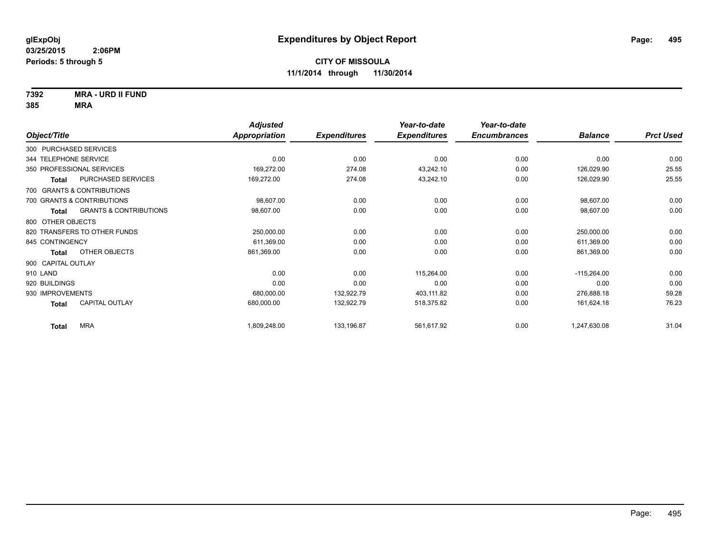**7392 MRA - URD II FUND**

|                              |                                   | <b>Adjusted</b> |                     | Year-to-date        | Year-to-date        |                |                  |
|------------------------------|-----------------------------------|-----------------|---------------------|---------------------|---------------------|----------------|------------------|
| Object/Title                 |                                   | Appropriation   | <b>Expenditures</b> | <b>Expenditures</b> | <b>Encumbrances</b> | <b>Balance</b> | <b>Prct Used</b> |
| 300 PURCHASED SERVICES       |                                   |                 |                     |                     |                     |                |                  |
| 344 TELEPHONE SERVICE        |                                   | 0.00            | 0.00                | 0.00                | 0.00                | 0.00           | 0.00             |
| 350 PROFESSIONAL SERVICES    |                                   | 169,272.00      | 274.08              | 43,242.10           | 0.00                | 126,029.90     | 25.55            |
| <b>Total</b>                 | PURCHASED SERVICES                | 169,272.00      | 274.08              | 43,242.10           | 0.00                | 126,029.90     | 25.55            |
| 700 GRANTS & CONTRIBUTIONS   |                                   |                 |                     |                     |                     |                |                  |
| 700 GRANTS & CONTRIBUTIONS   |                                   | 98,607.00       | 0.00                | 0.00                | 0.00                | 98,607.00      | 0.00             |
| <b>Total</b>                 | <b>GRANTS &amp; CONTRIBUTIONS</b> | 98,607.00       | 0.00                | 0.00                | 0.00                | 98,607.00      | 0.00             |
| 800 OTHER OBJECTS            |                                   |                 |                     |                     |                     |                |                  |
| 820 TRANSFERS TO OTHER FUNDS |                                   | 250,000.00      | 0.00                | 0.00                | 0.00                | 250,000.00     | 0.00             |
| 845 CONTINGENCY              |                                   | 611,369.00      | 0.00                | 0.00                | 0.00                | 611,369.00     | 0.00             |
| <b>Total</b>                 | OTHER OBJECTS                     | 861,369.00      | 0.00                | 0.00                | 0.00                | 861,369.00     | 0.00             |
| 900 CAPITAL OUTLAY           |                                   |                 |                     |                     |                     |                |                  |
| 910 LAND                     |                                   | 0.00            | 0.00                | 115,264.00          | 0.00                | $-115,264.00$  | 0.00             |
| 920 BUILDINGS                |                                   | 0.00            | 0.00                | 0.00                | 0.00                | 0.00           | 0.00             |
| 930 IMPROVEMENTS             |                                   | 680,000.00      | 132,922.79          | 403,111.82          | 0.00                | 276,888.18     | 59.28            |
| <b>Total</b>                 | <b>CAPITAL OUTLAY</b>             | 680,000.00      | 132,922.79          | 518,375.82          | 0.00                | 161,624.18     | 76.23            |
| <b>Total</b>                 | <b>MRA</b>                        | 1,809,248.00    | 133,196.87          | 561,617.92          | 0.00                | 1,247,630.08   | 31.04            |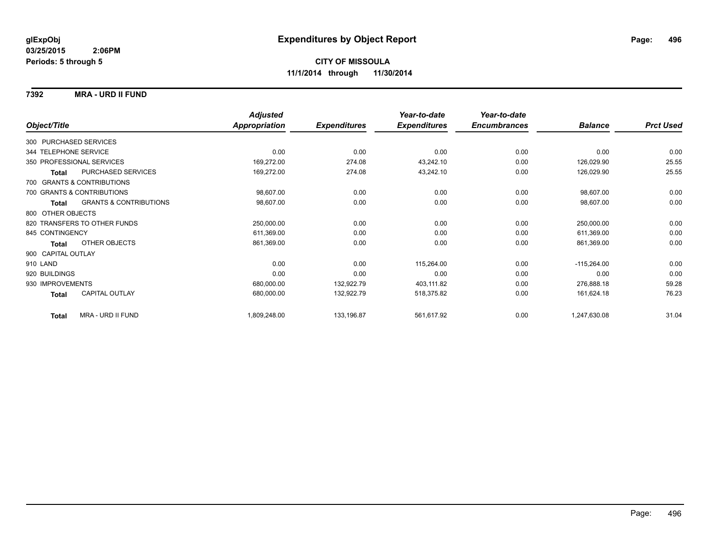### **7392 MRA - URD II FUND**

|                        |                                   | <b>Adjusted</b>      |                     | Year-to-date        | Year-to-date        |                |                  |
|------------------------|-----------------------------------|----------------------|---------------------|---------------------|---------------------|----------------|------------------|
| Object/Title           |                                   | <b>Appropriation</b> | <b>Expenditures</b> | <b>Expenditures</b> | <b>Encumbrances</b> | <b>Balance</b> | <b>Prct Used</b> |
| 300 PURCHASED SERVICES |                                   |                      |                     |                     |                     |                |                  |
| 344 TELEPHONE SERVICE  |                                   | 0.00                 | 0.00                | 0.00                | 0.00                | 0.00           | 0.00             |
|                        | 350 PROFESSIONAL SERVICES         | 169,272.00           | 274.08              | 43,242.10           | 0.00                | 126,029.90     | 25.55            |
| <b>Total</b>           | PURCHASED SERVICES                | 169,272.00           | 274.08              | 43,242.10           | 0.00                | 126,029.90     | 25.55            |
|                        | 700 GRANTS & CONTRIBUTIONS        |                      |                     |                     |                     |                |                  |
|                        | 700 GRANTS & CONTRIBUTIONS        | 98,607.00            | 0.00                | 0.00                | 0.00                | 98,607.00      | 0.00             |
| Total                  | <b>GRANTS &amp; CONTRIBUTIONS</b> | 98,607.00            | 0.00                | 0.00                | 0.00                | 98,607.00      | 0.00             |
| 800 OTHER OBJECTS      |                                   |                      |                     |                     |                     |                |                  |
|                        | 820 TRANSFERS TO OTHER FUNDS      | 250,000.00           | 0.00                | 0.00                | 0.00                | 250,000.00     | 0.00             |
| 845 CONTINGENCY        |                                   | 611,369.00           | 0.00                | 0.00                | 0.00                | 611,369.00     | 0.00             |
| Total                  | OTHER OBJECTS                     | 861,369.00           | 0.00                | 0.00                | 0.00                | 861,369.00     | 0.00             |
| 900 CAPITAL OUTLAY     |                                   |                      |                     |                     |                     |                |                  |
| 910 LAND               |                                   | 0.00                 | 0.00                | 115,264.00          | 0.00                | $-115,264.00$  | 0.00             |
| 920 BUILDINGS          |                                   | 0.00                 | 0.00                | 0.00                | 0.00                | 0.00           | 0.00             |
| 930 IMPROVEMENTS       |                                   | 680,000.00           | 132,922.79          | 403,111.82          | 0.00                | 276,888.18     | 59.28            |
| Total                  | <b>CAPITAL OUTLAY</b>             | 680,000.00           | 132,922.79          | 518,375.82          | 0.00                | 161,624.18     | 76.23            |
| <b>Total</b>           | <b>MRA - URD II FUND</b>          | 1,809,248.00         | 133,196.87          | 561,617.92          | 0.00                | 1,247,630.08   | 31.04            |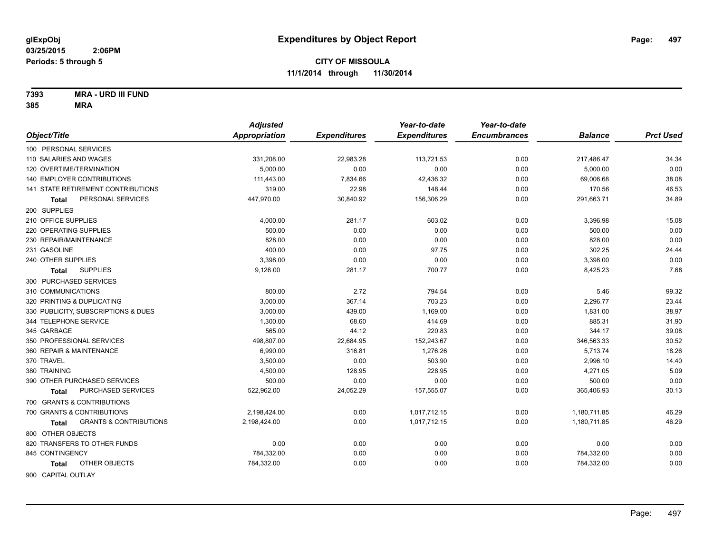**7393 MRA - URD III FUND**

|              |                                            | <b>Adjusted</b>      |                     | Year-to-date        | Year-to-date        |                |                  |
|--------------|--------------------------------------------|----------------------|---------------------|---------------------|---------------------|----------------|------------------|
| Object/Title |                                            | <b>Appropriation</b> | <b>Expenditures</b> | <b>Expenditures</b> | <b>Encumbrances</b> | <b>Balance</b> | <b>Prct Used</b> |
|              | 100 PERSONAL SERVICES                      |                      |                     |                     |                     |                |                  |
|              | 110 SALARIES AND WAGES                     | 331,208.00           | 22,983.28           | 113,721.53          | 0.00                | 217,486.47     | 34.34            |
|              | 120 OVERTIME/TERMINATION                   | 5.000.00             | 0.00                | 0.00                | 0.00                | 5,000.00       | 0.00             |
|              | <b>140 EMPLOYER CONTRIBUTIONS</b>          | 111,443.00           | 7,834.66            | 42,436.32           | 0.00                | 69,006.68      | 38.08            |
|              | 141 STATE RETIREMENT CONTRIBUTIONS         | 319.00               | 22.98               | 148.44              | 0.00                | 170.56         | 46.53            |
|              | PERSONAL SERVICES<br>Total                 | 447,970.00           | 30,840.92           | 156,306.29          | 0.00                | 291,663.71     | 34.89            |
|              | 200 SUPPLIES                               |                      |                     |                     |                     |                |                  |
|              | 210 OFFICE SUPPLIES                        | 4,000.00             | 281.17              | 603.02              | 0.00                | 3,396.98       | 15.08            |
|              | 220 OPERATING SUPPLIES                     | 500.00               | 0.00                | 0.00                | 0.00                | 500.00         | 0.00             |
|              | 230 REPAIR/MAINTENANCE                     | 828.00               | 0.00                | 0.00                | 0.00                | 828.00         | 0.00             |
|              | 231 GASOLINE                               | 400.00               | 0.00                | 97.75               | 0.00                | 302.25         | 24.44            |
|              | 240 OTHER SUPPLIES                         | 3,398.00             | 0.00                | 0.00                | 0.00                | 3,398.00       | 0.00             |
|              | <b>SUPPLIES</b><br><b>Total</b>            | 9,126.00             | 281.17              | 700.77              | 0.00                | 8,425.23       | 7.68             |
|              | 300 PURCHASED SERVICES                     |                      |                     |                     |                     |                |                  |
|              | 310 COMMUNICATIONS                         | 800.00               | 2.72                | 794.54              | 0.00                | 5.46           | 99.32            |
|              | 320 PRINTING & DUPLICATING                 | 3,000.00             | 367.14              | 703.23              | 0.00                | 2,296.77       | 23.44            |
|              | 330 PUBLICITY, SUBSCRIPTIONS & DUES        | 3,000.00             | 439.00              | 1,169.00            | 0.00                | 1,831.00       | 38.97            |
|              | 344 TELEPHONE SERVICE                      | 1,300.00             | 68.60               | 414.69              | 0.00                | 885.31         | 31.90            |
|              | 345 GARBAGE                                | 565.00               | 44.12               | 220.83              | 0.00                | 344.17         | 39.08            |
|              | 350 PROFESSIONAL SERVICES                  | 498,807.00           | 22,684.95           | 152,243.67          | 0.00                | 346,563.33     | 30.52            |
|              | 360 REPAIR & MAINTENANCE                   | 6,990.00             | 316.81              | 1,276.26            | 0.00                | 5,713.74       | 18.26            |
| 370 TRAVEL   |                                            | 3,500.00             | 0.00                | 503.90              | 0.00                | 2,996.10       | 14.40            |
|              | 380 TRAINING                               | 4,500.00             | 128.95              | 228.95              | 0.00                | 4,271.05       | 5.09             |
|              | 390 OTHER PURCHASED SERVICES               | 500.00               | 0.00                | 0.00                | 0.00                | 500.00         | 0.00             |
|              | PURCHASED SERVICES<br>Total                | 522,962.00           | 24,052.29           | 157,555.07          | 0.00                | 365,406.93     | 30.13            |
|              | 700 GRANTS & CONTRIBUTIONS                 |                      |                     |                     |                     |                |                  |
|              | 700 GRANTS & CONTRIBUTIONS                 | 2,198,424.00         | 0.00                | 1,017,712.15        | 0.00                | 1,180,711.85   | 46.29            |
|              | <b>GRANTS &amp; CONTRIBUTIONS</b><br>Total | 2,198,424.00         | 0.00                | 1,017,712.15        | 0.00                | 1,180,711.85   | 46.29            |
|              | 800 OTHER OBJECTS                          |                      |                     |                     |                     |                |                  |
|              | 820 TRANSFERS TO OTHER FUNDS               | 0.00                 | 0.00                | 0.00                | 0.00                | 0.00           | 0.00             |
|              | 845 CONTINGENCY                            | 784,332.00           | 0.00                | 0.00                | 0.00                | 784,332.00     | 0.00             |
|              | OTHER OBJECTS<br>Total                     | 784,332.00           | 0.00                | 0.00                | 0.00                | 784,332.00     | 0.00             |
|              | 900 CAPITAL OUTLAY                         |                      |                     |                     |                     |                |                  |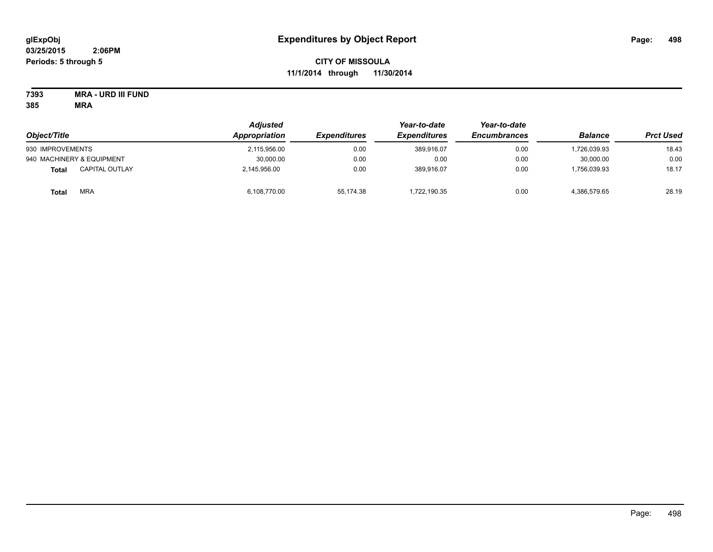# **CITY OF MISSOULA 11/1/2014 through 11/30/2014**

**7393 MRA - URD III FUND**

| Object/Title                          | Adjusted<br>Appropriation | <i><b>Expenditures</b></i> | Year-to-date<br><b>Expenditures</b> | Year-to-date<br><b>Encumbrances</b> | <b>Balance</b> | <b>Prct Used</b> |
|---------------------------------------|---------------------------|----------------------------|-------------------------------------|-------------------------------------|----------------|------------------|
| 930 IMPROVEMENTS                      | 2,115,956.00              | 0.00                       | 389.916.07                          | 0.00                                | 1,726,039.93   | 18.43            |
| 940 MACHINERY & EQUIPMENT             | 30,000.00                 | 0.00                       | 0.00                                | 0.00                                | 30,000.00      | 0.00             |
| <b>CAPITAL OUTLAY</b><br><b>Total</b> | 2,145,956.00              | 0.00                       | 389,916.07                          | 0.00                                | .756,039.93    | 18.17            |
| <b>MRA</b><br>Total                   | 6,108,770.00              | 55.174.38                  | 1.722.190.35                        | 0.00                                | 4,386,579.65   | 28.19            |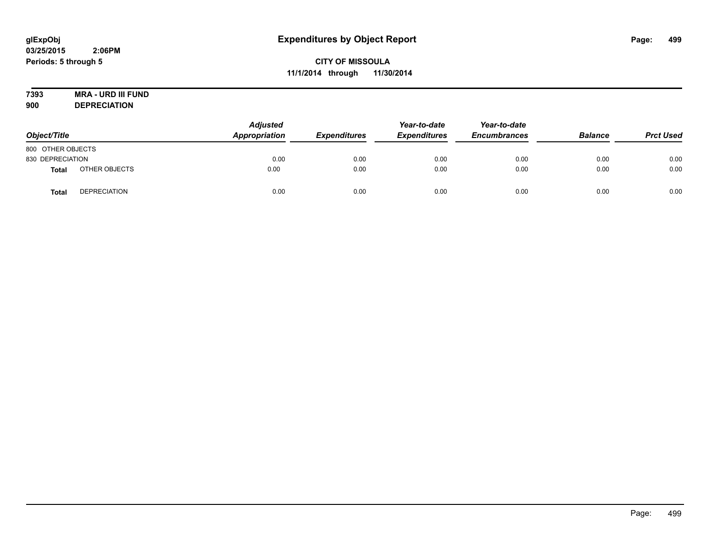# **7393 MRA - URD III FUND**

**900 DEPRECIATION**

| Object/Title      |                     | <b>Adjusted</b><br>Appropriation | <b>Expenditures</b> | Year-to-date<br><b>Expenditures</b> | Year-to-date<br><b>Encumbrances</b> | <b>Balance</b> | <b>Prct Used</b> |
|-------------------|---------------------|----------------------------------|---------------------|-------------------------------------|-------------------------------------|----------------|------------------|
| 800 OTHER OBJECTS |                     |                                  |                     |                                     |                                     |                |                  |
| 830 DEPRECIATION  |                     | 0.00                             | 0.00                | 0.00                                | 0.00                                | 0.00           | 0.00             |
| <b>Total</b>      | OTHER OBJECTS       | 0.00                             | 0.00                | 0.00                                | 0.00                                | 0.00           | 0.00             |
| Tota              | <b>DEPRECIATION</b> | 0.00                             | 0.00                | 0.00                                | 0.00                                | 0.00           | 0.00             |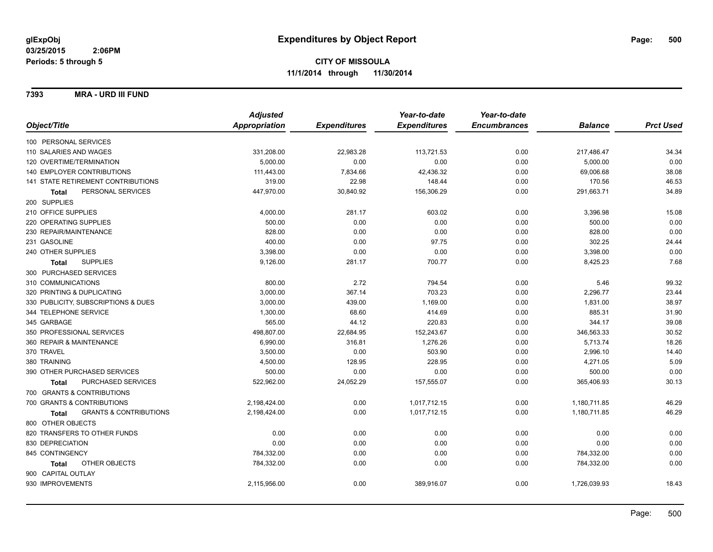**7393 MRA - URD III FUND**

|                                                   | <b>Adjusted</b>      |                     | Year-to-date        | Year-to-date        |                |                  |
|---------------------------------------------------|----------------------|---------------------|---------------------|---------------------|----------------|------------------|
| Object/Title                                      | <b>Appropriation</b> | <b>Expenditures</b> | <b>Expenditures</b> | <b>Encumbrances</b> | <b>Balance</b> | <b>Prct Used</b> |
| 100 PERSONAL SERVICES                             |                      |                     |                     |                     |                |                  |
| 110 SALARIES AND WAGES                            | 331,208.00           | 22,983.28           | 113,721.53          | 0.00                | 217,486.47     | 34.34            |
| 120 OVERTIME/TERMINATION                          | 5,000.00             | 0.00                | 0.00                | 0.00                | 5,000.00       | 0.00             |
| 140 EMPLOYER CONTRIBUTIONS                        | 111,443.00           | 7,834.66            | 42,436.32           | 0.00                | 69,006.68      | 38.08            |
| 141 STATE RETIREMENT CONTRIBUTIONS                | 319.00               | 22.98               | 148.44              | 0.00                | 170.56         | 46.53            |
| PERSONAL SERVICES<br><b>Total</b>                 | 447,970.00           | 30,840.92           | 156,306.29          | 0.00                | 291,663.71     | 34.89            |
| 200 SUPPLIES                                      |                      |                     |                     |                     |                |                  |
| 210 OFFICE SUPPLIES                               | 4,000.00             | 281.17              | 603.02              | 0.00                | 3,396.98       | 15.08            |
| 220 OPERATING SUPPLIES                            | 500.00               | 0.00                | 0.00                | 0.00                | 500.00         | 0.00             |
| 230 REPAIR/MAINTENANCE                            | 828.00               | 0.00                | 0.00                | 0.00                | 828.00         | 0.00             |
| 231 GASOLINE                                      | 400.00               | 0.00                | 97.75               | 0.00                | 302.25         | 24.44            |
| 240 OTHER SUPPLIES                                | 3,398.00             | 0.00                | 0.00                | 0.00                | 3,398.00       | 0.00             |
| <b>SUPPLIES</b><br><b>Total</b>                   | 9,126.00             | 281.17              | 700.77              | 0.00                | 8,425.23       | 7.68             |
| 300 PURCHASED SERVICES                            |                      |                     |                     |                     |                |                  |
| 310 COMMUNICATIONS                                | 800.00               | 2.72                | 794.54              | 0.00                | 5.46           | 99.32            |
| 320 PRINTING & DUPLICATING                        | 3,000.00             | 367.14              | 703.23              | 0.00                | 2,296.77       | 23.44            |
| 330 PUBLICITY, SUBSCRIPTIONS & DUES               | 3,000.00             | 439.00              | 1,169.00            | 0.00                | 1,831.00       | 38.97            |
| 344 TELEPHONE SERVICE                             | 1,300.00             | 68.60               | 414.69              | 0.00                | 885.31         | 31.90            |
| 345 GARBAGE                                       | 565.00               | 44.12               | 220.83              | 0.00                | 344.17         | 39.08            |
| 350 PROFESSIONAL SERVICES                         | 498,807.00           | 22,684.95           | 152,243.67          | 0.00                | 346,563.33     | 30.52            |
| 360 REPAIR & MAINTENANCE                          | 6,990.00             | 316.81              | 1,276.26            | 0.00                | 5,713.74       | 18.26            |
| 370 TRAVEL                                        | 3,500.00             | 0.00                | 503.90              | 0.00                | 2,996.10       | 14.40            |
| 380 TRAINING                                      | 4,500.00             | 128.95              | 228.95              | 0.00                | 4,271.05       | 5.09             |
| 390 OTHER PURCHASED SERVICES                      | 500.00               | 0.00                | 0.00                | 0.00                | 500.00         | 0.00             |
| PURCHASED SERVICES<br><b>Total</b>                | 522,962.00           | 24,052.29           | 157,555.07          | 0.00                | 365,406.93     | 30.13            |
| 700 GRANTS & CONTRIBUTIONS                        |                      |                     |                     |                     |                |                  |
| 700 GRANTS & CONTRIBUTIONS                        | 2,198,424.00         | 0.00                | 1,017,712.15        | 0.00                | 1,180,711.85   | 46.29            |
| <b>GRANTS &amp; CONTRIBUTIONS</b><br><b>Total</b> | 2,198,424.00         | 0.00                | 1,017,712.15        | 0.00                | 1,180,711.85   | 46.29            |
| 800 OTHER OBJECTS                                 |                      |                     |                     |                     |                |                  |
| 820 TRANSFERS TO OTHER FUNDS                      | 0.00                 | 0.00                | 0.00                | 0.00                | 0.00           | 0.00             |
| 830 DEPRECIATION                                  | 0.00                 | 0.00                | 0.00                | 0.00                | 0.00           | 0.00             |
| 845 CONTINGENCY                                   | 784,332.00           | 0.00                | 0.00                | 0.00                | 784,332.00     | 0.00             |
| OTHER OBJECTS<br>Total                            | 784,332.00           | 0.00                | 0.00                | 0.00                | 784,332.00     | 0.00             |
| 900 CAPITAL OUTLAY                                |                      |                     |                     |                     |                |                  |
| 930 IMPROVEMENTS                                  | 2,115,956.00         | 0.00                | 389,916.07          | 0.00                | 1,726,039.93   | 18.43            |
|                                                   |                      |                     |                     |                     |                |                  |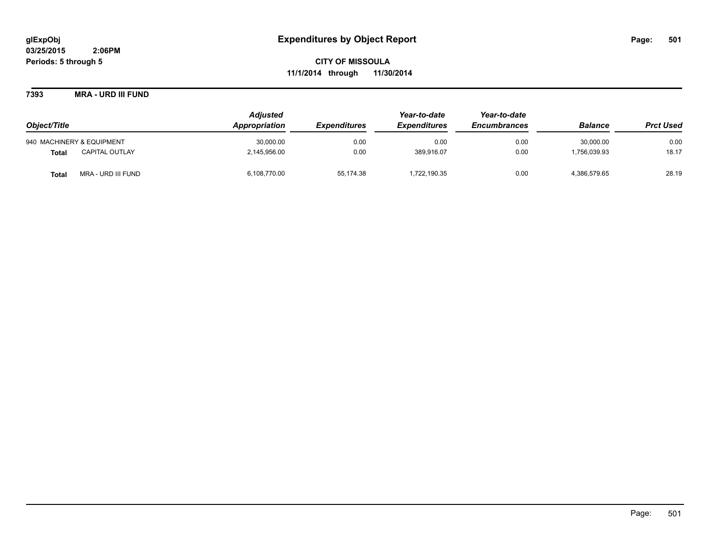**CITY OF MISSOULA 11/1/2014 through 11/30/2014**

**7393 MRA - URD III FUND**

|                                       | <b>Adjusted</b> |                            | Year-to-date        | Year-to-date        |                |                  |
|---------------------------------------|-----------------|----------------------------|---------------------|---------------------|----------------|------------------|
| Object/Title                          | Appropriation   | <i><b>Expenditures</b></i> | <b>Expenditures</b> | <b>Encumbrances</b> | <b>Balance</b> | <b>Prct Used</b> |
| 940 MACHINERY & EQUIPMENT             | 30,000.00       | 0.00                       | 0.00                | 0.00                | 30.000.00      | 0.00             |
| <b>CAPITAL OUTLAY</b><br><b>Total</b> | 2,145,956.00    | 0.00                       | 389,916.07          | 0.00                | 1,756,039.93   | 18.17            |
| MRA - URD III FUND<br><b>Total</b>    | 6,108,770.00    | 55,174.38                  | 1,722,190.35        | 0.00                | 4,386,579.65   | 28.19            |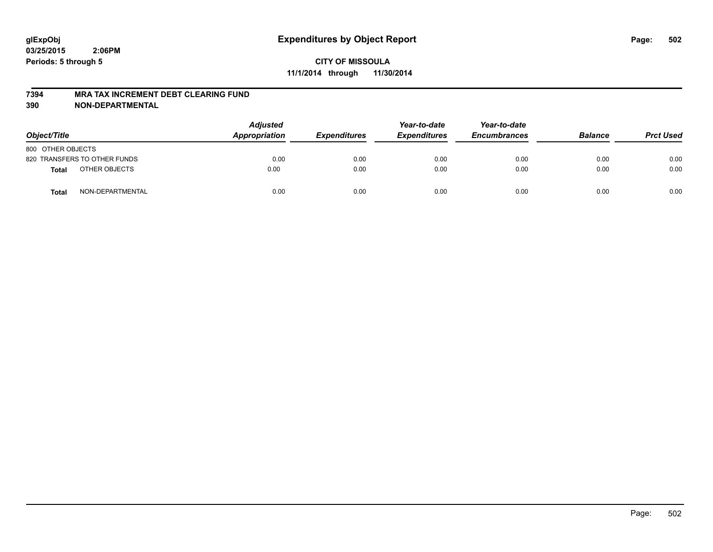#### **7394 MRA TAX INCREMENT DEBT CLEARING FUND**

| Object/Title      |                              | <b>Adjusted</b><br>Appropriation | <b>Expenditures</b> | Year-to-date<br><b>Expenditures</b> | Year-to-date<br><b>Encumbrances</b> | <b>Balance</b> | <b>Prct Used</b> |
|-------------------|------------------------------|----------------------------------|---------------------|-------------------------------------|-------------------------------------|----------------|------------------|
| 800 OTHER OBJECTS |                              |                                  |                     |                                     |                                     |                |                  |
|                   | 820 TRANSFERS TO OTHER FUNDS | 0.00                             | 0.00                | 0.00                                | 0.00                                | 0.00           | 0.00             |
| <b>Total</b>      | OTHER OBJECTS                | 0.00                             | 0.00                | 0.00                                | 0.00                                | 0.00           | 0.00             |
| <b>Total</b>      | NON-DEPARTMENTAL             | 0.00                             | 0.00                | 0.00                                | 0.00                                | 0.00           | 0.00             |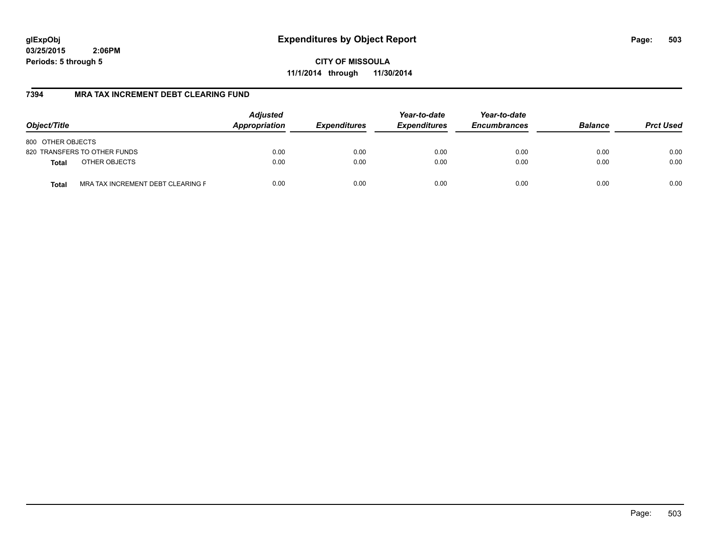**CITY OF MISSOULA 11/1/2014 through 11/30/2014**

# **7394 MRA TAX INCREMENT DEBT CLEARING FUND**

| Object/Title                                      | <b>Adjusted</b><br>Appropriation | <b>Expenditures</b> | Year-to-date<br><b>Expenditures</b> | Year-to-date<br><b>Encumbrances</b> | <b>Balance</b> | <b>Prct Used</b> |
|---------------------------------------------------|----------------------------------|---------------------|-------------------------------------|-------------------------------------|----------------|------------------|
| 800 OTHER OBJECTS                                 |                                  |                     |                                     |                                     |                |                  |
| 820 TRANSFERS TO OTHER FUNDS                      | 0.00                             | 0.00                | 0.00                                | 0.00                                | 0.00           | 0.00             |
| OTHER OBJECTS<br><b>Total</b>                     | 0.00                             | 0.00                | 0.00                                | 0.00                                | 0.00           | 0.00             |
| MRA TAX INCREMENT DEBT CLEARING F<br><b>Total</b> | 0.00                             | 0.00                | 0.00                                | 0.00                                | 0.00           | 0.00             |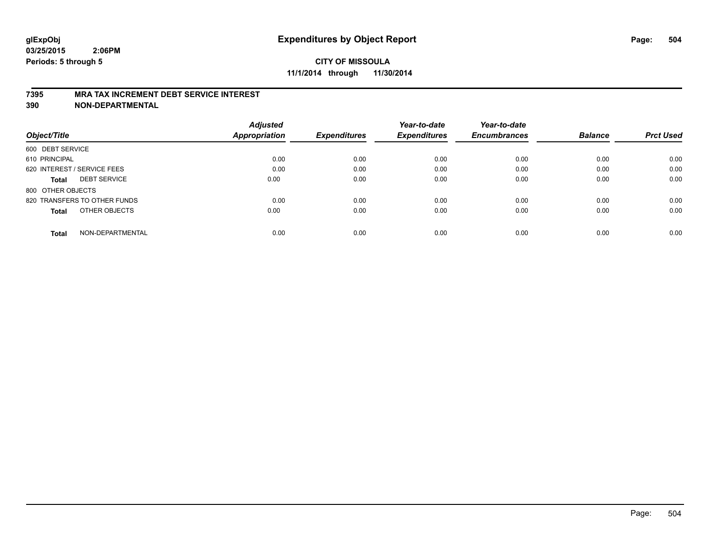#### **7395 MRA TAX INCREMENT DEBT SERVICE INTEREST**

|                                     | <b>Adjusted</b>      |                     | Year-to-date        | Year-to-date        |                |                  |
|-------------------------------------|----------------------|---------------------|---------------------|---------------------|----------------|------------------|
| Object/Title                        | <b>Appropriation</b> | <b>Expenditures</b> | <b>Expenditures</b> | <b>Encumbrances</b> | <b>Balance</b> | <b>Prct Used</b> |
| 600 DEBT SERVICE                    |                      |                     |                     |                     |                |                  |
| 610 PRINCIPAL                       | 0.00                 | 0.00                | 0.00                | 0.00                | 0.00           | 0.00             |
| 620 INTEREST / SERVICE FEES         | 0.00                 | 0.00                | 0.00                | 0.00                | 0.00           | 0.00             |
| <b>DEBT SERVICE</b><br><b>Total</b> | 0.00                 | 0.00                | 0.00                | 0.00                | 0.00           | 0.00             |
| 800 OTHER OBJECTS                   |                      |                     |                     |                     |                |                  |
| 820 TRANSFERS TO OTHER FUNDS        | 0.00                 | 0.00                | 0.00                | 0.00                | 0.00           | 0.00             |
| OTHER OBJECTS<br><b>Total</b>       | 0.00                 | 0.00                | 0.00                | 0.00                | 0.00           | 0.00             |
| NON-DEPARTMENTAL<br>Total           | 0.00                 | 0.00                | 0.00                | 0.00                | 0.00           | 0.00             |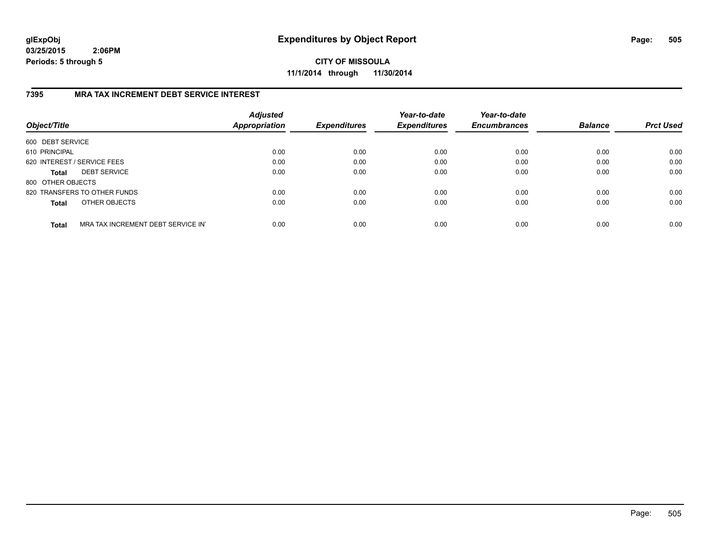**CITY OF MISSOULA 11/1/2014 through 11/30/2014**

### **7395 MRA TAX INCREMENT DEBT SERVICE INTEREST**

| Object/Title      |                                   | <b>Adjusted</b><br>Appropriation | <b>Expenditures</b> | Year-to-date<br><b>Expenditures</b> | Year-to-date<br><b>Encumbrances</b> | <b>Balance</b> | <b>Prct Used</b> |
|-------------------|-----------------------------------|----------------------------------|---------------------|-------------------------------------|-------------------------------------|----------------|------------------|
| 600 DEBT SERVICE  |                                   |                                  |                     |                                     |                                     |                |                  |
| 610 PRINCIPAL     |                                   | 0.00                             | 0.00                | 0.00                                | 0.00                                | 0.00           | 0.00             |
|                   | 620 INTEREST / SERVICE FEES       | 0.00                             | 0.00                | 0.00                                | 0.00                                | 0.00           | 0.00             |
| <b>Total</b>      | <b>DEBT SERVICE</b>               | 0.00                             | 0.00                | 0.00                                | 0.00                                | 0.00           | 0.00             |
| 800 OTHER OBJECTS |                                   |                                  |                     |                                     |                                     |                |                  |
|                   | 820 TRANSFERS TO OTHER FUNDS      | 0.00                             | 0.00                | 0.00                                | 0.00                                | 0.00           | 0.00             |
| <b>Total</b>      | OTHER OBJECTS                     | 0.00                             | 0.00                | 0.00                                | 0.00                                | 0.00           | 0.00             |
| <b>Total</b>      | MRA TAX INCREMENT DEBT SERVICE IN | 0.00                             | 0.00                | 0.00                                | 0.00                                | 0.00           | 0.00             |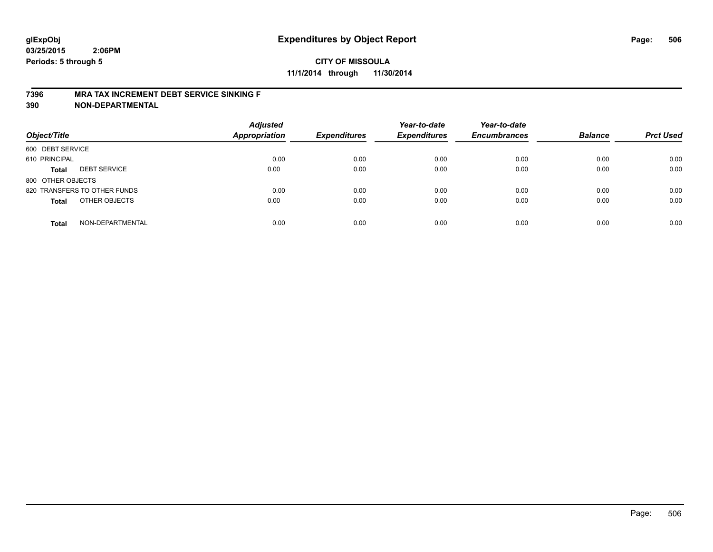# **CITY OF MISSOULA 11/1/2014 through 11/30/2014**

#### **7396 MRA TAX INCREMENT DEBT SERVICE SINKING F**

**390 NON-DEPARTMENTAL**

| Object/Title      |                              | <b>Adjusted</b><br><b>Appropriation</b> | <b>Expenditures</b> | Year-to-date<br><b>Expenditures</b> | Year-to-date<br><b>Encumbrances</b> | <b>Balance</b> | <b>Prct Used</b> |
|-------------------|------------------------------|-----------------------------------------|---------------------|-------------------------------------|-------------------------------------|----------------|------------------|
| 600 DEBT SERVICE  |                              |                                         |                     |                                     |                                     |                |                  |
| 610 PRINCIPAL     |                              | 0.00                                    | 0.00                | 0.00                                | 0.00                                | 0.00           | 0.00             |
| <b>Total</b>      | <b>DEBT SERVICE</b>          | 0.00                                    | 0.00                | 0.00                                | 0.00                                | 0.00           | 0.00             |
| 800 OTHER OBJECTS |                              |                                         |                     |                                     |                                     |                |                  |
|                   | 820 TRANSFERS TO OTHER FUNDS | 0.00                                    | 0.00                | 0.00                                | 0.00                                | 0.00           | 0.00             |
| <b>Total</b>      | OTHER OBJECTS                | 0.00                                    | 0.00                | 0.00                                | 0.00                                | 0.00           | 0.00             |
| <b>Total</b>      | NON-DEPARTMENTAL             | 0.00                                    | 0.00                | 0.00                                | 0.00                                | 0.00           | 0.00             |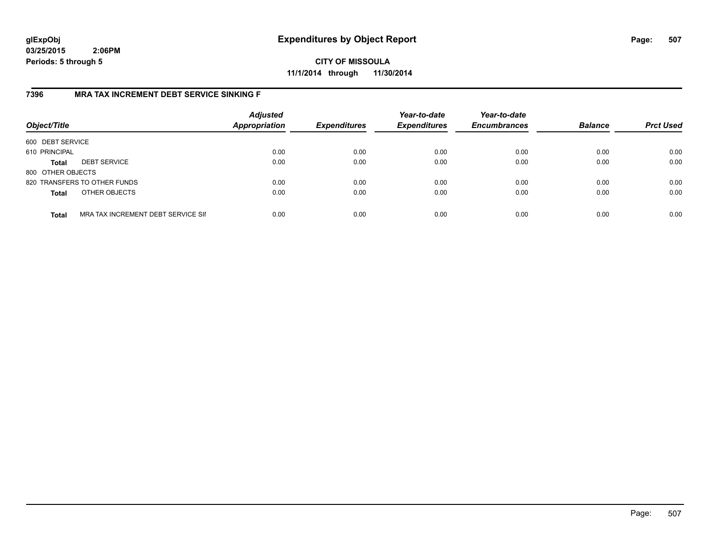**CITY OF MISSOULA 11/1/2014 through 11/30/2014**

### **7396 MRA TAX INCREMENT DEBT SERVICE SINKING F**

| Object/Title      |                                    | <b>Adjusted</b><br><b>Appropriation</b> | <b>Expenditures</b> | Year-to-date<br><b>Expenditures</b> | Year-to-date<br><b>Encumbrances</b> | <b>Balance</b> | <b>Prct Used</b> |
|-------------------|------------------------------------|-----------------------------------------|---------------------|-------------------------------------|-------------------------------------|----------------|------------------|
| 600 DEBT SERVICE  |                                    |                                         |                     |                                     |                                     |                |                  |
| 610 PRINCIPAL     |                                    | 0.00                                    | 0.00                | 0.00                                | 0.00                                | 0.00           | 0.00             |
| <b>Total</b>      | <b>DEBT SERVICE</b>                | 0.00                                    | 0.00                | 0.00                                | 0.00                                | 0.00           | 0.00             |
| 800 OTHER OBJECTS |                                    |                                         |                     |                                     |                                     |                |                  |
|                   | 820 TRANSFERS TO OTHER FUNDS       | 0.00                                    | 0.00                | 0.00                                | 0.00                                | 0.00           | 0.00             |
| <b>Total</b>      | OTHER OBJECTS                      | 0.00                                    | 0.00                | 0.00                                | 0.00                                | 0.00           | 0.00             |
| <b>Total</b>      | MRA TAX INCREMENT DEBT SERVICE SII | 0.00                                    | 0.00                | 0.00                                | 0.00                                | 0.00           | 0.00             |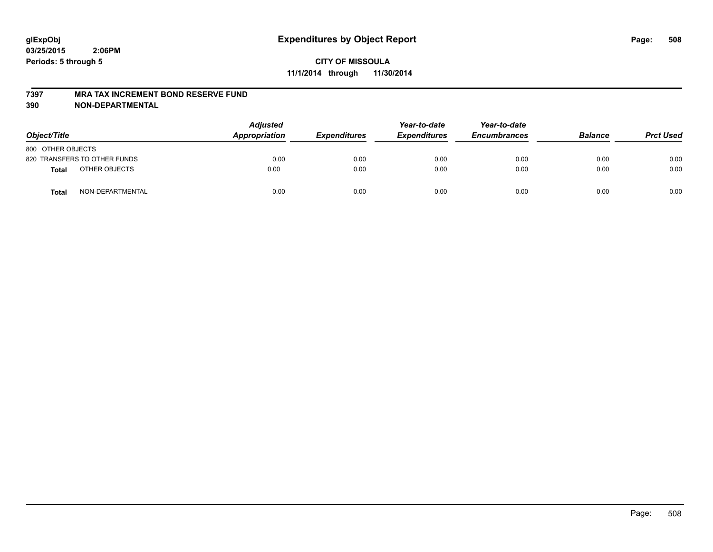#### **7397 MRA TAX INCREMENT BOND RESERVE FUND**

**390 NON-DEPARTMENTAL**

| Object/Title      |                              | <b>Adjusted</b><br>Appropriation | <b>Expenditures</b> | Year-to-date<br><b>Expenditures</b> | Year-to-date<br><b>Encumbrances</b> | <b>Balance</b> | <b>Prct Used</b> |
|-------------------|------------------------------|----------------------------------|---------------------|-------------------------------------|-------------------------------------|----------------|------------------|
| 800 OTHER OBJECTS |                              |                                  |                     |                                     |                                     |                |                  |
|                   | 820 TRANSFERS TO OTHER FUNDS | 0.00                             | 0.00                | 0.00                                | 0.00                                | 0.00           | 0.00             |
| <b>Total</b>      | OTHER OBJECTS                | 0.00                             | 0.00                | 0.00                                | 0.00                                | 0.00           | 0.00             |
| <b>Total</b>      | NON-DEPARTMENTAL             | 0.00                             | 0.00                | 0.00                                | 0.00                                | 0.00           | 0.00             |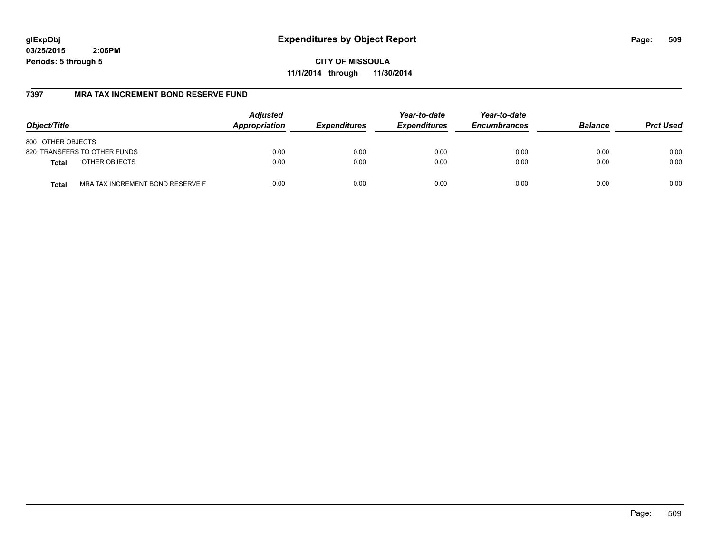**CITY OF MISSOULA 11/1/2014 through 11/30/2014**

## **7397 MRA TAX INCREMENT BOND RESERVE FUND**

| Object/Title                                     | <b>Adjusted</b><br>Appropriation | <b>Expenditures</b> | Year-to-date<br><b>Expenditures</b> | Year-to-date<br><b>Encumbrances</b> | <b>Balance</b> | <b>Prct Used</b> |
|--------------------------------------------------|----------------------------------|---------------------|-------------------------------------|-------------------------------------|----------------|------------------|
| 800 OTHER OBJECTS                                |                                  |                     |                                     |                                     |                |                  |
| 820 TRANSFERS TO OTHER FUNDS                     | 0.00                             | 0.00                | 0.00                                | 0.00                                | 0.00           | 0.00             |
| OTHER OBJECTS<br><b>Total</b>                    | 0.00                             | 0.00                | 0.00                                | 0.00                                | 0.00           | 0.00             |
| MRA TAX INCREMENT BOND RESERVE F<br><b>Total</b> | 0.00                             | 0.00                | 0.00                                | 0.00                                | 0.00           | 0.00             |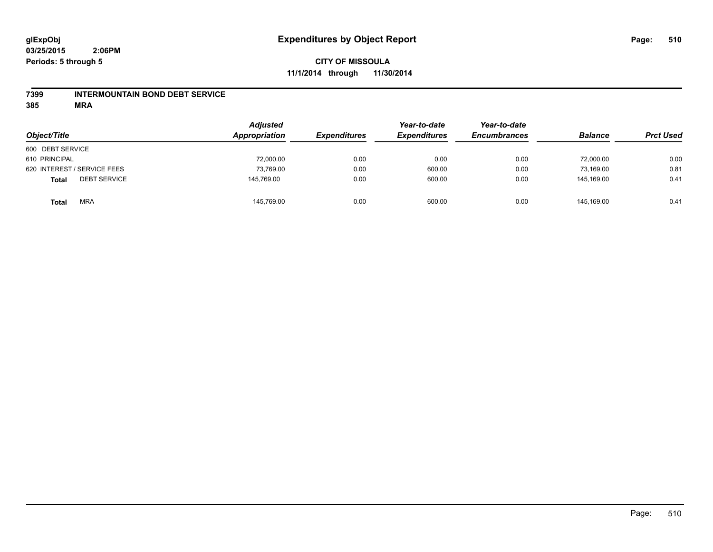### **7399 INTERMOUNTAIN BOND DEBT SERVICE**

**385 MRA**

| Object/Title                        | <b>Adjusted</b><br>Appropriation | <b>Expenditures</b> | Year-to-date<br><b>Expenditures</b> | Year-to-date<br><b>Encumbrances</b> | <b>Balance</b> | <b>Prct Used</b> |
|-------------------------------------|----------------------------------|---------------------|-------------------------------------|-------------------------------------|----------------|------------------|
| 600 DEBT SERVICE                    |                                  |                     |                                     |                                     |                |                  |
| 610 PRINCIPAL                       | 72,000.00                        | 0.00                | 0.00                                | 0.00                                | 72,000.00      | 0.00             |
| 620 INTEREST / SERVICE FEES         | 73,769.00                        | 0.00                | 600.00                              | 0.00                                | 73.169.00      | 0.81             |
| <b>DEBT SERVICE</b><br><b>Total</b> | 145,769.00                       | 0.00                | 600.00                              | 0.00                                | 145.169.00     | 0.41             |
| <b>MRA</b><br><b>Total</b>          | 145,769.00                       | 0.00                | 600.00                              | 0.00                                | 145.169.00     | 0.41             |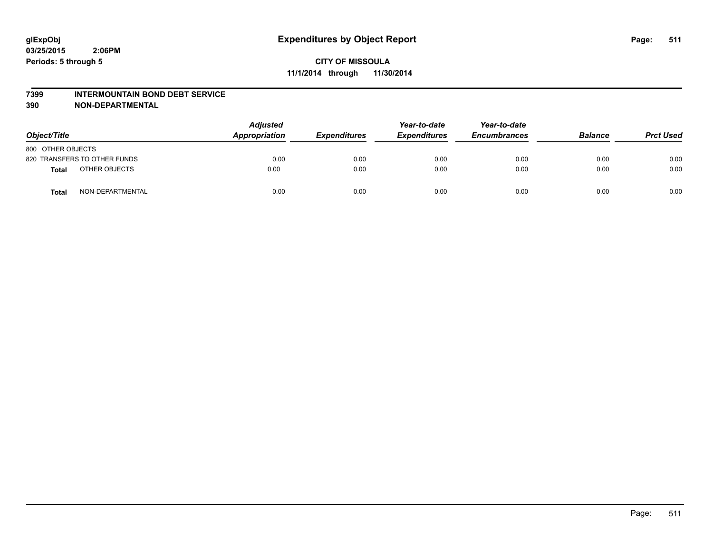#### **7399 INTERMOUNTAIN BOND DEBT SERVICE**

**390 NON-DEPARTMENTAL**

| Object/Title                     | <b>Adjusted</b><br>Appropriation |      | <b>Expenditures</b> | Year-to-date<br><b>Expenditures</b> | Year-to-date<br><b>Encumbrances</b> | <b>Balance</b> | <b>Prct Used</b> |
|----------------------------------|----------------------------------|------|---------------------|-------------------------------------|-------------------------------------|----------------|------------------|
| 800 OTHER OBJECTS                |                                  |      |                     |                                     |                                     |                |                  |
| 820 TRANSFERS TO OTHER FUNDS     |                                  | 0.00 | 0.00                | 0.00                                | 0.00                                | 0.00           | 0.00             |
| OTHER OBJECTS<br><b>Total</b>    |                                  | 0.00 | 0.00                | 0.00                                | 0.00                                | 0.00           | 0.00             |
| NON-DEPARTMENTAL<br><b>Total</b> |                                  | 0.00 | 0.00                | 0.00                                | 0.00                                | 0.00           | 0.00             |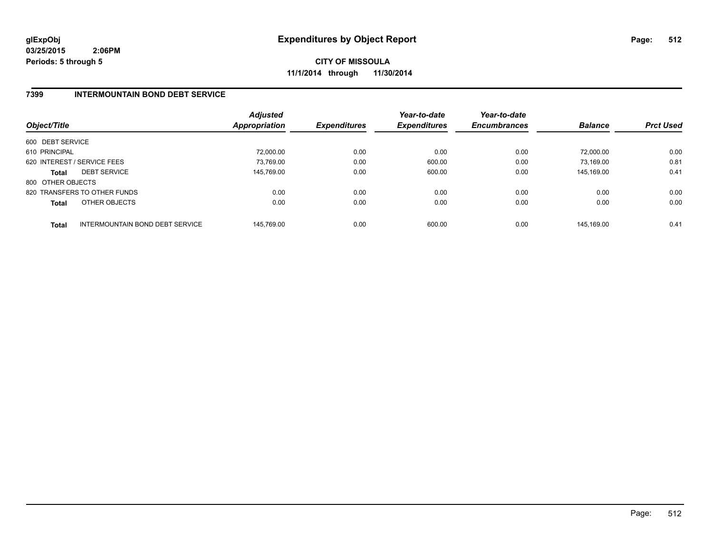**CITY OF MISSOULA 11/1/2014 through 11/30/2014**

## **7399 INTERMOUNTAIN BOND DEBT SERVICE**

| Object/Title      |                                 | <b>Adjusted</b><br><b>Appropriation</b> | <b>Expenditures</b> | Year-to-date<br><b>Expenditures</b> | Year-to-date<br><b>Encumbrances</b> | <b>Balance</b> | <b>Prct Used</b> |
|-------------------|---------------------------------|-----------------------------------------|---------------------|-------------------------------------|-------------------------------------|----------------|------------------|
| 600 DEBT SERVICE  |                                 |                                         |                     |                                     |                                     |                |                  |
| 610 PRINCIPAL     |                                 | 72.000.00                               | 0.00                | 0.00                                | 0.00                                | 72.000.00      | 0.00             |
|                   | 620 INTEREST / SERVICE FEES     | 73.769.00                               | 0.00                | 600.00                              | 0.00                                | 73.169.00      | 0.81             |
| <b>Total</b>      | <b>DEBT SERVICE</b>             | 145,769.00                              | 0.00                | 600.00                              | 0.00                                | 145.169.00     | 0.41             |
| 800 OTHER OBJECTS |                                 |                                         |                     |                                     |                                     |                |                  |
|                   | 820 TRANSFERS TO OTHER FUNDS    | 0.00                                    | 0.00                | 0.00                                | 0.00                                | 0.00           | 0.00             |
| <b>Total</b>      | OTHER OBJECTS                   | 0.00                                    | 0.00                | 0.00                                | 0.00                                | 0.00           | 0.00             |
| <b>Total</b>      | INTERMOUNTAIN BOND DEBT SERVICE | 145.769.00                              | 0.00                | 600.00                              | 0.00                                | 145.169.00     | 0.41             |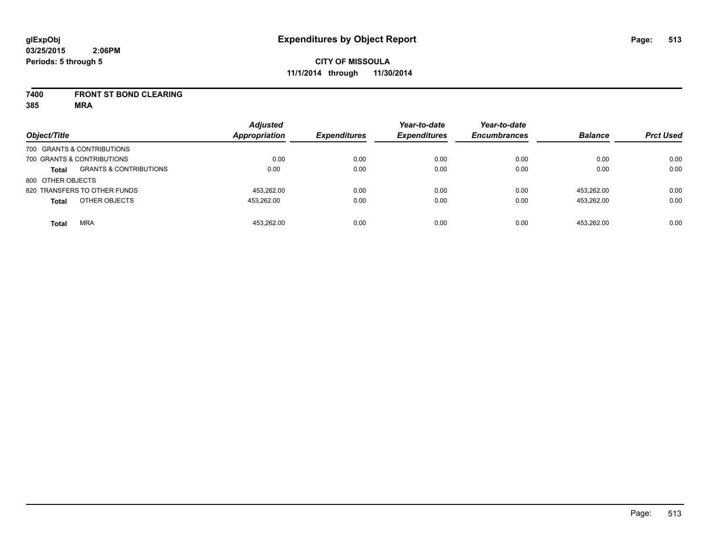#### **7400 FRONT ST BOND CLEARING**

**385 MRA**

| Object/Title      |                                   | <b>Adjusted</b><br><b>Appropriation</b> | <b>Expenditures</b> | Year-to-date<br><b>Expenditures</b> | Year-to-date<br><b>Encumbrances</b> | <b>Balance</b> | <b>Prct Used</b> |
|-------------------|-----------------------------------|-----------------------------------------|---------------------|-------------------------------------|-------------------------------------|----------------|------------------|
|                   | 700 GRANTS & CONTRIBUTIONS        |                                         |                     |                                     |                                     |                |                  |
|                   | 700 GRANTS & CONTRIBUTIONS        | 0.00                                    | 0.00                | 0.00                                | 0.00                                | 0.00           | 0.00             |
| <b>Total</b>      | <b>GRANTS &amp; CONTRIBUTIONS</b> | 0.00                                    | 0.00                | 0.00                                | 0.00                                | 0.00           | 0.00             |
| 800 OTHER OBJECTS |                                   |                                         |                     |                                     |                                     |                |                  |
|                   | 820 TRANSFERS TO OTHER FUNDS      | 453.262.00                              | 0.00                | 0.00                                | 0.00                                | 453.262.00     | 0.00             |
| <b>Total</b>      | OTHER OBJECTS                     | 453.262.00                              | 0.00                | 0.00                                | 0.00                                | 453.262.00     | 0.00             |
| <b>Total</b>      | <b>MRA</b>                        | 453.262.00                              | 0.00                | 0.00                                | 0.00                                | 453.262.00     | 0.00             |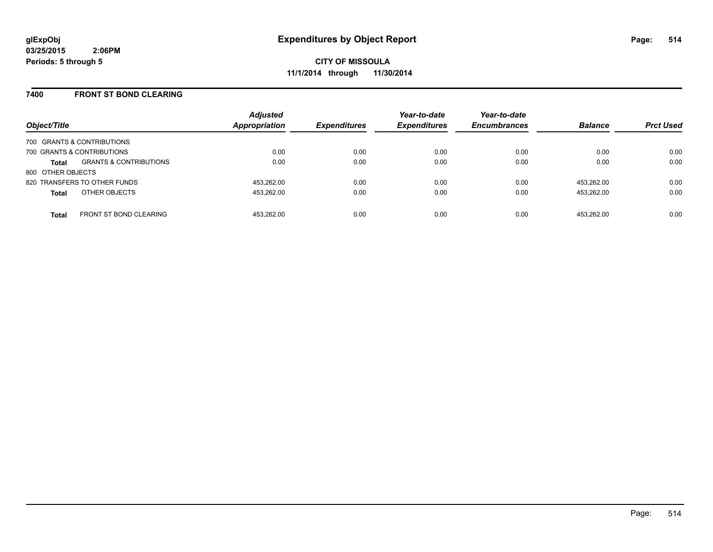### **7400 FRONT ST BOND CLEARING**

| Object/Title                 |                                   | <b>Adjusted</b><br><b>Appropriation</b> | <b>Expenditures</b> | Year-to-date<br><b>Expenditures</b> | Year-to-date<br><b>Encumbrances</b> | <b>Balance</b> | <b>Prct Used</b> |
|------------------------------|-----------------------------------|-----------------------------------------|---------------------|-------------------------------------|-------------------------------------|----------------|------------------|
| 700 GRANTS & CONTRIBUTIONS   |                                   |                                         |                     |                                     |                                     |                |                  |
| 700 GRANTS & CONTRIBUTIONS   |                                   | 0.00                                    | 0.00                | 0.00                                | 0.00                                | 0.00           | 0.00             |
| <b>Total</b>                 | <b>GRANTS &amp; CONTRIBUTIONS</b> | 0.00                                    | 0.00                | 0.00                                | 0.00                                | 0.00           | 0.00             |
| 800 OTHER OBJECTS            |                                   |                                         |                     |                                     |                                     |                |                  |
| 820 TRANSFERS TO OTHER FUNDS |                                   | 453.262.00                              | 0.00                | 0.00                                | 0.00                                | 453.262.00     | 0.00             |
| <b>Total</b>                 | OTHER OBJECTS                     | 453,262.00                              | 0.00                | 0.00                                | 0.00                                | 453.262.00     | 0.00             |
| <b>Total</b>                 | <b>FRONT ST BOND CLEARING</b>     | 453.262.00                              | 0.00                | 0.00                                | 0.00                                | 453.262.00     | 0.00             |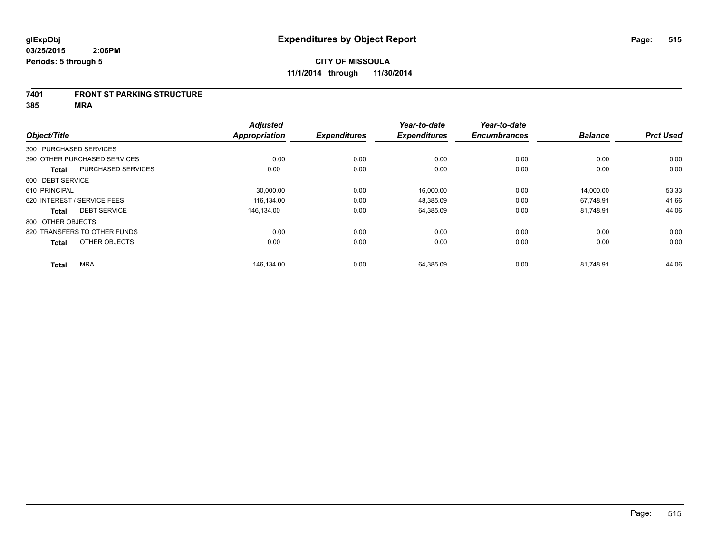#### **7401 FRONT ST PARKING STRUCTURE**

**385 MRA**

|                        |                              | <b>Adjusted</b>      |                     | Year-to-date        | Year-to-date        |                |                  |
|------------------------|------------------------------|----------------------|---------------------|---------------------|---------------------|----------------|------------------|
| Object/Title           |                              | <b>Appropriation</b> | <b>Expenditures</b> | <b>Expenditures</b> | <b>Encumbrances</b> | <b>Balance</b> | <b>Prct Used</b> |
| 300 PURCHASED SERVICES |                              |                      |                     |                     |                     |                |                  |
|                        | 390 OTHER PURCHASED SERVICES | 0.00                 | 0.00                | 0.00                | 0.00                | 0.00           | 0.00             |
| <b>Total</b>           | PURCHASED SERVICES           | 0.00                 | 0.00                | 0.00                | 0.00                | 0.00           | 0.00             |
| 600 DEBT SERVICE       |                              |                      |                     |                     |                     |                |                  |
| 610 PRINCIPAL          |                              | 30,000.00            | 0.00                | 16,000.00           | 0.00                | 14,000.00      | 53.33            |
|                        | 620 INTEREST / SERVICE FEES  | 116.134.00           | 0.00                | 48.385.09           | 0.00                | 67.748.91      | 41.66            |
| <b>Total</b>           | <b>DEBT SERVICE</b>          | 146.134.00           | 0.00                | 64,385.09           | 0.00                | 81,748.91      | 44.06            |
| 800 OTHER OBJECTS      |                              |                      |                     |                     |                     |                |                  |
|                        | 820 TRANSFERS TO OTHER FUNDS | 0.00                 | 0.00                | 0.00                | 0.00                | 0.00           | 0.00             |
| <b>Total</b>           | OTHER OBJECTS                | 0.00                 | 0.00                | 0.00                | 0.00                | 0.00           | 0.00             |
| <b>Total</b>           | <b>MRA</b>                   | 146,134.00           | 0.00                | 64,385.09           | 0.00                | 81,748.91      | 44.06            |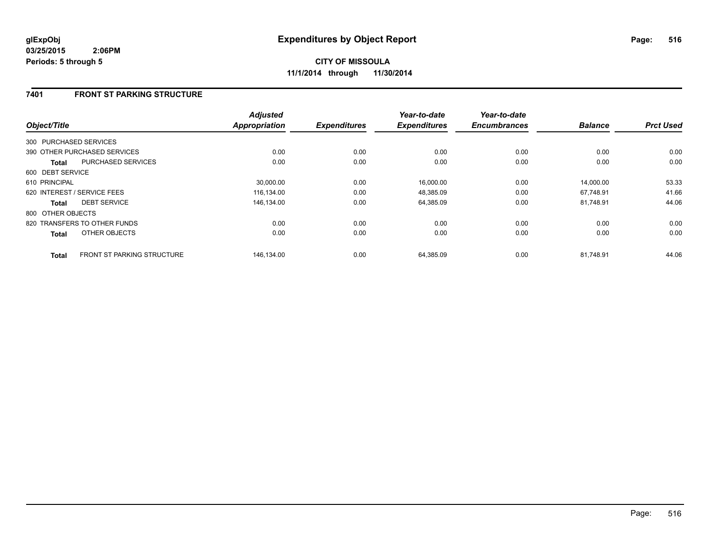## **7401 FRONT ST PARKING STRUCTURE**

| Object/Title                 |                                   | <b>Adjusted</b><br><b>Appropriation</b> | <b>Expenditures</b> | Year-to-date<br><b>Expenditures</b> | Year-to-date<br><b>Encumbrances</b> | <b>Balance</b> | <b>Prct Used</b> |
|------------------------------|-----------------------------------|-----------------------------------------|---------------------|-------------------------------------|-------------------------------------|----------------|------------------|
|                              |                                   |                                         |                     |                                     |                                     |                |                  |
| 300 PURCHASED SERVICES       |                                   |                                         |                     |                                     |                                     |                |                  |
| 390 OTHER PURCHASED SERVICES |                                   | 0.00                                    | 0.00                | 0.00                                | 0.00                                | 0.00           | 0.00             |
| <b>Total</b>                 | <b>PURCHASED SERVICES</b>         | 0.00                                    | 0.00                | 0.00                                | 0.00                                | 0.00           | 0.00             |
| 600 DEBT SERVICE             |                                   |                                         |                     |                                     |                                     |                |                  |
| 610 PRINCIPAL                |                                   | 30,000.00                               | 0.00                | 16,000.00                           | 0.00                                | 14,000.00      | 53.33            |
| 620 INTEREST / SERVICE FEES  |                                   | 116.134.00                              | 0.00                | 48,385.09                           | 0.00                                | 67.748.91      | 41.66            |
| <b>Total</b>                 | <b>DEBT SERVICE</b>               | 146,134.00                              | 0.00                | 64,385.09                           | 0.00                                | 81.748.91      | 44.06            |
| 800 OTHER OBJECTS            |                                   |                                         |                     |                                     |                                     |                |                  |
| 820 TRANSFERS TO OTHER FUNDS |                                   | 0.00                                    | 0.00                | 0.00                                | 0.00                                | 0.00           | 0.00             |
| <b>Total</b>                 | OTHER OBJECTS                     | 0.00                                    | 0.00                | 0.00                                | 0.00                                | 0.00           | 0.00             |
| <b>Total</b>                 | <b>FRONT ST PARKING STRUCTURE</b> | 146,134.00                              | 0.00                | 64,385.09                           | 0.00                                | 81,748.91      | 44.06            |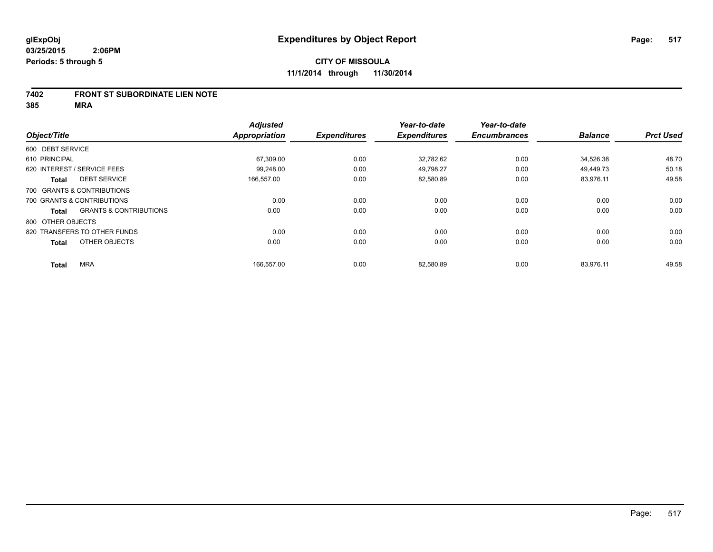### **7402 FRONT ST SUBORDINATE LIEN NOTE**

**385 MRA**

|                                   | <b>Adjusted</b> |                                    | Year-to-date                | Year-to-date                     |                             |                             |
|-----------------------------------|-----------------|------------------------------------|-----------------------------|----------------------------------|-----------------------------|-----------------------------|
|                                   |                 |                                    |                             |                                  |                             | <b>Prct Used</b>            |
| 600 DEBT SERVICE                  |                 |                                    |                             |                                  |                             |                             |
| 610 PRINCIPAL                     | 67,309.00       | 0.00                               | 32.782.62                   | 0.00                             | 34,526.38                   | 48.70                       |
| 620 INTEREST / SERVICE FEES       | 99.248.00       | 0.00                               | 49.798.27                   | 0.00                             | 49.449.73                   | 50.18                       |
| <b>DEBT SERVICE</b>               | 166,557.00      | 0.00                               | 82,580.89                   | 0.00                             | 83,976.11                   | 49.58                       |
| 700 GRANTS & CONTRIBUTIONS        |                 |                                    |                             |                                  |                             |                             |
| 700 GRANTS & CONTRIBUTIONS        | 0.00            | 0.00                               | 0.00                        | 0.00                             | 0.00                        | 0.00                        |
| <b>GRANTS &amp; CONTRIBUTIONS</b> | 0.00            | 0.00                               | 0.00                        | 0.00                             | 0.00                        | 0.00                        |
| 800 OTHER OBJECTS                 |                 |                                    |                             |                                  |                             |                             |
| 820 TRANSFERS TO OTHER FUNDS      | 0.00            | 0.00                               | 0.00                        | 0.00                             | 0.00                        | 0.00                        |
| OTHER OBJECTS                     | 0.00            | 0.00                               | 0.00                        | 0.00                             | 0.00                        | 0.00                        |
|                                   |                 |                                    |                             |                                  |                             | 49.58                       |
|                                   | <b>MRA</b>      | <b>Appropriation</b><br>166,557.00 | <b>Expenditures</b><br>0.00 | <b>Expenditures</b><br>82,580.89 | <b>Encumbrances</b><br>0.00 | <b>Balance</b><br>83,976.11 |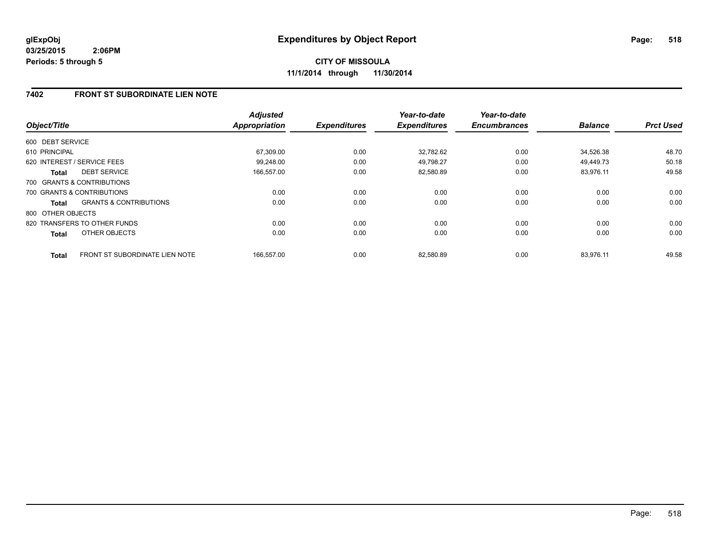**CITY OF MISSOULA 11/1/2014 through 11/30/2014**

## **7402 FRONT ST SUBORDINATE LIEN NOTE**

| Object/Title      |                                       | <b>Adjusted</b><br><b>Appropriation</b> | <b>Expenditures</b> | Year-to-date<br><b>Expenditures</b> | Year-to-date<br><b>Encumbrances</b> | <b>Balance</b> | <b>Prct Used</b> |
|-------------------|---------------------------------------|-----------------------------------------|---------------------|-------------------------------------|-------------------------------------|----------------|------------------|
| 600 DEBT SERVICE  |                                       |                                         |                     |                                     |                                     |                |                  |
| 610 PRINCIPAL     |                                       | 67,309.00                               | 0.00                | 32,782.62                           | 0.00                                | 34,526.38      | 48.70            |
|                   | 620 INTEREST / SERVICE FEES           | 99.248.00                               | 0.00                | 49.798.27                           | 0.00                                | 49.449.73      | 50.18            |
| <b>Total</b>      | <b>DEBT SERVICE</b>                   | 166,557.00                              | 0.00                | 82,580.89                           | 0.00                                | 83,976.11      | 49.58            |
|                   | 700 GRANTS & CONTRIBUTIONS            |                                         |                     |                                     |                                     |                |                  |
|                   | 700 GRANTS & CONTRIBUTIONS            | 0.00                                    | 0.00                | 0.00                                | 0.00                                | 0.00           | 0.00             |
| <b>Total</b>      | <b>GRANTS &amp; CONTRIBUTIONS</b>     | 0.00                                    | 0.00                | 0.00                                | 0.00                                | 0.00           | 0.00             |
| 800 OTHER OBJECTS |                                       |                                         |                     |                                     |                                     |                |                  |
|                   | 820 TRANSFERS TO OTHER FUNDS          | 0.00                                    | 0.00                | 0.00                                | 0.00                                | 0.00           | 0.00             |
| <b>Total</b>      | OTHER OBJECTS                         | 0.00                                    | 0.00                | 0.00                                | 0.00                                | 0.00           | 0.00             |
| <b>Total</b>      | <b>FRONT ST SUBORDINATE LIEN NOTE</b> | 166.557.00                              | 0.00                | 82,580.89                           | 0.00                                | 83,976.11      | 49.58            |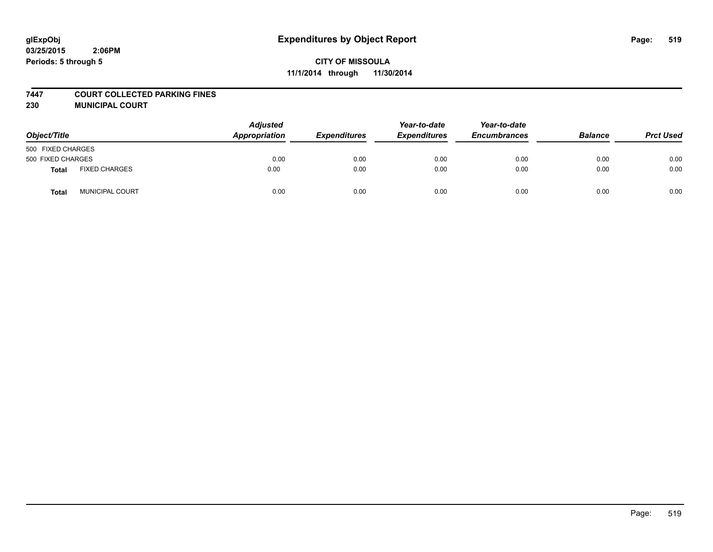### **7447 COURT COLLECTED PARKING FINES**

**230 MUNICIPAL COURT**

| Object/Title      |                        | <b>Adjusted</b><br>Appropriation | <b>Expenditures</b> | Year-to-date<br><b>Expenditures</b> | Year-to-date<br><b>Encumbrances</b> | <b>Balance</b> | <b>Prct Used</b> |
|-------------------|------------------------|----------------------------------|---------------------|-------------------------------------|-------------------------------------|----------------|------------------|
| 500 FIXED CHARGES |                        |                                  |                     |                                     |                                     |                |                  |
| 500 FIXED CHARGES |                        | 0.00                             | 0.00                | 0.00                                | 0.00                                | 0.00           | 0.00             |
| Total             | <b>FIXED CHARGES</b>   | 0.00                             | 0.00                | 0.00                                | 0.00                                | 0.00           | 0.00             |
| <b>Total</b>      | <b>MUNICIPAL COURT</b> | 0.00                             | 0.00                | 0.00                                | 0.00                                | 0.00           | 0.00             |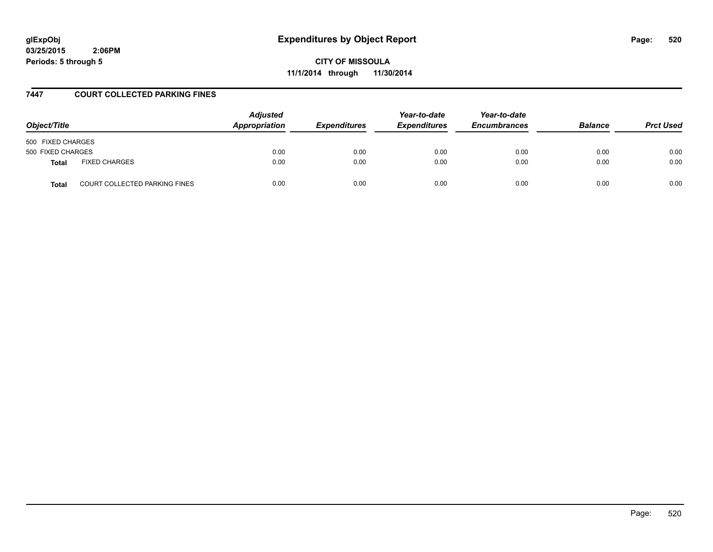# **glExpObj Expenditures by Object Report Page: 520**

**03/25/2015 2:06PM Periods: 5 through 5**

**CITY OF MISSOULA 11/1/2014 through 11/30/2014**

### **7447 COURT COLLECTED PARKING FINES**

| Object/Title                                         | <b>Adjusted</b><br><b>Appropriation</b> | <b>Expenditures</b> | Year-to-date<br><b>Expenditures</b> | Year-to-date<br><b>Encumbrances</b> | <b>Balance</b> | <b>Prct Used</b> |
|------------------------------------------------------|-----------------------------------------|---------------------|-------------------------------------|-------------------------------------|----------------|------------------|
| 500 FIXED CHARGES                                    |                                         |                     |                                     |                                     |                |                  |
| 500 FIXED CHARGES                                    | 0.00                                    | 0.00                | 0.00                                | 0.00                                | 0.00           | 0.00             |
| <b>FIXED CHARGES</b><br><b>Total</b>                 | 0.00                                    | 0.00                | 0.00                                | 0.00                                | 0.00           | 0.00             |
| <b>COURT COLLECTED PARKING FINES</b><br><b>Total</b> | 0.00                                    | 0.00                | 0.00                                | 0.00                                | 0.00           | 0.00             |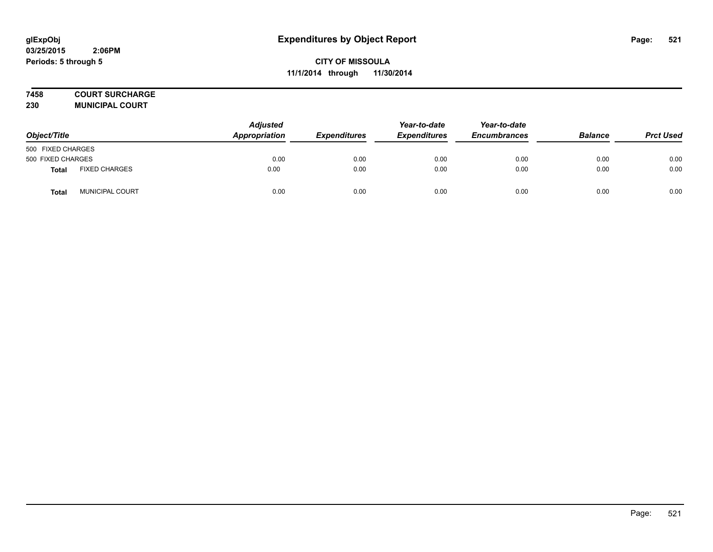## **7458 COURT SURCHARGE**

**230 MUNICIPAL COURT**

| Object/Title      |                      | <b>Adjusted</b><br>Appropriation | <b>Expenditures</b> | Year-to-date<br><b>Expenditures</b> | Year-to-date<br><b>Encumbrances</b> | <b>Balance</b> | <b>Prct Used</b> |
|-------------------|----------------------|----------------------------------|---------------------|-------------------------------------|-------------------------------------|----------------|------------------|
| 500 FIXED CHARGES |                      |                                  |                     |                                     |                                     |                |                  |
| 500 FIXED CHARGES |                      | 0.00                             | 0.00                | 0.00                                | 0.00                                | 0.00           | 0.00             |
| <b>Total</b>      | <b>FIXED CHARGES</b> | 0.00                             | 0.00                | 0.00                                | 0.00                                | 0.00           | 0.00             |
| Total             | MUNICIPAL COURT      | 0.00                             | 0.00                | 0.00                                | 0.00                                | 0.00           | 0.00             |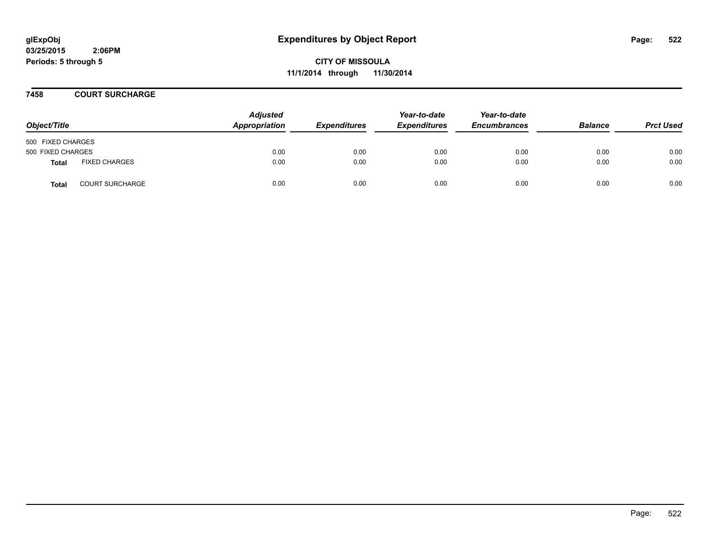**CITY OF MISSOULA 11/1/2014 through 11/30/2014**

### **7458 COURT SURCHARGE**

| Object/Title      |                        | <b>Adjusted</b><br>Appropriation | <b>Expenditures</b> | Year-to-date<br><b>Expenditures</b> | Year-to-date<br><b>Encumbrances</b> | <b>Balance</b> | <b>Prct Used</b> |
|-------------------|------------------------|----------------------------------|---------------------|-------------------------------------|-------------------------------------|----------------|------------------|
| 500 FIXED CHARGES |                        |                                  |                     |                                     |                                     |                |                  |
| 500 FIXED CHARGES |                        | 0.00                             | 0.00                | 0.00                                | 0.00                                | 0.00           | 0.00             |
| <b>Total</b>      | <b>FIXED CHARGES</b>   | 0.00                             | 0.00                | 0.00                                | 0.00                                | 0.00           | 0.00             |
| <b>Total</b>      | <b>COURT SURCHARGE</b> | 0.00                             | 0.00                | 0.00                                | 0.00                                | 0.00           | 0.00             |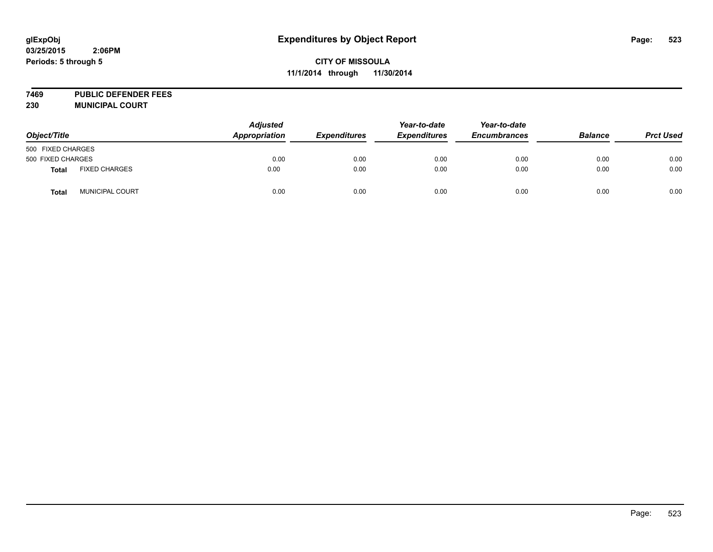**7469 PUBLIC DEFENDER FEES 230 MUNICIPAL COURT**

| Object/Title      |                      | <b>Adjusted</b><br>Appropriation | <b>Expenditures</b> | Year-to-date<br><b>Expenditures</b> | Year-to-date<br><b>Encumbrances</b> | <b>Balance</b> | <b>Prct Used</b> |
|-------------------|----------------------|----------------------------------|---------------------|-------------------------------------|-------------------------------------|----------------|------------------|
| 500 FIXED CHARGES |                      |                                  |                     |                                     |                                     |                |                  |
| 500 FIXED CHARGES |                      | 0.00                             | 0.00                | 0.00                                | 0.00                                | 0.00           | 0.00             |
| <b>Total</b>      | <b>FIXED CHARGES</b> | 0.00                             | 0.00                | 0.00                                | 0.00                                | 0.00           | 0.00             |
| <b>Total</b>      | MUNICIPAL COURT      | 0.00                             | 0.00                | 0.00                                | 0.00                                | 0.00           | 0.00             |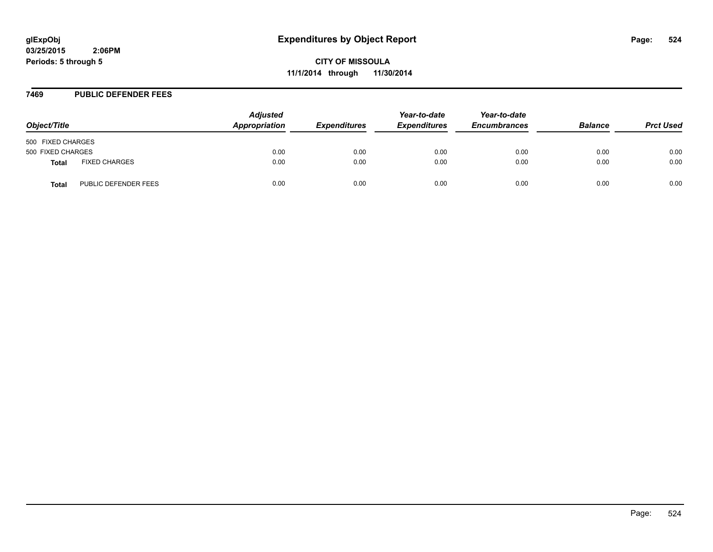**CITY OF MISSOULA 11/1/2014 through 11/30/2014**

#### **7469 PUBLIC DEFENDER FEES**

| Object/Title      |                      | <b>Adjusted</b><br>Appropriation | <b>Expenditures</b> | Year-to-date<br><b>Expenditures</b> | Year-to-date<br><b>Encumbrances</b> | <b>Balance</b> | <b>Prct Used</b> |
|-------------------|----------------------|----------------------------------|---------------------|-------------------------------------|-------------------------------------|----------------|------------------|
| 500 FIXED CHARGES |                      |                                  |                     |                                     |                                     |                |                  |
| 500 FIXED CHARGES |                      | 0.00                             | 0.00                | 0.00                                | 0.00                                | 0.00           | 0.00             |
| <b>Total</b>      | <b>FIXED CHARGES</b> | 0.00                             | 0.00                | 0.00                                | 0.00                                | 0.00           | 0.00             |
| <b>Total</b>      | PUBLIC DEFENDER FEES | 0.00                             | 0.00                | 0.00                                | 0.00                                | 0.00           | 0.00             |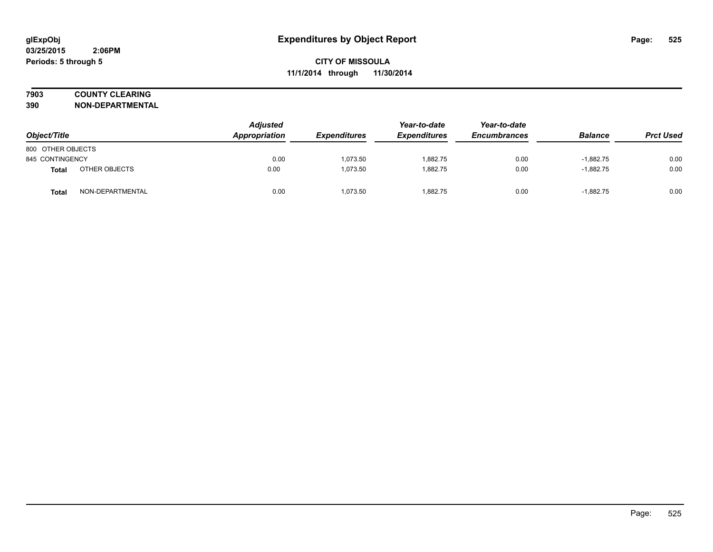## **7903 COUNTY CLEARING**

**390 NON-DEPARTMENTAL**

| Object/Title      |                  | <b>Adjusted</b><br>Appropriation | <b>Expenditures</b> | Year-to-date<br><b>Expenditures</b> | Year-to-date<br><b>Encumbrances</b> | <b>Balance</b> | <b>Prct Used</b> |
|-------------------|------------------|----------------------------------|---------------------|-------------------------------------|-------------------------------------|----------------|------------------|
| 800 OTHER OBJECTS |                  |                                  |                     |                                     |                                     |                |                  |
| 845 CONTINGENCY   |                  | 0.00                             | 1.073.50            | 1,882.75                            | 0.00                                | $-1,882.75$    | 0.00             |
| <b>Total</b>      | OTHER OBJECTS    | 0.00                             | 1,073.50            | 1.882.75                            | 0.00                                | $-1,882.75$    | 0.00             |
| Tota              | NON-DEPARTMENTAL | 0.00                             | 1.073.50            | 1.882.75                            | 0.00                                | $-1.882.75$    | 0.00             |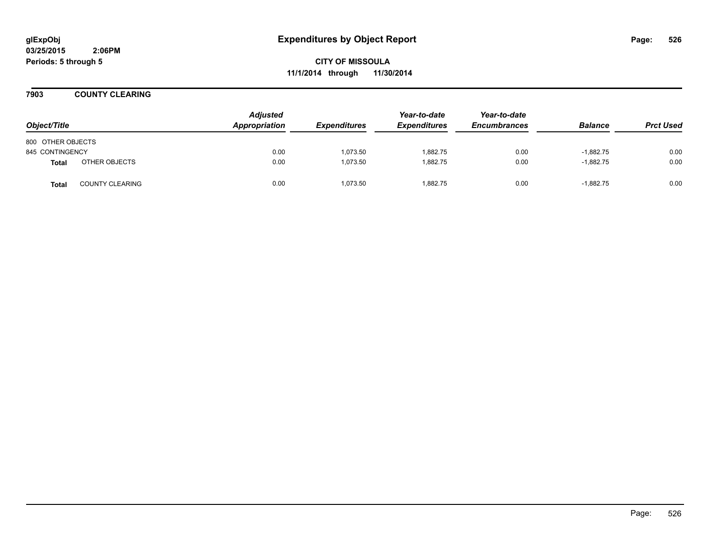**CITY OF MISSOULA 11/1/2014 through 11/30/2014**

**7903 COUNTY CLEARING**

| Object/Title      |                        | <b>Adjusted</b><br>Appropriation | <b>Expenditures</b> | Year-to-date<br><b>Expenditures</b> | Year-to-date<br><b>Encumbrances</b> | <b>Balance</b> | <b>Prct Used</b> |
|-------------------|------------------------|----------------------------------|---------------------|-------------------------------------|-------------------------------------|----------------|------------------|
| 800 OTHER OBJECTS |                        |                                  |                     |                                     |                                     |                |                  |
| 845 CONTINGENCY   |                        | 0.00                             | 1,073.50            | 1,882.75                            | 0.00                                | $-1,882.75$    | 0.00             |
| <b>Total</b>      | OTHER OBJECTS          | 0.00                             | 1.073.50            | 1.882.75                            | 0.00                                | $-1.882.75$    | 0.00             |
| <b>Total</b>      | <b>COUNTY CLEARING</b> | 0.00                             | 1.073.50            | 1.882.75                            | 0.00                                | $-1.882.75$    | 0.00             |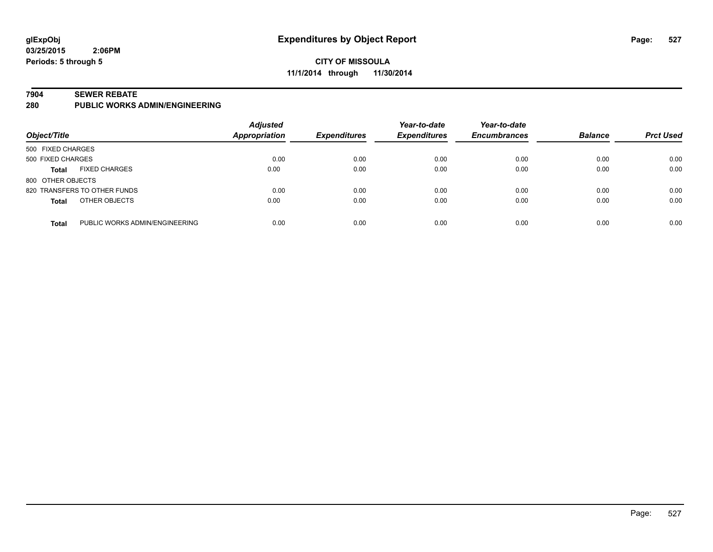### **CITY OF MISSOULA 11/1/2014 through 11/30/2014**

#### **7904 SEWER REBATE**

**280 PUBLIC WORKS ADMIN/ENGINEERING**

| Object/Title      |                                | <b>Adjusted</b><br>Appropriation | <b>Expenditures</b> | Year-to-date<br><b>Expenditures</b> | Year-to-date<br><b>Encumbrances</b> | <b>Balance</b> | <b>Prct Used</b> |
|-------------------|--------------------------------|----------------------------------|---------------------|-------------------------------------|-------------------------------------|----------------|------------------|
| 500 FIXED CHARGES |                                |                                  |                     |                                     |                                     |                |                  |
| 500 FIXED CHARGES |                                | 0.00                             | 0.00                | 0.00                                | 0.00                                | 0.00           | 0.00             |
| <b>Total</b>      | <b>FIXED CHARGES</b>           | 0.00                             | 0.00                | 0.00                                | 0.00                                | 0.00           | 0.00             |
| 800 OTHER OBJECTS |                                |                                  |                     |                                     |                                     |                |                  |
|                   | 820 TRANSFERS TO OTHER FUNDS   | 0.00                             | 0.00                | 0.00                                | 0.00                                | 0.00           | 0.00             |
| <b>Total</b>      | OTHER OBJECTS                  | 0.00                             | 0.00                | 0.00                                | 0.00                                | 0.00           | 0.00             |
| <b>Total</b>      | PUBLIC WORKS ADMIN/ENGINEERING | 0.00                             | 0.00                | 0.00                                | 0.00                                | 0.00           | 0.00             |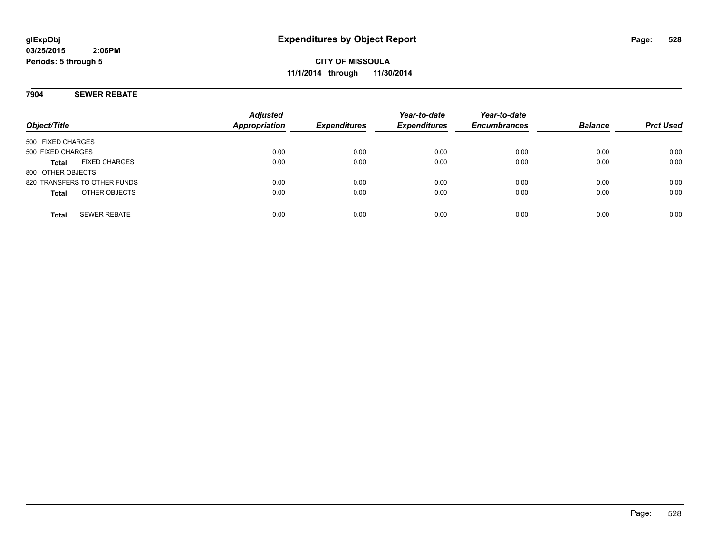**CITY OF MISSOULA 11/1/2014 through 11/30/2014**

**7904 SEWER REBATE**

| Object/Title                         | <b>Adjusted</b><br><b>Appropriation</b> | <b>Expenditures</b> | Year-to-date<br><b>Expenditures</b> | Year-to-date<br><b>Encumbrances</b> | <b>Balance</b> | <b>Prct Used</b> |
|--------------------------------------|-----------------------------------------|---------------------|-------------------------------------|-------------------------------------|----------------|------------------|
| 500 FIXED CHARGES                    |                                         |                     |                                     |                                     |                |                  |
| 500 FIXED CHARGES                    | 0.00                                    | 0.00                | 0.00                                | 0.00                                | 0.00           | 0.00             |
| <b>FIXED CHARGES</b><br><b>Total</b> | 0.00                                    | 0.00                | 0.00                                | 0.00                                | 0.00           | 0.00             |
| 800 OTHER OBJECTS                    |                                         |                     |                                     |                                     |                |                  |
| 820 TRANSFERS TO OTHER FUNDS         | 0.00                                    | 0.00                | 0.00                                | 0.00                                | 0.00           | 0.00             |
| OTHER OBJECTS<br><b>Total</b>        | 0.00                                    | 0.00                | 0.00                                | 0.00                                | 0.00           | 0.00             |
|                                      |                                         |                     |                                     |                                     |                |                  |
| <b>SEWER REBATE</b><br><b>Total</b>  | 0.00                                    | 0.00                | 0.00                                | 0.00                                | 0.00           | 0.00             |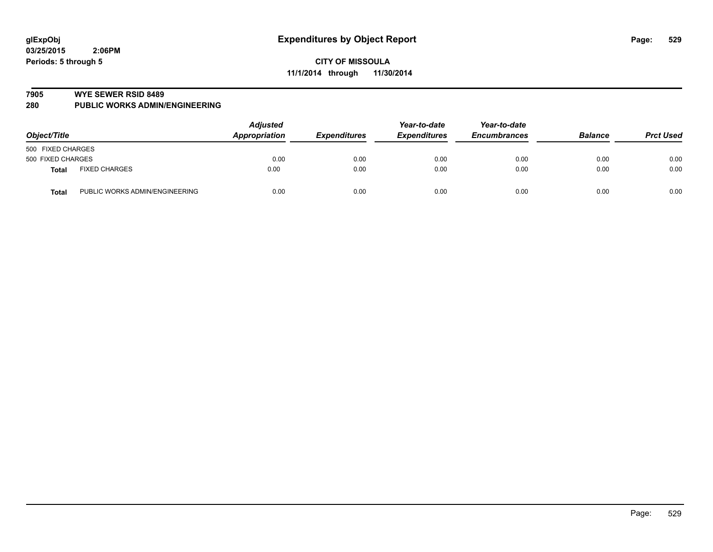#### **7905 WYE SEWER RSID 8489**

**280 PUBLIC WORKS ADMIN/ENGINEERING**

| Object/Title      |                                | <b>Adjusted</b><br>Appropriation<br><b>Expenditures</b> | Year-to-date<br><b>Expenditures</b> | Year-to-date<br><b>Encumbrances</b> | <b>Balance</b> | <b>Prct Used</b> |      |
|-------------------|--------------------------------|---------------------------------------------------------|-------------------------------------|-------------------------------------|----------------|------------------|------|
| 500 FIXED CHARGES |                                |                                                         |                                     |                                     |                |                  |      |
| 500 FIXED CHARGES |                                | 0.00                                                    | 0.00                                | 0.00                                | 0.00           | 0.00             | 0.00 |
| Total             | <b>FIXED CHARGES</b>           | 0.00                                                    | 0.00                                | 0.00                                | 0.00           | 0.00             | 0.00 |
| <b>Total</b>      | PUBLIC WORKS ADMIN/ENGINEERING | 0.00                                                    | 0.00                                | 0.00                                | 0.00           | 0.00             | 0.00 |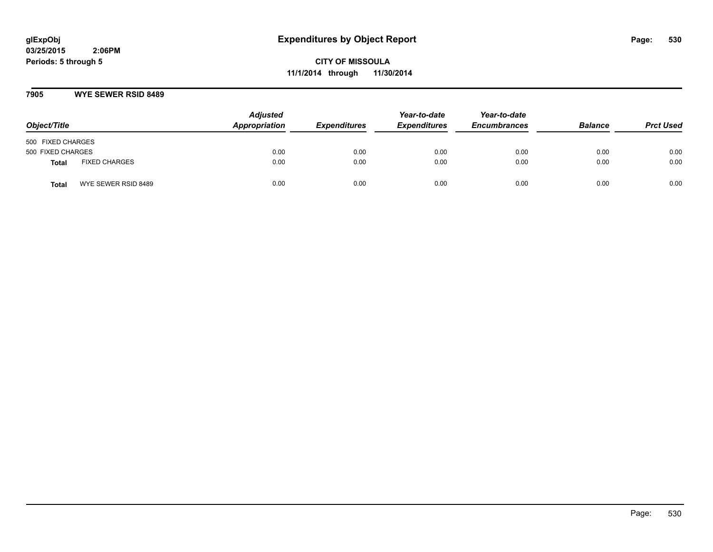**CITY OF MISSOULA 11/1/2014 through 11/30/2014**

### **7905 WYE SEWER RSID 8489**

| Object/Title      |                      | <b>Adjusted</b><br>Appropriation | <b>Expenditures</b> | Year-to-date<br><b>Expenditures</b> | Year-to-date<br><b>Encumbrances</b> | <b>Balance</b> | <b>Prct Used</b> |
|-------------------|----------------------|----------------------------------|---------------------|-------------------------------------|-------------------------------------|----------------|------------------|
| 500 FIXED CHARGES |                      |                                  |                     |                                     |                                     |                |                  |
| 500 FIXED CHARGES |                      | 0.00                             | 0.00                | 0.00                                | 0.00                                | 0.00           | 0.00             |
| <b>Total</b>      | <b>FIXED CHARGES</b> | 0.00                             | 0.00                | 0.00                                | 0.00                                | 0.00           | 0.00             |
| Total             | WYE SEWER RSID 8489  | 0.00                             | 0.00                | 0.00                                | 0.00                                | 0.00           | 0.00             |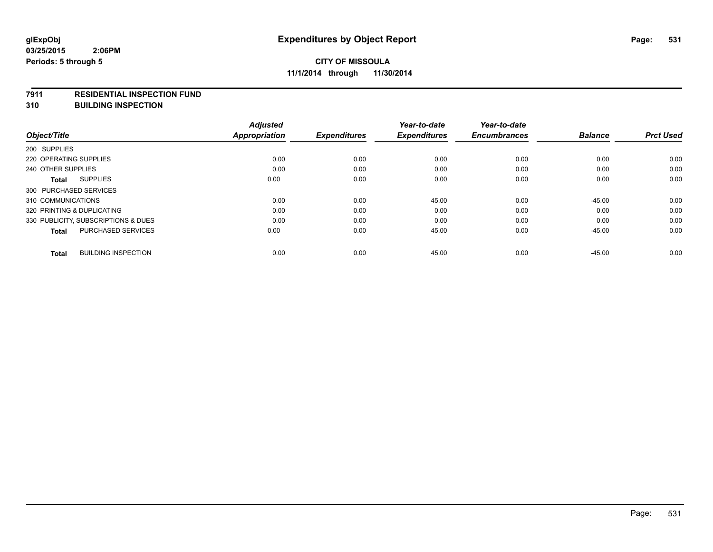#### **7911 RESIDENTIAL INSPECTION FUND**

**310 BUILDING INSPECTION**

| Object/Title                               | <b>Adjusted</b><br><b>Appropriation</b> | <b>Expenditures</b> | Year-to-date<br><b>Expenditures</b> | Year-to-date<br><b>Encumbrances</b> | <b>Balance</b> | <b>Prct Used</b> |
|--------------------------------------------|-----------------------------------------|---------------------|-------------------------------------|-------------------------------------|----------------|------------------|
|                                            |                                         |                     |                                     |                                     |                |                  |
| 200 SUPPLIES                               |                                         |                     |                                     |                                     |                |                  |
| 220 OPERATING SUPPLIES                     | 0.00                                    | 0.00                | 0.00                                | 0.00                                | 0.00           | 0.00             |
| 240 OTHER SUPPLIES                         | 0.00                                    | 0.00                | 0.00                                | 0.00                                | 0.00           | 0.00             |
| <b>SUPPLIES</b><br><b>Total</b>            | 0.00                                    | 0.00                | 0.00                                | 0.00                                | 0.00           | 0.00             |
| 300 PURCHASED SERVICES                     |                                         |                     |                                     |                                     |                |                  |
| 310 COMMUNICATIONS                         | 0.00                                    | 0.00                | 45.00                               | 0.00                                | $-45.00$       | 0.00             |
| 320 PRINTING & DUPLICATING                 | 0.00                                    | 0.00                | 0.00                                | 0.00                                | 0.00           | 0.00             |
| 330 PUBLICITY, SUBSCRIPTIONS & DUES        | 0.00                                    | 0.00                | 0.00                                | 0.00                                | 0.00           | 0.00             |
| <b>PURCHASED SERVICES</b><br><b>Total</b>  | 0.00                                    | 0.00                | 45.00                               | 0.00                                | $-45.00$       | 0.00             |
| <b>BUILDING INSPECTION</b><br><b>Total</b> | 0.00                                    | 0.00                | 45.00                               | 0.00                                | $-45.00$       | 0.00             |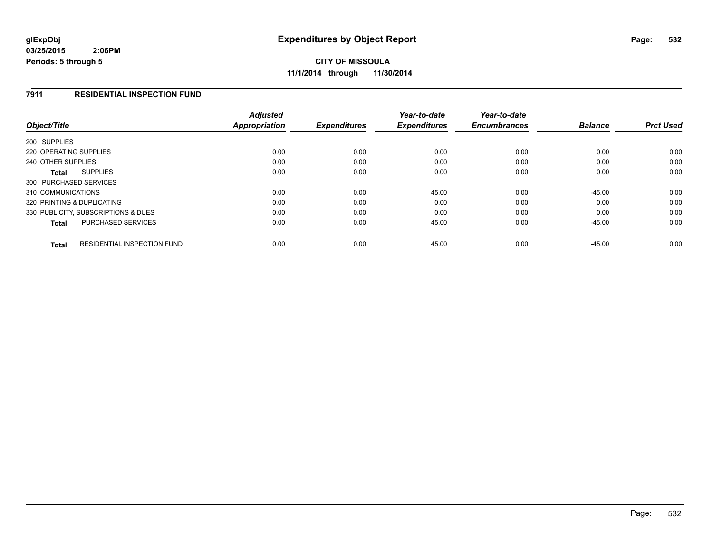**CITY OF MISSOULA 11/1/2014 through 11/30/2014**

### **7911 RESIDENTIAL INSPECTION FUND**

| Object/Title                                       | <b>Adjusted</b><br>Appropriation | <b>Expenditures</b> | Year-to-date<br><b>Expenditures</b> | Year-to-date<br><b>Encumbrances</b> | <b>Balance</b> | <b>Prct Used</b> |
|----------------------------------------------------|----------------------------------|---------------------|-------------------------------------|-------------------------------------|----------------|------------------|
| 200 SUPPLIES                                       |                                  |                     |                                     |                                     |                |                  |
| 220 OPERATING SUPPLIES                             | 0.00                             | 0.00                | 0.00                                | 0.00                                | 0.00           | 0.00             |
| 240 OTHER SUPPLIES                                 | 0.00                             | 0.00                | 0.00                                | 0.00                                | 0.00           | 0.00             |
| <b>SUPPLIES</b><br>Total                           | 0.00                             | 0.00                | 0.00                                | 0.00                                | 0.00           | 0.00             |
| 300 PURCHASED SERVICES                             |                                  |                     |                                     |                                     |                |                  |
| 310 COMMUNICATIONS                                 | 0.00                             | 0.00                | 45.00                               | 0.00                                | $-45.00$       | 0.00             |
| 320 PRINTING & DUPLICATING                         | 0.00                             | 0.00                | 0.00                                | 0.00                                | 0.00           | 0.00             |
| 330 PUBLICITY, SUBSCRIPTIONS & DUES                | 0.00                             | 0.00                | 0.00                                | 0.00                                | 0.00           | 0.00             |
| PURCHASED SERVICES<br><b>Total</b>                 | 0.00                             | 0.00                | 45.00                               | 0.00                                | $-45.00$       | 0.00             |
| <b>RESIDENTIAL INSPECTION FUND</b><br><b>Total</b> | 0.00                             | 0.00                | 45.00                               | 0.00                                | $-45.00$       | 0.00             |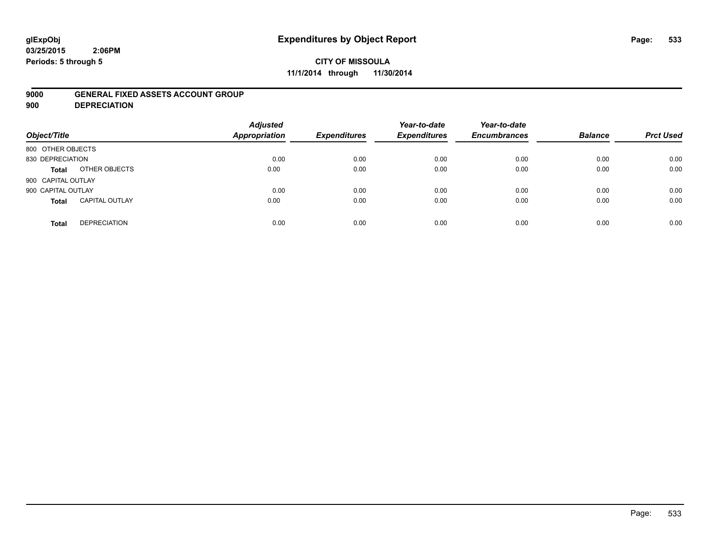# **glExpObj Expenditures by Object Report Page: 533**

**03/25/2015 2:06PM Periods: 5 through 5**

### **9000 GENERAL FIXED ASSETS ACCOUNT GROUP**

**900 DEPRECIATION**

| Object/Title                          | <b>Adjusted</b><br><b>Appropriation</b> | <b>Expenditures</b> | Year-to-date<br><b>Expenditures</b> | Year-to-date<br><b>Encumbrances</b> | <b>Balance</b> | <b>Prct Used</b> |
|---------------------------------------|-----------------------------------------|---------------------|-------------------------------------|-------------------------------------|----------------|------------------|
| 800 OTHER OBJECTS                     |                                         |                     |                                     |                                     |                |                  |
| 830 DEPRECIATION                      | 0.00                                    | 0.00                | 0.00                                | 0.00                                | 0.00           | 0.00             |
| OTHER OBJECTS<br>Total                | 0.00                                    | 0.00                | 0.00                                | 0.00                                | 0.00           | 0.00             |
| 900 CAPITAL OUTLAY                    |                                         |                     |                                     |                                     |                |                  |
| 900 CAPITAL OUTLAY                    | 0.00                                    | 0.00                | 0.00                                | 0.00                                | 0.00           | 0.00             |
| <b>CAPITAL OUTLAY</b><br><b>Total</b> | 0.00                                    | 0.00                | 0.00                                | 0.00                                | 0.00           | 0.00             |
| <b>DEPRECIATION</b><br><b>Total</b>   | 0.00                                    | 0.00                | 0.00                                | 0.00                                | 0.00           | 0.00             |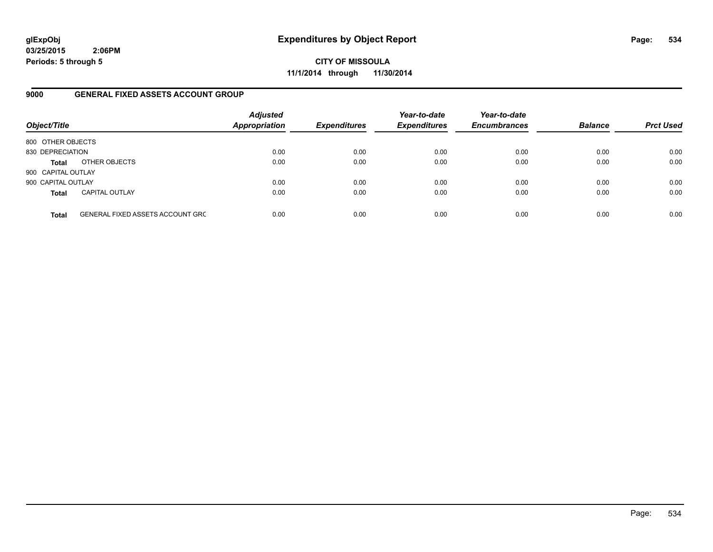**CITY OF MISSOULA 11/1/2014 through 11/30/2014**

### **9000 GENERAL FIXED ASSETS ACCOUNT GROUP**

| Object/Title       |                                         | <b>Adjusted</b><br><b>Appropriation</b> | <b>Expenditures</b> | Year-to-date<br><b>Expenditures</b> | Year-to-date<br><b>Encumbrances</b> | <b>Balance</b> | <b>Prct Used</b> |
|--------------------|-----------------------------------------|-----------------------------------------|---------------------|-------------------------------------|-------------------------------------|----------------|------------------|
| 800 OTHER OBJECTS  |                                         |                                         |                     |                                     |                                     |                |                  |
| 830 DEPRECIATION   |                                         | 0.00                                    | 0.00                | 0.00                                | 0.00                                | 0.00           | 0.00             |
| <b>Total</b>       | OTHER OBJECTS                           | 0.00                                    | 0.00                | 0.00                                | 0.00                                | 0.00           | 0.00             |
| 900 CAPITAL OUTLAY |                                         |                                         |                     |                                     |                                     |                |                  |
| 900 CAPITAL OUTLAY |                                         | 0.00                                    | 0.00                | 0.00                                | 0.00                                | 0.00           | 0.00             |
| <b>Total</b>       | <b>CAPITAL OUTLAY</b>                   | 0.00                                    | 0.00                | 0.00                                | 0.00                                | 0.00           | 0.00             |
| <b>Total</b>       | <b>GENERAL FIXED ASSETS ACCOUNT GRC</b> | 0.00                                    | 0.00                | 0.00                                | 0.00                                | 0.00           | 0.00             |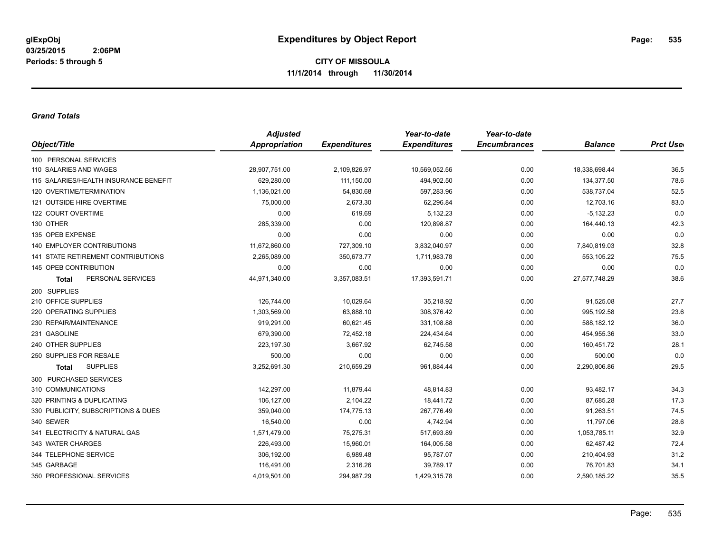#### *Grand Totals*

|                                       | <b>Adjusted</b> |                     | Year-to-date        | Year-to-date        |                |                  |
|---------------------------------------|-----------------|---------------------|---------------------|---------------------|----------------|------------------|
| Object/Title                          | Appropriation   | <b>Expenditures</b> | <b>Expenditures</b> | <b>Encumbrances</b> | <b>Balance</b> | <b>Prct User</b> |
| 100 PERSONAL SERVICES                 |                 |                     |                     |                     |                |                  |
| 110 SALARIES AND WAGES                | 28,907,751.00   | 2,109,826.97        | 10,569,052.56       | 0.00                | 18,338,698.44  | 36.5             |
| 115 SALARIES/HEALTH INSURANCE BENEFIT | 629,280.00      | 111,150.00          | 494,902.50          | 0.00                | 134,377.50     | 78.6             |
| 120 OVERTIME/TERMINATION              | 1,136,021.00    | 54,830.68           | 597,283.96          | 0.00                | 538,737.04     | 52.5             |
| 121 OUTSIDE HIRE OVERTIME             | 75,000.00       | 2,673.30            | 62,296.84           | 0.00                | 12,703.16      | 83.0             |
| 122 COURT OVERTIME                    | 0.00            | 619.69              | 5,132.23            | 0.00                | $-5,132.23$    | 0.0              |
| 130 OTHER                             | 285,339.00      | 0.00                | 120,898.87          | 0.00                | 164,440.13     | 42.3             |
| 135 OPEB EXPENSE                      | 0.00            | 0.00                | 0.00                | 0.00                | 0.00           | 0.0              |
| 140 EMPLOYER CONTRIBUTIONS            | 11,672,860.00   | 727,309.10          | 3,832,040.97        | 0.00                | 7,840,819.03   | 32.8             |
| 141 STATE RETIREMENT CONTRIBUTIONS    | 2,265,089.00    | 350,673.77          | 1,711,983.78        | 0.00                | 553,105.22     | 75.5             |
| 145 OPEB CONTRIBUTION                 | 0.00            | 0.00                | 0.00                | 0.00                | 0.00           | 0.0              |
| PERSONAL SERVICES<br><b>Total</b>     | 44,971,340.00   | 3,357,083.51        | 17,393,591.71       | 0.00                | 27,577,748.29  | 38.6             |
| 200 SUPPLIES                          |                 |                     |                     |                     |                |                  |
| 210 OFFICE SUPPLIES                   | 126,744.00      | 10,029.64           | 35,218.92           | 0.00                | 91,525.08      | 27.7             |
| 220 OPERATING SUPPLIES                | 1,303,569.00    | 63,888.10           | 308,376.42          | 0.00                | 995,192.58     | 23.6             |
| 230 REPAIR/MAINTENANCE                | 919,291.00      | 60,621.45           | 331,108.88          | 0.00                | 588,182.12     | 36.0             |
| 231 GASOLINE                          | 679,390.00      | 72,452.18           | 224,434.64          | 0.00                | 454,955.36     | 33.0             |
| 240 OTHER SUPPLIES                    | 223,197.30      | 3,667.92            | 62,745.58           | 0.00                | 160,451.72     | 28.1             |
| 250 SUPPLIES FOR RESALE               | 500.00          | 0.00                | 0.00                | 0.00                | 500.00         | 0.0              |
| <b>SUPPLIES</b><br><b>Total</b>       | 3,252,691.30    | 210,659.29          | 961,884.44          | 0.00                | 2,290,806.86   | 29.5             |
| 300 PURCHASED SERVICES                |                 |                     |                     |                     |                |                  |
| 310 COMMUNICATIONS                    | 142,297.00      | 11,879.44           | 48,814.83           | 0.00                | 93,482.17      | 34.3             |
| 320 PRINTING & DUPLICATING            | 106,127.00      | 2,104.22            | 18,441.72           | 0.00                | 87,685.28      | 17.3             |
| 330 PUBLICITY, SUBSCRIPTIONS & DUES   | 359,040.00      | 174,775.13          | 267,776.49          | 0.00                | 91,263.51      | 74.5             |
| 340 SEWER                             | 16,540.00       | 0.00                | 4,742.94            | 0.00                | 11,797.06      | 28.6             |
| 341 ELECTRICITY & NATURAL GAS         | 1,571,479.00    | 75,275.31           | 517,693.89          | 0.00                | 1,053,785.11   | 32.9             |
| 343 WATER CHARGES                     | 226,493.00      | 15,960.01           | 164,005.58          | 0.00                | 62,487.42      | 72.4             |
| 344 TELEPHONE SERVICE                 | 306,192.00      | 6,989.48            | 95,787.07           | 0.00                | 210,404.93     | 31.2             |
| 345 GARBAGE                           | 116,491.00      | 2,316.26            | 39,789.17           | 0.00                | 76,701.83      | 34.1             |
| 350 PROFESSIONAL SERVICES             | 4,019,501.00    | 294,987.29          | 1,429,315.78        | 0.00                | 2,590,185.22   | 35.5             |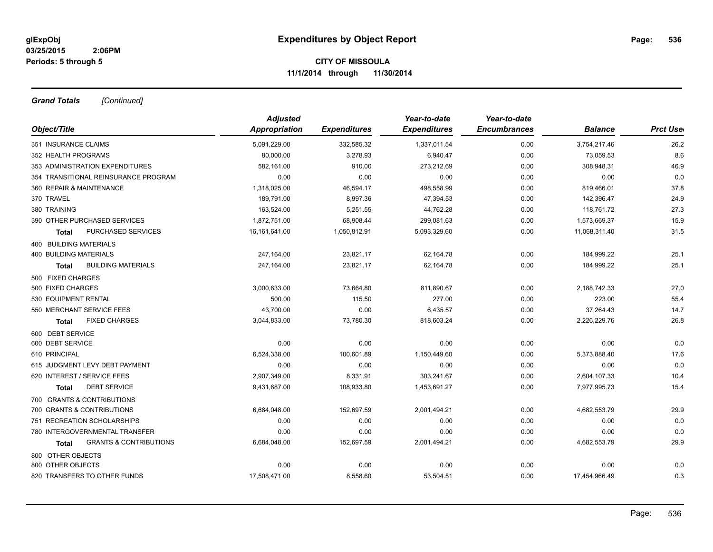*Grand Totals [Continued]*

|                                            | <b>Adjusted</b> |                     | Year-to-date        | Year-to-date        |                |                  |
|--------------------------------------------|-----------------|---------------------|---------------------|---------------------|----------------|------------------|
| Object/Title                               | Appropriation   | <b>Expenditures</b> | <b>Expenditures</b> | <b>Encumbrances</b> | <b>Balance</b> | <b>Prct User</b> |
| 351 INSURANCE CLAIMS                       | 5,091,229.00    | 332,585.32          | 1,337,011.54        | 0.00                | 3,754,217.46   | 26.2             |
| 352 HEALTH PROGRAMS                        | 80,000.00       | 3,278.93            | 6,940.47            | 0.00                | 73,059.53      | 8.6              |
| 353 ADMINISTRATION EXPENDITURES            | 582,161.00      | 910.00              | 273,212.69          | 0.00                | 308,948.31     | 46.9             |
| 354 TRANSITIONAL REINSURANCE PROGRAM       | 0.00            | 0.00                | 0.00                | 0.00                | 0.00           | 0.0              |
| 360 REPAIR & MAINTENANCE                   | 1,318,025.00    | 46,594.17           | 498,558.99          | 0.00                | 819,466.01     | 37.8             |
| 370 TRAVEL                                 | 189,791.00      | 8,997.36            | 47,394.53           | 0.00                | 142,396.47     | 24.9             |
| 380 TRAINING                               | 163,524.00      | 5,251.55            | 44,762.28           | 0.00                | 118,761.72     | 27.3             |
| 390 OTHER PURCHASED SERVICES               | 1,872,751.00    | 68,908.44           | 299,081.63          | 0.00                | 1,573,669.37   | 15.9             |
| <b>PURCHASED SERVICES</b><br>Total         | 16,161,641.00   | 1,050,812.91        | 5,093,329.60        | 0.00                | 11,068,311.40  | 31.5             |
| 400 BUILDING MATERIALS                     |                 |                     |                     |                     |                |                  |
| <b>400 BUILDING MATERIALS</b>              | 247,164.00      | 23,821.17           | 62,164.78           | 0.00                | 184,999.22     | 25.1             |
| <b>BUILDING MATERIALS</b><br><b>Total</b>  | 247,164.00      | 23,821.17           | 62,164.78           | 0.00                | 184,999.22     | 25.1             |
| 500 FIXED CHARGES                          |                 |                     |                     |                     |                |                  |
| 500 FIXED CHARGES                          | 3,000,633.00    | 73,664.80           | 811,890.67          | 0.00                | 2,188,742.33   | 27.0             |
| 530 EQUIPMENT RENTAL                       | 500.00          | 115.50              | 277.00              | 0.00                | 223.00         | 55.4             |
| 550 MERCHANT SERVICE FEES                  | 43,700.00       | 0.00                | 6,435.57            | 0.00                | 37,264.43      | 14.7             |
| <b>FIXED CHARGES</b><br>Total              | 3,044,833.00    | 73,780.30           | 818,603.24          | 0.00                | 2,226,229.76   | 26.8             |
| 600 DEBT SERVICE                           |                 |                     |                     |                     |                |                  |
| 600 DEBT SERVICE                           | 0.00            | 0.00                | 0.00                | 0.00                | 0.00           | 0.0              |
| 610 PRINCIPAL                              | 6,524,338.00    | 100.601.89          | 1,150,449.60        | 0.00                | 5,373,888.40   | 17.6             |
| 615 JUDGMENT LEVY DEBT PAYMENT             | 0.00            | 0.00                | 0.00                | 0.00                | 0.00           | 0.0              |
| 620 INTEREST / SERVICE FEES                | 2,907,349.00    | 8,331.91            | 303,241.67          | 0.00                | 2,604,107.33   | 10.4             |
| <b>DEBT SERVICE</b><br><b>Total</b>        | 9,431,687.00    | 108,933.80          | 1,453,691.27        | 0.00                | 7,977,995.73   | 15.4             |
| 700 GRANTS & CONTRIBUTIONS                 |                 |                     |                     |                     |                |                  |
| 700 GRANTS & CONTRIBUTIONS                 | 6,684,048.00    | 152,697.59          | 2,001,494.21        | 0.00                | 4,682,553.79   | 29.9             |
| 751 RECREATION SCHOLARSHIPS                | 0.00            | 0.00                | 0.00                | 0.00                | 0.00           | 0.0              |
| 780 INTERGOVERNMENTAL TRANSFER             | 0.00            | 0.00                | 0.00                | 0.00                | 0.00           | 0.0              |
| <b>GRANTS &amp; CONTRIBUTIONS</b><br>Total | 6,684,048.00    | 152,697.59          | 2,001,494.21        | 0.00                | 4,682,553.79   | 29.9             |
| 800 OTHER OBJECTS                          |                 |                     |                     |                     |                |                  |
| 800 OTHER OBJECTS                          | 0.00            | 0.00                | 0.00                | 0.00                | 0.00           | 0.0              |
| 820 TRANSFERS TO OTHER FUNDS               | 17,508,471.00   | 8,558.60            | 53,504.51           | 0.00                | 17,454,966.49  | 0.3              |